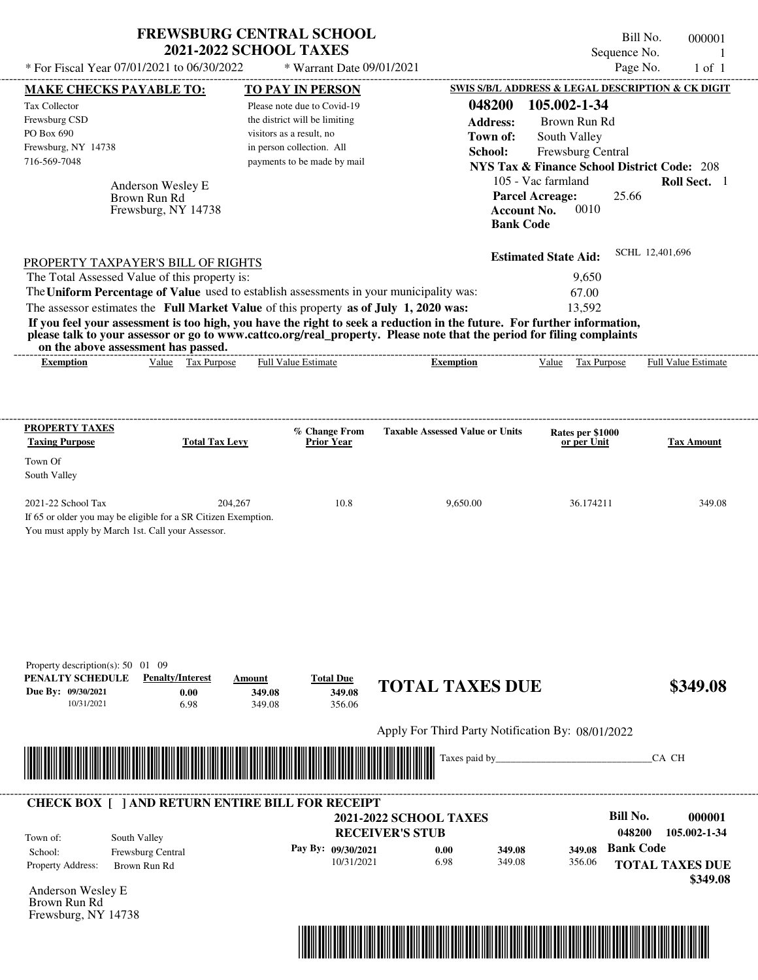|                                                                                                                                          | <b>2021-2022 SCHOOL TAXES</b>                     | <b>FREWSBURG CENTRAL SCHOOL</b>                           |                                                                                                                                                                                                                                                  |                                                                                                | Bill No.<br>Sequence No. | 000001<br>-1        |
|------------------------------------------------------------------------------------------------------------------------------------------|---------------------------------------------------|-----------------------------------------------------------|--------------------------------------------------------------------------------------------------------------------------------------------------------------------------------------------------------------------------------------------------|------------------------------------------------------------------------------------------------|--------------------------|---------------------|
| * For Fiscal Year 07/01/2021 to 06/30/2022                                                                                               |                                                   | * Warrant Date 09/01/2021                                 |                                                                                                                                                                                                                                                  |                                                                                                | Page No.                 | $1$ of $1$          |
| <b>MAKE CHECKS PAYABLE TO:</b>                                                                                                           |                                                   | TO PAY IN PERSON                                          |                                                                                                                                                                                                                                                  | SWIS S/B/L ADDRESS & LEGAL DESCRIPTION & CK DIGIT                                              |                          |                     |
| <b>Tax Collector</b>                                                                                                                     |                                                   | Please note due to Covid-19                               | 048200                                                                                                                                                                                                                                           | 105.002-1-34                                                                                   |                          |                     |
| Frewsburg CSD<br>PO Box 690                                                                                                              |                                                   | the district will be limiting<br>visitors as a result, no | <b>Address:</b>                                                                                                                                                                                                                                  | Brown Run Rd                                                                                   |                          |                     |
| Frewsburg, NY 14738                                                                                                                      |                                                   | in person collection. All                                 | Town of:<br>School:                                                                                                                                                                                                                              | South Valley                                                                                   |                          |                     |
| 716-569-7048                                                                                                                             |                                                   | payments to be made by mail                               |                                                                                                                                                                                                                                                  | Frewsburg Central<br><b>NYS Tax &amp; Finance School District Code: 208</b>                    |                          |                     |
| Anderson Wesley E<br>Brown Run Rd<br>Frewsburg, NY 14738                                                                                 |                                                   |                                                           |                                                                                                                                                                                                                                                  | 105 - Vac farmland<br><b>Parcel Acreage:</b><br>0010<br><b>Account No.</b><br><b>Bank Code</b> | 25.66                    | Roll Sect. 1        |
| PROPERTY TAXPAYER'S BILL OF RIGHTS                                                                                                       |                                                   |                                                           |                                                                                                                                                                                                                                                  | <b>Estimated State Aid:</b>                                                                    | SCHL 12,401,696          |                     |
| The Total Assessed Value of this property is:                                                                                            |                                                   |                                                           |                                                                                                                                                                                                                                                  | 9,650                                                                                          |                          |                     |
| The Uniform Percentage of Value used to establish assessments in your municipality was:                                                  |                                                   |                                                           |                                                                                                                                                                                                                                                  | 67.00                                                                                          |                          |                     |
| The assessor estimates the Full Market Value of this property as of July 1, 2020 was:                                                    |                                                   |                                                           |                                                                                                                                                                                                                                                  | 13,592                                                                                         |                          |                     |
|                                                                                                                                          |                                                   |                                                           | If you feel your assessment is too high, you have the right to seek a reduction in the future. For further information,<br>please talk to your assessor or go to www.cattco.org/real_property. Please note that the period for filing complaints |                                                                                                |                          |                     |
| on the above assessment has passed.<br><b>Exemption</b>                                                                                  | Value Tax Purpose                                 | <b>Full Value Estimate</b>                                | <b>Exemption</b>                                                                                                                                                                                                                                 | Value Tax Purpose                                                                              |                          | Full Value Estimate |
|                                                                                                                                          |                                                   |                                                           |                                                                                                                                                                                                                                                  |                                                                                                |                          |                     |
| PROPERTY TAXES                                                                                                                           |                                                   |                                                           |                                                                                                                                                                                                                                                  |                                                                                                |                          |                     |
| <b>Taxing Purpose</b>                                                                                                                    | <b>Total Tax Levy</b>                             | % Change From<br><b>Prior Year</b>                        | <b>Taxable Assessed Value or Units</b>                                                                                                                                                                                                           | Rates per \$1000<br>or per Unit                                                                |                          | <b>Tax Amount</b>   |
| Town Of<br>South Valley                                                                                                                  |                                                   |                                                           |                                                                                                                                                                                                                                                  |                                                                                                |                          |                     |
| 2021-22 School Tax<br>If 65 or older you may be eligible for a SR Citizen Exemption.<br>You must apply by March 1st. Call your Assessor. | 204,267                                           | 10.8                                                      | 9,650.00                                                                                                                                                                                                                                         | 36.174211                                                                                      |                          | 349.08              |
| Property description(s): $50 \quad 01 \quad 09$<br>PENALTY SCHEDULE<br>Due By: 09/30/2021<br>10/31/2021                                  | <b>Penalty/Interest</b><br>Amount<br>0.00<br>6.98 | <b>Total Due</b><br>349.08<br>349.08<br>349.08<br>356.06  | <b>TOTAL TAXES DUE</b>                                                                                                                                                                                                                           |                                                                                                |                          | \$349.08            |
|                                                                                                                                          |                                                   |                                                           | Apply For Third Party Notification By: 08/01/2022                                                                                                                                                                                                |                                                                                                |                          |                     |
|                                                                                                                                          |                                                   |                                                           |                                                                                                                                                                                                                                                  |                                                                                                |                          |                     |
|                                                                                                                                          |                                                   |                                                           | Taxes paid by                                                                                                                                                                                                                                    |                                                                                                | CA CH                    |                     |
| <b>CHECK BOX [ ] AND RETURN ENTIRE BILL FOR RECEIPT</b>                                                                                  |                                                   |                                                           |                                                                                                                                                                                                                                                  |                                                                                                |                          |                     |
|                                                                                                                                          |                                                   |                                                           | <b>2021-2022 SCHOOL TAXES</b>                                                                                                                                                                                                                    |                                                                                                | <b>Bill No.</b>          | 000001              |
| South Valley<br>Town of:                                                                                                                 |                                                   |                                                           | <b>RECEIVER'S STUB</b>                                                                                                                                                                                                                           |                                                                                                | 048200                   | 105.002-1-34        |
| Frewsburg Central<br>School:                                                                                                             |                                                   | Pay By: 09/30/2021                                        | 0.00<br>349.08                                                                                                                                                                                                                                   | 349.08                                                                                         | <b>Bank Code</b>         |                     |
| Property Address:<br>Brown Run Rd                                                                                                        |                                                   | 10/31/2021                                                | 6.98<br>349.08                                                                                                                                                                                                                                   | 356.06                                                                                         | <b>TOTAL TAXES DUE</b>   |                     |
|                                                                                                                                          |                                                   |                                                           |                                                                                                                                                                                                                                                  |                                                                                                |                          | \$349.08            |
| Anderson Wesley E<br>Brown Run Rd                                                                                                        |                                                   |                                                           |                                                                                                                                                                                                                                                  |                                                                                                |                          |                     |

Frewsburg, NY 14738

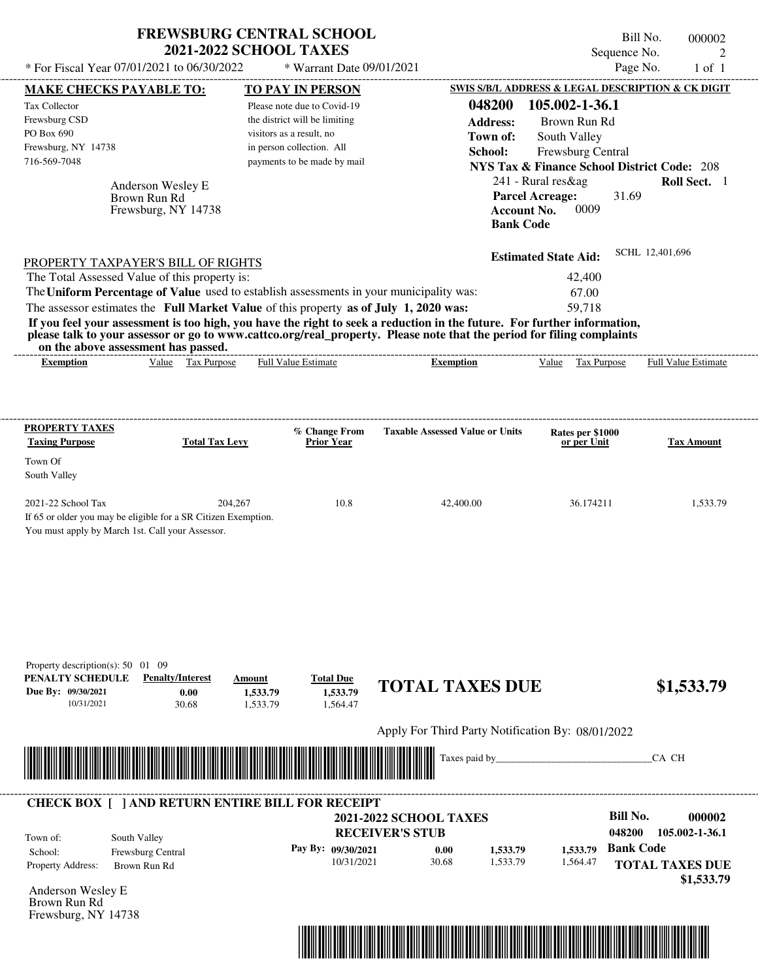|                                                                                                                         | <b>FREWSBURG CENTRAL SCHOOL</b><br><b>2021-2022 SCHOOL TAXES</b> |                                                        |                                                                                                                       |                                                        | Bill No.<br>000002                                                      |
|-------------------------------------------------------------------------------------------------------------------------|------------------------------------------------------------------|--------------------------------------------------------|-----------------------------------------------------------------------------------------------------------------------|--------------------------------------------------------|-------------------------------------------------------------------------|
| * For Fiscal Year 07/01/2021 to 06/30/2022                                                                              |                                                                  | * Warrant Date 09/01/2021                              |                                                                                                                       |                                                        | Sequence No.<br>$\mathfrak{D}_{\mathfrak{p}}$<br>Page No.<br>$1$ of $1$ |
|                                                                                                                         |                                                                  |                                                        |                                                                                                                       |                                                        | SWIS S/B/L ADDRESS & LEGAL DESCRIPTION & CK DIGIT                       |
| <b>MAKE CHECKS PAYABLE TO:</b><br>Tax Collector                                                                         |                                                                  | <b>TO PAY IN PERSON</b><br>Please note due to Covid-19 | 048200                                                                                                                | 105.002-1-36.1                                         |                                                                         |
| Frewsburg CSD                                                                                                           |                                                                  | the district will be limiting                          | <b>Address:</b>                                                                                                       | Brown Run Rd                                           |                                                                         |
| PO Box 690                                                                                                              |                                                                  | visitors as a result, no                               |                                                                                                                       |                                                        |                                                                         |
| Frewsburg, NY 14738                                                                                                     |                                                                  | in person collection. All                              | Town of:                                                                                                              | South Valley                                           |                                                                         |
| 716-569-7048                                                                                                            |                                                                  | payments to be made by mail                            | School:                                                                                                               | Frewsburg Central                                      |                                                                         |
|                                                                                                                         |                                                                  |                                                        |                                                                                                                       | <b>NYS Tax &amp; Finance School District Code: 208</b> |                                                                         |
| Anderson Wesley E                                                                                                       |                                                                  |                                                        |                                                                                                                       | $241$ - Rural res & ag                                 | Roll Sect. 1                                                            |
| Brown Run Rd                                                                                                            |                                                                  |                                                        |                                                                                                                       | <b>Parcel Acreage:</b>                                 | 31.69                                                                   |
|                                                                                                                         | Frewsburg, NY 14738                                              |                                                        |                                                                                                                       | 0009<br><b>Account No.</b><br><b>Bank Code</b>         |                                                                         |
|                                                                                                                         |                                                                  |                                                        |                                                                                                                       |                                                        |                                                                         |
| PROPERTY TAXPAYER'S BILL OF RIGHTS                                                                                      |                                                                  |                                                        |                                                                                                                       | <b>Estimated State Aid:</b>                            | SCHL 12,401,696                                                         |
| The Total Assessed Value of this property is:                                                                           |                                                                  |                                                        |                                                                                                                       | 42,400                                                 |                                                                         |
| The Uniform Percentage of Value used to establish assessments in your municipality was:                                 |                                                                  |                                                        |                                                                                                                       | 67.00                                                  |                                                                         |
| The assessor estimates the Full Market Value of this property as of July 1, 2020 was:                                   |                                                                  |                                                        |                                                                                                                       | 59,718                                                 |                                                                         |
| If you feel your assessment is too high, you have the right to seek a reduction in the future. For further information, |                                                                  |                                                        |                                                                                                                       |                                                        |                                                                         |
| on the above assessment has passed.                                                                                     |                                                                  |                                                        | please talk to your assessor or go to www.cattco.org/real_property. Please note that the period for filing complaints |                                                        |                                                                         |
| <b>Exemption</b>                                                                                                        | Value Tax Purpose                                                | <b>Full Value Estimate</b>                             | <b>Exemption</b>                                                                                                      | Value Tax Purpose                                      | <b>Full Value Estimate</b>                                              |
|                                                                                                                         |                                                                  |                                                        |                                                                                                                       |                                                        |                                                                         |
|                                                                                                                         |                                                                  |                                                        |                                                                                                                       |                                                        |                                                                         |
|                                                                                                                         |                                                                  |                                                        |                                                                                                                       |                                                        |                                                                         |
| PROPERTY TAXES                                                                                                          |                                                                  | % Change From                                          | <b>Taxable Assessed Value or Units</b>                                                                                | Rates per \$1000                                       |                                                                         |
| <b>Taxing Purpose</b>                                                                                                   | <b>Total Tax Levy</b>                                            | <b>Prior Year</b>                                      |                                                                                                                       | or per Unit                                            | Tax Amount                                                              |
| Town Of                                                                                                                 |                                                                  |                                                        |                                                                                                                       |                                                        |                                                                         |
| South Valley                                                                                                            |                                                                  |                                                        |                                                                                                                       |                                                        |                                                                         |
|                                                                                                                         |                                                                  |                                                        |                                                                                                                       |                                                        |                                                                         |
| 2021-22 School Tax                                                                                                      | 204,267                                                          | 10.8                                                   | 42,400.00                                                                                                             | 36.174211                                              | 1,533.79                                                                |
| If 65 or older you may be eligible for a SR Citizen Exemption.<br>You must apply by March 1st. Call your Assessor.      |                                                                  |                                                        |                                                                                                                       |                                                        |                                                                         |
|                                                                                                                         |                                                                  |                                                        |                                                                                                                       |                                                        |                                                                         |
|                                                                                                                         |                                                                  |                                                        |                                                                                                                       |                                                        |                                                                         |
|                                                                                                                         |                                                                  |                                                        |                                                                                                                       |                                                        |                                                                         |
|                                                                                                                         |                                                                  |                                                        |                                                                                                                       |                                                        |                                                                         |
|                                                                                                                         |                                                                  |                                                        |                                                                                                                       |                                                        |                                                                         |
|                                                                                                                         |                                                                  |                                                        |                                                                                                                       |                                                        |                                                                         |
|                                                                                                                         |                                                                  |                                                        |                                                                                                                       |                                                        |                                                                         |
|                                                                                                                         |                                                                  |                                                        |                                                                                                                       |                                                        |                                                                         |
| Property description(s): $50 \quad 01 \quad 09$                                                                         |                                                                  |                                                        |                                                                                                                       |                                                        |                                                                         |
| PENALTY SCHEDULE                                                                                                        | <b>Penalty/Interest</b><br>Amount                                | <b>Total Due</b>                                       | <b>TOTAL TAXES DUE</b>                                                                                                |                                                        |                                                                         |
| Due By: 09/30/2021                                                                                                      | 0.00<br>1,533.79                                                 | 1.533.79                                               |                                                                                                                       |                                                        | \$1,533.79                                                              |
| 10/31/2021                                                                                                              | 30.68<br>1,533.79                                                | 1,564.47                                               |                                                                                                                       |                                                        |                                                                         |
|                                                                                                                         |                                                                  |                                                        |                                                                                                                       |                                                        |                                                                         |
|                                                                                                                         |                                                                  |                                                        | Apply For Third Party Notification By: 08/01/2022                                                                     |                                                        |                                                                         |
|                                                                                                                         |                                                                  |                                                        | Taxes paid by_                                                                                                        |                                                        | CA CH                                                                   |
|                                                                                                                         |                                                                  |                                                        |                                                                                                                       |                                                        |                                                                         |
| <b>CHECK BOX [ ] AND RETURN ENTIRE BILL FOR RECEIPT</b>                                                                 |                                                                  |                                                        |                                                                                                                       |                                                        |                                                                         |
|                                                                                                                         |                                                                  |                                                        | <b>2021-2022 SCHOOL TAXES</b>                                                                                         |                                                        | <b>Bill No.</b><br>000002                                               |
|                                                                                                                         |                                                                  |                                                        | <b>RECEIVER'S STUB</b>                                                                                                |                                                        | 048200<br>105.002-1-36.1                                                |
| South Valley<br>Town of:                                                                                                |                                                                  | Pay By: 09/30/2021                                     |                                                                                                                       |                                                        | <b>Bank Code</b>                                                        |
| Frewsburg Central<br>School:                                                                                            |                                                                  | 10/31/2021                                             | 0.00<br>1,533.79<br>30.68<br>1,533.79                                                                                 | 1,533.79<br>1,564.47                                   |                                                                         |
| Property Address:<br>Brown Run Rd                                                                                       |                                                                  |                                                        |                                                                                                                       |                                                        | <b>TOTAL TAXES DUE</b>                                                  |

Anderson Wesley E Brown Run Rd Frewsburg, NY 14738



 **\$1,533.79**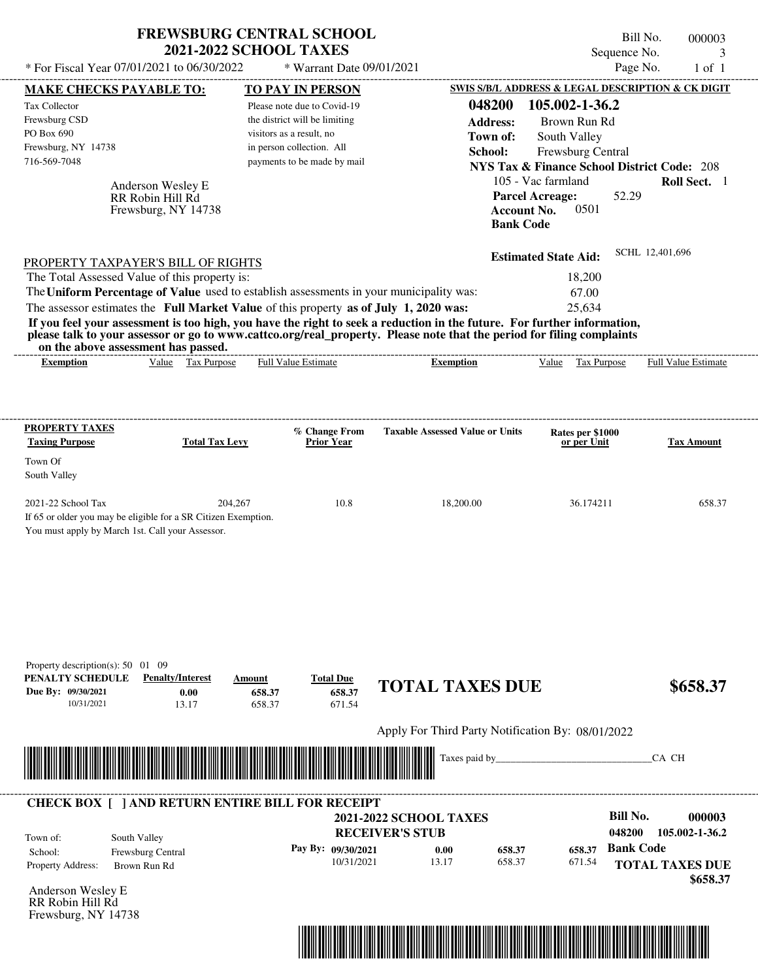|                                                                                                                                                     | <b>FREWSBURG CENTRAL SCHOOL</b><br>* For Fiscal Year 07/01/2021 to 06/30/2022                                                                                                                                                                                                                               | <b>2021-2022 SCHOOL TAXES</b>                                                            | * Warrant Date 09/01/2021                               |                                                     |                                                                                             | Bill No.<br>000003<br>Sequence No.<br>3<br>Page No.<br>$1$ of $1$ |
|-----------------------------------------------------------------------------------------------------------------------------------------------------|-------------------------------------------------------------------------------------------------------------------------------------------------------------------------------------------------------------------------------------------------------------------------------------------------------------|------------------------------------------------------------------------------------------|---------------------------------------------------------|-----------------------------------------------------|---------------------------------------------------------------------------------------------|-------------------------------------------------------------------|
| <b>MAKE CHECKS PAYABLE TO:</b>                                                                                                                      |                                                                                                                                                                                                                                                                                                             | <b>TO PAY IN PERSON</b>                                                                  |                                                         |                                                     |                                                                                             | SWIS S/B/L ADDRESS & LEGAL DESCRIPTION & CK DIGIT                 |
| Tax Collector<br>Frewsburg CSD<br>PO Box 690                                                                                                        |                                                                                                                                                                                                                                                                                                             | Please note due to Covid-19<br>the district will be limiting<br>visitors as a result, no |                                                         | 048200<br><b>Address:</b>                           | 105.002-1-36.2<br>Brown Run Rd                                                              |                                                                   |
| Frewsburg, NY 14738<br>716-569-7048                                                                                                                 |                                                                                                                                                                                                                                                                                                             | in person collection. All<br>payments to be made by mail                                 |                                                         | Town of:<br>School:                                 | South Valley<br>Frewsburg Central<br><b>NYS Tax &amp; Finance School District Code: 208</b> |                                                                   |
|                                                                                                                                                     | Anderson Wesley E<br>RR Robin Hill Rd<br>Frewsburg, NY 14738                                                                                                                                                                                                                                                |                                                                                          |                                                         | <b>Bank Code</b>                                    | 105 - Vac farmland<br><b>Parcel Acreage:</b><br>0501<br><b>Account No.</b>                  | Roll Sect. 1<br>52.29                                             |
|                                                                                                                                                     | PROPERTY TAXPAYER'S BILL OF RIGHTS<br>The Total Assessed Value of this property is:                                                                                                                                                                                                                         |                                                                                          |                                                         |                                                     | <b>Estimated State Aid:</b><br>18,200                                                       | SCHL 12,401,696                                                   |
|                                                                                                                                                     | The Uniform Percentage of Value used to establish assessments in your municipality was:<br>The assessor estimates the Full Market Value of this property as of July 1, 2020 was:<br>If you feel your assessment is too high, you have the right to seek a reduction in the future. For further information, |                                                                                          |                                                         |                                                     | 67.00<br>25,634                                                                             |                                                                   |
|                                                                                                                                                     | please talk to your assessor or go to www.cattco.org/real_property. Please note that the period for filing complaints<br>on the above assessment has passed.                                                                                                                                                |                                                                                          |                                                         |                                                     |                                                                                             |                                                                   |
| <b>Exemption</b>                                                                                                                                    | Value Tax Purpose                                                                                                                                                                                                                                                                                           | Full Value Estimate                                                                      |                                                         | <b>Exemption</b>                                    | Value Tax Purpose                                                                           | Full Value Estimate                                               |
| <b>PROPERTY TAXES</b><br><b>Taxing Purpose</b><br>Town Of<br>South Valley<br>2021-22 School Tax<br>You must apply by March 1st. Call your Assessor. | <b>Total Tax Levy</b><br>204,267<br>If 65 or older you may be eligible for a SR Citizen Exemption.                                                                                                                                                                                                          | % Change From<br><b>Prior Year</b>                                                       | 10.8                                                    | <b>Taxable Assessed Value or Units</b><br>18,200.00 | Rates per \$1000<br>or per Unit<br>36.174211                                                | <b>Tax Amount</b><br>658.37                                       |
| Property description(s): $50 \quad 01 \quad 09$<br>PENALTY SCHEDULE<br>Due By: 09/30/2021<br>10/31/2021                                             | <b>Penalty/Interest</b><br>0.00<br>13.17                                                                                                                                                                                                                                                                    | Amount<br>658.37<br>658.37                                                               | <b>Total Due</b><br>658.37<br>671.54                    | <b>TOTAL TAXES DUE</b>                              |                                                                                             | \$658.37                                                          |
|                                                                                                                                                     |                                                                                                                                                                                                                                                                                                             |                                                                                          |                                                         | Apply For Third Party Notification By: 08/01/2022   |                                                                                             |                                                                   |
|                                                                                                                                                     |                                                                                                                                                                                                                                                                                                             |                                                                                          |                                                         | Taxes paid by                                       |                                                                                             | CA CH                                                             |
|                                                                                                                                                     | <b>CHECK BOX [ ] AND RETURN ENTIRE BILL FOR RECEIPT</b>                                                                                                                                                                                                                                                     |                                                                                          |                                                         |                                                     |                                                                                             |                                                                   |
|                                                                                                                                                     |                                                                                                                                                                                                                                                                                                             |                                                                                          | <b>2021-2022 SCHOOL TAXES</b><br><b>RECEIVER'S STUB</b> |                                                     |                                                                                             | <b>Bill No.</b><br>000003<br>048200<br>105.002-1-36.2             |
| Town of:<br>School:                                                                                                                                 | South Valley<br>Frewsburg Central                                                                                                                                                                                                                                                                           |                                                                                          | Pay By: 09/30/2021                                      | 0.00<br>658.37                                      | 658.37                                                                                      | <b>Bank Code</b>                                                  |
| Property Address:                                                                                                                                   | Brown Run Rd                                                                                                                                                                                                                                                                                                |                                                                                          | 10/31/2021                                              | 13.17<br>658.37                                     | 671.54                                                                                      | <b>TOTAL TAXES DUE</b><br>\$658.37                                |
| Anderson Wesley E<br>RR Robin Hill Rd<br>Frewsburg, NY 14738                                                                                        |                                                                                                                                                                                                                                                                                                             |                                                                                          |                                                         |                                                     |                                                                                             |                                                                   |

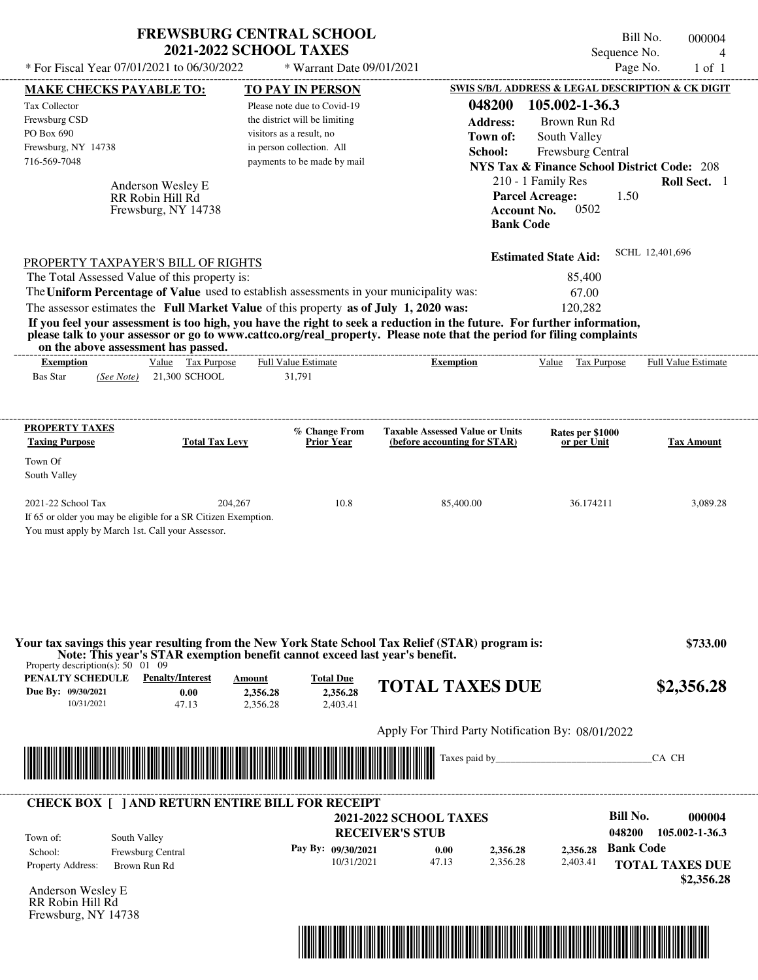|                                                                                                                                                                                                                                                                                                             | <b>2021-2022 SCHOOL TAXES</b>                                              | <b>FREWSBURG CENTRAL SCHOOL</b>          |                                                   |                                                                                                | Bill No.<br>Sequence No. | 000004<br>$\overline{4}$   |
|-------------------------------------------------------------------------------------------------------------------------------------------------------------------------------------------------------------------------------------------------------------------------------------------------------------|----------------------------------------------------------------------------|------------------------------------------|---------------------------------------------------|------------------------------------------------------------------------------------------------|--------------------------|----------------------------|
| * For Fiscal Year 07/01/2021 to 06/30/2022                                                                                                                                                                                                                                                                  |                                                                            | * Warrant Date 09/01/2021                |                                                   |                                                                                                | Page No.                 | $1$ of $1$                 |
| <b>MAKE CHECKS PAYABLE TO:</b>                                                                                                                                                                                                                                                                              |                                                                            | <b>TO PAY IN PERSON</b>                  |                                                   | SWIS S/B/L ADDRESS & LEGAL DESCRIPTION & CK DIGIT                                              |                          |                            |
| <b>Tax Collector</b>                                                                                                                                                                                                                                                                                        |                                                                            | Please note due to Covid-19              | 048200                                            | 105.002-1-36.3                                                                                 |                          |                            |
| Frewsburg CSD                                                                                                                                                                                                                                                                                               |                                                                            | the district will be limiting            | <b>Address:</b>                                   | Brown Run Rd                                                                                   |                          |                            |
| PO Box 690                                                                                                                                                                                                                                                                                                  |                                                                            | visitors as a result, no                 |                                                   | Town of:<br>South Valley                                                                       |                          |                            |
| Frewsburg, NY 14738                                                                                                                                                                                                                                                                                         |                                                                            | in person collection. All                | School:                                           | Frewsburg Central                                                                              |                          |                            |
| 716-569-7048                                                                                                                                                                                                                                                                                                |                                                                            | payments to be made by mail              |                                                   | <b>NYS Tax &amp; Finance School District Code: 208</b>                                         |                          |                            |
| Anderson Wesley E<br>RR Robin Hill Rd<br>Frewsburg, NY 14738                                                                                                                                                                                                                                                |                                                                            |                                          |                                                   | 210 - 1 Family Res<br><b>Parcel Acreage:</b><br>0502<br><b>Account No.</b><br><b>Bank Code</b> | 1.50                     | Roll Sect. 1               |
| PROPERTY TAXPAYER'S BILL OF RIGHTS                                                                                                                                                                                                                                                                          |                                                                            |                                          |                                                   | <b>Estimated State Aid:</b>                                                                    | SCHL 12,401,696          |                            |
| The Total Assessed Value of this property is:                                                                                                                                                                                                                                                               |                                                                            |                                          |                                                   | 85,400                                                                                         |                          |                            |
| The Uniform Percentage of Value used to establish assessments in your municipality was:                                                                                                                                                                                                                     |                                                                            |                                          |                                                   | 67.00                                                                                          |                          |                            |
| The assessor estimates the Full Market Value of this property as of July 1, 2020 was:                                                                                                                                                                                                                       |                                                                            |                                          |                                                   | 120,282                                                                                        |                          |                            |
| If you feel your assessment is too high, you have the right to seek a reduction in the future. For further information,<br>please talk to your assessor or go to www.cattco.org/real_property. Please note that the period for filing complaints<br>on the above assessment has passed.<br><b>Exemption</b> | Value Tax Purpose                                                          | <b>Full Value Estimate</b>               | <b>Exemption</b>                                  | Value<br>Tax Purpose                                                                           |                          | <b>Full Value Estimate</b> |
| <b>Bas Star</b><br>(See Note)                                                                                                                                                                                                                                                                               | 21,300 SCHOOL                                                              | 31,791                                   |                                                   |                                                                                                |                          |                            |
| <b>PROPERTY TAXES</b>                                                                                                                                                                                                                                                                                       |                                                                            | % Change From                            | <b>Taxable Assessed Value or Units</b>            | Rates per \$1000                                                                               |                          |                            |
| <b>Taxing Purpose</b>                                                                                                                                                                                                                                                                                       | <b>Total Tax Levy</b>                                                      | Prior Year                               | (before accounting for STAR)                      | or per Unit                                                                                    |                          | <b>Tax Amount</b>          |
| Town Of                                                                                                                                                                                                                                                                                                     |                                                                            |                                          |                                                   |                                                                                                |                          |                            |
| South Valley                                                                                                                                                                                                                                                                                                |                                                                            |                                          |                                                   |                                                                                                |                          |                            |
| 2021-22 School Tax<br>If 65 or older you may be eligible for a SR Citizen Exemption.<br>You must apply by March 1st. Call your Assessor.                                                                                                                                                                    | 204,267                                                                    | 10.8                                     | 85,400.00                                         | 36.174211                                                                                      |                          | 3,089.28                   |
| Your tax savings this year resulting from the New York State School Tax Relief (STAR) program is:<br>Note: This year's STAR exemption benefit cannot exceed last year's benefit.<br>Property description(s): $50 \quad 01 \quad 09$<br>PENALTY SCHEDULE<br>Due By: 09/30/2021<br>10/31/2021                 | <b>Penalty/Interest</b><br>Amount<br>0.00<br>2,356.28<br>2.356.28<br>47.13 | <b>Total Due</b><br>2,356.28<br>2,403.41 | <b>TOTAL TAXES DUE</b>                            |                                                                                                |                          | \$733.00<br>\$2,356.28     |
|                                                                                                                                                                                                                                                                                                             |                                                                            |                                          | Apply For Third Party Notification By: 08/01/2022 |                                                                                                |                          |                            |
|                                                                                                                                                                                                                                                                                                             |                                                                            |                                          | Taxes paid by_                                    |                                                                                                | CA CH                    |                            |
|                                                                                                                                                                                                                                                                                                             |                                                                            |                                          |                                                   |                                                                                                |                          |                            |
| <b>CHECK BOX [ ] AND RETURN ENTIRE BILL FOR RECEIPT</b>                                                                                                                                                                                                                                                     |                                                                            |                                          |                                                   |                                                                                                |                          |                            |
|                                                                                                                                                                                                                                                                                                             |                                                                            |                                          | <b>2021-2022 SCHOOL TAXES</b>                     |                                                                                                | <b>Bill No.</b>          | 000004                     |
| South Valley<br>Town of:                                                                                                                                                                                                                                                                                    |                                                                            |                                          | <b>RECEIVER'S STUB</b>                            |                                                                                                | 048200                   | 105.002-1-36.3             |
| Frewsburg Central<br>School:                                                                                                                                                                                                                                                                                |                                                                            | Pay By: 09/30/2021                       | 0.00                                              | 2,356.28<br>2,356.28                                                                           | <b>Bank Code</b>         |                            |
| Property Address:<br>Brown Run Rd                                                                                                                                                                                                                                                                           |                                                                            | 10/31/2021                               | 47.13                                             | 2,356.28<br>2,403.41                                                                           |                          | <b>TOTAL TAXES DUE</b>     |
|                                                                                                                                                                                                                                                                                                             |                                                                            |                                          |                                                   |                                                                                                |                          | \$2,356.28                 |
| Anderson Wesley E                                                                                                                                                                                                                                                                                           |                                                                            |                                          |                                                   |                                                                                                |                          |                            |



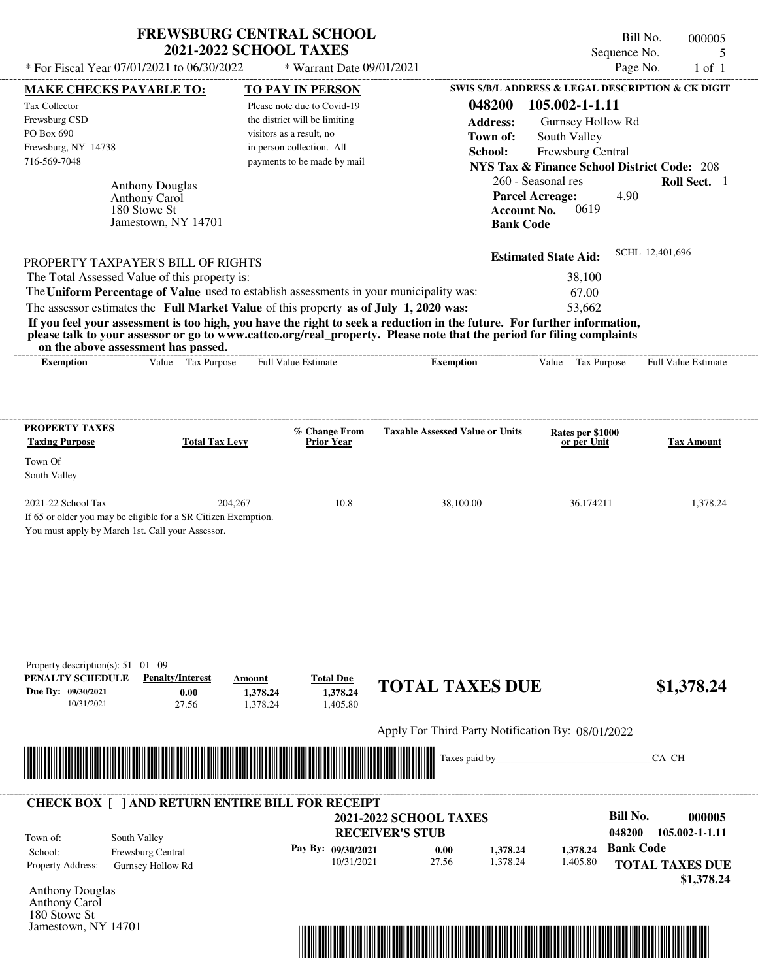| <b>FREWSBURG CENTRAL SCHOOL</b> |  |
|---------------------------------|--|
| <b>2021-2022 SCHOOL TAXES</b>   |  |

Bill No. 000005 Sequence No. 5

| * For Fiscal Year 07/01/2021 to 06/30/2022                                                                                                                                                                                                       |                                        | * Warrant Date 09/01/2021                                 |                                                   |                                                                             | Page No.               | $1$ of $1$               |
|--------------------------------------------------------------------------------------------------------------------------------------------------------------------------------------------------------------------------------------------------|----------------------------------------|-----------------------------------------------------------|---------------------------------------------------|-----------------------------------------------------------------------------|------------------------|--------------------------|
| <b>MAKE CHECKS PAYABLE TO:</b>                                                                                                                                                                                                                   |                                        | <b>TO PAY IN PERSON</b>                                   |                                                   | SWIS S/B/L ADDRESS & LEGAL DESCRIPTION & CK DIGIT                           |                        |                          |
| Tax Collector                                                                                                                                                                                                                                    |                                        | Please note due to Covid-19                               | 048200                                            | 105.002-1-1.11                                                              |                        |                          |
| Frewsburg CSD<br>PO Box 690                                                                                                                                                                                                                      |                                        | the district will be limiting<br>visitors as a result, no | <b>Address:</b>                                   | Gurnsey Hollow Rd                                                           |                        |                          |
| Frewsburg, NY 14738                                                                                                                                                                                                                              |                                        | in person collection. All                                 | Town of:                                          | South Valley                                                                |                        |                          |
| 716-569-7048                                                                                                                                                                                                                                     |                                        | payments to be made by mail                               | School:                                           | Frewsburg Central<br><b>NYS Tax &amp; Finance School District Code: 208</b> |                        |                          |
|                                                                                                                                                                                                                                                  |                                        |                                                           |                                                   | 260 - Seasonal res                                                          |                        | Roll Sect. 1             |
| <b>Anthony Douglas</b><br>Anthony Carol                                                                                                                                                                                                          |                                        |                                                           |                                                   | <b>Parcel Acreage:</b>                                                      | 4.90                   |                          |
| 180 Stowe St                                                                                                                                                                                                                                     |                                        |                                                           | <b>Account No.</b>                                | 0619                                                                        |                        |                          |
| Jamestown, NY 14701                                                                                                                                                                                                                              |                                        |                                                           | <b>Bank Code</b>                                  |                                                                             |                        |                          |
| PROPERTY TAXPAYER'S BILL OF RIGHTS                                                                                                                                                                                                               |                                        |                                                           |                                                   | <b>Estimated State Aid:</b>                                                 | SCHL 12,401,696        |                          |
| The Total Assessed Value of this property is:                                                                                                                                                                                                    |                                        |                                                           |                                                   | 38,100                                                                      |                        |                          |
| The Uniform Percentage of Value used to establish assessments in your municipality was:                                                                                                                                                          |                                        |                                                           |                                                   | 67.00                                                                       |                        |                          |
| The assessor estimates the Full Market Value of this property as of July 1, 2020 was:                                                                                                                                                            |                                        |                                                           |                                                   | 53,662                                                                      |                        |                          |
| If you feel your assessment is too high, you have the right to seek a reduction in the future. For further information,<br>please talk to your assessor or go to www.cattco.org/real_property. Please note that the period for filing complaints |                                        |                                                           |                                                   |                                                                             |                        |                          |
| on the above assessment has passed.<br><b>Exemption</b>                                                                                                                                                                                          | Value Tax Purpose                      | Full Value Estimate                                       | <b>Exemption</b>                                  | Value Tax Purpose                                                           |                        | Full Value Estimate      |
|                                                                                                                                                                                                                                                  |                                        |                                                           |                                                   |                                                                             |                        |                          |
| <b>PROPERTY TAXES</b><br><b>Taxing Purpose</b>                                                                                                                                                                                                   | <b>Total Tax Levy</b>                  | % Change From<br><b>Prior Year</b>                        | <b>Taxable Assessed Value or Units</b>            | Rates per \$1000<br>or per Unit                                             |                        | <b>Tax Amount</b>        |
| Town Of                                                                                                                                                                                                                                          |                                        |                                                           |                                                   |                                                                             |                        |                          |
| South Valley                                                                                                                                                                                                                                     |                                        |                                                           |                                                   |                                                                             |                        |                          |
| 2021-22 School Tax<br>If 65 or older you may be eligible for a SR Citizen Exemption.<br>You must apply by March 1st. Call your Assessor.                                                                                                         | 204,267                                | 10.8                                                      | 38,100.00                                         | 36.174211                                                                   |                        | 1,378.24                 |
| Property description(s): 51 01 09<br>PENALTY SCHEDULE<br><b>Penalty/Interest</b><br>Due By: 09/30/2021<br>27.56<br>10/31/2021                                                                                                                    | Amount<br>0.00<br>1,378.24<br>1,378.24 | <b>Total Due</b><br>1,378.24<br>1,405.80                  | <b>TOTAL TAXES DUE</b>                            |                                                                             |                        | \$1,378.24               |
|                                                                                                                                                                                                                                                  |                                        |                                                           | Apply For Third Party Notification By: 08/01/2022 |                                                                             |                        |                          |
| <u> Handel al III de la contrada de la contrada de la contrada de la contrada de la contrada de la contrada de la</u>                                                                                                                            |                                        |                                                           | Taxes paid by_                                    |                                                                             | CA CH                  |                          |
| <b>CHECK BOX [ ] AND RETURN ENTIRE BILL FOR RECEIPT</b>                                                                                                                                                                                          |                                        |                                                           |                                                   |                                                                             | <b>Bill No.</b>        |                          |
|                                                                                                                                                                                                                                                  |                                        |                                                           | <b>2021-2022 SCHOOL TAXES</b>                     |                                                                             | 048200                 | 000005<br>105.002-1-1.11 |
| South Valley<br>Town of:                                                                                                                                                                                                                         |                                        |                                                           | <b>RECEIVER'S STUB</b>                            |                                                                             | <b>Bank Code</b>       |                          |
| Frewsburg Central<br>School:                                                                                                                                                                                                                     |                                        | Pay By: 09/30/2021<br>10/31/2021                          | 0.00<br>1,378.24<br>27.56<br>1,378.24             | 1,378.24<br>1,405.80                                                        |                        |                          |
| Property Address:<br>Gurnsey Hollow Rd                                                                                                                                                                                                           |                                        |                                                           |                                                   |                                                                             | <b>TOTAL TAXES DUE</b> | \$1,378.24               |
| <b>Anthony Douglas</b>                                                                                                                                                                                                                           |                                        |                                                           |                                                   |                                                                             |                        |                          |
| Anthony Carol<br>180 Stowe St                                                                                                                                                                                                                    |                                        |                                                           |                                                   |                                                                             |                        |                          |
| Jamestown, NY 14701                                                                                                                                                                                                                              |                                        |                                                           |                                                   |                                                                             |                        |                          |
|                                                                                                                                                                                                                                                  |                                        |                                                           |                                                   |                                                                             |                        |                          |
|                                                                                                                                                                                                                                                  |                                        |                                                           |                                                   |                                                                             |                        |                          |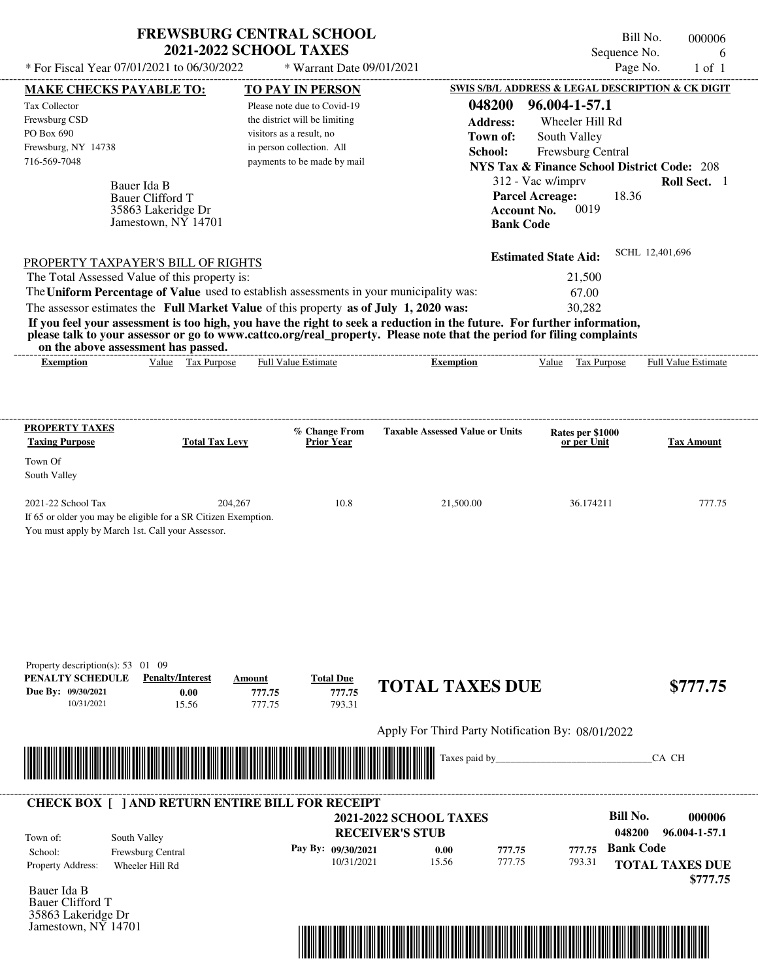| Sequence No.<br>6<br>* For Fiscal Year 07/01/2021 to 06/30/2022<br>Page No.<br>* Warrant Date 09/01/2021<br>$1$ of $1$<br>MAKE CHECKS PAYABLE TO:<br><b>TO PAY IN PERSON</b><br>048200<br>96.004-1-57.1<br>Please note due to Covid-19<br>the district will be limiting<br><b>Address:</b><br>Wheeler Hill Rd<br>visitors as a result, no<br>Town of:<br>South Valley<br>in person collection. All<br>Frewsburg Central<br>School:<br>payments to be made by mail<br><b>NYS Tax &amp; Finance School District Code: 208</b><br>312 - Vac w/imprv<br>Bauer Ida B<br><b>Parcel Acreage:</b><br>18.36<br><b>Bauer Clifford T</b><br>0019<br><b>Account No.</b><br>35863 Lakeridge Dr<br>Jamestown, $N\bar{Y}$ 14701<br><b>Bank Code</b><br>SCHL 12,401,696<br><b>Estimated State Aid:</b><br>PROPERTY TAXPAYER'S BILL OF RIGHTS<br>The Total Assessed Value of this property is:<br>21,500<br>The Uniform Percentage of Value used to establish assessments in your municipality was:<br>67.00<br>The assessor estimates the Full Market Value of this property as of July 1, 2020 was:<br>30,282<br>If you feel your assessment is too high, you have the right to seek a reduction in the future. For further information,<br>please talk to your assessor or go to www.cattco.org/real_property. Please note that the period for filing complaints<br>on the above assessment has passed.<br>Value Tax Purpose<br>Full Value Estimate<br>Value Tax Purpose<br><b>Exemption</b><br><b>Exemption</b><br><b>PROPERTY TAXES</b><br>% Change From<br><b>Taxable Assessed Value or Units</b><br>Rates per \$1000<br><b>Total Tax Levy</b><br><b>Prior Year</b><br><b>Tax Amount</b><br>or per Unit<br>South Valley<br>2021-22 School Tax<br>204,267<br>10.8<br>21,500.00<br>36.174211<br>If 65 or older you may be eligible for a SR Citizen Exemption.<br>You must apply by March 1st. Call your Assessor.<br>Property description(s): 53 01 09<br><b>Penalty/Interest</b><br><b>Total Due</b><br>Amount<br><b>TOTAL TAXES DUE</b><br>777.75<br>0.00<br>777.75<br>777.75<br>793.31<br>10/31/2021<br>15.56<br>Apply For Third Party Notification By: 08/01/2022<br><u> Tanzania (h. 1888).</u><br>CA CH |                                        | <b>FREWSBURG CENTRAL SCHOOL</b><br><b>2021-2022 SCHOOL TAXES</b> |  |                | Bill No. | 000006 |
|---------------------------------------------------------------------------------------------------------------------------------------------------------------------------------------------------------------------------------------------------------------------------------------------------------------------------------------------------------------------------------------------------------------------------------------------------------------------------------------------------------------------------------------------------------------------------------------------------------------------------------------------------------------------------------------------------------------------------------------------------------------------------------------------------------------------------------------------------------------------------------------------------------------------------------------------------------------------------------------------------------------------------------------------------------------------------------------------------------------------------------------------------------------------------------------------------------------------------------------------------------------------------------------------------------------------------------------------------------------------------------------------------------------------------------------------------------------------------------------------------------------------------------------------------------------------------------------------------------------------------------------------------------------------------------------------------------------------------------------------------------------------------------------------------------------------------------------------------------------------------------------------------------------------------------------------------------------------------------------------------------------------------------------------------------------------------------------------------------------------------------------------------------------------------------------------------|----------------------------------------|------------------------------------------------------------------|--|----------------|----------|--------|
| SWIS S/B/L ADDRESS & LEGAL DESCRIPTION & CK DIGIT<br>Roll Sect. 1<br>Full Value Estimate<br>777.75<br>\$777.75                                                                                                                                                                                                                                                                                                                                                                                                                                                                                                                                                                                                                                                                                                                                                                                                                                                                                                                                                                                                                                                                                                                                                                                                                                                                                                                                                                                                                                                                                                                                                                                                                                                                                                                                                                                                                                                                                                                                                                                                                                                                                    |                                        |                                                                  |  |                |          |        |
|                                                                                                                                                                                                                                                                                                                                                                                                                                                                                                                                                                                                                                                                                                                                                                                                                                                                                                                                                                                                                                                                                                                                                                                                                                                                                                                                                                                                                                                                                                                                                                                                                                                                                                                                                                                                                                                                                                                                                                                                                                                                                                                                                                                                   |                                        |                                                                  |  |                |          |        |
|                                                                                                                                                                                                                                                                                                                                                                                                                                                                                                                                                                                                                                                                                                                                                                                                                                                                                                                                                                                                                                                                                                                                                                                                                                                                                                                                                                                                                                                                                                                                                                                                                                                                                                                                                                                                                                                                                                                                                                                                                                                                                                                                                                                                   | Tax Collector                          |                                                                  |  |                |          |        |
|                                                                                                                                                                                                                                                                                                                                                                                                                                                                                                                                                                                                                                                                                                                                                                                                                                                                                                                                                                                                                                                                                                                                                                                                                                                                                                                                                                                                                                                                                                                                                                                                                                                                                                                                                                                                                                                                                                                                                                                                                                                                                                                                                                                                   | Frewsburg CSD                          |                                                                  |  |                |          |        |
|                                                                                                                                                                                                                                                                                                                                                                                                                                                                                                                                                                                                                                                                                                                                                                                                                                                                                                                                                                                                                                                                                                                                                                                                                                                                                                                                                                                                                                                                                                                                                                                                                                                                                                                                                                                                                                                                                                                                                                                                                                                                                                                                                                                                   | PO Box 690                             |                                                                  |  |                |          |        |
|                                                                                                                                                                                                                                                                                                                                                                                                                                                                                                                                                                                                                                                                                                                                                                                                                                                                                                                                                                                                                                                                                                                                                                                                                                                                                                                                                                                                                                                                                                                                                                                                                                                                                                                                                                                                                                                                                                                                                                                                                                                                                                                                                                                                   | Frewsburg, NY 14738                    |                                                                  |  |                |          |        |
|                                                                                                                                                                                                                                                                                                                                                                                                                                                                                                                                                                                                                                                                                                                                                                                                                                                                                                                                                                                                                                                                                                                                                                                                                                                                                                                                                                                                                                                                                                                                                                                                                                                                                                                                                                                                                                                                                                                                                                                                                                                                                                                                                                                                   | 716-569-7048                           |                                                                  |  |                |          |        |
|                                                                                                                                                                                                                                                                                                                                                                                                                                                                                                                                                                                                                                                                                                                                                                                                                                                                                                                                                                                                                                                                                                                                                                                                                                                                                                                                                                                                                                                                                                                                                                                                                                                                                                                                                                                                                                                                                                                                                                                                                                                                                                                                                                                                   |                                        |                                                                  |  |                |          |        |
|                                                                                                                                                                                                                                                                                                                                                                                                                                                                                                                                                                                                                                                                                                                                                                                                                                                                                                                                                                                                                                                                                                                                                                                                                                                                                                                                                                                                                                                                                                                                                                                                                                                                                                                                                                                                                                                                                                                                                                                                                                                                                                                                                                                                   |                                        |                                                                  |  |                |          |        |
|                                                                                                                                                                                                                                                                                                                                                                                                                                                                                                                                                                                                                                                                                                                                                                                                                                                                                                                                                                                                                                                                                                                                                                                                                                                                                                                                                                                                                                                                                                                                                                                                                                                                                                                                                                                                                                                                                                                                                                                                                                                                                                                                                                                                   |                                        |                                                                  |  |                |          |        |
|                                                                                                                                                                                                                                                                                                                                                                                                                                                                                                                                                                                                                                                                                                                                                                                                                                                                                                                                                                                                                                                                                                                                                                                                                                                                                                                                                                                                                                                                                                                                                                                                                                                                                                                                                                                                                                                                                                                                                                                                                                                                                                                                                                                                   |                                        |                                                                  |  |                |          |        |
|                                                                                                                                                                                                                                                                                                                                                                                                                                                                                                                                                                                                                                                                                                                                                                                                                                                                                                                                                                                                                                                                                                                                                                                                                                                                                                                                                                                                                                                                                                                                                                                                                                                                                                                                                                                                                                                                                                                                                                                                                                                                                                                                                                                                   |                                        |                                                                  |  |                |          |        |
|                                                                                                                                                                                                                                                                                                                                                                                                                                                                                                                                                                                                                                                                                                                                                                                                                                                                                                                                                                                                                                                                                                                                                                                                                                                                                                                                                                                                                                                                                                                                                                                                                                                                                                                                                                                                                                                                                                                                                                                                                                                                                                                                                                                                   |                                        |                                                                  |  |                |          |        |
|                                                                                                                                                                                                                                                                                                                                                                                                                                                                                                                                                                                                                                                                                                                                                                                                                                                                                                                                                                                                                                                                                                                                                                                                                                                                                                                                                                                                                                                                                                                                                                                                                                                                                                                                                                                                                                                                                                                                                                                                                                                                                                                                                                                                   |                                        |                                                                  |  |                |          |        |
|                                                                                                                                                                                                                                                                                                                                                                                                                                                                                                                                                                                                                                                                                                                                                                                                                                                                                                                                                                                                                                                                                                                                                                                                                                                                                                                                                                                                                                                                                                                                                                                                                                                                                                                                                                                                                                                                                                                                                                                                                                                                                                                                                                                                   |                                        |                                                                  |  |                |          |        |
|                                                                                                                                                                                                                                                                                                                                                                                                                                                                                                                                                                                                                                                                                                                                                                                                                                                                                                                                                                                                                                                                                                                                                                                                                                                                                                                                                                                                                                                                                                                                                                                                                                                                                                                                                                                                                                                                                                                                                                                                                                                                                                                                                                                                   |                                        |                                                                  |  |                |          |        |
|                                                                                                                                                                                                                                                                                                                                                                                                                                                                                                                                                                                                                                                                                                                                                                                                                                                                                                                                                                                                                                                                                                                                                                                                                                                                                                                                                                                                                                                                                                                                                                                                                                                                                                                                                                                                                                                                                                                                                                                                                                                                                                                                                                                                   |                                        |                                                                  |  |                |          |        |
|                                                                                                                                                                                                                                                                                                                                                                                                                                                                                                                                                                                                                                                                                                                                                                                                                                                                                                                                                                                                                                                                                                                                                                                                                                                                                                                                                                                                                                                                                                                                                                                                                                                                                                                                                                                                                                                                                                                                                                                                                                                                                                                                                                                                   | <b>Taxing Purpose</b><br>Town Of       |                                                                  |  |                |          |        |
|                                                                                                                                                                                                                                                                                                                                                                                                                                                                                                                                                                                                                                                                                                                                                                                                                                                                                                                                                                                                                                                                                                                                                                                                                                                                                                                                                                                                                                                                                                                                                                                                                                                                                                                                                                                                                                                                                                                                                                                                                                                                                                                                                                                                   |                                        |                                                                  |  |                |          |        |
|                                                                                                                                                                                                                                                                                                                                                                                                                                                                                                                                                                                                                                                                                                                                                                                                                                                                                                                                                                                                                                                                                                                                                                                                                                                                                                                                                                                                                                                                                                                                                                                                                                                                                                                                                                                                                                                                                                                                                                                                                                                                                                                                                                                                   |                                        |                                                                  |  |                |          |        |
|                                                                                                                                                                                                                                                                                                                                                                                                                                                                                                                                                                                                                                                                                                                                                                                                                                                                                                                                                                                                                                                                                                                                                                                                                                                                                                                                                                                                                                                                                                                                                                                                                                                                                                                                                                                                                                                                                                                                                                                                                                                                                                                                                                                                   |                                        |                                                                  |  |                |          |        |
|                                                                                                                                                                                                                                                                                                                                                                                                                                                                                                                                                                                                                                                                                                                                                                                                                                                                                                                                                                                                                                                                                                                                                                                                                                                                                                                                                                                                                                                                                                                                                                                                                                                                                                                                                                                                                                                                                                                                                                                                                                                                                                                                                                                                   |                                        |                                                                  |  |                |          |        |
|                                                                                                                                                                                                                                                                                                                                                                                                                                                                                                                                                                                                                                                                                                                                                                                                                                                                                                                                                                                                                                                                                                                                                                                                                                                                                                                                                                                                                                                                                                                                                                                                                                                                                                                                                                                                                                                                                                                                                                                                                                                                                                                                                                                                   | PENALTY SCHEDULE<br>Due By: 09/30/2021 |                                                                  |  |                |          |        |
|                                                                                                                                                                                                                                                                                                                                                                                                                                                                                                                                                                                                                                                                                                                                                                                                                                                                                                                                                                                                                                                                                                                                                                                                                                                                                                                                                                                                                                                                                                                                                                                                                                                                                                                                                                                                                                                                                                                                                                                                                                                                                                                                                                                                   |                                        |                                                                  |  |                |          |        |
|                                                                                                                                                                                                                                                                                                                                                                                                                                                                                                                                                                                                                                                                                                                                                                                                                                                                                                                                                                                                                                                                                                                                                                                                                                                                                                                                                                                                                                                                                                                                                                                                                                                                                                                                                                                                                                                                                                                                                                                                                                                                                                                                                                                                   |                                        |                                                                  |  |                |          |        |
|                                                                                                                                                                                                                                                                                                                                                                                                                                                                                                                                                                                                                                                                                                                                                                                                                                                                                                                                                                                                                                                                                                                                                                                                                                                                                                                                                                                                                                                                                                                                                                                                                                                                                                                                                                                                                                                                                                                                                                                                                                                                                                                                                                                                   |                                        |                                                                  |  | Taxes paid by_ |          |        |
|                                                                                                                                                                                                                                                                                                                                                                                                                                                                                                                                                                                                                                                                                                                                                                                                                                                                                                                                                                                                                                                                                                                                                                                                                                                                                                                                                                                                                                                                                                                                                                                                                                                                                                                                                                                                                                                                                                                                                                                                                                                                                                                                                                                                   |                                        |                                                                  |  |                |          |        |



Bauer Ida B Bauer Clifford T 35863 Lakeridge Dr Jamestown, NY 14701

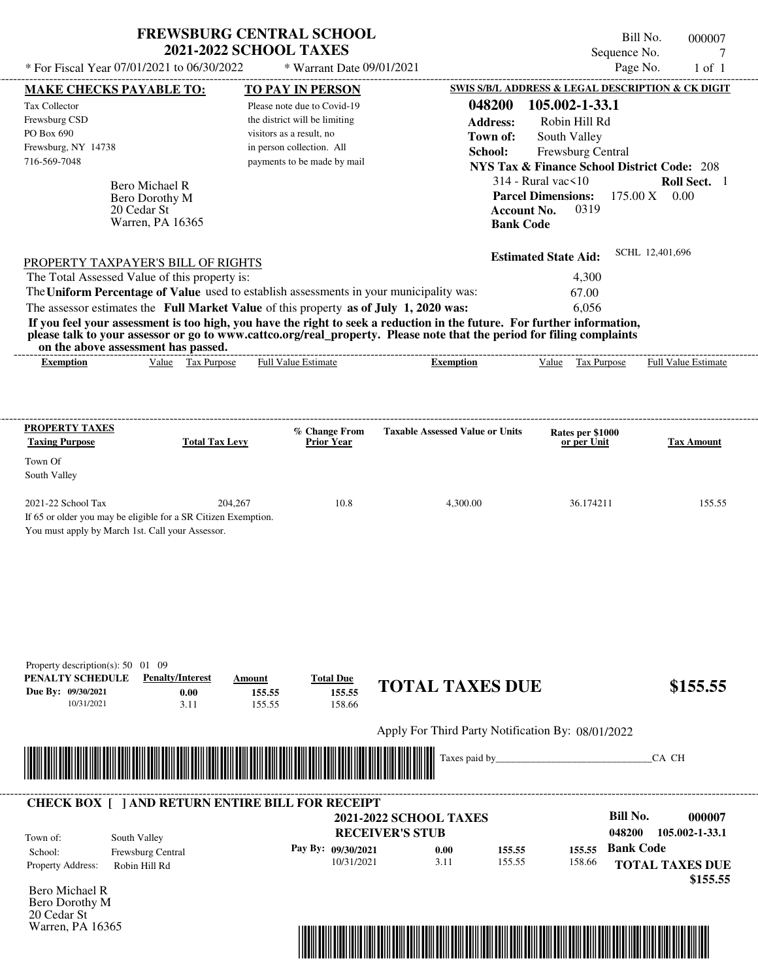| * For Fiscal Year 07/01/2021 to 06/30/2022                                                              |                                                   | <b>FREWSBURG CENTRAL SCHOOL</b><br><b>2021-2022 SCHOOL TAXES</b><br>* Warrant Date 09/01/2021 |                                                                                                                         | Sequence No.<br>Page No.                               | Bill No.<br>000007<br>$1$ of $1$ |
|---------------------------------------------------------------------------------------------------------|---------------------------------------------------|-----------------------------------------------------------------------------------------------|-------------------------------------------------------------------------------------------------------------------------|--------------------------------------------------------|----------------------------------|
| MAKE CHECKS PAYABLE TO:                                                                                 |                                                   | <b>TO PAY IN PERSON</b>                                                                       |                                                                                                                         | SWIS S/B/L ADDRESS & LEGAL DESCRIPTION & CK DIGIT      |                                  |
| Tax Collector                                                                                           |                                                   | Please note due to Covid-19                                                                   | 048200                                                                                                                  | 105.002-1-33.1                                         |                                  |
| Frewsburg CSD                                                                                           |                                                   | the district will be limiting                                                                 |                                                                                                                         |                                                        |                                  |
| PO Box 690                                                                                              |                                                   | visitors as a result, no                                                                      | <b>Address:</b>                                                                                                         | Robin Hill Rd                                          |                                  |
| Frewsburg, NY 14738                                                                                     |                                                   | in person collection. All                                                                     | Town of:                                                                                                                | South Valley                                           |                                  |
| 716-569-7048                                                                                            |                                                   | payments to be made by mail                                                                   | School:                                                                                                                 | Frewsburg Central                                      |                                  |
|                                                                                                         |                                                   |                                                                                               |                                                                                                                         | <b>NYS Tax &amp; Finance School District Code: 208</b> |                                  |
|                                                                                                         | Bero Michael R                                    |                                                                                               |                                                                                                                         | $314$ - Rural vac $\leq 10$                            | Roll Sect. 1                     |
|                                                                                                         | Bero Dorothy M                                    |                                                                                               |                                                                                                                         | <b>Parcel Dimensions:</b>                              | $175.00 \text{ X}$ 0.00          |
| 20 Cedar St                                                                                             | Warren, PA 16365                                  |                                                                                               |                                                                                                                         | 0319<br><b>Account No.</b>                             |                                  |
|                                                                                                         |                                                   |                                                                                               |                                                                                                                         | <b>Bank Code</b>                                       |                                  |
| PROPERTY TAXPAYER'S BILL OF RIGHTS                                                                      |                                                   |                                                                                               |                                                                                                                         | <b>Estimated State Aid:</b>                            | SCHL 12,401,696                  |
| The Total Assessed Value of this property is:                                                           |                                                   |                                                                                               |                                                                                                                         | 4,300                                                  |                                  |
| The Uniform Percentage of Value used to establish assessments in your municipality was:                 |                                                   |                                                                                               |                                                                                                                         | 67.00                                                  |                                  |
| The assessor estimates the Full Market Value of this property as of July 1, 2020 was:                   |                                                   |                                                                                               |                                                                                                                         | 6,056                                                  |                                  |
|                                                                                                         |                                                   |                                                                                               | If you feel your assessment is too high, you have the right to seek a reduction in the future. For further information, |                                                        |                                  |
|                                                                                                         |                                                   |                                                                                               | please talk to your assessor or go to www.cattco.org/real_property. Please note that the period for filing complaints   |                                                        |                                  |
| on the above assessment has passed.<br><b>Exemption</b>                                                 | Value Tax Purpose                                 | Full Value Estimate                                                                           | <b>Exemption</b>                                                                                                        | Value Tax Purpose                                      | Full Value Estimate              |
|                                                                                                         |                                                   |                                                                                               |                                                                                                                         |                                                        |                                  |
| <b>PROPERTY TAXES</b>                                                                                   |                                                   | % Change From                                                                                 | <b>Taxable Assessed Value or Units</b>                                                                                  | Rates per \$1000                                       |                                  |
| <b>Taxing Purpose</b>                                                                                   | <b>Total Tax Levy</b>                             | <b>Prior Year</b>                                                                             |                                                                                                                         | or per Unit                                            | <b>Tax Amount</b>                |
| Town Of                                                                                                 |                                                   |                                                                                               |                                                                                                                         |                                                        |                                  |
| South Valley                                                                                            |                                                   |                                                                                               |                                                                                                                         |                                                        |                                  |
|                                                                                                         |                                                   |                                                                                               |                                                                                                                         |                                                        |                                  |
| 2021-22 School Tax                                                                                      | 204,267                                           | 10.8                                                                                          | 4,300.00                                                                                                                | 36.174211                                              | 155.55                           |
| If 65 or older you may be eligible for a SR Citizen Exemption.                                          |                                                   |                                                                                               |                                                                                                                         |                                                        |                                  |
| You must apply by March 1st. Call your Assessor.                                                        |                                                   |                                                                                               |                                                                                                                         |                                                        |                                  |
| Property description(s): $50 \quad 01 \quad 09$<br>PENALTY SCHEDULE<br>Due By: 09/30/2021<br>10/31/2021 | <b>Penalty/Interest</b><br>Amount<br>0.00<br>3.11 | <b>Total Due</b><br>155.55<br>155.55<br>158.66<br>155.55                                      | <b>TOTAL TAXES DUE</b>                                                                                                  |                                                        | \$155.55                         |
|                                                                                                         |                                                   |                                                                                               | Apply For Third Party Notification By: 08/01/2022                                                                       |                                                        |                                  |
|                                                                                                         |                                                   |                                                                                               | Taxes paid by                                                                                                           |                                                        |                                  |
|                                                                                                         |                                                   |                                                                                               |                                                                                                                         |                                                        | CA CH                            |
|                                                                                                         |                                                   |                                                                                               |                                                                                                                         |                                                        |                                  |
| <b>CHECK BOX [ ] AND RETURN ENTIRE BILL FOR RECEIPT</b>                                                 |                                                   |                                                                                               |                                                                                                                         | <b>Bill No.</b>                                        | 000007                           |
|                                                                                                         |                                                   |                                                                                               | <b>2021-2022 SCHOOL TAXES</b><br><b>RECEIVER'S STUB</b>                                                                 | 048200                                                 | 105.002-1-33.1                   |
| South Valley<br>Town of:                                                                                |                                                   |                                                                                               |                                                                                                                         |                                                        |                                  |
| School:<br>Frewsburg Central                                                                            |                                                   | Pay By: 09/30/2021                                                                            | 0.00<br>155.55                                                                                                          | <b>Bank Code</b><br>155.55                             |                                  |
| Property Address:<br>Robin Hill Rd                                                                      |                                                   | 10/31/2021                                                                                    | 3.11<br>155.55                                                                                                          | 158.66                                                 | <b>TOTAL TAXES DUE</b>           |
| Bero Michael R                                                                                          |                                                   |                                                                                               |                                                                                                                         |                                                        | \$155.55                         |
| Bero Dorothy M<br>20 Cedar St                                                                           |                                                   |                                                                                               |                                                                                                                         |                                                        |                                  |

Warren, PA 16365

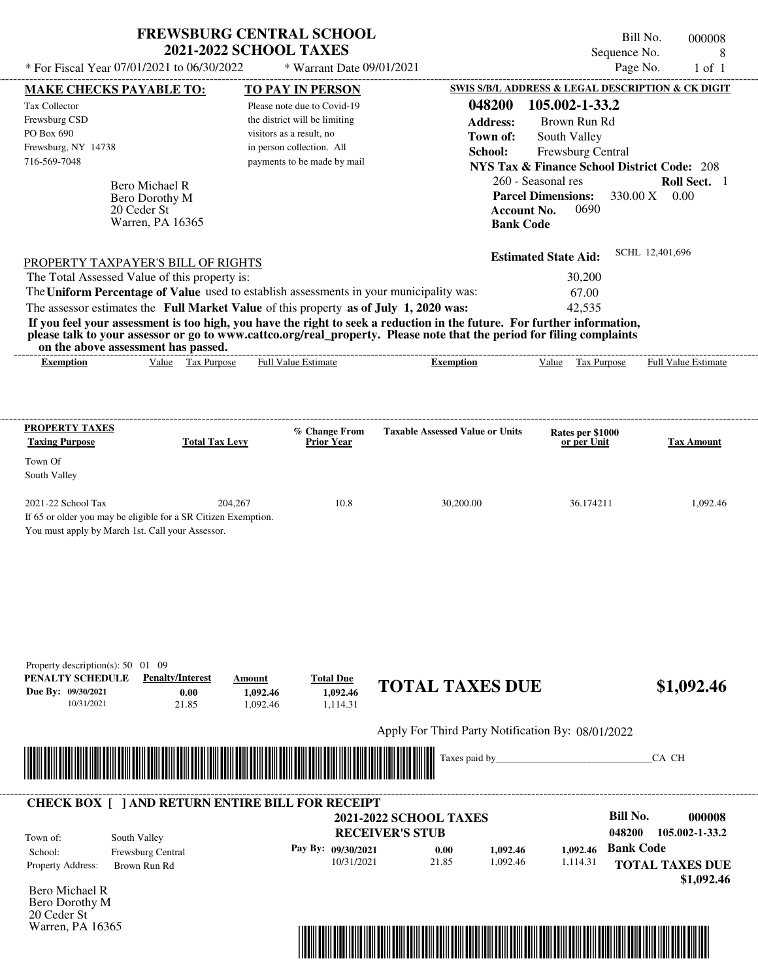| * For Fiscal Year 07/01/2021 to 06/30/2022                          |                                    | <b>FREWSBURG CENTRAL SCHOOL</b><br><b>2021-2022 SCHOOL TAXES</b><br>* Warrant Date 09/01/2021 |                                                                                                                                                                                                                                                  | Sequence No.                                                                                      | Bill No.<br>000008<br>8<br>Page No.<br>$1$ of $1$ |
|---------------------------------------------------------------------|------------------------------------|-----------------------------------------------------------------------------------------------|--------------------------------------------------------------------------------------------------------------------------------------------------------------------------------------------------------------------------------------------------|---------------------------------------------------------------------------------------------------|---------------------------------------------------|
| MAKE CHECKS PAYABLE TO:                                             |                                    | <b>TO PAY IN PERSON</b>                                                                       |                                                                                                                                                                                                                                                  | SWIS S/B/L ADDRESS & LEGAL DESCRIPTION & CK DIGIT                                                 |                                                   |
| Tax Collector<br>Frewsburg CSD                                      |                                    | Please note due to Covid-19<br>the district will be limiting                                  | 048200<br><b>Address:</b>                                                                                                                                                                                                                        | 105.002-1-33.2<br>Brown Run Rd                                                                    |                                                   |
| PO Box 690                                                          |                                    | visitors as a result, no                                                                      | Town of:                                                                                                                                                                                                                                         | South Valley                                                                                      |                                                   |
| Frewsburg, NY 14738                                                 |                                    | in person collection. All                                                                     | School:                                                                                                                                                                                                                                          | Frewsburg Central                                                                                 |                                                   |
| 716-569-7048                                                        |                                    | payments to be made by mail                                                                   |                                                                                                                                                                                                                                                  | <b>NYS Tax &amp; Finance School District Code: 208</b>                                            |                                                   |
| Bero Michael R<br>20 Ceder St                                       | Bero Dorothy M<br>Warren, PA 16365 |                                                                                               |                                                                                                                                                                                                                                                  | 260 - Seasonal res<br><b>Parcel Dimensions:</b><br>0690<br><b>Account No.</b><br><b>Bank Code</b> | Roll Sect. 1<br>330.00 X 0.00                     |
| PROPERTY TAXPAYER'S BILL OF RIGHTS                                  |                                    |                                                                                               |                                                                                                                                                                                                                                                  | <b>Estimated State Aid:</b>                                                                       | SCHL 12,401,696                                   |
| The Total Assessed Value of this property is:                       |                                    |                                                                                               |                                                                                                                                                                                                                                                  | 30,200                                                                                            |                                                   |
|                                                                     |                                    | The Uniform Percentage of Value used to establish assessments in your municipality was:       |                                                                                                                                                                                                                                                  | 67.00                                                                                             |                                                   |
|                                                                     |                                    | The assessor estimates the Full Market Value of this property as of July 1, 2020 was:         |                                                                                                                                                                                                                                                  | 42,535                                                                                            |                                                   |
|                                                                     |                                    |                                                                                               | If you feel your assessment is too high, you have the right to seek a reduction in the future. For further information,<br>please talk to your assessor or go to www.cattco.org/real_property. Please note that the period for filing complaints |                                                                                                   |                                                   |
| on the above assessment has passed.<br><b>Exemption</b>             | Value Tax Purpose                  | Full Value Estimate                                                                           | <b>Exemption</b>                                                                                                                                                                                                                                 | Tax Purpose<br>Value                                                                              | Full Value Estimate                               |
|                                                                     |                                    |                                                                                               |                                                                                                                                                                                                                                                  |                                                                                                   |                                                   |
| PROPERTY TAXES<br><b>Taxing Purpose</b>                             | <b>Total Tax Levy</b>              | % Change From<br><b>Prior Year</b>                                                            | <b>Taxable Assessed Value or Units</b>                                                                                                                                                                                                           | Rates per \$1000<br>or per Unit                                                                   | <b>Tax Amount</b>                                 |
| Town Of                                                             |                                    |                                                                                               |                                                                                                                                                                                                                                                  |                                                                                                   |                                                   |
| South Valley                                                        |                                    |                                                                                               |                                                                                                                                                                                                                                                  |                                                                                                   |                                                   |
| 2021-22 School Tax                                                  | 204,267                            | 10.8                                                                                          | 30,200.00                                                                                                                                                                                                                                        | 36.174211                                                                                         | 1,092.46                                          |
| If 65 or older you may be eligible for a SR Citizen Exemption.      |                                    |                                                                                               |                                                                                                                                                                                                                                                  |                                                                                                   |                                                   |
| Property description(s): $50 \quad 01 \quad 09$<br>PENALTY SCHEDULE | <b>Penalty/Interest</b>            | <b>Total Due</b><br>Amount                                                                    | <b>TOTAL TAXES DUE</b>                                                                                                                                                                                                                           |                                                                                                   | \$1,092.46                                        |
| Due By: 09/30/2021<br>10/31/2021                                    | 0.00<br>21.85                      | 1,092.46<br>1,092.46<br>1,092.46<br>1,114.31                                                  |                                                                                                                                                                                                                                                  |                                                                                                   |                                                   |
|                                                                     |                                    |                                                                                               | Apply For Third Party Notification By: 08/01/2022                                                                                                                                                                                                |                                                                                                   |                                                   |
|                                                                     |                                    |                                                                                               |                                                                                                                                                                                                                                                  |                                                                                                   |                                                   |
|                                                                     |                                    |                                                                                               | Taxes paid by                                                                                                                                                                                                                                    |                                                                                                   | CA CH                                             |
|                                                                     |                                    | <b>CHECK BOX [ ] AND RETURN ENTIRE BILL FOR RECEIPT</b>                                       |                                                                                                                                                                                                                                                  |                                                                                                   |                                                   |
|                                                                     |                                    |                                                                                               | <b>2021-2022 SCHOOL TAXES</b>                                                                                                                                                                                                                    | <b>Bill No.</b><br>048200                                                                         | 000008<br>105.002-1-33.2                          |
| South Valley<br>Town of:                                            |                                    |                                                                                               | <b>RECEIVER'S STUB</b>                                                                                                                                                                                                                           | <b>Bank Code</b>                                                                                  |                                                   |
| School:<br>Frewsburg Central<br>Property Address:<br>Brown Run Rd   |                                    | Pay By: 09/30/2021<br>10/31/2021                                                              | 1,092.46<br>0.00<br>21.85<br>1,092.46                                                                                                                                                                                                            | 1,092.46<br>1,114.31                                                                              | <b>TOTAL TAXES DUE</b>                            |
|                                                                     |                                    |                                                                                               |                                                                                                                                                                                                                                                  |                                                                                                   | \$1,092.46                                        |
| Bero Michael R<br>Bero Dorothy M<br>20 Ceder St                     |                                    |                                                                                               |                                                                                                                                                                                                                                                  |                                                                                                   |                                                   |

Warren, PA 16365

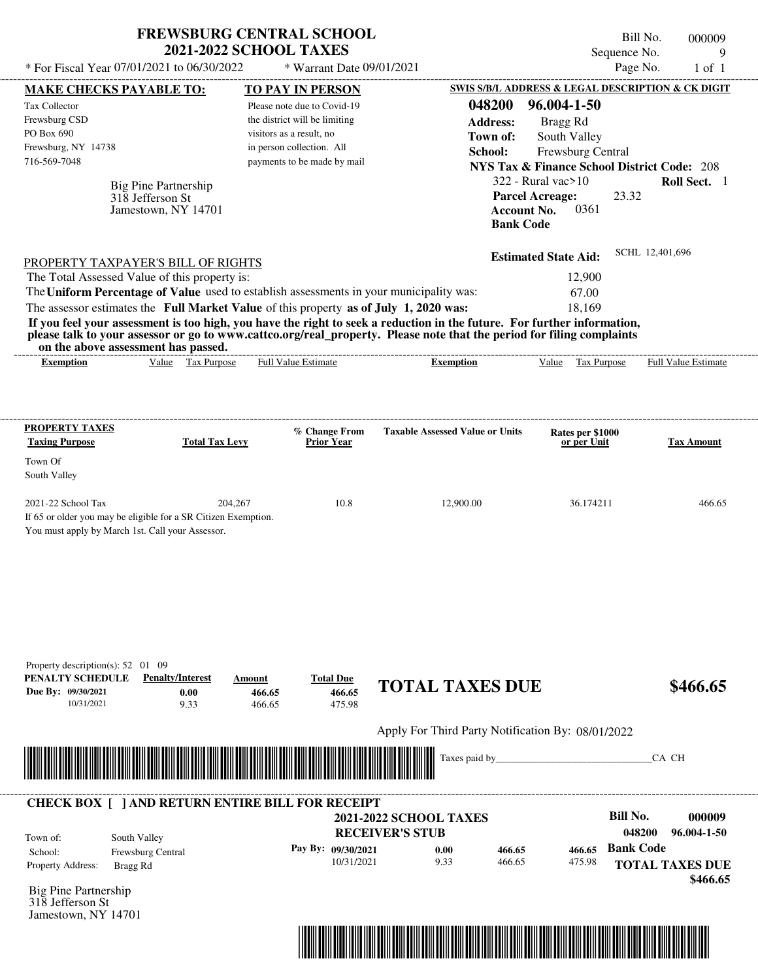| * For Fiscal Year 07/01/2021 to 06/30/2022                                                                                                                                                                                                                                                                                                                                                                                                                                                                                                                         | <b>FREWSBURG CENTRAL SCHOOL</b><br><b>2021-2022 SCHOOL TAXES</b> |                                                                                        | * Warrant Date 09/01/2021                              |                               |                                                   |                                                                                                                                    | Bill No.<br>Sequence No.<br>Page No. | 000009<br>9<br>$1$ of $1$                         |
|--------------------------------------------------------------------------------------------------------------------------------------------------------------------------------------------------------------------------------------------------------------------------------------------------------------------------------------------------------------------------------------------------------------------------------------------------------------------------------------------------------------------------------------------------------------------|------------------------------------------------------------------|----------------------------------------------------------------------------------------|--------------------------------------------------------|-------------------------------|---------------------------------------------------|------------------------------------------------------------------------------------------------------------------------------------|--------------------------------------|---------------------------------------------------|
| MAKE CHECKS PAYABLE TO:<br>Tax Collector                                                                                                                                                                                                                                                                                                                                                                                                                                                                                                                           |                                                                  |                                                                                        | <b>TO PAY IN PERSON</b><br>Please note due to Covid-19 |                               | 048200                                            | SWIS S/B/L ADDRESS & LEGAL DESCRIPTION & CK DIGIT<br>96.004-1-50                                                                   |                                      |                                                   |
| Frewsburg CSD<br>PO Box 690<br>Frewsburg, NY 14738<br>716-569-7048                                                                                                                                                                                                                                                                                                                                                                                                                                                                                                 | Big Pine Partnership                                             | the district will be limiting<br>visitors as a result, no<br>in person collection. All | payments to be made by mail                            |                               | <b>Address:</b><br>Town of:<br>School:            | Bragg Rd<br>South Valley<br>Frewsburg Central<br><b>NYS Tax &amp; Finance School District Code: 208</b><br>$322$ - Rural vac $>10$ |                                      | Roll Sect. 1                                      |
|                                                                                                                                                                                                                                                                                                                                                                                                                                                                                                                                                                    | 318 Jefferson St<br>Jamestown, NY 14701                          |                                                                                        |                                                        |                               |                                                   | <b>Parcel Acreage:</b><br>0361<br><b>Account No.</b><br><b>Bank Code</b>                                                           | 23.32                                |                                                   |
| PROPERTY TAXPAYER'S BILL OF RIGHTS<br>The Total Assessed Value of this property is:<br>The Uniform Percentage of Value used to establish assessments in your municipality was:<br>The assessor estimates the Full Market Value of this property as of July 1, 2020 was:<br>If you feel your assessment is too high, you have the right to seek a reduction in the future. For further information,<br>please talk to your assessor or go to www.cattco.org/real_property. Please note that the period for filing complaints<br>on the above assessment has passed. |                                                                  |                                                                                        |                                                        |                               |                                                   | <b>Estimated State Aid:</b><br>12,900<br>67.00<br>18,169                                                                           | SCHL 12,401,696                      |                                                   |
| <b>Exemption</b>                                                                                                                                                                                                                                                                                                                                                                                                                                                                                                                                                   | Value Tax Purpose                                                | <b>Full Value Estimate</b>                                                             |                                                        |                               | <b>Exemption</b>                                  | Value Tax Purpose                                                                                                                  |                                      | Full Value Estimate                               |
| <b>PROPERTY TAXES</b>                                                                                                                                                                                                                                                                                                                                                                                                                                                                                                                                              |                                                                  |                                                                                        | % Change From                                          |                               | <b>Taxable Assessed Value or Units</b>            |                                                                                                                                    |                                      |                                                   |
| <b>Taxing Purpose</b><br>Town Of<br>South Valley                                                                                                                                                                                                                                                                                                                                                                                                                                                                                                                   | <b>Total Tax Levy</b>                                            |                                                                                        | <b>Prior Year</b>                                      |                               |                                                   | Rates per \$1000<br>or per Unit                                                                                                    |                                      | <b>Tax Amount</b>                                 |
| 2021-22 School Tax<br>If 65 or older you may be eligible for a SR Citizen Exemption.<br>You must apply by March 1st. Call your Assessor.                                                                                                                                                                                                                                                                                                                                                                                                                           | 204,267                                                          |                                                                                        | 10.8                                                   |                               | 12,900.00                                         | 36.174211                                                                                                                          |                                      | 466.65                                            |
| Property description(s): $52 \quad 01 \quad 09$<br>PENALTY SCHEDULE<br>Due By: 09/30/2021<br>10/31/2021                                                                                                                                                                                                                                                                                                                                                                                                                                                            | <b>Penalty/Interest</b><br>0.00<br>9.33                          | Amount<br>466.65<br>466.65                                                             | <b>Total Due</b><br>466.65<br>475.98                   |                               | <b>TOTAL TAXES DUE</b>                            |                                                                                                                                    |                                      | \$466.65                                          |
|                                                                                                                                                                                                                                                                                                                                                                                                                                                                                                                                                                    |                                                                  |                                                                                        |                                                        |                               | Apply For Third Party Notification By: 08/01/2022 |                                                                                                                                    |                                      |                                                   |
|                                                                                                                                                                                                                                                                                                                                                                                                                                                                                                                                                                    |                                                                  |                                                                                        |                                                        |                               | Taxes paid by                                     |                                                                                                                                    |                                      | CA CH                                             |
| <b>CHECK BOX [ ] AND RETURN ENTIRE BILL FOR RECEIPT</b>                                                                                                                                                                                                                                                                                                                                                                                                                                                                                                            |                                                                  |                                                                                        |                                                        | <b>2021-2022 SCHOOL TAXES</b> |                                                   |                                                                                                                                    | <b>Bill No.</b>                      | 000009                                            |
| Town of:<br>School:<br>Property Address:<br>Bragg Rd<br><b>Big Pine Partnership</b><br>318 Jefferson St<br>Jamestown, NY 14701                                                                                                                                                                                                                                                                                                                                                                                                                                     | South Valley<br>Frewsburg Central                                |                                                                                        | Pay By: 09/30/2021<br>10/31/2021                       | <b>RECEIVER'S STUB</b>        | 0.00<br>466.65<br>9.33<br>466.65                  | 466.65<br>475.98                                                                                                                   | 048200<br><b>Bank Code</b>           | 96.004-1-50<br><b>TOTAL TAXES DUE</b><br>\$466.65 |

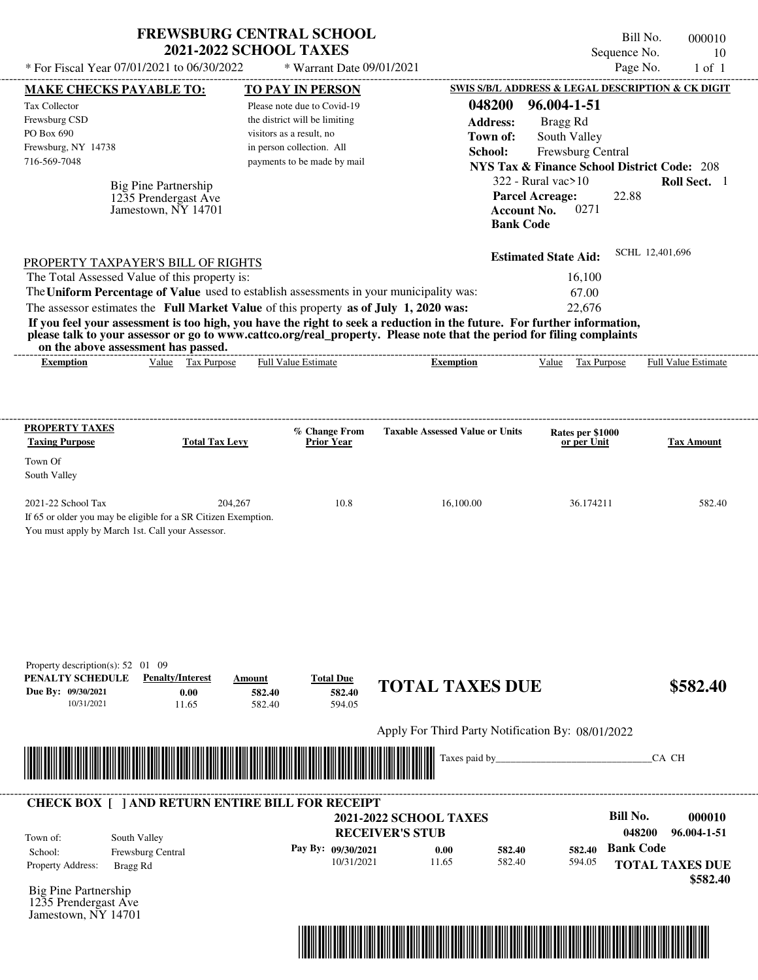| * For Fiscal Year 07/01/2021 to 06/30/2022                                                                                                                                                                                                                                                                     | <b>FREWSBURG CENTRAL SCHOOL</b>                                     | <b>2021-2022 SCHOOL TAXES</b>                                                                                         | * Warrant Date 09/01/2021                                  |                                                                                                                                                                                                                                                  |                                                                                                                                    | Bill No.<br>Sequence No.<br>Page No. | 000010<br>10<br>$1$ of $1$                        |
|----------------------------------------------------------------------------------------------------------------------------------------------------------------------------------------------------------------------------------------------------------------------------------------------------------------|---------------------------------------------------------------------|-----------------------------------------------------------------------------------------------------------------------|------------------------------------------------------------|--------------------------------------------------------------------------------------------------------------------------------------------------------------------------------------------------------------------------------------------------|------------------------------------------------------------------------------------------------------------------------------------|--------------------------------------|---------------------------------------------------|
| MAKE CHECKS PAYABLE TO:<br>Tax Collector                                                                                                                                                                                                                                                                       |                                                                     | <b>TO PAY IN PERSON</b><br>Please note due to Covid-19                                                                |                                                            | 048200                                                                                                                                                                                                                                           | SWIS S/B/L ADDRESS & LEGAL DESCRIPTION & CK DIGIT<br>96.004-1-51                                                                   |                                      |                                                   |
| Frewsburg CSD<br>PO Box 690<br>Frewsburg, NY 14738<br>716-569-7048                                                                                                                                                                                                                                             |                                                                     | the district will be limiting<br>visitors as a result, no<br>in person collection. All<br>payments to be made by mail |                                                            | <b>Address:</b><br>Town of:<br>School:                                                                                                                                                                                                           | Bragg Rd<br>South Valley<br>Frewsburg Central<br><b>NYS Tax &amp; Finance School District Code: 208</b><br>$322$ - Rural vac $>10$ |                                      | Roll Sect. 1                                      |
|                                                                                                                                                                                                                                                                                                                | Big Pine Partnership<br>1235 Prendergast Ave<br>Jamestown, NY 14701 |                                                                                                                       |                                                            |                                                                                                                                                                                                                                                  | <b>Parcel Acreage:</b><br>0271<br><b>Account No.</b><br><b>Bank Code</b>                                                           | 22.88                                |                                                   |
| PROPERTY TAXPAYER'S BILL OF RIGHTS<br>The Total Assessed Value of this property is:<br>The Uniform Percentage of Value used to establish assessments in your municipality was:<br>The assessor estimates the Full Market Value of this property as of July 1, 2020 was:<br>on the above assessment has passed. |                                                                     |                                                                                                                       |                                                            | If you feel your assessment is too high, you have the right to seek a reduction in the future. For further information,<br>please talk to your assessor or go to www.cattco.org/real_property. Please note that the period for filing complaints | <b>Estimated State Aid:</b><br>16,100<br>67.00<br>22,676                                                                           | SCHL 12,401,696                      |                                                   |
| <b>Exemption</b>                                                                                                                                                                                                                                                                                               | Value Tax Purpose                                                   | Full Value Estimate                                                                                                   |                                                            | <b>Exemption</b>                                                                                                                                                                                                                                 | Value Tax Purpose                                                                                                                  |                                      | Full Value Estimate                               |
| <b>PROPERTY TAXES</b><br><b>Taxing Purpose</b><br>Town Of<br>South Valley                                                                                                                                                                                                                                      | <b>Total Tax Levy</b>                                               |                                                                                                                       | % Change From<br><b>Prior Year</b>                         | <b>Taxable Assessed Value or Units</b>                                                                                                                                                                                                           | Rates per \$1000<br>or per Unit                                                                                                    |                                      | <b>Tax Amount</b>                                 |
| 2021-22 School Tax<br>If 65 or older you may be eligible for a SR Citizen Exemption.<br>You must apply by March 1st. Call your Assessor.                                                                                                                                                                       | 204,267                                                             |                                                                                                                       | 10.8                                                       | 16,100.00                                                                                                                                                                                                                                        | 36.174211                                                                                                                          |                                      | 582.40                                            |
| Property description(s): $52 \quad 01 \quad 09$<br>PENALTY SCHEDULE<br>Due By: 09/30/2021<br>10/31/2021                                                                                                                                                                                                        | <b>Penalty/Interest</b><br>0.00<br>11.65                            | Amount<br>582.40<br>582.40                                                                                            | <b>Total Due</b><br>582.40<br>594.05                       | <b>TOTAL TAXES DUE</b>                                                                                                                                                                                                                           |                                                                                                                                    |                                      | \$582.40                                          |
|                                                                                                                                                                                                                                                                                                                |                                                                     |                                                                                                                       |                                                            | Apply For Third Party Notification By: 08/01/2022                                                                                                                                                                                                |                                                                                                                                    |                                      |                                                   |
|                                                                                                                                                                                                                                                                                                                |                                                                     |                                                                                                                       |                                                            | Taxes paid by                                                                                                                                                                                                                                    |                                                                                                                                    |                                      | CA CH                                             |
| <b>CHECK BOX [ ] AND RETURN ENTIRE BILL FOR RECEIPT</b>                                                                                                                                                                                                                                                        |                                                                     |                                                                                                                       |                                                            | <b>2021-2022 SCHOOL TAXES</b>                                                                                                                                                                                                                    |                                                                                                                                    | <b>Bill No.</b>                      | 000010                                            |
| South Valley<br>Town of:<br>School:<br>Property Address:<br>Bragg Rd<br><b>Big Pine Partnership</b><br>1235 Prendergast Ave                                                                                                                                                                                    | Frewsburg Central                                                   |                                                                                                                       | <b>RECEIVER'S STUB</b><br>Pay By: 09/30/2021<br>10/31/2021 | 0.00<br>582.40<br>582.40<br>11.65                                                                                                                                                                                                                | 582.40<br>594.05                                                                                                                   | 048200<br><b>Bank Code</b>           | 96.004-1-51<br><b>TOTAL TAXES DUE</b><br>\$582.40 |

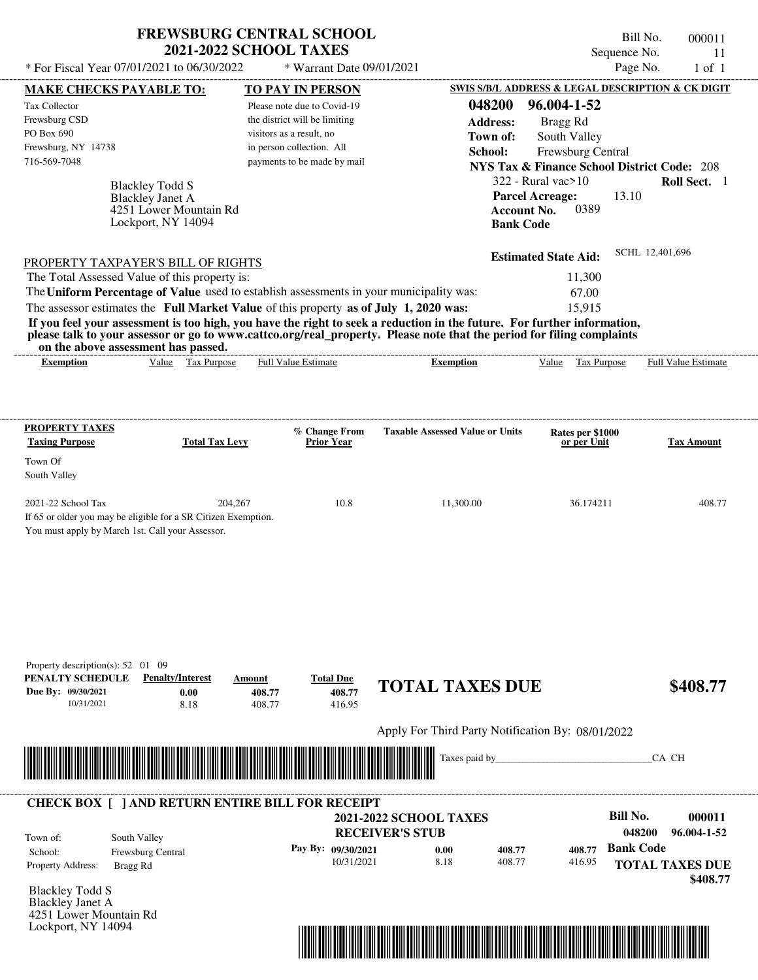| <b>FREWSBURG CENTRAL SCHOOL</b> |
|---------------------------------|
| <b>2021-2022 SCHOOL TAXES</b>   |

 $*$  For Fiscal Year 07/01/2021 to 06/30/2022

\* Warrant Date 09/01/2021

Bill No. 000011 Sequence No. 11<br>Page No. 1 of 1

| <b>MAKE CHECKS PAYABLE TO:</b>                                                                                        |                                                          |                          | <b>TO PAY IN PERSON</b>       |                                                                                                                         | <b>SWIS S/B/L ADDRESS &amp; LEGAL DESCRIPTION &amp; CK DIGIT</b> |                            |
|-----------------------------------------------------------------------------------------------------------------------|----------------------------------------------------------|--------------------------|-------------------------------|-------------------------------------------------------------------------------------------------------------------------|------------------------------------------------------------------|----------------------------|
| Tax Collector                                                                                                         |                                                          |                          | Please note due to Covid-19   | 048200                                                                                                                  | 96.004-1-52                                                      |                            |
| Frewsburg CSD                                                                                                         |                                                          |                          | the district will be limiting | <b>Address:</b>                                                                                                         | Bragg Rd                                                         |                            |
| PO Box 690                                                                                                            |                                                          | visitors as a result, no |                               | Town of:                                                                                                                | South Valley                                                     |                            |
| Frewsburg, NY 14738                                                                                                   |                                                          |                          | in person collection. All     | School:                                                                                                                 | Frewsburg Central                                                |                            |
| 716-569-7048                                                                                                          |                                                          |                          | payments to be made by mail   |                                                                                                                         | <b>NYS Tax &amp; Finance School District Code: 208</b>           |                            |
|                                                                                                                       |                                                          |                          |                               |                                                                                                                         | $322$ - Rural vac $>10$                                          | Roll Sect. 1               |
|                                                                                                                       | <b>Blackley Todd S</b><br><b>Blackley Janet A</b>        |                          |                               |                                                                                                                         | 13.10<br><b>Parcel Acreage:</b>                                  |                            |
|                                                                                                                       | 4251 Lower Mountain Rd                                   |                          |                               | <b>Account No.</b>                                                                                                      | 0389                                                             |                            |
|                                                                                                                       | Lockport, NY 14094                                       |                          |                               | <b>Bank Code</b>                                                                                                        |                                                                  |                            |
|                                                                                                                       |                                                          |                          |                               |                                                                                                                         |                                                                  |                            |
| <b>PROPERTY TAXPAYER'S BILL OF RIGHTS</b>                                                                             |                                                          |                          |                               |                                                                                                                         | <b>Estimated State Aid:</b>                                      | SCHL 12,401,696            |
| The Total Assessed Value of this property is:                                                                         |                                                          |                          |                               |                                                                                                                         | 11,300                                                           |                            |
|                                                                                                                       |                                                          |                          |                               | The Uniform Percentage of Value used to establish assessments in your municipality was:                                 | 67.00                                                            |                            |
| The assessor estimates the Full Market Value of this property as of July 1, 2020 was:                                 |                                                          |                          |                               |                                                                                                                         | 15,915                                                           |                            |
|                                                                                                                       |                                                          |                          |                               | If you feel your assessment is too high, you have the right to seek a reduction in the future. For further information, |                                                                  |                            |
|                                                                                                                       |                                                          |                          |                               | please talk to your assessor or go to www.cattco.org/real_property. Please note that the period for filing complaints   |                                                                  |                            |
|                                                                                                                       | on the above assessment has passed.<br>Value Tax Purpose |                          | <b>Full Value Estimate</b>    | <b>Exemption</b>                                                                                                        | Value Tax Purpose                                                | <b>Full Value Estimate</b> |
| <b>Exemption</b>                                                                                                      |                                                          |                          |                               |                                                                                                                         |                                                                  |                            |
|                                                                                                                       |                                                          |                          |                               |                                                                                                                         |                                                                  |                            |
|                                                                                                                       |                                                          |                          |                               |                                                                                                                         |                                                                  |                            |
| <b>PROPERTY TAXES</b>                                                                                                 |                                                          |                          | % Change From                 | <b>Taxable Assessed Value or Units</b>                                                                                  | Rates per \$1000                                                 |                            |
| <b>Taxing Purpose</b>                                                                                                 | <b>Total Tax Levy</b>                                    |                          | <b>Prior Year</b>             |                                                                                                                         | or per Unit                                                      | <b>Tax Amount</b>          |
| Town Of                                                                                                               |                                                          |                          |                               |                                                                                                                         |                                                                  |                            |
| South Valley                                                                                                          |                                                          |                          |                               |                                                                                                                         |                                                                  |                            |
|                                                                                                                       |                                                          |                          |                               |                                                                                                                         |                                                                  |                            |
| 2021-22 School Tax                                                                                                    |                                                          | 204,267                  | 10.8                          | 11,300.00                                                                                                               | 36.174211                                                        | 408.77                     |
| If 65 or older you may be eligible for a SR Citizen Exemption.                                                        |                                                          |                          |                               |                                                                                                                         |                                                                  |                            |
| You must apply by March 1st. Call your Assessor.                                                                      |                                                          |                          |                               |                                                                                                                         |                                                                  |                            |
|                                                                                                                       |                                                          |                          |                               |                                                                                                                         |                                                                  |                            |
|                                                                                                                       |                                                          |                          |                               |                                                                                                                         |                                                                  |                            |
|                                                                                                                       |                                                          |                          |                               |                                                                                                                         |                                                                  |                            |
|                                                                                                                       |                                                          |                          |                               |                                                                                                                         |                                                                  |                            |
|                                                                                                                       |                                                          |                          |                               |                                                                                                                         |                                                                  |                            |
|                                                                                                                       |                                                          |                          |                               |                                                                                                                         |                                                                  |                            |
|                                                                                                                       |                                                          |                          |                               |                                                                                                                         |                                                                  |                            |
| Property description(s): $52 \quad 01 \quad 09$                                                                       |                                                          |                          |                               |                                                                                                                         |                                                                  |                            |
| PENALTY SCHEDULE<br>Due By: 09/30/2021                                                                                | <b>Penalty/Interest</b>                                  | Amount                   | <b>Total Due</b><br>408.77    | <b>TOTAL TAXES DUE</b>                                                                                                  |                                                                  | \$408.77                   |
| 10/31/2021                                                                                                            | 0.00<br>8.18                                             | 408.77<br>408.77         | 416.95                        |                                                                                                                         |                                                                  |                            |
|                                                                                                                       |                                                          |                          |                               |                                                                                                                         |                                                                  |                            |
|                                                                                                                       |                                                          |                          |                               | Apply For Third Party Notification By: 08/01/2022                                                                       |                                                                  |                            |
|                                                                                                                       |                                                          |                          |                               | Taxes paid by_                                                                                                          |                                                                  | CA CH                      |
| <u> Handels Handels van de Broeke van de Broeke van de Broeke van de Broeke van de Broeke van de Broeke van de Br</u> |                                                          |                          |                               |                                                                                                                         |                                                                  |                            |
|                                                                                                                       |                                                          |                          |                               |                                                                                                                         |                                                                  |                            |
| <b>CHECK BOX [ ] AND RETURN ENTIRE BILL FOR RECEIPT</b>                                                               |                                                          |                          |                               |                                                                                                                         |                                                                  |                            |
|                                                                                                                       |                                                          |                          |                               | <b>2021-2022 SCHOOL TAXES</b>                                                                                           | <b>Bill No.</b>                                                  | 000011                     |
|                                                                                                                       |                                                          |                          |                               | <b>RECEIVER'S STUB</b>                                                                                                  |                                                                  | 048200<br>96.004-1-52      |
| Town of:<br>School:                                                                                                   | South Valley                                             |                          | Pay By: 09/30/2021            | 0.00<br>408.77                                                                                                          | <b>Bank Code</b><br>408.77                                       |                            |
| Property Address:                                                                                                     | Frewsburg Central                                        |                          | 10/31/2021                    | 8.18<br>408.77                                                                                                          | 416.95                                                           | <b>TOTAL TAXES DUE</b>     |
|                                                                                                                       | Bragg Rd                                                 |                          |                               |                                                                                                                         |                                                                  | \$408.77                   |
| <b>Blackley Todd S</b>                                                                                                |                                                          |                          |                               |                                                                                                                         |                                                                  |                            |
| Blackley Janet A                                                                                                      |                                                          |                          |                               |                                                                                                                         |                                                                  |                            |
| 4251 Lower Mountain Rd                                                                                                |                                                          |                          |                               |                                                                                                                         |                                                                  |                            |
| Lockport, NY 14094                                                                                                    |                                                          |                          |                               |                                                                                                                         |                                                                  |                            |

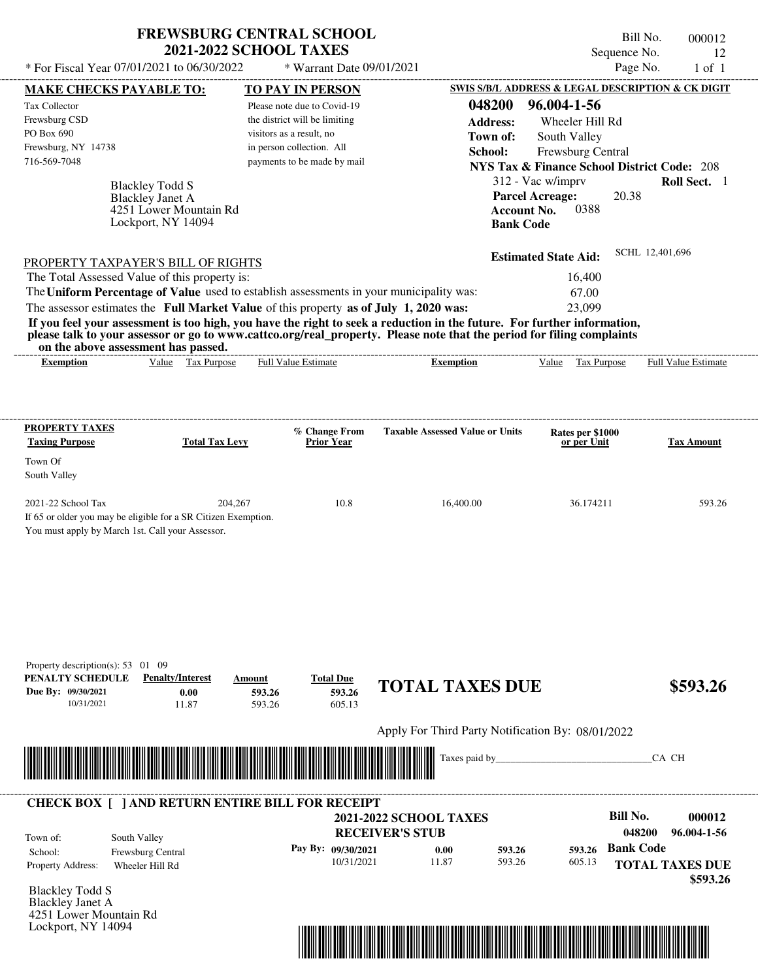| <b>FREWSBURG CENTRAL SCHOOL</b> |
|---------------------------------|
| <b>2021-2022 SCHOOL TAXES</b>   |

 $*$  For Fiscal Year 07/01/2021 to 06/30/2022  $*$  Warrant Date 09/01/2021 Page No. 1 of 1

Bill No. 000012 Sequence No. 12<br>Page No. 1 of 1

| <b>MAKE CHECKS PAYABLE TO:</b>                        |                                                                                                                      | <b>TO PAY IN PERSON</b>                                                                 |                                                                                                                                                                                                                                      | SWIS S/B/L ADDRESS & LEGAL DESCRIPTION & CK DIGIT      |                                    |
|-------------------------------------------------------|----------------------------------------------------------------------------------------------------------------------|-----------------------------------------------------------------------------------------|--------------------------------------------------------------------------------------------------------------------------------------------------------------------------------------------------------------------------------------|--------------------------------------------------------|------------------------------------|
| Tax Collector                                         |                                                                                                                      | Please note due to Covid-19                                                             | 048200                                                                                                                                                                                                                               | 96.004-1-56                                            |                                    |
| Frewsburg CSD                                         |                                                                                                                      | the district will be limiting                                                           | <b>Address:</b>                                                                                                                                                                                                                      | Wheeler Hill Rd                                        |                                    |
| PO Box 690                                            |                                                                                                                      | visitors as a result, no                                                                | Town of:                                                                                                                                                                                                                             | South Valley                                           |                                    |
| Frewsburg, NY 14738<br>716-569-7048                   |                                                                                                                      | in person collection. All<br>payments to be made by mail                                | School:                                                                                                                                                                                                                              | Frewsburg Central                                      |                                    |
|                                                       |                                                                                                                      |                                                                                         |                                                                                                                                                                                                                                      | <b>NYS Tax &amp; Finance School District Code: 208</b> |                                    |
|                                                       | <b>Blackley Todd S</b>                                                                                               |                                                                                         |                                                                                                                                                                                                                                      | 312 - Vac w/imprv                                      | Roll Sect. 1                       |
|                                                       | <b>Blackley Janet A</b><br>4251 Lower Mountain Rd                                                                    |                                                                                         | <b>Account No.</b>                                                                                                                                                                                                                   | <b>Parcel Acreage:</b><br>20.38<br>0388                |                                    |
|                                                       | Lockport, NY 14094                                                                                                   |                                                                                         | <b>Bank Code</b>                                                                                                                                                                                                                     |                                                        |                                    |
|                                                       |                                                                                                                      |                                                                                         |                                                                                                                                                                                                                                      |                                                        |                                    |
|                                                       | <b>PROPERTY TAXPAYER'S BILL OF RIGHTS</b>                                                                            |                                                                                         |                                                                                                                                                                                                                                      | <b>Estimated State Aid:</b>                            | SCHL 12,401,696                    |
|                                                       | The Total Assessed Value of this property is:                                                                        |                                                                                         |                                                                                                                                                                                                                                      | 16,400                                                 |                                    |
|                                                       |                                                                                                                      | The Uniform Percentage of Value used to establish assessments in your municipality was: |                                                                                                                                                                                                                                      | 67.00                                                  |                                    |
|                                                       |                                                                                                                      | The assessor estimates the Full Market Value of this property as of July 1, 2020 was:   |                                                                                                                                                                                                                                      | 23,099                                                 |                                    |
|                                                       |                                                                                                                      |                                                                                         | If you feel your assessment is too high, you have the right to seek a reduction in the future. For further information,                                                                                                              |                                                        |                                    |
|                                                       | on the above assessment has passed.                                                                                  |                                                                                         | please talk to your assessor or go to www.cattco.org/real_property. Please note that the period for filing complaints                                                                                                                |                                                        |                                    |
| <b>Exemption</b>                                      | Value Tax Purpose                                                                                                    | <b>Full Value Estimate</b>                                                              | <b>Exemption</b>                                                                                                                                                                                                                     | Value Tax Purpose Full Value Estimate                  |                                    |
|                                                       |                                                                                                                      |                                                                                         |                                                                                                                                                                                                                                      |                                                        |                                    |
|                                                       |                                                                                                                      |                                                                                         |                                                                                                                                                                                                                                      |                                                        |                                    |
|                                                       |                                                                                                                      |                                                                                         |                                                                                                                                                                                                                                      |                                                        |                                    |
| <b>PROPERTY TAXES</b>                                 |                                                                                                                      | % Change From                                                                           | <b>Taxable Assessed Value or Units</b>                                                                                                                                                                                               | Rates per \$1000                                       |                                    |
| <b>Taxing Purpose</b>                                 | <b>Total Tax Levy</b>                                                                                                | <b>Prior Year</b>                                                                       |                                                                                                                                                                                                                                      | or per Unit                                            | <b>Tax Amount</b>                  |
| Town Of                                               |                                                                                                                      |                                                                                         |                                                                                                                                                                                                                                      |                                                        |                                    |
| South Valley                                          |                                                                                                                      |                                                                                         |                                                                                                                                                                                                                                      |                                                        |                                    |
| 2021-22 School Tax                                    | 204,267                                                                                                              | 10.8                                                                                    | 16,400.00                                                                                                                                                                                                                            | 36.174211                                              | 593.26                             |
|                                                       | If 65 or older you may be eligible for a SR Citizen Exemption.                                                       |                                                                                         |                                                                                                                                                                                                                                      |                                                        |                                    |
|                                                       | You must apply by March 1st. Call your Assessor.                                                                     |                                                                                         |                                                                                                                                                                                                                                      |                                                        |                                    |
|                                                       |                                                                                                                      |                                                                                         |                                                                                                                                                                                                                                      |                                                        |                                    |
|                                                       |                                                                                                                      |                                                                                         |                                                                                                                                                                                                                                      |                                                        |                                    |
|                                                       |                                                                                                                      |                                                                                         |                                                                                                                                                                                                                                      |                                                        |                                    |
|                                                       |                                                                                                                      |                                                                                         |                                                                                                                                                                                                                                      |                                                        |                                    |
|                                                       |                                                                                                                      |                                                                                         |                                                                                                                                                                                                                                      |                                                        |                                    |
|                                                       |                                                                                                                      |                                                                                         |                                                                                                                                                                                                                                      |                                                        |                                    |
|                                                       |                                                                                                                      |                                                                                         |                                                                                                                                                                                                                                      |                                                        |                                    |
| Property description(s): 53 01 09<br>PENALTY SCHEDULE | <b>Penalty/Interest</b>                                                                                              | <b>Total Due</b>                                                                        |                                                                                                                                                                                                                                      |                                                        |                                    |
| Due By: 09/30/2021                                    | 0.00                                                                                                                 | Amount<br>593.26<br>593.26                                                              | <b>TOTAL TAXES DUE</b>                                                                                                                                                                                                               |                                                        | \$593.26                           |
| 10/31/2021                                            | 11.87                                                                                                                | 593.26<br>605.13                                                                        |                                                                                                                                                                                                                                      |                                                        |                                    |
|                                                       |                                                                                                                      |                                                                                         |                                                                                                                                                                                                                                      |                                                        |                                    |
|                                                       |                                                                                                                      |                                                                                         | Apply For Third Party Notification By: 08/01/2022                                                                                                                                                                                    |                                                        |                                    |
|                                                       | <u> 1989 - Johann Stein, mars ar breithinn ar breithinn ar breithinn ar breithinn ar breithinn ar breithinn ar b</u> |                                                                                         | Taxes paid by_                                                                                                                                                                                                                       |                                                        | CA CH                              |
|                                                       |                                                                                                                      |                                                                                         |                                                                                                                                                                                                                                      |                                                        |                                    |
|                                                       |                                                                                                                      |                                                                                         |                                                                                                                                                                                                                                      |                                                        |                                    |
|                                                       |                                                                                                                      | <b>CHECK BOX [ ] AND RETURN ENTIRE BILL FOR RECEIPT</b>                                 |                                                                                                                                                                                                                                      | <b>Bill No.</b>                                        | 000012                             |
|                                                       |                                                                                                                      |                                                                                         | <b>2021-2022 SCHOOL TAXES</b>                                                                                                                                                                                                        | 048200                                                 | 96.004-1-56                        |
| Town of:                                              | South Valley                                                                                                         |                                                                                         | <b>RECEIVER'S STUB</b>                                                                                                                                                                                                               | <b>Bank Code</b>                                       |                                    |
| School:                                               | Frewsburg Central                                                                                                    | Pay By: 09/30/2021<br>10/31/2021                                                        | 593.26<br>0.00<br>11.87<br>593.26                                                                                                                                                                                                    | 593.26<br>605.13                                       |                                    |
| Property Address:                                     | Wheeler Hill Rd                                                                                                      |                                                                                         |                                                                                                                                                                                                                                      |                                                        | <b>TOTAL TAXES DUE</b><br>\$593.26 |
| <b>Blackley Todd S</b>                                |                                                                                                                      |                                                                                         |                                                                                                                                                                                                                                      |                                                        |                                    |
| Blackley Janet A                                      |                                                                                                                      |                                                                                         |                                                                                                                                                                                                                                      |                                                        |                                    |
| 4251 Lower Mountain Rd                                |                                                                                                                      |                                                                                         |                                                                                                                                                                                                                                      |                                                        |                                    |
| Lockport, NY 14094                                    |                                                                                                                      |                                                                                         |                                                                                                                                                                                                                                      |                                                        |                                    |
|                                                       |                                                                                                                      |                                                                                         | <u> 1989 - Andrea Stadt British, mark ar strí british ar breithinn ar breithinn ar breithinn ar breithinn ar breithinn ar breithinn ar breithinn ar breithinn ar breithinn ar breithinn ar breithinn ar breithinn ar breithinn a</u> |                                                        |                                    |
|                                                       |                                                                                                                      |                                                                                         |                                                                                                                                                                                                                                      |                                                        |                                    |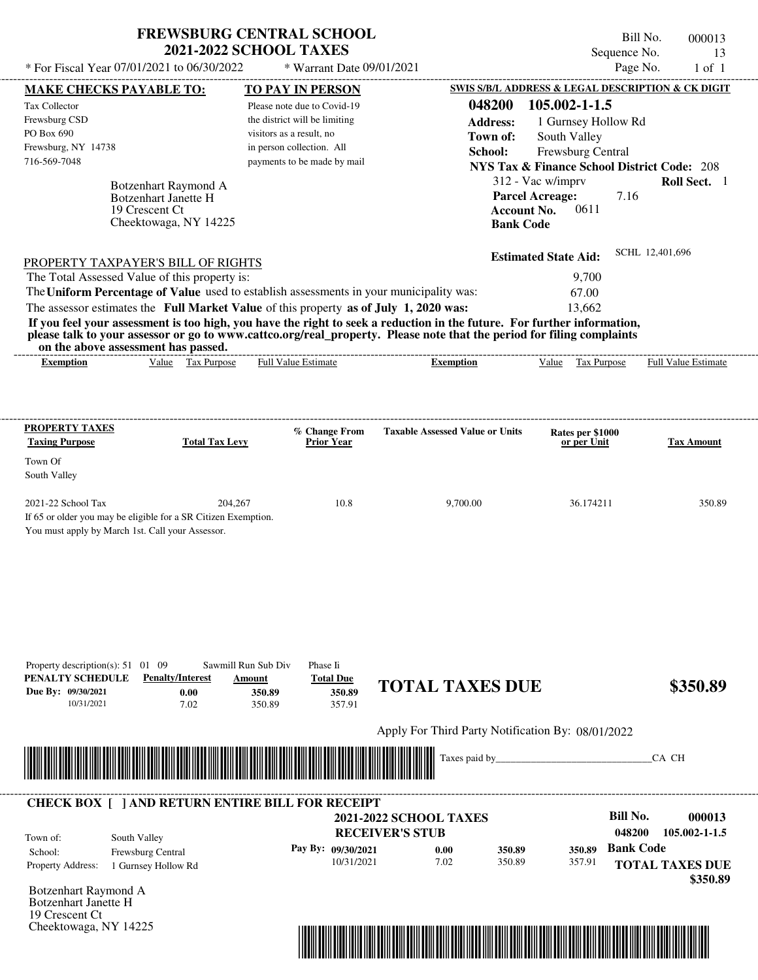| <b>FREWSBURG CENTRAL SCHOOL</b> |
|---------------------------------|
| <b>2021-2022 SCHOOL TAXES</b>   |

Bill No. 000013 Sequence No. 13<br>Page No. 1 of 1  $*$  For Fiscal Year 07/01/2021 to 06/30/2022  $*$  Warrant Date 09/01/2021 Page No. 1 of 1

| <b>MAKE CHECKS PAYABLE TO:</b>                                                                                                                               |                                                     | <b>TO PAY IN PERSON</b>       |                                    |                                                   |                    | SWIS S/B/L ADDRESS & LEGAL DESCRIPTION & CK DIGIT      |                  |                            |
|--------------------------------------------------------------------------------------------------------------------------------------------------------------|-----------------------------------------------------|-------------------------------|------------------------------------|---------------------------------------------------|--------------------|--------------------------------------------------------|------------------|----------------------------|
| Tax Collector                                                                                                                                                |                                                     | Please note due to Covid-19   |                                    |                                                   | 048200             | 105.002-1-1.5                                          |                  |                            |
| Frewsburg CSD                                                                                                                                                |                                                     | the district will be limiting |                                    |                                                   | <b>Address:</b>    | 1 Gurnsey Hollow Rd                                    |                  |                            |
| PO Box 690                                                                                                                                                   |                                                     | visitors as a result, no      |                                    |                                                   | Town of:           | South Valley                                           |                  |                            |
| Frewsburg, NY 14738                                                                                                                                          |                                                     | in person collection. All     |                                    |                                                   | School:            | Frewsburg Central                                      |                  |                            |
| 716-569-7048                                                                                                                                                 |                                                     | payments to be made by mail   |                                    |                                                   |                    | <b>NYS Tax &amp; Finance School District Code: 208</b> |                  |                            |
|                                                                                                                                                              |                                                     |                               |                                    |                                                   |                    | 312 - Vac w/imprv                                      |                  | Roll Sect. 1               |
|                                                                                                                                                              | Botzenhart Raymond A<br><b>Botzenhart Janette H</b> |                               |                                    |                                                   |                    | <b>Parcel Acreage:</b>                                 | 7.16             |                            |
|                                                                                                                                                              | 19 Crescent Ct                                      |                               |                                    |                                                   | <b>Account No.</b> | 0611                                                   |                  |                            |
|                                                                                                                                                              | Cheektowaga, NY 14225                               |                               |                                    |                                                   | <b>Bank Code</b>   |                                                        |                  |                            |
|                                                                                                                                                              |                                                     |                               |                                    |                                                   |                    |                                                        |                  |                            |
| <b>PROPERTY TAXPAYER'S BILL OF RIGHTS</b>                                                                                                                    |                                                     |                               |                                    |                                                   |                    | <b>Estimated State Aid:</b>                            |                  | SCHL 12,401,696            |
| The Total Assessed Value of this property is:                                                                                                                |                                                     |                               |                                    |                                                   |                    | 9,700                                                  |                  |                            |
| The Uniform Percentage of Value used to establish assessments in your municipality was:                                                                      |                                                     |                               |                                    |                                                   |                    | 67.00                                                  |                  |                            |
| The assessor estimates the Full Market Value of this property as of July 1, 2020 was:                                                                        |                                                     |                               |                                    |                                                   |                    | 13.662                                                 |                  |                            |
| If you feel your assessment is too high, you have the right to seek a reduction in the future. For further information,                                      |                                                     |                               |                                    |                                                   |                    |                                                        |                  |                            |
| please talk to your assessor or go to www.cattco.org/real_property. Please note that the period for filing complaints<br>on the above assessment has passed. |                                                     |                               |                                    |                                                   |                    |                                                        |                  |                            |
| <b>Exemption</b>                                                                                                                                             | Value Tax Purpose                                   | <b>Full Value Estimate</b>    |                                    | <b>Exemption</b>                                  |                    | Value Tax Purpose                                      |                  | <b>Full Value Estimate</b> |
|                                                                                                                                                              |                                                     |                               |                                    |                                                   |                    |                                                        |                  |                            |
|                                                                                                                                                              |                                                     |                               |                                    |                                                   |                    |                                                        |                  |                            |
|                                                                                                                                                              |                                                     |                               |                                    |                                                   |                    |                                                        |                  |                            |
| <b>PROPERTY TAXES</b><br><b>Taxing Purpose</b>                                                                                                               | <b>Total Tax Levy</b>                               |                               | % Change From<br><b>Prior Year</b> | <b>Taxable Assessed Value or Units</b>            |                    | Rates per \$1000<br>or per Unit                        |                  | <b>Tax Amount</b>          |
| Town Of                                                                                                                                                      |                                                     |                               |                                    |                                                   |                    |                                                        |                  |                            |
| South Valley                                                                                                                                                 |                                                     |                               |                                    |                                                   |                    |                                                        |                  |                            |
|                                                                                                                                                              |                                                     |                               |                                    |                                                   |                    |                                                        |                  |                            |
| 2021-22 School Tax                                                                                                                                           | 204,267                                             |                               | 10.8                               |                                                   | 9,700.00           | 36.174211                                              |                  | 350.89                     |
| If 65 or older you may be eligible for a SR Citizen Exemption.                                                                                               |                                                     |                               |                                    |                                                   |                    |                                                        |                  |                            |
| You must apply by March 1st. Call your Assessor.                                                                                                             |                                                     |                               |                                    |                                                   |                    |                                                        |                  |                            |
|                                                                                                                                                              |                                                     |                               |                                    |                                                   |                    |                                                        |                  |                            |
|                                                                                                                                                              |                                                     |                               |                                    |                                                   |                    |                                                        |                  |                            |
|                                                                                                                                                              |                                                     |                               |                                    |                                                   |                    |                                                        |                  |                            |
|                                                                                                                                                              |                                                     |                               |                                    |                                                   |                    |                                                        |                  |                            |
|                                                                                                                                                              |                                                     |                               |                                    |                                                   |                    |                                                        |                  |                            |
|                                                                                                                                                              |                                                     |                               |                                    |                                                   |                    |                                                        |                  |                            |
|                                                                                                                                                              |                                                     |                               |                                    |                                                   |                    |                                                        |                  |                            |
| Property description(s): $51 \quad 01 \quad 09$                                                                                                              |                                                     | Sawmill Run Sub Div           | Phase Ii                           |                                                   |                    |                                                        |                  |                            |
| PENALTY SCHEDULE                                                                                                                                             | <b>Penalty/Interest</b>                             | Amount                        | <b>Total Due</b>                   | <b>TOTAL TAXES DUE</b>                            |                    |                                                        |                  | \$350.89                   |
| Due By: 09/30/2021<br>10/31/2021                                                                                                                             | 0.00<br>7.02                                        | 350.89<br>350.89              | 350.89<br>357.91                   |                                                   |                    |                                                        |                  |                            |
|                                                                                                                                                              |                                                     |                               |                                    |                                                   |                    |                                                        |                  |                            |
|                                                                                                                                                              |                                                     |                               |                                    | Apply For Third Party Notification By: 08/01/2022 |                    |                                                        |                  |                            |
|                                                                                                                                                              |                                                     |                               |                                    |                                                   | Taxes paid by_     |                                                        |                  | CA CH                      |
|                                                                                                                                                              |                                                     |                               |                                    |                                                   |                    |                                                        |                  |                            |
|                                                                                                                                                              |                                                     |                               |                                    |                                                   |                    |                                                        |                  |                            |
| <b>CHECK BOX [ ] AND RETURN ENTIRE BILL FOR RECEIPT</b>                                                                                                      |                                                     |                               |                                    |                                                   |                    |                                                        |                  |                            |
|                                                                                                                                                              |                                                     |                               |                                    | <b>2021-2022 SCHOOL TAXES</b>                     |                    |                                                        | <b>Bill No.</b>  | 000013                     |
| South Valley<br>Town of:                                                                                                                                     |                                                     |                               |                                    | <b>RECEIVER'S STUB</b>                            |                    |                                                        | 048200           | 105.002-1-1.5              |
| School:                                                                                                                                                      | Frewsburg Central                                   |                               | Pay By: 09/30/2021                 | 0.00                                              | 350.89             | 350.89                                                 | <b>Bank Code</b> |                            |
| <b>Property Address:</b>                                                                                                                                     | 1 Gurnsey Hollow Rd                                 |                               | 10/31/2021                         | 7.02                                              | 350.89             | 357.91                                                 |                  | <b>TOTAL TAXES DUE</b>     |
|                                                                                                                                                              |                                                     |                               |                                    |                                                   |                    |                                                        |                  | \$350.89                   |
| Botzenhart Raymond A                                                                                                                                         |                                                     |                               |                                    |                                                   |                    |                                                        |                  |                            |
| <b>Botzenhart Janette H</b>                                                                                                                                  |                                                     |                               |                                    |                                                   |                    |                                                        |                  |                            |
| 19 Crescent Ct                                                                                                                                               |                                                     |                               |                                    |                                                   |                    |                                                        |                  |                            |
| Cheektowaga, NY 14225                                                                                                                                        |                                                     |                               |                                    |                                                   |                    |                                                        |                  |                            |

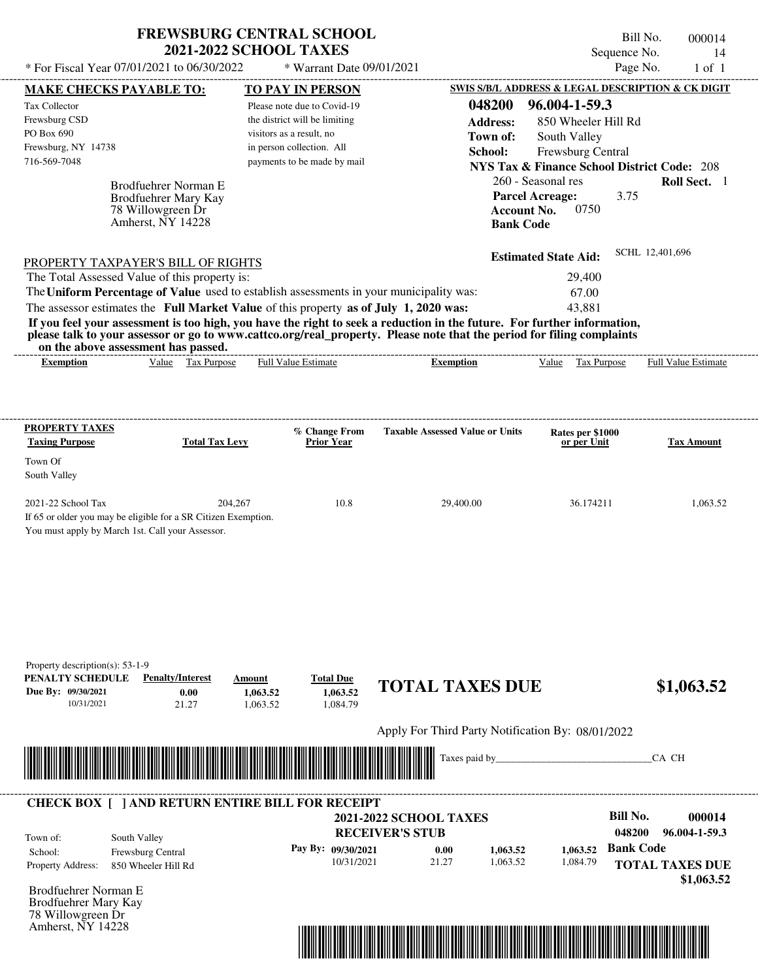| <b>FREWSBURG CENTRAL SCHOOL</b> |  |
|---------------------------------|--|
| <b>2021-2022 SCHOOL TAXES</b>   |  |

Bill No. 000014 Sequence No. 14

| * For Fiscal Year 07/01/2021 to 06/30/2022                                                                          |                                   | * Warrant Date 09/01/2021                                 |                                                                                                                         |                                                                             | Page No.               | $1$ of $1$          |
|---------------------------------------------------------------------------------------------------------------------|-----------------------------------|-----------------------------------------------------------|-------------------------------------------------------------------------------------------------------------------------|-----------------------------------------------------------------------------|------------------------|---------------------|
| <b>MAKE CHECKS PAYABLE TO:</b>                                                                                      |                                   | <b>TO PAY IN PERSON</b>                                   |                                                                                                                         | SWIS S/B/L ADDRESS & LEGAL DESCRIPTION & CK DIGIT                           |                        |                     |
| Tax Collector                                                                                                       |                                   | Please note due to Covid-19                               | 048200                                                                                                                  | 96.004-1-59.3                                                               |                        |                     |
| Frewsburg CSD<br>PO Box 690                                                                                         |                                   | the district will be limiting<br>visitors as a result, no | <b>Address:</b>                                                                                                         | 850 Wheeler Hill Rd                                                         |                        |                     |
| Frewsburg, NY 14738                                                                                                 |                                   | in person collection. All                                 | Town of:                                                                                                                | South Valley                                                                |                        |                     |
| 716-569-7048                                                                                                        |                                   | payments to be made by mail                               | School:                                                                                                                 | Frewsburg Central<br><b>NYS Tax &amp; Finance School District Code: 208</b> |                        |                     |
|                                                                                                                     |                                   |                                                           |                                                                                                                         | 260 - Seasonal res                                                          |                        | Roll Sect. 1        |
| Brodfuehrer Norman E<br>Brodfuehrer Mary Kay                                                                        |                                   |                                                           |                                                                                                                         | <b>Parcel Acreage:</b>                                                      | 3.75                   |                     |
| 78 Willowgreen Dr                                                                                                   |                                   |                                                           |                                                                                                                         | <b>Account No.</b><br>0750                                                  |                        |                     |
| Amherst, NY 14228                                                                                                   |                                   |                                                           | <b>Bank Code</b>                                                                                                        |                                                                             |                        |                     |
|                                                                                                                     |                                   |                                                           |                                                                                                                         |                                                                             | SCHL 12,401,696        |                     |
| PROPERTY TAXPAYER'S BILL OF RIGHTS<br>The Total Assessed Value of this property is:                                 |                                   |                                                           |                                                                                                                         | <b>Estimated State Aid:</b>                                                 |                        |                     |
| The Uniform Percentage of Value used to establish assessments in your municipality was:                             |                                   |                                                           |                                                                                                                         | 29,400<br>67.00                                                             |                        |                     |
| The assessor estimates the Full Market Value of this property as of July 1, 2020 was:                               |                                   |                                                           |                                                                                                                         | 43,881                                                                      |                        |                     |
|                                                                                                                     |                                   |                                                           | If you feel your assessment is too high, you have the right to seek a reduction in the future. For further information, |                                                                             |                        |                     |
| on the above assessment has passed.                                                                                 |                                   |                                                           | please talk to your assessor or go to www.cattco.org/real_property. Please note that the period for filing complaints   |                                                                             |                        |                     |
| <b>Exemption</b>                                                                                                    | Value Tax Purpose                 | Full Value Estimate                                       | <b>Exemption</b>                                                                                                        | Value Tax Purpose                                                           |                        | Full Value Estimate |
|                                                                                                                     |                                   |                                                           |                                                                                                                         |                                                                             |                        |                     |
|                                                                                                                     |                                   |                                                           |                                                                                                                         |                                                                             |                        |                     |
| <b>PROPERTY TAXES</b><br><b>Taxing Purpose</b>                                                                      | <b>Total Tax Levy</b>             | % Change From<br><b>Prior Year</b>                        | <b>Taxable Assessed Value or Units</b>                                                                                  | Rates per \$1000<br>or per Unit                                             |                        | <b>Tax Amount</b>   |
| Town Of                                                                                                             |                                   |                                                           |                                                                                                                         |                                                                             |                        |                     |
| South Valley                                                                                                        |                                   |                                                           |                                                                                                                         |                                                                             |                        |                     |
| 2021-22 School Tax                                                                                                  | 204,267                           | 10.8                                                      | 29,400.00                                                                                                               | 36.174211                                                                   |                        | 1,063.52            |
| If 65 or older you may be eligible for a SR Citizen Exemption.                                                      |                                   |                                                           |                                                                                                                         |                                                                             |                        |                     |
| You must apply by March 1st. Call your Assessor.                                                                    |                                   |                                                           |                                                                                                                         |                                                                             |                        |                     |
|                                                                                                                     |                                   |                                                           |                                                                                                                         |                                                                             |                        |                     |
|                                                                                                                     |                                   |                                                           |                                                                                                                         |                                                                             |                        |                     |
|                                                                                                                     |                                   |                                                           |                                                                                                                         |                                                                             |                        |                     |
|                                                                                                                     |                                   |                                                           |                                                                                                                         |                                                                             |                        |                     |
|                                                                                                                     |                                   |                                                           |                                                                                                                         |                                                                             |                        |                     |
|                                                                                                                     |                                   |                                                           |                                                                                                                         |                                                                             |                        |                     |
| Property description(s): 53-1-9                                                                                     |                                   |                                                           |                                                                                                                         |                                                                             |                        |                     |
| PENALTY SCHEDULE                                                                                                    | <b>Penalty/Interest</b><br>Amount | <b>Total Due</b>                                          |                                                                                                                         |                                                                             |                        |                     |
| Due By: 09/30/2021                                                                                                  | 0.00<br>1,063.52                  | 1,063.52                                                  | <b>TOTAL TAXES DUE</b>                                                                                                  |                                                                             |                        | \$1,063.52          |
| 10/31/2021                                                                                                          | 21.27<br>1,063.52                 | 1,084.79                                                  |                                                                                                                         |                                                                             |                        |                     |
|                                                                                                                     |                                   |                                                           | Apply For Third Party Notification By: 08/01/2022                                                                       |                                                                             |                        |                     |
| <u> 1989 - Andrew Maria Maria Maria Maria Maria Maria Maria Maria Maria Maria Maria Maria Maria Maria Maria Mar</u> |                                   |                                                           | Taxes paid by____                                                                                                       |                                                                             | CA CH                  |                     |
|                                                                                                                     |                                   |                                                           |                                                                                                                         |                                                                             |                        |                     |
| <b>CHECK BOX [ ] AND RETURN ENTIRE BILL FOR RECEIPT</b>                                                             |                                   |                                                           |                                                                                                                         |                                                                             |                        |                     |
|                                                                                                                     |                                   |                                                           | <b>2021-2022 SCHOOL TAXES</b>                                                                                           |                                                                             | <b>Bill No.</b>        | 000014              |
| South Valley<br>Town of:                                                                                            |                                   |                                                           | <b>RECEIVER'S STUB</b>                                                                                                  |                                                                             | 048200                 | 96.004-1-59.3       |
| Frewsburg Central<br>School:                                                                                        |                                   | Pay By: 09/30/2021                                        | 0.00<br>1,063.52                                                                                                        | 1.063.52                                                                    | <b>Bank Code</b>       |                     |
| Property Address:<br>850 Wheeler Hill Rd                                                                            |                                   | 10/31/2021                                                | 21.27<br>1,063.52                                                                                                       | 1,084.79                                                                    | <b>TOTAL TAXES DUE</b> |                     |
| Brodfuehrer Norman E                                                                                                |                                   |                                                           |                                                                                                                         |                                                                             |                        | \$1,063.52          |
| Brodfuehrer Mary Kay                                                                                                |                                   |                                                           |                                                                                                                         |                                                                             |                        |                     |
| 78 Willowgreen Dr                                                                                                   |                                   |                                                           |                                                                                                                         |                                                                             |                        |                     |
| Amherst, NY 14228                                                                                                   |                                   |                                                           |                                                                                                                         |                                                                             |                        |                     |
|                                                                                                                     |                                   |                                                           |                                                                                                                         |                                                                             |                        |                     |
|                                                                                                                     |                                   |                                                           |                                                                                                                         |                                                                             |                        |                     |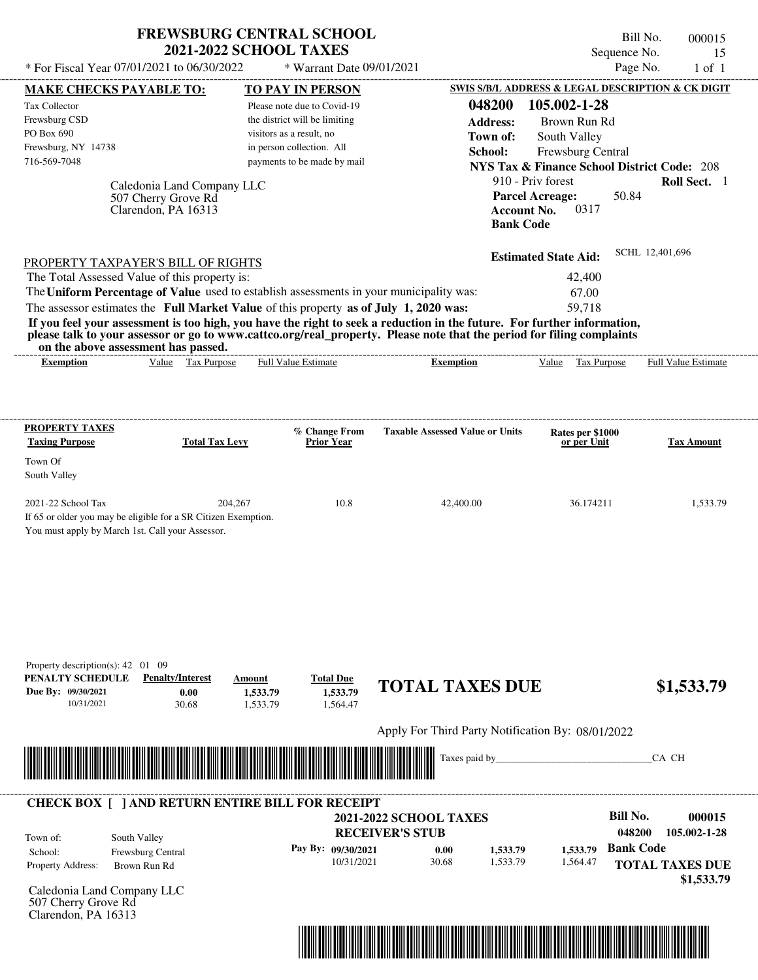| <b>FREWSBURG CENTRAL SCHOOL</b> |
|---------------------------------|
| <b>2021-2022 SCHOOL TAXES</b>   |

Bill No. 000015 Sequence No. 15<br>Page No. 1 of 1  $*$  For Fiscal Year 07/01/2021 to 06/30/2022  $*$  Warrant Date 09/01/2021 Page No. 1 of 1

| <b>MAKE CHECKS PAYABLE TO:</b>                                                                                                                                                                                                       | <b>TO PAY IN PERSON</b>                               |                                                         | <b>SWIS S/B/L ADDRESS &amp; LEGAL DESCRIPTION &amp; CK DIGIT</b> |                                      |
|--------------------------------------------------------------------------------------------------------------------------------------------------------------------------------------------------------------------------------------|-------------------------------------------------------|---------------------------------------------------------|------------------------------------------------------------------|--------------------------------------|
| Tax Collector                                                                                                                                                                                                                        | Please note due to Covid-19                           | 048200                                                  | 105.002-1-28                                                     |                                      |
| Frewsburg CSD                                                                                                                                                                                                                        | the district will be limiting                         | <b>Address:</b>                                         | Brown Run Rd                                                     |                                      |
| PO Box 690<br>Frewsburg, NY 14738                                                                                                                                                                                                    | visitors as a result, no<br>in person collection. All | Town of:                                                | South Valley                                                     |                                      |
| 716-569-7048                                                                                                                                                                                                                         | payments to be made by mail                           | School:                                                 | Frewsburg Central                                                |                                      |
|                                                                                                                                                                                                                                      |                                                       |                                                         | <b>NYS Tax &amp; Finance School District Code: 208</b>           |                                      |
| Caledonia Land Company LLC                                                                                                                                                                                                           |                                                       |                                                         | 910 - Priv forest                                                | Roll Sect. 1                         |
| 507 Cherry Grove Rd<br>Clarendon, PA 16313                                                                                                                                                                                           |                                                       | <b>Account No.</b>                                      | <b>Parcel Acreage:</b><br>50.84<br>0317                          |                                      |
|                                                                                                                                                                                                                                      |                                                       | <b>Bank Code</b>                                        |                                                                  |                                      |
|                                                                                                                                                                                                                                      |                                                       |                                                         |                                                                  |                                      |
| PROPERTY TAXPAYER'S BILL OF RIGHTS                                                                                                                                                                                                   |                                                       |                                                         | <b>Estimated State Aid:</b>                                      | SCHL 12,401,696                      |
| The Total Assessed Value of this property is:                                                                                                                                                                                        |                                                       |                                                         | 42,400                                                           |                                      |
| The Uniform Percentage of Value used to establish assessments in your municipality was:                                                                                                                                              |                                                       |                                                         | 67.00                                                            |                                      |
| The assessor estimates the Full Market Value of this property as of July 1, 2020 was:                                                                                                                                                |                                                       |                                                         | 59,718                                                           |                                      |
| If you feel your assessment is too high, you have the right to seek a reduction in the future. For further information,                                                                                                              |                                                       |                                                         |                                                                  |                                      |
| please talk to your assessor or go to www.cattco.org/real_property. Please note that the period for filing complaints                                                                                                                |                                                       |                                                         |                                                                  |                                      |
| on the above assessment has passed.<br>Value Tax Purpose<br><b>Exemption</b>                                                                                                                                                         | <b>Full Value Estimate</b>                            | <b>Exemption</b>                                        | Value Tax Purpose Full Value Estimate                            |                                      |
|                                                                                                                                                                                                                                      |                                                       |                                                         |                                                                  |                                      |
|                                                                                                                                                                                                                                      |                                                       |                                                         |                                                                  |                                      |
|                                                                                                                                                                                                                                      |                                                       |                                                         |                                                                  |                                      |
| <b>PROPERTY TAXES</b>                                                                                                                                                                                                                | % Change From                                         | <b>Taxable Assessed Value or Units</b>                  | Rates per \$1000                                                 |                                      |
| <b>Taxing Purpose</b>                                                                                                                                                                                                                | <b>Total Tax Levy</b><br><b>Prior Year</b>            |                                                         | or per Unit                                                      | <b>Tax Amount</b>                    |
| Town Of                                                                                                                                                                                                                              |                                                       |                                                         |                                                                  |                                      |
| South Valley                                                                                                                                                                                                                         |                                                       |                                                         |                                                                  |                                      |
| 2021-22 School Tax                                                                                                                                                                                                                   | 204,267<br>10.8                                       | 42,400.00                                               | 36.174211                                                        | 1,533.79                             |
| If 65 or older you may be eligible for a SR Citizen Exemption.                                                                                                                                                                       |                                                       |                                                         |                                                                  |                                      |
| You must apply by March 1st. Call your Assessor.                                                                                                                                                                                     |                                                       |                                                         |                                                                  |                                      |
|                                                                                                                                                                                                                                      |                                                       |                                                         |                                                                  |                                      |
|                                                                                                                                                                                                                                      |                                                       |                                                         |                                                                  |                                      |
|                                                                                                                                                                                                                                      |                                                       |                                                         |                                                                  |                                      |
|                                                                                                                                                                                                                                      |                                                       |                                                         |                                                                  |                                      |
|                                                                                                                                                                                                                                      |                                                       |                                                         |                                                                  |                                      |
|                                                                                                                                                                                                                                      |                                                       |                                                         |                                                                  |                                      |
|                                                                                                                                                                                                                                      |                                                       |                                                         |                                                                  |                                      |
| Property description(s): $42 \quad 01 \quad 09$                                                                                                                                                                                      |                                                       |                                                         |                                                                  |                                      |
| PENALTY SCHEDULE<br><b>Penalty/Interest</b><br>Due By: 09/30/2021                                                                                                                                                                    | <b>Total Due</b><br>Amount                            | <b>TOTAL TAXES DUE</b>                                  |                                                                  | \$1,533.79                           |
| 0.00<br>10/31/2021<br>30.68                                                                                                                                                                                                          | 1,533.79<br>1,533.79<br>1,564.47<br>1,533.79          |                                                         |                                                                  |                                      |
|                                                                                                                                                                                                                                      |                                                       |                                                         |                                                                  |                                      |
|                                                                                                                                                                                                                                      |                                                       | Apply For Third Party Notification By: 08/01/2022       |                                                                  |                                      |
|                                                                                                                                                                                                                                      |                                                       | Taxes paid by_                                          |                                                                  | CA CH                                |
| <u> Indian American State of Barbara and The Barbara and The Barbara and The Barbara and The Barbara and The Barbara and The Barbara and The Barbara and The Barbara and The Barbara and The Barbara and The Barbara and The Bar</u> |                                                       |                                                         |                                                                  |                                      |
|                                                                                                                                                                                                                                      |                                                       |                                                         |                                                                  |                                      |
| <b>CHECK BOX [ ] AND RETURN ENTIRE BILL FOR RECEIPT</b>                                                                                                                                                                              |                                                       |                                                         | <b>Bill No.</b>                                                  |                                      |
|                                                                                                                                                                                                                                      |                                                       | <b>2021-2022 SCHOOL TAXES</b><br><b>RECEIVER'S STUB</b> | 048200                                                           | 000015<br>105.002-1-28               |
| South Valley<br>Town of:                                                                                                                                                                                                             |                                                       |                                                         | <b>Bank Code</b>                                                 |                                      |
| School:<br>Frewsburg Central                                                                                                                                                                                                         | Pay By: 09/30/2021<br>10/31/2021                      | 0.00<br>1,533.79<br>30.68<br>1,533.79                   | 1,533.79<br>1,564.47                                             |                                      |
| Property Address:<br>Brown Run Rd                                                                                                                                                                                                    |                                                       |                                                         |                                                                  | <b>TOTAL TAXES DUE</b><br>\$1,533.79 |
| Caledonia Land Company LLC                                                                                                                                                                                                           |                                                       |                                                         |                                                                  |                                      |
| 507 Cherry Grove Rd                                                                                                                                                                                                                  |                                                       |                                                         |                                                                  |                                      |
| Clarendon, PA 16313                                                                                                                                                                                                                  |                                                       |                                                         |                                                                  |                                      |
|                                                                                                                                                                                                                                      |                                                       |                                                         |                                                                  |                                      |
|                                                                                                                                                                                                                                      |                                                       | <u> 1989 - Johann Stoff, Amerikaansk politiker (</u>    |                                                                  |                                      |
|                                                                                                                                                                                                                                      |                                                       |                                                         |                                                                  |                                      |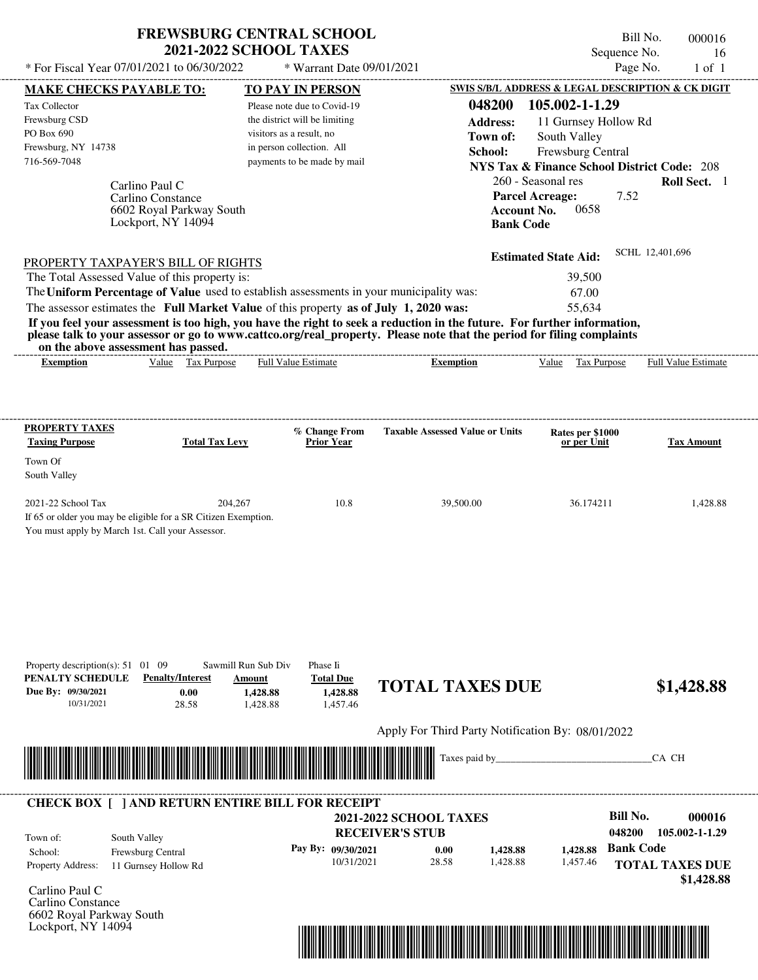| <b>FREWSBURG CENTRAL SCHOOL</b> |
|---------------------------------|
| <b>2021-2022 SCHOOL TAXES</b>   |

 $*$  For Fiscal Year 07/01/2021 to 06/30/2022

\* Warrant Date 09/01/2021

| <b>MAKE CHECKS PAYABLE TO:</b><br>Tax Collector<br>Frewsburg CSD<br>PO Box 690<br>Frewsburg, NY 14738<br>716-569-7048<br>Carlino Paul C<br>Carlino Constance<br>6602 Royal Parkway South<br>Lockport, NY 14094                                                                                                                                                                                                                          |                                                               | <b>TO PAY IN PERSON</b><br>Please note due to Covid-19<br>the district will be limiting<br>visitors as a result, no<br>in person collection. All<br>payments to be made by mail | 048200<br><b>Address:</b><br>Town of:<br>School:<br><b>Parcel Acreage:</b><br><b>Account No.</b><br><b>Bank Code</b>    | SWIS S/B/L ADDRESS & LEGAL DESCRIPTION & CK DIGIT<br>105.002-1-1.29<br>11 Gurnsey Hollow Rd<br>South Valley<br>Frewsburg Central<br><b>NYS Tax &amp; Finance School District Code: 208</b><br>260 - Seasonal res<br>7.52<br>0658 | Roll Sect. 1                                                     |
|-----------------------------------------------------------------------------------------------------------------------------------------------------------------------------------------------------------------------------------------------------------------------------------------------------------------------------------------------------------------------------------------------------------------------------------------|---------------------------------------------------------------|---------------------------------------------------------------------------------------------------------------------------------------------------------------------------------|-------------------------------------------------------------------------------------------------------------------------|----------------------------------------------------------------------------------------------------------------------------------------------------------------------------------------------------------------------------------|------------------------------------------------------------------|
| PROPERTY TAXPAYER'S BILL OF RIGHTS<br>The Total Assessed Value of this property is:<br>The Uniform Percentage of Value used to establish assessments in your municipality was:<br>The assessor estimates the Full Market Value of this property as of July 1, 2020 was:<br>please talk to your assessor or go to www.cattco.org/real_property. Please note that the period for filing complaints<br>on the above assessment has passed. |                                                               |                                                                                                                                                                                 | If you feel your assessment is too high, you have the right to seek a reduction in the future. For further information, | <b>Estimated State Aid:</b><br>39,500<br>67.00<br>55,634                                                                                                                                                                         | SCHL 12,401,696                                                  |
| <b>Exemption</b>                                                                                                                                                                                                                                                                                                                                                                                                                        | Value Tax Purpose                                             | <b>Full Value Estimate</b>                                                                                                                                                      | <b>Exemption</b>                                                                                                        | Value Tax Purpose                                                                                                                                                                                                                | <b>Full Value Estimate</b>                                       |
| <b>PROPERTY TAXES</b><br><b>Taxing Purpose</b>                                                                                                                                                                                                                                                                                                                                                                                          | <b>Total Tax Levy</b>                                         | % Change From<br><b>Prior Year</b>                                                                                                                                              | <b>Taxable Assessed Value or Units</b>                                                                                  | Rates per \$1000<br>or per Unit                                                                                                                                                                                                  | <b>Tax Amount</b>                                                |
| Town Of<br>South Valley<br>2021-22 School Tax<br>If 65 or older you may be eligible for a SR Citizen Exemption.<br>You must apply by March 1st. Call your Assessor.                                                                                                                                                                                                                                                                     | 204,267                                                       | 10.8                                                                                                                                                                            | 39,500.00                                                                                                               | 36.174211                                                                                                                                                                                                                        | 1,428.88                                                         |
| Property description(s): $51 \quad 01 \quad 09$<br>PENALTY SCHEDULE<br><b>Penalty/Interest</b><br>Due By: 09/30/2021<br>28.58<br>10/31/2021                                                                                                                                                                                                                                                                                             | Sawmill Run Sub Div<br>Amount<br>0.00<br>1,428.88<br>1,428.88 | Phase Ii<br><b>Total Due</b><br>1.428.88<br>1,457.46                                                                                                                            | <b>TOTAL TAXES DUE</b>                                                                                                  |                                                                                                                                                                                                                                  | \$1,428.88                                                       |
|                                                                                                                                                                                                                                                                                                                                                                                                                                         |                                                               |                                                                                                                                                                                 | Apply For Third Party Notification By: 08/01/2022                                                                       |                                                                                                                                                                                                                                  |                                                                  |
|                                                                                                                                                                                                                                                                                                                                                                                                                                         |                                                               |                                                                                                                                                                                 | Taxes paid by                                                                                                           |                                                                                                                                                                                                                                  | CA CH                                                            |
| <b>CHECK BOX [ ] AND RETURN ENTIRE BILL FOR RECEIPT</b><br>South Valley<br>Town of:<br>School:<br>Frewsburg Central<br>Property Address:<br>11 Gurnsey Hollow Rd                                                                                                                                                                                                                                                                        |                                                               | Pay By: 09/30/2021<br>10/31/2021                                                                                                                                                | <b>2021-2022 SCHOOL TAXES</b><br><b>RECEIVER'S STUB</b><br>0.00<br>1,428.88<br>28.58<br>1,428.88                        | <b>Bill No.</b><br>048200<br><b>Bank Code</b><br>1,428.88<br>1,457.46                                                                                                                                                            | 000016<br>105.002-1-1.29<br><b>TOTAL TAXES DUE</b><br>\$1,428.88 |
| Carlino Paul C<br>Carlino Constance<br>6602 Royal Parkway South<br>Lockport, NY 14094                                                                                                                                                                                                                                                                                                                                                   |                                                               |                                                                                                                                                                                 |                                                                                                                         |                                                                                                                                                                                                                                  |                                                                  |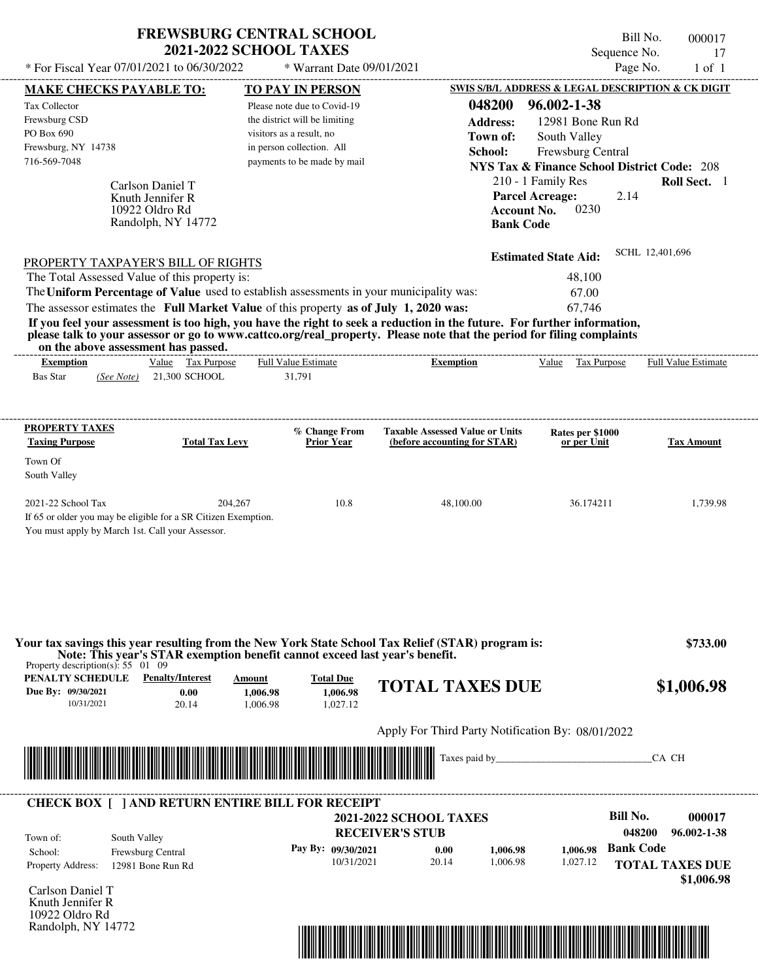| <b>FREWSBURG CENTRAL SCHOOL</b> |
|---------------------------------|
| <b>2021-2022 SCHOOL TAXES</b>   |

Bill No. 000017 Sequence No. 17

| * For Fiscal Year 07/01/2021 to 06/30/2022                                                                                                                                                                                                       | * Warrant Date 09/01/2021                             |                                                                        |                                                        | Page No.<br>$1$ of $1$     |
|--------------------------------------------------------------------------------------------------------------------------------------------------------------------------------------------------------------------------------------------------|-------------------------------------------------------|------------------------------------------------------------------------|--------------------------------------------------------|----------------------------|
| <b>MAKE CHECKS PAYABLE TO:</b>                                                                                                                                                                                                                   | <b>TO PAY IN PERSON</b>                               |                                                                        | SWIS S/B/L ADDRESS & LEGAL DESCRIPTION & CK DIGIT      |                            |
| Tax Collector                                                                                                                                                                                                                                    | Please note due to Covid-19                           | 048200                                                                 | 96.002-1-38                                            |                            |
| Frewsburg CSD                                                                                                                                                                                                                                    | the district will be limiting                         | <b>Address:</b>                                                        | 12981 Bone Run Rd                                      |                            |
| PO Box 690<br>Frewsburg, NY 14738                                                                                                                                                                                                                | visitors as a result, no<br>in person collection. All | Town of:                                                               | South Valley                                           |                            |
| 716-569-7048                                                                                                                                                                                                                                     | payments to be made by mail                           | School:                                                                | Frewsburg Central                                      |                            |
|                                                                                                                                                                                                                                                  |                                                       |                                                                        | <b>NYS Tax &amp; Finance School District Code: 208</b> | Roll Sect. 1               |
| Carlson Daniel T                                                                                                                                                                                                                                 |                                                       |                                                                        | 210 - 1 Family Res<br><b>Parcel Acreage:</b><br>2.14   |                            |
| Knuth Jennifer R<br>10922 Oldro Rd                                                                                                                                                                                                               |                                                       | <b>Account No.</b>                                                     | 0230                                                   |                            |
| Randolph, NY 14772                                                                                                                                                                                                                               |                                                       | <b>Bank Code</b>                                                       |                                                        |                            |
|                                                                                                                                                                                                                                                  |                                                       |                                                                        |                                                        |                            |
| <b>PROPERTY TAXPAYER'S BILL OF RIGHTS</b>                                                                                                                                                                                                        |                                                       |                                                                        | <b>Estimated State Aid:</b>                            | SCHL 12,401,696            |
| The Total Assessed Value of this property is:                                                                                                                                                                                                    |                                                       |                                                                        | 48,100                                                 |                            |
| The Uniform Percentage of Value used to establish assessments in your municipality was:                                                                                                                                                          |                                                       |                                                                        | 67.00                                                  |                            |
| The assessor estimates the Full Market Value of this property as of July 1, 2020 was:                                                                                                                                                            |                                                       |                                                                        | 67,746                                                 |                            |
| If you feel your assessment is too high, you have the right to seek a reduction in the future. For further information,<br>please talk to your assessor or go to www.cattco.org/real_property. Please note that the period for filing complaints |                                                       |                                                                        |                                                        |                            |
| on the above assessment has passed.<br>Value Tax Purpose                                                                                                                                                                                         | <b>Full Value Estimate</b>                            | ---------------------------------                                      |                                                        | <b>Full Value Estimate</b> |
| <b>Exemption</b><br><b>Bas Star</b><br>21,300 SCHOOL<br>(See Note)                                                                                                                                                                               | 31,791                                                | <b>Exemption</b>                                                       | Value Tax Purpose                                      |                            |
|                                                                                                                                                                                                                                                  |                                                       |                                                                        |                                                        |                            |
|                                                                                                                                                                                                                                                  |                                                       |                                                                        |                                                        |                            |
| <b>PROPERTY TAXES</b><br><b>Taxing Purpose</b><br><b>Total Tax Levy</b>                                                                                                                                                                          | % Change From<br><b>Prior Year</b>                    | <b>Taxable Assessed Value or Units</b><br>(before accounting for STAR) | Rates per \$1000<br>or per Unit                        | <b>Tax Amount</b>          |
| Town Of                                                                                                                                                                                                                                          |                                                       |                                                                        |                                                        |                            |
| South Valley                                                                                                                                                                                                                                     |                                                       |                                                                        |                                                        |                            |
| 2021-22 School Tax                                                                                                                                                                                                                               | 204,267<br>10.8                                       | 48,100.00                                                              | 36.174211                                              | 1,739.98                   |
| If 65 or older you may be eligible for a SR Citizen Exemption.                                                                                                                                                                                   |                                                       |                                                                        |                                                        |                            |
| You must apply by March 1st. Call your Assessor.                                                                                                                                                                                                 |                                                       |                                                                        |                                                        |                            |
|                                                                                                                                                                                                                                                  |                                                       |                                                                        |                                                        |                            |
|                                                                                                                                                                                                                                                  |                                                       |                                                                        |                                                        |                            |
|                                                                                                                                                                                                                                                  |                                                       |                                                                        |                                                        |                            |
|                                                                                                                                                                                                                                                  |                                                       |                                                                        |                                                        |                            |
| Your tax savings this year resulting from the New York State School Tax Relief (STAR) program is:                                                                                                                                                |                                                       |                                                                        |                                                        | \$733.00                   |
| Note: This year's STAR exemption benefit cannot exceed last year's benefit.<br>Property description(s): $55 \quad 01 \quad 09$                                                                                                                   |                                                       |                                                                        |                                                        |                            |
| <b>PENALTY SCHEDULE</b> Penalty/Interest                                                                                                                                                                                                         | <b>Total Due</b><br>Amount                            |                                                                        |                                                        |                            |
| Due By: 09/30/2021<br>0.00                                                                                                                                                                                                                       | 1,006.98<br>1,006.98                                  | <b>TOTAL TAXES DUE</b>                                                 |                                                        | \$1,006.98                 |
| 10/31/2021<br>20.14                                                                                                                                                                                                                              | 1,027.12<br>1,006.98                                  |                                                                        |                                                        |                            |
|                                                                                                                                                                                                                                                  |                                                       | Apply For Third Party Notification By: 08/01/2022                      |                                                        |                            |
| <u> Indian American State of Barbara and The Barbara and The Barbara and The Barbara and The Barbara and The Barbara and The Barbara and The Barbara and The Barbara and The Barbara and The Barbara and The Barbara and The Bar</u>             |                                                       |                                                                        |                                                        | CA CH                      |
|                                                                                                                                                                                                                                                  |                                                       |                                                                        |                                                        |                            |
|                                                                                                                                                                                                                                                  |                                                       |                                                                        |                                                        |                            |
| <b>CHECK BOX [ ] AND RETURN ENTIRE BILL FOR RECEIPT</b>                                                                                                                                                                                          |                                                       | <b>2021-2022 SCHOOL TAXES</b>                                          | <b>Bill No.</b>                                        | 000017                     |
|                                                                                                                                                                                                                                                  |                                                       | <b>RECEIVER'S STUB</b>                                                 |                                                        | 048200<br>96.002-1-38      |
| South Valley<br>Town of:<br>School:<br>Frewsburg Central                                                                                                                                                                                         | Pay By: 09/30/2021                                    | 0.00<br>1,006.98                                                       | 1.006.98                                               | <b>Bank Code</b>           |
| Property Address:<br>12981 Bone Run Rd                                                                                                                                                                                                           | 10/31/2021                                            | 20.14<br>1,006.98                                                      | 1,027.12                                               | <b>TOTAL TAXES DUE</b>     |
|                                                                                                                                                                                                                                                  |                                                       |                                                                        |                                                        | \$1,006.98                 |
| Carlson Daniel T                                                                                                                                                                                                                                 |                                                       |                                                                        |                                                        |                            |
| Knuth Jennifer R<br>10922 Oldro Rd                                                                                                                                                                                                               |                                                       |                                                                        |                                                        |                            |
| Randolph, NY 14772                                                                                                                                                                                                                               |                                                       |                                                                        |                                                        |                            |
|                                                                                                                                                                                                                                                  |                                                       |                                                                        |                                                        |                            |
|                                                                                                                                                                                                                                                  |                                                       |                                                                        |                                                        |                            |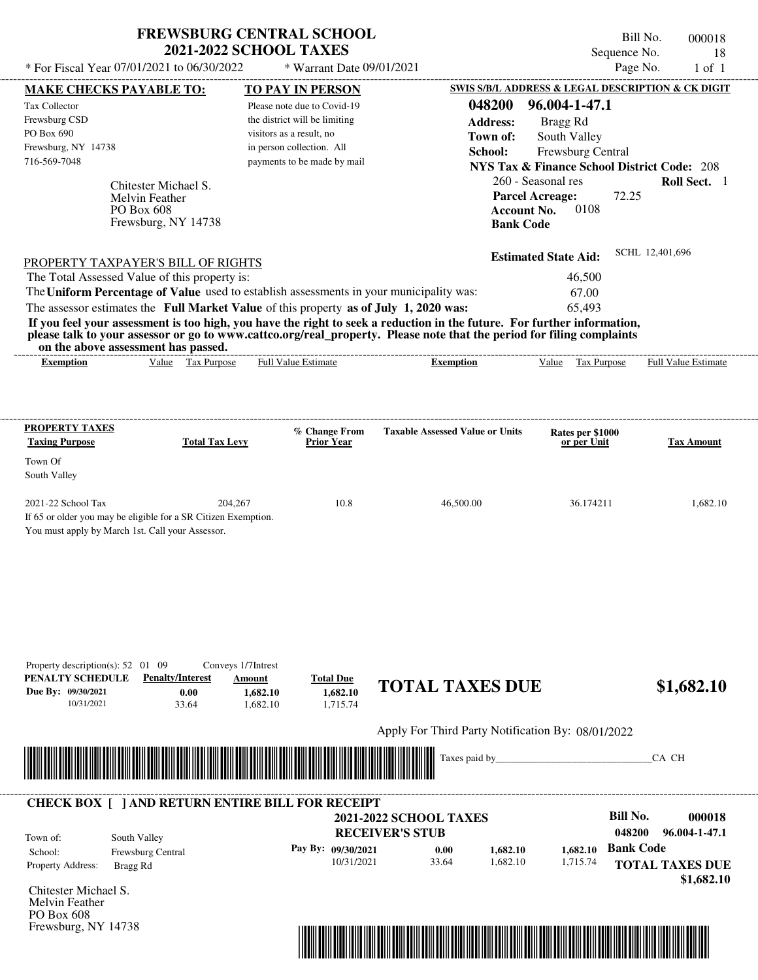| <b>FREWSBURG CENTRAL SCHOOL</b> |
|---------------------------------|
| <b>2021-2022 SCHOOL TAXES</b>   |

Bill No. 000018 Sequence No. 18<br>Page No. 1 of 1  $*$  For Fiscal Year 07/01/2021 to 06/30/2022  $*$  Warrant Date 09/01/2021 Page No. 1 of 1

| <b>MAKE CHECKS PAYABLE TO:</b>                                                                                                                                                                                                                                                                                                                                                                                                                                                                                                 |                                   |                          | <b>TO PAY IN PERSON</b>       |                                                                                                                                                                                                                                                  |                             | SWIS S/B/L ADDRESS & LEGAL DESCRIPTION & CK DIGIT      |
|--------------------------------------------------------------------------------------------------------------------------------------------------------------------------------------------------------------------------------------------------------------------------------------------------------------------------------------------------------------------------------------------------------------------------------------------------------------------------------------------------------------------------------|-----------------------------------|--------------------------|-------------------------------|--------------------------------------------------------------------------------------------------------------------------------------------------------------------------------------------------------------------------------------------------|-----------------------------|--------------------------------------------------------|
| Tax Collector                                                                                                                                                                                                                                                                                                                                                                                                                                                                                                                  |                                   |                          | Please note due to Covid-19   | 048200                                                                                                                                                                                                                                           | 96.004-1-47.1               |                                                        |
| Frewsburg CSD                                                                                                                                                                                                                                                                                                                                                                                                                                                                                                                  |                                   |                          | the district will be limiting | <b>Address:</b>                                                                                                                                                                                                                                  | Bragg Rd                    |                                                        |
| PO Box 690                                                                                                                                                                                                                                                                                                                                                                                                                                                                                                                     |                                   | visitors as a result, no |                               | Town of:                                                                                                                                                                                                                                         | South Valley                |                                                        |
| Frewsburg, NY 14738                                                                                                                                                                                                                                                                                                                                                                                                                                                                                                            |                                   |                          | in person collection. All     | School:                                                                                                                                                                                                                                          | Frewsburg Central           |                                                        |
| 716-569-7048                                                                                                                                                                                                                                                                                                                                                                                                                                                                                                                   |                                   |                          | payments to be made by mail   |                                                                                                                                                                                                                                                  |                             | <b>NYS Tax &amp; Finance School District Code: 208</b> |
|                                                                                                                                                                                                                                                                                                                                                                                                                                                                                                                                | Chitester Michael S.              |                          |                               |                                                                                                                                                                                                                                                  | 260 - Seasonal res          | Roll Sect. 1                                           |
|                                                                                                                                                                                                                                                                                                                                                                                                                                                                                                                                | <b>Melvin Feather</b>             |                          |                               |                                                                                                                                                                                                                                                  | <b>Parcel Acreage:</b>      | 72.25                                                  |
|                                                                                                                                                                                                                                                                                                                                                                                                                                                                                                                                | PO Box 608                        |                          |                               | <b>Account No.</b>                                                                                                                                                                                                                               | 0108                        |                                                        |
|                                                                                                                                                                                                                                                                                                                                                                                                                                                                                                                                | Frewsburg, NY 14738               |                          |                               | <b>Bank Code</b>                                                                                                                                                                                                                                 |                             |                                                        |
|                                                                                                                                                                                                                                                                                                                                                                                                                                                                                                                                |                                   |                          |                               |                                                                                                                                                                                                                                                  |                             | SCHL 12,401,696                                        |
| <b>PROPERTY TAXPAYER'S BILL OF RIGHTS</b>                                                                                                                                                                                                                                                                                                                                                                                                                                                                                      |                                   |                          |                               |                                                                                                                                                                                                                                                  | <b>Estimated State Aid:</b> |                                                        |
| The Total Assessed Value of this property is:                                                                                                                                                                                                                                                                                                                                                                                                                                                                                  |                                   |                          |                               |                                                                                                                                                                                                                                                  | 46,500                      |                                                        |
|                                                                                                                                                                                                                                                                                                                                                                                                                                                                                                                                |                                   |                          |                               | The Uniform Percentage of Value used to establish assessments in your municipality was:                                                                                                                                                          | 67.00                       |                                                        |
| The assessor estimates the Full Market Value of this property as of July 1, 2020 was:                                                                                                                                                                                                                                                                                                                                                                                                                                          |                                   |                          |                               |                                                                                                                                                                                                                                                  | 65,493                      |                                                        |
|                                                                                                                                                                                                                                                                                                                                                                                                                                                                                                                                |                                   |                          |                               | If you feel your assessment is too high, you have the right to seek a reduction in the future. For further information,<br>please talk to your assessor or go to www.cattco.org/real_property. Please note that the period for filing complaints |                             |                                                        |
| on the above assessment has passed.<br><b>Exemption</b>                                                                                                                                                                                                                                                                                                                                                                                                                                                                        | Value Tax Purpose                 |                          | <b>Full Value Estimate</b>    | <b>Exemption</b>                                                                                                                                                                                                                                 | Value Tax Purpose           | <b>Full Value Estimate</b>                             |
|                                                                                                                                                                                                                                                                                                                                                                                                                                                                                                                                |                                   |                          |                               |                                                                                                                                                                                                                                                  |                             |                                                        |
|                                                                                                                                                                                                                                                                                                                                                                                                                                                                                                                                |                                   |                          |                               |                                                                                                                                                                                                                                                  |                             |                                                        |
| <b>PROPERTY TAXES</b>                                                                                                                                                                                                                                                                                                                                                                                                                                                                                                          |                                   |                          | % Change From                 | <b>Taxable Assessed Value or Units</b>                                                                                                                                                                                                           | Rates per \$1000            |                                                        |
| <b>Taxing Purpose</b>                                                                                                                                                                                                                                                                                                                                                                                                                                                                                                          | <b>Total Tax Levy</b>             |                          | <b>Prior Year</b>             |                                                                                                                                                                                                                                                  | or per Unit                 | Tax Amount                                             |
| Town Of                                                                                                                                                                                                                                                                                                                                                                                                                                                                                                                        |                                   |                          |                               |                                                                                                                                                                                                                                                  |                             |                                                        |
| South Valley                                                                                                                                                                                                                                                                                                                                                                                                                                                                                                                   |                                   |                          |                               |                                                                                                                                                                                                                                                  |                             |                                                        |
| 2021-22 School Tax                                                                                                                                                                                                                                                                                                                                                                                                                                                                                                             |                                   | 204,267                  | 10.8                          | 46,500.00                                                                                                                                                                                                                                        | 36.174211                   | 1,682.10                                               |
|                                                                                                                                                                                                                                                                                                                                                                                                                                                                                                                                |                                   |                          |                               |                                                                                                                                                                                                                                                  |                             |                                                        |
|                                                                                                                                                                                                                                                                                                                                                                                                                                                                                                                                |                                   |                          |                               |                                                                                                                                                                                                                                                  |                             |                                                        |
|                                                                                                                                                                                                                                                                                                                                                                                                                                                                                                                                |                                   |                          |                               |                                                                                                                                                                                                                                                  |                             |                                                        |
|                                                                                                                                                                                                                                                                                                                                                                                                                                                                                                                                |                                   |                          |                               |                                                                                                                                                                                                                                                  |                             |                                                        |
|                                                                                                                                                                                                                                                                                                                                                                                                                                                                                                                                |                                   |                          |                               |                                                                                                                                                                                                                                                  |                             |                                                        |
|                                                                                                                                                                                                                                                                                                                                                                                                                                                                                                                                |                                   |                          |                               |                                                                                                                                                                                                                                                  |                             |                                                        |
|                                                                                                                                                                                                                                                                                                                                                                                                                                                                                                                                |                                   |                          |                               |                                                                                                                                                                                                                                                  |                             |                                                        |
|                                                                                                                                                                                                                                                                                                                                                                                                                                                                                                                                |                                   |                          |                               |                                                                                                                                                                                                                                                  |                             |                                                        |
|                                                                                                                                                                                                                                                                                                                                                                                                                                                                                                                                |                                   |                          |                               |                                                                                                                                                                                                                                                  |                             |                                                        |
|                                                                                                                                                                                                                                                                                                                                                                                                                                                                                                                                |                                   |                          |                               |                                                                                                                                                                                                                                                  |                             |                                                        |
|                                                                                                                                                                                                                                                                                                                                                                                                                                                                                                                                |                                   | Conveys 1/7Intrest       |                               |                                                                                                                                                                                                                                                  |                             |                                                        |
|                                                                                                                                                                                                                                                                                                                                                                                                                                                                                                                                | <b>Penalty/Interest</b>           | Amount                   | <b>Total Due</b>              |                                                                                                                                                                                                                                                  |                             |                                                        |
|                                                                                                                                                                                                                                                                                                                                                                                                                                                                                                                                | 0.00                              | 1,682.10                 | 1,682.10                      | <b>TOTAL TAXES DUE</b>                                                                                                                                                                                                                           |                             | \$1,682.10                                             |
| 10/31/2021                                                                                                                                                                                                                                                                                                                                                                                                                                                                                                                     | 33.64                             | 1,682.10                 | 1,715.74                      |                                                                                                                                                                                                                                                  |                             |                                                        |
|                                                                                                                                                                                                                                                                                                                                                                                                                                                                                                                                |                                   |                          |                               | Apply For Third Party Notification By: 08/01/2022                                                                                                                                                                                                |                             |                                                        |
|                                                                                                                                                                                                                                                                                                                                                                                                                                                                                                                                |                                   |                          |                               |                                                                                                                                                                                                                                                  |                             |                                                        |
|                                                                                                                                                                                                                                                                                                                                                                                                                                                                                                                                |                                   |                          |                               | Taxes paid by                                                                                                                                                                                                                                    |                             | CA CH                                                  |
|                                                                                                                                                                                                                                                                                                                                                                                                                                                                                                                                |                                   |                          |                               |                                                                                                                                                                                                                                                  |                             |                                                        |
|                                                                                                                                                                                                                                                                                                                                                                                                                                                                                                                                |                                   |                          |                               |                                                                                                                                                                                                                                                  |                             |                                                        |
|                                                                                                                                                                                                                                                                                                                                                                                                                                                                                                                                |                                   |                          |                               | <b>2021-2022 SCHOOL TAXES</b>                                                                                                                                                                                                                    |                             | <b>Bill No.</b>                                        |
| If 65 or older you may be eligible for a SR Citizen Exemption.<br>You must apply by March 1st. Call your Assessor.<br>Property description(s): $52 \quad 01 \quad 09$<br>PENALTY SCHEDULE<br>Due By: 09/30/2021<br><u> Harry Harry Harry Harry Harry Harry Harry Harry Harry Harry Harry Harry Harry Harry Harry Harry Harry Harry Harry Harry Harry Harry Harry Harry Harry Harry Harry Harry Harry Harry Harry Harry Harry Harry Harry Harry Harr</u><br><b>CHECK BOX [ ] AND RETURN ENTIRE BILL FOR RECEIPT</b><br>Town of: |                                   |                          |                               | <b>RECEIVER'S STUB</b>                                                                                                                                                                                                                           |                             | 048200                                                 |
| School:                                                                                                                                                                                                                                                                                                                                                                                                                                                                                                                        | South Valley<br>Frewsburg Central |                          | Pay By: 09/30/2021            | 0.00<br>1,682.10                                                                                                                                                                                                                                 | 1,682.10                    | <b>Bank Code</b>                                       |
| Property Address:<br>Bragg Rd                                                                                                                                                                                                                                                                                                                                                                                                                                                                                                  |                                   |                          | 10/31/2021                    | 33.64<br>1,682.10                                                                                                                                                                                                                                | 1,715.74                    | 000018<br>96.004-1-47.1<br><b>TOTAL TAXES DUE</b>      |
|                                                                                                                                                                                                                                                                                                                                                                                                                                                                                                                                |                                   |                          |                               |                                                                                                                                                                                                                                                  |                             | \$1,682.10                                             |
|                                                                                                                                                                                                                                                                                                                                                                                                                                                                                                                                |                                   |                          |                               |                                                                                                                                                                                                                                                  |                             |                                                        |
| Chitester Michael S.<br>Melvin Feather<br>PO Box 608                                                                                                                                                                                                                                                                                                                                                                                                                                                                           |                                   |                          |                               |                                                                                                                                                                                                                                                  |                             |                                                        |

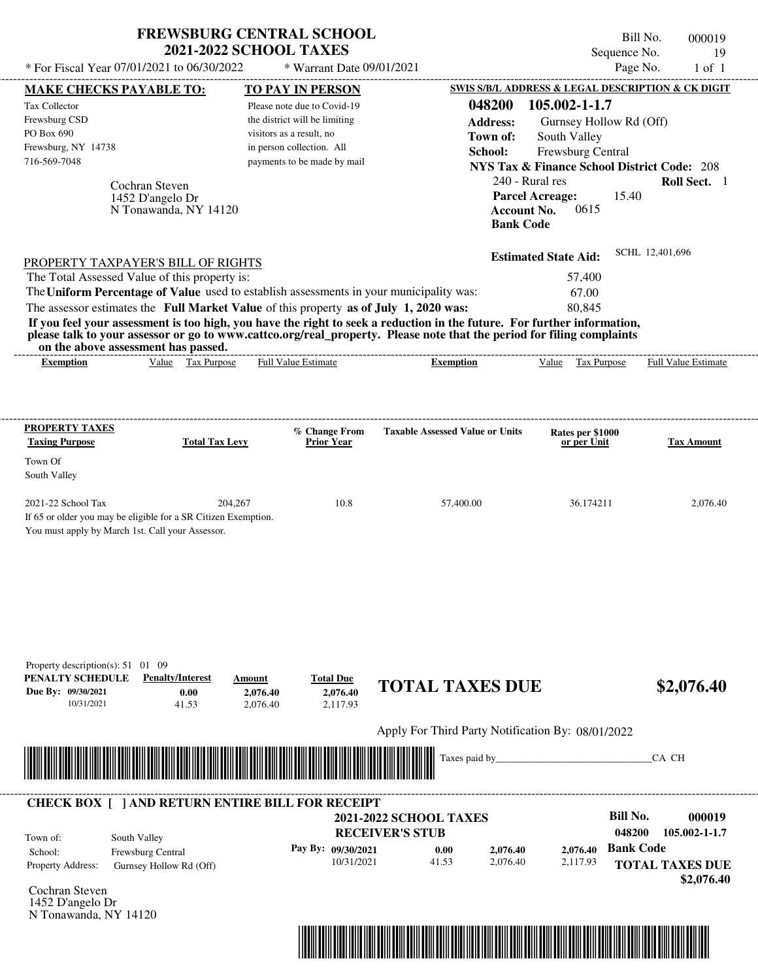| * For Fiscal Year 07/01/2021 to 06/30/2022                                                                                                                                                                                                                                                                                                                                                                                                                                                                                                                         | <b>FREWSBURG CENTRAL SCHOOL</b><br><b>2021-2022 SCHOOL TAXES</b> |                                                                                                            | * Warrant Date 09/01/2021                                  |                                                                                                                                                 |                                                                                                                                                                                              | Sequence No.<br>Page No. | Bill No.        | 000019<br>19<br>$1$ of $1$ |
|--------------------------------------------------------------------------------------------------------------------------------------------------------------------------------------------------------------------------------------------------------------------------------------------------------------------------------------------------------------------------------------------------------------------------------------------------------------------------------------------------------------------------------------------------------------------|------------------------------------------------------------------|------------------------------------------------------------------------------------------------------------|------------------------------------------------------------|-------------------------------------------------------------------------------------------------------------------------------------------------|----------------------------------------------------------------------------------------------------------------------------------------------------------------------------------------------|--------------------------|-----------------|----------------------------|
|                                                                                                                                                                                                                                                                                                                                                                                                                                                                                                                                                                    |                                                                  |                                                                                                            |                                                            |                                                                                                                                                 |                                                                                                                                                                                              |                          |                 |                            |
| <b>MAKE CHECKS PAYABLE TO:</b><br>Tax Collector<br>Frewsburg CSD<br>PO Box 690<br>Frewsburg, NY 14738<br>716-569-7048                                                                                                                                                                                                                                                                                                                                                                                                                                              | Cochran Steven<br>1452 D'angelo Dr<br>N Tonawanda, NY 14120      | TO PAY IN PERSON<br>the district will be limiting<br>visitors as a result, no<br>in person collection. All | Please note due to Covid-19<br>payments to be made by mail | SWIS S/B/L ADDRESS & LEGAL DESCRIPTION & CK DIGIT<br>048200<br><b>Address:</b><br>Town of:<br>School:<br><b>Account No.</b><br><b>Bank Code</b> | 105.002-1-1.7<br>Gurnsey Hollow Rd (Off)<br>South Valley<br>Frewsburg Central<br><b>NYS Tax &amp; Finance School District Code: 208</b><br>240 - Rural res<br><b>Parcel Acreage:</b><br>0615 | 15.40                    |                 | Roll Sect. 1               |
| PROPERTY TAXPAYER'S BILL OF RIGHTS<br>The Total Assessed Value of this property is:<br>The Uniform Percentage of Value used to establish assessments in your municipality was:<br>The assessor estimates the Full Market Value of this property as of July 1, 2020 was:<br>If you feel your assessment is too high, you have the right to seek a reduction in the future. For further information,<br>please talk to your assessor or go to www.cattco.org/real_property. Please note that the period for filing complaints<br>on the above assessment has passed. |                                                                  |                                                                                                            |                                                            |                                                                                                                                                 | <b>Estimated State Aid:</b><br>57,400<br>67.00<br>80,845                                                                                                                                     |                          | SCHL 12,401,696 |                            |
| <b>Exemption</b>                                                                                                                                                                                                                                                                                                                                                                                                                                                                                                                                                   | Value Tax Purpose                                                | <b>Full Value Estimate</b>                                                                                 |                                                            | <b>Exemption</b>                                                                                                                                | Value                                                                                                                                                                                        | Tax Purpose              |                 | Full Value Estimate        |
| <b>PROPERTY TAXES</b><br><b>Taxing Purpose</b><br>Town Of<br>South Valley                                                                                                                                                                                                                                                                                                                                                                                                                                                                                          | <b>Total Tax Levy</b>                                            |                                                                                                            | % Change From<br>Prior Year                                | <b>Taxable Assessed Value or Units</b>                                                                                                          | Rates per \$1000<br>or per Unit                                                                                                                                                              |                          |                 | <b>Tax Amount</b>          |
| 2021-22 School Tax<br>If 65 or older you may be eligible for a SR Citizen Exemption.<br>You must apply by March 1st. Call your Assessor.                                                                                                                                                                                                                                                                                                                                                                                                                           | 204,267                                                          |                                                                                                            | 10.8                                                       | 57,400.00                                                                                                                                       | 36.174211                                                                                                                                                                                    |                          |                 | 2,076.40                   |
| Property description(s): 51 01 09<br>PENALTY SCHEDULE<br>Due By: 09/30/2021<br>10/31/2021                                                                                                                                                                                                                                                                                                                                                                                                                                                                          | <b>Penalty/Interest</b><br>0.00<br>41.53                         | Amount<br>2,076.40<br>2,076.40                                                                             | <b>Total Due</b><br>2,076.40<br>2,117.93                   | <b>TOTAL TAXES DUE</b>                                                                                                                          |                                                                                                                                                                                              |                          |                 | \$2,076.40                 |
|                                                                                                                                                                                                                                                                                                                                                                                                                                                                                                                                                                    |                                                                  |                                                                                                            |                                                            | Apply For Third Party Notification By: 08/01/2022                                                                                               |                                                                                                                                                                                              |                          |                 |                            |
|                                                                                                                                                                                                                                                                                                                                                                                                                                                                                                                                                                    |                                                                  |                                                                                                            |                                                            | Taxes paid by_                                                                                                                                  |                                                                                                                                                                                              |                          | CA CH           |                            |
| <b>CHECK BOX [ ] AND RETURN ENTIRE BILL FOR RECEIPT</b>                                                                                                                                                                                                                                                                                                                                                                                                                                                                                                            |                                                                  |                                                                                                            |                                                            |                                                                                                                                                 |                                                                                                                                                                                              |                          |                 |                            |

|                                                  | <b>CHECK BOX     AND RETURN ENTIRE BILL FOR RECEIPT</b> |                               |       |          |          |                    |                                      |
|--------------------------------------------------|---------------------------------------------------------|-------------------------------|-------|----------|----------|--------------------|--------------------------------------|
|                                                  |                                                         | <b>2021-2022 SCHOOL TAXES</b> |       |          |          | Bill No.           | 000019                               |
| Town of:                                         | South Valley                                            | <b>RECEIVER'S STUB</b>        |       |          |          | 048200             | 105.002-1-1.7                        |
| School:                                          | <b>Frewsburg Central</b>                                | Pay By: 09/30/2021            | 0.00  | 2,076.40 |          | 2,076.40 Bank Code |                                      |
| <b>Property Address:</b><br>$\sim$ $\sim$ $\sim$ | Gurnsey Hollow Rd (Off)                                 | 10/31/2021                    | 41.53 | 2.076.40 | 2,117.93 |                    | <b>TOTAL TAXES DUE</b><br>\$2,076.40 |

Cochran Steven 1452 D'angelo Dr N Tonawanda, NY 14120

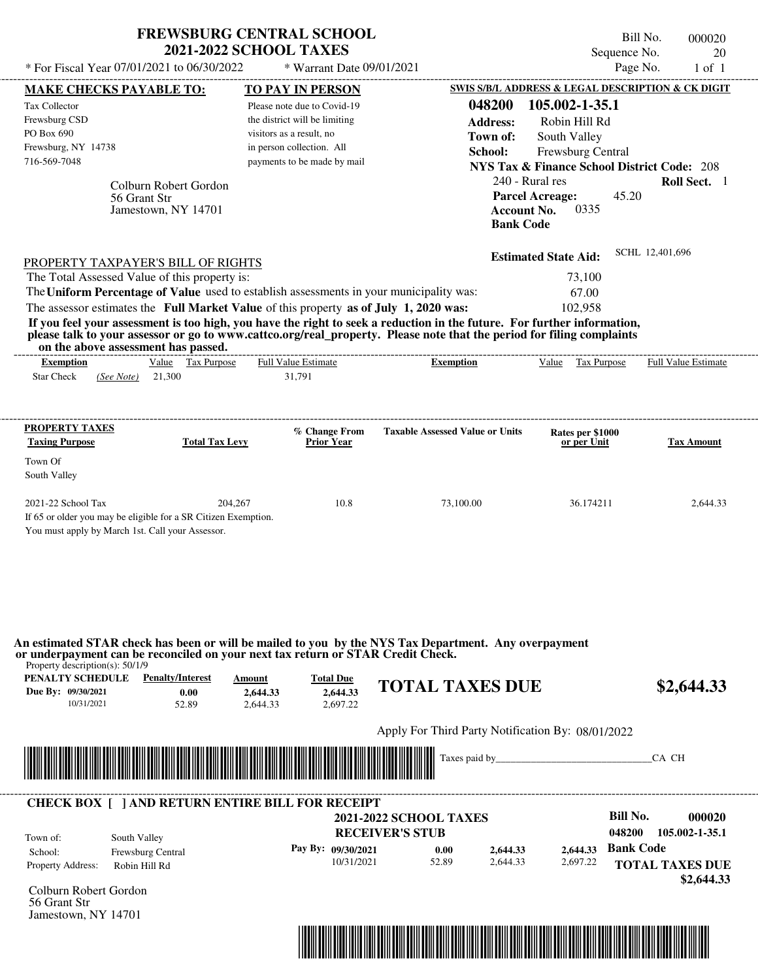|                                               |                                                                                                                    | <b>2021-2022 SCHOOL TAXES</b> | <b>FREWSBURG CENTRAL SCHOOL</b>    |                                                                                                                         | Bill No.                                               | 000020                     |
|-----------------------------------------------|--------------------------------------------------------------------------------------------------------------------|-------------------------------|------------------------------------|-------------------------------------------------------------------------------------------------------------------------|--------------------------------------------------------|----------------------------|
|                                               | * For Fiscal Year 07/01/2021 to 06/30/2022                                                                         |                               | * Warrant Date 09/01/2021          |                                                                                                                         | Sequence No.<br>Page No.                               | 20                         |
|                                               |                                                                                                                    |                               |                                    |                                                                                                                         |                                                        | $1$ of $1$                 |
|                                               | <b>MAKE CHECKS PAYABLE TO:</b>                                                                                     |                               | <b>TO PAY IN PERSON</b>            |                                                                                                                         | SWIS S/B/L ADDRESS & LEGAL DESCRIPTION & CK DIGIT      |                            |
| Tax Collector                                 |                                                                                                                    |                               | Please note due to Covid-19        | 048200                                                                                                                  | 105.002-1-35.1                                         |                            |
| Frewsburg CSD                                 |                                                                                                                    |                               | the district will be limiting      | <b>Address:</b>                                                                                                         | Robin Hill Rd                                          |                            |
| PO Box 690                                    |                                                                                                                    |                               | visitors as a result, no           | Town of:                                                                                                                | South Valley                                           |                            |
| Frewsburg, NY 14738<br>716-569-7048           |                                                                                                                    |                               | in person collection. All          | School:                                                                                                                 | Frewsburg Central                                      |                            |
|                                               |                                                                                                                    |                               | payments to be made by mail        |                                                                                                                         | <b>NYS Tax &amp; Finance School District Code: 208</b> |                            |
|                                               | Colburn Robert Gordon                                                                                              |                               |                                    | 240 - Rural res                                                                                                         |                                                        | Roll Sect. 1               |
|                                               | 56 Grant Str                                                                                                       |                               |                                    |                                                                                                                         | 45.20<br><b>Parcel Acreage:</b>                        |                            |
|                                               | Jamestown, NY 14701                                                                                                |                               |                                    | <b>Account No.</b>                                                                                                      | 0335                                                   |                            |
|                                               |                                                                                                                    |                               |                                    | <b>Bank Code</b>                                                                                                        |                                                        |                            |
|                                               |                                                                                                                    |                               |                                    |                                                                                                                         | <b>Estimated State Aid:</b>                            | SCHL 12,401,696            |
|                                               | PROPERTY TAXPAYER'S BILL OF RIGHTS<br>The Total Assessed Value of this property is:                                |                               |                                    |                                                                                                                         | 73,100                                                 |                            |
|                                               | The Uniform Percentage of Value used to establish assessments in your municipality was:                            |                               |                                    |                                                                                                                         | 67.00                                                  |                            |
|                                               | The assessor estimates the Full Market Value of this property as of July 1, 2020 was:                              |                               |                                    |                                                                                                                         | 102,958                                                |                            |
|                                               |                                                                                                                    |                               |                                    | If you feel your assessment is too high, you have the right to seek a reduction in the future. For further information, |                                                        |                            |
|                                               | on the above assessment has passed.                                                                                |                               |                                    | please talk to your assessor or go to www.cattco.org/real_property. Please note that the period for filing complaints   |                                                        |                            |
| <b>Exemption</b>                              | Value Tax Purpose                                                                                                  |                               | <b>Full Value Estimate</b>         | <b>Exemption</b>                                                                                                        | Value Tax Purpose                                      | <b>Full Value Estimate</b> |
| <b>PROPERTY TAXES</b>                         | <b>Total Tax Levy</b>                                                                                              |                               | % Change From<br><b>Prior Year</b> | <b>Taxable Assessed Value or Units</b>                                                                                  | Rates per \$1000<br>or per Unit                        | Tax Amount                 |
| <b>Taxing Purpose</b>                         |                                                                                                                    |                               |                                    |                                                                                                                         |                                                        |                            |
|                                               |                                                                                                                    |                               |                                    |                                                                                                                         |                                                        |                            |
| Town Of<br>South Valley<br>2021-22 School Tax |                                                                                                                    | 204,267                       | 10.8                               | 73,100.00                                                                                                               | 36.174211                                              | 2,644.33                   |
|                                               |                                                                                                                    |                               |                                    |                                                                                                                         |                                                        |                            |
|                                               | If 65 or older you may be eligible for a SR Citizen Exemption.<br>You must apply by March 1st. Call your Assessor. |                               |                                    |                                                                                                                         |                                                        |                            |

Apply For Third Party Notification By: 08/01/2022



| Town of:                 | South Valley             | <b>2021-2022 SCHOOL TAXES</b><br><b>RECEIVER'S STUB</b> |       |          |          | Bill No.<br>048200     | 000020<br>105.002-1-35.1 |
|--------------------------|--------------------------|---------------------------------------------------------|-------|----------|----------|------------------------|--------------------------|
| School:                  | <b>Frewsburg Central</b> | Pay By: 09/30/2021                                      | 0.00  | 2,644.33 | 2.644.33 | <b>Bank Code</b>       |                          |
| <b>Property Address:</b> | Robin Hill Rd            | 10/31/2021                                              | 52.89 | 2.644.33 | 2,697.22 | <b>TOTAL TAXES DUE</b> | \$2,644.33               |



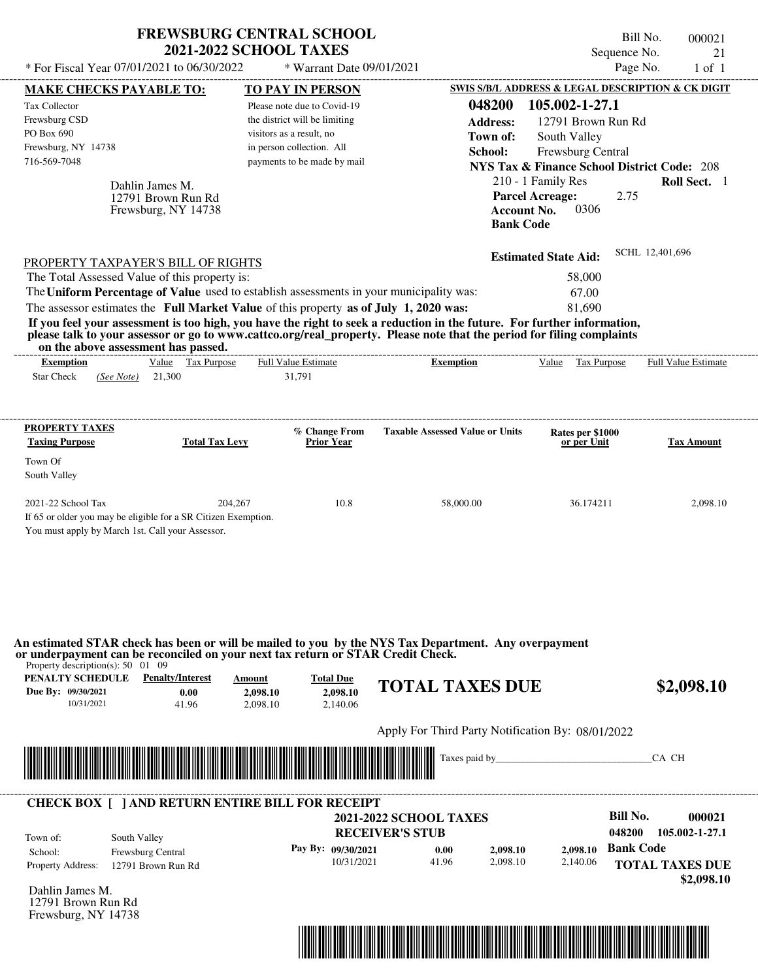| SWIS S/B/L ADDRESS & LEGAL DESCRIPTION & CK DIGIT<br>TO PAY IN PERSON<br><b>MAKE CHECKS PAYABLE TO:</b><br>048200<br>105.002-1-27.1<br>Tax Collector<br>Please note due to Covid-19<br>Frewsburg CSD<br>the district will be limiting<br><b>Address:</b><br>12791 Brown Run Rd<br>PO Box 690<br>visitors as a result, no<br>Town of:<br>South Valley<br>in person collection. All<br>Frewsburg, NY 14738<br><b>Frewsburg Central</b><br>School:<br>716-569-7048<br>payments to be made by mail<br><b>NYS Tax &amp; Finance School District Code: 208</b><br>210 - 1 Family Res<br>Dahlin James M.<br><b>Parcel Acreage:</b><br>2.75<br>12791 Brown Run Rd<br>0306<br><b>Account No.</b><br>Frewsburg, NY 14738<br><b>Bank Code</b><br>SCHL 12,401,696<br><b>Estimated State Aid:</b><br>PROPERTY TAXPAYER'S BILL OF RIGHTS<br>The Total Assessed Value of this property is:<br>58,000<br>The Uniform Percentage of Value used to establish assessments in your municipality was:<br>67.00<br>The assessor estimates the Full Market Value of this property as of July 1, 2020 was:<br>81,690<br>If you feel your assessment is too high, you have the right to seek a reduction in the future. For further information,<br>please talk to your assessor or go to www.cattco.org/real_property. Please note that the period for filing complaints<br>on the above assessment has passed.<br>Value Tax Purpose<br><b>Full Value Estimate</b><br>Value Tax Purpose<br><b>Full Value Estimate</b><br><b>Exemption</b><br><b>Exemption</b><br><b>Star Check</b><br>21,300<br>31,791<br>(See Note)<br><b>PROPERTY TAXES</b><br>% Change From<br><b>Taxable Assessed Value or Units</b><br>Rates per \$1000<br><b>Taxing Purpose</b><br><b>Total Tax Levy</b><br><b>Prior Year</b><br>or per Unit<br>Town Of<br>South Valley | * For Fiscal Year 07/01/2021 to 06/30/2022                                                                                                             | <b>2021-2022 SCHOOL TAXES</b>     | <b>FREWSBURG CENTRAL SCHOOL</b><br>* Warrant Date 09/01/2021 |                                                                                                                                | Bill No.<br>Sequence No.<br>Page No. | 000021<br>21<br>$1$ of $1$ |
|-----------------------------------------------------------------------------------------------------------------------------------------------------------------------------------------------------------------------------------------------------------------------------------------------------------------------------------------------------------------------------------------------------------------------------------------------------------------------------------------------------------------------------------------------------------------------------------------------------------------------------------------------------------------------------------------------------------------------------------------------------------------------------------------------------------------------------------------------------------------------------------------------------------------------------------------------------------------------------------------------------------------------------------------------------------------------------------------------------------------------------------------------------------------------------------------------------------------------------------------------------------------------------------------------------------------------------------------------------------------------------------------------------------------------------------------------------------------------------------------------------------------------------------------------------------------------------------------------------------------------------------------------------------------------------------------------------------------------------------------------------------------------------------------------------------------------|--------------------------------------------------------------------------------------------------------------------------------------------------------|-----------------------------------|--------------------------------------------------------------|--------------------------------------------------------------------------------------------------------------------------------|--------------------------------------|----------------------------|
|                                                                                                                                                                                                                                                                                                                                                                                                                                                                                                                                                                                                                                                                                                                                                                                                                                                                                                                                                                                                                                                                                                                                                                                                                                                                                                                                                                                                                                                                                                                                                                                                                                                                                                                                                                                                                       |                                                                                                                                                        |                                   |                                                              |                                                                                                                                |                                      |                            |
|                                                                                                                                                                                                                                                                                                                                                                                                                                                                                                                                                                                                                                                                                                                                                                                                                                                                                                                                                                                                                                                                                                                                                                                                                                                                                                                                                                                                                                                                                                                                                                                                                                                                                                                                                                                                                       |                                                                                                                                                        |                                   |                                                              |                                                                                                                                |                                      | Roll Sect. 1               |
|                                                                                                                                                                                                                                                                                                                                                                                                                                                                                                                                                                                                                                                                                                                                                                                                                                                                                                                                                                                                                                                                                                                                                                                                                                                                                                                                                                                                                                                                                                                                                                                                                                                                                                                                                                                                                       |                                                                                                                                                        |                                   |                                                              |                                                                                                                                |                                      |                            |
|                                                                                                                                                                                                                                                                                                                                                                                                                                                                                                                                                                                                                                                                                                                                                                                                                                                                                                                                                                                                                                                                                                                                                                                                                                                                                                                                                                                                                                                                                                                                                                                                                                                                                                                                                                                                                       |                                                                                                                                                        |                                   |                                                              |                                                                                                                                |                                      |                            |
|                                                                                                                                                                                                                                                                                                                                                                                                                                                                                                                                                                                                                                                                                                                                                                                                                                                                                                                                                                                                                                                                                                                                                                                                                                                                                                                                                                                                                                                                                                                                                                                                                                                                                                                                                                                                                       |                                                                                                                                                        |                                   |                                                              |                                                                                                                                |                                      |                            |
|                                                                                                                                                                                                                                                                                                                                                                                                                                                                                                                                                                                                                                                                                                                                                                                                                                                                                                                                                                                                                                                                                                                                                                                                                                                                                                                                                                                                                                                                                                                                                                                                                                                                                                                                                                                                                       |                                                                                                                                                        |                                   |                                                              |                                                                                                                                |                                      |                            |
| 2021-22 School Tax<br>10.8<br>204,267<br>58,000.00<br>36.174211<br>If 65 or older you may be eligible for a SR Citizen Exemption.<br>You must apply by March 1st. Call your Assessor.                                                                                                                                                                                                                                                                                                                                                                                                                                                                                                                                                                                                                                                                                                                                                                                                                                                                                                                                                                                                                                                                                                                                                                                                                                                                                                                                                                                                                                                                                                                                                                                                                                 |                                                                                                                                                        |                                   |                                                              |                                                                                                                                |                                      | <b>Tax Amount</b>          |
| Due By: 09/30/2021<br>2,098.10<br>0.00<br>2,098.10                                                                                                                                                                                                                                                                                                                                                                                                                                                                                                                                                                                                                                                                                                                                                                                                                                                                                                                                                                                                                                                                                                                                                                                                                                                                                                                                                                                                                                                                                                                                                                                                                                                                                                                                                                    | or underpayment can be reconciled on your next tax return or STAR Credit Check.<br>Property description(s): $50 \quad 01 \quad 09$<br>PENALTY SCHEDULE | <b>Penalty/Interest</b><br>Amount | <b>Total Due</b>                                             | An estimated STAR check has been or will be mailed to you by the NYS Tax Department. Any overpayment<br><b>TOTAL TAXES DUE</b> |                                      | 2,098.10<br>\$2,098.10     |



| Town of:                 | South Valley             | <b>2021-2022 SCHOOL TAXES</b><br><b>RECEIVER'S STUB</b> |       |          |          | Bill No.<br>048200 | 000021<br>105.002-1-27.1             |
|--------------------------|--------------------------|---------------------------------------------------------|-------|----------|----------|--------------------|--------------------------------------|
| School:                  | <b>Frewsburg Central</b> | Pay By: 09/30/2021                                      | 0.00  | 2,098.10 | 2.098.10 | <b>Bank Code</b>   |                                      |
| <b>Property Address:</b> | 12791 Brown Run Rd       | 10/31/2021                                              | 41.96 | 2,098.10 | 2,140.06 |                    | <b>TOTAL TAXES DUE</b><br>\$2,098.10 |

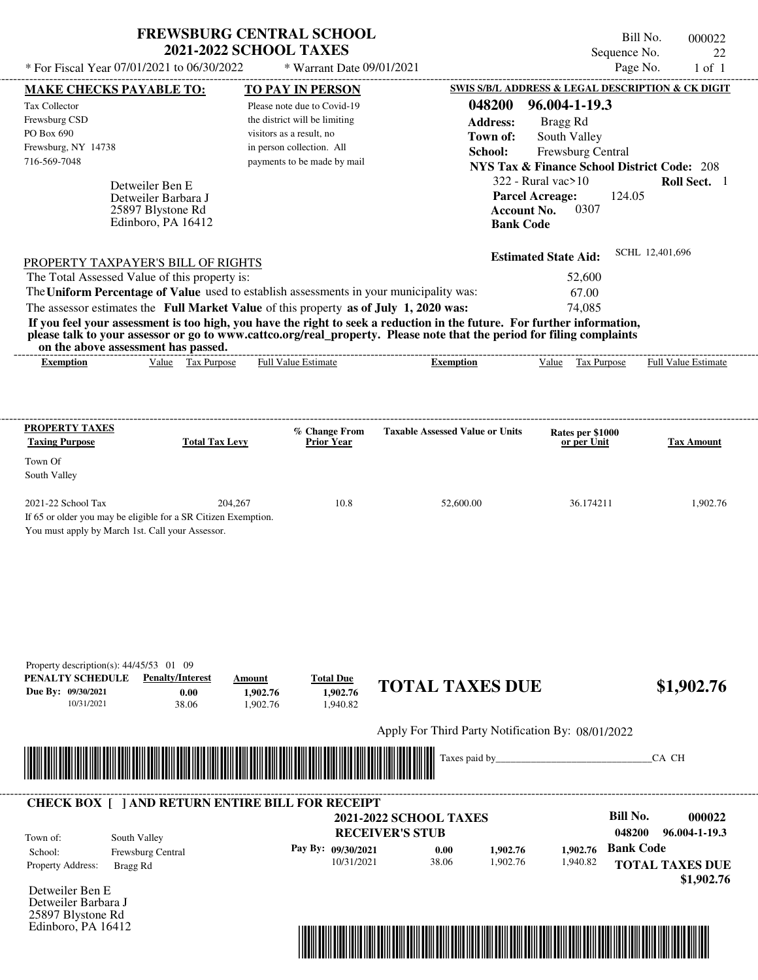|                                                                                       |                                                                                     | <b>2021-2022 SCHOOL TAXES</b> | <b>FREWSBURG CENTRAL SCHOOL</b> |                                                                                                                                                                                                                                                  | Bill No.<br>Sequence No.                               | 000022<br>22               |
|---------------------------------------------------------------------------------------|-------------------------------------------------------------------------------------|-------------------------------|---------------------------------|--------------------------------------------------------------------------------------------------------------------------------------------------------------------------------------------------------------------------------------------------|--------------------------------------------------------|----------------------------|
|                                                                                       | * For Fiscal Year 07/01/2021 to 06/30/2022                                          |                               | * Warrant Date 09/01/2021       |                                                                                                                                                                                                                                                  | Page No.                                               | $1$ of $1$                 |
|                                                                                       | <b>MAKE CHECKS PAYABLE TO:</b>                                                      |                               | <b>TO PAY IN PERSON</b>         |                                                                                                                                                                                                                                                  | SWIS S/B/L ADDRESS & LEGAL DESCRIPTION & CK DIGIT      |                            |
| <b>Tax Collector</b>                                                                  |                                                                                     |                               | Please note due to Covid-19     | 048200                                                                                                                                                                                                                                           | 96.004-1-19.3                                          |                            |
| Frewsburg CSD                                                                         |                                                                                     |                               | the district will be limiting   | <b>Address:</b>                                                                                                                                                                                                                                  | Bragg Rd                                               |                            |
| PO Box 690                                                                            |                                                                                     |                               | visitors as a result, no        | Town of:                                                                                                                                                                                                                                         | South Valley                                           |                            |
| Frewsburg, NY 14738                                                                   |                                                                                     |                               | in person collection. All       | School:                                                                                                                                                                                                                                          | Frewsburg Central                                      |                            |
| 716-569-7048                                                                          |                                                                                     |                               | payments to be made by mail     |                                                                                                                                                                                                                                                  | <b>NYS Tax &amp; Finance School District Code: 208</b> |                            |
|                                                                                       | Detweiler Ben E                                                                     |                               |                                 |                                                                                                                                                                                                                                                  | $322 -$ Rural vac $>10$                                | Roll Sect. 1               |
|                                                                                       | Detweiler Barbara J                                                                 |                               |                                 | <b>Parcel Acreage:</b>                                                                                                                                                                                                                           | 124.05                                                 |                            |
|                                                                                       | 25897 Blystone Rd                                                                   |                               |                                 | <b>Account No.</b>                                                                                                                                                                                                                               | 0307                                                   |                            |
|                                                                                       | Edinboro, PA 16412                                                                  |                               |                                 | <b>Bank Code</b>                                                                                                                                                                                                                                 |                                                        |                            |
|                                                                                       |                                                                                     |                               |                                 |                                                                                                                                                                                                                                                  | <b>Estimated State Aid:</b>                            | SCHL 12,401,696            |
|                                                                                       | PROPERTY TAXPAYER'S BILL OF RIGHTS<br>The Total Assessed Value of this property is: |                               |                                 |                                                                                                                                                                                                                                                  | 52,600                                                 |                            |
|                                                                                       |                                                                                     |                               |                                 | The Uniform Percentage of Value used to establish assessments in your municipality was:                                                                                                                                                          | 67.00                                                  |                            |
|                                                                                       |                                                                                     |                               |                                 |                                                                                                                                                                                                                                                  | 74,085                                                 |                            |
| The assessor estimates the Full Market Value of this property as of July 1, 2020 was: |                                                                                     |                               |                                 | If you feel your assessment is too high, you have the right to seek a reduction in the future. For further information,<br>please talk to your assessor or go to www.cattco.org/real_property. Please note that the period for filing complaints |                                                        |                            |
| <b>Exemption</b>                                                                      | on the above assessment has passed.<br>Value Tax Purpose                            |                               | <b>Full Value Estimate</b>      | <b>Exemption</b>                                                                                                                                                                                                                                 | Value<br>Tax Purpose                                   | <b>Full Value Estimate</b> |
| <b>Taxing Purpose</b>                                                                 |                                                                                     | <b>Total Tax Levy</b>         | % Change From<br>Prior Year     | <b>Taxable Assessed Value or Units</b>                                                                                                                                                                                                           | Rates per \$1000<br>or per Unit                        | <b>Tax Amount</b>          |
| <b>PROPERTY TAXES</b><br>Town Of<br>South Valley                                      |                                                                                     |                               |                                 |                                                                                                                                                                                                                                                  |                                                        |                            |
| 2021-22 School Tax                                                                    | If 65 or older you may be eligible for a SR Citizen Exemption.                      | 204,267                       | 10.8                            | 52,600.00                                                                                                                                                                                                                                        | 36.174211                                              | 1,902.76                   |

Apply For Third Party Notification By: 08/01/2022



## Detweiler Ben E **RECEIVER'S STUB Bill No. 000022 Bank Code 1,902.76** Property Address: Bragg Rd South Valley School: Frewsburg Central **TOTAL TAXES DUE \$1,902.76 2021-2022 SCHOOL TAXES 048200 96.004-1-19.3 Pay By: 09/30/2021** 10/31/2021 38.06 **0.00** 1,902.76 **1,902.76** 1,940.82 Town of: ---------------------------------------------------------------------------------------------------------------------------------------------------------------------------------------------------- **CHECK BOX [ ] AND RETURN ENTIRE BILL FOR RECEIPT**

Detweiler Barbara J 25897 Blystone Rd Edinboro, PA 16412

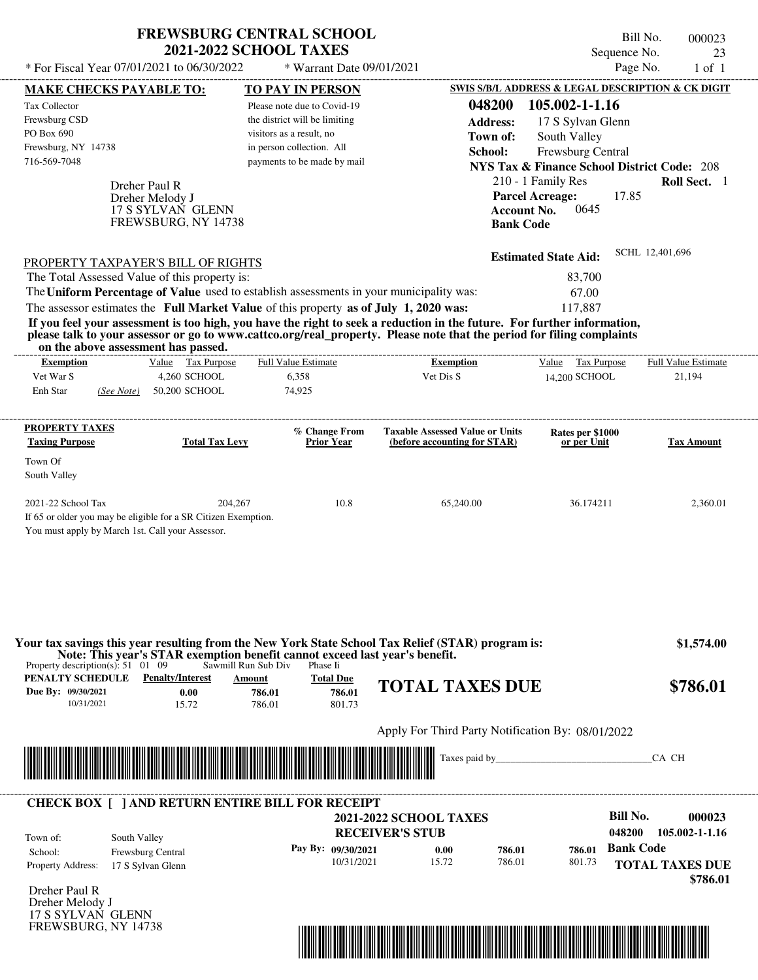| <b>FREWSBURG CENTRAL SCHOOL</b> |
|---------------------------------|
| <b>2021-2022 SCHOOL TAXES</b>   |

 $*$  For Fiscal Year 07/01/2021 to 06/30/2022  $*$  Warrant Date 09/01/2021 Page No. 1 of 1

Bill No. 000023 Sequence No. 23<br>Page No. 23<br>1 of 1

| <b>MAKE CHECKS PAYABLE TO:</b>                                      |                                                                                                                        | <b>TO PAY IN PERSON</b>                                                                 |                                                                                                                         | SWIS S/B/L ADDRESS & LEGAL DESCRIPTION & CK DIGIT      |                            |
|---------------------------------------------------------------------|------------------------------------------------------------------------------------------------------------------------|-----------------------------------------------------------------------------------------|-------------------------------------------------------------------------------------------------------------------------|--------------------------------------------------------|----------------------------|
| Tax Collector                                                       |                                                                                                                        | Please note due to Covid-19                                                             | 048200                                                                                                                  | 105.002-1-1.16                                         |                            |
| Frewsburg CSD                                                       |                                                                                                                        | the district will be limiting                                                           | <b>Address:</b>                                                                                                         | 17 S Sylvan Glenn                                      |                            |
| PO Box 690                                                          |                                                                                                                        | visitors as a result, no                                                                | Town of:                                                                                                                | South Valley                                           |                            |
| Frewsburg, NY 14738                                                 |                                                                                                                        | in person collection. All                                                               | School:                                                                                                                 | Frewsburg Central                                      |                            |
| 716-569-7048                                                        |                                                                                                                        | payments to be made by mail                                                             |                                                                                                                         | <b>NYS Tax &amp; Finance School District Code: 208</b> |                            |
|                                                                     | Dreher Paul R                                                                                                          |                                                                                         |                                                                                                                         | 210 - 1 Family Res                                     | Roll Sect. 1               |
|                                                                     | Dreher Melody J                                                                                                        |                                                                                         |                                                                                                                         | <b>Parcel Acreage:</b><br>17.85                        |                            |
|                                                                     | 17 S SYLVAN GLENN                                                                                                      |                                                                                         | <b>Account No.</b>                                                                                                      | 0645                                                   |                            |
|                                                                     | FREWSBURG, NY 14738                                                                                                    |                                                                                         | <b>Bank Code</b>                                                                                                        |                                                        |                            |
|                                                                     |                                                                                                                        |                                                                                         |                                                                                                                         | <b>Estimated State Aid:</b>                            | SCHL 12,401,696            |
| <b>PROPERTY TAXPAYER'S BILL OF RIGHTS</b>                           |                                                                                                                        |                                                                                         |                                                                                                                         |                                                        |                            |
| The Total Assessed Value of this property is:                       |                                                                                                                        | The Uniform Percentage of Value used to establish assessments in your municipality was: |                                                                                                                         | 83,700<br>67.00                                        |                            |
|                                                                     |                                                                                                                        | The assessor estimates the Full Market Value of this property as of July 1, 2020 was:   |                                                                                                                         | 117,887                                                |                            |
|                                                                     |                                                                                                                        |                                                                                         | If you feel your assessment is too high, you have the right to seek a reduction in the future. For further information, |                                                        |                            |
|                                                                     |                                                                                                                        |                                                                                         | please talk to your assessor or go to www.cattco.org/real_property. Please note that the period for filing complaints   |                                                        |                            |
| on the above assessment has passed.<br><b>Exemption</b>             | Value Tax Purpose                                                                                                      | <b>Full Value Estimate</b>                                                              | <b>Exemption</b>                                                                                                        | Value Tax Purpose                                      | <b>Full Value Estimate</b> |
| Vet War S                                                           | 4,260 SCHOOL                                                                                                           | 6,358                                                                                   | Vet Dis S                                                                                                               | 14.200 SCHOOL                                          | 21,194                     |
| Enh Star                                                            | (See Note) 50,200 SCHOOL                                                                                               | 74,925                                                                                  |                                                                                                                         |                                                        |                            |
|                                                                     |                                                                                                                        |                                                                                         |                                                                                                                         |                                                        |                            |
| <b>PROPERTY TAXES</b><br><b>Taxing Purpose</b>                      | <b>Total Tax Levy</b>                                                                                                  | % Change From<br><b>Prior Year</b>                                                      | <b>Taxable Assessed Value or Units</b><br>(before accounting for STAR)                                                  | Rates per \$1000<br>or per Unit                        | <b>Tax Amount</b>          |
| Town Of                                                             |                                                                                                                        |                                                                                         |                                                                                                                         |                                                        |                            |
| South Valley                                                        |                                                                                                                        |                                                                                         |                                                                                                                         |                                                        |                            |
| 2021-22 School Tax                                                  | 204,267                                                                                                                | 10.8                                                                                    | 65,240.00                                                                                                               | 36.174211                                              | 2,360.01                   |
|                                                                     | If 65 or older you may be eligible for a SR Citizen Exemption.                                                         |                                                                                         |                                                                                                                         |                                                        |                            |
| You must apply by March 1st. Call your Assessor.                    |                                                                                                                        |                                                                                         |                                                                                                                         |                                                        |                            |
|                                                                     |                                                                                                                        |                                                                                         |                                                                                                                         |                                                        |                            |
|                                                                     |                                                                                                                        |                                                                                         |                                                                                                                         |                                                        |                            |
|                                                                     |                                                                                                                        |                                                                                         |                                                                                                                         |                                                        |                            |
|                                                                     |                                                                                                                        |                                                                                         |                                                                                                                         |                                                        |                            |
|                                                                     |                                                                                                                        |                                                                                         |                                                                                                                         |                                                        |                            |
|                                                                     |                                                                                                                        | Note: This year's STAR exemption benefit cannot exceed last year's benefit.             | Your tax savings this year resulting from the New York State School Tax Relief (STAR) program is:                       |                                                        | \$1,574.00                 |
| Property description(s): $51 \quad 01 \quad 09$<br>PENALTY SCHEDULE | <b>Penalty/Interest</b>                                                                                                | Sawmill Run Sub Div<br>Phase Ii                                                         |                                                                                                                         |                                                        |                            |
| Due By: 09/30/2021                                                  | 0.00                                                                                                                   | <b>Total Due</b><br>Amount<br>786.01<br>786.01                                          | <b>TOTAL TAXES DUE</b>                                                                                                  |                                                        | \$786.01                   |
| 10/31/2021                                                          | 15.72                                                                                                                  | 801.73<br>786.01                                                                        |                                                                                                                         |                                                        |                            |
|                                                                     |                                                                                                                        |                                                                                         | Apply For Third Party Notification By: 08/01/2022                                                                       |                                                        |                            |
|                                                                     |                                                                                                                        |                                                                                         |                                                                                                                         |                                                        |                            |
|                                                                     | <u> Andrew Maria (1989), provincia de la contrada de la contrada de la contrada de la contrada de la contrada de l</u> |                                                                                         | Taxes paid by                                                                                                           |                                                        | CA CH                      |
|                                                                     |                                                                                                                        |                                                                                         |                                                                                                                         |                                                        |                            |
|                                                                     |                                                                                                                        | <b>CHECK BOX [ ] AND RETURN ENTIRE BILL FOR RECEIPT</b>                                 |                                                                                                                         |                                                        |                            |
|                                                                     |                                                                                                                        |                                                                                         | <b>2021-2022 SCHOOL TAXES</b>                                                                                           | <b>Bill No.</b>                                        | 000023                     |
| Town of:                                                            | South Valley                                                                                                           |                                                                                         | <b>RECEIVER'S STUB</b>                                                                                                  | 048200                                                 | 105.002-1-1.16             |
| School:                                                             | Frewsburg Central                                                                                                      | Pay By: 09/30/2021                                                                      | 0.00<br>786.01                                                                                                          | <b>Bank Code</b><br>786.01                             |                            |
| <b>Property Address:</b>                                            | 17 S Sylvan Glenn                                                                                                      | 10/31/2021                                                                              | 15.72<br>786.01                                                                                                         | 801.73                                                 | <b>TOTAL TAXES DUE</b>     |
| Dreher Paul R                                                       |                                                                                                                        |                                                                                         |                                                                                                                         |                                                        | \$786.01                   |
| Dreher Melody J                                                     |                                                                                                                        |                                                                                         |                                                                                                                         |                                                        |                            |
| 17 S SYLVAN GLENN                                                   |                                                                                                                        |                                                                                         |                                                                                                                         |                                                        |                            |
| FREWSBURG, NY 14738                                                 |                                                                                                                        |                                                                                         |                                                                                                                         |                                                        |                            |
|                                                                     |                                                                                                                        |                                                                                         | <u> 1989 - Johann Stoff, Amerikaansk politiker († 1989)</u>                                                             |                                                        |                            |
|                                                                     |                                                                                                                        |                                                                                         |                                                                                                                         |                                                        |                            |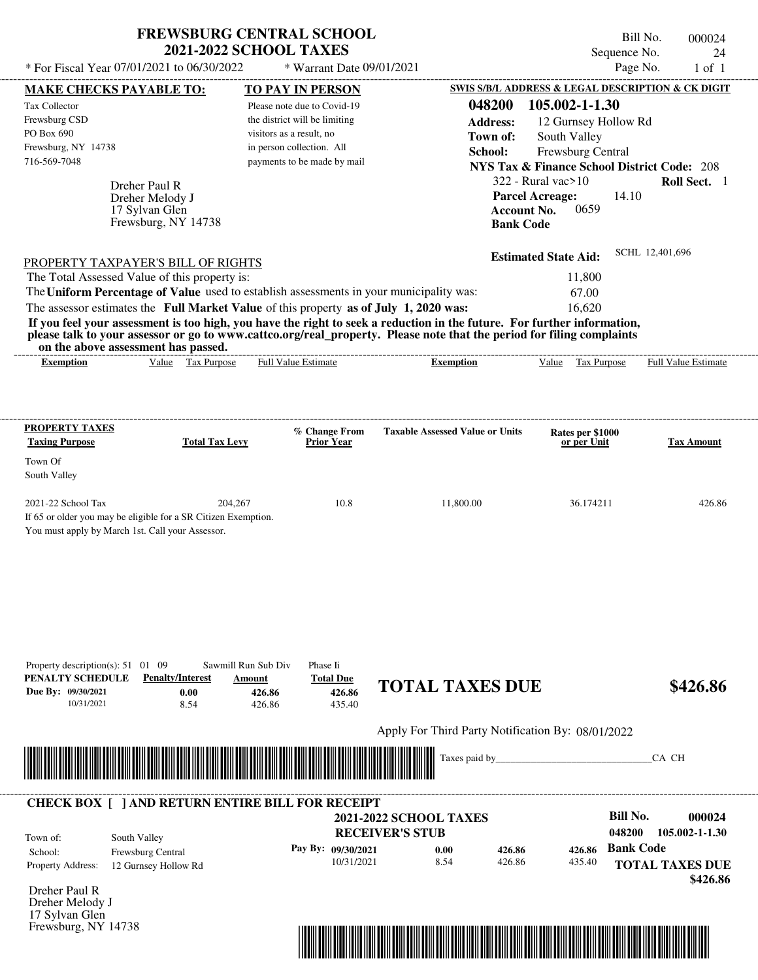| * For Fiscal Year 07/01/2021 to 06/30/2022                                                                                                                                                                                                                                                                                       | <b>FREWSBURG CENTRAL SCHOOL</b><br><b>2021-2022 SCHOOL TAXES</b> | * Warrant Date 09/01/2021                        |                                                                 |                                                        | Bill No.<br>Sequence No.<br>Page No.          | 000024<br>24<br>$1$ of $1$         |
|----------------------------------------------------------------------------------------------------------------------------------------------------------------------------------------------------------------------------------------------------------------------------------------------------------------------------------|------------------------------------------------------------------|--------------------------------------------------|-----------------------------------------------------------------|--------------------------------------------------------|-----------------------------------------------|------------------------------------|
|                                                                                                                                                                                                                                                                                                                                  |                                                                  |                                                  |                                                                 | SWIS S/B/L ADDRESS & LEGAL DESCRIPTION & CK DIGIT      |                                               |                                    |
| <b>MAKE CHECKS PAYABLE TO:</b><br>Tax Collector                                                                                                                                                                                                                                                                                  |                                                                  | TO PAY IN PERSON<br>Please note due to Covid-19  |                                                                 | 048200<br>105.002-1-1.30                               |                                               |                                    |
| Frewsburg CSD                                                                                                                                                                                                                                                                                                                    |                                                                  | the district will be limiting                    |                                                                 | <b>Address:</b>                                        | 12 Gurnsey Hollow Rd                          |                                    |
| PO Box 690                                                                                                                                                                                                                                                                                                                       | visitors as a result, no                                         |                                                  |                                                                 | South Valley<br>Town of:                               |                                               |                                    |
| Frewsburg, NY 14738                                                                                                                                                                                                                                                                                                              | in person collection. All                                        |                                                  |                                                                 | School:<br>Frewsburg Central                           |                                               |                                    |
| 716-569-7048                                                                                                                                                                                                                                                                                                                     |                                                                  | payments to be made by mail                      |                                                                 | <b>NYS Tax &amp; Finance School District Code: 208</b> |                                               |                                    |
|                                                                                                                                                                                                                                                                                                                                  |                                                                  |                                                  |                                                                 | $322$ - Rural vac $>10$                                |                                               | Roll Sect. 1                       |
| Dreher Paul R<br>Dreher Melody J                                                                                                                                                                                                                                                                                                 |                                                                  |                                                  |                                                                 | <b>Parcel Acreage:</b>                                 | 14.10                                         |                                    |
| 17 Sylvan Glen                                                                                                                                                                                                                                                                                                                   |                                                                  |                                                  |                                                                 | <b>Account No.</b>                                     | 0659                                          |                                    |
| Frewsburg, NY 14738                                                                                                                                                                                                                                                                                                              |                                                                  |                                                  |                                                                 | <b>Bank Code</b>                                       |                                               |                                    |
|                                                                                                                                                                                                                                                                                                                                  |                                                                  |                                                  |                                                                 |                                                        |                                               |                                    |
| PROPERTY TAXPAYER'S BILL OF RIGHTS                                                                                                                                                                                                                                                                                               |                                                                  |                                                  |                                                                 | <b>Estimated State Aid:</b>                            |                                               | SCHL 12,401,696                    |
| The Total Assessed Value of this property is:                                                                                                                                                                                                                                                                                    |                                                                  |                                                  |                                                                 | 11,800                                                 |                                               |                                    |
| The Uniform Percentage of Value used to establish assessments in your municipality was:                                                                                                                                                                                                                                          |                                                                  |                                                  |                                                                 | 67.00                                                  |                                               |                                    |
| The assessor estimates the Full Market Value of this property as of July 1, 2020 was:                                                                                                                                                                                                                                            |                                                                  |                                                  |                                                                 | 16,620                                                 |                                               |                                    |
| If you feel your assessment is too high, you have the right to seek a reduction in the future. For further information,<br>please talk to your assessor or go to www.cattco.org/real_property. Please note that the period for filing complaints<br>on the above assessment has passed.<br>Value Tax Purpose<br><b>Exemption</b> | Full Value Estimate                                              |                                                  | <b>Exemption</b>                                                | Value Tax Purpose                                      |                                               | <b>Full Value Estimate</b>         |
|                                                                                                                                                                                                                                                                                                                                  |                                                                  |                                                  |                                                                 |                                                        |                                               |                                    |
| <b>PROPERTY TAXES</b>                                                                                                                                                                                                                                                                                                            |                                                                  | % Change From                                    | <b>Taxable Assessed Value or Units</b>                          | Rates per \$1000                                       |                                               |                                    |
| <b>Taxing Purpose</b>                                                                                                                                                                                                                                                                                                            | <b>Total Tax Levy</b>                                            | <b>Prior Year</b>                                |                                                                 | or per Unit                                            |                                               | <b>Tax Amount</b>                  |
| Town Of                                                                                                                                                                                                                                                                                                                          |                                                                  |                                                  |                                                                 |                                                        |                                               |                                    |
| South Valley                                                                                                                                                                                                                                                                                                                     |                                                                  |                                                  |                                                                 |                                                        |                                               |                                    |
| 2021-22 School Tax                                                                                                                                                                                                                                                                                                               | 204,267                                                          | 10.8                                             | 11,800.00                                                       |                                                        | 36.174211                                     | 426.86                             |
| If 65 or older you may be eligible for a SR Citizen Exemption.                                                                                                                                                                                                                                                                   |                                                                  |                                                  |                                                                 |                                                        |                                               |                                    |
| You must apply by March 1st. Call your Assessor.                                                                                                                                                                                                                                                                                 |                                                                  |                                                  |                                                                 |                                                        |                                               |                                    |
| Property description(s): $51 \quad 01 \quad 09$<br>PENALTY SCHEDULE<br><b>Penalty/Interest</b><br>Due By: 09/30/2021<br>0.00<br>10/31/2021<br>8.54                                                                                                                                                                               | Sawmill Run Sub Div<br>Amount<br>426.86<br>426.86                | Phase Ii<br><b>Total Due</b><br>426.86<br>435.40 | <b>TOTAL TAXES DUE</b>                                          |                                                        |                                               | \$426.86                           |
|                                                                                                                                                                                                                                                                                                                                  |                                                                  |                                                  | Apply For Third Party Notification By: 08/01/2022               |                                                        |                                               |                                    |
|                                                                                                                                                                                                                                                                                                                                  |                                                                  |                                                  | Taxes paid by_                                                  |                                                        |                                               | CA CH                              |
| <b>CHECK BOX [ ] AND RETURN ENTIRE BILL FOR RECEIPT</b><br>South Valley<br>Town of:                                                                                                                                                                                                                                              |                                                                  | Pay By: 09/30/2021                               | <b>2021-2022 SCHOOL TAXES</b><br><b>RECEIVER'S STUB</b><br>0.00 | 426.86<br>426.86                                       | <b>Bill No.</b><br>048200<br><b>Bank Code</b> | 000024<br>105.002-1-1.30           |
| School:<br>Frewsburg Central                                                                                                                                                                                                                                                                                                     |                                                                  | 10/31/2021                                       | 8.54                                                            | 426.86<br>435.40                                       |                                               |                                    |
| Property Address:<br>12 Gurnsey Hollow Rd                                                                                                                                                                                                                                                                                        |                                                                  |                                                  |                                                                 |                                                        |                                               | <b>TOTAL TAXES DUE</b><br>\$426.86 |

Dreher Paul R Dreher Melody J 17 Sylvan Glen Frewsburg, NY 14738

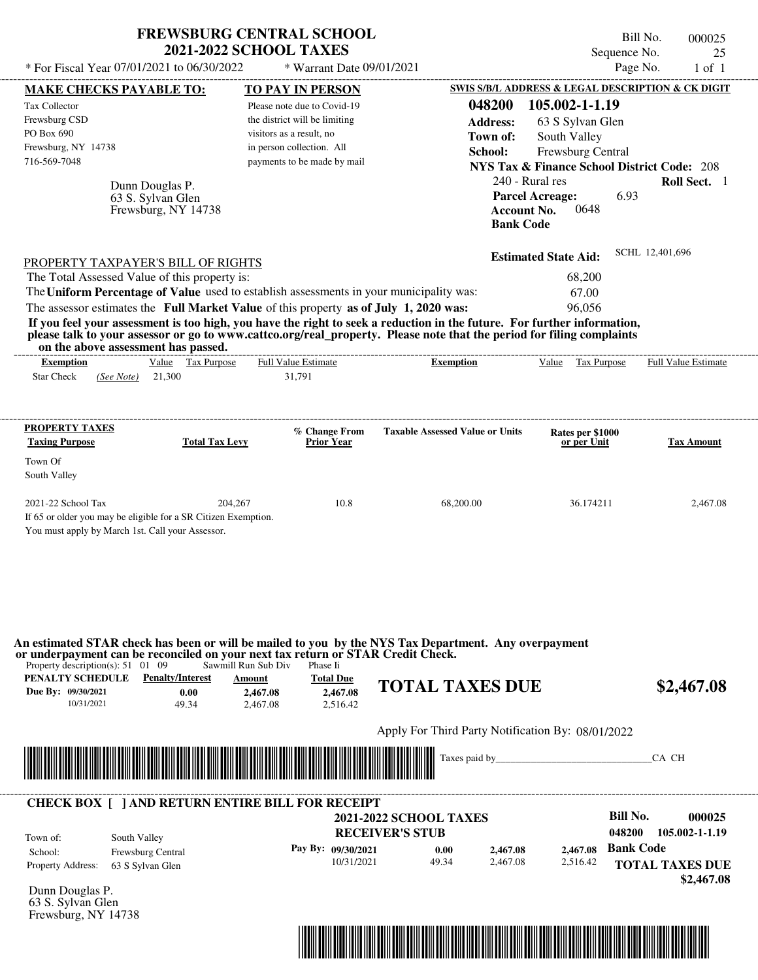| * For Fiscal Year 07/01/2021 to 06/30/2022                                                                                                                                                                                                       | <b>FREWSBURG CENTRAL SCHOOL</b><br><b>2021-2022 SCHOOL TAXES</b> | * Warrant Date 09/01/2021                |                                                   | Sequence No.<br>Page No.                               | Bill No.<br>000025<br>25<br>$1$ of $1$ |
|--------------------------------------------------------------------------------------------------------------------------------------------------------------------------------------------------------------------------------------------------|------------------------------------------------------------------|------------------------------------------|---------------------------------------------------|--------------------------------------------------------|----------------------------------------|
| <b>MAKE CHECKS PAYABLE TO:</b>                                                                                                                                                                                                                   |                                                                  | <b>TO PAY IN PERSON</b>                  |                                                   | SWIS S/B/L ADDRESS & LEGAL DESCRIPTION & CK DIGIT      |                                        |
| Tax Collector                                                                                                                                                                                                                                    |                                                                  | Please note due to Covid-19              | 048200                                            | 105.002-1-1.19                                         |                                        |
| Frewsburg CSD                                                                                                                                                                                                                                    |                                                                  | the district will be limiting            | <b>Address:</b>                                   | 63 S Sylvan Glen                                       |                                        |
| PO Box 690                                                                                                                                                                                                                                       | visitors as a result, no                                         |                                          | Town of:                                          | South Valley                                           |                                        |
| Frewsburg, NY 14738                                                                                                                                                                                                                              | in person collection. All                                        |                                          | School:                                           | Frewsburg Central                                      |                                        |
| 716-569-7048                                                                                                                                                                                                                                     |                                                                  | payments to be made by mail              |                                                   | <b>NYS Tax &amp; Finance School District Code: 208</b> |                                        |
| Dunn Douglas P.                                                                                                                                                                                                                                  |                                                                  |                                          | 240 - Rural res                                   |                                                        | Roll Sect. 1                           |
| 63 S. Sylvan Glen                                                                                                                                                                                                                                |                                                                  |                                          |                                                   | 6.93<br><b>Parcel Acreage:</b>                         |                                        |
| Frewsburg, NY 14738                                                                                                                                                                                                                              |                                                                  |                                          | <b>Account No.</b><br><b>Bank Code</b>            | 0648                                                   |                                        |
| PROPERTY TAXPAYER'S BILL OF RIGHTS                                                                                                                                                                                                               |                                                                  |                                          |                                                   | <b>Estimated State Aid:</b>                            | SCHL 12,401,696                        |
| The Total Assessed Value of this property is:                                                                                                                                                                                                    |                                                                  |                                          |                                                   | 68,200                                                 |                                        |
| The Uniform Percentage of Value used to establish assessments in your municipality was:                                                                                                                                                          |                                                                  |                                          |                                                   | 67.00                                                  |                                        |
| The assessor estimates the Full Market Value of this property as of July 1, 2020 was:                                                                                                                                                            |                                                                  |                                          |                                                   | 96,056                                                 |                                        |
| If you feel your assessment is too high, you have the right to seek a reduction in the future. For further information,<br>please talk to your assessor or go to www.cattco.org/real_property. Please note that the period for filing complaints |                                                                  |                                          |                                                   |                                                        |                                        |
| on the above assessment has passed.<br>Value Tax Purpose<br><b>Exemption</b>                                                                                                                                                                     | Full Value Estimate                                              |                                          | <b>Exemption</b>                                  | Value Tax Purpose                                      | <b>Full Value Estimate</b>             |
| 21,300<br><b>Star Check</b><br>(See Note)                                                                                                                                                                                                        | 31,791                                                           |                                          |                                                   |                                                        |                                        |
| <b>PROPERTY TAXES</b>                                                                                                                                                                                                                            |                                                                  |                                          |                                                   |                                                        |                                        |
| <b>Taxing Purpose</b>                                                                                                                                                                                                                            | <b>Total Tax Levy</b>                                            | % Change From<br><b>Prior Year</b>       | <b>Taxable Assessed Value or Units</b>            | Rates per \$1000<br>or per Unit                        | Tax Amount                             |
| Town Of                                                                                                                                                                                                                                          |                                                                  |                                          |                                                   |                                                        |                                        |
| South Valley                                                                                                                                                                                                                                     |                                                                  |                                          |                                                   |                                                        |                                        |
|                                                                                                                                                                                                                                                  |                                                                  |                                          |                                                   |                                                        |                                        |
| 2021-22 School Tax                                                                                                                                                                                                                               | 204,267                                                          | 10.8                                     | 68,200.00                                         | 36.174211                                              | 2,467.08                               |
| If 65 or older you may be eligible for a SR Citizen Exemption.                                                                                                                                                                                   |                                                                  |                                          |                                                   |                                                        |                                        |
| You must apply by March 1st. Call your Assessor.                                                                                                                                                                                                 |                                                                  |                                          |                                                   |                                                        |                                        |
| An estimated STAR check has been or will be mailed to you by the NYS Tax Department. Any overpayment<br>or underpayment can be reconciled on your next tax return or STAR Credit Check.                                                          | Sawmill Run Sub Div                                              | Phase Ii                                 |                                                   |                                                        |                                        |
| Property description(s): $51 \quad 01 \quad 09$<br><b>PENALTY SCHEDULE</b> Penalty/Interest<br>Due By: 09/30/2021<br>0.00<br>10/31/2021<br>49.34                                                                                                 | <b>Amount</b><br>2,467.08<br>2,467.08                            | <b>Total Due</b><br>2.467.08<br>2.516.42 | <b>TOTAL TAXES DUE</b>                            |                                                        |                                        |
|                                                                                                                                                                                                                                                  |                                                                  |                                          | Apply For Third Party Notification By: 08/01/2022 |                                                        | \$2,467.08                             |
|                                                                                                                                                                                                                                                  |                                                                  |                                          |                                                   |                                                        | CA CH                                  |
| <b>CHECK BOX [ ] AND RETURN ENTIRE BILL FOR RECEIPT</b>                                                                                                                                                                                          |                                                                  |                                          |                                                   |                                                        |                                        |
|                                                                                                                                                                                                                                                  |                                                                  |                                          | <b>2021-2022 SCHOOL TAXES</b>                     | <b>Bill No.</b>                                        |                                        |
| Town of:<br>South Valley                                                                                                                                                                                                                         |                                                                  |                                          | <b>RECEIVER'S STUB</b>                            | 048200                                                 | 000025<br>105.002-1-1.19               |
| Frewsburg Central<br>School:                                                                                                                                                                                                                     |                                                                  | Pay By: 09/30/2021<br>10/31/2021         | 0.00<br>2,467.08<br>49.34<br>2,467.08             | <b>Bank Code</b><br>2,467.08<br>2,516.42               |                                        |

Dunn Douglas P. 63 S. Sylvan Glen Frewsburg, NY 14738

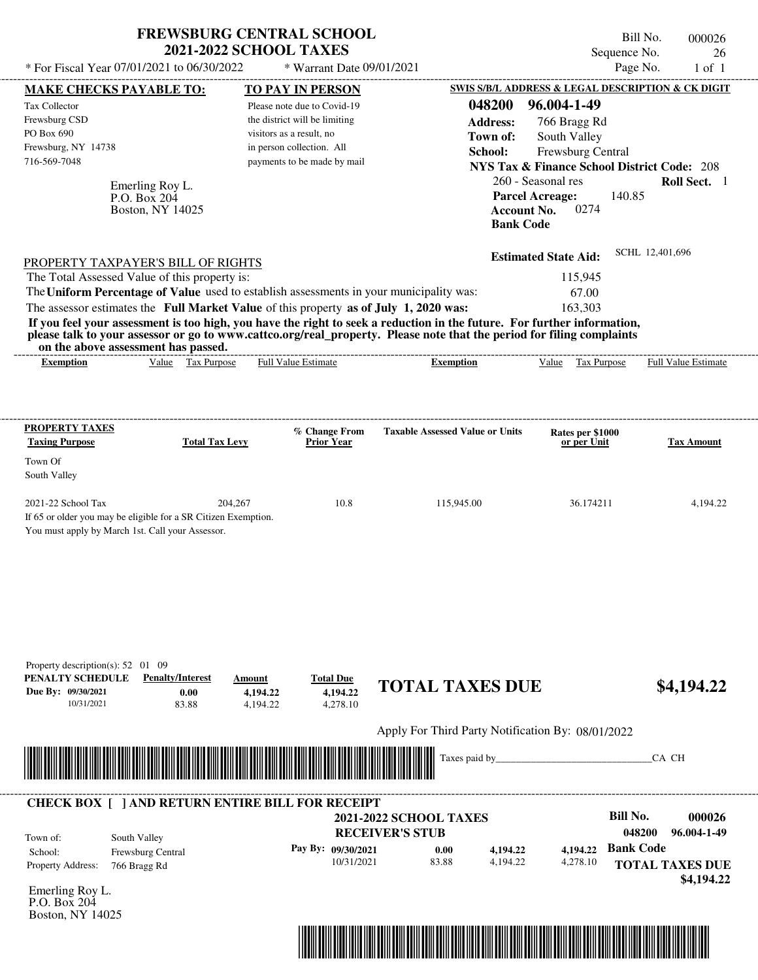| * For Fiscal Year 07/01/2021 to 06/30/2022                                                                                                                                                   |                                          | <b>FREWSBURG CENTRAL SCHOOL</b><br><b>2021-2022 SCHOOL TAXES</b><br>* Warrant Date 09/01/2021 |                                                                                                                                                                                                                                                  |                                                                          | Bill No.<br>Sequence No.<br>Page No. | 000026<br>26<br>$1$ of $1$    |
|----------------------------------------------------------------------------------------------------------------------------------------------------------------------------------------------|------------------------------------------|-----------------------------------------------------------------------------------------------|--------------------------------------------------------------------------------------------------------------------------------------------------------------------------------------------------------------------------------------------------|--------------------------------------------------------------------------|--------------------------------------|-------------------------------|
| <b>MAKE CHECKS PAYABLE TO:</b>                                                                                                                                                               |                                          | <b>TO PAY IN PERSON</b>                                                                       |                                                                                                                                                                                                                                                  | SWIS S/B/L ADDRESS & LEGAL DESCRIPTION & CK DIGIT                        |                                      |                               |
| Tax Collector                                                                                                                                                                                |                                          | Please note due to Covid-19                                                                   | 048200                                                                                                                                                                                                                                           | 96.004-1-49                                                              |                                      |                               |
| Frewsburg CSD                                                                                                                                                                                |                                          | the district will be limiting                                                                 | <b>Address:</b>                                                                                                                                                                                                                                  | 766 Bragg Rd                                                             |                                      |                               |
| PO Box 690                                                                                                                                                                                   |                                          | visitors as a result, no                                                                      | Town of:                                                                                                                                                                                                                                         | South Valley                                                             |                                      |                               |
| Frewsburg, NY 14738                                                                                                                                                                          |                                          | in person collection. All                                                                     | School:                                                                                                                                                                                                                                          | Frewsburg Central                                                        |                                      |                               |
| 716-569-7048                                                                                                                                                                                 |                                          | payments to be made by mail                                                                   |                                                                                                                                                                                                                                                  | <b>NYS Tax &amp; Finance School District Code: 208</b>                   |                                      |                               |
|                                                                                                                                                                                              |                                          |                                                                                               |                                                                                                                                                                                                                                                  | 260 - Seasonal res                                                       |                                      | Roll Sect. 1                  |
| P.O. Box 204                                                                                                                                                                                 | Emerling Roy L.<br>Boston, NY 14025      |                                                                                               |                                                                                                                                                                                                                                                  | <b>Parcel Acreage:</b><br>0274<br><b>Account No.</b><br><b>Bank Code</b> | 140.85                               |                               |
| PROPERTY TAXPAYER'S BILL OF RIGHTS                                                                                                                                                           |                                          |                                                                                               |                                                                                                                                                                                                                                                  | <b>Estimated State Aid:</b>                                              | SCHL 12,401,696                      |                               |
| The Total Assessed Value of this property is:                                                                                                                                                |                                          |                                                                                               |                                                                                                                                                                                                                                                  | 115,945                                                                  |                                      |                               |
|                                                                                                                                                                                              |                                          | The Uniform Percentage of Value used to establish assessments in your municipality was:       |                                                                                                                                                                                                                                                  | 67.00                                                                    |                                      |                               |
|                                                                                                                                                                                              |                                          | The assessor estimates the Full Market Value of this property as of July 1, 2020 was:         |                                                                                                                                                                                                                                                  | 163,303                                                                  |                                      |                               |
| on the above assessment has passed.                                                                                                                                                          |                                          |                                                                                               | If you feel your assessment is too high, you have the right to seek a reduction in the future. For further information,<br>please talk to your assessor or go to www.cattco.org/real_property. Please note that the period for filing complaints |                                                                          |                                      |                               |
| <b>Exemption</b>                                                                                                                                                                             | Value Tax Purpose                        | <b>Full Value Estimate</b>                                                                    | <b>Exemption</b>                                                                                                                                                                                                                                 | Value Tax Purpose                                                        |                                      | Full Value Estimate           |
| <b>Taxing Purpose</b><br>Town Of<br>South Valley<br>2021-22 School Tax<br>If 65 or older you may be eligible for a SR Citizen Exemption.<br>You must apply by March 1st. Call your Assessor. | <b>Total Tax Levy</b><br>204,267         | % Change From<br><b>Prior Year</b><br>10.8                                                    | <b>Taxable Assessed Value or Units</b><br>115,945.00                                                                                                                                                                                             | Rates per \$1000<br>or per Unit<br>36.174211                             |                                      | <b>Tax Amount</b><br>4,194.22 |
| Property description(s): $52 \quad 01 \quad 09$<br>PENALTY SCHEDULE<br>Due By: 09/30/2021<br>10/31/2021                                                                                      | <b>Penalty/Interest</b><br>0.00<br>83.88 | <b>Total Due</b><br>Amount<br>4,194.22<br>4,194.22<br>4,194.22<br>4,278.10                    | <b>TOTAL TAXES DUE</b>                                                                                                                                                                                                                           |                                                                          |                                      | \$4,194.22                    |
|                                                                                                                                                                                              |                                          |                                                                                               | Apply For Third Party Notification By: 08/01/2022                                                                                                                                                                                                |                                                                          |                                      |                               |
|                                                                                                                                                                                              |                                          |                                                                                               | Taxes paid by                                                                                                                                                                                                                                    |                                                                          | CA CH                                |                               |
|                                                                                                                                                                                              |                                          | <b>CHECK BOX [ ] AND RETURN ENTIRE BILL FOR RECEIPT</b>                                       |                                                                                                                                                                                                                                                  |                                                                          |                                      |                               |
|                                                                                                                                                                                              |                                          |                                                                                               | <b>2021-2022 SCHOOL TAXES</b>                                                                                                                                                                                                                    |                                                                          | <b>Bill No.</b>                      | 000026                        |
|                                                                                                                                                                                              |                                          |                                                                                               | <b>RECEIVER'S STUB</b>                                                                                                                                                                                                                           |                                                                          | 048200                               | 96.004-1-49                   |
| Town of:<br>South Valley<br>School:                                                                                                                                                          |                                          | Pay By: 09/30/2021                                                                            | 0.00<br>4,194.22                                                                                                                                                                                                                                 | 4,194.22                                                                 | <b>Bank Code</b>                     |                               |
| Property Address:<br>766 Bragg Rd                                                                                                                                                            | Frewsburg Central                        | 10/31/2021                                                                                    | 83.88<br>4,194.22                                                                                                                                                                                                                                | 4,278.10                                                                 | <b>TOTAL TAXES DUE</b>               |                               |
|                                                                                                                                                                                              |                                          |                                                                                               |                                                                                                                                                                                                                                                  |                                                                          |                                      | \$4,194.22                    |
| Emerling Roy L.                                                                                                                                                                              |                                          |                                                                                               |                                                                                                                                                                                                                                                  |                                                                          |                                      |                               |
| P.O. Box 204                                                                                                                                                                                 |                                          |                                                                                               |                                                                                                                                                                                                                                                  |                                                                          |                                      |                               |



Boston, NY 14025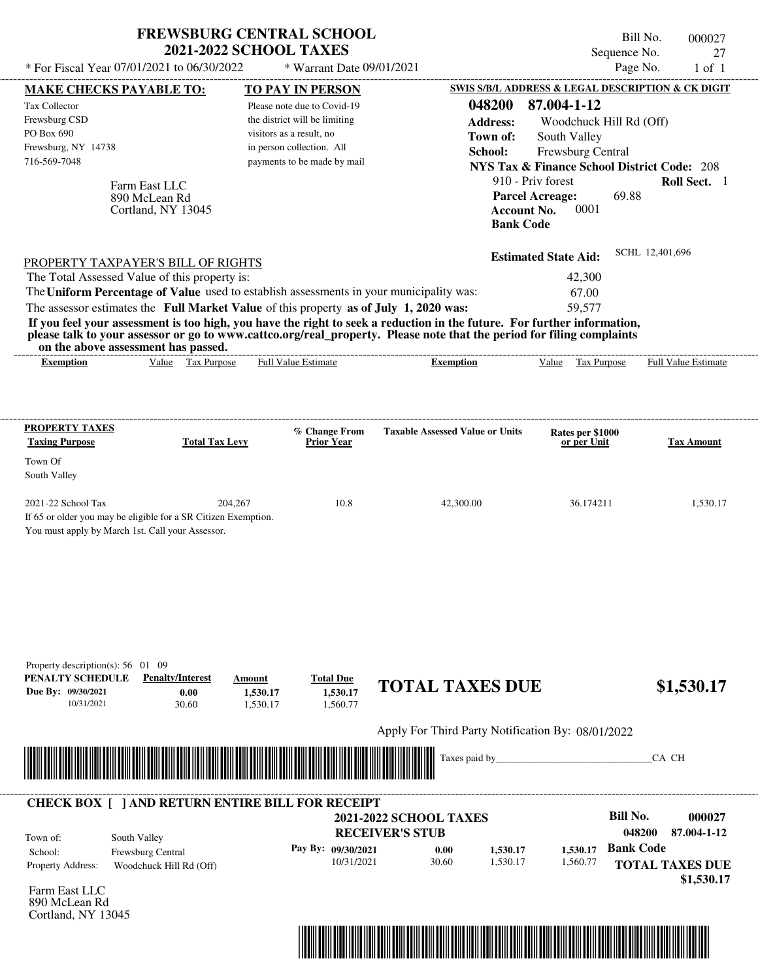| * For Fiscal Year 07/01/2021 to 06/30/2022                                                                         | <b>FREWSBURG CENTRAL SCHOOL</b><br><b>2021-2022 SCHOOL TAXES</b>           | * Warrant Date 09/01/2021                |                                                                                                                                                                                                                                                                                                 | Sequence No.<br>Page No.                               | Bill No.<br>000027<br>27<br>$1$ of $1$ |
|--------------------------------------------------------------------------------------------------------------------|----------------------------------------------------------------------------|------------------------------------------|-------------------------------------------------------------------------------------------------------------------------------------------------------------------------------------------------------------------------------------------------------------------------------------------------|--------------------------------------------------------|----------------------------------------|
| <b>MAKE CHECKS PAYABLE TO:</b>                                                                                     |                                                                            | <b>TO PAY IN PERSON</b>                  |                                                                                                                                                                                                                                                                                                 | SWIS S/B/L ADDRESS & LEGAL DESCRIPTION & CK DIGIT      |                                        |
| Tax Collector                                                                                                      |                                                                            | Please note due to Covid-19              | 048200                                                                                                                                                                                                                                                                                          | 87.004-1-12                                            |                                        |
| Frewsburg CSD                                                                                                      |                                                                            | the district will be limiting            | <b>Address:</b>                                                                                                                                                                                                                                                                                 | Woodchuck Hill Rd (Off)                                |                                        |
| PO Box 690                                                                                                         |                                                                            | visitors as a result, no                 | Town of:                                                                                                                                                                                                                                                                                        | South Valley                                           |                                        |
| Frewsburg, NY 14738                                                                                                |                                                                            | in person collection. All                | School:                                                                                                                                                                                                                                                                                         | Frewsburg Central                                      |                                        |
| 716-569-7048                                                                                                       |                                                                            | payments to be made by mail              |                                                                                                                                                                                                                                                                                                 | <b>NYS Tax &amp; Finance School District Code: 208</b> |                                        |
| Farm East LLC                                                                                                      |                                                                            |                                          |                                                                                                                                                                                                                                                                                                 | 910 - Priv forest                                      | Roll Sect. 1                           |
| 890 McLean Rd<br>Cortland, NY 13045                                                                                |                                                                            |                                          | <b>Account No.</b><br><b>Bank Code</b>                                                                                                                                                                                                                                                          | 69.88<br><b>Parcel Acreage:</b><br>0001                |                                        |
| PROPERTY TAXPAYER'S BILL OF RIGHTS                                                                                 |                                                                            |                                          |                                                                                                                                                                                                                                                                                                 | <b>Estimated State Aid:</b>                            | SCHL 12,401,696                        |
| The Total Assessed Value of this property is:                                                                      |                                                                            |                                          |                                                                                                                                                                                                                                                                                                 | 42,300                                                 |                                        |
| The Uniform Percentage of Value used to establish assessments in your municipality was:                            |                                                                            |                                          |                                                                                                                                                                                                                                                                                                 | 67.00                                                  |                                        |
| The assessor estimates the Full Market Value of this property as of July 1, 2020 was:                              |                                                                            |                                          |                                                                                                                                                                                                                                                                                                 | 59,577                                                 |                                        |
| on the above assessment has passed.<br><b>Exemption</b>                                                            | Value Tax Purpose                                                          | <b>Full Value Estimate</b>               | If you feel your assessment is too high, you have the right to seek a reduction in the future. For further information,<br>please talk to your assessor or go to www.cattco.org/real_property. Please note that the period for filing complaints<br>-----------------------<br><b>Exemption</b> | Value Tax Purpose                                      | <b>Full Value Estimate</b>             |
| PROPERTY TAXES<br><b>Taxing Purpose</b><br>Town Of                                                                 | <b>Total Tax Levy</b>                                                      | % Change From<br><b>Prior Year</b>       | <b>Taxable Assessed Value or Units</b>                                                                                                                                                                                                                                                          | Rates per \$1000<br>or per Unit                        | Tax Amount                             |
| South Valley                                                                                                       |                                                                            |                                          |                                                                                                                                                                                                                                                                                                 |                                                        |                                        |
| 2021-22 School Tax                                                                                                 | 204,267                                                                    | 10.8                                     | 42,300.00                                                                                                                                                                                                                                                                                       | 36.174211                                              | 1,530.17                               |
| If 65 or older you may be eligible for a SR Citizen Exemption.<br>You must apply by March 1st. Call your Assessor. |                                                                            |                                          |                                                                                                                                                                                                                                                                                                 |                                                        |                                        |
| Property description(s): $56 \quad 01 \quad 09$<br>PENALTY SCHEDULE<br>Due By: 09/30/2021<br>10/31/2021            | <b>Penalty/Interest</b><br>Amount<br>0.00<br>1,530.17<br>30.60<br>1,530.17 | <b>Total Due</b><br>1,530.17<br>1,560.77 | <b>TOTAL TAXES DUE</b>                                                                                                                                                                                                                                                                          |                                                        | \$1,530.17                             |
|                                                                                                                    |                                                                            |                                          | Apply For Third Party Notification By: 08/01/2022                                                                                                                                                                                                                                               |                                                        |                                        |
|                                                                                                                    |                                                                            |                                          | Taxes paid by_                                                                                                                                                                                                                                                                                  |                                                        | CA CH                                  |
| <b>CHECK BOX [ ] AND RETURN ENTIRE BILL FOR RECEIPT</b>                                                            |                                                                            |                                          | <b>2021-2022 SCHOOL TAXES</b>                                                                                                                                                                                                                                                                   | <b>Bill No.</b>                                        | 000027                                 |
|                                                                                                                    |                                                                            |                                          | <b>RECEIVER'S STUB</b>                                                                                                                                                                                                                                                                          |                                                        | 048200<br>87.004-1-12                  |
| South Valley<br>Town of:                                                                                           |                                                                            | Pay By: 09/30/2021                       |                                                                                                                                                                                                                                                                                                 | <b>Bank Code</b>                                       |                                        |
| Frewsburg Central<br>School:                                                                                       |                                                                            | 10/31/2021                               | 0.00<br>1,530.17<br>30.60<br>1,530.17                                                                                                                                                                                                                                                           | 1,530.17<br>1,560.77                                   |                                        |
| Property Address:                                                                                                  | Woodchuck Hill Rd (Off)                                                    |                                          |                                                                                                                                                                                                                                                                                                 |                                                        | <b>TOTAL TAXES DUE</b>                 |
| $. \Gamma_{\text{ext}}$ i i $\Gamma$                                                                               |                                                                            |                                          |                                                                                                                                                                                                                                                                                                 |                                                        | \$1,530.17                             |

Farm East LLC 890 McLean Rd Cortland, NY 13045

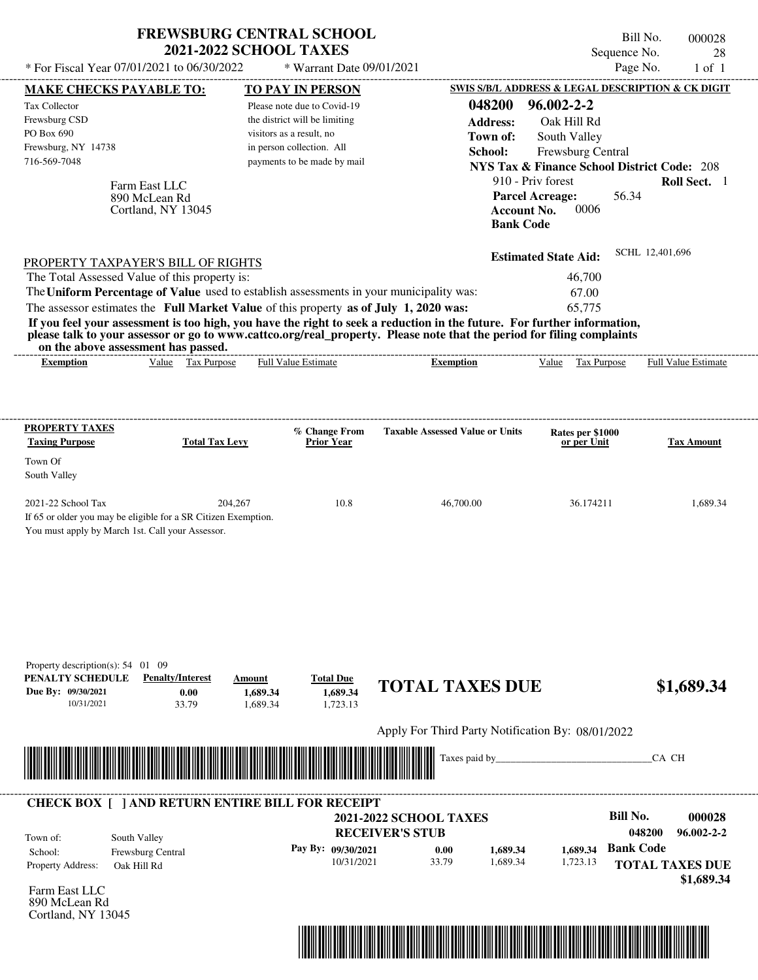|                                                                                                                                                                                                                                                  | <b>FREWSBURG CENTRAL SCHOOL</b><br><b>2021-2022 SCHOOL TAXES</b>           |                                                   | Sequence No.                                                  | Bill No.<br>000028<br>28   |
|--------------------------------------------------------------------------------------------------------------------------------------------------------------------------------------------------------------------------------------------------|----------------------------------------------------------------------------|---------------------------------------------------|---------------------------------------------------------------|----------------------------|
| * For Fiscal Year 07/01/2021 to 06/30/2022                                                                                                                                                                                                       | * Warrant Date 09/01/2021                                                  |                                                   | Page No.                                                      | $1$ of $1$                 |
| <b>MAKE CHECKS PAYABLE TO:</b>                                                                                                                                                                                                                   | <b>TO PAY IN PERSON</b>                                                    |                                                   | SWIS S/B/L ADDRESS & LEGAL DESCRIPTION & CK DIGIT             |                            |
| <b>Tax Collector</b>                                                                                                                                                                                                                             | Please note due to Covid-19                                                | 048200                                            | $96.002 - 2 - 2$                                              |                            |
| Frewsburg CSD                                                                                                                                                                                                                                    | the district will be limiting                                              | <b>Address:</b>                                   | Oak Hill Rd                                                   |                            |
| PO Box 690                                                                                                                                                                                                                                       | visitors as a result, no                                                   | Town of:                                          | South Valley                                                  |                            |
| Frewsburg, NY 14738                                                                                                                                                                                                                              | in person collection. All                                                  | School:                                           | Frewsburg Central                                             |                            |
| 716-569-7048                                                                                                                                                                                                                                     | payments to be made by mail                                                |                                                   | <b>NYS Tax &amp; Finance School District Code: 208</b>        |                            |
| Farm East LLC                                                                                                                                                                                                                                    |                                                                            |                                                   | 910 - Priv forest                                             | Roll Sect. 1               |
| 890 McLean Rd<br>Cortland, NY 13045                                                                                                                                                                                                              |                                                                            | <b>Bank Code</b>                                  | <b>Parcel Acreage:</b><br>56.34<br>0006<br><b>Account No.</b> |                            |
| PROPERTY TAXPAYER'S BILL OF RIGHTS                                                                                                                                                                                                               |                                                                            |                                                   | <b>Estimated State Aid:</b>                                   | SCHL 12,401,696            |
| The Total Assessed Value of this property is:                                                                                                                                                                                                    |                                                                            |                                                   | 46,700                                                        |                            |
| The Uniform Percentage of Value used to establish assessments in your municipality was:                                                                                                                                                          |                                                                            |                                                   | 67.00                                                         |                            |
| The assessor estimates the Full Market Value of this property as of July 1, 2020 was:                                                                                                                                                            |                                                                            |                                                   | 65,775                                                        |                            |
| If you feel your assessment is too high, you have the right to seek a reduction in the future. For further information,<br>please talk to your assessor or go to www.cattco.org/real_property. Please note that the period for filing complaints |                                                                            |                                                   |                                                               |                            |
| on the above assessment has passed.                                                                                                                                                                                                              |                                                                            |                                                   |                                                               |                            |
| Value Tax Purpose<br><b>Exemption</b>                                                                                                                                                                                                            | <b>Full Value Estimate</b>                                                 | <b>Exemption</b>                                  | Value<br>Tax Purpose                                          | <b>Full Value Estimate</b> |
|                                                                                                                                                                                                                                                  |                                                                            |                                                   |                                                               |                            |
| <b>PROPERTY TAXES</b><br><b>Taxing Purpose</b><br><b>Total Tax Levy</b>                                                                                                                                                                          | % Change From<br>Prior Year                                                | <b>Taxable Assessed Value or Units</b>            | Rates per \$1000<br>or per Unit                               | <b>Tax Amount</b>          |
|                                                                                                                                                                                                                                                  |                                                                            |                                                   |                                                               |                            |
| Town Of<br>South Valley                                                                                                                                                                                                                          |                                                                            |                                                   |                                                               |                            |
| 2021-22 School Tax                                                                                                                                                                                                                               | 10.8<br>204,267                                                            | 46,700.00                                         | 36.174211                                                     | 1,689.34                   |
| If 65 or older you may be eligible for a SR Citizen Exemption.<br>You must apply by March 1st. Call your Assessor.                                                                                                                               |                                                                            |                                                   |                                                               |                            |
| Property description(s): 54 01 09<br>PENALTY SCHEDULE<br><b>Penalty/Interest</b><br>Due By: 09/30/2021<br>0.00<br>10/31/2021<br>33.79                                                                                                            | <b>Total Due</b><br>Amount<br>1,689.34<br>1,689.34<br>1.689.34<br>1,723.13 | <b>TOTAL TAXES DUE</b>                            |                                                               | \$1,689.34                 |
|                                                                                                                                                                                                                                                  |                                                                            | Apply For Third Party Notification By: 08/01/2022 |                                                               |                            |
|                                                                                                                                                                                                                                                  |                                                                            | Taxes paid by_                                    |                                                               | CA CH                      |
|                                                                                                                                                                                                                                                  |                                                                            |                                                   |                                                               |                            |
| <b>CHECK BOX [ ] AND RETURN ENTIRE BILL FOR RECEIPT</b>                                                                                                                                                                                          |                                                                            |                                                   |                                                               |                            |
|                                                                                                                                                                                                                                                  |                                                                            | <b>2021-2022 SCHOOL TAXES</b>                     | <b>Bill No.</b>                                               | 000028                     |
| South Valley<br>Town of:                                                                                                                                                                                                                         |                                                                            | <b>RECEIVER'S STUB</b>                            |                                                               | 048200<br>$96.002 - 2 - 2$ |
| Frewsburg Central<br>School:                                                                                                                                                                                                                     | Pay By: 09/30/2021                                                         | 0.00<br>1,689.34                                  | <b>Bank Code</b><br>1,689.34                                  |                            |
| Property Address:<br>Oak Hill Rd                                                                                                                                                                                                                 | 10/31/2021                                                                 | 33.79<br>1,689.34                                 | 1,723.13                                                      | <b>TOTAL TAXES DUE</b>     |
|                                                                                                                                                                                                                                                  |                                                                            |                                                   |                                                               | \$1,689.34                 |
| Farm East LLC<br>890 McLean Rd<br>Cortland, NY 13045                                                                                                                                                                                             |                                                                            |                                                   |                                                               |                            |

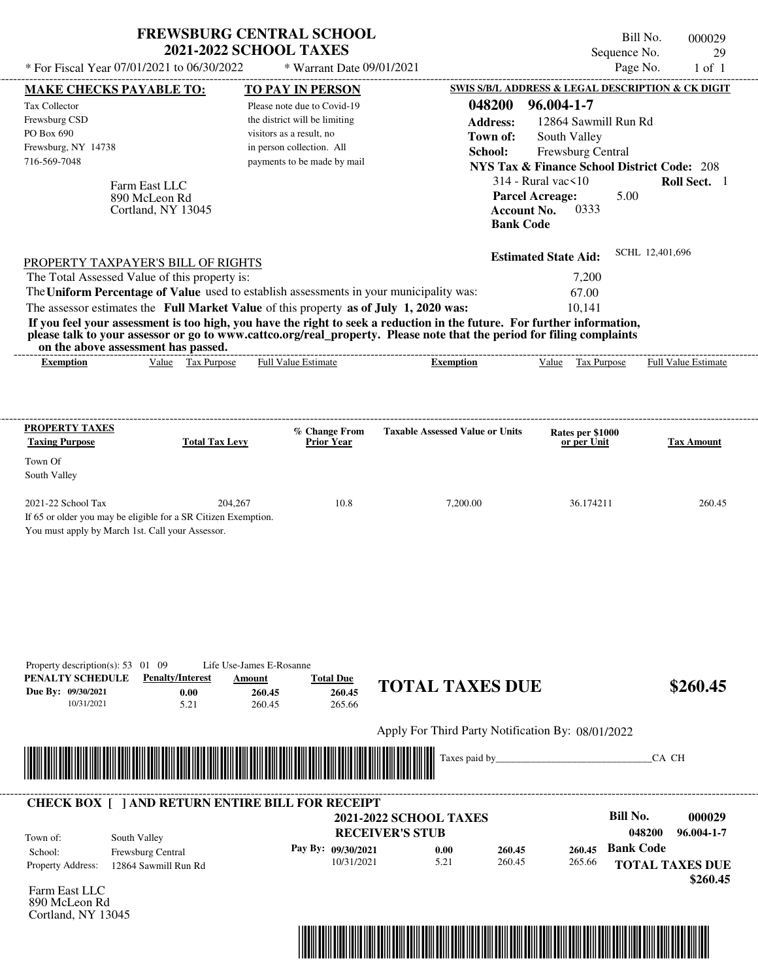| * For Fiscal Year 07/01/2021 to 06/30/2022                                                                                                                                                                                                                                                                  | <b>FREWSBURG CENTRAL SCHOOL</b>         | <b>2021-2022 SCHOOL TAXES</b>                                              | * Warrant Date 09/01/2021                               |                                                   |                                                                          | Bill No.<br>Sequence No.<br>Page No. | 000029<br>29<br>$1$ of $1$ |
|-------------------------------------------------------------------------------------------------------------------------------------------------------------------------------------------------------------------------------------------------------------------------------------------------------------|-----------------------------------------|----------------------------------------------------------------------------|---------------------------------------------------------|---------------------------------------------------|--------------------------------------------------------------------------|--------------------------------------|----------------------------|
| <b>MAKE CHECKS PAYABLE TO:</b>                                                                                                                                                                                                                                                                              |                                         | <b>TO PAY IN PERSON</b>                                                    |                                                         |                                                   | SWIS S/B/L ADDRESS & LEGAL DESCRIPTION & CK DIGIT                        |                                      |                            |
| Tax Collector                                                                                                                                                                                                                                                                                               |                                         | Please note due to Covid-19                                                |                                                         | 048200                                            | 96.004-1-7                                                               |                                      |                            |
| Frewsburg CSD                                                                                                                                                                                                                                                                                               |                                         | the district will be limiting                                              |                                                         | <b>Address:</b>                                   | 12864 Sawmill Run Rd                                                     |                                      |                            |
| PO Box 690                                                                                                                                                                                                                                                                                                  |                                         | visitors as a result, no                                                   |                                                         | Town of:                                          | South Valley                                                             |                                      |                            |
| Frewsburg, NY 14738                                                                                                                                                                                                                                                                                         |                                         | in person collection. All                                                  |                                                         | School:                                           | Frewsburg Central                                                        |                                      |                            |
| 716-569-7048                                                                                                                                                                                                                                                                                                |                                         | payments to be made by mail                                                |                                                         |                                                   | <b>NYS Tax &amp; Finance School District Code: 208</b>                   |                                      |                            |
|                                                                                                                                                                                                                                                                                                             | Farm East LLC                           |                                                                            |                                                         |                                                   | $314$ - Rural vac $\leq 10$                                              |                                      | Roll Sect. 1               |
|                                                                                                                                                                                                                                                                                                             | 890 McLeon Rd<br>Cortland, NY 13045     |                                                                            |                                                         |                                                   | <b>Parcel Acreage:</b><br>0333<br><b>Account No.</b><br><b>Bank Code</b> | 5.00                                 |                            |
| PROPERTY TAXPAYER'S BILL OF RIGHTS                                                                                                                                                                                                                                                                          |                                         |                                                                            |                                                         |                                                   | <b>Estimated State Aid:</b>                                              | SCHL 12,401,696                      |                            |
| The Total Assessed Value of this property is:                                                                                                                                                                                                                                                               |                                         |                                                                            |                                                         |                                                   | 7,200                                                                    |                                      |                            |
| The Uniform Percentage of Value used to establish assessments in your municipality was:                                                                                                                                                                                                                     |                                         |                                                                            |                                                         |                                                   | 67.00                                                                    |                                      |                            |
| The assessor estimates the Full Market Value of this property as of July 1, 2020 was:                                                                                                                                                                                                                       |                                         |                                                                            |                                                         |                                                   | 10,141                                                                   |                                      |                            |
| If you feel your assessment is too high, you have the right to seek a reduction in the future. For further information,<br>please talk to your assessor or go to www.cattco.org/real_property. Please note that the period for filing complaints<br>on the above assessment has passed.<br><b>Exemption</b> | Value Tax Purpose                       | <b>Full Value Estimate</b>                                                 | ________________________                                | <b>Exemption</b>                                  | Value Tax Purpose                                                        |                                      | <b>Full Value Estimate</b> |
|                                                                                                                                                                                                                                                                                                             |                                         |                                                                            |                                                         |                                                   |                                                                          |                                      |                            |
| PROPERTY TAXES                                                                                                                                                                                                                                                                                              |                                         | % Change From                                                              |                                                         | <b>Taxable Assessed Value or Units</b>            | Rates per \$1000                                                         |                                      |                            |
| <b>Taxing Purpose</b>                                                                                                                                                                                                                                                                                       | <b>Total Tax Levy</b>                   | <b>Prior Year</b>                                                          |                                                         |                                                   | or per Unit                                                              |                                      | Tax Amount                 |
| Town Of                                                                                                                                                                                                                                                                                                     |                                         |                                                                            |                                                         |                                                   |                                                                          |                                      |                            |
| South Valley                                                                                                                                                                                                                                                                                                |                                         |                                                                            |                                                         |                                                   |                                                                          |                                      |                            |
| 2021-22 School Tax<br>If 65 or older you may be eligible for a SR Citizen Exemption.                                                                                                                                                                                                                        | 204,267                                 |                                                                            | 10.8                                                    | 7,200.00                                          | 36.174211                                                                |                                      | 260.45                     |
| You must apply by March 1st. Call your Assessor.                                                                                                                                                                                                                                                            |                                         |                                                                            |                                                         |                                                   |                                                                          |                                      |                            |
| Property description(s): $53 \quad 01 \quad 09$<br>PENALTY SCHEDULE<br>Due By: 09/30/2021<br>10/31/2021                                                                                                                                                                                                     | <b>Penalty/Interest</b><br>0.00<br>5.21 | Life Use-James E-Rosanne<br><b>Total Due</b><br>Amount<br>260.45<br>260.45 | 260.45<br>265.66                                        | <b>TOTAL TAXES DUE</b>                            |                                                                          |                                      | \$260.45                   |
|                                                                                                                                                                                                                                                                                                             |                                         |                                                                            |                                                         | Apply For Third Party Notification By: 08/01/2022 |                                                                          |                                      |                            |
|                                                                                                                                                                                                                                                                                                             |                                         |                                                                            |                                                         | Taxes paid by_                                    |                                                                          | CA CH                                |                            |
| <b>CHECK BOX [ ] AND RETURN ENTIRE BILL FOR RECEIPT</b>                                                                                                                                                                                                                                                     |                                         |                                                                            | <b>2021-2022 SCHOOL TAXES</b><br><b>RECEIVER'S STUB</b> |                                                   |                                                                          | <b>Bill No.</b><br>048200            | 000029<br>96.004-1-7       |
| Town of:<br>School:                                                                                                                                                                                                                                                                                         | South Valley<br>Frewsburg Central       | Pay By: 09/30/2021                                                         |                                                         | 0.00<br>260.45                                    | 260.45                                                                   | <b>Bank Code</b>                     |                            |
| Property Address:                                                                                                                                                                                                                                                                                           | 12864 Sawmill Run Rd                    |                                                                            | 10/31/2021                                              | 5.21<br>260.45                                    | 265.66                                                                   | <b>TOTAL TAXES DUE</b>               | \$260.45                   |
| Farm Fast I I $\Gamma$                                                                                                                                                                                                                                                                                      |                                         |                                                                            |                                                         |                                                   |                                                                          |                                      |                            |

Farm East LLC 890 McLeon Rd Cortland, NY 13045

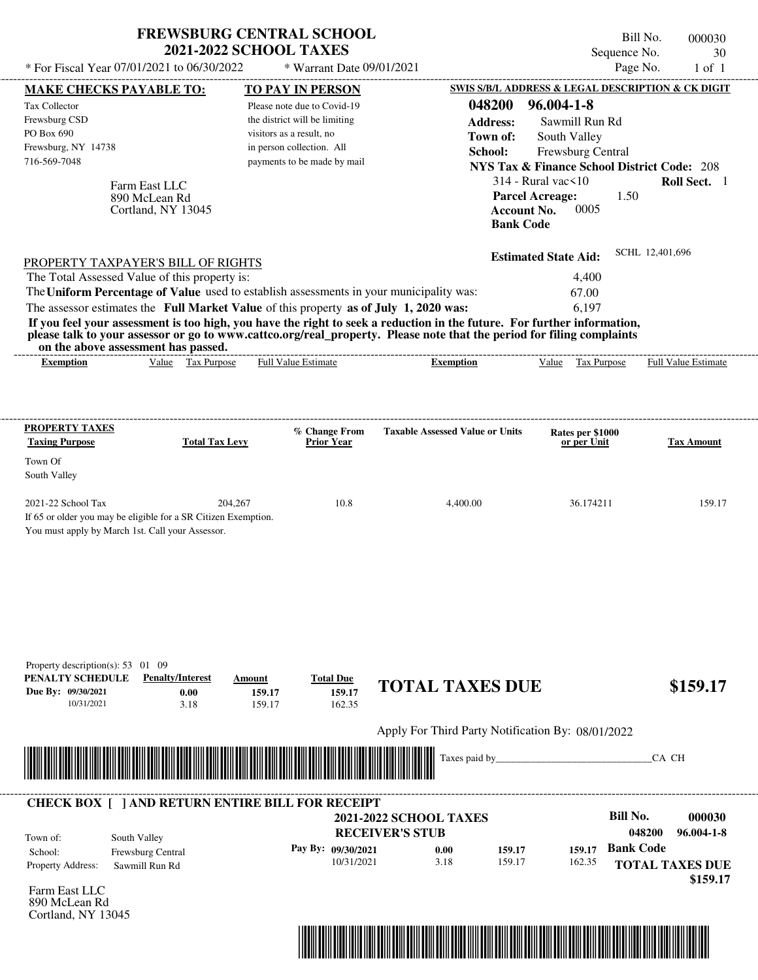| Page No.<br>* For Fiscal Year 07/01/2021 to 06/30/2022<br>* Warrant Date 09/01/2021<br>SWIS S/B/L ADDRESS & LEGAL DESCRIPTION & CK DIGIT<br><b>MAKE CHECKS PAYABLE TO:</b><br>TO PAY IN PERSON<br>048200<br>$96.004 - 1 - 8$<br><b>Tax Collector</b><br>Please note due to Covid-19<br>Frewsburg CSD<br>the district will be limiting<br>Sawmill Run Rd<br><b>Address:</b><br>PO Box 690<br>visitors as a result, no<br>Town of:<br>South Valley<br>Frewsburg, NY 14738<br>in person collection. All<br>Frewsburg Central<br>School:<br>716-569-7048<br>payments to be made by mail<br><b>NYS Tax &amp; Finance School District Code: 208</b><br>$314$ - Rural vac $\leq 10$<br>Farm East LLC<br><b>Parcel Acreage:</b><br>1.50<br>890 McLean Rd<br><b>Account No.</b><br>0005<br>Cortland, NY 13045<br><b>Bank Code</b><br>SCHL 12,401,696<br><b>Estimated State Aid:</b><br>PROPERTY TAXPAYER'S BILL OF RIGHTS<br>The Total Assessed Value of this property is:<br>4,400<br>The Uniform Percentage of Value used to establish assessments in your municipality was:<br>67.00<br>The assessor estimates the Full Market Value of this property as of July 1, 2020 was:<br>6.197<br>If you feel your assessment is too high, you have the right to seek a reduction in the future. For further information,<br>please talk to your assessor or go to www.cattco.org/real_property. Please note that the period for filing complaints<br>on the above assessment has passed.<br>Value Tax Purpose<br><b>Full Value Estimate</b><br>Value<br>Tax Purpose<br><b>Exemption</b><br><b>Exemption</b><br><b>Taxable Assessed Value or Units</b><br>% Change From<br>Rates per \$1000<br>Prior Year<br>or per Unit<br><b>Total Tax Levy</b><br>10.8<br>36.174211<br>204,267<br>4,400.00<br>If 65 or older you may be eligible for a SR Citizen Exemption.<br>You must apply by March 1st. Call your Assessor.<br>Property description(s): 53 01 09<br><b>Penalty/Interest</b><br><b>Total Due</b><br>Amount<br><b>TOTAL TAXES DUE</b><br>159.17<br>0.00<br>159.17<br>10/31/2021<br>3.18<br>159.17<br>162.35<br>Apply For Third Party Notification By: 08/01/2022<br>Taxes paid by_<br>CA CH<br><b>CHECK BOX [ ] AND RETURN ENTIRE BILL FOR RECEIPT</b><br><b>Bill No.</b><br>000030<br><b>2021-2022 SCHOOL TAXES</b><br>048200<br>$96.004 - 1 - 8$<br><b>RECEIVER'S STUB</b><br>South Valley<br><b>Bank Code</b><br>Pay By: 09/30/2021<br>159.17<br>0.00<br>159.17<br>Frewsburg Central<br>10/31/2021<br>3.18<br>159.17<br>162.35<br><b>TOTAL TAXES DUE</b><br>Sawmill Run Rd |                                                                                                 | <b>FREWSBURG CENTRAL SCHOOL</b><br><b>2021-2022 SCHOOL TAXES</b> |  | Sequence No. | Bill No.<br>000030<br>30    |
|-----------------------------------------------------------------------------------------------------------------------------------------------------------------------------------------------------------------------------------------------------------------------------------------------------------------------------------------------------------------------------------------------------------------------------------------------------------------------------------------------------------------------------------------------------------------------------------------------------------------------------------------------------------------------------------------------------------------------------------------------------------------------------------------------------------------------------------------------------------------------------------------------------------------------------------------------------------------------------------------------------------------------------------------------------------------------------------------------------------------------------------------------------------------------------------------------------------------------------------------------------------------------------------------------------------------------------------------------------------------------------------------------------------------------------------------------------------------------------------------------------------------------------------------------------------------------------------------------------------------------------------------------------------------------------------------------------------------------------------------------------------------------------------------------------------------------------------------------------------------------------------------------------------------------------------------------------------------------------------------------------------------------------------------------------------------------------------------------------------------------------------------------------------------------------------------------------------------------------------------------------------------------------------------------------------------------------------------------------------------------------------------------------------------------------------------------------------------------------------------------------------------------------------------------------------------------|-------------------------------------------------------------------------------------------------|------------------------------------------------------------------|--|--------------|-----------------------------|
|                                                                                                                                                                                                                                                                                                                                                                                                                                                                                                                                                                                                                                                                                                                                                                                                                                                                                                                                                                                                                                                                                                                                                                                                                                                                                                                                                                                                                                                                                                                                                                                                                                                                                                                                                                                                                                                                                                                                                                                                                                                                                                                                                                                                                                                                                                                                                                                                                                                                                                                                                                       |                                                                                                 |                                                                  |  |              | $1$ of $1$                  |
|                                                                                                                                                                                                                                                                                                                                                                                                                                                                                                                                                                                                                                                                                                                                                                                                                                                                                                                                                                                                                                                                                                                                                                                                                                                                                                                                                                                                                                                                                                                                                                                                                                                                                                                                                                                                                                                                                                                                                                                                                                                                                                                                                                                                                                                                                                                                                                                                                                                                                                                                                                       |                                                                                                 |                                                                  |  |              |                             |
|                                                                                                                                                                                                                                                                                                                                                                                                                                                                                                                                                                                                                                                                                                                                                                                                                                                                                                                                                                                                                                                                                                                                                                                                                                                                                                                                                                                                                                                                                                                                                                                                                                                                                                                                                                                                                                                                                                                                                                                                                                                                                                                                                                                                                                                                                                                                                                                                                                                                                                                                                                       |                                                                                                 |                                                                  |  |              |                             |
|                                                                                                                                                                                                                                                                                                                                                                                                                                                                                                                                                                                                                                                                                                                                                                                                                                                                                                                                                                                                                                                                                                                                                                                                                                                                                                                                                                                                                                                                                                                                                                                                                                                                                                                                                                                                                                                                                                                                                                                                                                                                                                                                                                                                                                                                                                                                                                                                                                                                                                                                                                       |                                                                                                 |                                                                  |  |              |                             |
|                                                                                                                                                                                                                                                                                                                                                                                                                                                                                                                                                                                                                                                                                                                                                                                                                                                                                                                                                                                                                                                                                                                                                                                                                                                                                                                                                                                                                                                                                                                                                                                                                                                                                                                                                                                                                                                                                                                                                                                                                                                                                                                                                                                                                                                                                                                                                                                                                                                                                                                                                                       |                                                                                                 |                                                                  |  |              |                             |
|                                                                                                                                                                                                                                                                                                                                                                                                                                                                                                                                                                                                                                                                                                                                                                                                                                                                                                                                                                                                                                                                                                                                                                                                                                                                                                                                                                                                                                                                                                                                                                                                                                                                                                                                                                                                                                                                                                                                                                                                                                                                                                                                                                                                                                                                                                                                                                                                                                                                                                                                                                       |                                                                                                 |                                                                  |  |              |                             |
|                                                                                                                                                                                                                                                                                                                                                                                                                                                                                                                                                                                                                                                                                                                                                                                                                                                                                                                                                                                                                                                                                                                                                                                                                                                                                                                                                                                                                                                                                                                                                                                                                                                                                                                                                                                                                                                                                                                                                                                                                                                                                                                                                                                                                                                                                                                                                                                                                                                                                                                                                                       |                                                                                                 |                                                                  |  |              |                             |
|                                                                                                                                                                                                                                                                                                                                                                                                                                                                                                                                                                                                                                                                                                                                                                                                                                                                                                                                                                                                                                                                                                                                                                                                                                                                                                                                                                                                                                                                                                                                                                                                                                                                                                                                                                                                                                                                                                                                                                                                                                                                                                                                                                                                                                                                                                                                                                                                                                                                                                                                                                       |                                                                                                 |                                                                  |  |              | Roll Sect. 1                |
|                                                                                                                                                                                                                                                                                                                                                                                                                                                                                                                                                                                                                                                                                                                                                                                                                                                                                                                                                                                                                                                                                                                                                                                                                                                                                                                                                                                                                                                                                                                                                                                                                                                                                                                                                                                                                                                                                                                                                                                                                                                                                                                                                                                                                                                                                                                                                                                                                                                                                                                                                                       |                                                                                                 |                                                                  |  |              |                             |
|                                                                                                                                                                                                                                                                                                                                                                                                                                                                                                                                                                                                                                                                                                                                                                                                                                                                                                                                                                                                                                                                                                                                                                                                                                                                                                                                                                                                                                                                                                                                                                                                                                                                                                                                                                                                                                                                                                                                                                                                                                                                                                                                                                                                                                                                                                                                                                                                                                                                                                                                                                       |                                                                                                 |                                                                  |  |              |                             |
|                                                                                                                                                                                                                                                                                                                                                                                                                                                                                                                                                                                                                                                                                                                                                                                                                                                                                                                                                                                                                                                                                                                                                                                                                                                                                                                                                                                                                                                                                                                                                                                                                                                                                                                                                                                                                                                                                                                                                                                                                                                                                                                                                                                                                                                                                                                                                                                                                                                                                                                                                                       |                                                                                                 |                                                                  |  |              |                             |
|                                                                                                                                                                                                                                                                                                                                                                                                                                                                                                                                                                                                                                                                                                                                                                                                                                                                                                                                                                                                                                                                                                                                                                                                                                                                                                                                                                                                                                                                                                                                                                                                                                                                                                                                                                                                                                                                                                                                                                                                                                                                                                                                                                                                                                                                                                                                                                                                                                                                                                                                                                       |                                                                                                 |                                                                  |  |              |                             |
|                                                                                                                                                                                                                                                                                                                                                                                                                                                                                                                                                                                                                                                                                                                                                                                                                                                                                                                                                                                                                                                                                                                                                                                                                                                                                                                                                                                                                                                                                                                                                                                                                                                                                                                                                                                                                                                                                                                                                                                                                                                                                                                                                                                                                                                                                                                                                                                                                                                                                                                                                                       |                                                                                                 |                                                                  |  |              |                             |
|                                                                                                                                                                                                                                                                                                                                                                                                                                                                                                                                                                                                                                                                                                                                                                                                                                                                                                                                                                                                                                                                                                                                                                                                                                                                                                                                                                                                                                                                                                                                                                                                                                                                                                                                                                                                                                                                                                                                                                                                                                                                                                                                                                                                                                                                                                                                                                                                                                                                                                                                                                       |                                                                                                 |                                                                  |  |              | Full Value Estimate         |
|                                                                                                                                                                                                                                                                                                                                                                                                                                                                                                                                                                                                                                                                                                                                                                                                                                                                                                                                                                                                                                                                                                                                                                                                                                                                                                                                                                                                                                                                                                                                                                                                                                                                                                                                                                                                                                                                                                                                                                                                                                                                                                                                                                                                                                                                                                                                                                                                                                                                                                                                                                       | <b>PROPERTY TAXES</b><br><b>Taxing Purpose</b><br>Town Of<br>South Valley<br>2021-22 School Tax |                                                                  |  |              | <b>Tax Amount</b><br>159.17 |
|                                                                                                                                                                                                                                                                                                                                                                                                                                                                                                                                                                                                                                                                                                                                                                                                                                                                                                                                                                                                                                                                                                                                                                                                                                                                                                                                                                                                                                                                                                                                                                                                                                                                                                                                                                                                                                                                                                                                                                                                                                                                                                                                                                                                                                                                                                                                                                                                                                                                                                                                                                       |                                                                                                 |                                                                  |  |              |                             |
|                                                                                                                                                                                                                                                                                                                                                                                                                                                                                                                                                                                                                                                                                                                                                                                                                                                                                                                                                                                                                                                                                                                                                                                                                                                                                                                                                                                                                                                                                                                                                                                                                                                                                                                                                                                                                                                                                                                                                                                                                                                                                                                                                                                                                                                                                                                                                                                                                                                                                                                                                                       | PENALTY SCHEDULE<br>Due By: 09/30/2021                                                          |                                                                  |  |              | \$159.17                    |
|                                                                                                                                                                                                                                                                                                                                                                                                                                                                                                                                                                                                                                                                                                                                                                                                                                                                                                                                                                                                                                                                                                                                                                                                                                                                                                                                                                                                                                                                                                                                                                                                                                                                                                                                                                                                                                                                                                                                                                                                                                                                                                                                                                                                                                                                                                                                                                                                                                                                                                                                                                       |                                                                                                 |                                                                  |  |              |                             |
|                                                                                                                                                                                                                                                                                                                                                                                                                                                                                                                                                                                                                                                                                                                                                                                                                                                                                                                                                                                                                                                                                                                                                                                                                                                                                                                                                                                                                                                                                                                                                                                                                                                                                                                                                                                                                                                                                                                                                                                                                                                                                                                                                                                                                                                                                                                                                                                                                                                                                                                                                                       |                                                                                                 |                                                                  |  |              |                             |
|                                                                                                                                                                                                                                                                                                                                                                                                                                                                                                                                                                                                                                                                                                                                                                                                                                                                                                                                                                                                                                                                                                                                                                                                                                                                                                                                                                                                                                                                                                                                                                                                                                                                                                                                                                                                                                                                                                                                                                                                                                                                                                                                                                                                                                                                                                                                                                                                                                                                                                                                                                       |                                                                                                 |                                                                  |  |              |                             |
|                                                                                                                                                                                                                                                                                                                                                                                                                                                                                                                                                                                                                                                                                                                                                                                                                                                                                                                                                                                                                                                                                                                                                                                                                                                                                                                                                                                                                                                                                                                                                                                                                                                                                                                                                                                                                                                                                                                                                                                                                                                                                                                                                                                                                                                                                                                                                                                                                                                                                                                                                                       |                                                                                                 |                                                                  |  |              |                             |
|                                                                                                                                                                                                                                                                                                                                                                                                                                                                                                                                                                                                                                                                                                                                                                                                                                                                                                                                                                                                                                                                                                                                                                                                                                                                                                                                                                                                                                                                                                                                                                                                                                                                                                                                                                                                                                                                                                                                                                                                                                                                                                                                                                                                                                                                                                                                                                                                                                                                                                                                                                       | Town of:                                                                                        |                                                                  |  |              |                             |
|                                                                                                                                                                                                                                                                                                                                                                                                                                                                                                                                                                                                                                                                                                                                                                                                                                                                                                                                                                                                                                                                                                                                                                                                                                                                                                                                                                                                                                                                                                                                                                                                                                                                                                                                                                                                                                                                                                                                                                                                                                                                                                                                                                                                                                                                                                                                                                                                                                                                                                                                                                       | School:                                                                                         |                                                                  |  |              |                             |
|                                                                                                                                                                                                                                                                                                                                                                                                                                                                                                                                                                                                                                                                                                                                                                                                                                                                                                                                                                                                                                                                                                                                                                                                                                                                                                                                                                                                                                                                                                                                                                                                                                                                                                                                                                                                                                                                                                                                                                                                                                                                                                                                                                                                                                                                                                                                                                                                                                                                                                                                                                       | Property Address:                                                                               |                                                                  |  |              |                             |
| Farm East LLC                                                                                                                                                                                                                                                                                                                                                                                                                                                                                                                                                                                                                                                                                                                                                                                                                                                                                                                                                                                                                                                                                                                                                                                                                                                                                                                                                                                                                                                                                                                                                                                                                                                                                                                                                                                                                                                                                                                                                                                                                                                                                                                                                                                                                                                                                                                                                                                                                                                                                                                                                         |                                                                                                 |                                                                  |  |              | \$159.17                    |

Farm East LLC 890 McLean Rd Cortland, NY 13045

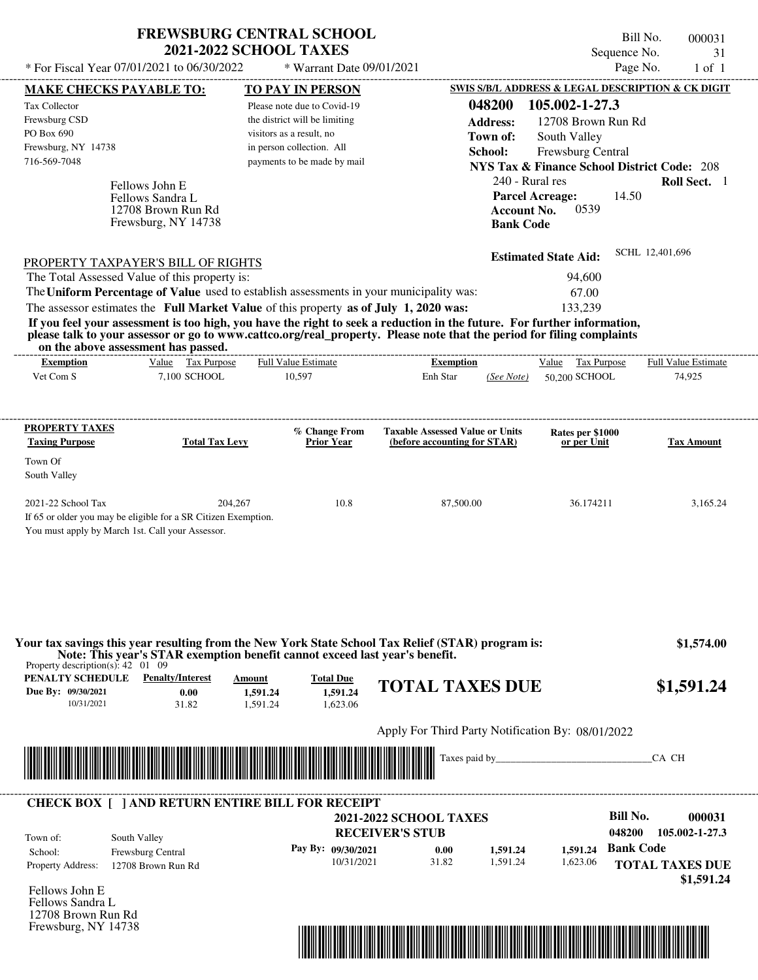| <b>FREWSBURG CENTRAL SCHOOL</b> |
|---------------------------------|
| <b>2021-2022 SCHOOL TAXES</b>   |

Bill No. 000031 Sequence No. 31

| SWIS S/B/L ADDRESS & LEGAL DESCRIPTION & CK DIGIT<br><b>TO PAY IN PERSON</b><br><b>MAKE CHECKS PAYABLE TO:</b><br>048200<br>105.002-1-27.3<br>Please note due to Covid-19<br>the district will be limiting<br><b>Address:</b><br>12708 Brown Run Rd<br>PO Box 690<br>visitors as a result, no<br>Town of:<br>South Valley<br>in person collection. All<br>Frewsburg, NY 14738<br>School:<br>Frewsburg Central<br>716-569-7048<br>payments to be made by mail<br><b>NYS Tax &amp; Finance School District Code: 208</b><br>240 - Rural res<br>Roll Sect. 1<br>Fellows John E<br><b>Parcel Acreage:</b><br>14.50<br>Fellows Sandra L<br><b>Account No.</b><br>0539<br>12708 Brown Run Rd<br>Frewsburg, NY 14738<br><b>Bank Code</b><br>SCHL 12,401,696<br><b>Estimated State Aid:</b><br><b>PROPERTY TAXPAYER'S BILL OF RIGHTS</b><br>The Total Assessed Value of this property is:<br>94,600<br>The Uniform Percentage of Value used to establish assessments in your municipality was:<br>67.00<br>The assessor estimates the Full Market Value of this property as of July 1, 2020 was:<br>133,239<br>If you feel your assessment is too high, you have the right to seek a reduction in the future. For further information,<br>please talk to your assessor or go to www.cattco.org/real_property. Please note that the period for filing complaints<br>on the above assessment has passed.<br>--------------------------<br>Value Tax Purpose<br><b>Full Value Estimate</b><br>Full Value Estimate<br><b>Exemption</b><br><b>Exemption</b><br>Value Tax Purpose<br>Vet Com S<br>7.100 SCHOOL<br>10,597<br>Enh Star<br>50,200 SCHOOL<br>74,925<br>(See Note)<br>% Change From<br><b>Taxable Assessed Value or Units</b><br>Rates per \$1000<br><b>Total Tax Levy</b><br><b>Prior Year</b><br>(before accounting for STAR)<br>or per Unit<br>Town Of<br>South Valley<br>2021-22 School Tax<br>204,267<br>10.8<br>87,500.00<br>36.174211<br>3,165.24<br>If 65 or older you may be eligible for a SR Citizen Exemption.<br>You must apply by March 1st. Call your Assessor.<br>Your tax savings this year resulting from the New York State School Tax Relief (STAR) program is:<br>Note: This year's STAR exemption benefit cannot exceed last year's benefit.<br>Property description(s): $42 \quad 01 \quad 09$<br><b>PENALTY SCHEDULE</b> Penalty/Interest<br>Amount<br><b>Total Due</b><br><b>TOTAL TAXES DUE</b><br>\$1,591.24<br>0.00<br>1,591.24<br>1,591.24<br>10/31/2021<br>1,623.06<br>31.82<br>1,591.24<br>Apply For Third Party Notification By: 08/01/2022<br><u> Indian American State of Barbara and The Barbara and The Barbara and The Barbara and The Barbara and The Barbara and The Barbara and The Barbara and The Barbara and The Barbara and The Barbara and The Barbara and The Bar</u><br>CA CH<br><b>CHECK BOX [ ] AND RETURN ENTIRE BILL FOR RECEIPT</b><br><b>Bill No.</b><br><b>2021-2022 SCHOOL TAXES</b><br>048200<br><b>RECEIVER'S STUB</b><br>South Valley<br><b>Bank Code</b><br>Pay By: 09/30/2021<br>1,591.24<br>0.00<br>1,591.24<br>Frewsburg Central<br>10/31/2021<br>31.82<br>1,591.24<br>1,623.06<br>12708 Brown Run Rd<br>Fellows John E<br>Fellows Sandra L<br>12708 Brown Run Rd | * For Fiscal Year 07/01/2021 to 06/30/2022 | * Warrant Date 09/01/2021 |  | Page No.<br>$1$ of $1$               |
|------------------------------------------------------------------------------------------------------------------------------------------------------------------------------------------------------------------------------------------------------------------------------------------------------------------------------------------------------------------------------------------------------------------------------------------------------------------------------------------------------------------------------------------------------------------------------------------------------------------------------------------------------------------------------------------------------------------------------------------------------------------------------------------------------------------------------------------------------------------------------------------------------------------------------------------------------------------------------------------------------------------------------------------------------------------------------------------------------------------------------------------------------------------------------------------------------------------------------------------------------------------------------------------------------------------------------------------------------------------------------------------------------------------------------------------------------------------------------------------------------------------------------------------------------------------------------------------------------------------------------------------------------------------------------------------------------------------------------------------------------------------------------------------------------------------------------------------------------------------------------------------------------------------------------------------------------------------------------------------------------------------------------------------------------------------------------------------------------------------------------------------------------------------------------------------------------------------------------------------------------------------------------------------------------------------------------------------------------------------------------------------------------------------------------------------------------------------------------------------------------------------------------------------------------------------------------------------------------------------------------------------------------------------------------------------------------------------------------------------------------------------------------------------------------------------------------------------------------------------------------------------------------------------------------------------------------------------------------------------------------------------------------------------------------------------------------------------------------------------------------------------------------------------------------------------------------------------------------|--------------------------------------------|---------------------------|--|--------------------------------------|
|                                                                                                                                                                                                                                                                                                                                                                                                                                                                                                                                                                                                                                                                                                                                                                                                                                                                                                                                                                                                                                                                                                                                                                                                                                                                                                                                                                                                                                                                                                                                                                                                                                                                                                                                                                                                                                                                                                                                                                                                                                                                                                                                                                                                                                                                                                                                                                                                                                                                                                                                                                                                                                                                                                                                                                                                                                                                                                                                                                                                                                                                                                                                                                                                                              |                                            |                           |  |                                      |
|                                                                                                                                                                                                                                                                                                                                                                                                                                                                                                                                                                                                                                                                                                                                                                                                                                                                                                                                                                                                                                                                                                                                                                                                                                                                                                                                                                                                                                                                                                                                                                                                                                                                                                                                                                                                                                                                                                                                                                                                                                                                                                                                                                                                                                                                                                                                                                                                                                                                                                                                                                                                                                                                                                                                                                                                                                                                                                                                                                                                                                                                                                                                                                                                                              | Tax Collector                              |                           |  |                                      |
|                                                                                                                                                                                                                                                                                                                                                                                                                                                                                                                                                                                                                                                                                                                                                                                                                                                                                                                                                                                                                                                                                                                                                                                                                                                                                                                                                                                                                                                                                                                                                                                                                                                                                                                                                                                                                                                                                                                                                                                                                                                                                                                                                                                                                                                                                                                                                                                                                                                                                                                                                                                                                                                                                                                                                                                                                                                                                                                                                                                                                                                                                                                                                                                                                              | Frewsburg CSD                              |                           |  |                                      |
|                                                                                                                                                                                                                                                                                                                                                                                                                                                                                                                                                                                                                                                                                                                                                                                                                                                                                                                                                                                                                                                                                                                                                                                                                                                                                                                                                                                                                                                                                                                                                                                                                                                                                                                                                                                                                                                                                                                                                                                                                                                                                                                                                                                                                                                                                                                                                                                                                                                                                                                                                                                                                                                                                                                                                                                                                                                                                                                                                                                                                                                                                                                                                                                                                              |                                            |                           |  |                                      |
|                                                                                                                                                                                                                                                                                                                                                                                                                                                                                                                                                                                                                                                                                                                                                                                                                                                                                                                                                                                                                                                                                                                                                                                                                                                                                                                                                                                                                                                                                                                                                                                                                                                                                                                                                                                                                                                                                                                                                                                                                                                                                                                                                                                                                                                                                                                                                                                                                                                                                                                                                                                                                                                                                                                                                                                                                                                                                                                                                                                                                                                                                                                                                                                                                              |                                            |                           |  |                                      |
|                                                                                                                                                                                                                                                                                                                                                                                                                                                                                                                                                                                                                                                                                                                                                                                                                                                                                                                                                                                                                                                                                                                                                                                                                                                                                                                                                                                                                                                                                                                                                                                                                                                                                                                                                                                                                                                                                                                                                                                                                                                                                                                                                                                                                                                                                                                                                                                                                                                                                                                                                                                                                                                                                                                                                                                                                                                                                                                                                                                                                                                                                                                                                                                                                              |                                            |                           |  |                                      |
|                                                                                                                                                                                                                                                                                                                                                                                                                                                                                                                                                                                                                                                                                                                                                                                                                                                                                                                                                                                                                                                                                                                                                                                                                                                                                                                                                                                                                                                                                                                                                                                                                                                                                                                                                                                                                                                                                                                                                                                                                                                                                                                                                                                                                                                                                                                                                                                                                                                                                                                                                                                                                                                                                                                                                                                                                                                                                                                                                                                                                                                                                                                                                                                                                              |                                            |                           |  |                                      |
|                                                                                                                                                                                                                                                                                                                                                                                                                                                                                                                                                                                                                                                                                                                                                                                                                                                                                                                                                                                                                                                                                                                                                                                                                                                                                                                                                                                                                                                                                                                                                                                                                                                                                                                                                                                                                                                                                                                                                                                                                                                                                                                                                                                                                                                                                                                                                                                                                                                                                                                                                                                                                                                                                                                                                                                                                                                                                                                                                                                                                                                                                                                                                                                                                              |                                            |                           |  |                                      |
|                                                                                                                                                                                                                                                                                                                                                                                                                                                                                                                                                                                                                                                                                                                                                                                                                                                                                                                                                                                                                                                                                                                                                                                                                                                                                                                                                                                                                                                                                                                                                                                                                                                                                                                                                                                                                                                                                                                                                                                                                                                                                                                                                                                                                                                                                                                                                                                                                                                                                                                                                                                                                                                                                                                                                                                                                                                                                                                                                                                                                                                                                                                                                                                                                              |                                            |                           |  |                                      |
|                                                                                                                                                                                                                                                                                                                                                                                                                                                                                                                                                                                                                                                                                                                                                                                                                                                                                                                                                                                                                                                                                                                                                                                                                                                                                                                                                                                                                                                                                                                                                                                                                                                                                                                                                                                                                                                                                                                                                                                                                                                                                                                                                                                                                                                                                                                                                                                                                                                                                                                                                                                                                                                                                                                                                                                                                                                                                                                                                                                                                                                                                                                                                                                                                              |                                            |                           |  |                                      |
|                                                                                                                                                                                                                                                                                                                                                                                                                                                                                                                                                                                                                                                                                                                                                                                                                                                                                                                                                                                                                                                                                                                                                                                                                                                                                                                                                                                                                                                                                                                                                                                                                                                                                                                                                                                                                                                                                                                                                                                                                                                                                                                                                                                                                                                                                                                                                                                                                                                                                                                                                                                                                                                                                                                                                                                                                                                                                                                                                                                                                                                                                                                                                                                                                              |                                            |                           |  |                                      |
|                                                                                                                                                                                                                                                                                                                                                                                                                                                                                                                                                                                                                                                                                                                                                                                                                                                                                                                                                                                                                                                                                                                                                                                                                                                                                                                                                                                                                                                                                                                                                                                                                                                                                                                                                                                                                                                                                                                                                                                                                                                                                                                                                                                                                                                                                                                                                                                                                                                                                                                                                                                                                                                                                                                                                                                                                                                                                                                                                                                                                                                                                                                                                                                                                              |                                            |                           |  |                                      |
|                                                                                                                                                                                                                                                                                                                                                                                                                                                                                                                                                                                                                                                                                                                                                                                                                                                                                                                                                                                                                                                                                                                                                                                                                                                                                                                                                                                                                                                                                                                                                                                                                                                                                                                                                                                                                                                                                                                                                                                                                                                                                                                                                                                                                                                                                                                                                                                                                                                                                                                                                                                                                                                                                                                                                                                                                                                                                                                                                                                                                                                                                                                                                                                                                              |                                            |                           |  |                                      |
|                                                                                                                                                                                                                                                                                                                                                                                                                                                                                                                                                                                                                                                                                                                                                                                                                                                                                                                                                                                                                                                                                                                                                                                                                                                                                                                                                                                                                                                                                                                                                                                                                                                                                                                                                                                                                                                                                                                                                                                                                                                                                                                                                                                                                                                                                                                                                                                                                                                                                                                                                                                                                                                                                                                                                                                                                                                                                                                                                                                                                                                                                                                                                                                                                              |                                            |                           |  |                                      |
|                                                                                                                                                                                                                                                                                                                                                                                                                                                                                                                                                                                                                                                                                                                                                                                                                                                                                                                                                                                                                                                                                                                                                                                                                                                                                                                                                                                                                                                                                                                                                                                                                                                                                                                                                                                                                                                                                                                                                                                                                                                                                                                                                                                                                                                                                                                                                                                                                                                                                                                                                                                                                                                                                                                                                                                                                                                                                                                                                                                                                                                                                                                                                                                                                              |                                            |                           |  |                                      |
|                                                                                                                                                                                                                                                                                                                                                                                                                                                                                                                                                                                                                                                                                                                                                                                                                                                                                                                                                                                                                                                                                                                                                                                                                                                                                                                                                                                                                                                                                                                                                                                                                                                                                                                                                                                                                                                                                                                                                                                                                                                                                                                                                                                                                                                                                                                                                                                                                                                                                                                                                                                                                                                                                                                                                                                                                                                                                                                                                                                                                                                                                                                                                                                                                              |                                            |                           |  |                                      |
|                                                                                                                                                                                                                                                                                                                                                                                                                                                                                                                                                                                                                                                                                                                                                                                                                                                                                                                                                                                                                                                                                                                                                                                                                                                                                                                                                                                                                                                                                                                                                                                                                                                                                                                                                                                                                                                                                                                                                                                                                                                                                                                                                                                                                                                                                                                                                                                                                                                                                                                                                                                                                                                                                                                                                                                                                                                                                                                                                                                                                                                                                                                                                                                                                              |                                            |                           |  |                                      |
|                                                                                                                                                                                                                                                                                                                                                                                                                                                                                                                                                                                                                                                                                                                                                                                                                                                                                                                                                                                                                                                                                                                                                                                                                                                                                                                                                                                                                                                                                                                                                                                                                                                                                                                                                                                                                                                                                                                                                                                                                                                                                                                                                                                                                                                                                                                                                                                                                                                                                                                                                                                                                                                                                                                                                                                                                                                                                                                                                                                                                                                                                                                                                                                                                              |                                            |                           |  |                                      |
|                                                                                                                                                                                                                                                                                                                                                                                                                                                                                                                                                                                                                                                                                                                                                                                                                                                                                                                                                                                                                                                                                                                                                                                                                                                                                                                                                                                                                                                                                                                                                                                                                                                                                                                                                                                                                                                                                                                                                                                                                                                                                                                                                                                                                                                                                                                                                                                                                                                                                                                                                                                                                                                                                                                                                                                                                                                                                                                                                                                                                                                                                                                                                                                                                              |                                            |                           |  |                                      |
|                                                                                                                                                                                                                                                                                                                                                                                                                                                                                                                                                                                                                                                                                                                                                                                                                                                                                                                                                                                                                                                                                                                                                                                                                                                                                                                                                                                                                                                                                                                                                                                                                                                                                                                                                                                                                                                                                                                                                                                                                                                                                                                                                                                                                                                                                                                                                                                                                                                                                                                                                                                                                                                                                                                                                                                                                                                                                                                                                                                                                                                                                                                                                                                                                              |                                            |                           |  |                                      |
|                                                                                                                                                                                                                                                                                                                                                                                                                                                                                                                                                                                                                                                                                                                                                                                                                                                                                                                                                                                                                                                                                                                                                                                                                                                                                                                                                                                                                                                                                                                                                                                                                                                                                                                                                                                                                                                                                                                                                                                                                                                                                                                                                                                                                                                                                                                                                                                                                                                                                                                                                                                                                                                                                                                                                                                                                                                                                                                                                                                                                                                                                                                                                                                                                              | <b>PROPERTY TAXES</b>                      |                           |  |                                      |
|                                                                                                                                                                                                                                                                                                                                                                                                                                                                                                                                                                                                                                                                                                                                                                                                                                                                                                                                                                                                                                                                                                                                                                                                                                                                                                                                                                                                                                                                                                                                                                                                                                                                                                                                                                                                                                                                                                                                                                                                                                                                                                                                                                                                                                                                                                                                                                                                                                                                                                                                                                                                                                                                                                                                                                                                                                                                                                                                                                                                                                                                                                                                                                                                                              | <b>Taxing Purpose</b>                      |                           |  | <b>Tax Amount</b>                    |
|                                                                                                                                                                                                                                                                                                                                                                                                                                                                                                                                                                                                                                                                                                                                                                                                                                                                                                                                                                                                                                                                                                                                                                                                                                                                                                                                                                                                                                                                                                                                                                                                                                                                                                                                                                                                                                                                                                                                                                                                                                                                                                                                                                                                                                                                                                                                                                                                                                                                                                                                                                                                                                                                                                                                                                                                                                                                                                                                                                                                                                                                                                                                                                                                                              |                                            |                           |  |                                      |
|                                                                                                                                                                                                                                                                                                                                                                                                                                                                                                                                                                                                                                                                                                                                                                                                                                                                                                                                                                                                                                                                                                                                                                                                                                                                                                                                                                                                                                                                                                                                                                                                                                                                                                                                                                                                                                                                                                                                                                                                                                                                                                                                                                                                                                                                                                                                                                                                                                                                                                                                                                                                                                                                                                                                                                                                                                                                                                                                                                                                                                                                                                                                                                                                                              |                                            |                           |  |                                      |
|                                                                                                                                                                                                                                                                                                                                                                                                                                                                                                                                                                                                                                                                                                                                                                                                                                                                                                                                                                                                                                                                                                                                                                                                                                                                                                                                                                                                                                                                                                                                                                                                                                                                                                                                                                                                                                                                                                                                                                                                                                                                                                                                                                                                                                                                                                                                                                                                                                                                                                                                                                                                                                                                                                                                                                                                                                                                                                                                                                                                                                                                                                                                                                                                                              |                                            |                           |  |                                      |
|                                                                                                                                                                                                                                                                                                                                                                                                                                                                                                                                                                                                                                                                                                                                                                                                                                                                                                                                                                                                                                                                                                                                                                                                                                                                                                                                                                                                                                                                                                                                                                                                                                                                                                                                                                                                                                                                                                                                                                                                                                                                                                                                                                                                                                                                                                                                                                                                                                                                                                                                                                                                                                                                                                                                                                                                                                                                                                                                                                                                                                                                                                                                                                                                                              |                                            |                           |  |                                      |
|                                                                                                                                                                                                                                                                                                                                                                                                                                                                                                                                                                                                                                                                                                                                                                                                                                                                                                                                                                                                                                                                                                                                                                                                                                                                                                                                                                                                                                                                                                                                                                                                                                                                                                                                                                                                                                                                                                                                                                                                                                                                                                                                                                                                                                                                                                                                                                                                                                                                                                                                                                                                                                                                                                                                                                                                                                                                                                                                                                                                                                                                                                                                                                                                                              |                                            |                           |  |                                      |
|                                                                                                                                                                                                                                                                                                                                                                                                                                                                                                                                                                                                                                                                                                                                                                                                                                                                                                                                                                                                                                                                                                                                                                                                                                                                                                                                                                                                                                                                                                                                                                                                                                                                                                                                                                                                                                                                                                                                                                                                                                                                                                                                                                                                                                                                                                                                                                                                                                                                                                                                                                                                                                                                                                                                                                                                                                                                                                                                                                                                                                                                                                                                                                                                                              |                                            |                           |  |                                      |
|                                                                                                                                                                                                                                                                                                                                                                                                                                                                                                                                                                                                                                                                                                                                                                                                                                                                                                                                                                                                                                                                                                                                                                                                                                                                                                                                                                                                                                                                                                                                                                                                                                                                                                                                                                                                                                                                                                                                                                                                                                                                                                                                                                                                                                                                                                                                                                                                                                                                                                                                                                                                                                                                                                                                                                                                                                                                                                                                                                                                                                                                                                                                                                                                                              |                                            |                           |  |                                      |
|                                                                                                                                                                                                                                                                                                                                                                                                                                                                                                                                                                                                                                                                                                                                                                                                                                                                                                                                                                                                                                                                                                                                                                                                                                                                                                                                                                                                                                                                                                                                                                                                                                                                                                                                                                                                                                                                                                                                                                                                                                                                                                                                                                                                                                                                                                                                                                                                                                                                                                                                                                                                                                                                                                                                                                                                                                                                                                                                                                                                                                                                                                                                                                                                                              |                                            |                           |  |                                      |
|                                                                                                                                                                                                                                                                                                                                                                                                                                                                                                                                                                                                                                                                                                                                                                                                                                                                                                                                                                                                                                                                                                                                                                                                                                                                                                                                                                                                                                                                                                                                                                                                                                                                                                                                                                                                                                                                                                                                                                                                                                                                                                                                                                                                                                                                                                                                                                                                                                                                                                                                                                                                                                                                                                                                                                                                                                                                                                                                                                                                                                                                                                                                                                                                                              |                                            |                           |  |                                      |
|                                                                                                                                                                                                                                                                                                                                                                                                                                                                                                                                                                                                                                                                                                                                                                                                                                                                                                                                                                                                                                                                                                                                                                                                                                                                                                                                                                                                                                                                                                                                                                                                                                                                                                                                                                                                                                                                                                                                                                                                                                                                                                                                                                                                                                                                                                                                                                                                                                                                                                                                                                                                                                                                                                                                                                                                                                                                                                                                                                                                                                                                                                                                                                                                                              |                                            |                           |  |                                      |
|                                                                                                                                                                                                                                                                                                                                                                                                                                                                                                                                                                                                                                                                                                                                                                                                                                                                                                                                                                                                                                                                                                                                                                                                                                                                                                                                                                                                                                                                                                                                                                                                                                                                                                                                                                                                                                                                                                                                                                                                                                                                                                                                                                                                                                                                                                                                                                                                                                                                                                                                                                                                                                                                                                                                                                                                                                                                                                                                                                                                                                                                                                                                                                                                                              |                                            |                           |  | \$1,574.00                           |
|                                                                                                                                                                                                                                                                                                                                                                                                                                                                                                                                                                                                                                                                                                                                                                                                                                                                                                                                                                                                                                                                                                                                                                                                                                                                                                                                                                                                                                                                                                                                                                                                                                                                                                                                                                                                                                                                                                                                                                                                                                                                                                                                                                                                                                                                                                                                                                                                                                                                                                                                                                                                                                                                                                                                                                                                                                                                                                                                                                                                                                                                                                                                                                                                                              |                                            |                           |  |                                      |
|                                                                                                                                                                                                                                                                                                                                                                                                                                                                                                                                                                                                                                                                                                                                                                                                                                                                                                                                                                                                                                                                                                                                                                                                                                                                                                                                                                                                                                                                                                                                                                                                                                                                                                                                                                                                                                                                                                                                                                                                                                                                                                                                                                                                                                                                                                                                                                                                                                                                                                                                                                                                                                                                                                                                                                                                                                                                                                                                                                                                                                                                                                                                                                                                                              |                                            |                           |  |                                      |
|                                                                                                                                                                                                                                                                                                                                                                                                                                                                                                                                                                                                                                                                                                                                                                                                                                                                                                                                                                                                                                                                                                                                                                                                                                                                                                                                                                                                                                                                                                                                                                                                                                                                                                                                                                                                                                                                                                                                                                                                                                                                                                                                                                                                                                                                                                                                                                                                                                                                                                                                                                                                                                                                                                                                                                                                                                                                                                                                                                                                                                                                                                                                                                                                                              | Due By: 09/30/2021                         |                           |  |                                      |
|                                                                                                                                                                                                                                                                                                                                                                                                                                                                                                                                                                                                                                                                                                                                                                                                                                                                                                                                                                                                                                                                                                                                                                                                                                                                                                                                                                                                                                                                                                                                                                                                                                                                                                                                                                                                                                                                                                                                                                                                                                                                                                                                                                                                                                                                                                                                                                                                                                                                                                                                                                                                                                                                                                                                                                                                                                                                                                                                                                                                                                                                                                                                                                                                                              |                                            |                           |  |                                      |
|                                                                                                                                                                                                                                                                                                                                                                                                                                                                                                                                                                                                                                                                                                                                                                                                                                                                                                                                                                                                                                                                                                                                                                                                                                                                                                                                                                                                                                                                                                                                                                                                                                                                                                                                                                                                                                                                                                                                                                                                                                                                                                                                                                                                                                                                                                                                                                                                                                                                                                                                                                                                                                                                                                                                                                                                                                                                                                                                                                                                                                                                                                                                                                                                                              |                                            |                           |  |                                      |
|                                                                                                                                                                                                                                                                                                                                                                                                                                                                                                                                                                                                                                                                                                                                                                                                                                                                                                                                                                                                                                                                                                                                                                                                                                                                                                                                                                                                                                                                                                                                                                                                                                                                                                                                                                                                                                                                                                                                                                                                                                                                                                                                                                                                                                                                                                                                                                                                                                                                                                                                                                                                                                                                                                                                                                                                                                                                                                                                                                                                                                                                                                                                                                                                                              |                                            |                           |  |                                      |
|                                                                                                                                                                                                                                                                                                                                                                                                                                                                                                                                                                                                                                                                                                                                                                                                                                                                                                                                                                                                                                                                                                                                                                                                                                                                                                                                                                                                                                                                                                                                                                                                                                                                                                                                                                                                                                                                                                                                                                                                                                                                                                                                                                                                                                                                                                                                                                                                                                                                                                                                                                                                                                                                                                                                                                                                                                                                                                                                                                                                                                                                                                                                                                                                                              |                                            |                           |  |                                      |
|                                                                                                                                                                                                                                                                                                                                                                                                                                                                                                                                                                                                                                                                                                                                                                                                                                                                                                                                                                                                                                                                                                                                                                                                                                                                                                                                                                                                                                                                                                                                                                                                                                                                                                                                                                                                                                                                                                                                                                                                                                                                                                                                                                                                                                                                                                                                                                                                                                                                                                                                                                                                                                                                                                                                                                                                                                                                                                                                                                                                                                                                                                                                                                                                                              |                                            |                           |  |                                      |
|                                                                                                                                                                                                                                                                                                                                                                                                                                                                                                                                                                                                                                                                                                                                                                                                                                                                                                                                                                                                                                                                                                                                                                                                                                                                                                                                                                                                                                                                                                                                                                                                                                                                                                                                                                                                                                                                                                                                                                                                                                                                                                                                                                                                                                                                                                                                                                                                                                                                                                                                                                                                                                                                                                                                                                                                                                                                                                                                                                                                                                                                                                                                                                                                                              |                                            |                           |  |                                      |
|                                                                                                                                                                                                                                                                                                                                                                                                                                                                                                                                                                                                                                                                                                                                                                                                                                                                                                                                                                                                                                                                                                                                                                                                                                                                                                                                                                                                                                                                                                                                                                                                                                                                                                                                                                                                                                                                                                                                                                                                                                                                                                                                                                                                                                                                                                                                                                                                                                                                                                                                                                                                                                                                                                                                                                                                                                                                                                                                                                                                                                                                                                                                                                                                                              |                                            |                           |  | 000031                               |
|                                                                                                                                                                                                                                                                                                                                                                                                                                                                                                                                                                                                                                                                                                                                                                                                                                                                                                                                                                                                                                                                                                                                                                                                                                                                                                                                                                                                                                                                                                                                                                                                                                                                                                                                                                                                                                                                                                                                                                                                                                                                                                                                                                                                                                                                                                                                                                                                                                                                                                                                                                                                                                                                                                                                                                                                                                                                                                                                                                                                                                                                                                                                                                                                                              |                                            |                           |  | 105.002-1-27.3                       |
|                                                                                                                                                                                                                                                                                                                                                                                                                                                                                                                                                                                                                                                                                                                                                                                                                                                                                                                                                                                                                                                                                                                                                                                                                                                                                                                                                                                                                                                                                                                                                                                                                                                                                                                                                                                                                                                                                                                                                                                                                                                                                                                                                                                                                                                                                                                                                                                                                                                                                                                                                                                                                                                                                                                                                                                                                                                                                                                                                                                                                                                                                                                                                                                                                              |                                            |                           |  |                                      |
|                                                                                                                                                                                                                                                                                                                                                                                                                                                                                                                                                                                                                                                                                                                                                                                                                                                                                                                                                                                                                                                                                                                                                                                                                                                                                                                                                                                                                                                                                                                                                                                                                                                                                                                                                                                                                                                                                                                                                                                                                                                                                                                                                                                                                                                                                                                                                                                                                                                                                                                                                                                                                                                                                                                                                                                                                                                                                                                                                                                                                                                                                                                                                                                                                              | Town of:                                   |                           |  |                                      |
|                                                                                                                                                                                                                                                                                                                                                                                                                                                                                                                                                                                                                                                                                                                                                                                                                                                                                                                                                                                                                                                                                                                                                                                                                                                                                                                                                                                                                                                                                                                                                                                                                                                                                                                                                                                                                                                                                                                                                                                                                                                                                                                                                                                                                                                                                                                                                                                                                                                                                                                                                                                                                                                                                                                                                                                                                                                                                                                                                                                                                                                                                                                                                                                                                              | School:<br><b>Property Address:</b>        |                           |  |                                      |
|                                                                                                                                                                                                                                                                                                                                                                                                                                                                                                                                                                                                                                                                                                                                                                                                                                                                                                                                                                                                                                                                                                                                                                                                                                                                                                                                                                                                                                                                                                                                                                                                                                                                                                                                                                                                                                                                                                                                                                                                                                                                                                                                                                                                                                                                                                                                                                                                                                                                                                                                                                                                                                                                                                                                                                                                                                                                                                                                                                                                                                                                                                                                                                                                                              |                                            |                           |  |                                      |
|                                                                                                                                                                                                                                                                                                                                                                                                                                                                                                                                                                                                                                                                                                                                                                                                                                                                                                                                                                                                                                                                                                                                                                                                                                                                                                                                                                                                                                                                                                                                                                                                                                                                                                                                                                                                                                                                                                                                                                                                                                                                                                                                                                                                                                                                                                                                                                                                                                                                                                                                                                                                                                                                                                                                                                                                                                                                                                                                                                                                                                                                                                                                                                                                                              |                                            |                           |  |                                      |
| Frewsburg, NY 14738<br><u> 1999 - 1999 - 1999 - 1999 - 1999 - 1999 - 1999 - 1999 - 1999 - 1999 - 1999 - 1999 - 1999 - 1999 - 1999 - 1999 - 1999 - 1999 - 1999 - 1999 - 1999 - 1999 - 1999 - 1999 - 1999 - 1999 - 1999 - 1999 - 1999 - 1999 - 1999 - 199</u>                                                                                                                                                                                                                                                                                                                                                                                                                                                                                                                                                                                                                                                                                                                                                                                                                                                                                                                                                                                                                                                                                                                                                                                                                                                                                                                                                                                                                                                                                                                                                                                                                                                                                                                                                                                                                                                                                                                                                                                                                                                                                                                                                                                                                                                                                                                                                                                                                                                                                                                                                                                                                                                                                                                                                                                                                                                                                                                                                                  |                                            |                           |  | <b>TOTAL TAXES DUE</b><br>\$1,591.24 |

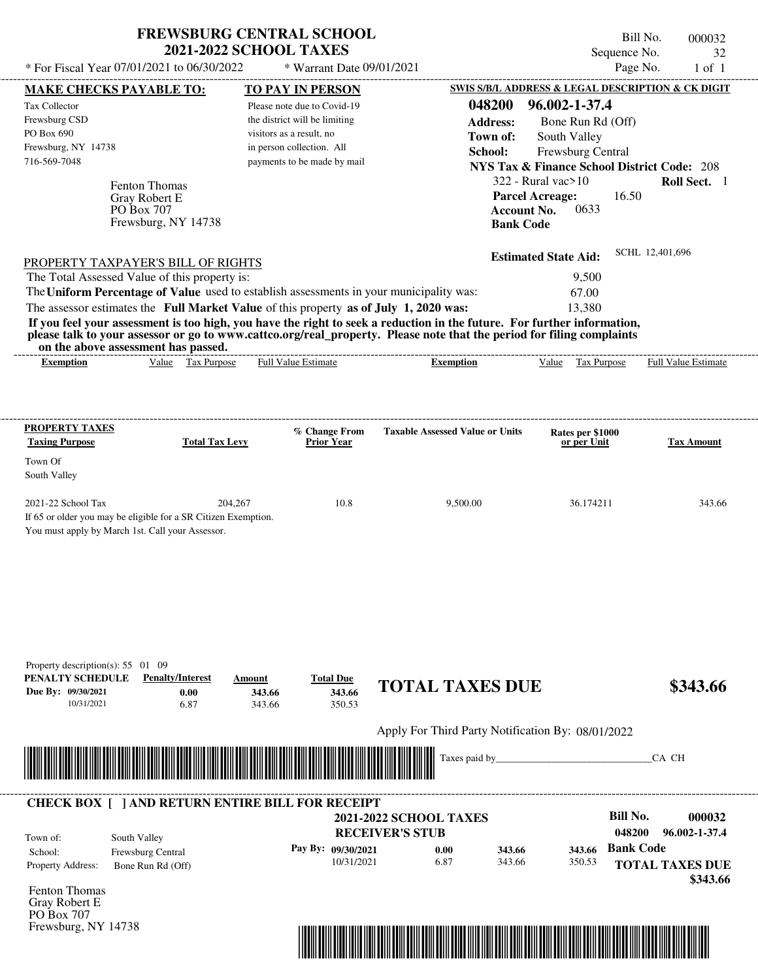|                                                                                                                                                                                                                                                                                                                | <b>FREWSBURG CENTRAL SCHOOL</b><br><b>2021-2022 SCHOOL TAXES</b>      |                                                                                                                                                      |                                                                                                                                                                                                                                                  | Sequence No.                                                                                                                      | Bill No.<br>000032<br>32   |
|----------------------------------------------------------------------------------------------------------------------------------------------------------------------------------------------------------------------------------------------------------------------------------------------------------------|-----------------------------------------------------------------------|------------------------------------------------------------------------------------------------------------------------------------------------------|--------------------------------------------------------------------------------------------------------------------------------------------------------------------------------------------------------------------------------------------------|-----------------------------------------------------------------------------------------------------------------------------------|----------------------------|
| * For Fiscal Year 07/01/2021 to 06/30/2022                                                                                                                                                                                                                                                                     |                                                                       | * Warrant Date 09/01/2021                                                                                                                            |                                                                                                                                                                                                                                                  | Page No.                                                                                                                          | $1$ of $1$                 |
| <b>MAKE CHECKS PAYABLE TO:</b>                                                                                                                                                                                                                                                                                 |                                                                       | <b>TO PAY IN PERSON</b>                                                                                                                              |                                                                                                                                                                                                                                                  | SWIS S/B/L ADDRESS & LEGAL DESCRIPTION & CK DIGIT                                                                                 |                            |
| Tax Collector<br>Frewsburg CSD<br>PO Box 690<br>Frewsburg, NY 14738<br>716-569-7048                                                                                                                                                                                                                            |                                                                       | Please note due to Covid-19<br>the district will be limiting<br>visitors as a result, no<br>in person collection. All<br>payments to be made by mail | 048200<br><b>Address:</b><br>Town of:<br>School:                                                                                                                                                                                                 | 96.002-1-37.4<br>Bone Run Rd (Off)<br>South Valley<br>Frewsburg Central<br><b>NYS Tax &amp; Finance School District Code: 208</b> |                            |
| Fenton Thomas<br>Gray Robert E<br>PO Box 707<br>Frewsburg, NY 14738                                                                                                                                                                                                                                            |                                                                       |                                                                                                                                                      | <b>Account No.</b><br><b>Bank Code</b>                                                                                                                                                                                                           | $322$ - Rural vac $>10$<br>16.50<br><b>Parcel Acreage:</b><br>0633                                                                | Roll Sect. 1               |
| PROPERTY TAXPAYER'S BILL OF RIGHTS<br>The Total Assessed Value of this property is:<br>The Uniform Percentage of Value used to establish assessments in your municipality was:<br>The assessor estimates the Full Market Value of this property as of July 1, 2020 was:<br>on the above assessment has passed. |                                                                       |                                                                                                                                                      | If you feel your assessment is too high, you have the right to seek a reduction in the future. For further information,<br>please talk to your assessor or go to www.cattco.org/real_property. Please note that the period for filing complaints | <b>Estimated State Aid:</b><br>9,500<br>67.00<br>13,380                                                                           | SCHL 12,401,696            |
| <b>Exemption</b>                                                                                                                                                                                                                                                                                               | Value Tax Purpose                                                     | <b>Full Value Estimate</b>                                                                                                                           | -----------------------<br><b>Exemption</b>                                                                                                                                                                                                      | Value Tax Purpose                                                                                                                 | <b>Full Value Estimate</b> |
| PROPERTY TAXES<br><b>Taxing Purpose</b>                                                                                                                                                                                                                                                                        | <b>Total Tax Levy</b>                                                 | % Change From<br><b>Prior Year</b>                                                                                                                   | <b>Taxable Assessed Value or Units</b>                                                                                                                                                                                                           | Rates per \$1000<br>or per Unit                                                                                                   | Tax Amount                 |
| Town Of<br>South Valley                                                                                                                                                                                                                                                                                        |                                                                       |                                                                                                                                                      |                                                                                                                                                                                                                                                  |                                                                                                                                   |                            |
| 2021-22 School Tax<br>If 65 or older you may be eligible for a SR Citizen Exemption.<br>You must apply by March 1st. Call your Assessor.                                                                                                                                                                       | 204,267                                                               | 10.8                                                                                                                                                 | 9,500.00                                                                                                                                                                                                                                         | 36.174211                                                                                                                         | 343.66                     |
| Property description(s): $55 \quad 01 \quad 09$<br>PENALTY SCHEDULE<br>Due By: 09/30/2021<br>10/31/2021                                                                                                                                                                                                        | <b>Penalty/Interest</b><br>Amount<br>0.00<br>343.66<br>6.87<br>343.66 | <b>Total Due</b><br>343.66<br>350.53                                                                                                                 | <b>TOTAL TAXES DUE</b>                                                                                                                                                                                                                           |                                                                                                                                   | \$343.66                   |
|                                                                                                                                                                                                                                                                                                                |                                                                       |                                                                                                                                                      | Apply For Third Party Notification By: 08/01/2022                                                                                                                                                                                                |                                                                                                                                   |                            |
|                                                                                                                                                                                                                                                                                                                |                                                                       |                                                                                                                                                      | Taxes paid by_                                                                                                                                                                                                                                   |                                                                                                                                   | CA CH                      |
| <b>CHECK BOX [ ] AND RETURN ENTIRE BILL FOR RECEIPT</b>                                                                                                                                                                                                                                                        |                                                                       |                                                                                                                                                      |                                                                                                                                                                                                                                                  |                                                                                                                                   |                            |
| South Valley<br>Town of:                                                                                                                                                                                                                                                                                       |                                                                       |                                                                                                                                                      | <b>2021-2022 SCHOOL TAXES</b><br><b>RECEIVER'S STUB</b>                                                                                                                                                                                          | <b>Bill No.</b><br>048200                                                                                                         | 000032<br>96.002-1-37.4    |
| Frewsburg Central<br>School:                                                                                                                                                                                                                                                                                   |                                                                       | Pay By: 09/30/2021                                                                                                                                   | 0.00<br>343.66                                                                                                                                                                                                                                   | <b>Bank Code</b><br>343.66                                                                                                        |                            |

10/31/2021 6.87

Fenton Thomas Property Address: Bone Run Rd (Off)

Gray Robert E PO Box 707 Frewsburg, NY 14738



343.66

350.53

**TOTAL TAXES DUE**

 **\$343.66**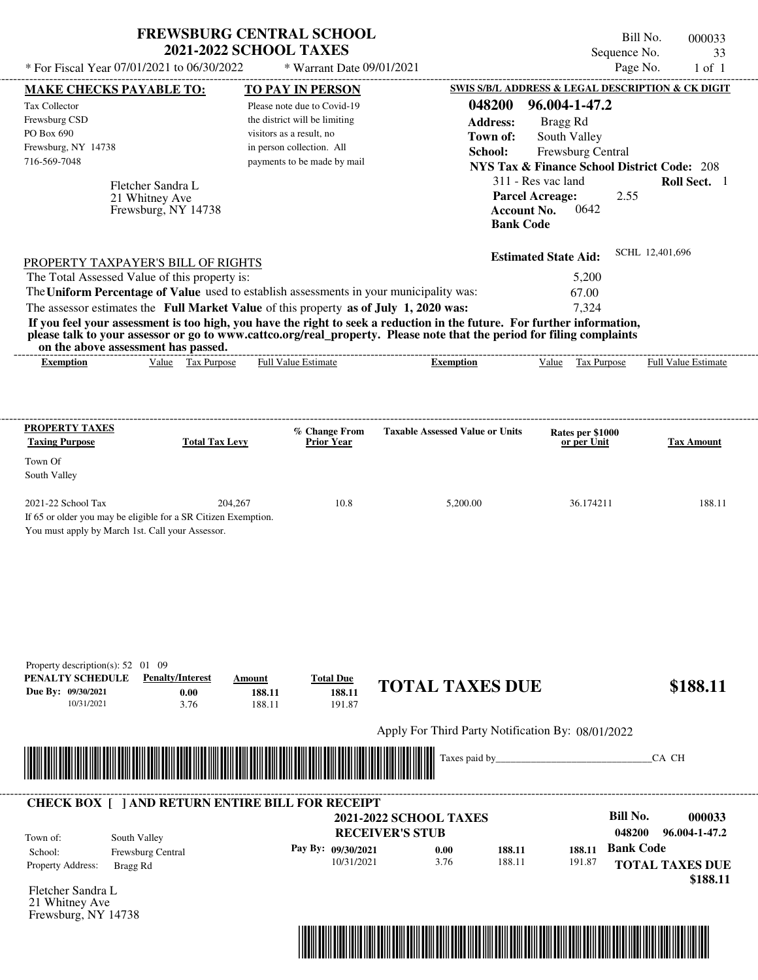| * For Fiscal Year 07/01/2021 to 06/30/2022                                                                                                                                                                                                                                              | <b>FREWSBURG CENTRAL SCHOOL</b><br><b>2021-2022 SCHOOL TAXES</b> |                               | * Warrant Date 09/01/2021            |                               |                                                        |                                                                  |                   | Bill No.<br>Sequence No.<br>Page No. |                        | 000033<br>33<br>$1$ of $1$ |
|-----------------------------------------------------------------------------------------------------------------------------------------------------------------------------------------------------------------------------------------------------------------------------------------|------------------------------------------------------------------|-------------------------------|--------------------------------------|-------------------------------|--------------------------------------------------------|------------------------------------------------------------------|-------------------|--------------------------------------|------------------------|----------------------------|
| <b>MAKE CHECKS PAYABLE TO:</b>                                                                                                                                                                                                                                                          |                                                                  | <b>TO PAY IN PERSON</b>       |                                      |                               | SWIS S/B/L ADDRESS & LEGAL DESCRIPTION & CK DIGIT      |                                                                  |                   |                                      |                        |                            |
| Tax Collector                                                                                                                                                                                                                                                                           |                                                                  | Please note due to Covid-19   |                                      |                               | 048200                                                 | 96.004-1-47.2                                                    |                   |                                      |                        |                            |
| Frewsburg CSD                                                                                                                                                                                                                                                                           |                                                                  | the district will be limiting |                                      |                               | <b>Address:</b>                                        | Bragg Rd                                                         |                   |                                      |                        |                            |
| PO Box 690                                                                                                                                                                                                                                                                              |                                                                  | visitors as a result, no      |                                      |                               | Town of:                                               |                                                                  | South Valley      |                                      |                        |                            |
| Frewsburg, NY 14738                                                                                                                                                                                                                                                                     |                                                                  | in person collection. All     |                                      |                               | School:                                                |                                                                  | Frewsburg Central |                                      |                        |                            |
| 716-569-7048                                                                                                                                                                                                                                                                            |                                                                  |                               | payments to be made by mail          |                               | <b>NYS Tax &amp; Finance School District Code: 208</b> |                                                                  |                   |                                      |                        |                            |
|                                                                                                                                                                                                                                                                                         |                                                                  |                               |                                      |                               |                                                        | 311 - Res vac land                                               |                   |                                      |                        | Roll Sect. 1               |
|                                                                                                                                                                                                                                                                                         | Fletcher Sandra L<br>21 Whitney Ave<br>Frewsburg, NY 14738       |                               |                                      |                               |                                                        | <b>Parcel Acreage:</b><br><b>Account No.</b><br><b>Bank Code</b> | 0642              | 2.55                                 |                        |                            |
| PROPERTY TAXPAYER'S BILL OF RIGHTS                                                                                                                                                                                                                                                      |                                                                  |                               |                                      |                               |                                                        | <b>Estimated State Aid:</b>                                      |                   |                                      | SCHL 12,401,696        |                            |
| The Total Assessed Value of this property is:                                                                                                                                                                                                                                           |                                                                  |                               |                                      |                               |                                                        |                                                                  | 5,200             |                                      |                        |                            |
| The Uniform Percentage of Value used to establish assessments in your municipality was:                                                                                                                                                                                                 |                                                                  |                               |                                      |                               |                                                        |                                                                  | 67.00             |                                      |                        |                            |
| The assessor estimates the Full Market Value of this property as of July 1, 2020 was:                                                                                                                                                                                                   |                                                                  |                               |                                      |                               |                                                        |                                                                  | 7,324             |                                      |                        |                            |
| If you feel your assessment is too high, you have the right to seek a reduction in the future. For further information,<br>please talk to your assessor or go to www.cattco.org/real_property. Please note that the period for filing complaints<br>on the above assessment has passed. |                                                                  |                               |                                      |                               |                                                        |                                                                  |                   |                                      |                        |                            |
| <b>Exemption</b>                                                                                                                                                                                                                                                                        | Value Tax Purpose                                                | Full Value Estimate           |                                      |                               | <b>Exemption</b>                                       |                                                                  | Value Tax Purpose |                                      | Full Value Estimate    |                            |
| Town Of<br>South Valley<br>2021-22 School Tax<br>If 65 or older you may be eligible for a SR Citizen Exemption.<br>You must apply by March 1st. Call your Assessor.                                                                                                                     | 204,267                                                          |                               | 10.8                                 |                               | 5,200.00                                               |                                                                  | 36.174211         |                                      |                        | 188.11                     |
| Property description(s): $52 \quad 01 \quad 09$<br>PENALTY SCHEDULE<br>Due By: 09/30/2021<br>10/31/2021                                                                                                                                                                                 | <b>Penalty/Interest</b><br>0.00<br>3.76                          | Amount<br>188.11<br>188.11    | <b>Total Due</b><br>188.11<br>191.87 |                               | <b>TOTAL TAXES DUE</b>                                 |                                                                  |                   |                                      |                        | \$188.11                   |
|                                                                                                                                                                                                                                                                                         |                                                                  |                               |                                      |                               | Apply For Third Party Notification By: 08/01/2022      |                                                                  |                   |                                      |                        |                            |
|                                                                                                                                                                                                                                                                                         |                                                                  |                               |                                      |                               | Taxes paid by                                          |                                                                  |                   |                                      | CA CH                  |                            |
| <b>CHECK BOX [ ] AND RETURN ENTIRE BILL FOR RECEIPT</b>                                                                                                                                                                                                                                 |                                                                  |                               |                                      |                               |                                                        |                                                                  |                   |                                      |                        |                            |
|                                                                                                                                                                                                                                                                                         |                                                                  |                               |                                      | <b>2021-2022 SCHOOL TAXES</b> |                                                        |                                                                  |                   | <b>Bill No.</b>                      |                        | 000033                     |
| Town of:                                                                                                                                                                                                                                                                                | South Valley                                                     |                               |                                      | <b>RECEIVER'S STUB</b>        |                                                        |                                                                  |                   | 048200                               |                        | 96.004-1-47.2              |
| School:                                                                                                                                                                                                                                                                                 | Frewsburg Central                                                |                               | Pay By: 09/30/2021                   | 0.00                          | 188.11                                                 |                                                                  | 188.11            | <b>Bank Code</b>                     |                        |                            |
| Property Address:<br>Bragg Rd                                                                                                                                                                                                                                                           |                                                                  |                               | 10/31/2021                           | 3.76                          | 188.11                                                 |                                                                  | 191.87            |                                      | <b>TOTAL TAXES DUE</b> |                            |
|                                                                                                                                                                                                                                                                                         |                                                                  |                               |                                      |                               |                                                        |                                                                  |                   |                                      |                        | \$188.11                   |
| Fletcher Sandra L                                                                                                                                                                                                                                                                       |                                                                  |                               |                                      |                               |                                                        |                                                                  |                   |                                      |                        |                            |
| 21 Whitney Ave                                                                                                                                                                                                                                                                          |                                                                  |                               |                                      |                               |                                                        |                                                                  |                   |                                      |                        |                            |

Frewsburg, NY 14738

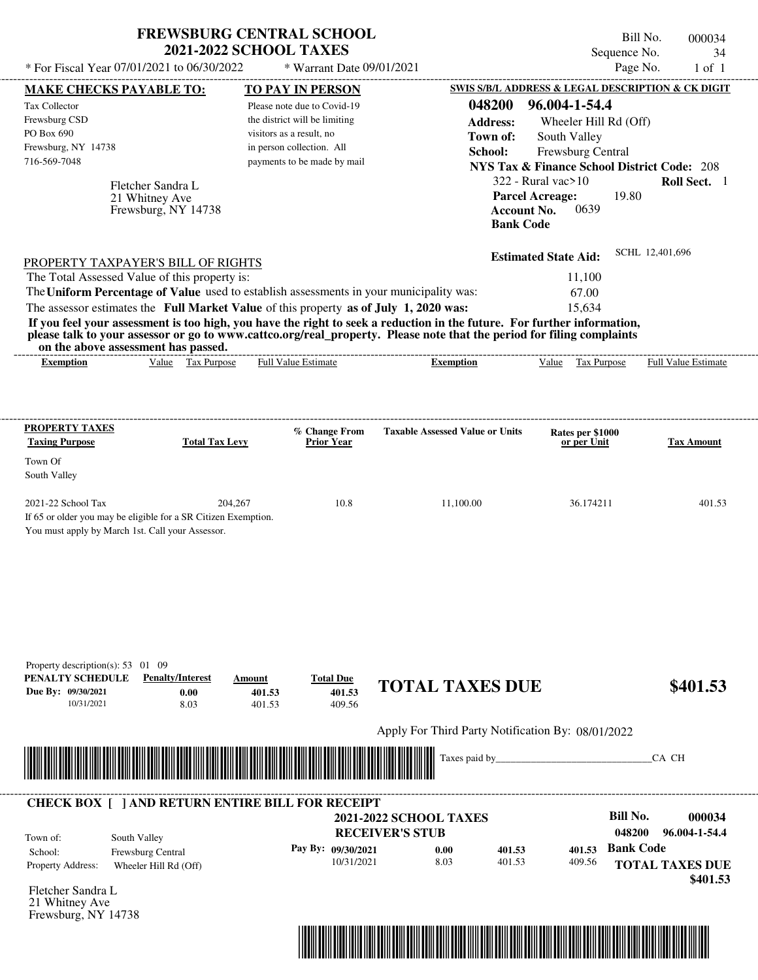| * For Fiscal Year 07/01/2021 to 06/30/2022                                                                                                                                                                                                                                                                | <b>FREWSBURG CENTRAL SCHOOL</b>                                                                                         | <b>2021-2022 SCHOOL TAXES</b>                                                            | * Warrant Date 09/01/2021            |                                                   |                                                                                                                        | Bill No.<br>000034<br>Sequence No.<br>34<br>Page No.<br>$1$ of $1$ |
|-----------------------------------------------------------------------------------------------------------------------------------------------------------------------------------------------------------------------------------------------------------------------------------------------------------|-------------------------------------------------------------------------------------------------------------------------|------------------------------------------------------------------------------------------|--------------------------------------|---------------------------------------------------|------------------------------------------------------------------------------------------------------------------------|--------------------------------------------------------------------|
| <b>MAKE CHECKS PAYABLE TO:</b>                                                                                                                                                                                                                                                                            |                                                                                                                         | <b>TO PAY IN PERSON</b>                                                                  |                                      |                                                   |                                                                                                                        | SWIS S/B/L ADDRESS & LEGAL DESCRIPTION & CK DIGIT                  |
| Tax Collector<br>Frewsburg CSD<br>PO Box 690                                                                                                                                                                                                                                                              |                                                                                                                         | Please note due to Covid-19<br>the district will be limiting<br>visitors as a result, no |                                      | 048200<br><b>Address:</b>                         | 96.004-1-54.4<br>Wheeler Hill Rd (Off)                                                                                 |                                                                    |
| Frewsburg, NY 14738<br>716-569-7048                                                                                                                                                                                                                                                                       |                                                                                                                         | in person collection. All<br>payments to be made by mail                                 |                                      | Town of:<br>School:                               | South Valley<br>Frewsburg Central<br><b>NYS Tax &amp; Finance School District Code: 208</b><br>$322$ - Rural vac $>10$ | Roll Sect. 1                                                       |
|                                                                                                                                                                                                                                                                                                           | Fletcher Sandra L<br>21 Whitney Ave<br>Frewsburg, NY 14738                                                              |                                                                                          |                                      |                                                   | <b>Parcel Acreage:</b><br>0639<br><b>Account No.</b><br><b>Bank Code</b>                                               | 19.80                                                              |
| PROPERTY TAXPAYER'S BILL OF RIGHTS<br>The Total Assessed Value of this property is:                                                                                                                                                                                                                       |                                                                                                                         |                                                                                          |                                      |                                                   | <b>Estimated State Aid:</b><br>11,100                                                                                  | SCHL 12,401,696                                                    |
| The Uniform Percentage of Value used to establish assessments in your municipality was:<br>The assessor estimates the Full Market Value of this property as of July 1, 2020 was:<br>please talk to your assessor or go to www.cattco.org/real_property. Please note that the period for filing complaints | If you feel your assessment is too high, you have the right to seek a reduction in the future. For further information, |                                                                                          |                                      |                                                   | 67.00<br>15,634                                                                                                        |                                                                    |
| <b>Exemption</b>                                                                                                                                                                                                                                                                                          | on the above assessment has passed.<br>Value Tax Purpose                                                                | <b>Full Value Estimate</b>                                                               |                                      | <b>Exemption</b>                                  | Value Tax Purpose                                                                                                      | Full Value Estimate                                                |
|                                                                                                                                                                                                                                                                                                           |                                                                                                                         |                                                                                          |                                      |                                                   |                                                                                                                        |                                                                    |
| <b>PROPERTY TAXES</b>                                                                                                                                                                                                                                                                                     |                                                                                                                         | % Change From                                                                            |                                      | <b>Taxable Assessed Value or Units</b>            | Rates per \$1000                                                                                                       |                                                                    |
| <b>Taxing Purpose</b>                                                                                                                                                                                                                                                                                     | <b>Total Tax Levy</b>                                                                                                   | <b>Prior Year</b>                                                                        |                                      |                                                   | or per Unit                                                                                                            | <b>Tax Amount</b>                                                  |
| Town Of<br>South Valley                                                                                                                                                                                                                                                                                   |                                                                                                                         |                                                                                          |                                      |                                                   |                                                                                                                        |                                                                    |
| 2021-22 School Tax<br>You must apply by March 1st. Call your Assessor.                                                                                                                                                                                                                                    | 204,267<br>If 65 or older you may be eligible for a SR Citizen Exemption.                                               |                                                                                          | 10.8                                 | 11,100.00                                         | 36.174211                                                                                                              | 401.53                                                             |
| Property description(s): $53 \quad 01 \quad 09$<br>PENALTY SCHEDULE<br>Due By: 09/30/2021<br>10/31/2021                                                                                                                                                                                                   | <b>Penalty/Interest</b><br>0.00<br>8.03                                                                                 | Amount<br>401.53<br>401.53                                                               | <b>Total Due</b><br>401.53<br>409.56 | <b>TOTAL TAXES DUE</b>                            |                                                                                                                        | \$401.53                                                           |
|                                                                                                                                                                                                                                                                                                           |                                                                                                                         |                                                                                          |                                      |                                                   |                                                                                                                        |                                                                    |
|                                                                                                                                                                                                                                                                                                           |                                                                                                                         |                                                                                          |                                      | Apply For Third Party Notification By: 08/01/2022 |                                                                                                                        |                                                                    |
|                                                                                                                                                                                                                                                                                                           |                                                                                                                         |                                                                                          |                                      | Taxes paid by_                                    |                                                                                                                        | CA CH                                                              |
| <b>CHECK BOX [ ] AND RETURN ENTIRE BILL FOR RECEIPT</b>                                                                                                                                                                                                                                                   |                                                                                                                         |                                                                                          | <b>2021-2022 SCHOOL TAXES</b>        |                                                   |                                                                                                                        | <b>Bill No.</b><br>000034                                          |
| Town of:                                                                                                                                                                                                                                                                                                  | South Valley                                                                                                            |                                                                                          | <b>RECEIVER'S STUB</b>               |                                                   |                                                                                                                        | 048200<br>96.004-1-54.4                                            |
| School:<br>Property Address:                                                                                                                                                                                                                                                                              | Frewsburg Central<br>Wheeler Hill Rd (Off)                                                                              |                                                                                          | Pay By: 09/30/2021<br>10/31/2021     | 0.00<br>401.53<br>8.03<br>401.53                  | 401.53<br>409.56                                                                                                       | <b>Bank Code</b><br><b>TOTAL TAXES DUE</b><br>\$401.53             |
| Fletcher Sandra L<br>21 Whitney Ave<br>Frewsburg, NY 14738                                                                                                                                                                                                                                                |                                                                                                                         |                                                                                          |                                      |                                                   |                                                                                                                        |                                                                    |

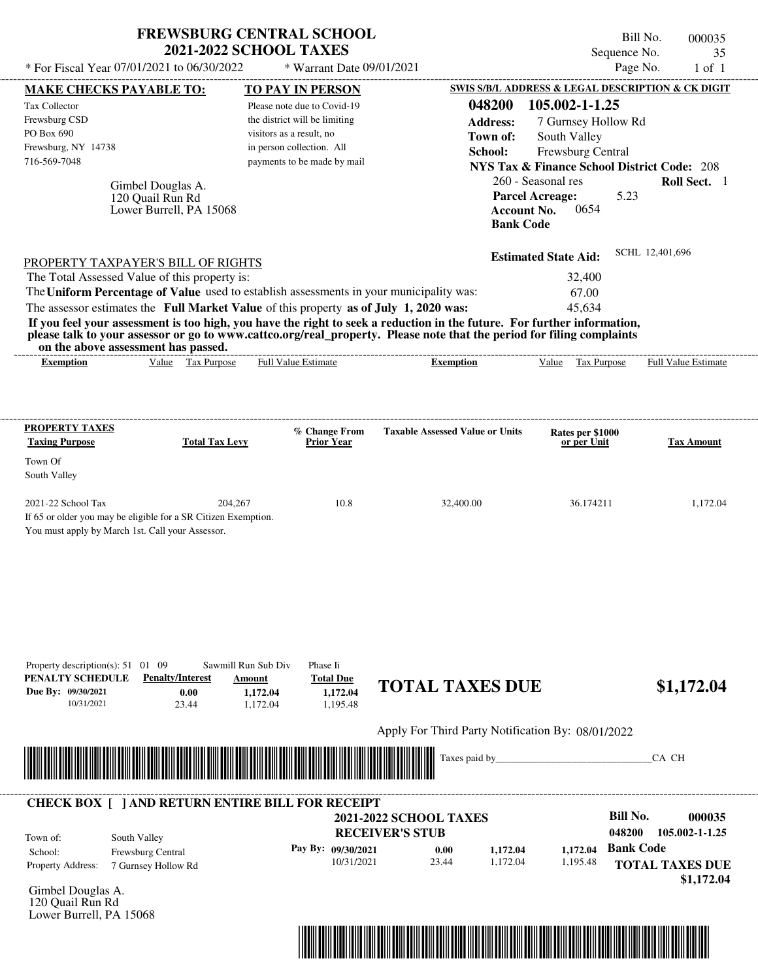| <b>FREWSBURG CENTRAL SCHOOL</b> |
|---------------------------------|
| <b>2021-2022 SCHOOL TAXES</b>   |

Bill No. 000035 Sequence No. 35<br>Page No. 1 of 1

| <b>MAKE CHECKS PAYABLE TO:</b>                                                                                             |                                                                  | * For Fiscal Year 07/01/2021 to 06/30/2022                                                                                                                                       | * Warrant Date 09/01/2021                                                                                                                                                                                                                        | Page No.                                                                                                                                                                                             |                     |
|----------------------------------------------------------------------------------------------------------------------------|------------------------------------------------------------------|----------------------------------------------------------------------------------------------------------------------------------------------------------------------------------|--------------------------------------------------------------------------------------------------------------------------------------------------------------------------------------------------------------------------------------------------|------------------------------------------------------------------------------------------------------------------------------------------------------------------------------------------------------|---------------------|
|                                                                                                                            |                                                                  | <b>TO PAY IN PERSON</b>                                                                                                                                                          |                                                                                                                                                                                                                                                  | SWIS S/B/L ADDRESS & LEGAL DESCRIPTION & CK DIGIT                                                                                                                                                    |                     |
| Tax Collector<br>Frewsburg CSD<br>PO Box 690<br>Frewsburg, NY 14738<br>716-569-7048                                        | Gimbel Douglas A.<br>120 Quail Run Rd<br>Lower Burrell, PA 15068 | Please note due to Covid-19<br>the district will be limiting<br>visitors as a result, no<br>in person collection. All<br>payments to be made by mail                             | 048200<br><b>Address:</b><br>Town of:<br>School:<br><b>Account No.</b><br><b>Bank Code</b>                                                                                                                                                       | 105.002-1-1.25<br>7 Gurnsey Hollow Rd<br>South Valley<br>Frewsburg Central<br><b>NYS Tax &amp; Finance School District Code: 208</b><br>260 - Seasonal res<br><b>Parcel Acreage:</b><br>5.23<br>0654 | Roll Sect. 1        |
| PROPERTY TAXPAYER'S BILL OF RIGHTS<br>The Total Assessed Value of this property is:<br>on the above assessment has passed. |                                                                  | The Uniform Percentage of Value used to establish assessments in your municipality was:<br>The assessor estimates the Full Market Value of this property as of July 1, 2020 was: | If you feel your assessment is too high, you have the right to seek a reduction in the future. For further information,<br>please talk to your assessor or go to www.cattco.org/real_property. Please note that the period for filing complaints | SCHL 12,401,696<br><b>Estimated State Aid:</b><br>32,400<br>67.00<br>45,634                                                                                                                          |                     |
| <b>Exemption</b>                                                                                                           | Value Tax Purpose                                                | <b>Full Value Estimate</b>                                                                                                                                                       | <b>Exemption</b>                                                                                                                                                                                                                                 | Value Tax Purpose                                                                                                                                                                                    | Full Value Estimate |
| <b>PROPERTY TAXES</b><br><b>Taxing Purpose</b><br>Town Of                                                                  | <b>Total Tax Levy</b>                                            | % Change From<br><b>Prior Year</b>                                                                                                                                               | <b>Taxable Assessed Value or Units</b>                                                                                                                                                                                                           | Rates per \$1000<br>or per Unit                                                                                                                                                                      | <b>Tax Amount</b>   |
| South Valley<br>2021-22 School Tax<br>If 65 or older you may be eligible for a SR Citizen Exemption.                       | 204,267<br>You must apply by March 1st. Call your Assessor.      | 10.8                                                                                                                                                                             | 32,400.00                                                                                                                                                                                                                                        | 36.174211                                                                                                                                                                                            | 1,172.04            |
|                                                                                                                            |                                                                  |                                                                                                                                                                                  |                                                                                                                                                                                                                                                  |                                                                                                                                                                                                      |                     |
| Property description(s): $51 \quad 01 \quad 09$<br>10/31/2021                                                              | <b>Penalty/Interest</b><br>0.00<br>23.44                         | Sawmill Run Sub Div<br>Phase Ii<br><b>Total Due</b><br>Amount<br>1,172.04<br>1,172.04<br>1,195.48<br>1,172.04                                                                    | <b>TOTAL TAXES DUE</b>                                                                                                                                                                                                                           |                                                                                                                                                                                                      | \$1,172.04          |
| PENALTY SCHEDULE<br>Due By: 09/30/2021                                                                                     |                                                                  |                                                                                                                                                                                  | Apply For Third Party Notification By: 08/01/2022<br>Taxes paid by_                                                                                                                                                                              |                                                                                                                                                                                                      | CA CH               |

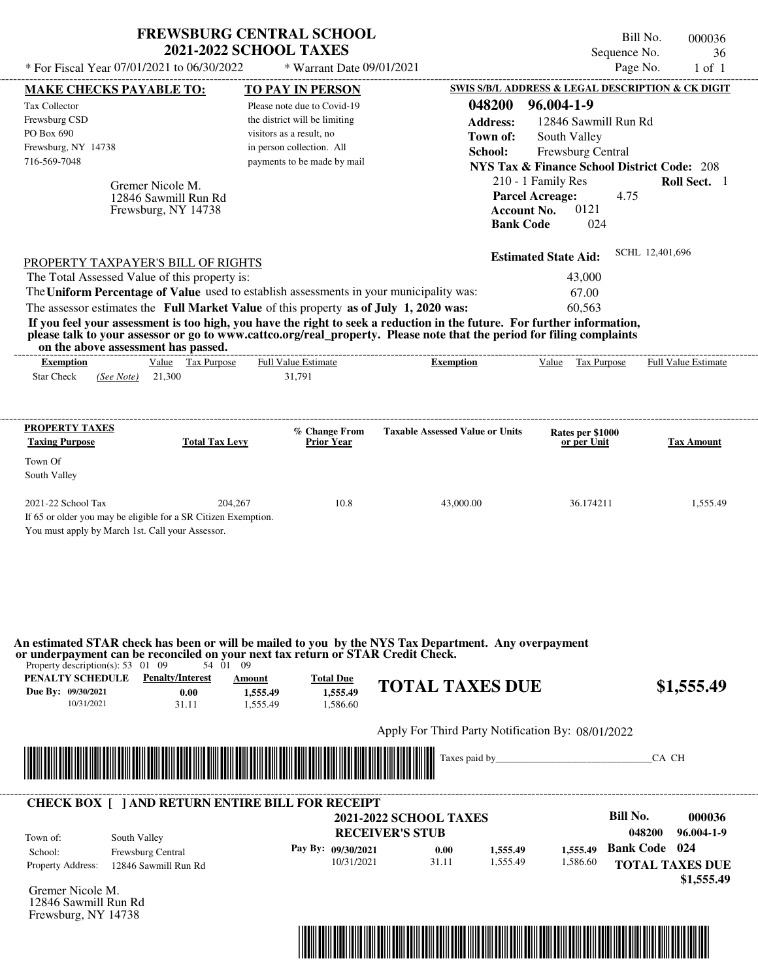|                                                                                                                                                                                                                                                                                                                                                                                                                                                                                                                                                                    | <b>FREWSBURG CENTRAL SCHOOL</b><br><b>2021-2022 SCHOOL TAXES</b>                                                                                                         |                                                                     | Sequence No.                                                                                                                                                                           | Bill No.<br>000036<br>36 |
|--------------------------------------------------------------------------------------------------------------------------------------------------------------------------------------------------------------------------------------------------------------------------------------------------------------------------------------------------------------------------------------------------------------------------------------------------------------------------------------------------------------------------------------------------------------------|--------------------------------------------------------------------------------------------------------------------------------------------------------------------------|---------------------------------------------------------------------|----------------------------------------------------------------------------------------------------------------------------------------------------------------------------------------|--------------------------|
| * For Fiscal Year 07/01/2021 to 06/30/2022                                                                                                                                                                                                                                                                                                                                                                                                                                                                                                                         | * Warrant Date 09/01/2021                                                                                                                                                |                                                                     | Page No.                                                                                                                                                                               | $1$ of $1$               |
| <b>MAKE CHECKS PAYABLE TO:</b><br>Tax Collector<br>Frewsburg CSD<br>PO Box 690<br>Frewsburg, NY 14738<br>716-569-7048                                                                                                                                                                                                                                                                                                                                                                                                                                              | TO PAY IN PERSON<br>Please note due to Covid-19<br>the district will be limiting<br>visitors as a result, no<br>in person collection. All<br>payments to be made by mail | 048200<br><b>Address:</b><br>Town of:<br>School:                    | SWIS S/B/L ADDRESS & LEGAL DESCRIPTION & CK DIGIT<br>96.004-1-9<br>12846 Sawmill Run Rd<br>South Valley<br>Frewsburg Central<br><b>NYS Tax &amp; Finance School District Code: 208</b> |                          |
| Gremer Nicole M.<br>12846 Sawmill Run Rd<br>Frewsburg, NY 14738                                                                                                                                                                                                                                                                                                                                                                                                                                                                                                    |                                                                                                                                                                          |                                                                     | 210 - 1 Family Res<br><b>Parcel Acreage:</b><br>4.75<br>0121<br><b>Account No.</b><br>024<br><b>Bank Code</b>                                                                          | Roll Sect. 1             |
| PROPERTY TAXPAYER'S BILL OF RIGHTS<br>The Total Assessed Value of this property is:<br>The Uniform Percentage of Value used to establish assessments in your municipality was:<br>The assessor estimates the Full Market Value of this property as of July 1, 2020 was:<br>If you feel your assessment is too high, you have the right to seek a reduction in the future. For further information,<br>please talk to your assessor or go to www.cattco.org/real_property. Please note that the period for filing complaints<br>on the above assessment has passed. |                                                                                                                                                                          |                                                                     | <b>Estimated State Aid:</b><br>43,000<br>67.00<br>60,563                                                                                                                               | SCHL 12,401,696          |
| Value Tax Purpose<br><b>Exemption</b><br><b>Star Check</b><br>21,300<br>(See Note)                                                                                                                                                                                                                                                                                                                                                                                                                                                                                 | <b>Full Value Estimate</b><br>31,791                                                                                                                                     | <b>Exemption</b>                                                    | Value Tax Purpose                                                                                                                                                                      | Full Value Estimate      |
| PROPERTY TAXES<br><b>Taxing Purpose</b><br>Town Of                                                                                                                                                                                                                                                                                                                                                                                                                                                                                                                 | % Change From<br><b>Total Tax Levy</b><br><b>Prior Year</b>                                                                                                              | <b>Taxable Assessed Value or Units</b>                              | Rates per \$1000<br>or per Unit                                                                                                                                                        | <b>Tax Amount</b>        |
| South Valley<br>2021-22 School Tax<br>If 65 or older you may be eligible for a SR Citizen Exemption.<br>You must apply by March 1st. Call your Assessor.                                                                                                                                                                                                                                                                                                                                                                                                           | 10.8<br>204,267                                                                                                                                                          | 43,000.00                                                           | 36.174211                                                                                                                                                                              | 1,555.49                 |
| An estimated STAR check has been or will be mailed to you by the NYS Tax Department. Any overpayment<br>or underpayment can be reconciled on your next tax return or STAR Credit Check.<br>Property description(s): $53 \quad 01 \quad 09$<br>PENALTY SCHEDULE<br><b>Penalty/Interest</b><br>Due By: 09/30/2021<br>0.00<br>10/31/2021<br>31.11                                                                                                                                                                                                                     | 54 01 09<br><b>Total Due</b><br><b>Amount</b><br>1,555.49<br>1,555.49<br>1,586.60<br>1.555.49                                                                            | <b>TOTAL TAXES DUE</b>                                              |                                                                                                                                                                                        | \$1,555.49               |
|                                                                                                                                                                                                                                                                                                                                                                                                                                                                                                                                                                    |                                                                                                                                                                          | Apply For Third Party Notification By: 08/01/2022<br>Taxes paid by_ |                                                                                                                                                                                        | CA CH                    |
| <b>CHECK BOX [ ] AND RETURN ENTIRE BILL FOR RECEIPT</b>                                                                                                                                                                                                                                                                                                                                                                                                                                                                                                            |                                                                                                                                                                          |                                                                     |                                                                                                                                                                                        |                          |

|                                                 | $\alpha$ . The state is the contraction of the state of the contract of $\alpha$<br>South Valley<br><b>Frewsburg Central</b><br>12846 Sawmill Run Rd | <b>2021-2022 SCHOOL TAXES</b><br><b>RECEIVER'S STUB</b> |               |                      |                      | Bill No.<br>048200   | 000036<br>96.004-1-9   |
|-------------------------------------------------|------------------------------------------------------------------------------------------------------------------------------------------------------|---------------------------------------------------------|---------------|----------------------|----------------------|----------------------|------------------------|
| Town of:<br>School:<br><b>Property Address:</b> |                                                                                                                                                      | Pay By: 09/30/2021<br>10/31/2021                        | 0.00<br>31.11 | 1,555.49<br>1.555.49 | 1.555.49<br>1.586.60 | <b>Bank Code</b> 024 | <b>TOTAL TAXES DUE</b> |
|                                                 |                                                                                                                                                      |                                                         |               |                      |                      |                      | \$1,555.49             |

Gremer Nicole M. 12846 Sawmill Run Rd Frewsburg, NY 14738

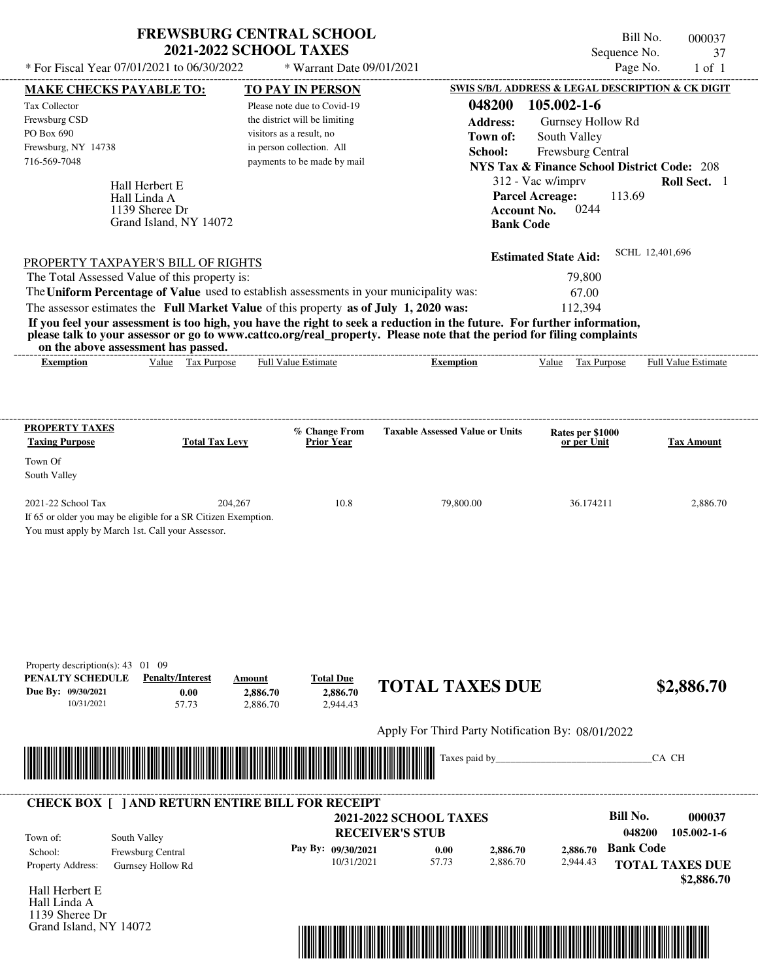| * For Fiscal Year $07/01/2021$ to $06/30/2022$ | <b>FREWSBURG CENTRAL SCHOOL</b><br><b>2021-2022 SCHOOL TAXES</b><br>* Warrant Date 09/01/2021 |                                                        | Bill No.<br>Sequence No.<br>Page No.              | 000037<br>37<br>$1$ of $1$ |  |  |  |
|------------------------------------------------|-----------------------------------------------------------------------------------------------|--------------------------------------------------------|---------------------------------------------------|----------------------------|--|--|--|
| <b>MAKE CHECKS PAYABLE TO:</b>                 | <b>TO PAY IN PERSON</b>                                                                       |                                                        | SWIS S/B/L ADDRESS & LEGAL DESCRIPTION & CK DIGIT |                            |  |  |  |
| Tax Collector                                  | Please note due to Covid-19                                                                   | 048200                                                 | $105.002 - 1 - 6$                                 |                            |  |  |  |
| Frewsburg CSD                                  | the district will be limiting                                                                 | <b>Address:</b>                                        | Gurnsey Hollow Rd                                 |                            |  |  |  |
| PO Box 690                                     | visitors as a result, no                                                                      | Town of:                                               | South Valley                                      |                            |  |  |  |
| Frewsburg, NY 14738                            | in person collection. All                                                                     | School:                                                | Frewsburg Central                                 |                            |  |  |  |
| 716-569-7048                                   | payments to be made by mail                                                                   | <b>NYS Tax &amp; Finance School District Code: 208</b> |                                                   |                            |  |  |  |

| 1139 Sheree Dr<br>Grand Island, NY 14072                                                                                | 0244<br>Account No.<br><b>Bank Code</b> |                 |
|-------------------------------------------------------------------------------------------------------------------------|-----------------------------------------|-----------------|
| PROPERTY TAXPAYER'S BILL OF RIGHTS                                                                                      | <b>Estimated State Aid:</b>             | SCHL 12,401,696 |
| The Total Assessed Value of this property is:                                                                           | 79.800                                  |                 |
| The Uniform Percentage of Value used to establish assessments in your municipality was:                                 | 67.00                                   |                 |
| The assessor estimates the Full Market Value of this property as of July 1, 2020 was:                                   | 112.394                                 |                 |
| If you feel your assessment is too high, you have the right to seek a reduction in the future. For further information, |                                         |                 |

**please talk to your assessor or go to www.cattco.org/real\_property. Please note that the period for filing complaints on the above assessment has passed.**

| on the above assessment has passeu. |                                                                   |  |
|-------------------------------------|-------------------------------------------------------------------|--|
|                                     |                                                                   |  |
|                                     | $V_{\alpha}$ $\alpha$ $T_{\alpha}$ $\alpha$ $D_{\alpha}$ $\alpha$ |  |

Hall Herbert E

Hall Linda A

| on the above assessment has bassed. |       |                       |                         |           |       |                       |                                         |
|-------------------------------------|-------|-----------------------|-------------------------|-----------|-------|-----------------------|-----------------------------------------|
| Exemption                           | Value | 'ax<br><b>Purpose</b> | Estimate<br>Full<br>11A | Exemption | /alue | <b>Purpose</b><br>Lάλ | - Full <sup>V</sup><br>Estimate<br>alue |
|                                     |       |                       |                         |           |       |                       |                                         |

| <b>PROPERTY TAXES</b><br><b>Taxing Purpose</b>   | <b>Total Tax Levy</b>                                          | % Change From<br><b>Prior Year</b> | <b>Taxable Assessed Value or Units</b> | Rates per \$1000<br>or per Unit | <b>Tax Amount</b> |
|--------------------------------------------------|----------------------------------------------------------------|------------------------------------|----------------------------------------|---------------------------------|-------------------|
| Town Of                                          |                                                                |                                    |                                        |                                 |                   |
| South Valley                                     |                                                                |                                    |                                        |                                 |                   |
| $2021-22$ School Tax                             | 204.267                                                        | 10.8                               | 79,800.00                              | 36.174211                       | 2,886.70          |
|                                                  | If 65 or older you may be eligible for a SR Citizen Exemption. |                                    |                                        |                                 |                   |
| You must apply by March 1st. Call your Assessor. |                                                                |                                    |                                        |                                 |                   |

| Property description(s): $43$<br>PENALTY SCHEDULE<br>Due By: 09/30/2021<br>10/31/2021 | - 09<br>-01<br><b>Penalty/Interest</b><br>0.00<br>57.73     | Amount<br>2,886.70<br>2,886.70 | <b>Total Due</b><br>2,886.70<br>2,944.43 |                                                                                                                        | <b>TOTAL TAXES DUE</b>                            |          |                  | \$2,886.70                           |
|---------------------------------------------------------------------------------------|-------------------------------------------------------------|--------------------------------|------------------------------------------|------------------------------------------------------------------------------------------------------------------------|---------------------------------------------------|----------|------------------|--------------------------------------|
|                                                                                       |                                                             |                                |                                          |                                                                                                                        | Apply For Third Party Notification By: 08/01/2022 |          |                  |                                      |
|                                                                                       | <u> 1989 - Johann Stoff, Amerikaansk politiker (* 1989)</u> |                                |                                          |                                                                                                                        |                                                   |          |                  | CA CH                                |
|                                                                                       |                                                             |                                |                                          |                                                                                                                        |                                                   |          |                  |                                      |
|                                                                                       | <b>CHECK BOX [ ] AND RETURN ENTIRE BILL FOR RECEIPT</b>     |                                |                                          |                                                                                                                        |                                                   |          |                  |                                      |
|                                                                                       |                                                             |                                |                                          | <b>2021-2022 SCHOOL TAXES</b>                                                                                          |                                                   |          | <b>Bill No.</b>  | 000037                               |
| Town of:                                                                              | South Valley                                                |                                |                                          | <b>RECEIVER'S STUB</b>                                                                                                 |                                                   |          | 048200           | 105.002-1-6                          |
| School:                                                                               | Frewsburg Central                                           |                                | Pay By: 09/30/2021                       | 0.00                                                                                                                   | 2,886.70                                          | 2,886.70 | <b>Bank Code</b> |                                      |
| Property Address:                                                                     | Gurnsey Hollow Rd                                           |                                | 10/31/2021                               | 57.73                                                                                                                  | 2,886.70                                          | 2,944.43 |                  | <b>TOTAL TAXES DUE</b><br>\$2,886.70 |
| Hall Herbert E                                                                        |                                                             |                                |                                          |                                                                                                                        |                                                   |          |                  |                                      |
| Hall Linda A                                                                          |                                                             |                                |                                          |                                                                                                                        |                                                   |          |                  |                                      |
| 1139 Sheree Dr<br>Grand Island, NY 14072                                              |                                                             |                                |                                          |                                                                                                                        |                                                   |          |                  |                                      |
|                                                                                       |                                                             |                                |                                          | <u> 1989 - Andrea Stadt Britain, marwolaeth a bhaile an t-Alban an t-Alban an t-Alban an t-Alban an t-Alban an t-A</u> |                                                   |          |                  |                                      |



**Parcel Acreage:**

312 - Vac w/imprv **Roll Sect.** 1 113.69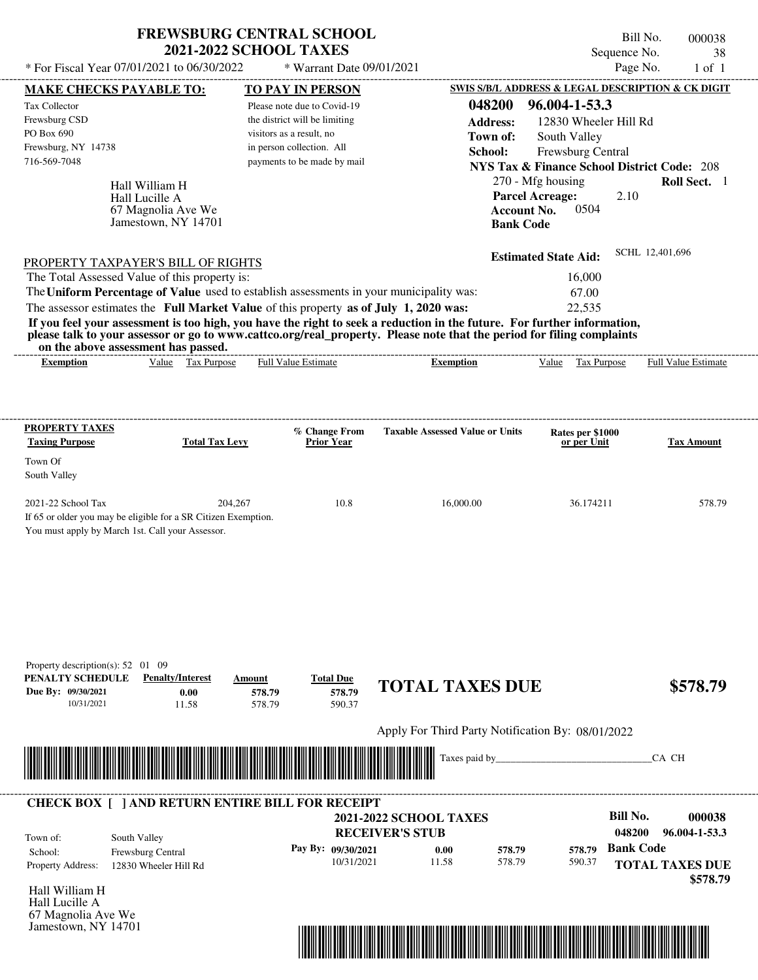| * For Fiscal Year 07/01/2021 to 06/30/2022                                                                                                                                                                                                                                              | <b>FREWSBURG CENTRAL SCHOOL</b><br><b>2021-2022 SCHOOL TAXES</b>              |                               | * Warrant Date 09/01/2021            |                                                   |                 |                                                                                       |             | Bill No.<br>Sequence No.<br>Page No. |                        | 000038<br>38<br>$1$ of $1$ |
|-----------------------------------------------------------------------------------------------------------------------------------------------------------------------------------------------------------------------------------------------------------------------------------------|-------------------------------------------------------------------------------|-------------------------------|--------------------------------------|---------------------------------------------------|-----------------|---------------------------------------------------------------------------------------|-------------|--------------------------------------|------------------------|----------------------------|
| MAKE CHECKS PAYABLE TO:                                                                                                                                                                                                                                                                 |                                                                               | <b>TO PAY IN PERSON</b>       |                                      |                                                   |                 | SWIS S/B/L ADDRESS & LEGAL DESCRIPTION & CK DIGIT                                     |             |                                      |                        |                            |
| Tax Collector                                                                                                                                                                                                                                                                           |                                                                               | Please note due to Covid-19   |                                      |                                                   | 048200          | 96.004-1-53.3                                                                         |             |                                      |                        |                            |
| Frewsburg CSD                                                                                                                                                                                                                                                                           |                                                                               | the district will be limiting |                                      |                                                   | <b>Address:</b> |                                                                                       |             | 12830 Wheeler Hill Rd                |                        |                            |
| PO Box 690                                                                                                                                                                                                                                                                              |                                                                               | visitors as a result, no      |                                      |                                                   | Town of:        | South Valley                                                                          |             |                                      |                        |                            |
| Frewsburg, NY 14738                                                                                                                                                                                                                                                                     |                                                                               | in person collection. All     |                                      |                                                   | School:         | Frewsburg Central                                                                     |             |                                      |                        |                            |
| 716-569-7048                                                                                                                                                                                                                                                                            |                                                                               | payments to be made by mail   |                                      |                                                   |                 | <b>NYS Tax &amp; Finance School District Code: 208</b>                                |             |                                      |                        |                            |
|                                                                                                                                                                                                                                                                                         | Hall William H<br>Hall Lucille A<br>67 Magnolia Ave We<br>Jamestown, NY 14701 |                               |                                      |                                                   |                 | 270 - Mfg housing<br><b>Parcel Acreage:</b><br><b>Account No.</b><br><b>Bank Code</b> | 0504        | 2.10                                 |                        | Roll Sect. 1               |
| PROPERTY TAXPAYER'S BILL OF RIGHTS                                                                                                                                                                                                                                                      |                                                                               |                               |                                      |                                                   |                 | <b>Estimated State Aid:</b>                                                           |             |                                      | SCHL 12,401,696        |                            |
| The Total Assessed Value of this property is:                                                                                                                                                                                                                                           |                                                                               |                               |                                      |                                                   |                 |                                                                                       | 16,000      |                                      |                        |                            |
| The Uniform Percentage of Value used to establish assessments in your municipality was:                                                                                                                                                                                                 |                                                                               |                               |                                      |                                                   |                 |                                                                                       | 67.00       |                                      |                        |                            |
| The assessor estimates the Full Market Value of this property as of July 1, 2020 was:                                                                                                                                                                                                   |                                                                               |                               |                                      |                                                   |                 |                                                                                       | 22,535      |                                      |                        |                            |
| If you feel your assessment is too high, you have the right to seek a reduction in the future. For further information,<br>please talk to your assessor or go to www.cattco.org/real_property. Please note that the period for filing complaints<br>on the above assessment has passed. |                                                                               |                               |                                      |                                                   |                 |                                                                                       |             |                                      |                        |                            |
| <b>Exemption</b>                                                                                                                                                                                                                                                                        | Value Tax Purpose                                                             | Full Value Estimate           |                                      | <b>Exemption</b>                                  |                 | Value                                                                                 | Tax Purpose |                                      | Full Value Estimate    |                            |
| Town Of<br>South Valley<br>2021-22 School Tax<br>If 65 or older you may be eligible for a SR Citizen Exemption.<br>You must apply by March 1st. Call your Assessor.                                                                                                                     | 204,267                                                                       |                               | 10.8                                 | 16,000.00                                         |                 |                                                                                       | 36.174211   |                                      |                        | 578.79                     |
| Property description(s): $52 \quad 01 \quad 09$<br>PENALTY SCHEDULE<br>Due By: 09/30/2021<br>10/31/2021                                                                                                                                                                                 | <b>Penalty/Interest</b><br>0.00<br>11.58                                      | Amount<br>578.79<br>578.79    | <b>Total Due</b><br>578.79<br>590.37 | <b>TOTAL TAXES DUE</b>                            |                 |                                                                                       |             |                                      |                        | \$578.79                   |
|                                                                                                                                                                                                                                                                                         |                                                                               |                               |                                      | Apply For Third Party Notification By: 08/01/2022 |                 |                                                                                       |             |                                      |                        |                            |
|                                                                                                                                                                                                                                                                                         |                                                                               |                               |                                      | Taxes paid by                                     |                 |                                                                                       |             |                                      | CA CH                  |                            |
| <b>CHECK BOX [ ] AND RETURN ENTIRE BILL FOR RECEIPT</b>                                                                                                                                                                                                                                 |                                                                               |                               |                                      |                                                   |                 |                                                                                       |             |                                      |                        |                            |
|                                                                                                                                                                                                                                                                                         |                                                                               |                               |                                      | <b>2021-2022 SCHOOL TAXES</b>                     |                 |                                                                                       |             | <b>Bill No.</b>                      |                        | 000038                     |
| South Valley<br>Town of:                                                                                                                                                                                                                                                                |                                                                               |                               |                                      | <b>RECEIVER'S STUB</b>                            |                 |                                                                                       |             | 048200                               |                        | 96.004-1-53.3              |
| School:                                                                                                                                                                                                                                                                                 | Frewsburg Central                                                             |                               | Pay By: 09/30/2021                   | 0.00                                              | 578.79          |                                                                                       | 578.79      | <b>Bank Code</b>                     |                        |                            |
| Property Address:                                                                                                                                                                                                                                                                       | 12830 Wheeler Hill Rd                                                         |                               | 10/31/2021                           | 11.58                                             | 578.79          |                                                                                       | 590.37      |                                      | <b>TOTAL TAXES DUE</b> |                            |
|                                                                                                                                                                                                                                                                                         |                                                                               |                               |                                      |                                                   |                 |                                                                                       |             |                                      |                        | \$578.79                   |
| Hall William H                                                                                                                                                                                                                                                                          |                                                                               |                               |                                      |                                                   |                 |                                                                                       |             |                                      |                        |                            |
| Hall Lucille A                                                                                                                                                                                                                                                                          |                                                                               |                               |                                      |                                                   |                 |                                                                                       |             |                                      |                        |                            |

67 Magnolia Ave We Jamestown, NY 14701

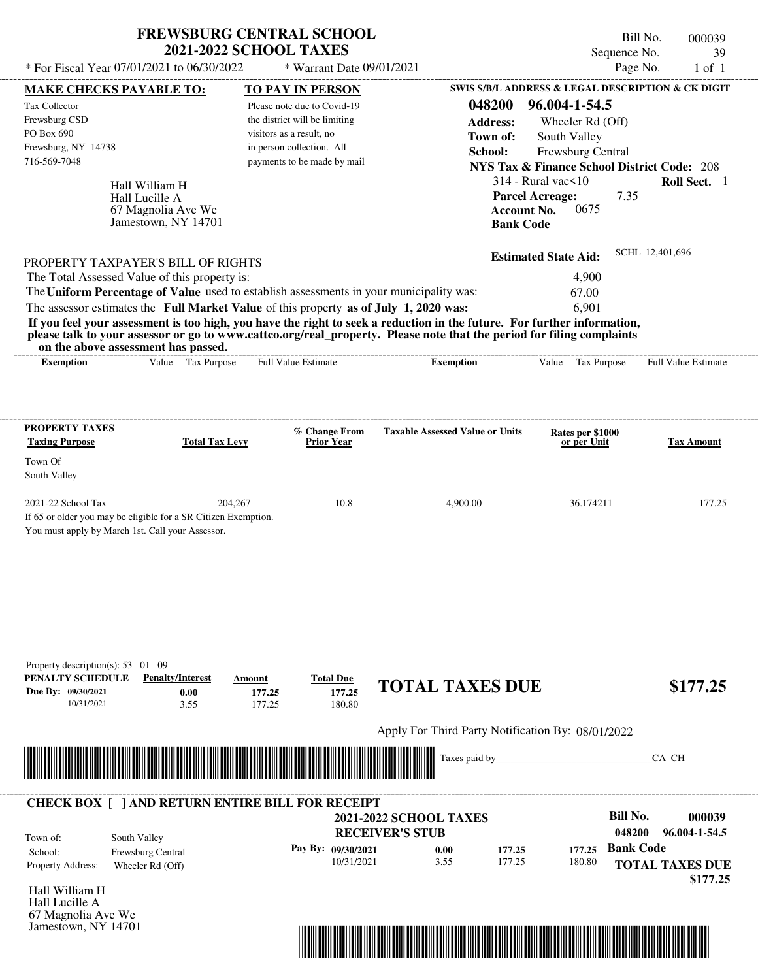| * For Fiscal Year 07/01/2021 to 06/30/2022                                                                                                               |                                                                               | <b>FREWSBURG CENTRAL SCHOOL</b><br><b>2021-2022 SCHOOL TAXES</b><br>* Warrant Date 09/01/2021 |                                                                                                                                                                                                                                                  |                                                                             | Bill No.<br>Sequence No.<br>Page No. | 000039<br>39<br>$1$ of $1$ |
|----------------------------------------------------------------------------------------------------------------------------------------------------------|-------------------------------------------------------------------------------|-----------------------------------------------------------------------------------------------|--------------------------------------------------------------------------------------------------------------------------------------------------------------------------------------------------------------------------------------------------|-----------------------------------------------------------------------------|--------------------------------------|----------------------------|
| MAKE CHECKS PAYABLE TO:                                                                                                                                  |                                                                               | <b>TO PAY IN PERSON</b>                                                                       |                                                                                                                                                                                                                                                  | SWIS S/B/L ADDRESS & LEGAL DESCRIPTION & CK DIGIT                           |                                      |                            |
| Tax Collector                                                                                                                                            |                                                                               | Please note due to Covid-19                                                                   | 048200                                                                                                                                                                                                                                           | 96.004-1-54.5                                                               |                                      |                            |
| Frewsburg CSD                                                                                                                                            |                                                                               | the district will be limiting                                                                 | <b>Address:</b>                                                                                                                                                                                                                                  |                                                                             |                                      |                            |
| PO Box 690                                                                                                                                               |                                                                               | visitors as a result, no                                                                      | Town of:                                                                                                                                                                                                                                         | Wheeler Rd (Off)                                                            |                                      |                            |
| Frewsburg, NY 14738                                                                                                                                      |                                                                               | in person collection. All                                                                     | School:                                                                                                                                                                                                                                          | South Valley                                                                |                                      |                            |
| 716-569-7048                                                                                                                                             |                                                                               | payments to be made by mail                                                                   |                                                                                                                                                                                                                                                  | Frewsburg Central<br><b>NYS Tax &amp; Finance School District Code: 208</b> |                                      |                            |
|                                                                                                                                                          |                                                                               |                                                                                               |                                                                                                                                                                                                                                                  | $314$ - Rural vac $\leq 10$                                                 |                                      | Roll Sect. 1               |
|                                                                                                                                                          | Hall William H<br>Hall Lucille A<br>67 Magnolia Ave We<br>Jamestown, NY 14701 |                                                                                               |                                                                                                                                                                                                                                                  | <b>Parcel Acreage:</b><br>0675<br><b>Account No.</b><br><b>Bank Code</b>    | 7.35                                 |                            |
| PROPERTY TAXPAYER'S BILL OF RIGHTS                                                                                                                       |                                                                               |                                                                                               |                                                                                                                                                                                                                                                  | <b>Estimated State Aid:</b>                                                 | SCHL 12,401,696                      |                            |
| The Total Assessed Value of this property is:                                                                                                            |                                                                               |                                                                                               |                                                                                                                                                                                                                                                  | 4,900                                                                       |                                      |                            |
|                                                                                                                                                          |                                                                               |                                                                                               | The Uniform Percentage of Value used to establish assessments in your municipality was:                                                                                                                                                          | 67.00                                                                       |                                      |                            |
| The assessor estimates the Full Market Value of this property as of July 1, 2020 was:                                                                    |                                                                               |                                                                                               |                                                                                                                                                                                                                                                  | 6,901                                                                       |                                      |                            |
| on the above assessment has passed.                                                                                                                      |                                                                               |                                                                                               | If you feel your assessment is too high, you have the right to seek a reduction in the future. For further information,<br>please talk to your assessor or go to www.cattco.org/real_property. Please note that the period for filing complaints |                                                                             |                                      |                            |
| <b>Exemption</b>                                                                                                                                         | Value Tax Purpose                                                             | Full Value Estimate                                                                           | <b>Exemption</b>                                                                                                                                                                                                                                 | Tax Purpose<br>Value                                                        |                                      | Full Value Estimate        |
| South Valley<br>2021-22 School Tax<br>If 65 or older you may be eligible for a SR Citizen Exemption.<br>You must apply by March 1st. Call your Assessor. | 204,267                                                                       | 10.8                                                                                          | 4,900.00                                                                                                                                                                                                                                         | 36.174211                                                                   |                                      | 177.25                     |
| Property description(s): $53 \quad 01 \quad 09$<br>PENALTY SCHEDULE<br>Due By: 09/30/2021<br>10/31/2021                                                  | <b>Penalty/Interest</b><br>0.00<br>3.55                                       | <b>Total Due</b><br>Amount<br>177.25<br>177.25<br>177.25<br>180.80                            | <b>TOTAL TAXES DUE</b>                                                                                                                                                                                                                           |                                                                             |                                      | \$177.25                   |
|                                                                                                                                                          |                                                                               |                                                                                               | Apply For Third Party Notification By: 08/01/2022                                                                                                                                                                                                |                                                                             |                                      |                            |
|                                                                                                                                                          |                                                                               |                                                                                               | Taxes paid by_                                                                                                                                                                                                                                   |                                                                             | CA CH                                |                            |
| <b>CHECK BOX [ ] AND RETURN ENTIRE BILL FOR RECEIPT</b>                                                                                                  |                                                                               |                                                                                               |                                                                                                                                                                                                                                                  |                                                                             |                                      |                            |
|                                                                                                                                                          |                                                                               |                                                                                               | <b>2021-2022 SCHOOL TAXES</b>                                                                                                                                                                                                                    |                                                                             | <b>Bill No.</b>                      | 000039                     |
| South Valley<br>Town of:                                                                                                                                 |                                                                               |                                                                                               | <b>RECEIVER'S STUB</b>                                                                                                                                                                                                                           |                                                                             | 048200                               | 96.004-1-54.5              |
| School:                                                                                                                                                  | Frewsburg Central                                                             | Pay By: 09/30/2021                                                                            | 0.00                                                                                                                                                                                                                                             | 177.25<br>177.25                                                            | <b>Bank Code</b>                     |                            |
| Property Address:                                                                                                                                        | Wheeler Rd (Off)                                                              |                                                                                               | 10/31/2021<br>3.55                                                                                                                                                                                                                               | 177.25<br>180.80                                                            | <b>TOTAL TAXES DUE</b>               |                            |
|                                                                                                                                                          |                                                                               |                                                                                               |                                                                                                                                                                                                                                                  |                                                                             |                                      | \$177.25                   |
| Hall William H                                                                                                                                           |                                                                               |                                                                                               |                                                                                                                                                                                                                                                  |                                                                             |                                      |                            |
| Hall Lucille A                                                                                                                                           |                                                                               |                                                                                               |                                                                                                                                                                                                                                                  |                                                                             |                                      |                            |



67 Magnolia Ave We Jamestown, NY 14701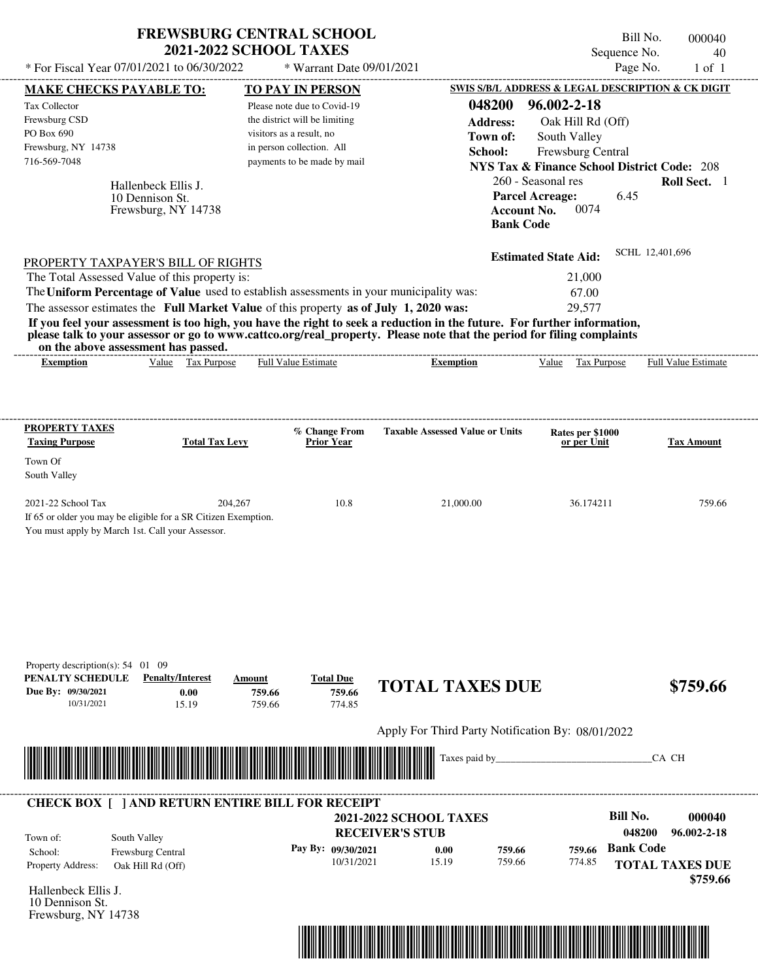| SWIS S/B/L ADDRESS & LEGAL DESCRIPTION & CK DIGIT<br>MAKE CHECKS PAYABLE TO:<br><b>TO PAY IN PERSON</b><br>96.002-2-18<br>048200<br>Tax Collector<br>Please note due to Covid-19<br>Frewsburg CSD<br>the district will be limiting<br><b>Address:</b><br>Oak Hill Rd (Off)<br>visitors as a result, no<br>Town of:<br>South Valley<br>Frewsburg, NY 14738<br>in person collection. All<br>Frewsburg Central<br>School:<br>716-569-7048<br>payments to be made by mail<br><b>NYS Tax &amp; Finance School District Code: 208</b><br>260 - Seasonal res<br>Roll Sect. 1<br>Hallenbeck Ellis J.<br><b>Parcel Acreage:</b><br>6.45<br>10 Dennison St.<br>0074<br><b>Account No.</b><br>Frewsburg, NY 14738<br><b>Bank Code</b><br>SCHL 12,401,696<br><b>Estimated State Aid:</b><br>PROPERTY TAXPAYER'S BILL OF RIGHTS<br>The Total Assessed Value of this property is:<br>21,000<br>The Uniform Percentage of Value used to establish assessments in your municipality was:<br>67.00<br>The assessor estimates the Full Market Value of this property as of July 1, 2020 was:<br>29,577<br>If you feel your assessment is too high, you have the right to seek a reduction in the future. For further information,<br>please talk to your assessor or go to www.cattco.org/real_property. Please note that the period for filing complaints<br>on the above assessment has passed.<br>Value Tax Purpose<br>Full Value Estimate<br>Full Value Estimate<br>Tax Purpose<br><b>Exemption</b><br><b>Exemption</b><br>Value<br><b>PROPERTY TAXES</b><br>% Change From<br><b>Taxable Assessed Value or Units</b><br>Rates per \$1000<br><b>Taxing Purpose</b><br><b>Total Tax Levy</b><br><b>Prior Year</b><br><b>Tax Amount</b><br>or per Unit<br>Town Of<br>South Valley<br>2021-22 School Tax<br>204,267<br>10.8<br>759.66<br>21,000.00<br>36.174211<br>If 65 or older you may be eligible for a SR Citizen Exemption.<br>You must apply by March 1st. Call your Assessor.<br>Property description(s): $54$ 01 09<br>PENALTY SCHEDULE<br><b>Penalty/Interest</b><br><b>Total Due</b><br>Amount<br><b>TOTAL TAXES DUE</b><br>\$759.66<br>759.66<br>759.66 | * For Fiscal Year 07/01/2021 to 06/30/2022 | <b>FREWSBURG CENTRAL SCHOOL</b> | <b>2021-2022 SCHOOL TAXES</b> | * Warrant Date 09/01/2021 |                                                   |  | Bill No.<br>Sequence No.<br>Page No. | 000040<br>40<br>$1$ of $1$ |
|---------------------------------------------------------------------------------------------------------------------------------------------------------------------------------------------------------------------------------------------------------------------------------------------------------------------------------------------------------------------------------------------------------------------------------------------------------------------------------------------------------------------------------------------------------------------------------------------------------------------------------------------------------------------------------------------------------------------------------------------------------------------------------------------------------------------------------------------------------------------------------------------------------------------------------------------------------------------------------------------------------------------------------------------------------------------------------------------------------------------------------------------------------------------------------------------------------------------------------------------------------------------------------------------------------------------------------------------------------------------------------------------------------------------------------------------------------------------------------------------------------------------------------------------------------------------------------------------------------------------------------------------------------------------------------------------------------------------------------------------------------------------------------------------------------------------------------------------------------------------------------------------------------------------------------------------------------------------------------------------------------------------------------------------------------------------------------------------------------------------------------------------------|--------------------------------------------|---------------------------------|-------------------------------|---------------------------|---------------------------------------------------|--|--------------------------------------|----------------------------|
|                                                                                                                                                                                                                                                                                                                                                                                                                                                                                                                                                                                                                                                                                                                                                                                                                                                                                                                                                                                                                                                                                                                                                                                                                                                                                                                                                                                                                                                                                                                                                                                                                                                                                                                                                                                                                                                                                                                                                                                                                                                                                                                                                   |                                            |                                 |                               |                           |                                                   |  |                                      |                            |
|                                                                                                                                                                                                                                                                                                                                                                                                                                                                                                                                                                                                                                                                                                                                                                                                                                                                                                                                                                                                                                                                                                                                                                                                                                                                                                                                                                                                                                                                                                                                                                                                                                                                                                                                                                                                                                                                                                                                                                                                                                                                                                                                                   |                                            |                                 |                               |                           |                                                   |  |                                      |                            |
|                                                                                                                                                                                                                                                                                                                                                                                                                                                                                                                                                                                                                                                                                                                                                                                                                                                                                                                                                                                                                                                                                                                                                                                                                                                                                                                                                                                                                                                                                                                                                                                                                                                                                                                                                                                                                                                                                                                                                                                                                                                                                                                                                   |                                            |                                 |                               |                           |                                                   |  |                                      |                            |
|                                                                                                                                                                                                                                                                                                                                                                                                                                                                                                                                                                                                                                                                                                                                                                                                                                                                                                                                                                                                                                                                                                                                                                                                                                                                                                                                                                                                                                                                                                                                                                                                                                                                                                                                                                                                                                                                                                                                                                                                                                                                                                                                                   | PO Box 690                                 |                                 |                               |                           |                                                   |  |                                      |                            |
|                                                                                                                                                                                                                                                                                                                                                                                                                                                                                                                                                                                                                                                                                                                                                                                                                                                                                                                                                                                                                                                                                                                                                                                                                                                                                                                                                                                                                                                                                                                                                                                                                                                                                                                                                                                                                                                                                                                                                                                                                                                                                                                                                   |                                            |                                 |                               |                           |                                                   |  |                                      |                            |
|                                                                                                                                                                                                                                                                                                                                                                                                                                                                                                                                                                                                                                                                                                                                                                                                                                                                                                                                                                                                                                                                                                                                                                                                                                                                                                                                                                                                                                                                                                                                                                                                                                                                                                                                                                                                                                                                                                                                                                                                                                                                                                                                                   |                                            |                                 |                               |                           |                                                   |  |                                      |                            |
|                                                                                                                                                                                                                                                                                                                                                                                                                                                                                                                                                                                                                                                                                                                                                                                                                                                                                                                                                                                                                                                                                                                                                                                                                                                                                                                                                                                                                                                                                                                                                                                                                                                                                                                                                                                                                                                                                                                                                                                                                                                                                                                                                   |                                            |                                 |                               |                           |                                                   |  |                                      |                            |
|                                                                                                                                                                                                                                                                                                                                                                                                                                                                                                                                                                                                                                                                                                                                                                                                                                                                                                                                                                                                                                                                                                                                                                                                                                                                                                                                                                                                                                                                                                                                                                                                                                                                                                                                                                                                                                                                                                                                                                                                                                                                                                                                                   |                                            |                                 |                               |                           |                                                   |  |                                      |                            |
|                                                                                                                                                                                                                                                                                                                                                                                                                                                                                                                                                                                                                                                                                                                                                                                                                                                                                                                                                                                                                                                                                                                                                                                                                                                                                                                                                                                                                                                                                                                                                                                                                                                                                                                                                                                                                                                                                                                                                                                                                                                                                                                                                   |                                            |                                 |                               |                           |                                                   |  |                                      |                            |
|                                                                                                                                                                                                                                                                                                                                                                                                                                                                                                                                                                                                                                                                                                                                                                                                                                                                                                                                                                                                                                                                                                                                                                                                                                                                                                                                                                                                                                                                                                                                                                                                                                                                                                                                                                                                                                                                                                                                                                                                                                                                                                                                                   |                                            |                                 |                               |                           |                                                   |  |                                      |                            |
|                                                                                                                                                                                                                                                                                                                                                                                                                                                                                                                                                                                                                                                                                                                                                                                                                                                                                                                                                                                                                                                                                                                                                                                                                                                                                                                                                                                                                                                                                                                                                                                                                                                                                                                                                                                                                                                                                                                                                                                                                                                                                                                                                   |                                            |                                 |                               |                           |                                                   |  |                                      |                            |
|                                                                                                                                                                                                                                                                                                                                                                                                                                                                                                                                                                                                                                                                                                                                                                                                                                                                                                                                                                                                                                                                                                                                                                                                                                                                                                                                                                                                                                                                                                                                                                                                                                                                                                                                                                                                                                                                                                                                                                                                                                                                                                                                                   |                                            |                                 |                               |                           |                                                   |  |                                      |                            |
|                                                                                                                                                                                                                                                                                                                                                                                                                                                                                                                                                                                                                                                                                                                                                                                                                                                                                                                                                                                                                                                                                                                                                                                                                                                                                                                                                                                                                                                                                                                                                                                                                                                                                                                                                                                                                                                                                                                                                                                                                                                                                                                                                   |                                            |                                 |                               |                           |                                                   |  |                                      |                            |
|                                                                                                                                                                                                                                                                                                                                                                                                                                                                                                                                                                                                                                                                                                                                                                                                                                                                                                                                                                                                                                                                                                                                                                                                                                                                                                                                                                                                                                                                                                                                                                                                                                                                                                                                                                                                                                                                                                                                                                                                                                                                                                                                                   |                                            |                                 |                               |                           |                                                   |  |                                      |                            |
|                                                                                                                                                                                                                                                                                                                                                                                                                                                                                                                                                                                                                                                                                                                                                                                                                                                                                                                                                                                                                                                                                                                                                                                                                                                                                                                                                                                                                                                                                                                                                                                                                                                                                                                                                                                                                                                                                                                                                                                                                                                                                                                                                   |                                            |                                 |                               |                           |                                                   |  |                                      |                            |
|                                                                                                                                                                                                                                                                                                                                                                                                                                                                                                                                                                                                                                                                                                                                                                                                                                                                                                                                                                                                                                                                                                                                                                                                                                                                                                                                                                                                                                                                                                                                                                                                                                                                                                                                                                                                                                                                                                                                                                                                                                                                                                                                                   |                                            |                                 |                               |                           |                                                   |  |                                      |                            |
|                                                                                                                                                                                                                                                                                                                                                                                                                                                                                                                                                                                                                                                                                                                                                                                                                                                                                                                                                                                                                                                                                                                                                                                                                                                                                                                                                                                                                                                                                                                                                                                                                                                                                                                                                                                                                                                                                                                                                                                                                                                                                                                                                   |                                            |                                 |                               |                           |                                                   |  |                                      |                            |
|                                                                                                                                                                                                                                                                                                                                                                                                                                                                                                                                                                                                                                                                                                                                                                                                                                                                                                                                                                                                                                                                                                                                                                                                                                                                                                                                                                                                                                                                                                                                                                                                                                                                                                                                                                                                                                                                                                                                                                                                                                                                                                                                                   |                                            |                                 |                               |                           |                                                   |  |                                      |                            |
|                                                                                                                                                                                                                                                                                                                                                                                                                                                                                                                                                                                                                                                                                                                                                                                                                                                                                                                                                                                                                                                                                                                                                                                                                                                                                                                                                                                                                                                                                                                                                                                                                                                                                                                                                                                                                                                                                                                                                                                                                                                                                                                                                   |                                            |                                 |                               |                           |                                                   |  |                                      |                            |
|                                                                                                                                                                                                                                                                                                                                                                                                                                                                                                                                                                                                                                                                                                                                                                                                                                                                                                                                                                                                                                                                                                                                                                                                                                                                                                                                                                                                                                                                                                                                                                                                                                                                                                                                                                                                                                                                                                                                                                                                                                                                                                                                                   |                                            |                                 |                               |                           |                                                   |  |                                      |                            |
|                                                                                                                                                                                                                                                                                                                                                                                                                                                                                                                                                                                                                                                                                                                                                                                                                                                                                                                                                                                                                                                                                                                                                                                                                                                                                                                                                                                                                                                                                                                                                                                                                                                                                                                                                                                                                                                                                                                                                                                                                                                                                                                                                   |                                            |                                 |                               |                           |                                                   |  |                                      |                            |
|                                                                                                                                                                                                                                                                                                                                                                                                                                                                                                                                                                                                                                                                                                                                                                                                                                                                                                                                                                                                                                                                                                                                                                                                                                                                                                                                                                                                                                                                                                                                                                                                                                                                                                                                                                                                                                                                                                                                                                                                                                                                                                                                                   |                                            |                                 |                               |                           |                                                   |  |                                      |                            |
|                                                                                                                                                                                                                                                                                                                                                                                                                                                                                                                                                                                                                                                                                                                                                                                                                                                                                                                                                                                                                                                                                                                                                                                                                                                                                                                                                                                                                                                                                                                                                                                                                                                                                                                                                                                                                                                                                                                                                                                                                                                                                                                                                   | Due By: 09/30/2021<br>10/31/2021           | 0.00<br>15.19                   | 759.66                        | 774.85                    |                                                   |  |                                      |                            |
|                                                                                                                                                                                                                                                                                                                                                                                                                                                                                                                                                                                                                                                                                                                                                                                                                                                                                                                                                                                                                                                                                                                                                                                                                                                                                                                                                                                                                                                                                                                                                                                                                                                                                                                                                                                                                                                                                                                                                                                                                                                                                                                                                   |                                            |                                 |                               |                           | Apply For Third Party Notification By: 08/01/2022 |  |                                      |                            |
| Taxes paid by_<br>CA CH                                                                                                                                                                                                                                                                                                                                                                                                                                                                                                                                                                                                                                                                                                                                                                                                                                                                                                                                                                                                                                                                                                                                                                                                                                                                                                                                                                                                                                                                                                                                                                                                                                                                                                                                                                                                                                                                                                                                                                                                                                                                                                                           |                                            |                                 |                               |                           |                                                   |  |                                      |                            |
|                                                                                                                                                                                                                                                                                                                                                                                                                                                                                                                                                                                                                                                                                                                                                                                                                                                                                                                                                                                                                                                                                                                                                                                                                                                                                                                                                                                                                                                                                                                                                                                                                                                                                                                                                                                                                                                                                                                                                                                                                                                                                                                                                   |                                            |                                 |                               |                           |                                                   |  |                                      |                            |
| <b>Bill No.</b><br><b>2021-2022 SCHOOL TAXES</b>                                                                                                                                                                                                                                                                                                                                                                                                                                                                                                                                                                                                                                                                                                                                                                                                                                                                                                                                                                                                                                                                                                                                                                                                                                                                                                                                                                                                                                                                                                                                                                                                                                                                                                                                                                                                                                                                                                                                                                                                                                                                                                  |                                            |                                 |                               |                           |                                                   |  |                                      |                            |
| <b>RECEIVER'S STUB</b><br>048200                                                                                                                                                                                                                                                                                                                                                                                                                                                                                                                                                                                                                                                                                                                                                                                                                                                                                                                                                                                                                                                                                                                                                                                                                                                                                                                                                                                                                                                                                                                                                                                                                                                                                                                                                                                                                                                                                                                                                                                                                                                                                                                  |                                            |                                 |                               |                           |                                                   |  |                                      |                            |
| South Valley<br><b>Bank Code</b><br>Pay By: 09/30/2021<br>759.66<br>0.00<br>759.66                                                                                                                                                                                                                                                                                                                                                                                                                                                                                                                                                                                                                                                                                                                                                                                                                                                                                                                                                                                                                                                                                                                                                                                                                                                                                                                                                                                                                                                                                                                                                                                                                                                                                                                                                                                                                                                                                                                                                                                                                                                                |                                            |                                 |                               |                           |                                                   |  |                                      |                            |
| <b>CHECK BOX [ ] AND RETURN ENTIRE BILL FOR RECEIPT</b><br>000040<br>96.002-2-18<br>Town of:<br>School:<br>Frewsburg Central<br>10/31/2021<br>15.19<br>759.66<br>774.85<br><b>TOTAL TAXES DUE</b><br>Property Address:<br>Oak Hill Rd (Off)                                                                                                                                                                                                                                                                                                                                                                                                                                                                                                                                                                                                                                                                                                                                                                                                                                                                                                                                                                                                                                                                                                                                                                                                                                                                                                                                                                                                                                                                                                                                                                                                                                                                                                                                                                                                                                                                                                       |                                            |                                 |                               |                           |                                                   |  |                                      |                            |

Frewsburg, NY 14738

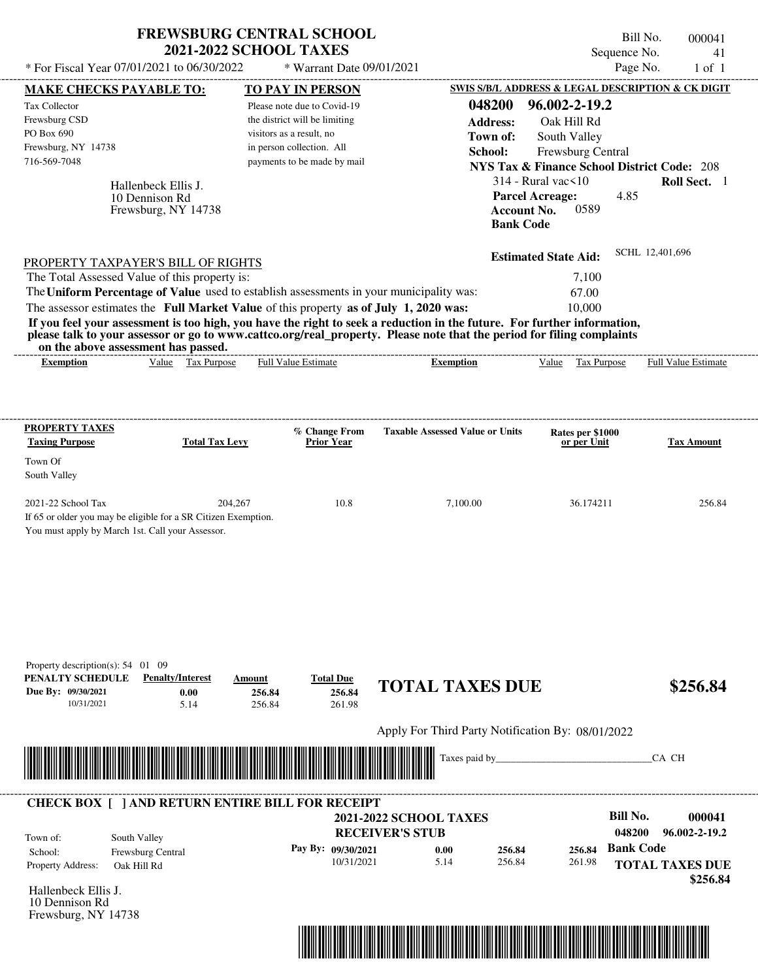| * For Fiscal Year 07/01/2021 to 06/30/2022                                                                                                                                                                                                                                                                     | <b>FREWSBURG CENTRAL SCHOOL</b>                              | <b>2021-2022 SCHOOL TAXES</b>                                                                                         | * Warrant Date 09/01/2021                                  |                                                                                                                                                                                                                                                  |                                                                                                                                                                   | Bill No.<br>000041<br>Sequence No.<br>41<br>Page No.<br>$1$ of $1$                |
|----------------------------------------------------------------------------------------------------------------------------------------------------------------------------------------------------------------------------------------------------------------------------------------------------------------|--------------------------------------------------------------|-----------------------------------------------------------------------------------------------------------------------|------------------------------------------------------------|--------------------------------------------------------------------------------------------------------------------------------------------------------------------------------------------------------------------------------------------------|-------------------------------------------------------------------------------------------------------------------------------------------------------------------|-----------------------------------------------------------------------------------|
| MAKE CHECKS PAYABLE TO:                                                                                                                                                                                                                                                                                        |                                                              | <b>TO PAY IN PERSON</b>                                                                                               |                                                            |                                                                                                                                                                                                                                                  |                                                                                                                                                                   | SWIS S/B/L ADDRESS & LEGAL DESCRIPTION & CK DIGIT                                 |
| Tax Collector<br>Frewsburg CSD<br>PO Box 690<br>Frewsburg, NY 14738                                                                                                                                                                                                                                            |                                                              | Please note due to Covid-19<br>the district will be limiting<br>visitors as a result, no<br>in person collection. All |                                                            | 048200<br><b>Address:</b><br>Town of:<br>School:                                                                                                                                                                                                 | 96.002-2-19.2<br>Oak Hill Rd<br>South Valley<br>Frewsburg Central                                                                                                 |                                                                                   |
| 716-569-7048                                                                                                                                                                                                                                                                                                   | Hallenbeck Ellis J.<br>10 Dennison Rd<br>Frewsburg, NY 14738 | payments to be made by mail                                                                                           |                                                            |                                                                                                                                                                                                                                                  | <b>NYS Tax &amp; Finance School District Code: 208</b><br>$314$ - Rural vac $\leq 10$<br><b>Parcel Acreage:</b><br>0589<br><b>Account No.</b><br><b>Bank Code</b> | Roll Sect. 1<br>4.85                                                              |
| PROPERTY TAXPAYER'S BILL OF RIGHTS<br>The Total Assessed Value of this property is:<br>The Uniform Percentage of Value used to establish assessments in your municipality was:<br>The assessor estimates the Full Market Value of this property as of July 1, 2020 was:<br>on the above assessment has passed. |                                                              |                                                                                                                       |                                                            | If you feel your assessment is too high, you have the right to seek a reduction in the future. For further information,<br>please talk to your assessor or go to www.cattco.org/real_property. Please note that the period for filing complaints | <b>Estimated State Aid:</b><br>7,100<br>67.00<br>10,000                                                                                                           | SCHL 12,401,696                                                                   |
| <b>Exemption</b>                                                                                                                                                                                                                                                                                               | Value Tax Purpose                                            | <b>Full Value Estimate</b>                                                                                            |                                                            | <b>Exemption</b>                                                                                                                                                                                                                                 | Tax Purpose<br>Value                                                                                                                                              | Full Value Estimate                                                               |
| <b>PROPERTY TAXES</b>                                                                                                                                                                                                                                                                                          |                                                              |                                                                                                                       |                                                            |                                                                                                                                                                                                                                                  |                                                                                                                                                                   |                                                                                   |
| <b>Taxing Purpose</b>                                                                                                                                                                                                                                                                                          | <b>Total Tax Levy</b>                                        |                                                                                                                       | % Change From<br><b>Prior Year</b>                         | <b>Taxable Assessed Value or Units</b>                                                                                                                                                                                                           | Rates per \$1000<br>or per Unit                                                                                                                                   | <b>Tax Amount</b>                                                                 |
| Town Of<br>South Valley                                                                                                                                                                                                                                                                                        |                                                              |                                                                                                                       |                                                            |                                                                                                                                                                                                                                                  |                                                                                                                                                                   |                                                                                   |
| 2021-22 School Tax<br>If 65 or older you may be eligible for a SR Citizen Exemption.<br>You must apply by March 1st. Call your Assessor.                                                                                                                                                                       | 204,267                                                      |                                                                                                                       | 10.8                                                       | 7,100.00                                                                                                                                                                                                                                         | 36.174211                                                                                                                                                         | 256.84                                                                            |
| Property description(s): $54$ 01 09<br>PENALTY SCHEDULE<br>Due By: 09/30/2021<br>10/31/2021                                                                                                                                                                                                                    | <b>Penalty/Interest</b><br>0.00<br>5.14                      | Amount<br>256.84<br>256.84                                                                                            | <b>Total Due</b><br>256.84<br>261.98                       | <b>TOTAL TAXES DUE</b>                                                                                                                                                                                                                           |                                                                                                                                                                   | \$256.84                                                                          |
|                                                                                                                                                                                                                                                                                                                |                                                              |                                                                                                                       |                                                            | Apply For Third Party Notification By: 08/01/2022                                                                                                                                                                                                |                                                                                                                                                                   |                                                                                   |
|                                                                                                                                                                                                                                                                                                                |                                                              |                                                                                                                       |                                                            | Taxes paid by                                                                                                                                                                                                                                    |                                                                                                                                                                   | CA CH                                                                             |
| <b>CHECK BOX [ ] AND RETURN ENTIRE BILL FOR RECEIPT</b>                                                                                                                                                                                                                                                        |                                                              |                                                                                                                       |                                                            |                                                                                                                                                                                                                                                  |                                                                                                                                                                   |                                                                                   |
|                                                                                                                                                                                                                                                                                                                |                                                              |                                                                                                                       |                                                            | <b>2021-2022 SCHOOL TAXES</b>                                                                                                                                                                                                                    |                                                                                                                                                                   | <b>Bill No.</b><br>000041                                                         |
| South Valley<br>Town of:<br>School:<br>Property Address:<br>Oak Hill Rd                                                                                                                                                                                                                                        | Frewsburg Central                                            |                                                                                                                       | <b>RECEIVER'S STUB</b><br>Pay By: 09/30/2021<br>10/31/2021 | 0.00<br>256.84<br>5.14<br>256.84                                                                                                                                                                                                                 | 256.84<br>261.98                                                                                                                                                  | 048200<br>96.002-2-19.2<br><b>Bank Code</b><br><b>TOTAL TAXES DUE</b><br>\$256.84 |
| Hallenbeck Ellis J.<br>10 Dennison Rd<br>Frewsburg, NY 14738                                                                                                                                                                                                                                                   |                                                              |                                                                                                                       |                                                            |                                                                                                                                                                                                                                                  |                                                                                                                                                                   |                                                                                   |

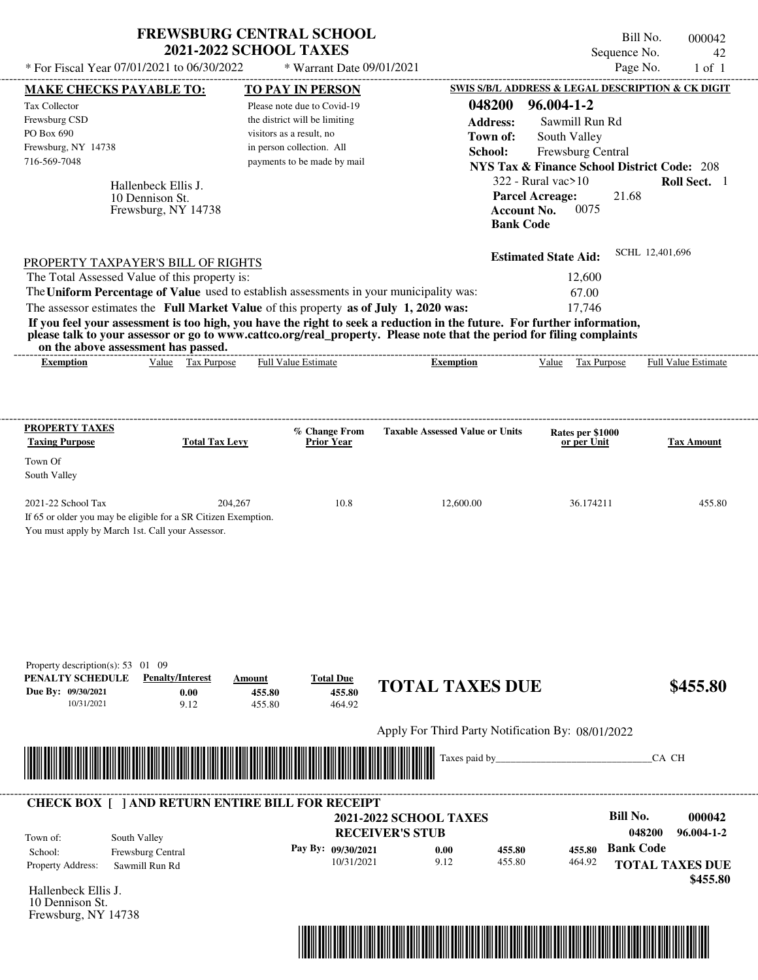| * For Fiscal Year 07/01/2021 to 06/30/2022                                                                                                                                                                                                       | <b>FREWSBURG CENTRAL SCHOOL</b><br><b>2021-2022 SCHOOL TAXES</b> |                               | * Warrant Date 09/01/2021            |                               |                                                        |                                                                  |                   | Bill No.<br>Sequence No.<br>Page No. |       | 000042<br>42<br>$1$ of $1$ |
|--------------------------------------------------------------------------------------------------------------------------------------------------------------------------------------------------------------------------------------------------|------------------------------------------------------------------|-------------------------------|--------------------------------------|-------------------------------|--------------------------------------------------------|------------------------------------------------------------------|-------------------|--------------------------------------|-------|----------------------------|
| MAKE CHECKS PAYABLE TO:                                                                                                                                                                                                                          |                                                                  | <b>TO PAY IN PERSON</b>       |                                      |                               | SWIS S/B/L ADDRESS & LEGAL DESCRIPTION & CK DIGIT      |                                                                  |                   |                                      |       |                            |
| Tax Collector                                                                                                                                                                                                                                    |                                                                  | Please note due to Covid-19   |                                      |                               | 048200                                                 | 96.004-1-2                                                       |                   |                                      |       |                            |
| Frewsburg CSD                                                                                                                                                                                                                                    |                                                                  | the district will be limiting |                                      |                               | <b>Address:</b>                                        |                                                                  | Sawmill Run Rd    |                                      |       |                            |
| PO Box 690                                                                                                                                                                                                                                       |                                                                  | visitors as a result, no      |                                      |                               | Town of:                                               | South Valley                                                     |                   |                                      |       |                            |
| Frewsburg, NY 14738                                                                                                                                                                                                                              |                                                                  | in person collection. All     |                                      |                               | School:                                                | Frewsburg Central                                                |                   |                                      |       |                            |
| 716-569-7048                                                                                                                                                                                                                                     |                                                                  |                               | payments to be made by mail          |                               | <b>NYS Tax &amp; Finance School District Code: 208</b> |                                                                  |                   |                                      |       |                            |
|                                                                                                                                                                                                                                                  |                                                                  |                               |                                      |                               |                                                        | $322$ - Rural vac $>10$                                          |                   |                                      |       | Roll Sect. 1               |
|                                                                                                                                                                                                                                                  | Hallenbeck Ellis J.<br>10 Dennison St.<br>Frewsburg, NY 14738    |                               |                                      |                               |                                                        | <b>Parcel Acreage:</b><br><b>Account No.</b><br><b>Bank Code</b> | 0075              | 21.68                                |       |                            |
| PROPERTY TAXPAYER'S BILL OF RIGHTS                                                                                                                                                                                                               |                                                                  |                               |                                      |                               |                                                        | <b>Estimated State Aid:</b>                                      |                   | SCHL 12,401,696                      |       |                            |
| The Total Assessed Value of this property is:                                                                                                                                                                                                    |                                                                  |                               |                                      |                               |                                                        |                                                                  | 12,600            |                                      |       |                            |
| The Uniform Percentage of Value used to establish assessments in your municipality was:                                                                                                                                                          |                                                                  |                               |                                      |                               |                                                        |                                                                  | 67.00             |                                      |       |                            |
| The assessor estimates the Full Market Value of this property as of July 1, 2020 was:                                                                                                                                                            |                                                                  |                               |                                      |                               |                                                        |                                                                  | 17,746            |                                      |       |                            |
| If you feel your assessment is too high, you have the right to seek a reduction in the future. For further information,<br>please talk to your assessor or go to www.cattco.org/real_property. Please note that the period for filing complaints | on the above assessment has passed.                              |                               |                                      |                               |                                                        |                                                                  |                   |                                      |       |                            |
| <b>Exemption</b>                                                                                                                                                                                                                                 | Value Tax Purpose                                                | <b>Full Value Estimate</b>    |                                      |                               | <b>Exemption</b>                                       |                                                                  | Value Tax Purpose |                                      |       | Full Value Estimate        |
| Town Of<br>South Valley<br>2021-22 School Tax<br>If 65 or older you may be eligible for a SR Citizen Exemption.<br>You must apply by March 1st. Call your Assessor.                                                                              |                                                                  | 204,267                       | 10.8                                 |                               | 12,600.00                                              |                                                                  | 36.174211         |                                      |       | 455.80                     |
| Property description(s): $53 \quad 01 \quad 09$<br>PENALTY SCHEDULE<br>Due By: 09/30/2021<br>10/31/2021                                                                                                                                          | <b>Penalty/Interest</b><br>0.00<br>9.12                          | Amount<br>455.80<br>455.80    | <b>Total Due</b><br>455.80<br>464.92 |                               | <b>TOTAL TAXES DUE</b>                                 |                                                                  |                   |                                      |       | \$455.80                   |
|                                                                                                                                                                                                                                                  |                                                                  |                               |                                      |                               | Apply For Third Party Notification By: 08/01/2022      |                                                                  |                   |                                      |       |                            |
|                                                                                                                                                                                                                                                  |                                                                  |                               |                                      |                               | Taxes paid by                                          |                                                                  |                   |                                      | CA CH |                            |
| <b>CHECK BOX [ ] AND RETURN ENTIRE BILL FOR RECEIPT</b>                                                                                                                                                                                          |                                                                  |                               |                                      |                               |                                                        |                                                                  |                   |                                      |       |                            |
|                                                                                                                                                                                                                                                  |                                                                  |                               |                                      | <b>2021-2022 SCHOOL TAXES</b> |                                                        |                                                                  |                   | Bill No.                             |       | 000042                     |
| Town of:                                                                                                                                                                                                                                         | South Valley                                                     |                               |                                      | <b>RECEIVER'S STUB</b>        |                                                        |                                                                  |                   | 048200                               |       | 96.004-1-2                 |
| School:                                                                                                                                                                                                                                          | Frewsburg Central                                                |                               | Pay By: 09/30/2021                   | 0.00                          | 455.80                                                 |                                                                  | 455.80            | <b>Bank Code</b>                     |       |                            |
| Property Address:                                                                                                                                                                                                                                | Sawmill Run Rd                                                   |                               | 10/31/2021                           | 9.12                          | 455.80                                                 |                                                                  | 464.92            |                                      |       | <b>TOTAL TAXES DUE</b>     |
|                                                                                                                                                                                                                                                  |                                                                  |                               |                                      |                               |                                                        |                                                                  |                   |                                      |       | \$455.80                   |
| Hallenbeck Ellis J.                                                                                                                                                                                                                              |                                                                  |                               |                                      |                               |                                                        |                                                                  |                   |                                      |       |                            |
| 10 Dennison St.                                                                                                                                                                                                                                  |                                                                  |                               |                                      |                               |                                                        |                                                                  |                   |                                      |       |                            |

Frewsburg, NY 14738

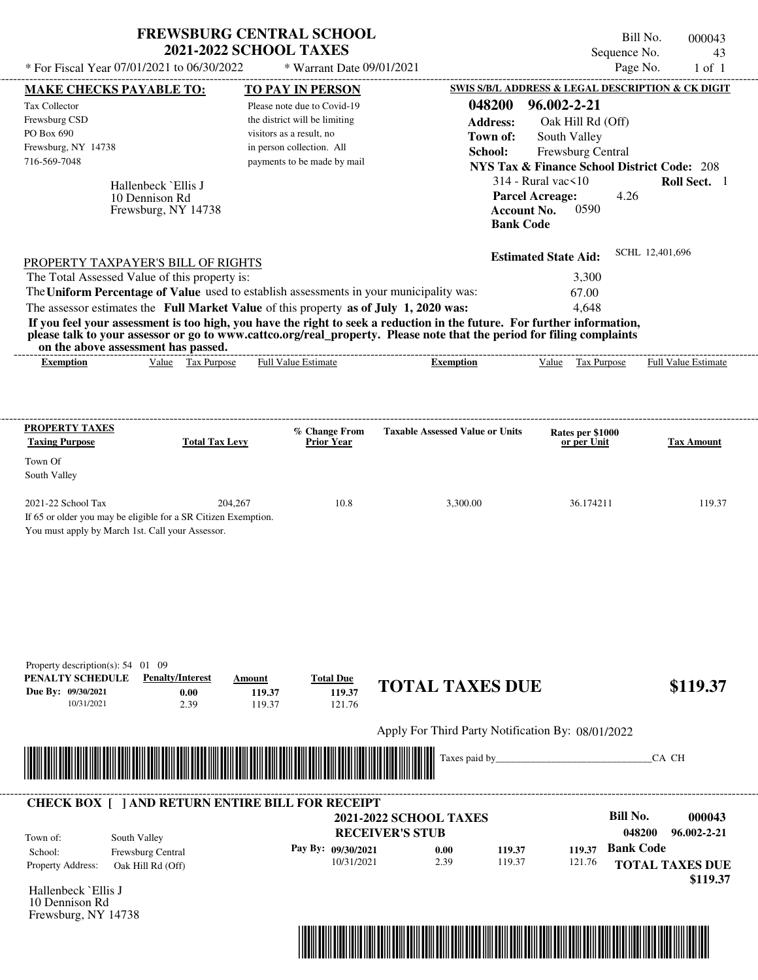| Page No.<br>* For Fiscal Year 07/01/2021 to 06/30/2022<br>* Warrant Date 09/01/2021<br>SWIS S/B/L ADDRESS & LEGAL DESCRIPTION & CK DIGIT<br><b>MAKE CHECKS PAYABLE TO:</b><br><b>TO PAY IN PERSON</b><br>048200<br>96.002-2-21<br>Tax Collector<br>Please note due to Covid-19<br>Frewsburg CSD<br>the district will be limiting<br><b>Address:</b><br>Oak Hill Rd (Off)<br>PO Box 690<br>visitors as a result, no<br>South Valley<br>Town of:<br>Frewsburg, NY 14738<br>in person collection. All<br>School:<br>Frewsburg Central<br>716-569-7048<br>payments to be made by mail<br><b>NYS Tax &amp; Finance School District Code: 208</b><br>$314$ - Rural vac $\leq 10$<br>Roll Sect. 1<br>Hallenbeck `Ellis J<br>4.26<br><b>Parcel Acreage:</b><br>10 Dennison Rd<br>0590<br><b>Account No.</b><br>Frewsburg, NY 14738<br><b>Bank Code</b><br>SCHL 12,401,696<br><b>Estimated State Aid:</b><br>PROPERTY TAXPAYER'S BILL OF RIGHTS<br>The Total Assessed Value of this property is:<br>3,300<br>The Uniform Percentage of Value used to establish assessments in your municipality was:<br>67.00<br>The assessor estimates the Full Market Value of this property as of July 1, 2020 was:<br>4,648<br>If you feel your assessment is too high, you have the right to seek a reduction in the future. For further information,<br>please talk to your assessor or go to www.cattco.org/real_property. Please note that the period for filing complaints<br>on the above assessment has passed.<br>Value Tax Purpose<br>Full Value Estimate<br>Full Value Estimate<br>Value Tax Purpose<br><b>Exemption</b><br><b>Exemption</b><br><b>PROPERTY TAXES</b><br>% Change From<br><b>Taxable Assessed Value or Units</b><br>Rates per \$1000<br><b>Taxing Purpose</b><br><b>Total Tax Levy</b><br><b>Prior Year</b><br>or per Unit<br><b>Tax Amount</b><br>Town Of<br>South Valley<br>2021-22 School Tax<br>204,267<br>10.8<br>3,300.00<br>36.174211<br>If 65 or older you may be eligible for a SR Citizen Exemption.<br>You must apply by March 1st. Call your Assessor.<br><b>Penalty/Interest</b><br><b>Total Due</b><br>Amount<br><b>TOTAL TAXES DUE</b><br>119.37<br>0.00<br>119.37<br>10/31/2021<br>2.39<br>119.37<br>121.76<br>Apply For Third Party Notification By: 08/01/2022<br>Taxes paid by<br>CA CH |                                                                               | <b>FREWSBURG CENTRAL SCHOOL</b><br><b>2021-2022 SCHOOL TAXES</b> |      |        | Bill No.<br>Sequence No. | 000043<br>43 |
|-----------------------------------------------------------------------------------------------------------------------------------------------------------------------------------------------------------------------------------------------------------------------------------------------------------------------------------------------------------------------------------------------------------------------------------------------------------------------------------------------------------------------------------------------------------------------------------------------------------------------------------------------------------------------------------------------------------------------------------------------------------------------------------------------------------------------------------------------------------------------------------------------------------------------------------------------------------------------------------------------------------------------------------------------------------------------------------------------------------------------------------------------------------------------------------------------------------------------------------------------------------------------------------------------------------------------------------------------------------------------------------------------------------------------------------------------------------------------------------------------------------------------------------------------------------------------------------------------------------------------------------------------------------------------------------------------------------------------------------------------------------------------------------------------------------------------------------------------------------------------------------------------------------------------------------------------------------------------------------------------------------------------------------------------------------------------------------------------------------------------------------------------------------------------------------------------------------------------------------------------------------------------------------------------------------------|-------------------------------------------------------------------------------|------------------------------------------------------------------|------|--------|--------------------------|--------------|
|                                                                                                                                                                                                                                                                                                                                                                                                                                                                                                                                                                                                                                                                                                                                                                                                                                                                                                                                                                                                                                                                                                                                                                                                                                                                                                                                                                                                                                                                                                                                                                                                                                                                                                                                                                                                                                                                                                                                                                                                                                                                                                                                                                                                                                                                                                                 |                                                                               |                                                                  |      |        |                          | $1$ of $1$   |
|                                                                                                                                                                                                                                                                                                                                                                                                                                                                                                                                                                                                                                                                                                                                                                                                                                                                                                                                                                                                                                                                                                                                                                                                                                                                                                                                                                                                                                                                                                                                                                                                                                                                                                                                                                                                                                                                                                                                                                                                                                                                                                                                                                                                                                                                                                                 |                                                                               |                                                                  |      |        |                          |              |
|                                                                                                                                                                                                                                                                                                                                                                                                                                                                                                                                                                                                                                                                                                                                                                                                                                                                                                                                                                                                                                                                                                                                                                                                                                                                                                                                                                                                                                                                                                                                                                                                                                                                                                                                                                                                                                                                                                                                                                                                                                                                                                                                                                                                                                                                                                                 |                                                                               |                                                                  |      |        |                          |              |
|                                                                                                                                                                                                                                                                                                                                                                                                                                                                                                                                                                                                                                                                                                                                                                                                                                                                                                                                                                                                                                                                                                                                                                                                                                                                                                                                                                                                                                                                                                                                                                                                                                                                                                                                                                                                                                                                                                                                                                                                                                                                                                                                                                                                                                                                                                                 |                                                                               |                                                                  |      |        |                          |              |
|                                                                                                                                                                                                                                                                                                                                                                                                                                                                                                                                                                                                                                                                                                                                                                                                                                                                                                                                                                                                                                                                                                                                                                                                                                                                                                                                                                                                                                                                                                                                                                                                                                                                                                                                                                                                                                                                                                                                                                                                                                                                                                                                                                                                                                                                                                                 |                                                                               |                                                                  |      |        |                          |              |
|                                                                                                                                                                                                                                                                                                                                                                                                                                                                                                                                                                                                                                                                                                                                                                                                                                                                                                                                                                                                                                                                                                                                                                                                                                                                                                                                                                                                                                                                                                                                                                                                                                                                                                                                                                                                                                                                                                                                                                                                                                                                                                                                                                                                                                                                                                                 |                                                                               |                                                                  |      |        |                          |              |
|                                                                                                                                                                                                                                                                                                                                                                                                                                                                                                                                                                                                                                                                                                                                                                                                                                                                                                                                                                                                                                                                                                                                                                                                                                                                                                                                                                                                                                                                                                                                                                                                                                                                                                                                                                                                                                                                                                                                                                                                                                                                                                                                                                                                                                                                                                                 |                                                                               |                                                                  |      |        |                          |              |
|                                                                                                                                                                                                                                                                                                                                                                                                                                                                                                                                                                                                                                                                                                                                                                                                                                                                                                                                                                                                                                                                                                                                                                                                                                                                                                                                                                                                                                                                                                                                                                                                                                                                                                                                                                                                                                                                                                                                                                                                                                                                                                                                                                                                                                                                                                                 |                                                                               |                                                                  |      |        |                          |              |
|                                                                                                                                                                                                                                                                                                                                                                                                                                                                                                                                                                                                                                                                                                                                                                                                                                                                                                                                                                                                                                                                                                                                                                                                                                                                                                                                                                                                                                                                                                                                                                                                                                                                                                                                                                                                                                                                                                                                                                                                                                                                                                                                                                                                                                                                                                                 |                                                                               |                                                                  |      |        |                          |              |
|                                                                                                                                                                                                                                                                                                                                                                                                                                                                                                                                                                                                                                                                                                                                                                                                                                                                                                                                                                                                                                                                                                                                                                                                                                                                                                                                                                                                                                                                                                                                                                                                                                                                                                                                                                                                                                                                                                                                                                                                                                                                                                                                                                                                                                                                                                                 |                                                                               |                                                                  |      |        |                          |              |
|                                                                                                                                                                                                                                                                                                                                                                                                                                                                                                                                                                                                                                                                                                                                                                                                                                                                                                                                                                                                                                                                                                                                                                                                                                                                                                                                                                                                                                                                                                                                                                                                                                                                                                                                                                                                                                                                                                                                                                                                                                                                                                                                                                                                                                                                                                                 |                                                                               |                                                                  |      |        |                          |              |
|                                                                                                                                                                                                                                                                                                                                                                                                                                                                                                                                                                                                                                                                                                                                                                                                                                                                                                                                                                                                                                                                                                                                                                                                                                                                                                                                                                                                                                                                                                                                                                                                                                                                                                                                                                                                                                                                                                                                                                                                                                                                                                                                                                                                                                                                                                                 |                                                                               |                                                                  |      |        |                          |              |
|                                                                                                                                                                                                                                                                                                                                                                                                                                                                                                                                                                                                                                                                                                                                                                                                                                                                                                                                                                                                                                                                                                                                                                                                                                                                                                                                                                                                                                                                                                                                                                                                                                                                                                                                                                                                                                                                                                                                                                                                                                                                                                                                                                                                                                                                                                                 |                                                                               |                                                                  |      |        |                          |              |
|                                                                                                                                                                                                                                                                                                                                                                                                                                                                                                                                                                                                                                                                                                                                                                                                                                                                                                                                                                                                                                                                                                                                                                                                                                                                                                                                                                                                                                                                                                                                                                                                                                                                                                                                                                                                                                                                                                                                                                                                                                                                                                                                                                                                                                                                                                                 |                                                                               |                                                                  |      |        |                          |              |
|                                                                                                                                                                                                                                                                                                                                                                                                                                                                                                                                                                                                                                                                                                                                                                                                                                                                                                                                                                                                                                                                                                                                                                                                                                                                                                                                                                                                                                                                                                                                                                                                                                                                                                                                                                                                                                                                                                                                                                                                                                                                                                                                                                                                                                                                                                                 |                                                                               |                                                                  |      |        |                          |              |
|                                                                                                                                                                                                                                                                                                                                                                                                                                                                                                                                                                                                                                                                                                                                                                                                                                                                                                                                                                                                                                                                                                                                                                                                                                                                                                                                                                                                                                                                                                                                                                                                                                                                                                                                                                                                                                                                                                                                                                                                                                                                                                                                                                                                                                                                                                                 |                                                                               |                                                                  |      |        |                          |              |
|                                                                                                                                                                                                                                                                                                                                                                                                                                                                                                                                                                                                                                                                                                                                                                                                                                                                                                                                                                                                                                                                                                                                                                                                                                                                                                                                                                                                                                                                                                                                                                                                                                                                                                                                                                                                                                                                                                                                                                                                                                                                                                                                                                                                                                                                                                                 |                                                                               |                                                                  |      |        |                          |              |
|                                                                                                                                                                                                                                                                                                                                                                                                                                                                                                                                                                                                                                                                                                                                                                                                                                                                                                                                                                                                                                                                                                                                                                                                                                                                                                                                                                                                                                                                                                                                                                                                                                                                                                                                                                                                                                                                                                                                                                                                                                                                                                                                                                                                                                                                                                                 |                                                                               |                                                                  |      |        |                          |              |
|                                                                                                                                                                                                                                                                                                                                                                                                                                                                                                                                                                                                                                                                                                                                                                                                                                                                                                                                                                                                                                                                                                                                                                                                                                                                                                                                                                                                                                                                                                                                                                                                                                                                                                                                                                                                                                                                                                                                                                                                                                                                                                                                                                                                                                                                                                                 |                                                                               |                                                                  |      |        |                          | 119.37       |
|                                                                                                                                                                                                                                                                                                                                                                                                                                                                                                                                                                                                                                                                                                                                                                                                                                                                                                                                                                                                                                                                                                                                                                                                                                                                                                                                                                                                                                                                                                                                                                                                                                                                                                                                                                                                                                                                                                                                                                                                                                                                                                                                                                                                                                                                                                                 | Property description(s): $54$ 01 09<br>PENALTY SCHEDULE<br>Due By: 09/30/2021 |                                                                  |      |        |                          | \$119.37     |
|                                                                                                                                                                                                                                                                                                                                                                                                                                                                                                                                                                                                                                                                                                                                                                                                                                                                                                                                                                                                                                                                                                                                                                                                                                                                                                                                                                                                                                                                                                                                                                                                                                                                                                                                                                                                                                                                                                                                                                                                                                                                                                                                                                                                                                                                                                                 |                                                                               |                                                                  |      |        |                          |              |
|                                                                                                                                                                                                                                                                                                                                                                                                                                                                                                                                                                                                                                                                                                                                                                                                                                                                                                                                                                                                                                                                                                                                                                                                                                                                                                                                                                                                                                                                                                                                                                                                                                                                                                                                                                                                                                                                                                                                                                                                                                                                                                                                                                                                                                                                                                                 |                                                                               |                                                                  |      |        |                          |              |
|                                                                                                                                                                                                                                                                                                                                                                                                                                                                                                                                                                                                                                                                                                                                                                                                                                                                                                                                                                                                                                                                                                                                                                                                                                                                                                                                                                                                                                                                                                                                                                                                                                                                                                                                                                                                                                                                                                                                                                                                                                                                                                                                                                                                                                                                                                                 |                                                                               |                                                                  |      |        | <b>Bill No.</b>          |              |
| <b>CHECK BOX [ ] AND RETURN ENTIRE BILL FOR RECEIPT</b>                                                                                                                                                                                                                                                                                                                                                                                                                                                                                                                                                                                                                                                                                                                                                                                                                                                                                                                                                                                                                                                                                                                                                                                                                                                                                                                                                                                                                                                                                                                                                                                                                                                                                                                                                                                                                                                                                                                                                                                                                                                                                                                                                                                                                                                         |                                                                               |                                                                  |      |        | 048200                   | 96.002-2-21  |
| 000043<br><b>2021-2022 SCHOOL TAXES</b>                                                                                                                                                                                                                                                                                                                                                                                                                                                                                                                                                                                                                                                                                                                                                                                                                                                                                                                                                                                                                                                                                                                                                                                                                                                                                                                                                                                                                                                                                                                                                                                                                                                                                                                                                                                                                                                                                                                                                                                                                                                                                                                                                                                                                                                                         |                                                                               |                                                                  |      |        |                          |              |
| <b>RECEIVER'S STUB</b><br>South Valley<br>Town of:                                                                                                                                                                                                                                                                                                                                                                                                                                                                                                                                                                                                                                                                                                                                                                                                                                                                                                                                                                                                                                                                                                                                                                                                                                                                                                                                                                                                                                                                                                                                                                                                                                                                                                                                                                                                                                                                                                                                                                                                                                                                                                                                                                                                                                                              |                                                                               |                                                                  | 2.39 | 121.76 |                          |              |
| <b>Bank Code</b><br>Pay By: 09/30/2021<br>0.00<br>119.37<br>119.37<br>School:<br>Frewsburg Central<br>10/31/2021<br>119.37                                                                                                                                                                                                                                                                                                                                                                                                                                                                                                                                                                                                                                                                                                                                                                                                                                                                                                                                                                                                                                                                                                                                                                                                                                                                                                                                                                                                                                                                                                                                                                                                                                                                                                                                                                                                                                                                                                                                                                                                                                                                                                                                                                                      |                                                                               |                                                                  |      |        |                          | \$119.37     |
| Property Address:<br><b>TOTAL TAXES DUE</b><br>Oak Hill Rd (Off)                                                                                                                                                                                                                                                                                                                                                                                                                                                                                                                                                                                                                                                                                                                                                                                                                                                                                                                                                                                                                                                                                                                                                                                                                                                                                                                                                                                                                                                                                                                                                                                                                                                                                                                                                                                                                                                                                                                                                                                                                                                                                                                                                                                                                                                | Hallenbeck `Ellis J                                                           |                                                                  |      |        |                          |              |



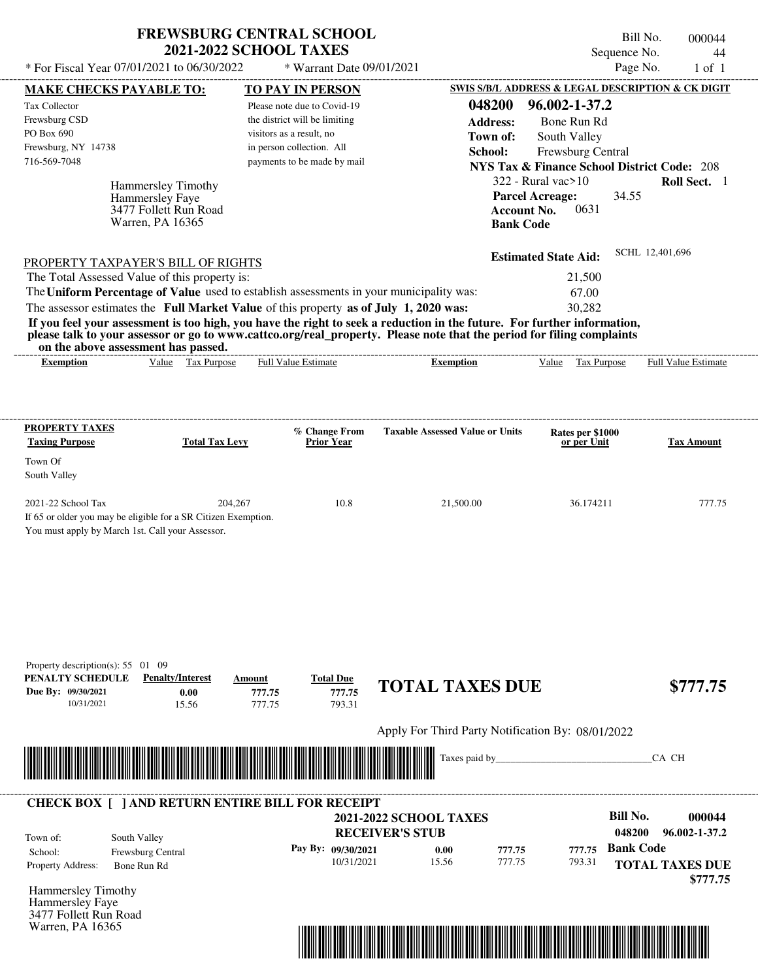| <b>FREWSBURG CENTRAL SCHOOL</b> |
|---------------------------------|
| <b>2021-2022 SCHOOL TAXES</b>   |

Bill No. 000044 Sequence No. 44

| * For Fiscal Year 07/01/2021 to 06/30/2022                                                                                               |                                   | * Warrant Date 09/01/2021                                 |                                                                                                                         | Page No.                                                                    | $1$ of $1$             |
|------------------------------------------------------------------------------------------------------------------------------------------|-----------------------------------|-----------------------------------------------------------|-------------------------------------------------------------------------------------------------------------------------|-----------------------------------------------------------------------------|------------------------|
| <b>MAKE CHECKS PAYABLE TO:</b>                                                                                                           |                                   | <b>TO PAY IN PERSON</b>                                   |                                                                                                                         | SWIS S/B/L ADDRESS & LEGAL DESCRIPTION & CK DIGIT                           |                        |
| Tax Collector                                                                                                                            |                                   | Please note due to Covid-19                               | 048200                                                                                                                  | 96.002-1-37.2                                                               |                        |
| Frewsburg CSD<br>PO Box 690                                                                                                              |                                   | the district will be limiting<br>visitors as a result, no | <b>Address:</b>                                                                                                         | Bone Run Rd                                                                 |                        |
| Frewsburg, NY 14738                                                                                                                      |                                   | in person collection. All                                 | Town of:                                                                                                                | South Valley                                                                |                        |
| 716-569-7048                                                                                                                             |                                   | payments to be made by mail                               | School:                                                                                                                 | Frewsburg Central<br><b>NYS Tax &amp; Finance School District Code: 208</b> |                        |
|                                                                                                                                          |                                   |                                                           |                                                                                                                         | $322$ - Rural vac $>10$                                                     | Roll Sect. 1           |
| Hammersley Timothy<br>Hammersley Faye                                                                                                    |                                   |                                                           |                                                                                                                         | <b>Parcel Acreage:</b><br>34.55                                             |                        |
|                                                                                                                                          | 3477 Follett Run Road             |                                                           |                                                                                                                         | 0631<br><b>Account No.</b>                                                  |                        |
| Warren, PA 16365                                                                                                                         |                                   |                                                           | <b>Bank Code</b>                                                                                                        |                                                                             |                        |
|                                                                                                                                          |                                   |                                                           |                                                                                                                         | <b>Estimated State Aid:</b>                                                 | SCHL 12,401,696        |
| PROPERTY TAXPAYER'S BILL OF RIGHTS                                                                                                       |                                   |                                                           |                                                                                                                         |                                                                             |                        |
| The Total Assessed Value of this property is:<br>The Uniform Percentage of Value used to establish assessments in your municipality was: |                                   |                                                           |                                                                                                                         | 21,500<br>67.00                                                             |                        |
| The assessor estimates the Full Market Value of this property as of July 1, 2020 was:                                                    |                                   |                                                           |                                                                                                                         | 30,282                                                                      |                        |
|                                                                                                                                          |                                   |                                                           | If you feel your assessment is too high, you have the right to seek a reduction in the future. For further information, |                                                                             |                        |
|                                                                                                                                          |                                   |                                                           | please talk to your assessor or go to www.cattco.org/real_property. Please note that the period for filing complaints   |                                                                             |                        |
| on the above assessment has passed.                                                                                                      | Value Tax Purpose                 | Full Value Estimate                                       |                                                                                                                         |                                                                             | Full Value Estimate    |
| <b>Exemption</b>                                                                                                                         |                                   |                                                           | <b>Exemption</b>                                                                                                        | Value Tax Purpose                                                           |                        |
|                                                                                                                                          |                                   |                                                           |                                                                                                                         |                                                                             |                        |
|                                                                                                                                          |                                   |                                                           |                                                                                                                         |                                                                             |                        |
| <b>PROPERTY TAXES</b>                                                                                                                    |                                   | % Change From                                             | <b>Taxable Assessed Value or Units</b>                                                                                  | Rates per \$1000                                                            |                        |
| <b>Taxing Purpose</b>                                                                                                                    | <b>Total Tax Levy</b>             | <b>Prior Year</b>                                         |                                                                                                                         | or per Unit                                                                 | <b>Tax Amount</b>      |
| Town Of                                                                                                                                  |                                   |                                                           |                                                                                                                         |                                                                             |                        |
| South Valley                                                                                                                             |                                   |                                                           |                                                                                                                         |                                                                             |                        |
| 2021-22 School Tax                                                                                                                       | 204,267                           | 10.8                                                      | 21,500.00                                                                                                               | 36.174211                                                                   | 777.75                 |
| If 65 or older you may be eligible for a SR Citizen Exemption.                                                                           |                                   |                                                           |                                                                                                                         |                                                                             |                        |
| You must apply by March 1st. Call your Assessor.                                                                                         |                                   |                                                           |                                                                                                                         |                                                                             |                        |
|                                                                                                                                          |                                   |                                                           |                                                                                                                         |                                                                             |                        |
|                                                                                                                                          |                                   |                                                           |                                                                                                                         |                                                                             |                        |
|                                                                                                                                          |                                   |                                                           |                                                                                                                         |                                                                             |                        |
|                                                                                                                                          |                                   |                                                           |                                                                                                                         |                                                                             |                        |
|                                                                                                                                          |                                   |                                                           |                                                                                                                         |                                                                             |                        |
|                                                                                                                                          |                                   |                                                           |                                                                                                                         |                                                                             |                        |
| Property description(s): $55 \quad 01 \quad 09$                                                                                          |                                   |                                                           |                                                                                                                         |                                                                             |                        |
| PENALTY SCHEDULE                                                                                                                         | <b>Penalty/Interest</b><br>Amount | <b>Total Due</b>                                          |                                                                                                                         |                                                                             |                        |
| Due By: 09/30/2021                                                                                                                       | 0.00<br>777.75                    | 777.75                                                    | <b>TOTAL TAXES DUE</b>                                                                                                  |                                                                             | \$777.75               |
| 10/31/2021                                                                                                                               | 777.75<br>15.56                   | 793.31                                                    |                                                                                                                         |                                                                             |                        |
|                                                                                                                                          |                                   |                                                           | Apply For Third Party Notification By: 08/01/2022                                                                       |                                                                             |                        |
|                                                                                                                                          |                                   |                                                           |                                                                                                                         |                                                                             |                        |
|                                                                                                                                          |                                   |                                                           | Taxes paid by_                                                                                                          |                                                                             | CA CH                  |
|                                                                                                                                          |                                   |                                                           |                                                                                                                         |                                                                             |                        |
| <b>CHECK BOX [ ] AND RETURN ENTIRE BILL FOR RECEIPT</b>                                                                                  |                                   |                                                           |                                                                                                                         |                                                                             |                        |
|                                                                                                                                          |                                   |                                                           | <b>2021-2022 SCHOOL TAXES</b>                                                                                           | <b>Bill No.</b>                                                             | 000044                 |
| South Valley<br>Town of:                                                                                                                 |                                   |                                                           | <b>RECEIVER'S STUB</b>                                                                                                  | 048200                                                                      | 96.002-1-37.2          |
| Frewsburg Central<br>School:                                                                                                             |                                   | Pay By: 09/30/2021                                        | 0.00<br>777.75                                                                                                          | <b>Bank Code</b><br>777.75                                                  |                        |
| Property Address:<br>Bone Run Rd                                                                                                         |                                   | 10/31/2021                                                | 15.56<br>777.75                                                                                                         | 793.31                                                                      | <b>TOTAL TAXES DUE</b> |
|                                                                                                                                          |                                   |                                                           |                                                                                                                         |                                                                             | \$777.75               |
| Hammersley Timothy<br>Hammersley Faye                                                                                                    |                                   |                                                           |                                                                                                                         |                                                                             |                        |
| 3477 Follett Run Road                                                                                                                    |                                   |                                                           |                                                                                                                         |                                                                             |                        |
| Warren, PA 16365                                                                                                                         |                                   |                                                           |                                                                                                                         |                                                                             |                        |

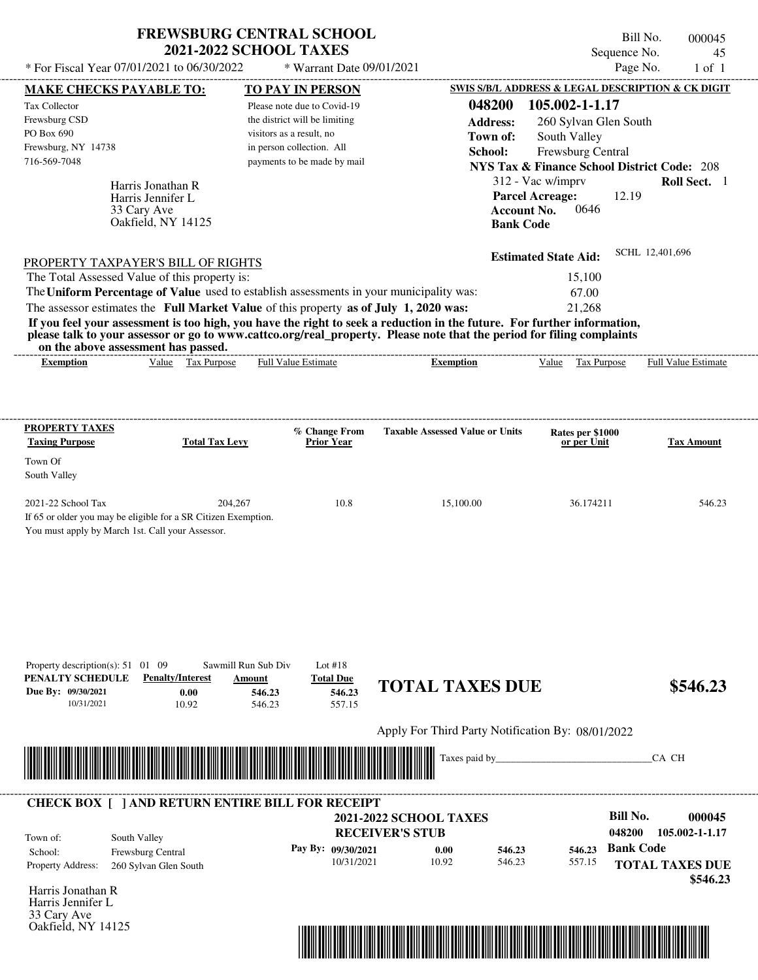| * For Fiscal Year 07/01/2021 to 06/30/2022                                                                                                                                                                          | <b>FREWSBURG CENTRAL SCHOOL</b><br><b>2021-2022 SCHOOL TAXES</b><br>* Warrant Date 09/01/2021                                                                                   |                                                                            | Bill No.<br>Sequence No.<br>Page No.                                                                                                                                 | 000045<br>45<br>$1$ of $1$ |
|---------------------------------------------------------------------------------------------------------------------------------------------------------------------------------------------------------------------|---------------------------------------------------------------------------------------------------------------------------------------------------------------------------------|----------------------------------------------------------------------------|----------------------------------------------------------------------------------------------------------------------------------------------------------------------|----------------------------|
|                                                                                                                                                                                                                     |                                                                                                                                                                                 |                                                                            | SWIS S/B/L ADDRESS & LEGAL DESCRIPTION & CK DIGIT                                                                                                                    |                            |
| <b>MAKE CHECKS PAYABLE TO:</b><br>Tax Collector<br>Frewsburg CSD<br>PO Box 690<br>Frewsburg, NY 14738<br>716-569-7048<br>Harris Jonathan R<br>Harris Jennifer L                                                     | <b>TO PAY IN PERSON</b><br>Please note due to Covid-19<br>the district will be limiting<br>visitors as a result, no<br>in person collection. All<br>payments to be made by mail | 048200<br><b>Address:</b><br>Town of:<br>School:<br><b>Parcel Acreage:</b> | 105.002-1-1.17<br>260 Sylvan Glen South<br>South Valley<br>Frewsburg Central<br><b>NYS Tax &amp; Finance School District Code: 208</b><br>312 - Vac w/imprv<br>12.19 | Roll Sect. 1               |
| 33 Cary Ave<br>Oakfield, NY 14125<br>PROPERTY TAXPAYER'S BILL OF RIGHTS<br>The Total Assessed Value of this property is:<br>The Uniform Percentage of Value used to establish assessments in your municipality was: |                                                                                                                                                                                 | <b>Account No.</b><br><b>Bank Code</b>                                     | 0646<br><b>Estimated State Aid:</b><br>15,100<br>67.00                                                                                                               | SCHL 12,401,696            |
| The assessor estimates the Full Market Value of this property as of July 1, 2020 was:<br>If you feel your assessment is too high, you have the right to seek a reduction in the future. For further information,    |                                                                                                                                                                                 |                                                                            | 21,268                                                                                                                                                               |                            |
| please talk to your assessor or go to www.cattco.org/real_property. Please note that the period for filing complaints<br>on the above assessment has passed.                                                        |                                                                                                                                                                                 |                                                                            |                                                                                                                                                                      |                            |
| Value Tax Purpose<br><b>Exemption</b>                                                                                                                                                                               | <b>Full Value Estimate</b>                                                                                                                                                      | <b>Exemption</b>                                                           | Value Tax Purpose                                                                                                                                                    | Full Value Estimate        |
| Town Of<br>South Valley<br>2021-22 School Tax<br>If 65 or older you may be eligible for a SR Citizen Exemption.<br>You must apply by March 1st. Call your Assessor.                                                 | 204,267<br>10.8                                                                                                                                                                 | 15,100.00                                                                  | 36.174211                                                                                                                                                            | 546.23                     |
|                                                                                                                                                                                                                     |                                                                                                                                                                                 |                                                                            |                                                                                                                                                                      |                            |
| Property description(s): $51 \quad 01 \quad 09$<br>PENALTY SCHEDULE<br><b>Penalty/Interest</b><br>Due By: 09/30/2021<br>0.00<br>10/31/2021<br>10.92                                                                 | Sawmill Run Sub Div<br>Lot $#18$<br><b>Total Due</b><br>Amount<br>546.23<br>546.23<br>546.23<br>557.15                                                                          | <b>TOTAL TAXES DUE</b>                                                     |                                                                                                                                                                      |                            |
|                                                                                                                                                                                                                     |                                                                                                                                                                                 | Apply For Third Party Notification By: 08/01/2022<br>Taxes paid by         |                                                                                                                                                                      | \$546.23<br>CA CH          |

Harris Jonathan R Harris Jennifer L 33 Cary Ave Oakfield, NY 14125

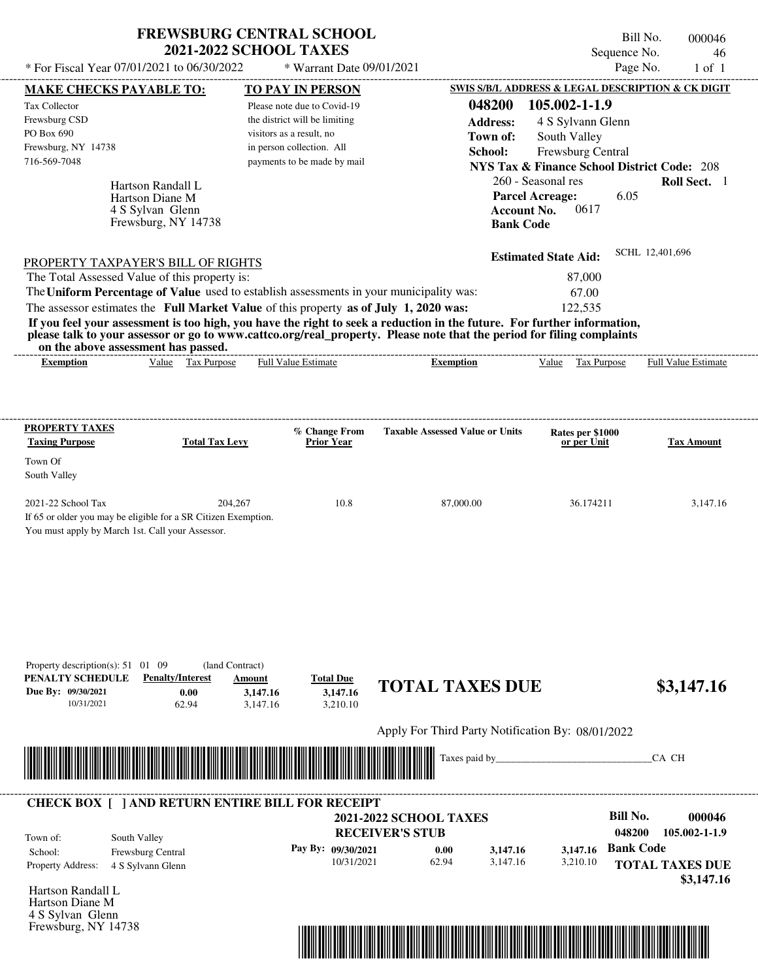| <b>FREWSBURG CENTRAL SCHOOL</b> |
|---------------------------------|
| <b>2021-2022 SCHOOL TAXES</b>   |

Bill No. 000046 Sequence No. 46

| * For Fiscal Year 07/01/2021 to 06/30/2022                                              |                                                      | * Warrant Date 09/01/2021                                 |                                                                                                                                                                                                                                                  |                                                                             | Page No.                   | $1$ of $1$        |
|-----------------------------------------------------------------------------------------|------------------------------------------------------|-----------------------------------------------------------|--------------------------------------------------------------------------------------------------------------------------------------------------------------------------------------------------------------------------------------------------|-----------------------------------------------------------------------------|----------------------------|-------------------|
| <b>MAKE CHECKS PAYABLE TO:</b>                                                          |                                                      | <b>TO PAY IN PERSON</b>                                   |                                                                                                                                                                                                                                                  | SWIS S/B/L ADDRESS & LEGAL DESCRIPTION & CK DIGIT                           |                            |                   |
| Tax Collector                                                                           |                                                      | Please note due to Covid-19                               | 048200                                                                                                                                                                                                                                           | 105.002-1-1.9                                                               |                            |                   |
| Frewsburg CSD<br>PO Box 690                                                             |                                                      | the district will be limiting<br>visitors as a result, no | <b>Address:</b>                                                                                                                                                                                                                                  | 4 S Sylvann Glenn                                                           |                            |                   |
| Frewsburg, NY 14738                                                                     |                                                      | in person collection. All                                 | Town of:                                                                                                                                                                                                                                         | South Valley                                                                |                            |                   |
| 716-569-7048                                                                            |                                                      | payments to be made by mail                               | School:                                                                                                                                                                                                                                          | Frewsburg Central<br><b>NYS Tax &amp; Finance School District Code: 208</b> |                            |                   |
|                                                                                         |                                                      |                                                           |                                                                                                                                                                                                                                                  | 260 - Seasonal res                                                          |                            | Roll Sect. 1      |
| Hartson Randall L<br>Hartson Diane M                                                    |                                                      |                                                           |                                                                                                                                                                                                                                                  | <b>Parcel Acreage:</b>                                                      | 6.05                       |                   |
| 4 S Sylvan Glenn                                                                        |                                                      |                                                           | <b>Account No.</b>                                                                                                                                                                                                                               | 0617                                                                        |                            |                   |
|                                                                                         | Frewsburg, NY 14738                                  |                                                           | <b>Bank Code</b>                                                                                                                                                                                                                                 |                                                                             |                            |                   |
|                                                                                         |                                                      |                                                           |                                                                                                                                                                                                                                                  | <b>Estimated State Aid:</b>                                                 | SCHL 12,401,696            |                   |
| PROPERTY TAXPAYER'S BILL OF RIGHTS<br>The Total Assessed Value of this property is:     |                                                      |                                                           |                                                                                                                                                                                                                                                  | 87,000                                                                      |                            |                   |
| The Uniform Percentage of Value used to establish assessments in your municipality was: |                                                      |                                                           |                                                                                                                                                                                                                                                  | 67.00                                                                       |                            |                   |
| The assessor estimates the Full Market Value of this property as of July 1, 2020 was:   |                                                      |                                                           |                                                                                                                                                                                                                                                  | 122,535                                                                     |                            |                   |
|                                                                                         |                                                      |                                                           | If you feel your assessment is too high, you have the right to seek a reduction in the future. For further information,<br>please talk to your assessor or go to www.cattco.org/real_property. Please note that the period for filing complaints |                                                                             |                            |                   |
| on the above assessment has passed.<br><b>Exemption</b>                                 | Value Tax Purpose                                    | <b>Full Value Estimate</b>                                | -------------------------------------<br><b>Exemption</b>                                                                                                                                                                                        | Value Tax Purpose                                                           | <b>Full Value Estimate</b> |                   |
|                                                                                         |                                                      |                                                           |                                                                                                                                                                                                                                                  |                                                                             |                            |                   |
|                                                                                         |                                                      |                                                           |                                                                                                                                                                                                                                                  |                                                                             |                            |                   |
| <b>PROPERTY TAXES</b><br><b>Taxing Purpose</b>                                          | <b>Total Tax Levy</b>                                | % Change From<br><b>Prior Year</b>                        | <b>Taxable Assessed Value or Units</b>                                                                                                                                                                                                           | Rates per \$1000<br>or per Unit                                             |                            | <b>Tax Amount</b> |
| Town Of                                                                                 |                                                      |                                                           |                                                                                                                                                                                                                                                  |                                                                             |                            |                   |
| South Valley                                                                            |                                                      |                                                           |                                                                                                                                                                                                                                                  |                                                                             |                            |                   |
| 2021-22 School Tax                                                                      | 204,267                                              | 10.8                                                      | 87,000.00                                                                                                                                                                                                                                        | 36.174211                                                                   |                            | 3,147.16          |
| If 65 or older you may be eligible for a SR Citizen Exemption.                          |                                                      |                                                           |                                                                                                                                                                                                                                                  |                                                                             |                            |                   |
| You must apply by March 1st. Call your Assessor.                                        |                                                      |                                                           |                                                                                                                                                                                                                                                  |                                                                             |                            |                   |
|                                                                                         |                                                      |                                                           |                                                                                                                                                                                                                                                  |                                                                             |                            |                   |
|                                                                                         |                                                      |                                                           |                                                                                                                                                                                                                                                  |                                                                             |                            |                   |
|                                                                                         |                                                      |                                                           |                                                                                                                                                                                                                                                  |                                                                             |                            |                   |
|                                                                                         |                                                      |                                                           |                                                                                                                                                                                                                                                  |                                                                             |                            |                   |
|                                                                                         |                                                      |                                                           |                                                                                                                                                                                                                                                  |                                                                             |                            |                   |
|                                                                                         |                                                      |                                                           |                                                                                                                                                                                                                                                  |                                                                             |                            |                   |
| Property description(s): $51 \quad 01 \quad 09$<br>PENALTY SCHEDULE                     | (land Contract)<br><b>Penalty/Interest</b><br>Amount | <b>Total Due</b>                                          |                                                                                                                                                                                                                                                  |                                                                             |                            |                   |
| Due By: 09/30/2021                                                                      | 0.00<br>3,147.16                                     | 3,147.16                                                  | <b>TOTAL TAXES DUE</b>                                                                                                                                                                                                                           |                                                                             |                            | \$3,147.16        |
| 10/31/2021                                                                              | 62.94<br>3,147.16                                    | 3,210.10                                                  |                                                                                                                                                                                                                                                  |                                                                             |                            |                   |
|                                                                                         |                                                      |                                                           | Apply For Third Party Notification By: 08/01/2022                                                                                                                                                                                                |                                                                             |                            |                   |
|                                                                                         |                                                      |                                                           | Taxes paid by_                                                                                                                                                                                                                                   |                                                                             | CA CH                      |                   |
|                                                                                         |                                                      |                                                           |                                                                                                                                                                                                                                                  |                                                                             |                            |                   |
| <b>CHECK BOX [ ] AND RETURN ENTIRE BILL FOR RECEIPT</b>                                 |                                                      |                                                           |                                                                                                                                                                                                                                                  |                                                                             |                            |                   |
|                                                                                         |                                                      |                                                           | <b>2021-2022 SCHOOL TAXES</b>                                                                                                                                                                                                                    |                                                                             | <b>Bill No.</b>            | 000046            |
| South Valley<br>Town of:                                                                |                                                      |                                                           | <b>RECEIVER'S STUB</b>                                                                                                                                                                                                                           |                                                                             | 048200                     | 105.002-1-1.9     |
| Frewsburg Central<br>School:                                                            |                                                      | Pay By: 09/30/2021<br>10/31/2021                          | 0.00<br>3,147.16<br>62.94<br>3,147.16                                                                                                                                                                                                            | 3,147.16<br>3,210.10                                                        | <b>Bank Code</b>           |                   |
| Property Address:<br>4 S Sylvann Glenn                                                  |                                                      |                                                           |                                                                                                                                                                                                                                                  |                                                                             | <b>TOTAL TAXES DUE</b>     | \$3,147.16        |
| Hartson Randall L                                                                       |                                                      |                                                           |                                                                                                                                                                                                                                                  |                                                                             |                            |                   |
| Hartson Diane M                                                                         |                                                      |                                                           |                                                                                                                                                                                                                                                  |                                                                             |                            |                   |
| 4 S Sylvan Glenn<br>Frewsburg, NY 14738                                                 |                                                      |                                                           |                                                                                                                                                                                                                                                  |                                                                             |                            |                   |
|                                                                                         |                                                      |                                                           |                                                                                                                                                                                                                                                  |                                                                             |                            |                   |
|                                                                                         |                                                      |                                                           |                                                                                                                                                                                                                                                  |                                                                             |                            |                   |
|                                                                                         |                                                      |                                                           |                                                                                                                                                                                                                                                  |                                                                             |                            |                   |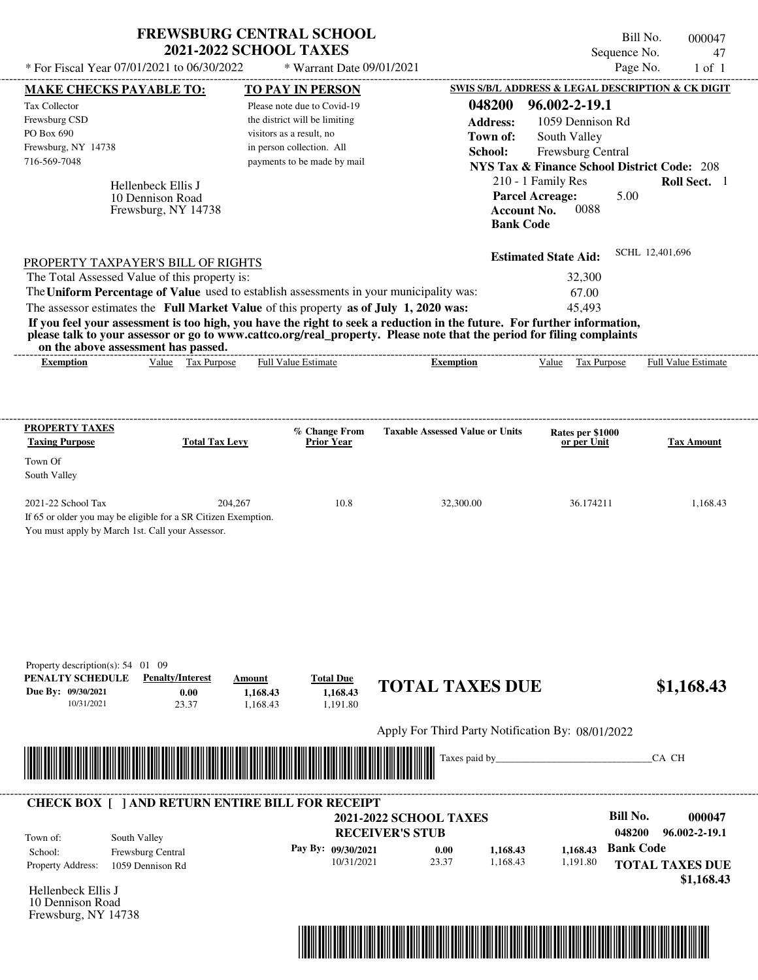| * For Fiscal Year 07/01/2021 to 06/30/2022                                                                                                                                                                                                                                              | <b>FREWSBURG CENTRAL SCHOOL</b><br><b>2021-2022 SCHOOL TAXES</b> |                                | * Warrant Date 09/01/2021                |                               |                                                        |                                              |                   | Bill No.<br>Sequence No.<br>Page No. |                 | 000047<br>47<br>$1$ of $1$ |
|-----------------------------------------------------------------------------------------------------------------------------------------------------------------------------------------------------------------------------------------------------------------------------------------|------------------------------------------------------------------|--------------------------------|------------------------------------------|-------------------------------|--------------------------------------------------------|----------------------------------------------|-------------------|--------------------------------------|-----------------|----------------------------|
| MAKE CHECKS PAYABLE TO:                                                                                                                                                                                                                                                                 |                                                                  |                                | <b>TO PAY IN PERSON</b>                  |                               | SWIS S/B/L ADDRESS & LEGAL DESCRIPTION & CK DIGIT      |                                              |                   |                                      |                 |                            |
| Tax Collector                                                                                                                                                                                                                                                                           |                                                                  |                                | Please note due to Covid-19              |                               | 048200                                                 | 96.002-2-19.1                                |                   |                                      |                 |                            |
| Frewsburg CSD                                                                                                                                                                                                                                                                           |                                                                  |                                | the district will be limiting            |                               | <b>Address:</b>                                        |                                              | 1059 Dennison Rd  |                                      |                 |                            |
| PO Box 690                                                                                                                                                                                                                                                                              |                                                                  | visitors as a result, no       |                                          |                               | Town of:                                               |                                              | South Valley      |                                      |                 |                            |
| Frewsburg, NY 14738                                                                                                                                                                                                                                                                     |                                                                  | in person collection. All      |                                          |                               | School:                                                |                                              | Frewsburg Central |                                      |                 |                            |
| 716-569-7048                                                                                                                                                                                                                                                                            |                                                                  |                                | payments to be made by mail              |                               | <b>NYS Tax &amp; Finance School District Code: 208</b> |                                              |                   |                                      |                 |                            |
|                                                                                                                                                                                                                                                                                         |                                                                  |                                |                                          |                               |                                                        | 210 - 1 Family Res                           |                   |                                      |                 | Roll Sect. 1               |
|                                                                                                                                                                                                                                                                                         | Hellenbeck Ellis J<br>10 Dennison Road<br>Frewsburg, NY 14738    |                                |                                          |                               | <b>Bank Code</b>                                       | <b>Parcel Acreage:</b><br><b>Account No.</b> | 0088              | 5.00                                 |                 |                            |
| PROPERTY TAXPAYER'S BILL OF RIGHTS                                                                                                                                                                                                                                                      |                                                                  |                                |                                          |                               |                                                        | <b>Estimated State Aid:</b>                  |                   |                                      | SCHL 12,401,696 |                            |
| The Total Assessed Value of this property is:                                                                                                                                                                                                                                           |                                                                  |                                |                                          |                               |                                                        |                                              | 32,300            |                                      |                 |                            |
| The Uniform Percentage of Value used to establish assessments in your municipality was:                                                                                                                                                                                                 |                                                                  |                                |                                          |                               |                                                        |                                              | 67.00             |                                      |                 |                            |
| The assessor estimates the Full Market Value of this property as of July 1, 2020 was:                                                                                                                                                                                                   |                                                                  |                                |                                          |                               |                                                        |                                              | 45,493            |                                      |                 |                            |
| If you feel your assessment is too high, you have the right to seek a reduction in the future. For further information,<br>please talk to your assessor or go to www.cattco.org/real_property. Please note that the period for filing complaints<br>on the above assessment has passed. |                                                                  |                                |                                          |                               |                                                        |                                              |                   |                                      |                 |                            |
| <b>Exemption</b>                                                                                                                                                                                                                                                                        | Value Tax Purpose                                                | Full Value Estimate            |                                          |                               | <b>Exemption</b>                                       | Value                                        | Tax Purpose       |                                      |                 | Full Value Estimate        |
| South Valley<br>2021-22 School Tax<br>If 65 or older you may be eligible for a SR Citizen Exemption.<br>You must apply by March 1st. Call your Assessor.                                                                                                                                | 204,267                                                          |                                | 10.8                                     |                               | 32,300.00                                              |                                              | 36.174211         |                                      |                 | 1,168.43                   |
| Property description(s): $54$ 01 09<br>PENALTY SCHEDULE<br>Due By: 09/30/2021<br>10/31/2021                                                                                                                                                                                             | <b>Penalty/Interest</b><br>0.00<br>23.37                         | Amount<br>1,168.43<br>1,168.43 | <b>Total Due</b><br>1,168.43<br>1,191.80 |                               | <b>TOTAL TAXES DUE</b>                                 |                                              |                   |                                      |                 | \$1,168.43                 |
|                                                                                                                                                                                                                                                                                         |                                                                  |                                |                                          |                               | Apply For Third Party Notification By: 08/01/2022      |                                              |                   |                                      |                 |                            |
|                                                                                                                                                                                                                                                                                         |                                                                  |                                |                                          |                               | Taxes paid by                                          |                                              |                   |                                      | CA CH           |                            |
| <b>CHECK BOX [ ] AND RETURN ENTIRE BILL FOR RECEIPT</b>                                                                                                                                                                                                                                 |                                                                  |                                |                                          |                               |                                                        |                                              |                   |                                      |                 |                            |
|                                                                                                                                                                                                                                                                                         |                                                                  |                                |                                          | <b>2021-2022 SCHOOL TAXES</b> |                                                        |                                              |                   | <b>Bill No.</b>                      |                 | 000047                     |
| South Valley<br>Town of:                                                                                                                                                                                                                                                                |                                                                  |                                |                                          | <b>RECEIVER'S STUB</b>        |                                                        |                                              |                   | 048200                               |                 | 96.002-2-19.1              |
| School:                                                                                                                                                                                                                                                                                 | Frewsburg Central                                                |                                | Pay By: 09/30/2021                       | 0.00                          | 1,168.43                                               |                                              | 1,168.43          | <b>Bank Code</b>                     |                 |                            |
| Property Address:                                                                                                                                                                                                                                                                       | 1059 Dennison Rd                                                 |                                | 10/31/2021                               | 23.37                         | 1,168.43                                               |                                              | 1,191.80          |                                      |                 | <b>TOTAL TAXES DUE</b>     |
|                                                                                                                                                                                                                                                                                         |                                                                  |                                |                                          |                               |                                                        |                                              |                   |                                      |                 | \$1,168.43                 |
| Hellenbeck Ellis J                                                                                                                                                                                                                                                                      |                                                                  |                                |                                          |                               |                                                        |                                              |                   |                                      |                 |                            |
| 10 Dennison Road                                                                                                                                                                                                                                                                        |                                                                  |                                |                                          |                               |                                                        |                                              |                   |                                      |                 |                            |

Frewsburg, NY 14738

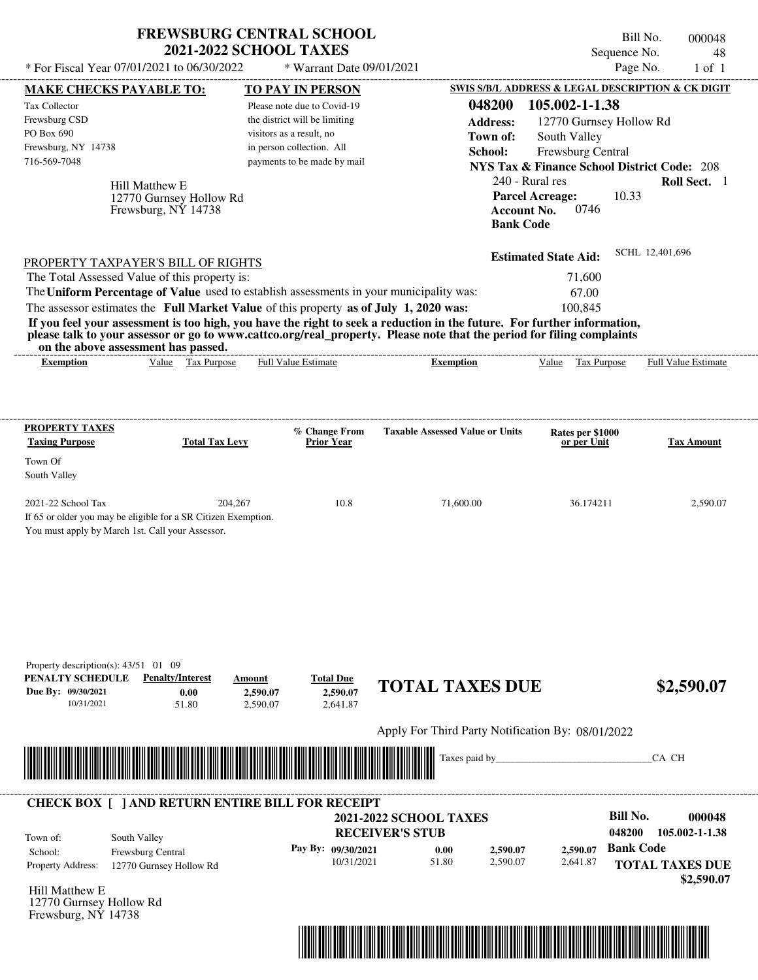|                                                  | <b>FREWSBURG CENTRAL SCHOOL</b><br><b>2021-2022 SCHOOL TAXES</b>                        |                               |                                                                                                                         |                                                        | Bill No.<br>000048         |
|--------------------------------------------------|-----------------------------------------------------------------------------------------|-------------------------------|-------------------------------------------------------------------------------------------------------------------------|--------------------------------------------------------|----------------------------|
| * For Fiscal Year 07/01/2021 to 06/30/2022       |                                                                                         |                               |                                                                                                                         | Sequence No.                                           | 48                         |
|                                                  |                                                                                         | * Warrant Date 09/01/2021     |                                                                                                                         | Page No.                                               | $1$ of $1$                 |
| <b>MAKE CHECKS PAYABLE TO:</b>                   |                                                                                         | <b>TO PAY IN PERSON</b>       |                                                                                                                         | SWIS S/B/L ADDRESS & LEGAL DESCRIPTION & CK DIGIT      |                            |
| Tax Collector                                    |                                                                                         | Please note due to Covid-19   | 048200                                                                                                                  | 105.002-1-1.38                                         |                            |
| Frewsburg CSD                                    |                                                                                         | the district will be limiting | <b>Address:</b>                                                                                                         | 12770 Gurnsey Hollow Rd                                |                            |
| PO Box 690                                       |                                                                                         | visitors as a result, no      | Town of:                                                                                                                | South Valley                                           |                            |
| Frewsburg, NY 14738                              |                                                                                         | in person collection. All     | School:                                                                                                                 | Frewsburg Central                                      |                            |
| 716-569-7048                                     |                                                                                         | payments to be made by mail   |                                                                                                                         | <b>NYS Tax &amp; Finance School District Code: 208</b> |                            |
|                                                  | Hill Matthew E                                                                          |                               |                                                                                                                         | 240 - Rural res                                        | Roll Sect. 1               |
|                                                  | 12770 Gurnsey Hollow Rd                                                                 |                               |                                                                                                                         | 10.33<br><b>Parcel Acreage:</b>                        |                            |
|                                                  | Frewsburg, NY 14738                                                                     |                               |                                                                                                                         | 0746<br><b>Account No.</b>                             |                            |
|                                                  |                                                                                         |                               |                                                                                                                         | <b>Bank Code</b>                                       |                            |
|                                                  |                                                                                         |                               |                                                                                                                         |                                                        | SCHL 12,401,696            |
|                                                  | PROPERTY TAXPAYER'S BILL OF RIGHTS                                                      |                               |                                                                                                                         | <b>Estimated State Aid:</b>                            |                            |
| The Total Assessed Value of this property is:    |                                                                                         |                               |                                                                                                                         | 71,600                                                 |                            |
|                                                  | The Uniform Percentage of Value used to establish assessments in your municipality was: |                               |                                                                                                                         | 67.00                                                  |                            |
|                                                  | The assessor estimates the Full Market Value of this property as of July 1, 2020 was:   |                               |                                                                                                                         | 100,845                                                |                            |
|                                                  |                                                                                         |                               | If you feel your assessment is too high, you have the right to seek a reduction in the future. For further information, |                                                        |                            |
| on the above assessment has passed.              |                                                                                         |                               | please talk to your assessor or go to www.cattco.org/real_property. Please note that the period for filing complaints   |                                                        |                            |
| <b>Exemption</b>                                 | Value Tax Purpose                                                                       | <b>Full Value Estimate</b>    | <b>Exemption</b>                                                                                                        | Value Tax Purpose                                      | <b>Full Value Estimate</b> |
|                                                  |                                                                                         |                               |                                                                                                                         |                                                        |                            |
| Town Of<br>South Valley<br>2021-22 School Tax    | 204,267                                                                                 | 10.8                          | 71,600.00                                                                                                               | 36.174211                                              | 2,590.07                   |
|                                                  | If 65 or older you may be eligible for a SR Citizen Exemption.                          |                               |                                                                                                                         |                                                        |                            |
| You must apply by March 1st. Call your Assessor. |                                                                                         |                               |                                                                                                                         |                                                        |                            |
|                                                  |                                                                                         |                               |                                                                                                                         |                                                        |                            |
|                                                  |                                                                                         |                               |                                                                                                                         |                                                        |                            |
|                                                  |                                                                                         |                               |                                                                                                                         |                                                        |                            |
|                                                  |                                                                                         |                               |                                                                                                                         |                                                        |                            |
|                                                  |                                                                                         |                               |                                                                                                                         |                                                        |                            |
|                                                  |                                                                                         |                               |                                                                                                                         |                                                        |                            |
| Property description(s): $43/51$ 01 09           |                                                                                         |                               |                                                                                                                         |                                                        |                            |
| PENALTY SCHEDULE<br>Due By: 09/30/2021           | <b>Penalty/Interest</b><br>Amount<br>0.00<br>2,590.07                                   | <b>Total Due</b><br>2,590.07  | <b>TOTAL TAXES DUE</b>                                                                                                  |                                                        | \$2,590.07                 |
| 10/31/2021                                       | 51.80<br>2,590.07                                                                       | 2,641.87                      |                                                                                                                         |                                                        |                            |
|                                                  |                                                                                         |                               |                                                                                                                         |                                                        |                            |
|                                                  |                                                                                         |                               | Apply For Third Party Notification By: 08/01/2022                                                                       |                                                        |                            |
|                                                  |                                                                                         |                               | Taxes paid by                                                                                                           |                                                        | CA CH                      |
|                                                  |                                                                                         |                               |                                                                                                                         |                                                        |                            |
|                                                  | <b>CHECK BOX [ ] AND RETURN ENTIRE BILL FOR RECEIPT</b>                                 |                               |                                                                                                                         |                                                        |                            |
|                                                  |                                                                                         |                               | <b>2021-2022 SCHOOL TAXES</b>                                                                                           | <b>Bill No.</b>                                        | 000048                     |
| South Valley<br>Town of:                         |                                                                                         |                               | <b>RECEIVER'S STUB</b>                                                                                                  | 048200                                                 | 105.002-1-1.38             |
| School:                                          | Frewsburg Central                                                                       | Pay By: 09/30/2021            | 0.00<br>2,590.07                                                                                                        | <b>Bank Code</b><br>2,590.07                           |                            |
| Property Address:                                | 12770 Gurnsey Hollow Rd                                                                 | 10/31/2021                    | 51.80<br>2,590.07                                                                                                       | 2,641.87                                               | <b>TOTAL TAXES DUE</b>     |
|                                                  |                                                                                         |                               |                                                                                                                         |                                                        |                            |

Hill Matthew E 12770 Gurnsey Hollow Rd Frewsburg, NY 14738



 **\$2,590.07**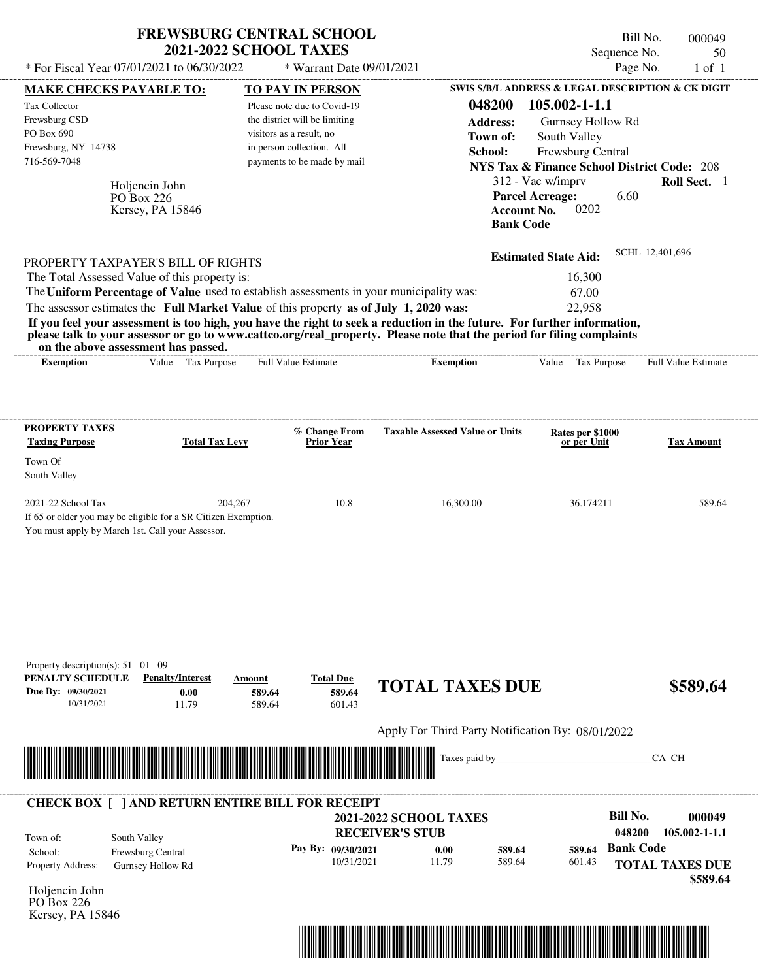| * For Fiscal Year 07/01/2021 to 06/30/2022                                                                                                                                                                                                                              | <b>FREWSBURG CENTRAL SCHOOL</b>                        | <b>2021-2022 SCHOOL TAXES</b>                                                                                                                        | * Warrant Date 09/01/2021            |                                                                                                                                                                                                                                                  |                                                                   | Sequence No.<br>Page No.                                                                | Bill No.<br>000049<br>50<br>$1$ of $1$                                 |
|-------------------------------------------------------------------------------------------------------------------------------------------------------------------------------------------------------------------------------------------------------------------------|--------------------------------------------------------|------------------------------------------------------------------------------------------------------------------------------------------------------|--------------------------------------|--------------------------------------------------------------------------------------------------------------------------------------------------------------------------------------------------------------------------------------------------|-------------------------------------------------------------------|-----------------------------------------------------------------------------------------|------------------------------------------------------------------------|
| MAKE CHECKS PAYABLE TO:                                                                                                                                                                                                                                                 |                                                        | <b>TO PAY IN PERSON</b>                                                                                                                              |                                      |                                                                                                                                                                                                                                                  |                                                                   |                                                                                         | SWIS S/B/L ADDRESS & LEGAL DESCRIPTION & CK DIGIT                      |
| Tax Collector<br>Frewsburg CSD<br>PO Box 690<br>Frewsburg, NY 14738<br>716-569-7048                                                                                                                                                                                     | Holjencin John<br>PO Box 226<br>Kersey, PA 15846       | Please note due to Covid-19<br>the district will be limiting<br>visitors as a result, no<br>in person collection. All<br>payments to be made by mail |                                      | 048200<br><b>Address:</b><br>Town of:<br>School:                                                                                                                                                                                                 | 312 - Vac w/imprv<br><b>Parcel Acreage:</b><br><b>Account No.</b> | 105.002-1-1.1<br>Gurnsey Hollow Rd<br>South Valley<br>Frewsburg Central<br>6.60<br>0202 | <b>NYS Tax &amp; Finance School District Code: 208</b><br>Roll Sect. 1 |
|                                                                                                                                                                                                                                                                         |                                                        |                                                                                                                                                      |                                      |                                                                                                                                                                                                                                                  | <b>Bank Code</b>                                                  |                                                                                         |                                                                        |
| PROPERTY TAXPAYER'S BILL OF RIGHTS<br>The Total Assessed Value of this property is:<br>The Uniform Percentage of Value used to establish assessments in your municipality was:<br>The assessor estimates the Full Market Value of this property as of July 1, 2020 was: | on the above assessment has passed.                    |                                                                                                                                                      |                                      | If you feel your assessment is too high, you have the right to seek a reduction in the future. For further information,<br>please talk to your assessor or go to www.cattco.org/real_property. Please note that the period for filing complaints | <b>Estimated State Aid:</b>                                       | 16,300<br>67.00<br>22,958                                                               | SCHL 12,401,696                                                        |
| <b>Exemption</b>                                                                                                                                                                                                                                                        | Value Tax Purpose                                      | Full Value Estimate                                                                                                                                  |                                      | <b>Exemption</b>                                                                                                                                                                                                                                 |                                                                   | Value Tax Purpose                                                                       | Full Value Estimate                                                    |
| South Valley<br>2021-22 School Tax<br>If 65 or older you may be eligible for a SR Citizen Exemption.<br>You must apply by March 1st. Call your Assessor.                                                                                                                | 204,267                                                |                                                                                                                                                      | 10.8                                 | 16,300.00                                                                                                                                                                                                                                        |                                                                   | 36.174211                                                                               | 589.64                                                                 |
| Property description(s): $51 \quad 01 \quad 09$<br>PENALTY SCHEDULE<br>Due By: 09/30/2021<br>10/31/2021                                                                                                                                                                 | <b>Penalty/Interest</b><br>0.00<br>11.79               | Amount<br>589.64<br>589.64                                                                                                                           | <b>Total Due</b><br>589.64<br>601.43 | <b>TOTAL TAXES DUE</b>                                                                                                                                                                                                                           |                                                                   |                                                                                         | \$589.64                                                               |
|                                                                                                                                                                                                                                                                         |                                                        |                                                                                                                                                      |                                      | Apply For Third Party Notification By: 08/01/2022                                                                                                                                                                                                |                                                                   |                                                                                         |                                                                        |
|                                                                                                                                                                                                                                                                         |                                                        |                                                                                                                                                      |                                      | Taxes paid by                                                                                                                                                                                                                                    |                                                                   |                                                                                         | CA CH                                                                  |
| <b>CHECK BOX [ ] AND RETURN ENTIRE BILL FOR RECEIPT</b><br>Town of:<br>School:<br>Property Address:<br>Holjencin John<br>PO Box 226<br>Kersey, PA 15846                                                                                                                 | South Valley<br>Frewsburg Central<br>Gurnsey Hollow Rd |                                                                                                                                                      | Pay By: 09/30/2021<br>10/31/2021     | <b>2021-2022 SCHOOL TAXES</b><br><b>RECEIVER'S STUB</b><br>0.00<br>11.79                                                                                                                                                                         | 589.64<br>589.64                                                  | <b>Bill No.</b><br>048200<br><b>Bank Code</b><br>589.64<br>601.43                       | 000049<br>$105.002 - 1 - 1.1$<br><b>TOTAL TAXES DUE</b><br>\$589.64    |

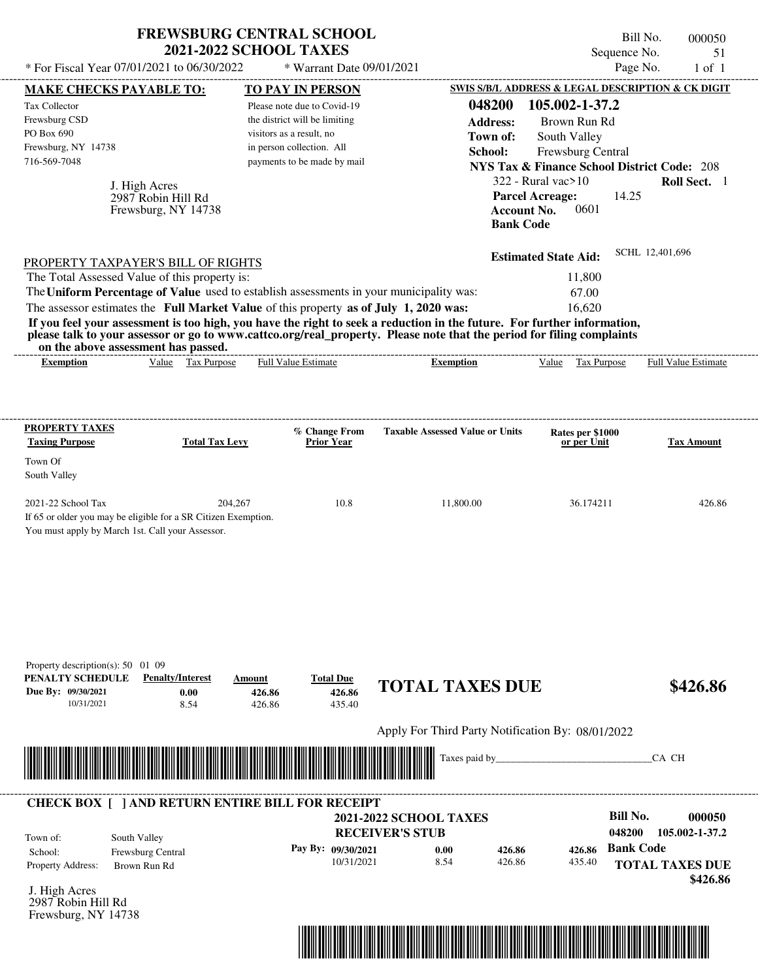| * For Fiscal Year 07/01/2021 to 06/30/2022                                                                                                                                                                                                       | <b>FREWSBURG CENTRAL SCHOOL</b><br><b>2021-2022 SCHOOL TAXES</b> |                            | * Warrant Date 09/01/2021            |                               |                                                   |                                                                  |                                 | Bill No.<br>Sequence No.<br>Page No. | 000050<br>51<br>$1$ of $1$         |
|--------------------------------------------------------------------------------------------------------------------------------------------------------------------------------------------------------------------------------------------------|------------------------------------------------------------------|----------------------------|--------------------------------------|-------------------------------|---------------------------------------------------|------------------------------------------------------------------|---------------------------------|--------------------------------------|------------------------------------|
| <b>MAKE CHECKS PAYABLE TO:</b>                                                                                                                                                                                                                   |                                                                  |                            | TO PAY IN PERSON                     |                               | SWIS S/B/L ADDRESS & LEGAL DESCRIPTION & CK DIGIT |                                                                  |                                 |                                      |                                    |
| <b>Tax Collector</b>                                                                                                                                                                                                                             |                                                                  |                            | Please note due to Covid-19          |                               | 048200                                            |                                                                  | 105.002-1-37.2                  |                                      |                                    |
| Frewsburg CSD                                                                                                                                                                                                                                    |                                                                  |                            | the district will be limiting        |                               | <b>Address:</b>                                   |                                                                  | Brown Run Rd                    |                                      |                                    |
| PO Box 690                                                                                                                                                                                                                                       |                                                                  | visitors as a result, no   |                                      |                               | Town of:                                          | South Valley                                                     |                                 |                                      |                                    |
| Frewsburg, NY 14738                                                                                                                                                                                                                              |                                                                  |                            | in person collection. All            |                               | School:                                           |                                                                  | Frewsburg Central               |                                      |                                    |
| 716-569-7048                                                                                                                                                                                                                                     |                                                                  |                            | payments to be made by mail          |                               |                                                   | <b>NYS Tax &amp; Finance School District Code: 208</b>           |                                 |                                      |                                    |
|                                                                                                                                                                                                                                                  |                                                                  |                            |                                      |                               |                                                   | $322$ - Rural vac $>10$                                          |                                 |                                      | Roll Sect. 1                       |
|                                                                                                                                                                                                                                                  | J. High Acres<br>2987 Robin Hill Rd<br>Frewsburg, NY 14738       |                            |                                      |                               |                                                   | <b>Parcel Acreage:</b><br><b>Account No.</b><br><b>Bank Code</b> | 0601                            | 14.25                                |                                    |
| PROPERTY TAXPAYER'S BILL OF RIGHTS                                                                                                                                                                                                               |                                                                  |                            |                                      |                               |                                                   | <b>Estimated State Aid:</b>                                      |                                 | SCHL 12,401,696                      |                                    |
| The Total Assessed Value of this property is:                                                                                                                                                                                                    |                                                                  |                            |                                      |                               |                                                   |                                                                  | 11,800                          |                                      |                                    |
| The Uniform Percentage of Value used to establish assessments in your municipality was:                                                                                                                                                          |                                                                  |                            |                                      |                               |                                                   |                                                                  | 67.00                           |                                      |                                    |
| The assessor estimates the Full Market Value of this property as of July 1, 2020 was:                                                                                                                                                            |                                                                  |                            |                                      |                               |                                                   |                                                                  | 16,620                          |                                      |                                    |
| If you feel your assessment is too high, you have the right to seek a reduction in the future. For further information,<br>please talk to your assessor or go to www.cattco.org/real_property. Please note that the period for filing complaints |                                                                  |                            |                                      |                               |                                                   |                                                                  |                                 |                                      |                                    |
| on the above assessment has passed.<br><b>Exemption</b>                                                                                                                                                                                          | Value Tax Purpose                                                |                            | <b>Full Value Estimate</b>           |                               | <b>Exemption</b>                                  |                                                                  | Value Tax Purpose               |                                      | Full Value Estimate                |
|                                                                                                                                                                                                                                                  |                                                                  |                            |                                      |                               |                                                   |                                                                  |                                 |                                      |                                    |
| PROPERTY TAXES<br><b>Taxing Purpose</b><br>Town Of<br>South Valley                                                                                                                                                                               | <b>Total Tax Levy</b>                                            |                            | % Change From<br><b>Prior Year</b>   |                               | <b>Taxable Assessed Value or Units</b>            |                                                                  | Rates per \$1000<br>or per Unit |                                      | <b>Tax Amount</b>                  |
| 2021-22 School Tax<br>If 65 or older you may be eligible for a SR Citizen Exemption.<br>You must apply by March 1st. Call your Assessor.                                                                                                         | 204,267                                                          |                            | 10.8                                 |                               | 11,800.00                                         |                                                                  | 36.174211                       |                                      | 426.86                             |
| Property description(s): 50 01 09<br>PENALTY SCHEDULE<br>Due By: 09/30/2021<br>10/31/2021                                                                                                                                                        | <b>Penalty/Interest</b><br>0.00<br>8.54                          | Amount<br>426.86<br>426.86 | <b>Total Due</b><br>426.86<br>435.40 |                               | <b>TOTAL TAXES DUE</b>                            |                                                                  |                                 |                                      | \$426.86                           |
|                                                                                                                                                                                                                                                  |                                                                  |                            |                                      |                               | Apply For Third Party Notification By: 08/01/2022 |                                                                  |                                 |                                      |                                    |
|                                                                                                                                                                                                                                                  |                                                                  |                            |                                      |                               | Taxes paid by_                                    |                                                                  |                                 | CA CH                                |                                    |
|                                                                                                                                                                                                                                                  |                                                                  |                            |                                      |                               |                                                   |                                                                  |                                 |                                      |                                    |
| <b>CHECK BOX [ ] AND RETURN ENTIRE BILL FOR RECEIPT</b>                                                                                                                                                                                          |                                                                  |                            |                                      |                               |                                                   |                                                                  |                                 |                                      |                                    |
|                                                                                                                                                                                                                                                  |                                                                  |                            |                                      | <b>2021-2022 SCHOOL TAXES</b> |                                                   |                                                                  |                                 | <b>Bill No.</b>                      | 000050                             |
| South Valley<br>Town of:                                                                                                                                                                                                                         |                                                                  |                            |                                      | <b>RECEIVER'S STUB</b>        |                                                   |                                                                  |                                 | 048200                               | 105.002-1-37.2                     |
| School:                                                                                                                                                                                                                                          | Frewsburg Central                                                |                            | Pay By: 09/30/2021                   |                               | 0.00<br>426.86                                    |                                                                  | 426.86                          | <b>Bank Code</b>                     |                                    |
| Property Address:                                                                                                                                                                                                                                | Brown Run Rd                                                     |                            | 10/31/2021                           |                               | 8.54<br>426.86                                    |                                                                  | 435.40                          |                                      | <b>TOTAL TAXES DUE</b><br>\$426.86 |
| J. High Acres<br>2987 Robin Hill Rd<br>Frewsburg, NY 14738                                                                                                                                                                                       |                                                                  |                            |                                      |                               |                                                   |                                                                  |                                 |                                      |                                    |

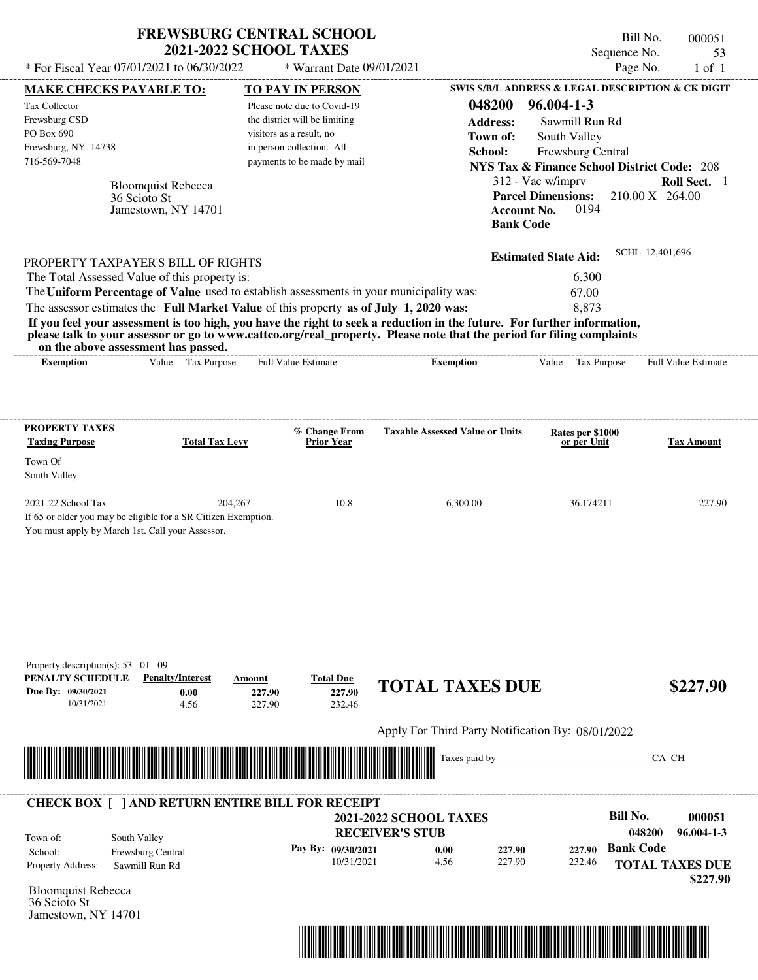| * For Fiscal Year 07/01/2021 to 06/30/2022                                                | <b>FREWSBURG CENTRAL SCHOOL</b><br><b>2021-2022 SCHOOL TAXES</b>                      | * Warrant Date 09/01/2021            |                                                                                                                                                                                                                                                                      | Sequence No.                                                                | Bill No.<br>000051<br>53<br>Page No.<br>$1$ of $1$ |
|-------------------------------------------------------------------------------------------|---------------------------------------------------------------------------------------|--------------------------------------|----------------------------------------------------------------------------------------------------------------------------------------------------------------------------------------------------------------------------------------------------------------------|-----------------------------------------------------------------------------|----------------------------------------------------|
| MAKE CHECKS PAYABLE TO:                                                                   |                                                                                       | <b>TO PAY IN PERSON</b>              |                                                                                                                                                                                                                                                                      | SWIS S/B/L ADDRESS & LEGAL DESCRIPTION & CK DIGIT                           |                                                    |
| Tax Collector                                                                             |                                                                                       | Please note due to Covid-19          | 048200                                                                                                                                                                                                                                                               | $96.004 - 1 - 3$                                                            |                                                    |
| Frewsburg CSD                                                                             |                                                                                       | the district will be limiting        | <b>Address:</b>                                                                                                                                                                                                                                                      | Sawmill Run Rd                                                              |                                                    |
| PO Box 690                                                                                |                                                                                       | visitors as a result, no             | Town of:                                                                                                                                                                                                                                                             |                                                                             |                                                    |
| Frewsburg, NY 14738                                                                       |                                                                                       | in person collection. All            | School:                                                                                                                                                                                                                                                              | South Valley                                                                |                                                    |
| 716-569-7048                                                                              |                                                                                       | payments to be made by mail          |                                                                                                                                                                                                                                                                      | Frewsburg Central                                                           |                                                    |
|                                                                                           |                                                                                       |                                      |                                                                                                                                                                                                                                                                      | <b>NYS Tax &amp; Finance School District Code: 208</b><br>312 - Vac w/imprv | Roll Sect. 1                                       |
| 36 Scioto St                                                                              | <b>Bloomquist Rebecca</b><br>Jamestown, NY 14701                                      |                                      | <b>Bank Code</b>                                                                                                                                                                                                                                                     | <b>Parcel Dimensions:</b><br>0194<br><b>Account No.</b>                     | 210.00 X 264.00                                    |
| PROPERTY TAXPAYER'S BILL OF RIGHTS                                                        |                                                                                       |                                      |                                                                                                                                                                                                                                                                      | <b>Estimated State Aid:</b>                                                 | SCHL 12,401,696                                    |
| The Total Assessed Value of this property is:                                             |                                                                                       |                                      |                                                                                                                                                                                                                                                                      | 6,300                                                                       |                                                    |
| The Uniform Percentage of Value used to establish assessments in your municipality was:   |                                                                                       |                                      |                                                                                                                                                                                                                                                                      | 67.00                                                                       |                                                    |
|                                                                                           | The assessor estimates the Full Market Value of this property as of July 1, 2020 was: |                                      |                                                                                                                                                                                                                                                                      | 8,873                                                                       |                                                    |
| on the above assessment has passed.<br><b>Exemption</b>                                   | Value Tax Purpose                                                                     | Full Value Estimate                  | If you feel your assessment is too high, you have the right to seek a reduction in the future. For further information,<br>please talk to your assessor or go to www.cattco.org/real_property. Please note that the period for filing complaints<br><b>Exemption</b> | Tax Purpose<br>Value                                                        | Full Value Estimate                                |
|                                                                                           |                                                                                       |                                      |                                                                                                                                                                                                                                                                      |                                                                             |                                                    |
| <b>PROPERTY TAXES</b>                                                                     |                                                                                       | % Change From                        | <b>Taxable Assessed Value or Units</b>                                                                                                                                                                                                                               | Rates per \$1000                                                            |                                                    |
| <b>Taxing Purpose</b>                                                                     | <b>Total Tax Levy</b>                                                                 | <b>Prior Year</b>                    |                                                                                                                                                                                                                                                                      | or per Unit                                                                 | <b>Tax Amount</b>                                  |
| Town Of                                                                                   |                                                                                       |                                      |                                                                                                                                                                                                                                                                      |                                                                             |                                                    |
| South Valley                                                                              |                                                                                       |                                      |                                                                                                                                                                                                                                                                      |                                                                             |                                                    |
|                                                                                           |                                                                                       |                                      |                                                                                                                                                                                                                                                                      |                                                                             |                                                    |
| 2021-22 School Tax                                                                        | 204,267                                                                               | 10.8                                 | 6,300.00                                                                                                                                                                                                                                                             | 36.174211                                                                   | 227.90                                             |
| You must apply by March 1st. Call your Assessor.                                          | If 65 or older you may be eligible for a SR Citizen Exemption.                        |                                      |                                                                                                                                                                                                                                                                      |                                                                             |                                                    |
| Property description(s): $53 \quad 01 \quad 09$<br>PENALTY SCHEDULE<br>Due By: 09/30/2021 | <b>Penalty/Interest</b><br>Amount<br>0.00                                             | <b>Total Due</b><br>227.90<br>227.90 | <b>TOTAL TAXES DUE</b>                                                                                                                                                                                                                                               |                                                                             | \$227.90                                           |
| 10/31/2021                                                                                | 4.56                                                                                  | 232.46<br>227.90                     |                                                                                                                                                                                                                                                                      |                                                                             |                                                    |
|                                                                                           |                                                                                       |                                      | Apply For Third Party Notification By: 08/01/2022                                                                                                                                                                                                                    |                                                                             |                                                    |
|                                                                                           |                                                                                       |                                      | Taxes paid by                                                                                                                                                                                                                                                        |                                                                             | CA CH                                              |
|                                                                                           | <b>CHECK BOX [ ] AND RETURN ENTIRE BILL FOR RECEIPT</b>                               |                                      |                                                                                                                                                                                                                                                                      |                                                                             |                                                    |
|                                                                                           |                                                                                       |                                      | <b>2021-2022 SCHOOL TAXES</b>                                                                                                                                                                                                                                        |                                                                             | Bill No.<br>000051                                 |
| South Valley<br>Town of:                                                                  |                                                                                       |                                      | <b>RECEIVER'S STUB</b>                                                                                                                                                                                                                                               |                                                                             | 048200<br>$96.004 - 1 - 3$                         |
| School:<br>Property Address:                                                              | Frewsburg Central<br>Sawmill Run Rd                                                   | Pay By: 09/30/2021<br>10/31/2021     | 0.00<br>227.90<br>4.56<br>227.90                                                                                                                                                                                                                                     | 227.90<br>232.46                                                            | <b>Bank Code</b><br><b>TOTAL TAXES DUE</b>         |
|                                                                                           |                                                                                       |                                      |                                                                                                                                                                                                                                                                      |                                                                             | \$227.90                                           |
| <b>Bloomquist Rebecca</b>                                                                 |                                                                                       |                                      |                                                                                                                                                                                                                                                                      |                                                                             |                                                    |

36 Scioto St Jamestown, NY 14701

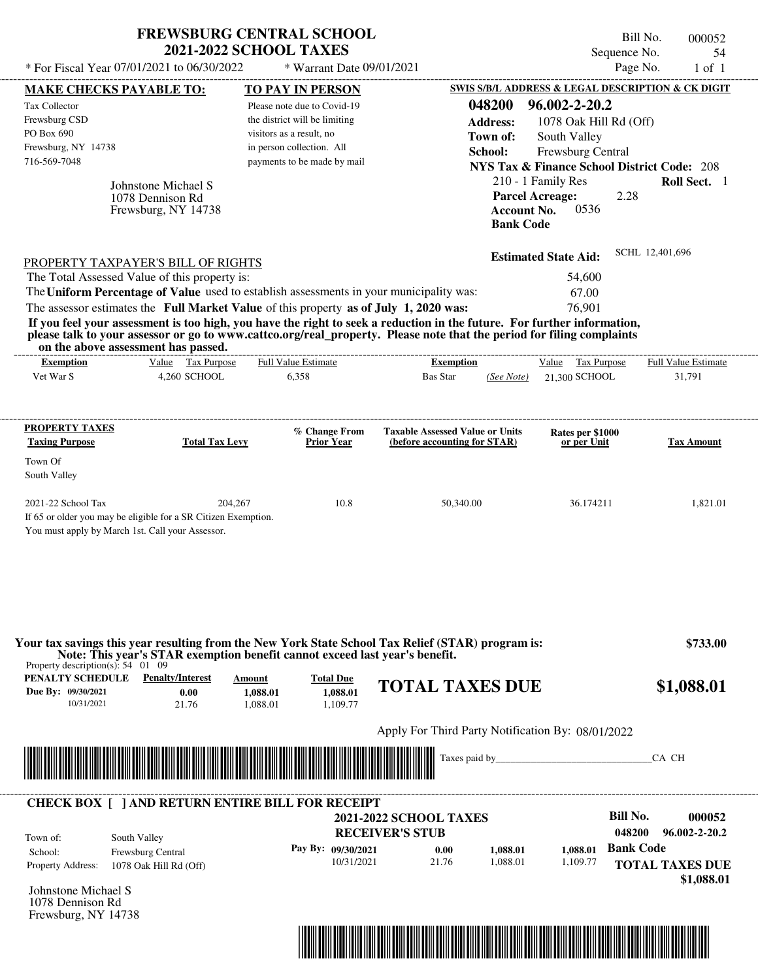| <b>FREWSBURG CENTRAL SCHOOL</b> |
|---------------------------------|
| <b>2021-2022 SCHOOL TAXES</b>   |

Bill No. 000052 Sequence No. 54<br>Page No. 1 of 1

| <b>MAKE CHECKS PAYABLE TO:</b>                                                                                                                                                                                                                                                                              |                                                                                                                         |                                |                                                           |                                                         |                      |                                                                                                |                           |                                                                  |
|-------------------------------------------------------------------------------------------------------------------------------------------------------------------------------------------------------------------------------------------------------------------------------------------------------------|-------------------------------------------------------------------------------------------------------------------------|--------------------------------|-----------------------------------------------------------|---------------------------------------------------------|----------------------|------------------------------------------------------------------------------------------------|---------------------------|------------------------------------------------------------------|
|                                                                                                                                                                                                                                                                                                             |                                                                                                                         |                                | <b>TO PAY IN PERSON</b>                                   |                                                         |                      |                                                                                                |                           | <b>SWIS S/B/L ADDRESS &amp; LEGAL DESCRIPTION &amp; CK DIGIT</b> |
| Tax Collector                                                                                                                                                                                                                                                                                               |                                                                                                                         |                                | Please note due to Covid-19                               |                                                         | 048200               | 96.002-2-20.2                                                                                  |                           |                                                                  |
| Frewsburg CSD<br>PO Box 690                                                                                                                                                                                                                                                                                 |                                                                                                                         |                                | the district will be limiting<br>visitors as a result, no |                                                         | <b>Address:</b>      | 1078 Oak Hill Rd (Off)                                                                         |                           |                                                                  |
| Frewsburg, NY 14738                                                                                                                                                                                                                                                                                         |                                                                                                                         |                                | in person collection. All                                 |                                                         | Town of:             | South Valley                                                                                   |                           |                                                                  |
| 716-569-7048                                                                                                                                                                                                                                                                                                |                                                                                                                         |                                | payments to be made by mail                               |                                                         | School:              | Frewsburg Central                                                                              |                           |                                                                  |
|                                                                                                                                                                                                                                                                                                             |                                                                                                                         |                                |                                                           |                                                         |                      | <b>NYS Tax &amp; Finance School District Code: 208</b>                                         |                           |                                                                  |
|                                                                                                                                                                                                                                                                                                             | Johnstone Michael S<br>1078 Dennison Rd<br>Frewsburg, NY 14738                                                          |                                |                                                           |                                                         |                      | 210 - 1 Family Res<br><b>Parcel Acreage:</b><br>0536<br><b>Account No.</b><br><b>Bank Code</b> | 2.28                      | Roll Sect. 1                                                     |
| <b>PROPERTY TAXPAYER'S BILL OF RIGHTS</b>                                                                                                                                                                                                                                                                   |                                                                                                                         |                                |                                                           |                                                         |                      | <b>Estimated State Aid:</b>                                                                    |                           | SCHL 12,401,696                                                  |
| The Total Assessed Value of this property is:                                                                                                                                                                                                                                                               |                                                                                                                         |                                |                                                           |                                                         |                      | 54,600                                                                                         |                           |                                                                  |
| The Uniform Percentage of Value used to establish assessments in your municipality was:                                                                                                                                                                                                                     |                                                                                                                         |                                |                                                           |                                                         |                      | 67.00                                                                                          |                           |                                                                  |
| The assessor estimates the Full Market Value of this property as of July 1, 2020 was:                                                                                                                                                                                                                       |                                                                                                                         |                                |                                                           |                                                         |                      | 76.901                                                                                         |                           |                                                                  |
| If you feel your assessment is too high, you have the right to seek a reduction in the future. For further information,<br>please talk to your assessor or go to www.cattco.org/real_property. Please note that the period for filing complaints<br>on the above assessment has passed.<br><b>Exemption</b> | Value Tax Purpose                                                                                                       |                                | Full Value Estimate                                       | -------------------------<br><b>Exemption</b>           |                      | Value Tax Purpose                                                                              |                           | <b>Full Value Estimate</b>                                       |
| Vet War S                                                                                                                                                                                                                                                                                                   | 4,260 SCHOOL                                                                                                            |                                | 6,358                                                     | <b>Bas Star</b>                                         | (See Note)           | 21.300 SCHOOL                                                                                  |                           | 31,791                                                           |
| PROPERTY TAXES                                                                                                                                                                                                                                                                                              |                                                                                                                         |                                | % Change From                                             | <b>Taxable Assessed Value or Units</b>                  |                      | Rates per \$1000                                                                               |                           |                                                                  |
| <b>Taxing Purpose</b>                                                                                                                                                                                                                                                                                       | <b>Total Tax Levy</b>                                                                                                   |                                | <b>Prior Year</b>                                         | (before accounting for STAR)                            |                      | or per Unit                                                                                    |                           | <b>Tax Amount</b>                                                |
| Town Of<br>South Valley                                                                                                                                                                                                                                                                                     |                                                                                                                         |                                |                                                           |                                                         |                      |                                                                                                |                           |                                                                  |
| 2021-22 School Tax<br>If 65 or older you may be eligible for a SR Citizen Exemption.                                                                                                                                                                                                                        |                                                                                                                         | 204,267                        | 10.8                                                      |                                                         | 50,340.00            | 36.174211                                                                                      |                           | 1,821.01                                                         |
|                                                                                                                                                                                                                                                                                                             | You must apply by March 1st. Call your Assessor.                                                                        |                                |                                                           |                                                         |                      |                                                                                                |                           |                                                                  |
| Your tax savings this year resulting from the New York State School Tax Relief (STAR) program is:<br>Property description(s): $54 \quad 01 \quad 09$<br>PENALTY SCHEDULE<br>Due By: 09/30/2021<br>10/31/2021                                                                                                | Note: This year's STAR exemption benefit cannot exceed last year's benefit.<br><b>Penalty/Interest</b><br>0.00<br>21.76 | Amount<br>1,088.01<br>1,088.01 | <b>Total Due</b><br>1,088.01<br>1.109.77                  | <b>TOTAL TAXES DUE</b>                                  |                      |                                                                                                |                           | \$733.00<br>\$1,088.01                                           |
|                                                                                                                                                                                                                                                                                                             |                                                                                                                         |                                |                                                           | Apply For Third Party Notification By: 08/01/2022       |                      |                                                                                                |                           |                                                                  |
| <u> Maria Alemania de Santiago de la contrada de la contrada de la contrada de la contrada de la contrada de la c</u>                                                                                                                                                                                       |                                                                                                                         |                                |                                                           |                                                         |                      |                                                                                                |                           | CA CH                                                            |
|                                                                                                                                                                                                                                                                                                             |                                                                                                                         |                                |                                                           |                                                         |                      |                                                                                                |                           |                                                                  |
| <b>CHECK BOX [ ] AND RETURN ENTIRE BILL FOR RECEIPT</b>                                                                                                                                                                                                                                                     |                                                                                                                         |                                |                                                           | <b>2021-2022 SCHOOL TAXES</b><br><b>RECEIVER'S STUB</b> |                      |                                                                                                | <b>Bill No.</b><br>048200 | 000052<br>96.002-2-20.2                                          |
| South Valley<br>Town of:<br>School:<br><b>Property Address:</b>                                                                                                                                                                                                                                             | Frewsburg Central<br>1078 Oak Hill Rd (Off)                                                                             |                                | Pay By: 09/30/2021<br>10/31/2021                          | 0.00<br>21.76                                           | 1,088.01<br>1,088.01 | 1.088.01<br>1,109.77                                                                           | <b>Bank Code</b>          | <b>TOTAL TAXES DUE</b>                                           |
| Johnstone Michael S<br>1078 Dennison Rd<br>Frewsburg, NY 14738                                                                                                                                                                                                                                              |                                                                                                                         |                                |                                                           |                                                         |                      |                                                                                                |                           | \$1,088.01                                                       |

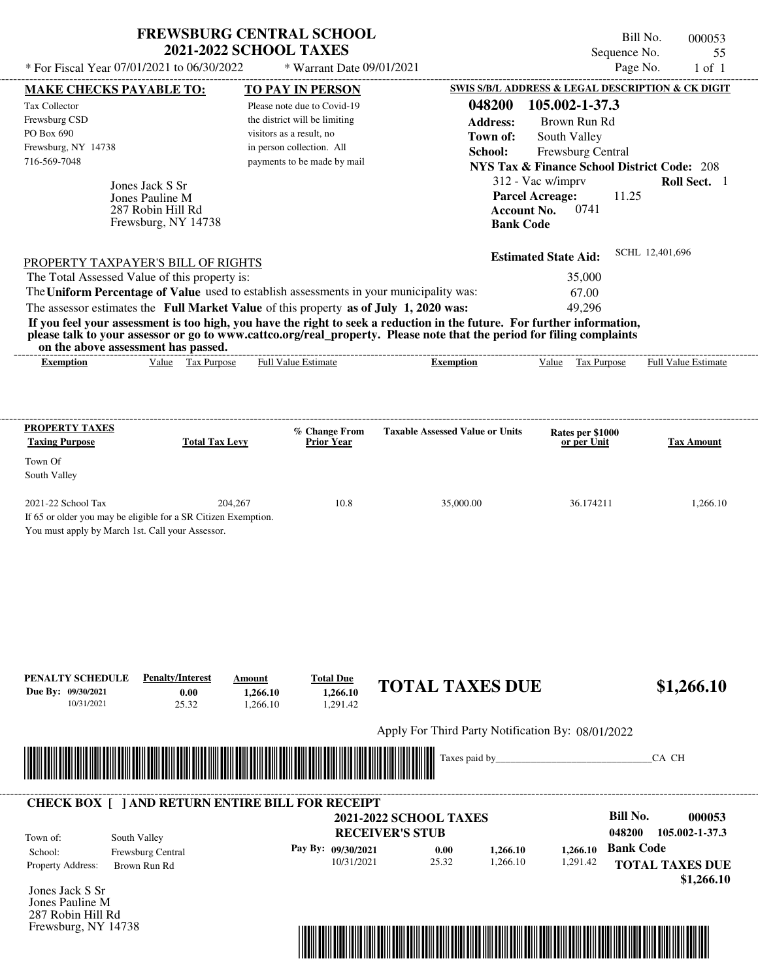| <b>FREWSBURG CENTRAL SCHOOL</b> |
|---------------------------------|
| <b>2021-2022 SCHOOL TAXES</b>   |

Bill No. 000053 Sequence No. 55

| * For Fiscal Year 07/01/2021 to 06/30/2022                                                                                               |                                   | * Warrant Date 09/01/2021                             |                                                                                                                         |                                 | Page No.<br>$1$ of $1$                                 |
|------------------------------------------------------------------------------------------------------------------------------------------|-----------------------------------|-------------------------------------------------------|-------------------------------------------------------------------------------------------------------------------------|---------------------------------|--------------------------------------------------------|
| <b>MAKE CHECKS PAYABLE TO:</b>                                                                                                           |                                   | <b>TO PAY IN PERSON</b>                               |                                                                                                                         |                                 | SWIS S/B/L ADDRESS & LEGAL DESCRIPTION & CK DIGIT      |
| Tax Collector                                                                                                                            |                                   | Please note due to Covid-19                           | 048200                                                                                                                  | 105.002-1-37.3                  |                                                        |
| Frewsburg CSD<br>PO Box 690                                                                                                              |                                   | the district will be limiting                         | <b>Address:</b>                                                                                                         | Brown Run Rd                    |                                                        |
| Frewsburg, NY 14738                                                                                                                      |                                   | visitors as a result, no<br>in person collection. All | Town of:                                                                                                                | South Valley                    |                                                        |
| 716-569-7048                                                                                                                             |                                   | payments to be made by mail                           | School:                                                                                                                 | Frewsburg Central               | <b>NYS Tax &amp; Finance School District Code: 208</b> |
|                                                                                                                                          |                                   |                                                       |                                                                                                                         | 312 - Vac w/imprv               | Roll Sect. 1                                           |
| Jones Jack S Sr<br>Jones Pauline M                                                                                                       |                                   |                                                       | <b>Parcel Acreage:</b>                                                                                                  |                                 | 11.25                                                  |
| 287 Robin Hill Rd                                                                                                                        |                                   |                                                       | <b>Account No.</b>                                                                                                      | 0741                            |                                                        |
| Frewsburg, NY 14738                                                                                                                      |                                   |                                                       | <b>Bank Code</b>                                                                                                        |                                 |                                                        |
|                                                                                                                                          |                                   |                                                       |                                                                                                                         |                                 | SCHL 12,401,696                                        |
| PROPERTY TAXPAYER'S BILL OF RIGHTS                                                                                                       |                                   |                                                       |                                                                                                                         | <b>Estimated State Aid:</b>     |                                                        |
| The Total Assessed Value of this property is:<br>The Uniform Percentage of Value used to establish assessments in your municipality was: |                                   |                                                       |                                                                                                                         | 35,000<br>67.00                 |                                                        |
| The assessor estimates the Full Market Value of this property as of July 1, 2020 was:                                                    |                                   |                                                       |                                                                                                                         | 49,296                          |                                                        |
|                                                                                                                                          |                                   |                                                       | If you feel your assessment is too high, you have the right to seek a reduction in the future. For further information, |                                 |                                                        |
| on the above assessment has passed.                                                                                                      |                                   |                                                       | please talk to your assessor or go to www.cattco.org/real_property. Please note that the period for filing complaints   |                                 |                                                        |
| <b>Exemption</b>                                                                                                                         | Value Tax Purpose                 | <b>Full Value Estimate</b>                            | <b>Exemption</b>                                                                                                        | Value Tax Purpose               | Full Value Estimate                                    |
|                                                                                                                                          |                                   |                                                       |                                                                                                                         |                                 |                                                        |
|                                                                                                                                          |                                   |                                                       |                                                                                                                         |                                 |                                                        |
| <b>PROPERTY TAXES</b><br><b>Taxing Purpose</b>                                                                                           | <b>Total Tax Levy</b>             | % Change From<br><b>Prior Year</b>                    | <b>Taxable Assessed Value or Units</b>                                                                                  | Rates per \$1000<br>or per Unit | <b>Tax Amount</b>                                      |
| Town Of                                                                                                                                  |                                   |                                                       |                                                                                                                         |                                 |                                                        |
| South Valley                                                                                                                             |                                   |                                                       |                                                                                                                         |                                 |                                                        |
| 2021-22 School Tax                                                                                                                       | 204,267                           | 10.8                                                  | 35,000.00                                                                                                               | 36.174211                       | 1,266.10                                               |
| If 65 or older you may be eligible for a SR Citizen Exemption.                                                                           |                                   |                                                       |                                                                                                                         |                                 |                                                        |
| You must apply by March 1st. Call your Assessor.                                                                                         |                                   |                                                       |                                                                                                                         |                                 |                                                        |
|                                                                                                                                          |                                   |                                                       |                                                                                                                         |                                 |                                                        |
|                                                                                                                                          |                                   |                                                       |                                                                                                                         |                                 |                                                        |
|                                                                                                                                          |                                   |                                                       |                                                                                                                         |                                 |                                                        |
|                                                                                                                                          |                                   |                                                       |                                                                                                                         |                                 |                                                        |
|                                                                                                                                          |                                   |                                                       |                                                                                                                         |                                 |                                                        |
|                                                                                                                                          |                                   |                                                       |                                                                                                                         |                                 |                                                        |
| PENALTY SCHEDULE                                                                                                                         | <b>Penalty/Interest</b><br>Amount | <b>Total Due</b>                                      |                                                                                                                         |                                 |                                                        |
| Due By: 09/30/2021                                                                                                                       | 0.00<br>1,266.10                  | 1,266.10                                              | <b>TOTAL TAXES DUE</b>                                                                                                  |                                 | \$1,266.10                                             |
| 10/31/2021                                                                                                                               | 25.32<br>1,266.10                 | 1,291.42                                              |                                                                                                                         |                                 |                                                        |
|                                                                                                                                          |                                   |                                                       | Apply For Third Party Notification By: 08/01/2022                                                                       |                                 |                                                        |
|                                                                                                                                          |                                   |                                                       | Taxes paid by_                                                                                                          |                                 | CA CH                                                  |
|                                                                                                                                          |                                   |                                                       |                                                                                                                         |                                 |                                                        |
| <b>CHECK BOX [ ] AND RETURN ENTIRE BILL FOR RECEIPT</b>                                                                                  |                                   |                                                       |                                                                                                                         |                                 |                                                        |
|                                                                                                                                          |                                   |                                                       | <b>2021-2022 SCHOOL TAXES</b>                                                                                           |                                 | <b>Bill No.</b><br>000053                              |
| South Valley<br>Town of:                                                                                                                 |                                   |                                                       | <b>RECEIVER'S STUB</b>                                                                                                  |                                 | 048200<br>105.002-1-37.3                               |
| Frewsburg Central<br>School:                                                                                                             |                                   | Pay By: 09/30/2021<br>10/31/2021                      | 0.00<br>1,266.10<br>25.32<br>1,266.10                                                                                   | 1,266.10<br>1,291.42            | <b>Bank Code</b>                                       |
| Property Address:<br>Brown Run Rd                                                                                                        |                                   |                                                       |                                                                                                                         |                                 | <b>TOTAL TAXES DUE</b>                                 |
| Jones Jack S Sr                                                                                                                          |                                   |                                                       |                                                                                                                         |                                 | \$1,266.10                                             |
| Jones Pauline M                                                                                                                          |                                   |                                                       |                                                                                                                         |                                 |                                                        |
| 287 Robin Hill Rd                                                                                                                        |                                   |                                                       |                                                                                                                         |                                 |                                                        |
| Frewsburg, NY 14738                                                                                                                      |                                   |                                                       |                                                                                                                         |                                 |                                                        |
|                                                                                                                                          |                                   |                                                       |                                                                                                                         |                                 |                                                        |
|                                                                                                                                          |                                   |                                                       |                                                                                                                         |                                 |                                                        |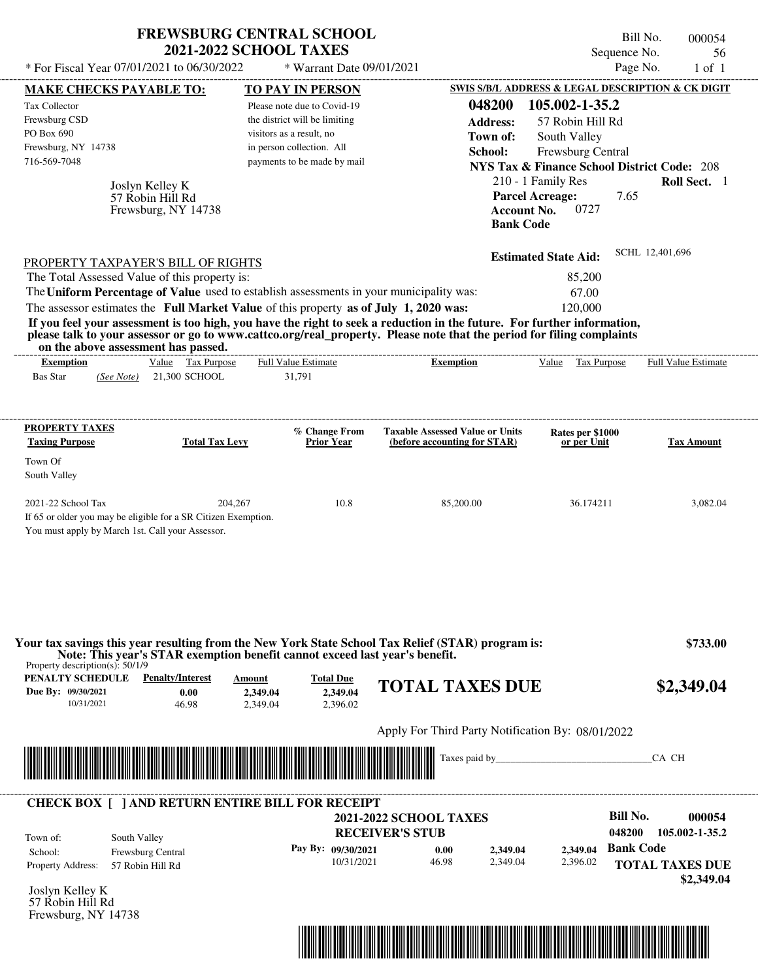|                                                                                                                                                                                                                                                                                         | <b>FREWSBURG CENTRAL SCHOOL</b><br><b>2021-2022 SCHOOL TAXES</b> |                               |                                        |                                                        | Bill No.<br>Sequence No. | 000054<br>56                         |
|-----------------------------------------------------------------------------------------------------------------------------------------------------------------------------------------------------------------------------------------------------------------------------------------|------------------------------------------------------------------|-------------------------------|----------------------------------------|--------------------------------------------------------|--------------------------|--------------------------------------|
| * For Fiscal Year 07/01/2021 to 06/30/2022                                                                                                                                                                                                                                              |                                                                  | * Warrant Date 09/01/2021     |                                        |                                                        | Page No.                 | $1$ of $1$                           |
| <b>MAKE CHECKS PAYABLE TO:</b>                                                                                                                                                                                                                                                          |                                                                  | <b>TO PAY IN PERSON</b>       |                                        | SWIS S/B/L ADDRESS & LEGAL DESCRIPTION & CK DIGIT      |                          |                                      |
| <b>Tax Collector</b>                                                                                                                                                                                                                                                                    |                                                                  | Please note due to Covid-19   |                                        | 048200<br>105.002-1-35.2                               |                          |                                      |
| Frewsburg CSD                                                                                                                                                                                                                                                                           |                                                                  | the district will be limiting |                                        | <b>Address:</b><br>57 Robin Hill Rd                    |                          |                                      |
| PO Box 690                                                                                                                                                                                                                                                                              |                                                                  | visitors as a result, no      |                                        | Town of:<br>South Valley                               |                          |                                      |
| Frewsburg, NY 14738                                                                                                                                                                                                                                                                     |                                                                  | in person collection. All     |                                        | Frewsburg Central<br>School:                           |                          |                                      |
| 716-569-7048                                                                                                                                                                                                                                                                            |                                                                  | payments to be made by mail   |                                        | <b>NYS Tax &amp; Finance School District Code: 208</b> |                          |                                      |
| Joslyn Kelley K                                                                                                                                                                                                                                                                         |                                                                  |                               |                                        | 210 - 1 Family Res                                     |                          | Roll Sect. 1                         |
| 57 Robin Hill Rd<br>Frewsburg, NY 14738                                                                                                                                                                                                                                                 |                                                                  |                               |                                        | <b>Parcel Acreage:</b><br><b>Account No.</b><br>0727   | 7.65                     |                                      |
|                                                                                                                                                                                                                                                                                         |                                                                  |                               |                                        | <b>Bank Code</b>                                       |                          |                                      |
| PROPERTY TAXPAYER'S BILL OF RIGHTS                                                                                                                                                                                                                                                      |                                                                  |                               |                                        | <b>Estimated State Aid:</b>                            | SCHL 12,401,696          |                                      |
| The Total Assessed Value of this property is:                                                                                                                                                                                                                                           |                                                                  |                               |                                        | 85,200                                                 |                          |                                      |
| The Uniform Percentage of Value used to establish assessments in your municipality was:                                                                                                                                                                                                 |                                                                  |                               |                                        | 67.00                                                  |                          |                                      |
| The assessor estimates the Full Market Value of this property as of July 1, 2020 was:                                                                                                                                                                                                   |                                                                  |                               |                                        | 120,000                                                |                          |                                      |
| If you feel your assessment is too high, you have the right to seek a reduction in the future. For further information,<br>please talk to your assessor or go to www.cattco.org/real_property. Please note that the period for filing complaints<br>on the above assessment has passed. |                                                                  |                               |                                        |                                                        |                          |                                      |
| <b>Exemption</b>                                                                                                                                                                                                                                                                        | Value Tax Purpose                                                | <b>Full Value Estimate</b>    | <b>Exemption</b>                       | Value                                                  | Tax Purpose              | <b>Full Value Estimate</b>           |
| <b>Bas Star</b><br>(See Note)                                                                                                                                                                                                                                                           | 21,300 SCHOOL                                                    | 31,791                        |                                        |                                                        |                          |                                      |
| <b>PROPERTY TAXES</b>                                                                                                                                                                                                                                                                   |                                                                  | % Change From                 | <b>Taxable Assessed Value or Units</b> | Rates per \$1000                                       |                          |                                      |
| <b>Taxing Purpose</b>                                                                                                                                                                                                                                                                   | <b>Total Tax Levy</b>                                            | Prior Year                    | (before accounting for STAR)           | or per Unit                                            |                          | <b>Tax Amount</b>                    |
| Town Of                                                                                                                                                                                                                                                                                 |                                                                  |                               |                                        |                                                        |                          |                                      |
| South Valley                                                                                                                                                                                                                                                                            |                                                                  |                               |                                        |                                                        |                          |                                      |
| 2021-22 School Tax                                                                                                                                                                                                                                                                      | 204,267                                                          | 10.8                          | 85,200.00                              | 36.174211                                              |                          | 3,082.04                             |
| If 65 or older you may be eligible for a SR Citizen Exemption.<br>You must apply by March 1st. Call your Assessor.                                                                                                                                                                      |                                                                  |                               |                                        |                                                        |                          |                                      |
| Your tax savings this year resulting from the New York State School Tax Relief (STAR) program is:                                                                                                                                                                                       |                                                                  |                               |                                        |                                                        |                          | \$733.00                             |
| Note: This year's STAR exemption benefit cannot exceed last year's benefit.<br>Property description(s): $50/1/9$                                                                                                                                                                        |                                                                  |                               |                                        |                                                        |                          |                                      |
| PENALTY SCHEDULE<br><b>Penalty/Interest</b>                                                                                                                                                                                                                                             | Amount                                                           | <b>Total Due</b>              | <b>TOTAL TAXES DUE</b>                 |                                                        |                          | \$2,349.04                           |
| Due By: 09/30/2021<br>10/31/2021                                                                                                                                                                                                                                                        | 0.00<br>2,349.04<br>46.98<br>2.349.04                            | 2,349.04<br>2.396.02          |                                        |                                                        |                          |                                      |
|                                                                                                                                                                                                                                                                                         |                                                                  |                               |                                        | Apply For Third Party Notification By: 08/01/2022      |                          |                                      |
|                                                                                                                                                                                                                                                                                         |                                                                  |                               | Taxes paid by_                         |                                                        |                          | CA CH                                |
|                                                                                                                                                                                                                                                                                         |                                                                  |                               |                                        |                                                        |                          |                                      |
| <b>CHECK BOX [ ] AND RETURN ENTIRE BILL FOR RECEIPT</b>                                                                                                                                                                                                                                 |                                                                  |                               |                                        |                                                        |                          |                                      |
|                                                                                                                                                                                                                                                                                         |                                                                  |                               | <b>2021-2022 SCHOOL TAXES</b>          |                                                        | <b>Bill No.</b>          | 000054                               |
| South Valley<br>Town of:                                                                                                                                                                                                                                                                |                                                                  |                               | <b>RECEIVER'S STUB</b>                 |                                                        | 048200                   | 105.002-1-35.2                       |
| Frewsburg Central<br>School:                                                                                                                                                                                                                                                            |                                                                  | Pay By: 09/30/2021            | 0.00                                   | 2,349.04<br>2,349.04                                   | <b>Bank Code</b>         |                                      |
| Property Address:<br>57 Robin Hill Rd                                                                                                                                                                                                                                                   |                                                                  | 10/31/2021                    | 46.98                                  | 2,349.04<br>2,396.02                                   |                          | <b>TOTAL TAXES DUE</b><br>\$2,349.04 |
| Joslyn Kelley K                                                                                                                                                                                                                                                                         |                                                                  |                               |                                        |                                                        |                          |                                      |



57 Robin Hill Rd Frewsburg, NY 14738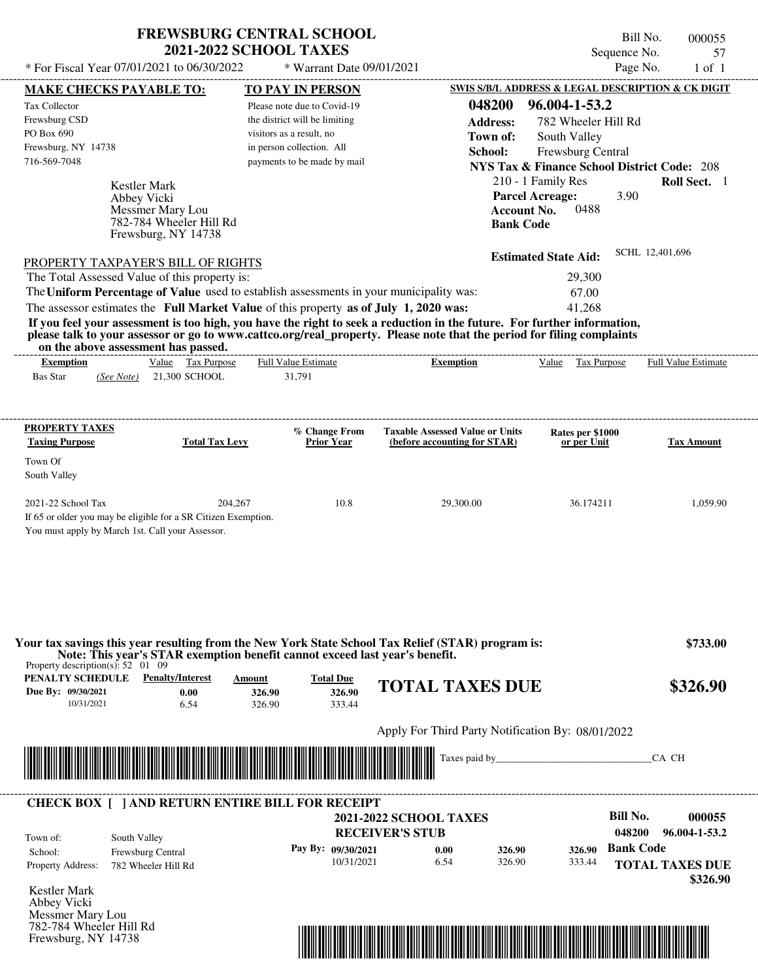## **FREWSBURG CENTRAL SCHOOL 2021-2022 SCHOOL TAXES**

 $*$  For Fiscal Year 07/01/2021 to 06/30/2022

Frewsburg, NY 14738

\* Warrant Date 09/01/2021

Bill No. 000055 Sequence No. 57<br>Page No. 1 of 1

|                                                                                                         | <b>MAKE CHECKS PAYABLE TO:</b>                                                                                                                                                                                                                                                          | <b>TO PAY IN PERSON</b>       |                                      |                                                                        |                    |                                                        |                  | <b>SWIS S/B/L ADDRESS &amp; LEGAL DESCRIPTION &amp; CK DIGIT</b> |
|---------------------------------------------------------------------------------------------------------|-----------------------------------------------------------------------------------------------------------------------------------------------------------------------------------------------------------------------------------------------------------------------------------------|-------------------------------|--------------------------------------|------------------------------------------------------------------------|--------------------|--------------------------------------------------------|------------------|------------------------------------------------------------------|
| Tax Collector                                                                                           |                                                                                                                                                                                                                                                                                         | Please note due to Covid-19   |                                      |                                                                        | 048200             | 96.004-1-53.2                                          |                  |                                                                  |
| Frewsburg CSD                                                                                           |                                                                                                                                                                                                                                                                                         | the district will be limiting |                                      |                                                                        | <b>Address:</b>    | 782 Wheeler Hill Rd                                    |                  |                                                                  |
| PO Box 690                                                                                              |                                                                                                                                                                                                                                                                                         | visitors as a result, no      |                                      |                                                                        | Town of:           | South Valley                                           |                  |                                                                  |
| Frewsburg, NY 14738                                                                                     |                                                                                                                                                                                                                                                                                         | in person collection. All     |                                      |                                                                        | School:            | Frewsburg Central                                      |                  |                                                                  |
| 716-569-7048                                                                                            |                                                                                                                                                                                                                                                                                         | payments to be made by mail   |                                      |                                                                        |                    | <b>NYS Tax &amp; Finance School District Code: 208</b> |                  |                                                                  |
|                                                                                                         | Kestler Mark                                                                                                                                                                                                                                                                            |                               |                                      |                                                                        |                    | 210 - 1 Family Res                                     |                  | Roll Sect. 1                                                     |
|                                                                                                         | Abbey Vicki                                                                                                                                                                                                                                                                             |                               |                                      |                                                                        |                    | <b>Parcel Acreage:</b>                                 | 3.90             |                                                                  |
|                                                                                                         | Messmer Mary Lou                                                                                                                                                                                                                                                                        |                               |                                      |                                                                        | <b>Account No.</b> | 0488                                                   |                  |                                                                  |
|                                                                                                         | 782-784 Wheeler Hill Rd                                                                                                                                                                                                                                                                 |                               |                                      |                                                                        | <b>Bank Code</b>   |                                                        |                  |                                                                  |
|                                                                                                         | Frewsburg, NY 14738                                                                                                                                                                                                                                                                     |                               |                                      |                                                                        |                    |                                                        |                  |                                                                  |
|                                                                                                         | PROPERTY TAXPAYER'S BILL OF RIGHTS                                                                                                                                                                                                                                                      |                               |                                      |                                                                        |                    | <b>Estimated State Aid:</b>                            |                  | SCHL 12,401,696                                                  |
|                                                                                                         | The Total Assessed Value of this property is:                                                                                                                                                                                                                                           |                               |                                      |                                                                        |                    | 29,300                                                 |                  |                                                                  |
|                                                                                                         | The Uniform Percentage of Value used to establish assessments in your municipality was:                                                                                                                                                                                                 |                               |                                      |                                                                        |                    | 67.00                                                  |                  |                                                                  |
|                                                                                                         | The assessor estimates the Full Market Value of this property as of July 1, 2020 was:                                                                                                                                                                                                   |                               |                                      |                                                                        |                    | 41,268                                                 |                  |                                                                  |
|                                                                                                         | If you feel your assessment is too high, you have the right to seek a reduction in the future. For further information,<br>please talk to your assessor or go to www.cattco.org/real_property. Please note that the period for filing complaints<br>on the above assessment has passed. |                               |                                      |                                                                        |                    |                                                        |                  |                                                                  |
| <b>Exemption</b>                                                                                        | Value Tax Purpose                                                                                                                                                                                                                                                                       | <b>Full Value Estimate</b>    |                                      | <b>Exemption</b>                                                       |                    | Value Tax Purpose                                      |                  | <b>Full Value Estimate</b>                                       |
| <b>Bas Star</b>                                                                                         | $(See Note)$ 21,300 SCHOOL                                                                                                                                                                                                                                                              | 31,791                        |                                      |                                                                        |                    |                                                        |                  |                                                                  |
|                                                                                                         |                                                                                                                                                                                                                                                                                         |                               |                                      |                                                                        |                    |                                                        |                  |                                                                  |
| <b>PROPERTY TAXES</b><br><b>Taxing Purpose</b>                                                          | <b>Total Tax Levy</b>                                                                                                                                                                                                                                                                   |                               | % Change From<br><b>Prior Year</b>   | <b>Taxable Assessed Value or Units</b><br>(before accounting for STAR) |                    | Rates per \$1000<br>or per Unit                        |                  | <b>Tax Amount</b>                                                |
|                                                                                                         |                                                                                                                                                                                                                                                                                         |                               |                                      |                                                                        |                    |                                                        |                  |                                                                  |
| Town Of<br>South Valley                                                                                 |                                                                                                                                                                                                                                                                                         |                               |                                      |                                                                        |                    |                                                        |                  |                                                                  |
| 2021-22 School Tax                                                                                      |                                                                                                                                                                                                                                                                                         | 204,267                       | 10.8                                 | 29,300.00                                                              |                    | 36.174211                                              |                  | 1,059.90                                                         |
|                                                                                                         | If 65 or older you may be eligible for a SR Citizen Exemption.<br>You must apply by March 1st. Call your Assessor.                                                                                                                                                                      |                               |                                      |                                                                        |                    |                                                        |                  |                                                                  |
| Property description(s): $52 \quad 01 \quad 09$<br>PENALTY SCHEDULE<br>Due By: 09/30/2021<br>10/31/2021 | Your tax savings this year resulting from the New York State School Tax Relief (STAR) program is:<br>Note: This year's STAR exemption benefit cannot exceed last year's benefit.<br><b>Penalty/Interest</b><br>0.00<br>6.54                                                             | Amount<br>326.90<br>326.90    | <b>Total Due</b><br>326.90<br>333.44 | <b>TOTAL TAXES DUE</b>                                                 |                    |                                                        |                  | \$733.00<br>\$326.90                                             |
|                                                                                                         |                                                                                                                                                                                                                                                                                         |                               |                                      | Apply For Third Party Notification By: 08/01/2022                      |                    |                                                        |                  |                                                                  |
|                                                                                                         | <u> Indian State of Barbara and The Barbara and The Barbara and The Barbara and The Barbara and The Barbara and Th</u>                                                                                                                                                                  |                               |                                      | Taxes paid by_                                                         |                    |                                                        |                  | CA CH                                                            |
|                                                                                                         |                                                                                                                                                                                                                                                                                         |                               |                                      |                                                                        |                    |                                                        |                  |                                                                  |
|                                                                                                         | <b>CHECK BOX [ ] AND RETURN ENTIRE BILL FOR RECEIPT</b>                                                                                                                                                                                                                                 |                               |                                      |                                                                        |                    |                                                        | <b>Bill No.</b>  | 000055                                                           |
|                                                                                                         |                                                                                                                                                                                                                                                                                         |                               |                                      | <b>2021-2022 SCHOOL TAXES</b>                                          |                    |                                                        | 048200           |                                                                  |
| Town of:                                                                                                | South Valley                                                                                                                                                                                                                                                                            |                               | <b>RECEIVER'S STUB</b>               |                                                                        |                    |                                                        |                  | 96.004-1-53.2                                                    |
| School:                                                                                                 | Frewsburg Central                                                                                                                                                                                                                                                                       |                               | Pay By: 09/30/2021                   | 0.00                                                                   | 326.90             | 326.90                                                 | <b>Bank Code</b> |                                                                  |
| Property Address:                                                                                       | 782 Wheeler Hill Rd                                                                                                                                                                                                                                                                     |                               | 10/31/2021                           | 6.54                                                                   | 326.90             | 333.44                                                 |                  | <b>TOTAL TAXES DUE</b>                                           |
| <b>Kestler Mark</b>                                                                                     |                                                                                                                                                                                                                                                                                         |                               |                                      |                                                                        |                    |                                                        |                  | \$326.90                                                         |
| Abbey Vicki                                                                                             |                                                                                                                                                                                                                                                                                         |                               |                                      |                                                                        |                    |                                                        |                  |                                                                  |
|                                                                                                         |                                                                                                                                                                                                                                                                                         |                               |                                      |                                                                        |                    |                                                        |                  |                                                                  |
| Messmer Mary Lou                                                                                        |                                                                                                                                                                                                                                                                                         |                               |                                      |                                                                        |                    |                                                        |                  |                                                                  |

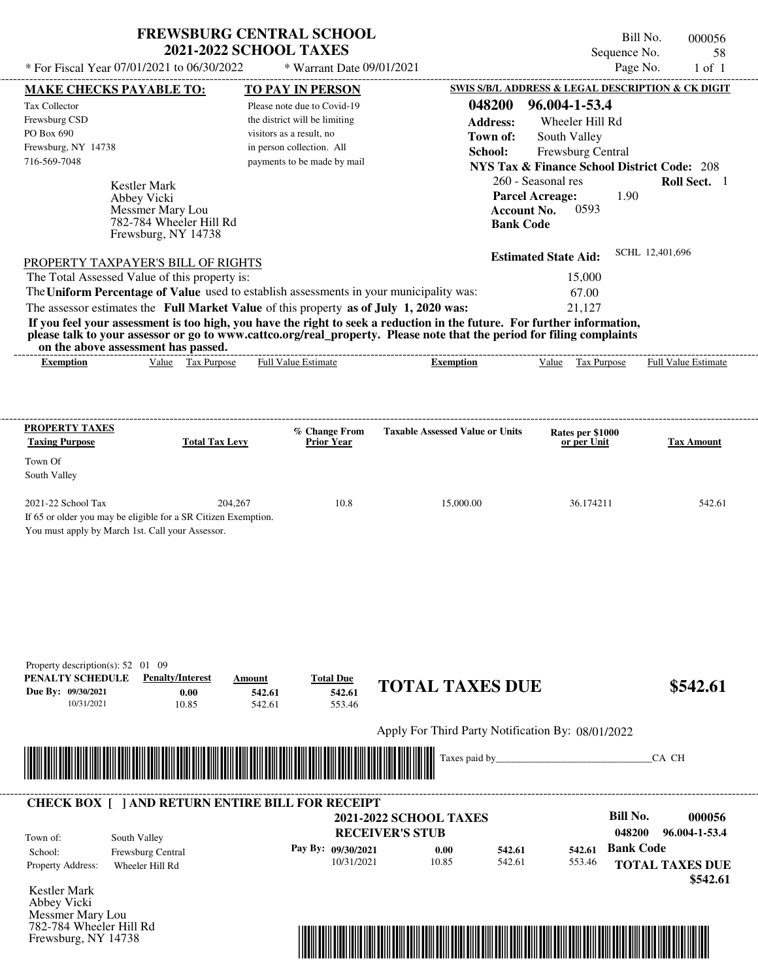## **FREWSBURG CENTRAL SCHOOL 2021-2022 SCHOOL TAXES**

Frewsburg, NY 14738

Bill No. 000056 Sequence No. 58<br>Page No. 1 of 1

| <b>MAKE CHECKS PAYABLE TO:</b><br><b>Kestler Mark</b><br>Abbey Vicki<br>Messmer Mary Lou<br>782-784 Wheeler Hill Rd<br>Frewsburg, NY 14738<br>PROPERTY TAXPAYER'S BILL OF RIGHTS<br>The Total Assessed Value of this property is: | <b>TO PAY IN PERSON</b><br>Please note due to Covid-19<br>the district will be limiting<br>visitors as a result, no<br>in person collection. All<br>payments to be made by mail                                         | 048200<br><b>Address:</b><br>Town of:<br>School:<br><b>Account No.</b><br><b>Bank Code</b> | SWIS S/B/L ADDRESS & LEGAL DESCRIPTION & CK DIGIT<br>96.004-1-53.4<br>Wheeler Hill Rd<br>South Valley<br>Frewsburg Central<br><b>NYS Tax &amp; Finance School District Code: 208</b><br>260 - Seasonal res<br><b>Parcel Acreage:</b><br>1.90<br>0593 | Roll Sect. 1                                                                                                                                                                                                                                                  |
|-----------------------------------------------------------------------------------------------------------------------------------------------------------------------------------------------------------------------------------|-------------------------------------------------------------------------------------------------------------------------------------------------------------------------------------------------------------------------|--------------------------------------------------------------------------------------------|------------------------------------------------------------------------------------------------------------------------------------------------------------------------------------------------------------------------------------------------------|---------------------------------------------------------------------------------------------------------------------------------------------------------------------------------------------------------------------------------------------------------------|
|                                                                                                                                                                                                                                   |                                                                                                                                                                                                                         |                                                                                            |                                                                                                                                                                                                                                                      |                                                                                                                                                                                                                                                               |
|                                                                                                                                                                                                                                   |                                                                                                                                                                                                                         |                                                                                            |                                                                                                                                                                                                                                                      |                                                                                                                                                                                                                                                               |
|                                                                                                                                                                                                                                   |                                                                                                                                                                                                                         |                                                                                            |                                                                                                                                                                                                                                                      |                                                                                                                                                                                                                                                               |
|                                                                                                                                                                                                                                   |                                                                                                                                                                                                                         |                                                                                            |                                                                                                                                                                                                                                                      |                                                                                                                                                                                                                                                               |
|                                                                                                                                                                                                                                   |                                                                                                                                                                                                                         |                                                                                            |                                                                                                                                                                                                                                                      |                                                                                                                                                                                                                                                               |
|                                                                                                                                                                                                                                   |                                                                                                                                                                                                                         |                                                                                            |                                                                                                                                                                                                                                                      |                                                                                                                                                                                                                                                               |
|                                                                                                                                                                                                                                   |                                                                                                                                                                                                                         |                                                                                            |                                                                                                                                                                                                                                                      |                                                                                                                                                                                                                                                               |
|                                                                                                                                                                                                                                   |                                                                                                                                                                                                                         |                                                                                            |                                                                                                                                                                                                                                                      |                                                                                                                                                                                                                                                               |
|                                                                                                                                                                                                                                   |                                                                                                                                                                                                                         |                                                                                            |                                                                                                                                                                                                                                                      |                                                                                                                                                                                                                                                               |
|                                                                                                                                                                                                                                   |                                                                                                                                                                                                                         |                                                                                            | <b>Estimated State Aid:</b>                                                                                                                                                                                                                          | SCHL 12,401,696                                                                                                                                                                                                                                               |
|                                                                                                                                                                                                                                   |                                                                                                                                                                                                                         |                                                                                            | 15,000                                                                                                                                                                                                                                               |                                                                                                                                                                                                                                                               |
|                                                                                                                                                                                                                                   |                                                                                                                                                                                                                         | The Uniform Percentage of Value used to establish assessments in your municipality was:    | 67.00                                                                                                                                                                                                                                                |                                                                                                                                                                                                                                                               |
| The assessor estimates the Full Market Value of this property as of July 1, 2020 was:                                                                                                                                             |                                                                                                                                                                                                                         |                                                                                            | 21,127                                                                                                                                                                                                                                               |                                                                                                                                                                                                                                                               |
|                                                                                                                                                                                                                                   |                                                                                                                                                                                                                         |                                                                                            |                                                                                                                                                                                                                                                      |                                                                                                                                                                                                                                                               |
|                                                                                                                                                                                                                                   |                                                                                                                                                                                                                         |                                                                                            |                                                                                                                                                                                                                                                      |                                                                                                                                                                                                                                                               |
| Value Tax Purpose                                                                                                                                                                                                                 |                                                                                                                                                                                                                         | <b>Exemption</b>                                                                           | Value Tax Purpose                                                                                                                                                                                                                                    | Full Value Estimate                                                                                                                                                                                                                                           |
|                                                                                                                                                                                                                                   |                                                                                                                                                                                                                         |                                                                                            |                                                                                                                                                                                                                                                      |                                                                                                                                                                                                                                                               |
|                                                                                                                                                                                                                                   |                                                                                                                                                                                                                         |                                                                                            |                                                                                                                                                                                                                                                      |                                                                                                                                                                                                                                                               |
|                                                                                                                                                                                                                                   |                                                                                                                                                                                                                         |                                                                                            |                                                                                                                                                                                                                                                      |                                                                                                                                                                                                                                                               |
|                                                                                                                                                                                                                                   | % Change From                                                                                                                                                                                                           | <b>Taxable Assessed Value or Units</b>                                                     | Rates per \$1000                                                                                                                                                                                                                                     |                                                                                                                                                                                                                                                               |
| <b>Total Tax Levy</b>                                                                                                                                                                                                             | <b>Prior Year</b>                                                                                                                                                                                                       |                                                                                            | or per Unit                                                                                                                                                                                                                                          | <b>Tax Amount</b>                                                                                                                                                                                                                                             |
|                                                                                                                                                                                                                                   |                                                                                                                                                                                                                         |                                                                                            |                                                                                                                                                                                                                                                      |                                                                                                                                                                                                                                                               |
|                                                                                                                                                                                                                                   |                                                                                                                                                                                                                         |                                                                                            |                                                                                                                                                                                                                                                      |                                                                                                                                                                                                                                                               |
|                                                                                                                                                                                                                                   |                                                                                                                                                                                                                         |                                                                                            |                                                                                                                                                                                                                                                      | 542.61                                                                                                                                                                                                                                                        |
|                                                                                                                                                                                                                                   |                                                                                                                                                                                                                         |                                                                                            |                                                                                                                                                                                                                                                      |                                                                                                                                                                                                                                                               |
|                                                                                                                                                                                                                                   |                                                                                                                                                                                                                         |                                                                                            |                                                                                                                                                                                                                                                      |                                                                                                                                                                                                                                                               |
|                                                                                                                                                                                                                                   |                                                                                                                                                                                                                         |                                                                                            |                                                                                                                                                                                                                                                      |                                                                                                                                                                                                                                                               |
|                                                                                                                                                                                                                                   |                                                                                                                                                                                                                         |                                                                                            |                                                                                                                                                                                                                                                      |                                                                                                                                                                                                                                                               |
|                                                                                                                                                                                                                                   |                                                                                                                                                                                                                         |                                                                                            |                                                                                                                                                                                                                                                      |                                                                                                                                                                                                                                                               |
|                                                                                                                                                                                                                                   |                                                                                                                                                                                                                         |                                                                                            |                                                                                                                                                                                                                                                      |                                                                                                                                                                                                                                                               |
|                                                                                                                                                                                                                                   |                                                                                                                                                                                                                         |                                                                                            |                                                                                                                                                                                                                                                      |                                                                                                                                                                                                                                                               |
|                                                                                                                                                                                                                                   |                                                                                                                                                                                                                         |                                                                                            |                                                                                                                                                                                                                                                      |                                                                                                                                                                                                                                                               |
|                                                                                                                                                                                                                                   |                                                                                                                                                                                                                         |                                                                                            |                                                                                                                                                                                                                                                      |                                                                                                                                                                                                                                                               |
|                                                                                                                                                                                                                                   |                                                                                                                                                                                                                         |                                                                                            |                                                                                                                                                                                                                                                      |                                                                                                                                                                                                                                                               |
| <b>Penalty/Interest</b><br>Amount                                                                                                                                                                                                 | <b>Total Due</b>                                                                                                                                                                                                        |                                                                                            |                                                                                                                                                                                                                                                      |                                                                                                                                                                                                                                                               |
|                                                                                                                                                                                                                                   | 542.61                                                                                                                                                                                                                  | <b>TOTAL TAXES DUE</b>                                                                     |                                                                                                                                                                                                                                                      | \$542.61                                                                                                                                                                                                                                                      |
| 0.00<br>542.61                                                                                                                                                                                                                    |                                                                                                                                                                                                                         |                                                                                            |                                                                                                                                                                                                                                                      |                                                                                                                                                                                                                                                               |
| 10.85<br>542.61                                                                                                                                                                                                                   | 553.46                                                                                                                                                                                                                  |                                                                                            |                                                                                                                                                                                                                                                      |                                                                                                                                                                                                                                                               |
|                                                                                                                                                                                                                                   |                                                                                                                                                                                                                         |                                                                                            |                                                                                                                                                                                                                                                      |                                                                                                                                                                                                                                                               |
|                                                                                                                                                                                                                                   |                                                                                                                                                                                                                         | Apply For Third Party Notification By: 08/01/2022                                          |                                                                                                                                                                                                                                                      |                                                                                                                                                                                                                                                               |
|                                                                                                                                                                                                                                   |                                                                                                                                                                                                                         | Taxes paid by_                                                                             |                                                                                                                                                                                                                                                      | CA CH                                                                                                                                                                                                                                                         |
|                                                                                                                                                                                                                                   |                                                                                                                                                                                                                         |                                                                                            |                                                                                                                                                                                                                                                      |                                                                                                                                                                                                                                                               |
|                                                                                                                                                                                                                                   |                                                                                                                                                                                                                         |                                                                                            |                                                                                                                                                                                                                                                      |                                                                                                                                                                                                                                                               |
| <b>CHECK BOX [ ] AND RETURN ENTIRE BILL FOR RECEIPT</b>                                                                                                                                                                           |                                                                                                                                                                                                                         |                                                                                            |                                                                                                                                                                                                                                                      |                                                                                                                                                                                                                                                               |
|                                                                                                                                                                                                                                   |                                                                                                                                                                                                                         | <b>2021-2022 SCHOOL TAXES</b>                                                              | <b>Bill No.</b>                                                                                                                                                                                                                                      | 000056                                                                                                                                                                                                                                                        |
| South Valley                                                                                                                                                                                                                      |                                                                                                                                                                                                                         | <b>RECEIVER'S STUB</b>                                                                     | 048200                                                                                                                                                                                                                                               | 96.004-1-53.4                                                                                                                                                                                                                                                 |
| Frewsburg Central                                                                                                                                                                                                                 | Pay By: 09/30/2021                                                                                                                                                                                                      | 542.61<br>0.00                                                                             | <b>Bank Code</b><br>542.61                                                                                                                                                                                                                           |                                                                                                                                                                                                                                                               |
| Wheeler Hill Rd                                                                                                                                                                                                                   | 10/31/2021                                                                                                                                                                                                              | 10.85<br>542.61                                                                            | 553.46                                                                                                                                                                                                                                               | <b>TOTAL TAXES DUE</b>                                                                                                                                                                                                                                        |
|                                                                                                                                                                                                                                   |                                                                                                                                                                                                                         |                                                                                            |                                                                                                                                                                                                                                                      | \$542.61                                                                                                                                                                                                                                                      |
|                                                                                                                                                                                                                                   |                                                                                                                                                                                                                         |                                                                                            |                                                                                                                                                                                                                                                      |                                                                                                                                                                                                                                                               |
|                                                                                                                                                                                                                                   | on the above assessment has passed.<br>204,267<br>If 65 or older you may be eligible for a SR Citizen Exemption.<br>You must apply by March 1st. Call your Assessor.<br>Property description(s): $52 \quad 01 \quad 09$ | Full Value Estimate<br>10.8                                                                | 15,000.00                                                                                                                                                                                                                                            | If you feel your assessment is too high, you have the right to seek a reduction in the future. For further information,<br>please talk to your assessor or go to www.cattco.org/real_property. Please note that the period for filing complaints<br>36.174211 |

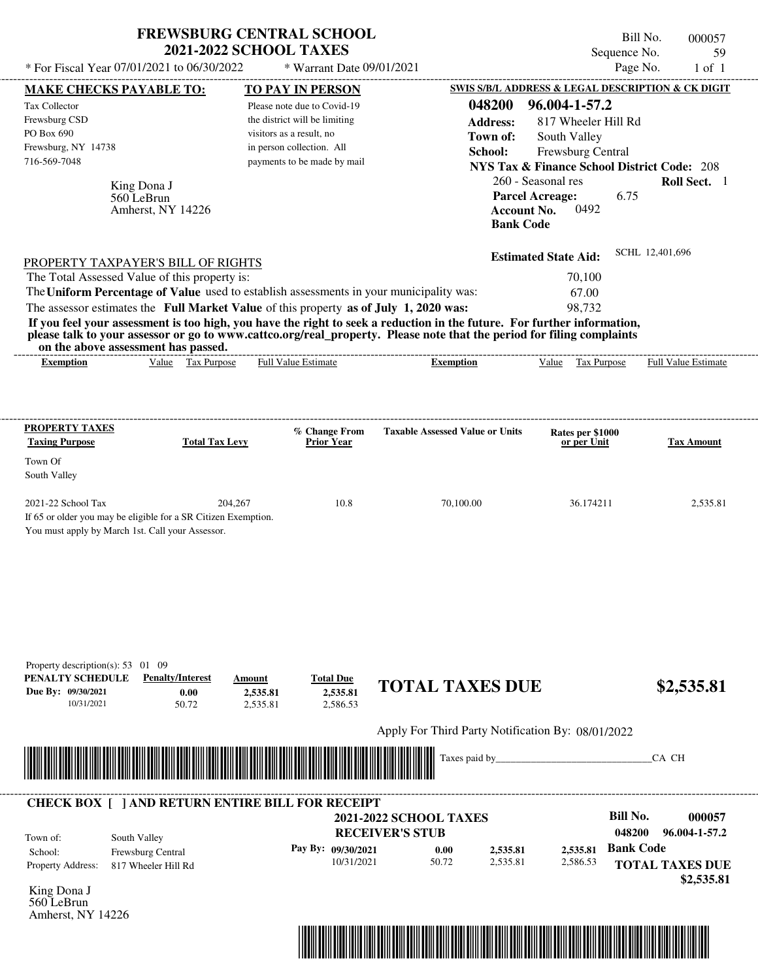|                                                                                                                                                                                                                                                                                         | <b>2021-2022 SCHOOL TAXES</b>                         | <b>FREWSBURG CENTRAL SCHOOL</b> |                                                         |                        |                                                        | Bill No.<br>Sequence No. | 000057<br>59               |
|-----------------------------------------------------------------------------------------------------------------------------------------------------------------------------------------------------------------------------------------------------------------------------------------|-------------------------------------------------------|---------------------------------|---------------------------------------------------------|------------------------|--------------------------------------------------------|--------------------------|----------------------------|
| * For Fiscal Year 07/01/2021 to 06/30/2022                                                                                                                                                                                                                                              |                                                       | * Warrant Date 09/01/2021       |                                                         |                        |                                                        | Page No.                 | $1$ of $1$                 |
| <b>MAKE CHECKS PAYABLE TO:</b>                                                                                                                                                                                                                                                          |                                                       | TO PAY IN PERSON                |                                                         |                        | SWIS S/B/L ADDRESS & LEGAL DESCRIPTION & CK DIGIT      |                          |                            |
| Tax Collector                                                                                                                                                                                                                                                                           |                                                       | Please note due to Covid-19     |                                                         | 048200                 | 96.004-1-57.2                                          |                          |                            |
| Frewsburg CSD                                                                                                                                                                                                                                                                           |                                                       | the district will be limiting   |                                                         | <b>Address:</b>        | 817 Wheeler Hill Rd                                    |                          |                            |
| PO Box 690                                                                                                                                                                                                                                                                              |                                                       | visitors as a result, no        |                                                         | Town of:               | South Valley                                           |                          |                            |
| Frewsburg, NY 14738                                                                                                                                                                                                                                                                     |                                                       | in person collection. All       |                                                         | School:                | Frewsburg Central                                      |                          |                            |
| 716-569-7048                                                                                                                                                                                                                                                                            |                                                       | payments to be made by mail     |                                                         |                        | <b>NYS Tax &amp; Finance School District Code: 208</b> |                          |                            |
|                                                                                                                                                                                                                                                                                         |                                                       |                                 |                                                         |                        | 260 - Seasonal res                                     |                          | Roll Sect. 1               |
| King Dona J<br>560 LeBrun                                                                                                                                                                                                                                                               |                                                       |                                 |                                                         | <b>Parcel Acreage:</b> |                                                        | 6.75                     |                            |
| Amherst, NY 14226                                                                                                                                                                                                                                                                       |                                                       |                                 |                                                         | <b>Account No.</b>     | 0492                                                   |                          |                            |
|                                                                                                                                                                                                                                                                                         |                                                       |                                 |                                                         | <b>Bank Code</b>       |                                                        |                          |                            |
|                                                                                                                                                                                                                                                                                         |                                                       |                                 |                                                         |                        | <b>Estimated State Aid:</b>                            | SCHL 12,401,696          |                            |
| PROPERTY TAXPAYER'S BILL OF RIGHTS                                                                                                                                                                                                                                                      |                                                       |                                 |                                                         |                        |                                                        |                          |                            |
| The Total Assessed Value of this property is:                                                                                                                                                                                                                                           |                                                       |                                 |                                                         |                        | 70,100                                                 |                          |                            |
| The Uniform Percentage of Value used to establish assessments in your municipality was:                                                                                                                                                                                                 |                                                       |                                 |                                                         |                        | 67.00                                                  |                          |                            |
| The assessor estimates the Full Market Value of this property as of July 1, 2020 was:                                                                                                                                                                                                   |                                                       |                                 |                                                         |                        | 98,732                                                 |                          |                            |
| If you feel your assessment is too high, you have the right to seek a reduction in the future. For further information,<br>please talk to your assessor or go to www.cattco.org/real_property. Please note that the period for filing complaints<br>on the above assessment has passed. |                                                       |                                 |                                                         |                        |                                                        |                          |                            |
| <b>Exemption</b>                                                                                                                                                                                                                                                                        | Value Tax Purpose                                     | <b>Full Value Estimate</b>      | <b>Exemption</b>                                        |                        | Value<br>Tax Purpose                                   |                          | <b>Full Value Estimate</b> |
| Town Of<br>South Valley<br>2021-22 School Tax<br>If 65 or older you may be eligible for a SR Citizen Exemption.<br>You must apply by March 1st. Call your Assessor.                                                                                                                     | 204,267                                               | 10.8                            | 70,100.00                                               |                        | 36.174211                                              |                          | 2,535.81                   |
| Property description(s): 53 01 09<br>PENALTY SCHEDULE<br>Due By: 09/30/2021                                                                                                                                                                                                             | <b>Penalty/Interest</b><br>Amount<br>0.00<br>2,535.81 | <b>Total Due</b><br>2,535.81    | <b>TOTAL TAXES DUE</b>                                  |                        |                                                        |                          | \$2,535.81                 |
| 10/31/2021                                                                                                                                                                                                                                                                              | 50.72<br>2.535.81                                     | 2,586.53                        | Apply For Third Party Notification By: 08/01/2022       |                        |                                                        |                          |                            |
|                                                                                                                                                                                                                                                                                         |                                                       |                                 |                                                         | Taxes paid by_         |                                                        | CA CH                    |                            |
|                                                                                                                                                                                                                                                                                         |                                                       |                                 |                                                         |                        |                                                        |                          |                            |
| <b>CHECK BOX [ ] AND RETURN ENTIRE BILL FOR RECEIPT</b>                                                                                                                                                                                                                                 |                                                       |                                 |                                                         |                        |                                                        | <b>Bill No.</b>          | 000057                     |
|                                                                                                                                                                                                                                                                                         |                                                       |                                 | <b>2021-2022 SCHOOL TAXES</b><br><b>RECEIVER'S STUB</b> |                        |                                                        | 048200                   | 96.004-1-57.2              |
| South Valley<br>Town of:                                                                                                                                                                                                                                                                |                                                       |                                 |                                                         |                        |                                                        |                          |                            |
| Frewsburg Central<br>School:                                                                                                                                                                                                                                                            |                                                       | Pay By: 09/30/2021              | 0.00                                                    | 2,535.81               | 2,535.81                                               | <b>Bank Code</b>         |                            |
| Property Address:<br>817 Wheeler Hill Rd                                                                                                                                                                                                                                                |                                                       | 10/31/2021                      | 50.72                                                   | 2,535.81               | 2,586.53                                               | <b>TOTAL TAXES DUE</b>   |                            |
|                                                                                                                                                                                                                                                                                         |                                                       |                                 |                                                         |                        |                                                        |                          | \$2,535.81                 |
| $Vinc$ Dona I                                                                                                                                                                                                                                                                           |                                                       |                                 |                                                         |                        |                                                        |                          |                            |



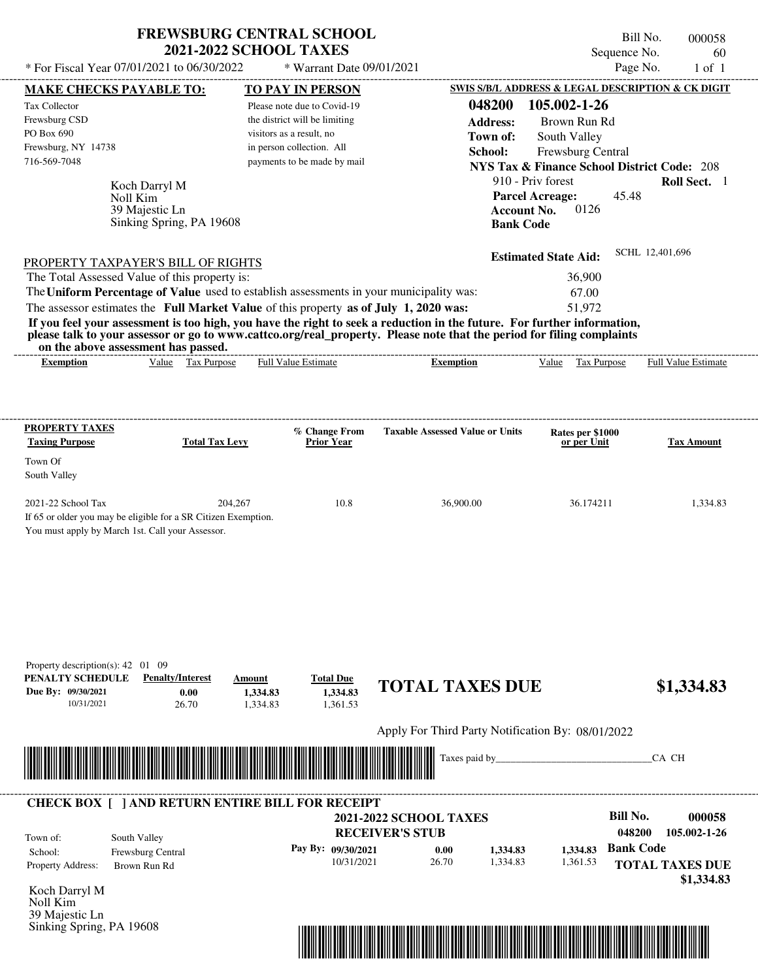| <b>FREWSBURG CENTRAL SCHOOL</b> |
|---------------------------------|
| <b>2021-2022 SCHOOL TAXES</b>   |

 $*$  For Fiscal Year 07/01/2021 to 06/30/2022

\* Warrant Date 09/01/2021

Bill No. 000058 Sequence No. 60<br>Page No. 1 of 1

| <b>MAKE CHECKS PAYABLE TO:</b>                                      |                                                                                                                      | <b>TO PAY IN PERSON</b>                                                                 |                                                                                                                         | SWIS S/B/L ADDRESS & LEGAL DESCRIPTION & CK DIGIT      |                            |
|---------------------------------------------------------------------|----------------------------------------------------------------------------------------------------------------------|-----------------------------------------------------------------------------------------|-------------------------------------------------------------------------------------------------------------------------|--------------------------------------------------------|----------------------------|
| Tax Collector<br>Frewsburg CSD                                      |                                                                                                                      | Please note due to Covid-19<br>the district will be limiting                            | 048200<br><b>Address:</b>                                                                                               | 105.002-1-26<br>Brown Run Rd                           |                            |
| PO Box 690                                                          |                                                                                                                      | visitors as a result, no                                                                | Town of:                                                                                                                | South Valley                                           |                            |
| Frewsburg, NY 14738                                                 |                                                                                                                      | in person collection. All                                                               | School:                                                                                                                 | Frewsburg Central                                      |                            |
| 716-569-7048                                                        |                                                                                                                      | payments to be made by mail                                                             |                                                                                                                         | <b>NYS Tax &amp; Finance School District Code: 208</b> |                            |
|                                                                     |                                                                                                                      |                                                                                         |                                                                                                                         | 910 - Priv forest                                      | Roll Sect. 1               |
|                                                                     | Koch Darryl M<br>Noll Kim                                                                                            |                                                                                         |                                                                                                                         | <b>Parcel Acreage:</b><br>45.48                        |                            |
|                                                                     | 39 Majestic Ln                                                                                                       |                                                                                         | <b>Account No.</b>                                                                                                      | 0126                                                   |                            |
|                                                                     | Sinking Spring, PA 19608                                                                                             |                                                                                         | <b>Bank Code</b>                                                                                                        |                                                        |                            |
|                                                                     |                                                                                                                      |                                                                                         |                                                                                                                         |                                                        |                            |
|                                                                     | <b>PROPERTY TAXPAYER'S BILL OF RIGHTS</b>                                                                            |                                                                                         |                                                                                                                         | <b>Estimated State Aid:</b>                            | SCHL 12,401,696            |
|                                                                     | The Total Assessed Value of this property is:                                                                        |                                                                                         |                                                                                                                         | 36,900                                                 |                            |
|                                                                     |                                                                                                                      | The Uniform Percentage of Value used to establish assessments in your municipality was: |                                                                                                                         | 67.00                                                  |                            |
|                                                                     |                                                                                                                      | The assessor estimates the Full Market Value of this property as of July 1, 2020 was:   |                                                                                                                         | 51,972                                                 |                            |
|                                                                     |                                                                                                                      |                                                                                         | If you feel your assessment is too high, you have the right to seek a reduction in the future. For further information, |                                                        |                            |
|                                                                     | on the above assessment has passed.                                                                                  |                                                                                         | please talk to your assessor or go to www.cattco.org/real_property. Please note that the period for filing complaints   |                                                        |                            |
| <b>Exemption</b>                                                    | Value Tax Purpose                                                                                                    | <b>Full Value Estimate</b>                                                              | <b>Exemption</b>                                                                                                        | Value Tax Purpose                                      | <b>Full Value Estimate</b> |
|                                                                     |                                                                                                                      |                                                                                         |                                                                                                                         |                                                        |                            |
|                                                                     |                                                                                                                      |                                                                                         |                                                                                                                         |                                                        |                            |
|                                                                     |                                                                                                                      |                                                                                         |                                                                                                                         |                                                        |                            |
| PROPERTY TAXES                                                      |                                                                                                                      | % Change From                                                                           | <b>Taxable Assessed Value or Units</b>                                                                                  |                                                        |                            |
| <b>Taxing Purpose</b>                                               | <b>Total Tax Levy</b>                                                                                                | <b>Prior Year</b>                                                                       |                                                                                                                         | Rates per \$1000<br>or per Unit                        | <b>Tax Amount</b>          |
| Town Of                                                             |                                                                                                                      |                                                                                         |                                                                                                                         |                                                        |                            |
| South Valley                                                        |                                                                                                                      |                                                                                         |                                                                                                                         |                                                        |                            |
|                                                                     |                                                                                                                      |                                                                                         |                                                                                                                         |                                                        |                            |
| 2021-22 School Tax                                                  | 204,267                                                                                                              | 10.8                                                                                    | 36,900.00                                                                                                               | 36.174211                                              | 1,334.83                   |
|                                                                     | If 65 or older you may be eligible for a SR Citizen Exemption.                                                       |                                                                                         |                                                                                                                         |                                                        |                            |
| You must apply by March 1st. Call your Assessor.                    |                                                                                                                      |                                                                                         |                                                                                                                         |                                                        |                            |
|                                                                     |                                                                                                                      |                                                                                         |                                                                                                                         |                                                        |                            |
|                                                                     |                                                                                                                      |                                                                                         |                                                                                                                         |                                                        |                            |
|                                                                     |                                                                                                                      |                                                                                         |                                                                                                                         |                                                        |                            |
|                                                                     |                                                                                                                      |                                                                                         |                                                                                                                         |                                                        |                            |
|                                                                     |                                                                                                                      |                                                                                         |                                                                                                                         |                                                        |                            |
|                                                                     |                                                                                                                      |                                                                                         |                                                                                                                         |                                                        |                            |
|                                                                     |                                                                                                                      |                                                                                         |                                                                                                                         |                                                        |                            |
| Property description(s): $42 \quad 01 \quad 09$<br>PENALTY SCHEDULE | <b>Penalty/Interest</b>                                                                                              |                                                                                         |                                                                                                                         |                                                        |                            |
| Due By: 09/30/2021                                                  | 0.00                                                                                                                 | <b>Total Due</b><br>Amount<br>1,334.83<br>1,334.83                                      | <b>TOTAL TAXES DUE</b>                                                                                                  |                                                        | \$1,334.83                 |
| 10/31/2021                                                          | 26.70                                                                                                                | 1,361.53<br>1,334.83                                                                    |                                                                                                                         |                                                        |                            |
|                                                                     |                                                                                                                      |                                                                                         |                                                                                                                         |                                                        |                            |
|                                                                     |                                                                                                                      |                                                                                         | Apply For Third Party Notification By: 08/01/2022                                                                       |                                                        |                            |
|                                                                     |                                                                                                                      |                                                                                         | Taxes paid by_                                                                                                          |                                                        | CA CH                      |
|                                                                     | <u> III de la contrada de la contrada de la contrada de la contrada de la contrada de la contrada de la contrada</u> |                                                                                         |                                                                                                                         |                                                        |                            |
|                                                                     |                                                                                                                      |                                                                                         |                                                                                                                         |                                                        |                            |
|                                                                     |                                                                                                                      | <b>CHECK BOX [ ] AND RETURN ENTIRE BILL FOR RECEIPT</b>                                 |                                                                                                                         |                                                        |                            |
|                                                                     |                                                                                                                      |                                                                                         | <b>2021-2022 SCHOOL TAXES</b>                                                                                           | <b>Bill No.</b>                                        | 000058                     |
| Town of:                                                            | South Valley                                                                                                         |                                                                                         | <b>RECEIVER'S STUB</b>                                                                                                  | 048200                                                 | 105.002-1-26               |
| School:                                                             | Frewsburg Central                                                                                                    | Pay By: 09/30/2021                                                                      | 0.00<br>1,334.83                                                                                                        | <b>Bank Code</b><br>1,334.83                           |                            |
| Property Address:                                                   | Brown Run Rd                                                                                                         | 10/31/2021                                                                              | 26.70<br>1,334.83                                                                                                       | 1,361.53                                               | <b>TOTAL TAXES DUE</b>     |
|                                                                     |                                                                                                                      |                                                                                         |                                                                                                                         |                                                        | \$1,334.83                 |
| Koch Darryl M                                                       |                                                                                                                      |                                                                                         |                                                                                                                         |                                                        |                            |
| Noll Kim<br>39 Majestic Ln                                          |                                                                                                                      |                                                                                         |                                                                                                                         |                                                        |                            |
| Sinking Spring, PA 19608                                            |                                                                                                                      |                                                                                         |                                                                                                                         |                                                        |                            |
|                                                                     |                                                                                                                      |                                                                                         | <u> 1989 - Johann Stoff, Amerikaansk politiker († 1908)</u>                                                             |                                                        |                            |
|                                                                     |                                                                                                                      |                                                                                         |                                                                                                                         |                                                        |                            |
|                                                                     |                                                                                                                      |                                                                                         |                                                                                                                         |                                                        |                            |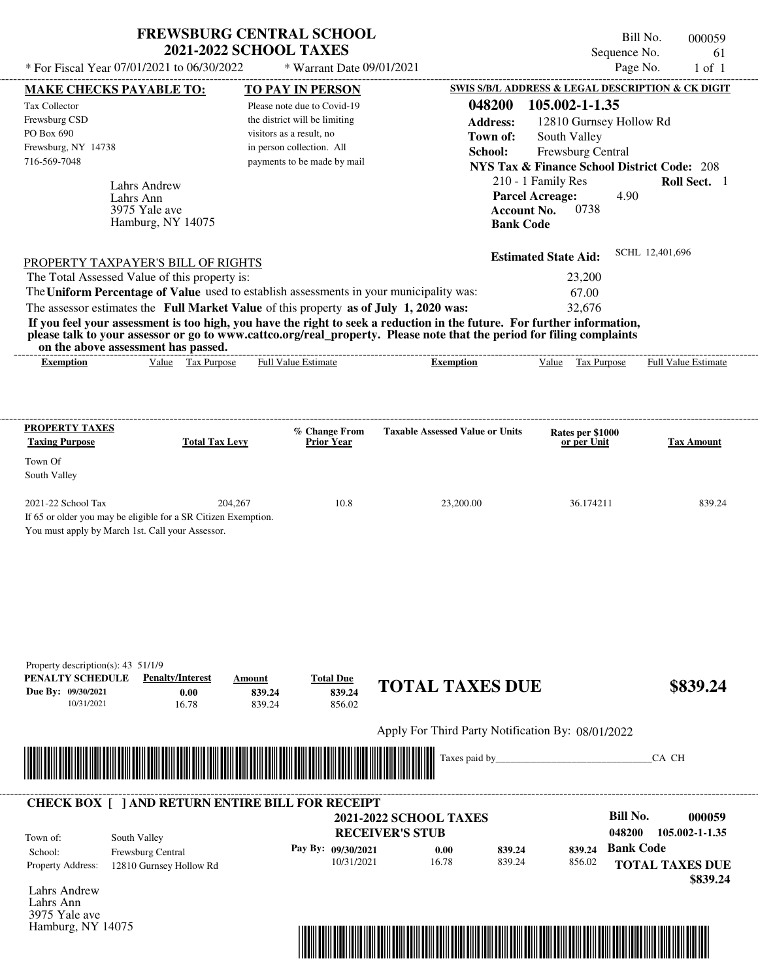| <b>FREWSBURG CENTRAL SCHOOL</b> |
|---------------------------------|
| <b>2021-2022 SCHOOL TAXES</b>   |

Bill No. 000059 Sequence No. 61

| * For Fiscal Year 07/01/2021 to 06/30/2022                                                                                               |                                   | * Warrant Date 09/01/2021                             |                                                                                                                         |                                                                             | Page No.<br>$1$ of $1$ |
|------------------------------------------------------------------------------------------------------------------------------------------|-----------------------------------|-------------------------------------------------------|-------------------------------------------------------------------------------------------------------------------------|-----------------------------------------------------------------------------|------------------------|
| <b>MAKE CHECKS PAYABLE TO:</b>                                                                                                           |                                   | <b>TO PAY IN PERSON</b>                               |                                                                                                                         | SWIS S/B/L ADDRESS & LEGAL DESCRIPTION & CK DIGIT                           |                        |
| Tax Collector                                                                                                                            |                                   | Please note due to Covid-19                           | 048200                                                                                                                  | 105.002-1-1.35                                                              |                        |
| Frewsburg CSD<br>PO Box 690                                                                                                              |                                   | the district will be limiting                         | <b>Address:</b>                                                                                                         | 12810 Gurnsey Hollow Rd                                                     |                        |
| Frewsburg, NY 14738                                                                                                                      |                                   | visitors as a result, no<br>in person collection. All | Town of:                                                                                                                | South Valley                                                                |                        |
| 716-569-7048                                                                                                                             |                                   | payments to be made by mail                           | School:                                                                                                                 | Frewsburg Central<br><b>NYS Tax &amp; Finance School District Code: 208</b> |                        |
|                                                                                                                                          |                                   |                                                       |                                                                                                                         | 210 - 1 Family Res                                                          | Roll Sect. 1           |
| <b>Lahrs Andrew</b><br>Lahrs Ann                                                                                                         |                                   |                                                       |                                                                                                                         | <b>Parcel Acreage:</b><br>4.90                                              |                        |
| 3975 Yale ave                                                                                                                            |                                   |                                                       | <b>Account No.</b>                                                                                                      | 0738                                                                        |                        |
| Hamburg, NY 14075                                                                                                                        |                                   |                                                       | <b>Bank Code</b>                                                                                                        |                                                                             |                        |
|                                                                                                                                          |                                   |                                                       |                                                                                                                         |                                                                             | SCHL 12,401,696        |
| PROPERTY TAXPAYER'S BILL OF RIGHTS                                                                                                       |                                   |                                                       |                                                                                                                         | <b>Estimated State Aid:</b>                                                 |                        |
| The Total Assessed Value of this property is:<br>The Uniform Percentage of Value used to establish assessments in your municipality was: |                                   |                                                       |                                                                                                                         | 23,200                                                                      |                        |
| The assessor estimates the Full Market Value of this property as of July 1, 2020 was:                                                    |                                   |                                                       |                                                                                                                         | 67.00<br>32,676                                                             |                        |
|                                                                                                                                          |                                   |                                                       | If you feel your assessment is too high, you have the right to seek a reduction in the future. For further information, |                                                                             |                        |
|                                                                                                                                          |                                   |                                                       | please talk to your assessor or go to www.cattco.org/real_property. Please note that the period for filing complaints   |                                                                             |                        |
| on the above assessment has passed.                                                                                                      |                                   |                                                       |                                                                                                                         |                                                                             |                        |
| <b>Exemption</b>                                                                                                                         | Value Tax Purpose                 | Full Value Estimate                                   | <b>Exemption</b>                                                                                                        | Value Tax Purpose                                                           | Full Value Estimate    |
|                                                                                                                                          |                                   |                                                       |                                                                                                                         |                                                                             |                        |
|                                                                                                                                          |                                   |                                                       |                                                                                                                         |                                                                             |                        |
| <b>PROPERTY TAXES</b>                                                                                                                    |                                   | % Change From                                         | <b>Taxable Assessed Value or Units</b>                                                                                  | Rates per \$1000                                                            |                        |
| <b>Taxing Purpose</b>                                                                                                                    | <b>Total Tax Levy</b>             | <b>Prior Year</b>                                     |                                                                                                                         | or per Unit                                                                 | <b>Tax Amount</b>      |
| Town Of                                                                                                                                  |                                   |                                                       |                                                                                                                         |                                                                             |                        |
| South Valley                                                                                                                             |                                   |                                                       |                                                                                                                         |                                                                             |                        |
| 2021-22 School Tax                                                                                                                       | 204,267                           | 10.8                                                  | 23,200.00                                                                                                               | 36.174211                                                                   | 839.24                 |
| If 65 or older you may be eligible for a SR Citizen Exemption.                                                                           |                                   |                                                       |                                                                                                                         |                                                                             |                        |
| You must apply by March 1st. Call your Assessor.                                                                                         |                                   |                                                       |                                                                                                                         |                                                                             |                        |
|                                                                                                                                          |                                   |                                                       |                                                                                                                         |                                                                             |                        |
|                                                                                                                                          |                                   |                                                       |                                                                                                                         |                                                                             |                        |
|                                                                                                                                          |                                   |                                                       |                                                                                                                         |                                                                             |                        |
|                                                                                                                                          |                                   |                                                       |                                                                                                                         |                                                                             |                        |
|                                                                                                                                          |                                   |                                                       |                                                                                                                         |                                                                             |                        |
|                                                                                                                                          |                                   |                                                       |                                                                                                                         |                                                                             |                        |
|                                                                                                                                          |                                   |                                                       |                                                                                                                         |                                                                             |                        |
| Property description(s): 43 51/1/9<br>PENALTY SCHEDULE                                                                                   | <b>Penalty/Interest</b><br>Amount | <b>Total Due</b>                                      |                                                                                                                         |                                                                             |                        |
| Due By: 09/30/2021                                                                                                                       | 0.00<br>839.24                    | 839.24                                                | <b>TOTAL TAXES DUE</b>                                                                                                  |                                                                             | \$839.24               |
| 10/31/2021                                                                                                                               | 839.24<br>16.78                   | 856.02                                                |                                                                                                                         |                                                                             |                        |
|                                                                                                                                          |                                   |                                                       | Apply For Third Party Notification By: 08/01/2022                                                                       |                                                                             |                        |
|                                                                                                                                          |                                   |                                                       |                                                                                                                         |                                                                             |                        |
|                                                                                                                                          |                                   |                                                       | Taxes paid by_                                                                                                          |                                                                             | CA CH                  |
|                                                                                                                                          |                                   |                                                       |                                                                                                                         |                                                                             |                        |
| <b>CHECK BOX [ ] AND RETURN ENTIRE BILL FOR RECEIPT</b>                                                                                  |                                   |                                                       |                                                                                                                         |                                                                             |                        |
|                                                                                                                                          |                                   |                                                       | <b>2021-2022 SCHOOL TAXES</b>                                                                                           | <b>Bill No.</b>                                                             | 000059                 |
| South Valley<br>Town of:                                                                                                                 |                                   |                                                       | <b>RECEIVER'S STUB</b>                                                                                                  | 048200                                                                      | 105.002-1-1.35         |
| Frewsburg Central<br>School:                                                                                                             |                                   | Pay By: 09/30/2021                                    | 0.00<br>839.24                                                                                                          | 839.24                                                                      | <b>Bank Code</b>       |
| Property Address:<br>12810 Gurnsey Hollow Rd                                                                                             |                                   | 10/31/2021                                            | 16.78<br>839.24                                                                                                         | 856.02                                                                      | <b>TOTAL TAXES DUE</b> |
|                                                                                                                                          |                                   |                                                       |                                                                                                                         |                                                                             | \$839.24               |
| <b>Lahrs Andrew</b><br>Lahrs Ann                                                                                                         |                                   |                                                       |                                                                                                                         |                                                                             |                        |
| 3975 Yale ave                                                                                                                            |                                   |                                                       |                                                                                                                         |                                                                             |                        |
| Hamburg, NY 14075                                                                                                                        |                                   |                                                       |                                                                                                                         |                                                                             |                        |

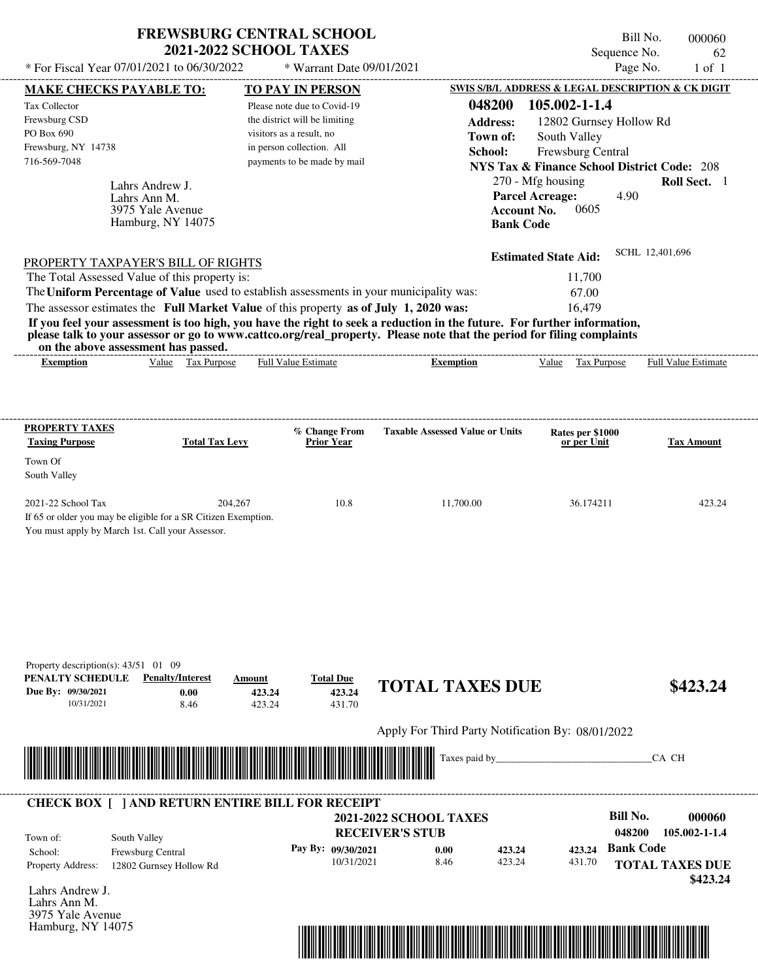| <b>FREWSBURG CENTRAL SCHOOL</b> |
|---------------------------------|
| <b>2021-2022 SCHOOL TAXES</b>   |

Tax Collector Frewsburg CSD \* Warrant Date 09/01/2021

Please note due to Covid-19 the district will be limiting

---------------------------------------------------------------------------------------------------------------------------------------------------------------------------------------------------- Bill No. 000060 Sequence No. 62 \* For Fiscal Year 07/01/2021 to 06/30/2022 \* Warrant Date 09/01/2021 Page No. 1 of 1 **MAKE CHECKS PAYABLE TO: TO PAY IN PERSON SWIS S/B/L ADDRESS & LEGAL DESCRIPTION & CK DIGIT 048200 105.002-1-1.4 Address:** 12802 Gurnsey Hollow Rd

| PO Box 690<br>Frewsburg, NY 14738<br>716-569-7048                      | Lahrs Andrew J.<br>Lahrs Ann M.<br>3975 Yale Avenue<br>Hamburg, NY 14075                                                                                                                                                                                                                                     | visitors as a result, no<br>in person collection. All<br>payments to be made by mail | Town of:<br>School:                    | South Valley<br>Frewsburg Central<br><b>NYS Tax &amp; Finance School District Code: 208</b><br>270 - Mfg housing<br><b>Parcel Acreage:</b><br>4.90<br><b>Account No.</b><br>0605<br><b>Bank Code</b> | Roll Sect. 1               |
|------------------------------------------------------------------------|--------------------------------------------------------------------------------------------------------------------------------------------------------------------------------------------------------------------------------------------------------------------------------------------------------------|--------------------------------------------------------------------------------------|----------------------------------------|------------------------------------------------------------------------------------------------------------------------------------------------------------------------------------------------------|----------------------------|
|                                                                        | PROPERTY TAXPAYER'S BILL OF RIGHTS                                                                                                                                                                                                                                                                           |                                                                                      |                                        | <b>Estimated State Aid:</b>                                                                                                                                                                          | SCHL 12,401,696            |
|                                                                        | The Total Assessed Value of this property is:                                                                                                                                                                                                                                                                |                                                                                      |                                        | 11,700                                                                                                                                                                                               |                            |
|                                                                        | The Uniform Percentage of Value used to establish assessments in your municipality was:<br>The assessor estimates the Full Market Value of this property as of July 1, 2020 was:                                                                                                                             |                                                                                      |                                        | 67.00<br>16,479                                                                                                                                                                                      |                            |
| <b>Exemption</b>                                                       | If you feel your assessment is too high, you have the right to seek a reduction in the future. For further information,<br>please talk to your assessor or go to www.cattco.org/real_property. Please note that the period for filing complaints<br>on the above assessment has passed.<br>Value Tax Purpose | <b>Full Value Estimate</b>                                                           | <b>Exemption</b>                       | Value Tax Purpose                                                                                                                                                                                    | <b>Full Value Estimate</b> |
| <b>PROPERTY TAXES</b>                                                  |                                                                                                                                                                                                                                                                                                              | % Change From                                                                        | <b>Taxable Assessed Value or Units</b> | Rates per \$1000                                                                                                                                                                                     |                            |
| <b>Taxing Purpose</b><br>Town Of<br>South Valley                       | <b>Total Tax Levy</b>                                                                                                                                                                                                                                                                                        | <b>Prior Year</b>                                                                    |                                        | or per Unit                                                                                                                                                                                          | <b>Tax Amount</b>          |
| 2021-22 School Tax<br>You must apply by March 1st. Call your Assessor. | 204.267<br>If 65 or older you may be eligible for a SR Citizen Exemption.                                                                                                                                                                                                                                    | 10.8                                                                                 | 11,700.00                              | 36.174211                                                                                                                                                                                            | 423.24                     |
| Property description(s): $43/51$ 01 09                                 |                                                                                                                                                                                                                                                                                                              |                                                                                      |                                        |                                                                                                                                                                                                      |                            |
| PENALTY SCHEDULE<br>Due By: 09/30/2021                                 | <b>Penalty/Interest</b><br>Amount<br>0.00<br>423.24                                                                                                                                                                                                                                                          | <b>Total Due</b><br>423.24                                                           | <b>TOTAL TAXES DUE</b>                 |                                                                                                                                                                                                      | \$423.24                   |

Apply For Third Party Notification By: 08/01/2022



423.24

| Town of:                 | South Valley             | <b>2021-2022 SCHOOL TAXES</b><br><b>RECEIVER'S STUB</b> |      |        |        | Bill No.<br>048200 | 000060<br>105.002-1-1.4            |
|--------------------------|--------------------------|---------------------------------------------------------|------|--------|--------|--------------------|------------------------------------|
| School:                  | <b>Frewsburg Central</b> | Pay By: $09/30/2021$                                    | 0.00 | 423.24 | 423.24 | <b>Bank Code</b>   |                                    |
| <b>Property Address:</b> | 12802 Gurnsey Hollow Rd  | 10/31/2021                                              | 8.46 | 423.24 | 431.70 |                    | <b>TOTAL TAXES DUE</b><br>\$423.24 |

431.70

Lahrs Andrew J. Lahrs Ann M. 3975 Yale Avenue Hamburg, NY 14075

10/31/2021 8.46

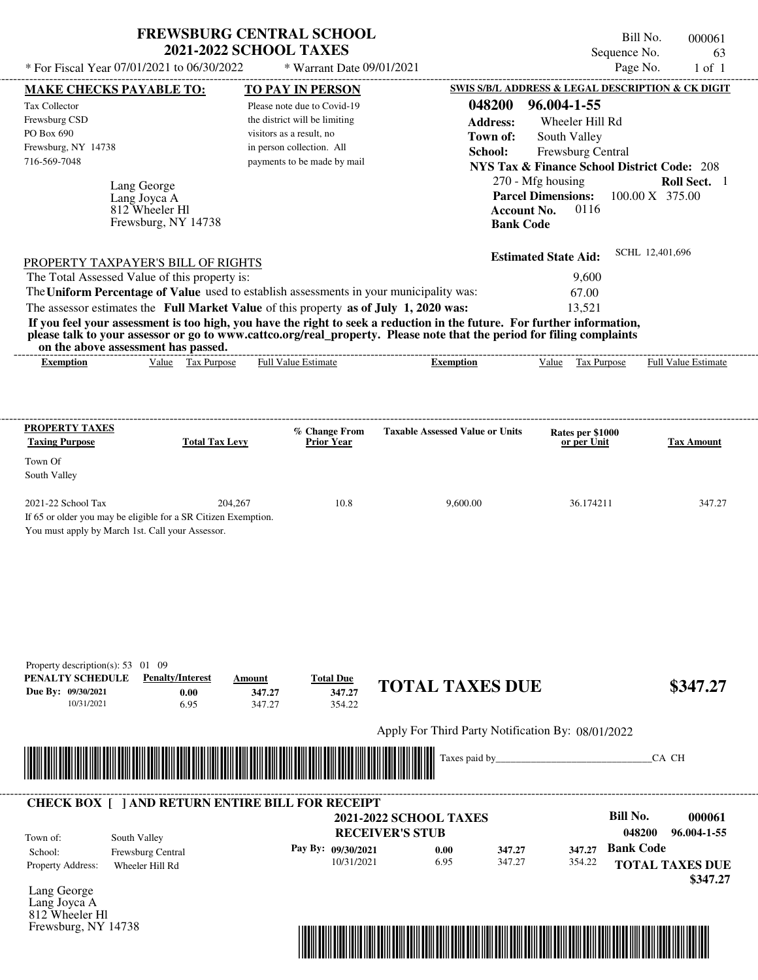| * For Fiscal Year 07/01/2021 to 06/30/2022                                                                                                                                                                                                                                                                                                                                                                                                                                                                                  | <b>FREWSBURG CENTRAL SCHOOL</b>                                      | <b>2021-2022 SCHOOL TAXES</b>                                                                                                                        | * Warrant Date 09/01/2021                  |                                                                      |                                                                                                                                                                                                               | Bill No.<br>Sequence No.<br>Page No. | 000061<br>63<br>$1$ of $1$  |
|-----------------------------------------------------------------------------------------------------------------------------------------------------------------------------------------------------------------------------------------------------------------------------------------------------------------------------------------------------------------------------------------------------------------------------------------------------------------------------------------------------------------------------|----------------------------------------------------------------------|------------------------------------------------------------------------------------------------------------------------------------------------------|--------------------------------------------|----------------------------------------------------------------------|---------------------------------------------------------------------------------------------------------------------------------------------------------------------------------------------------------------|--------------------------------------|-----------------------------|
| <b>MAKE CHECKS PAYABLE TO:</b>                                                                                                                                                                                                                                                                                                                                                                                                                                                                                              |                                                                      | <b>TO PAY IN PERSON</b>                                                                                                                              |                                            |                                                                      | SWIS S/B/L ADDRESS & LEGAL DESCRIPTION & CK DIGIT                                                                                                                                                             |                                      |                             |
| Tax Collector<br>Frewsburg CSD<br>PO Box 690<br>Frewsburg, NY 14738<br>716-569-7048                                                                                                                                                                                                                                                                                                                                                                                                                                         | Lang George<br>Lang Joyca A<br>812 Wheeler Hl<br>Frewsburg, NY 14738 | Please note due to Covid-19<br>the district will be limiting<br>visitors as a result, no<br>in person collection. All<br>payments to be made by mail |                                            | 048200<br><b>Address:</b><br>Town of:<br>School:<br><b>Bank Code</b> | 96.004-1-55<br>Wheeler Hill Rd<br>South Valley<br>Frewsburg Central<br><b>NYS Tax &amp; Finance School District Code: 208</b><br>270 - Mfg housing<br><b>Parcel Dimensions:</b><br><b>Account No.</b><br>0116 | 100.00 X 375.00                      | Roll Sect. 1                |
| PROPERTY TAXPAYER'S BILL OF RIGHTS<br>The Total Assessed Value of this property is:<br>The Uniform Percentage of Value used to establish assessments in your municipality was:<br>The assessor estimates the Full Market Value of this property as of July 1, 2020 was:<br>If you feel your assessment is too high, you have the right to seek a reduction in the future. For further information,<br>please talk to your assessor or go to www.cattco.org/real_property. Please note that the period for filing complaints |                                                                      |                                                                                                                                                      |                                            |                                                                      | <b>Estimated State Aid:</b><br>9,600<br>67.00<br>13,521                                                                                                                                                       | SCHL 12,401,696                      |                             |
| on the above assessment has passed.<br><b>Exemption</b>                                                                                                                                                                                                                                                                                                                                                                                                                                                                     | Value Tax Purpose                                                    | <b>Full Value Estimate</b>                                                                                                                           |                                            | <b>Exemption</b>                                                     | Value Tax Purpose                                                                                                                                                                                             |                                      | <b>Full Value Estimate</b>  |
| <b>PROPERTY TAXES</b><br><b>Taxing Purpose</b><br>Town Of<br>South Valley<br>2021-22 School Tax                                                                                                                                                                                                                                                                                                                                                                                                                             | <b>Total Tax Levy</b><br>204,267                                     |                                                                                                                                                      | % Change From<br><b>Prior Year</b><br>10.8 | <b>Taxable Assessed Value or Units</b><br>9,600.00                   | Rates per \$1000<br>or per Unit<br>36.174211                                                                                                                                                                  |                                      | <b>Tax Amount</b><br>347.27 |
| If 65 or older you may be eligible for a SR Citizen Exemption.<br>You must apply by March 1st. Call your Assessor.                                                                                                                                                                                                                                                                                                                                                                                                          |                                                                      |                                                                                                                                                      |                                            |                                                                      |                                                                                                                                                                                                               |                                      |                             |
|                                                                                                                                                                                                                                                                                                                                                                                                                                                                                                                             |                                                                      |                                                                                                                                                      | <b>Total Due</b>                           |                                                                      |                                                                                                                                                                                                               |                                      |                             |
| Property description(s): 53 01 09<br>PENALTY SCHEDULE<br>Due By: 09/30/2021<br>10/31/2021                                                                                                                                                                                                                                                                                                                                                                                                                                   | <b>Penalty/Interest</b><br>0.00<br>6.95                              | Amount<br>347.27<br>347.27                                                                                                                           | 347.27<br>354.22                           | <b>TOTAL TAXES DUE</b>                                               |                                                                                                                                                                                                               |                                      |                             |
|                                                                                                                                                                                                                                                                                                                                                                                                                                                                                                                             |                                                                      |                                                                                                                                                      |                                            |                                                                      | Apply For Third Party Notification By: 08/01/2022                                                                                                                                                             |                                      | \$347.27                    |



Lang George Lang Joyca A 812 Wheeler Hl Frewsburg, NY 14738

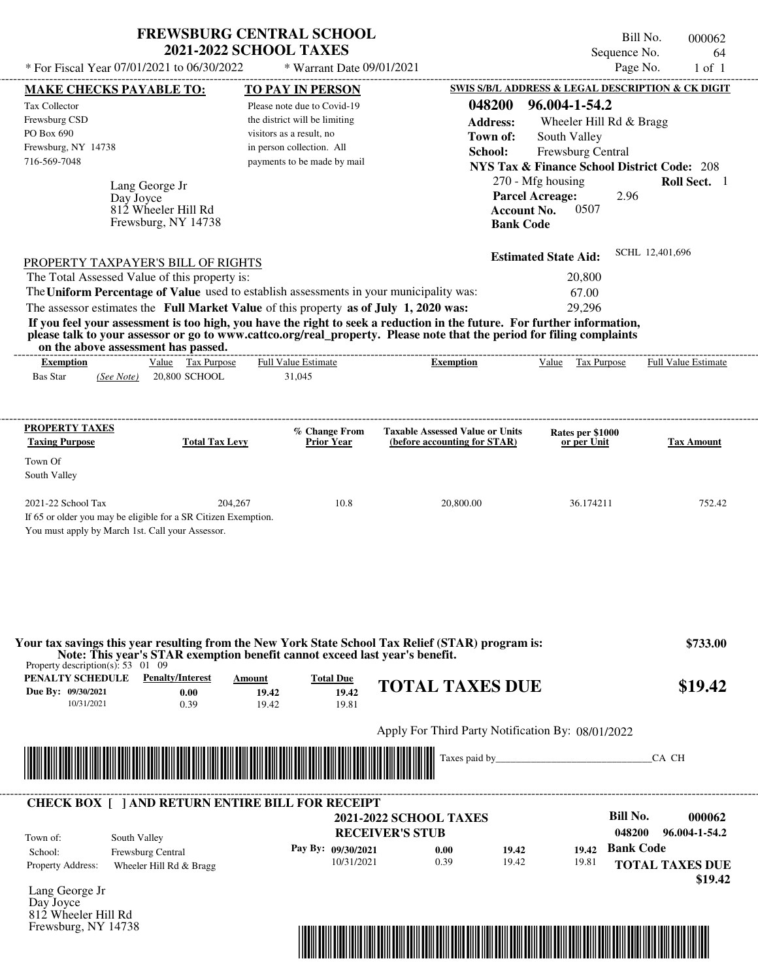| <b>FREWSBURG CENTRAL SCHOOL</b> |
|---------------------------------|
| <b>2021-2022 SCHOOL TAXES</b>   |

Bill No. 000062 Sequence No. 64<br>Page No. 1 of 1

| * For Fiscal Year 07/01/2021 to 06/30/2022                                                                                                                                                                                           |                   |                         |         | * Warrant Date 09/01/2021                                                                                               |                                   |                                                                        |                    |                                                        | Page No.         |                 | $1$ of $1$                 |
|--------------------------------------------------------------------------------------------------------------------------------------------------------------------------------------------------------------------------------------|-------------------|-------------------------|---------|-------------------------------------------------------------------------------------------------------------------------|-----------------------------------|------------------------------------------------------------------------|--------------------|--------------------------------------------------------|------------------|-----------------|----------------------------|
| <b>MAKE CHECKS PAYABLE TO:</b>                                                                                                                                                                                                       |                   |                         |         | <b>TO PAY IN PERSON</b>                                                                                                 |                                   |                                                                        |                    | SWIS S/B/L ADDRESS & LEGAL DESCRIPTION & CK DIGIT      |                  |                 |                            |
| <b>Tax Collector</b>                                                                                                                                                                                                                 |                   |                         |         | Please note due to Covid-19                                                                                             |                                   | 048200                                                                 |                    | 96.004-1-54.2                                          |                  |                 |                            |
| Frewsburg CSD                                                                                                                                                                                                                        |                   |                         |         | the district will be limiting                                                                                           |                                   | <b>Address:</b>                                                        |                    | Wheeler Hill Rd & Bragg                                |                  |                 |                            |
| PO Box 690                                                                                                                                                                                                                           |                   |                         |         | visitors as a result, no                                                                                                |                                   | Town of:                                                               |                    | South Valley                                           |                  |                 |                            |
| Frewsburg, NY 14738<br>716-569-7048                                                                                                                                                                                                  |                   |                         |         | in person collection. All                                                                                               |                                   | School:                                                                |                    | Frewsburg Central                                      |                  |                 |                            |
|                                                                                                                                                                                                                                      |                   |                         |         | payments to be made by mail                                                                                             |                                   |                                                                        |                    | <b>NYS Tax &amp; Finance School District Code: 208</b> |                  |                 |                            |
|                                                                                                                                                                                                                                      | Lang George Jr    |                         |         |                                                                                                                         |                                   |                                                                        |                    | 270 - Mfg housing                                      |                  |                 | Roll Sect. 1               |
|                                                                                                                                                                                                                                      | Day Joyce         | 812 Wheeler Hill Rd     |         |                                                                                                                         |                                   |                                                                        | <b>Account No.</b> | <b>Parcel Acreage:</b><br>0507                         | 2.96             |                 |                            |
|                                                                                                                                                                                                                                      |                   | Frewsburg, NY 14738     |         |                                                                                                                         |                                   |                                                                        | <b>Bank Code</b>   |                                                        |                  |                 |                            |
|                                                                                                                                                                                                                                      |                   |                         |         |                                                                                                                         |                                   |                                                                        |                    |                                                        |                  |                 |                            |
|                                                                                                                                                                                                                                      |                   |                         |         |                                                                                                                         |                                   |                                                                        |                    | <b>Estimated State Aid:</b>                            |                  | SCHL 12,401,696 |                            |
| PROPERTY TAXPAYER'S BILL OF RIGHTS<br>The Total Assessed Value of this property is:                                                                                                                                                  |                   |                         |         |                                                                                                                         |                                   |                                                                        |                    | 20,800                                                 |                  |                 |                            |
| The Uniform Percentage of Value used to establish assessments in your municipality was:                                                                                                                                              |                   |                         |         |                                                                                                                         |                                   |                                                                        |                    | 67.00                                                  |                  |                 |                            |
|                                                                                                                                                                                                                                      |                   |                         |         | The assessor estimates the Full Market Value of this property as of July 1, 2020 was:                                   |                                   |                                                                        |                    | 29,296                                                 |                  |                 |                            |
|                                                                                                                                                                                                                                      |                   |                         |         | If you feel your assessment is too high, you have the right to seek a reduction in the future. For further information, |                                   |                                                                        |                    |                                                        |                  |                 |                            |
|                                                                                                                                                                                                                                      |                   |                         |         | please talk to your assessor or go to www.cattco.org/real_property. Please note that the period for filing complaints   |                                   |                                                                        |                    |                                                        |                  |                 |                            |
| on the above assessment has passed.                                                                                                                                                                                                  |                   |                         |         |                                                                                                                         | --------------------------------- |                                                                        |                    |                                                        |                  |                 |                            |
| <b>Exemption</b>                                                                                                                                                                                                                     |                   | Value Tax Purpose       |         | <b>Full Value Estimate</b>                                                                                              |                                   | <b>Exemption</b>                                                       |                    | Value Tax Purpose                                      |                  |                 | <b>Full Value Estimate</b> |
| <b>Bas Star</b>                                                                                                                                                                                                                      | (See Note)        | 20,800 SCHOOL           |         | 31,045                                                                                                                  |                                   |                                                                        |                    |                                                        |                  |                 |                            |
|                                                                                                                                                                                                                                      |                   |                         |         |                                                                                                                         |                                   |                                                                        |                    |                                                        |                  |                 |                            |
|                                                                                                                                                                                                                                      |                   |                         |         |                                                                                                                         |                                   |                                                                        |                    |                                                        |                  |                 |                            |
| <b>PROPERTY TAXES</b><br><b>Taxing Purpose</b>                                                                                                                                                                                       |                   | <b>Total Tax Levy</b>   |         | % Change From<br><b>Prior Year</b>                                                                                      |                                   | <b>Taxable Assessed Value or Units</b><br>(before accounting for STAR) |                    | Rates per \$1000<br>or per Unit                        |                  |                 | <b>Tax Amount</b>          |
|                                                                                                                                                                                                                                      |                   |                         |         |                                                                                                                         |                                   |                                                                        |                    |                                                        |                  |                 |                            |
| Town Of<br>South Valley                                                                                                                                                                                                              |                   |                         |         |                                                                                                                         |                                   |                                                                        |                    |                                                        |                  |                 |                            |
|                                                                                                                                                                                                                                      |                   |                         |         |                                                                                                                         |                                   |                                                                        |                    |                                                        |                  |                 |                            |
| 2021-22 School Tax                                                                                                                                                                                                                   |                   |                         | 204,267 | 10.8                                                                                                                    |                                   | 20,800.00                                                              |                    | 36.174211                                              |                  |                 | 752.42                     |
| If 65 or older you may be eligible for a SR Citizen Exemption.                                                                                                                                                                       |                   |                         |         |                                                                                                                         |                                   |                                                                        |                    |                                                        |                  |                 |                            |
| You must apply by March 1st. Call your Assessor.                                                                                                                                                                                     |                   |                         |         |                                                                                                                         |                                   |                                                                        |                    |                                                        |                  |                 |                            |
|                                                                                                                                                                                                                                      |                   |                         |         |                                                                                                                         |                                   |                                                                        |                    |                                                        |                  |                 |                            |
|                                                                                                                                                                                                                                      |                   |                         |         |                                                                                                                         |                                   |                                                                        |                    |                                                        |                  |                 |                            |
|                                                                                                                                                                                                                                      |                   |                         |         |                                                                                                                         |                                   |                                                                        |                    |                                                        |                  |                 |                            |
|                                                                                                                                                                                                                                      |                   |                         |         |                                                                                                                         |                                   |                                                                        |                    |                                                        |                  |                 |                            |
|                                                                                                                                                                                                                                      |                   |                         |         |                                                                                                                         |                                   |                                                                        |                    |                                                        |                  |                 |                            |
|                                                                                                                                                                                                                                      |                   |                         |         | Your tax savings this year resulting from the New York State School Tax Relief (STAR) program is:                       |                                   |                                                                        |                    |                                                        |                  |                 | \$733.00                   |
|                                                                                                                                                                                                                                      |                   |                         |         | Note: This year's STAR exemption benefit cannot exceed last year's benefit.                                             |                                   |                                                                        |                    |                                                        |                  |                 |                            |
| Property description(s): $53 \quad 01 \quad 09$<br><b>PENALTY SCHEDULE</b> Penalty/Interest                                                                                                                                          |                   |                         | Amount  | <b>Total Due</b>                                                                                                        |                                   |                                                                        |                    |                                                        |                  |                 |                            |
| Due By: 09/30/2021                                                                                                                                                                                                                   |                   | 0.00                    | 19.42   | 19.42                                                                                                                   |                                   | <b>TOTAL TAXES DUE</b>                                                 |                    |                                                        |                  |                 | \$19.42                    |
| 10/31/2021                                                                                                                                                                                                                           |                   | 0.39                    | 19.42   | 19.81                                                                                                                   |                                   |                                                                        |                    |                                                        |                  |                 |                            |
|                                                                                                                                                                                                                                      |                   |                         |         |                                                                                                                         |                                   |                                                                        |                    |                                                        |                  |                 |                            |
|                                                                                                                                                                                                                                      |                   |                         |         |                                                                                                                         |                                   | Apply For Third Party Notification By: 08/01/2022                      |                    |                                                        |                  |                 |                            |
| <u> Indian American State of Barbara and The Barbara and The Barbara and The Barbara and The Barbara and The Barbara and The Barbara and The Barbara and The Barbara and The Barbara and The Barbara and The Barbara and The Bar</u> |                   |                         |         |                                                                                                                         |                                   |                                                                        |                    |                                                        |                  | CA CH           |                            |
|                                                                                                                                                                                                                                      |                   |                         |         |                                                                                                                         |                                   |                                                                        |                    |                                                        |                  |                 |                            |
|                                                                                                                                                                                                                                      |                   |                         |         |                                                                                                                         |                                   |                                                                        |                    |                                                        |                  |                 |                            |
|                                                                                                                                                                                                                                      |                   |                         |         | <b>CHECK BOX [ ] AND RETURN ENTIRE BILL FOR RECEIPT</b>                                                                 |                                   |                                                                        |                    |                                                        |                  |                 |                            |
|                                                                                                                                                                                                                                      |                   |                         |         |                                                                                                                         | <b>2021-2022 SCHOOL TAXES</b>     |                                                                        |                    |                                                        | <b>Bill No.</b>  |                 | 000062                     |
| Town of:                                                                                                                                                                                                                             | South Valley      |                         |         |                                                                                                                         | <b>RECEIVER'S STUB</b>            |                                                                        |                    |                                                        | 048200           |                 | 96.004-1-54.2              |
| School:                                                                                                                                                                                                                              | Frewsburg Central |                         |         | Pay By: 09/30/2021                                                                                                      |                                   | 0.00                                                                   | 19.42              | 19.42                                                  | <b>Bank Code</b> |                 |                            |
| Property Address:                                                                                                                                                                                                                    |                   | Wheeler Hill Rd & Bragg |         | 10/31/2021                                                                                                              |                                   | 0.39                                                                   | 19.42              | 19.81                                                  |                  |                 | <b>TOTAL TAXES DUE</b>     |
|                                                                                                                                                                                                                                      |                   |                         |         |                                                                                                                         |                                   |                                                                        |                    |                                                        |                  |                 | \$19.42                    |
| Lang George Jr<br>Day Joyce                                                                                                                                                                                                          |                   |                         |         |                                                                                                                         |                                   |                                                                        |                    |                                                        |                  |                 |                            |
| 812 Wheeler Hill Rd                                                                                                                                                                                                                  |                   |                         |         |                                                                                                                         |                                   |                                                                        |                    |                                                        |                  |                 |                            |
| Frewsburg, NY 14738                                                                                                                                                                                                                  |                   |                         |         |                                                                                                                         |                                   |                                                                        |                    |                                                        |                  |                 |                            |
|                                                                                                                                                                                                                                      |                   |                         |         |                                                                                                                         |                                   |                                                                        |                    |                                                        |                  |                 |                            |

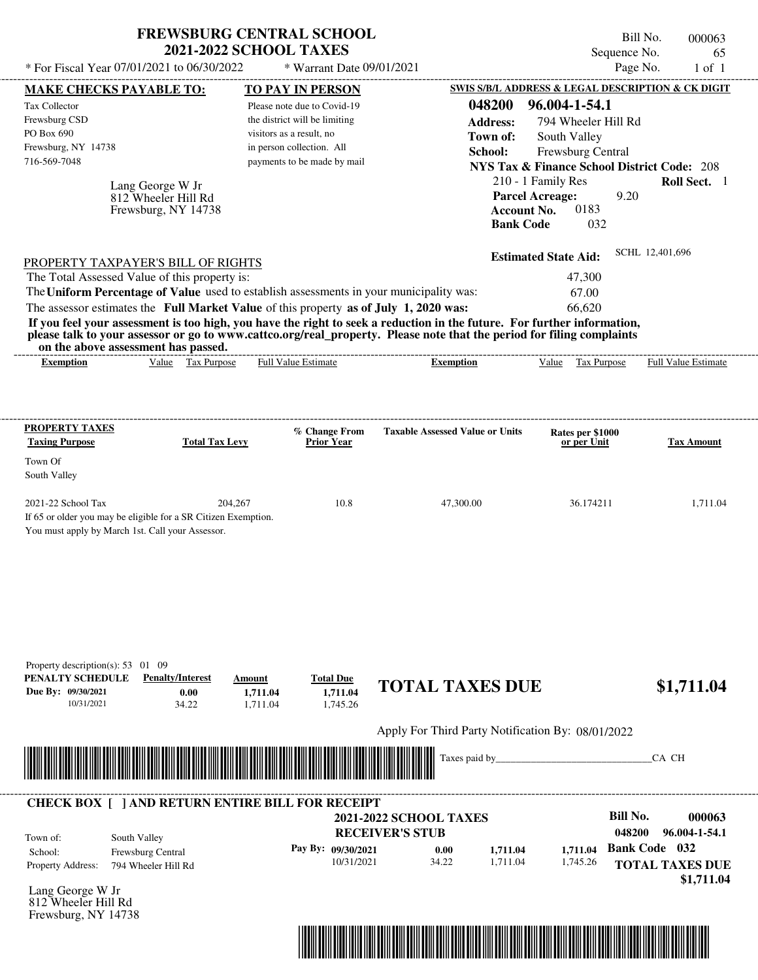| * For Fiscal Year 07/01/2021 to 06/30/2022                                                                                                                                                                                                                                                                                                                                                                                                                                                                                                                         | <b>FREWSBURG CENTRAL SCHOOL</b><br><b>2021-2022 SCHOOL TAXES</b>           | * Warrant Date 09/01/2021                                                                                                                            |                                                   | Sequence No.                                                                                                                                                                                                                                 | Bill No.<br>000063<br>65<br>Page No.<br>$1$ of $1$ |
|--------------------------------------------------------------------------------------------------------------------------------------------------------------------------------------------------------------------------------------------------------------------------------------------------------------------------------------------------------------------------------------------------------------------------------------------------------------------------------------------------------------------------------------------------------------------|----------------------------------------------------------------------------|------------------------------------------------------------------------------------------------------------------------------------------------------|---------------------------------------------------|----------------------------------------------------------------------------------------------------------------------------------------------------------------------------------------------------------------------------------------------|----------------------------------------------------|
| <b>MAKE CHECKS PAYABLE TO:</b>                                                                                                                                                                                                                                                                                                                                                                                                                                                                                                                                     |                                                                            | TO PAY IN PERSON                                                                                                                                     |                                                   | SWIS S/B/L ADDRESS & LEGAL DESCRIPTION & CK DIGIT                                                                                                                                                                                            |                                                    |
| <b>Tax Collector</b><br>Frewsburg CSD<br>PO Box 690<br>Frewsburg, NY 14738<br>716-569-7048<br>Lang George W Jr<br>812 Wheeler Hill Rd<br>Frewsburg, NY 14738                                                                                                                                                                                                                                                                                                                                                                                                       |                                                                            | Please note due to Covid-19<br>the district will be limiting<br>visitors as a result, no<br>in person collection. All<br>payments to be made by mail | 048200<br><b>Address:</b><br>Town of:<br>School:  | 96.004-1-54.1<br>794 Wheeler Hill Rd<br>South Valley<br>Frewsburg Central<br><b>NYS Tax &amp; Finance School District Code: 208</b><br>210 - 1 Family Res<br><b>Parcel Acreage:</b><br><b>Account No.</b><br>0183<br><b>Bank Code</b><br>032 | Roll Sect. 1<br>9.20                               |
| PROPERTY TAXPAYER'S BILL OF RIGHTS<br>The Total Assessed Value of this property is:<br>The Uniform Percentage of Value used to establish assessments in your municipality was:<br>The assessor estimates the Full Market Value of this property as of July 1, 2020 was:<br>If you feel your assessment is too high, you have the right to seek a reduction in the future. For further information,<br>please talk to your assessor or go to www.cattco.org/real_property. Please note that the period for filing complaints<br>on the above assessment has passed. |                                                                            |                                                                                                                                                      |                                                   | <b>Estimated State Aid:</b><br>47,300<br>67.00<br>66,620                                                                                                                                                                                     | SCHL 12,401,696                                    |
| <b>Exemption</b>                                                                                                                                                                                                                                                                                                                                                                                                                                                                                                                                                   | Value Tax Purpose                                                          | <b>Full Value Estimate</b>                                                                                                                           | <b>Exemption</b>                                  | Value Tax Purpose                                                                                                                                                                                                                            | Full Value Estimate                                |
| PROPERTY TAXES                                                                                                                                                                                                                                                                                                                                                                                                                                                                                                                                                     |                                                                            | % Change From                                                                                                                                        | <b>Taxable Assessed Value or Units</b>            | Rates per \$1000                                                                                                                                                                                                                             |                                                    |
| <b>Taxing Purpose</b><br>Town Of<br>South Valley                                                                                                                                                                                                                                                                                                                                                                                                                                                                                                                   | <b>Total Tax Levy</b>                                                      | <b>Prior Year</b>                                                                                                                                    |                                                   | or per Unit                                                                                                                                                                                                                                  | <b>Tax Amount</b>                                  |
| 2021-22 School Tax<br>If 65 or older you may be eligible for a SR Citizen Exemption.<br>You must apply by March 1st. Call your Assessor.                                                                                                                                                                                                                                                                                                                                                                                                                           | 204,267                                                                    | 10.8                                                                                                                                                 | 47,300.00                                         | 36.174211                                                                                                                                                                                                                                    | 1,711.04                                           |
| Property description(s): $53 \quad 01 \quad 09$<br>PENALTY SCHEDULE<br>Due By: 09/30/2021<br>10/31/2021                                                                                                                                                                                                                                                                                                                                                                                                                                                            | <b>Penalty/Interest</b><br>Amount<br>0.00<br>1,711.04<br>34.22<br>1,711.04 | <b>Total Due</b><br>1,711.04<br>1,745.26                                                                                                             | <b>TOTAL TAXES DUE</b>                            |                                                                                                                                                                                                                                              | \$1,711.04                                         |
|                                                                                                                                                                                                                                                                                                                                                                                                                                                                                                                                                                    |                                                                            |                                                                                                                                                      | Apply For Third Party Notification By: 08/01/2022 |                                                                                                                                                                                                                                              |                                                    |
|                                                                                                                                                                                                                                                                                                                                                                                                                                                                                                                                                                    |                                                                            |                                                                                                                                                      | Taxes paid by                                     |                                                                                                                                                                                                                                              | CA CH                                              |
|                                                                                                                                                                                                                                                                                                                                                                                                                                                                                                                                                                    |                                                                            |                                                                                                                                                      |                                                   |                                                                                                                                                                                                                                              |                                                    |

Lang George W Jr 812 Wheeler Hill Rd Frewsburg, NY 14738

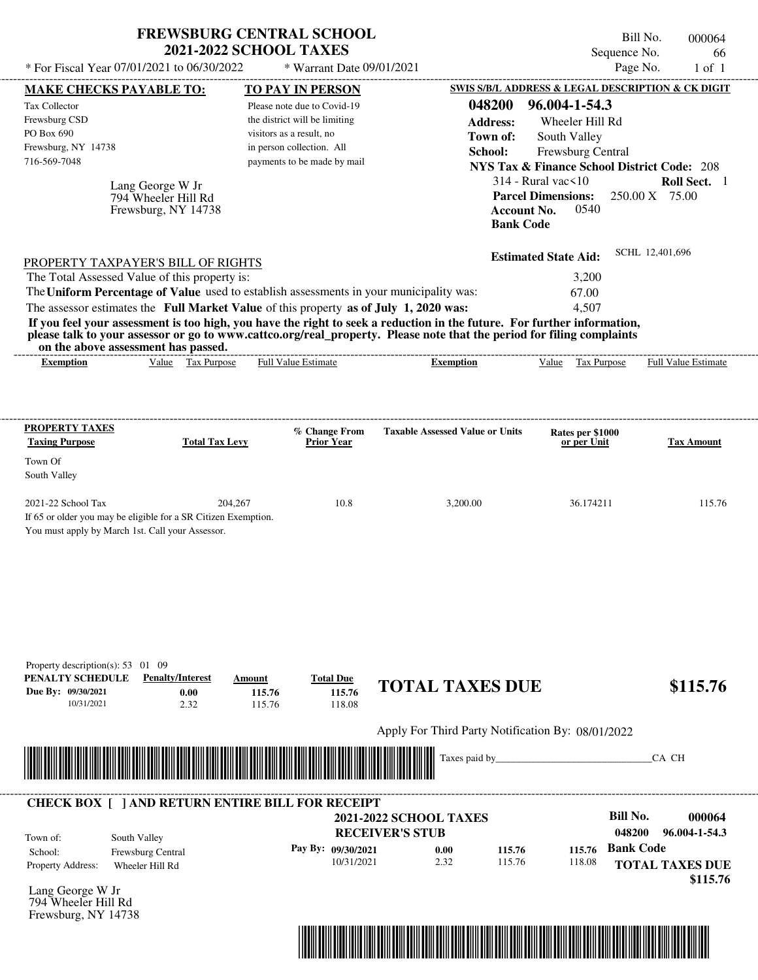|                                                                                                                                                                                  | <b>FREWSBURG CENTRAL SCHOOL</b><br><b>2021-2022 SCHOOL TAXES</b>      |                                      |                                                                                                                                                                                                                                                                      | Bill No.<br>Sequence No.                                         | 000064<br>66                   |
|----------------------------------------------------------------------------------------------------------------------------------------------------------------------------------|-----------------------------------------------------------------------|--------------------------------------|----------------------------------------------------------------------------------------------------------------------------------------------------------------------------------------------------------------------------------------------------------------------|------------------------------------------------------------------|--------------------------------|
| * For Fiscal Year 07/01/2021 to 06/30/2022                                                                                                                                       |                                                                       | * Warrant Date 09/01/2021            |                                                                                                                                                                                                                                                                      | Page No.                                                         | $1$ of $1$                     |
| <b>MAKE CHECKS PAYABLE TO:</b>                                                                                                                                                   |                                                                       | TO PAY IN PERSON                     |                                                                                                                                                                                                                                                                      | SWIS S/B/L ADDRESS & LEGAL DESCRIPTION & CK DIGIT                |                                |
| <b>Tax Collector</b>                                                                                                                                                             |                                                                       | Please note due to Covid-19          | 048200                                                                                                                                                                                                                                                               | 96.004-1-54.3                                                    |                                |
| Frewsburg CSD                                                                                                                                                                    |                                                                       | the district will be limiting        | <b>Address:</b>                                                                                                                                                                                                                                                      | Wheeler Hill Rd                                                  |                                |
| PO Box 690                                                                                                                                                                       |                                                                       | visitors as a result, no             | Town of:                                                                                                                                                                                                                                                             | South Valley                                                     |                                |
| Frewsburg, NY 14738                                                                                                                                                              |                                                                       | in person collection. All            | School:                                                                                                                                                                                                                                                              | Frewsburg Central                                                |                                |
| 716-569-7048                                                                                                                                                                     |                                                                       | payments to be made by mail          |                                                                                                                                                                                                                                                                      | <b>NYS Tax &amp; Finance School District Code: 208</b>           |                                |
| Lang George W Jr                                                                                                                                                                 | 794 Wheeler Hill Rd<br>Frewsburg, NY 14738                            |                                      | <b>Account No.</b><br><b>Bank Code</b>                                                                                                                                                                                                                               | $314$ - Rural vac $\leq 10$<br><b>Parcel Dimensions:</b><br>0540 | Roll Sect. 1<br>250.00 X 75.00 |
|                                                                                                                                                                                  |                                                                       |                                      |                                                                                                                                                                                                                                                                      | <b>Estimated State Aid:</b>                                      | SCHL 12,401,696                |
| PROPERTY TAXPAYER'S BILL OF RIGHTS                                                                                                                                               |                                                                       |                                      |                                                                                                                                                                                                                                                                      |                                                                  |                                |
| The Total Assessed Value of this property is:                                                                                                                                    |                                                                       |                                      |                                                                                                                                                                                                                                                                      | 3,200                                                            |                                |
| The Uniform Percentage of Value used to establish assessments in your municipality was:<br>The assessor estimates the Full Market Value of this property as of July 1, 2020 was: |                                                                       |                                      |                                                                                                                                                                                                                                                                      | 67.00<br>4,507                                                   |                                |
| on the above assessment has passed.<br><b>Exemption</b>                                                                                                                          | Value Tax Purpose                                                     | <b>Full Value Estimate</b>           | If you feel your assessment is too high, you have the right to seek a reduction in the future. For further information,<br>please talk to your assessor or go to www.cattco.org/real_property. Please note that the period for filing complaints<br><b>Exemption</b> | Value Tax Purpose                                                | Full Value Estimate            |
| PROPERTY TAXES<br><b>Taxing Purpose</b>                                                                                                                                          | <b>Total Tax Levy</b>                                                 | % Change From<br><b>Prior Year</b>   | <b>Taxable Assessed Value or Units</b>                                                                                                                                                                                                                               | Rates per \$1000<br>or per Unit                                  | <b>Tax Amount</b>              |
| Town Of<br>South Valley                                                                                                                                                          |                                                                       |                                      |                                                                                                                                                                                                                                                                      |                                                                  |                                |
| 2021-22 School Tax                                                                                                                                                               | 204,267                                                               | 10.8                                 | 3,200.00                                                                                                                                                                                                                                                             | 36.174211                                                        | 115.76                         |
| If 65 or older you may be eligible for a SR Citizen Exemption.<br>You must apply by March 1st. Call your Assessor.                                                               |                                                                       |                                      |                                                                                                                                                                                                                                                                      |                                                                  |                                |
| Property description(s): 53 01 09<br>PENALTY SCHEDULE<br>Due By: 09/30/2021<br>10/31/2021                                                                                        | <b>Penalty/Interest</b><br>Amount<br>0.00<br>115.76<br>2.32<br>115.76 | <b>Total Due</b><br>115.76<br>118.08 | <b>TOTAL TAXES DUE</b>                                                                                                                                                                                                                                               |                                                                  | \$115.76                       |
|                                                                                                                                                                                  |                                                                       |                                      | Apply For Third Party Notification By: 08/01/2022                                                                                                                                                                                                                    |                                                                  |                                |
|                                                                                                                                                                                  |                                                                       |                                      | Taxes paid by_                                                                                                                                                                                                                                                       |                                                                  | CA CH                          |
| <b>CHECK BOX [ ] AND RETURN ENTIRE BILL FOR RECEIPT</b>                                                                                                                          |                                                                       |                                      |                                                                                                                                                                                                                                                                      |                                                                  |                                |
|                                                                                                                                                                                  |                                                                       |                                      | <b>2021-2022 SCHOOL TAXES</b>                                                                                                                                                                                                                                        | <b>Bill No.</b>                                                  | 000064                         |
| South Valley<br>Town of:                                                                                                                                                         |                                                                       |                                      | <b>RECEIVER'S STUB</b>                                                                                                                                                                                                                                               | 048200                                                           | 96.004-1-54.3                  |
| Frewsburg Central<br>School:                                                                                                                                                     |                                                                       | Pay By: 09/30/2021                   | 0.00<br>115.76                                                                                                                                                                                                                                                       | <b>Bank Code</b><br>115.76                                       |                                |
| Property Address:<br>Wheeler Hill Rd                                                                                                                                             |                                                                       | 10/31/2021                           | 2.32<br>115.76                                                                                                                                                                                                                                                       | 118.08                                                           | <b>TOTAL TAXES DUE</b>         |
|                                                                                                                                                                                  |                                                                       |                                      |                                                                                                                                                                                                                                                                      |                                                                  | \$115.76                       |
|                                                                                                                                                                                  |                                                                       |                                      |                                                                                                                                                                                                                                                                      |                                                                  |                                |

Lang George W Jr 794 Wheeler Hill Rd Frewsburg, NY 14738

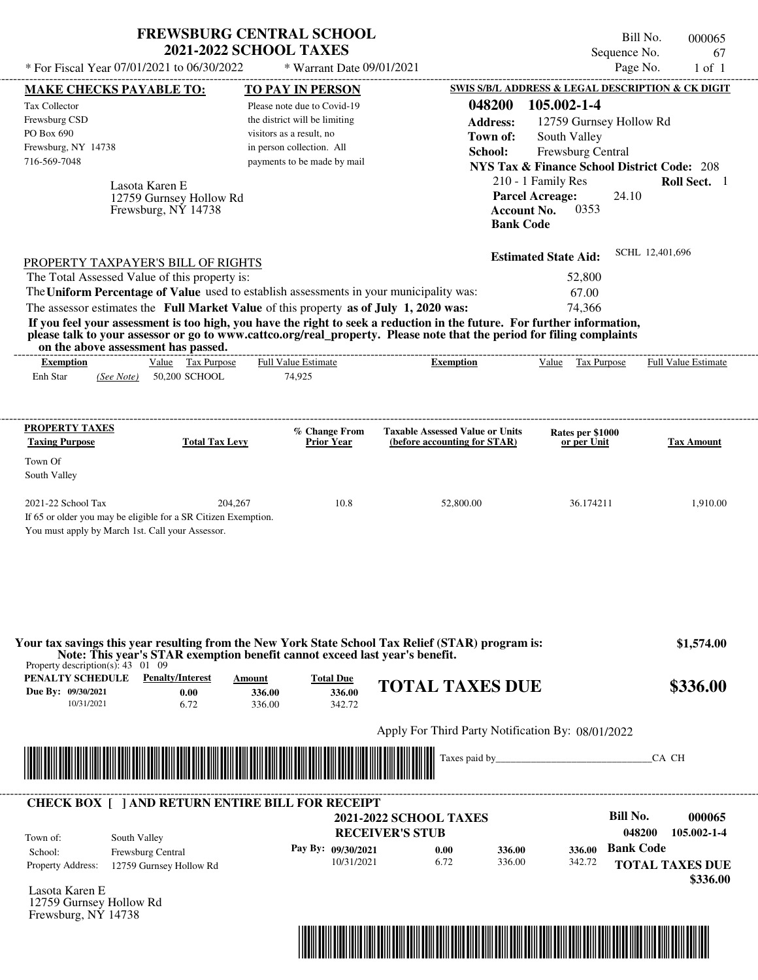| <b>FREWSBURG CENTRAL SCHOOL</b>                |                             |  |  |  |  |  |
|------------------------------------------------|-----------------------------|--|--|--|--|--|
| <b>2021-2022 SCHOOL TAXES</b>                  |                             |  |  |  |  |  |
| * For Fiscal Year $07/01/2021$ to $06/30/2022$ | $*$ Warrant Date 09/01/2021 |  |  |  |  |  |

Bill No. 000065 Sequence No. 67<br>Page No. 1 of 1

|                                                                                                                                                                                  | <b>MAKE CHECKS PAYABLE TO:</b>                | <b>TO PAY IN PERSON</b>                                                     |                        |                                                   |                                        | SWIS S/B/L ADDRESS & LEGAL DESCRIPTION & CK DIGIT      |                  |                                    |
|----------------------------------------------------------------------------------------------------------------------------------------------------------------------------------|-----------------------------------------------|-----------------------------------------------------------------------------|------------------------|---------------------------------------------------|----------------------------------------|--------------------------------------------------------|------------------|------------------------------------|
| <b>Tax Collector</b>                                                                                                                                                             |                                               | Please note due to Covid-19                                                 |                        |                                                   | 048200                                 | 105.002-1-4                                            |                  |                                    |
| Frewsburg CSD                                                                                                                                                                    |                                               | the district will be limiting                                               |                        |                                                   | <b>Address:</b>                        | 12759 Gurnsey Hollow Rd                                |                  |                                    |
| PO Box 690                                                                                                                                                                       |                                               | visitors as a result, no                                                    |                        |                                                   | Town of:                               | South Valley                                           |                  |                                    |
| Frewsburg, NY 14738                                                                                                                                                              |                                               | in person collection. All                                                   |                        |                                                   | School:                                | Frewsburg Central                                      |                  |                                    |
| 716-569-7048                                                                                                                                                                     |                                               | payments to be made by mail                                                 |                        |                                                   |                                        | <b>NYS Tax &amp; Finance School District Code: 208</b> |                  |                                    |
|                                                                                                                                                                                  |                                               |                                                                             |                        |                                                   |                                        |                                                        |                  |                                    |
|                                                                                                                                                                                  | Lasota Karen E                                |                                                                             |                        |                                                   |                                        | 210 - 1 Family Res                                     |                  | Roll Sect. 1                       |
|                                                                                                                                                                                  | 12759 Gurnsey Hollow Rd                       |                                                                             |                        |                                                   |                                        | <b>Parcel Acreage:</b>                                 | 24.10            |                                    |
|                                                                                                                                                                                  | Frewsburg, NY 14738                           |                                                                             |                        |                                                   | <b>Account No.</b><br><b>Bank Code</b> | 0353                                                   |                  |                                    |
|                                                                                                                                                                                  |                                               |                                                                             |                        |                                                   |                                        |                                                        |                  |                                    |
| PROPERTY TAXPAYER'S BILL OF RIGHTS                                                                                                                                               |                                               |                                                                             |                        |                                                   |                                        | <b>Estimated State Aid:</b>                            | SCHL 12,401,696  |                                    |
| The Total Assessed Value of this property is:                                                                                                                                    |                                               |                                                                             |                        |                                                   |                                        | 52,800                                                 |                  |                                    |
| The Uniform Percentage of Value used to establish assessments in your municipality was:                                                                                          |                                               |                                                                             |                        |                                                   |                                        | 67.00                                                  |                  |                                    |
| The assessor estimates the Full Market Value of this property as of July 1, 2020 was:                                                                                            |                                               |                                                                             |                        |                                                   |                                        | 74,366                                                 |                  |                                    |
| If you feel your assessment is too high, you have the right to seek a reduction in the future. For further information,                                                          |                                               |                                                                             |                        |                                                   |                                        |                                                        |                  |                                    |
| please talk to your assessor or go to www.cattco.org/real_property. Please note that the period for filing complaints                                                            |                                               |                                                                             |                        |                                                   |                                        |                                                        |                  |                                    |
| on the above assessment has passed.                                                                                                                                              |                                               | <b>Full Value Estimate</b>                                                  |                        |                                                   |                                        |                                                        |                  |                                    |
| <b>Exemption</b><br>Enh Star                                                                                                                                                     | Value Tax Purpose<br>(See Note) 50,200 SCHOOL | 74,925                                                                      |                        | <b>Exemption</b>                                  |                                        | Value Tax Purpose                                      |                  | <b>Full Value Estimate</b>         |
|                                                                                                                                                                                  |                                               |                                                                             |                        |                                                   |                                        |                                                        |                  |                                    |
|                                                                                                                                                                                  |                                               |                                                                             |                        |                                                   |                                        |                                                        |                  |                                    |
| <b>PROPERTY TAXES</b>                                                                                                                                                            |                                               | % Change From                                                               |                        | <b>Taxable Assessed Value or Units</b>            |                                        | Rates per \$1000                                       |                  |                                    |
| <b>Taxing Purpose</b>                                                                                                                                                            | <b>Total Tax Levy</b>                         | <b>Prior Year</b>                                                           |                        | (before accounting for STAR)                      |                                        | or per Unit                                            |                  | <b>Tax Amount</b>                  |
| Town Of                                                                                                                                                                          |                                               |                                                                             |                        |                                                   |                                        |                                                        |                  |                                    |
| South Valley                                                                                                                                                                     |                                               |                                                                             |                        |                                                   |                                        |                                                        |                  |                                    |
| 2021-22 School Tax                                                                                                                                                               | 204,267                                       |                                                                             | 10.8                   | 52,800.00                                         |                                        | 36.174211                                              |                  | 1,910.00                           |
|                                                                                                                                                                                  |                                               |                                                                             |                        |                                                   |                                        |                                                        |                  |                                    |
|                                                                                                                                                                                  |                                               |                                                                             |                        |                                                   |                                        |                                                        |                  |                                    |
|                                                                                                                                                                                  |                                               |                                                                             |                        |                                                   |                                        |                                                        |                  |                                    |
|                                                                                                                                                                                  |                                               |                                                                             |                        |                                                   |                                        |                                                        |                  |                                    |
|                                                                                                                                                                                  |                                               |                                                                             |                        |                                                   |                                        |                                                        |                  |                                    |
|                                                                                                                                                                                  |                                               |                                                                             |                        |                                                   |                                        |                                                        |                  |                                    |
| If 65 or older you may be eligible for a SR Citizen Exemption.<br>You must apply by March 1st. Call your Assessor.                                                               |                                               |                                                                             |                        |                                                   |                                        |                                                        |                  |                                    |
|                                                                                                                                                                                  |                                               |                                                                             |                        |                                                   |                                        |                                                        |                  |                                    |
|                                                                                                                                                                                  |                                               |                                                                             |                        |                                                   |                                        |                                                        |                  | \$1,574.00                         |
| Your tax savings this year resulting from the New York State School Tax Relief (STAR) program is:<br>Property description(s): $43 \quad 01 \quad 09$                             |                                               | Note: This year's STAR exemption benefit cannot exceed last year's benefit. |                        |                                                   |                                        |                                                        |                  |                                    |
|                                                                                                                                                                                  |                                               | <b>Total Due</b><br>Amount                                                  |                        |                                                   |                                        |                                                        |                  |                                    |
|                                                                                                                                                                                  | 0.00                                          | 336.00                                                                      | 336.00                 | <b>TOTAL TAXES DUE</b>                            |                                        |                                                        |                  | \$336.00                           |
| 10/31/2021                                                                                                                                                                       | 6.72                                          | 336.00                                                                      | 342.72                 |                                                   |                                        |                                                        |                  |                                    |
| <b>PENALTY SCHEDULE</b> Penalty/Interest<br>Due By: 09/30/2021                                                                                                                   |                                               |                                                                             |                        | Apply For Third Party Notification By: 08/01/2022 |                                        |                                                        |                  |                                    |
|                                                                                                                                                                                  |                                               |                                                                             |                        |                                                   |                                        |                                                        |                  |                                    |
|                                                                                                                                                                                  |                                               |                                                                             |                        |                                                   |                                        |                                                        |                  | CA CH                              |
|                                                                                                                                                                                  |                                               |                                                                             |                        |                                                   |                                        |                                                        |                  |                                    |
| <u> Maria Alemania de Santiago de la contrada de la contrada de la contrada de la contrada de la contrada de la c</u><br><b>CHECK BOX [ ] AND RETURN ENTIRE BILL FOR RECEIPT</b> |                                               |                                                                             |                        |                                                   |                                        |                                                        |                  |                                    |
|                                                                                                                                                                                  |                                               |                                                                             |                        | <b>2021-2022 SCHOOL TAXES</b>                     |                                        |                                                        | <b>Bill No.</b>  | 000065                             |
| Town of:                                                                                                                                                                         |                                               |                                                                             | <b>RECEIVER'S STUB</b> |                                                   |                                        |                                                        | 048200           | 105.002-1-4                        |
| South Valley<br>School:                                                                                                                                                          | Frewsburg Central                             | Pay By: 09/30/2021                                                          |                        | 0.00                                              | 336.00                                 | 336.00                                                 | <b>Bank Code</b> |                                    |
| <b>Property Address:</b>                                                                                                                                                         | 12759 Gurnsey Hollow Rd                       |                                                                             | 10/31/2021             | 6.72                                              | 336.00                                 | 342.72                                                 |                  |                                    |
| Lasota Karen E                                                                                                                                                                   |                                               |                                                                             |                        |                                                   |                                        |                                                        |                  | <b>TOTAL TAXES DUE</b><br>\$336.00 |

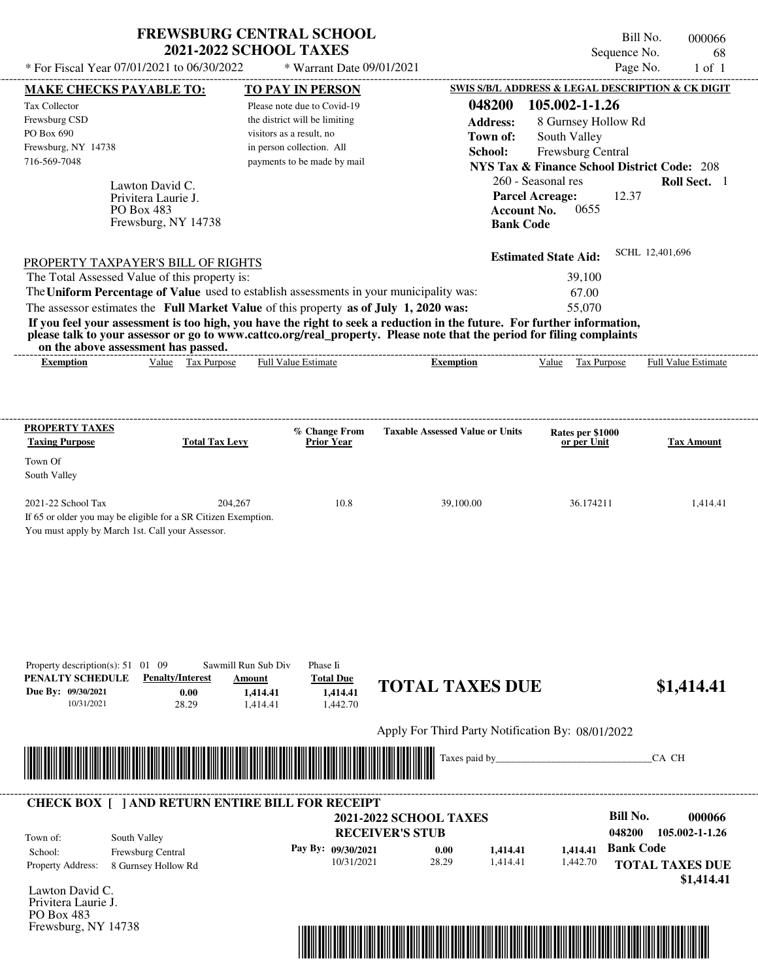| <b>FREWSBURG CENTRAL SCHOOL</b> |
|---------------------------------|
| <b>2021-2022 SCHOOL TAXES</b>   |

Bill No. 000066 Sequence No. 68

| * For Fiscal Year 07/01/2021 to 06/30/2022                                                                                               |                                   | * Warrant Date 09/01/2021                             |                                                                                                                         |                             | Page No.<br>$1$ of $1$                                 |
|------------------------------------------------------------------------------------------------------------------------------------------|-----------------------------------|-------------------------------------------------------|-------------------------------------------------------------------------------------------------------------------------|-----------------------------|--------------------------------------------------------|
| <b>MAKE CHECKS PAYABLE TO:</b>                                                                                                           |                                   | <b>TO PAY IN PERSON</b>                               |                                                                                                                         |                             | SWIS S/B/L ADDRESS & LEGAL DESCRIPTION & CK DIGIT      |
| Tax Collector                                                                                                                            |                                   | Please note due to Covid-19                           | 048200                                                                                                                  | 105.002-1-1.26              |                                                        |
| Frewsburg CSD<br>PO Box 690                                                                                                              |                                   | the district will be limiting                         | <b>Address:</b>                                                                                                         | 8 Gurnsey Hollow Rd         |                                                        |
| Frewsburg, NY 14738                                                                                                                      |                                   | visitors as a result, no<br>in person collection. All | Town of:                                                                                                                | South Valley                |                                                        |
| 716-569-7048                                                                                                                             |                                   | payments to be made by mail                           | School:                                                                                                                 | Frewsburg Central           | <b>NYS Tax &amp; Finance School District Code: 208</b> |
|                                                                                                                                          |                                   |                                                       |                                                                                                                         | 260 - Seasonal res          | Roll Sect. 1                                           |
| Lawton David C.<br>Privitera Laurie J.                                                                                                   |                                   |                                                       |                                                                                                                         | <b>Parcel Acreage:</b>      | 12.37                                                  |
| PO Box 483                                                                                                                               |                                   |                                                       |                                                                                                                         | <b>Account No.</b><br>0655  |                                                        |
|                                                                                                                                          | Frewsburg, NY 14738               |                                                       |                                                                                                                         | <b>Bank Code</b>            |                                                        |
|                                                                                                                                          |                                   |                                                       |                                                                                                                         |                             | SCHL 12,401,696                                        |
| PROPERTY TAXPAYER'S BILL OF RIGHTS                                                                                                       |                                   |                                                       |                                                                                                                         | <b>Estimated State Aid:</b> |                                                        |
| The Total Assessed Value of this property is:<br>The Uniform Percentage of Value used to establish assessments in your municipality was: |                                   |                                                       |                                                                                                                         | 39,100                      |                                                        |
| The assessor estimates the Full Market Value of this property as of July 1, 2020 was:                                                    |                                   |                                                       |                                                                                                                         | 67.00<br>55,070             |                                                        |
|                                                                                                                                          |                                   |                                                       | If you feel your assessment is too high, you have the right to seek a reduction in the future. For further information, |                             |                                                        |
|                                                                                                                                          |                                   |                                                       | please talk to your assessor or go to www.cattco.org/real_property. Please note that the period for filing complaints   |                             |                                                        |
| on the above assessment has passed.                                                                                                      |                                   |                                                       |                                                                                                                         |                             |                                                        |
| <b>Exemption</b>                                                                                                                         | Value Tax Purpose                 | Full Value Estimate                                   | <b>Exemption</b>                                                                                                        | Value Tax Purpose           | Full Value Estimate                                    |
|                                                                                                                                          |                                   |                                                       |                                                                                                                         |                             |                                                        |
|                                                                                                                                          |                                   |                                                       |                                                                                                                         |                             |                                                        |
| <b>PROPERTY TAXES</b>                                                                                                                    |                                   | % Change From                                         | <b>Taxable Assessed Value or Units</b>                                                                                  | Rates per \$1000            |                                                        |
| <b>Taxing Purpose</b>                                                                                                                    | <b>Total Tax Levy</b>             | <b>Prior Year</b>                                     |                                                                                                                         | or per Unit                 | <b>Tax Amount</b>                                      |
| Town Of<br>South Valley                                                                                                                  |                                   |                                                       |                                                                                                                         |                             |                                                        |
|                                                                                                                                          |                                   |                                                       |                                                                                                                         |                             |                                                        |
| 2021-22 School Tax                                                                                                                       | 204,267                           | 10.8                                                  | 39,100.00                                                                                                               | 36.174211                   | 1,414.41                                               |
| If 65 or older you may be eligible for a SR Citizen Exemption.                                                                           |                                   |                                                       |                                                                                                                         |                             |                                                        |
| You must apply by March 1st. Call your Assessor.                                                                                         |                                   |                                                       |                                                                                                                         |                             |                                                        |
|                                                                                                                                          |                                   |                                                       |                                                                                                                         |                             |                                                        |
|                                                                                                                                          |                                   |                                                       |                                                                                                                         |                             |                                                        |
|                                                                                                                                          |                                   |                                                       |                                                                                                                         |                             |                                                        |
|                                                                                                                                          |                                   |                                                       |                                                                                                                         |                             |                                                        |
|                                                                                                                                          |                                   |                                                       |                                                                                                                         |                             |                                                        |
|                                                                                                                                          |                                   |                                                       |                                                                                                                         |                             |                                                        |
| Property description(s): $51 \quad 01 \quad 09$                                                                                          | Sawmill Run Sub Div               | Phase Ii                                              |                                                                                                                         |                             |                                                        |
| PENALTY SCHEDULE                                                                                                                         | <b>Penalty/Interest</b><br>Amount | <b>Total Due</b>                                      | <b>TOTAL TAXES DUE</b>                                                                                                  |                             | \$1,414.41                                             |
| Due By: 09/30/2021<br>10/31/2021                                                                                                         | 0.00<br>28.29                     | 1,414.41<br>1,414.41<br>1,442.70<br>1,414.41          |                                                                                                                         |                             |                                                        |
|                                                                                                                                          |                                   |                                                       |                                                                                                                         |                             |                                                        |
|                                                                                                                                          |                                   |                                                       | Apply For Third Party Notification By: 08/01/2022                                                                       |                             |                                                        |
|                                                                                                                                          |                                   |                                                       | Taxes paid by_                                                                                                          |                             | CA CH                                                  |
|                                                                                                                                          |                                   |                                                       |                                                                                                                         |                             |                                                        |
|                                                                                                                                          |                                   |                                                       |                                                                                                                         |                             |                                                        |
| <b>CHECK BOX [ ] AND RETURN ENTIRE BILL FOR RECEIPT</b>                                                                                  |                                   |                                                       |                                                                                                                         |                             |                                                        |
|                                                                                                                                          |                                   |                                                       | <b>2021-2022 SCHOOL TAXES</b>                                                                                           |                             | <b>Bill No.</b><br>000066                              |
| South Valley<br>Town of:                                                                                                                 |                                   |                                                       | <b>RECEIVER'S STUB</b>                                                                                                  |                             | 048200<br>105.002-1-1.26                               |
| Frewsburg Central<br>School:                                                                                                             |                                   | Pay By: 09/30/2021<br>10/31/2021                      | 0.00<br>1,414.41<br>28.29<br>1,414.41                                                                                   | 1,414.41<br>1,442.70        | <b>Bank Code</b>                                       |
| Property Address:<br>8 Gurnsey Hollow Rd                                                                                                 |                                   |                                                       |                                                                                                                         |                             | <b>TOTAL TAXES DUE</b><br>\$1,414.41                   |
| Lawton David C.                                                                                                                          |                                   |                                                       |                                                                                                                         |                             |                                                        |
| Privitera Laurie J.                                                                                                                      |                                   |                                                       |                                                                                                                         |                             |                                                        |
| PO Box 483<br>Frewsburg, NY 14738                                                                                                        |                                   |                                                       |                                                                                                                         |                             |                                                        |
|                                                                                                                                          |                                   |                                                       |                                                                                                                         |                             |                                                        |

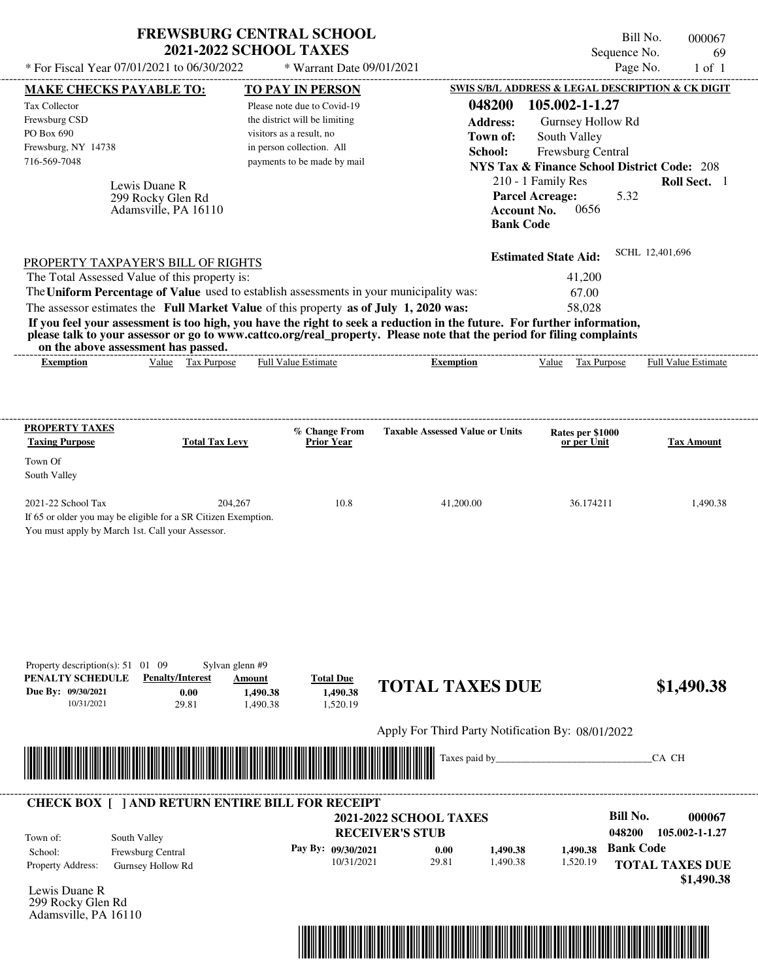| * For Fiscal Year 07/01/2021 to 06/30/2022                                                                                                                                                                                                                                                                     | <b>FREWSBURG CENTRAL SCHOOL</b><br><b>2021-2022 SCHOOL TAXES</b>                              | * Warrant Date 09/01/2021                                                                                                                                                |                                                                                                                                                                                                                                                  | Sequence No.<br>Page No.                                                                                                                                                                                                                                       | Bill No.<br>000067<br>69<br>$1$ of $1$                           |
|----------------------------------------------------------------------------------------------------------------------------------------------------------------------------------------------------------------------------------------------------------------------------------------------------------------|-----------------------------------------------------------------------------------------------|--------------------------------------------------------------------------------------------------------------------------------------------------------------------------|--------------------------------------------------------------------------------------------------------------------------------------------------------------------------------------------------------------------------------------------------|----------------------------------------------------------------------------------------------------------------------------------------------------------------------------------------------------------------------------------------------------------------|------------------------------------------------------------------|
|                                                                                                                                                                                                                                                                                                                |                                                                                               |                                                                                                                                                                          |                                                                                                                                                                                                                                                  |                                                                                                                                                                                                                                                                |                                                                  |
| <b>MAKE CHECKS PAYABLE TO:</b><br><b>Tax Collector</b><br>Frewsburg CSD<br>PO Box 690<br>Frewsburg, NY 14738<br>716-569-7048<br>Lewis Duane R<br>299 Rocky Glen Rd                                                                                                                                             | Adamsville, PA 16110                                                                          | TO PAY IN PERSON<br>Please note due to Covid-19<br>the district will be limiting<br>visitors as a result, no<br>in person collection. All<br>payments to be made by mail | 048200<br><b>Address:</b><br>Town of:<br>School:<br><b>Account No.</b><br><b>Bank Code</b>                                                                                                                                                       | SWIS S/B/L ADDRESS & LEGAL DESCRIPTION & CK DIGIT<br>105.002-1-1.27<br>Gurnsey Hollow Rd<br>South Valley<br><b>Frewsburg Central</b><br><b>NYS Tax &amp; Finance School District Code: 208</b><br>210 - 1 Family Res<br><b>Parcel Acreage:</b><br>5.32<br>0656 | Roll Sect. 1                                                     |
| PROPERTY TAXPAYER'S BILL OF RIGHTS<br>The Total Assessed Value of this property is:<br>The Uniform Percentage of Value used to establish assessments in your municipality was:<br>The assessor estimates the Full Market Value of this property as of July 1, 2020 was:<br>on the above assessment has passed. |                                                                                               |                                                                                                                                                                          | If you feel your assessment is too high, you have the right to seek a reduction in the future. For further information,<br>please talk to your assessor or go to www.cattco.org/real_property. Please note that the period for filing complaints | <b>Estimated State Aid:</b><br>41,200<br>67.00<br>58,028                                                                                                                                                                                                       | SCHL 12,401,696                                                  |
| <b>Exemption</b>                                                                                                                                                                                                                                                                                               | Value Tax Purpose                                                                             | <b>Full Value Estimate</b>                                                                                                                                               | <b>Exemption</b>                                                                                                                                                                                                                                 | Value Tax Purpose                                                                                                                                                                                                                                              | Full Value Estimate                                              |
| PROPERTY TAXES<br><b>Taxing Purpose</b><br>Town Of<br>South Valley                                                                                                                                                                                                                                             | <b>Total Tax Levy</b>                                                                         | % Change From<br><b>Prior Year</b>                                                                                                                                       | <b>Taxable Assessed Value or Units</b>                                                                                                                                                                                                           | Rates per \$1000<br>or per Unit                                                                                                                                                                                                                                | <b>Tax Amount</b>                                                |
| 2021-22 School Tax<br>If 65 or older you may be eligible for a SR Citizen Exemption.<br>You must apply by March 1st. Call your Assessor.                                                                                                                                                                       | 204,267                                                                                       | 10.8                                                                                                                                                                     | 41,200.00                                                                                                                                                                                                                                        | 36.174211                                                                                                                                                                                                                                                      | 1,490.38                                                         |
| Property description(s): $51 \quad 01 \quad 09$<br>PENALTY SCHEDULE<br>Due By: 09/30/2021<br>10/31/2021                                                                                                                                                                                                        | Sylvan glenn #9<br><b>Penalty/Interest</b><br>Amount<br>0.00<br>1,490.38<br>29.81<br>1,490.38 | <b>Total Due</b><br>1,490.38<br>1,520.19                                                                                                                                 | <b>TOTAL TAXES DUE</b>                                                                                                                                                                                                                           |                                                                                                                                                                                                                                                                | \$1,490.38                                                       |
|                                                                                                                                                                                                                                                                                                                |                                                                                               |                                                                                                                                                                          | Apply For Third Party Notification By: 08/01/2022<br>Taxes paid by_                                                                                                                                                                              |                                                                                                                                                                                                                                                                | CA CH                                                            |
| <b>CHECK BOX [ ] AND RETURN ENTIRE BILL FOR RECEIPT</b><br>South Valley<br>Town of:<br>Frewsburg Central<br>School:<br>Property Address:<br>Gurnsey Hollow Rd                                                                                                                                                  |                                                                                               | Pay By: 09/30/2021<br>10/31/2021                                                                                                                                         | <b>2021-2022 SCHOOL TAXES</b><br><b>RECEIVER'S STUB</b><br>0.00<br>1,490.38<br>29.81<br>1,490.38                                                                                                                                                 | <b>Bill No.</b><br>048200<br><b>Bank Code</b><br>1,490.38<br>1,520.19                                                                                                                                                                                          | 000067<br>105.002-1-1.27<br><b>TOTAL TAXES DUE</b><br>\$1,490.38 |

Lewis Duane R 299 Rocky Glen Rd Adamsville, PA 16110

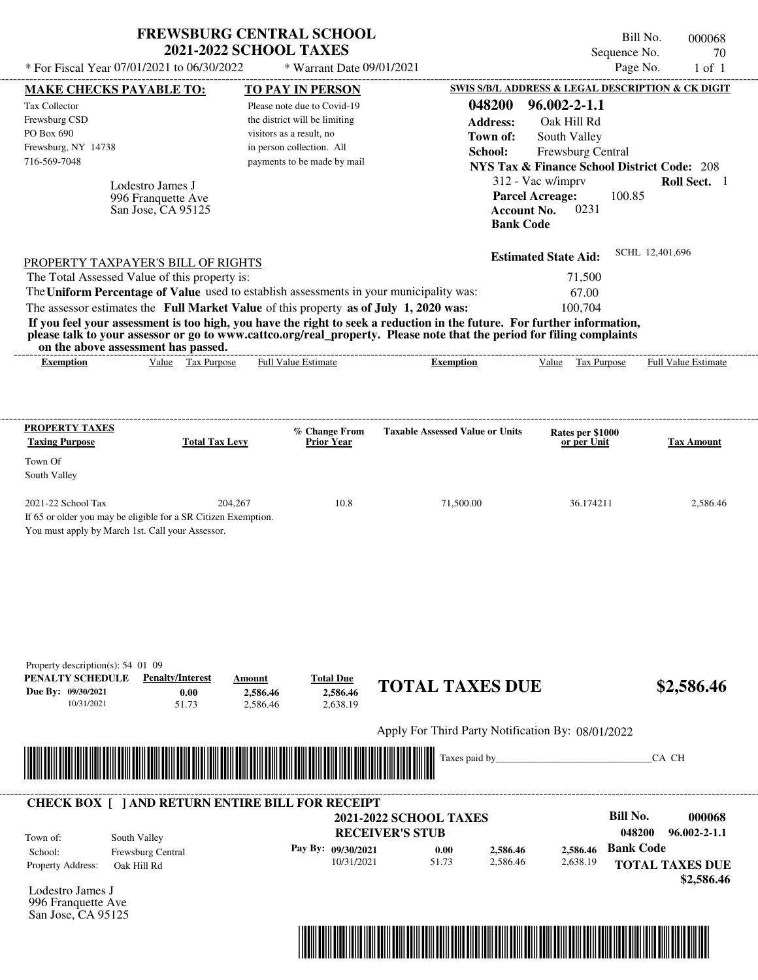| * For Fiscal Year 07/01/2021 to 06/30/2022                                                                                                                                                                                                                                                                     | <b>FREWSBURG CENTRAL SCHOOL</b>                              | <b>2021-2022 SCHOOL TAXES</b>                                                                                                                        | * Warrant Date 09/01/2021                                  |                                                                                                                                                                                                                                                  |                                                                           | Bill No.<br>000068<br>Sequence No.<br>70<br>Page No.<br>$1$ of $1$                       |
|----------------------------------------------------------------------------------------------------------------------------------------------------------------------------------------------------------------------------------------------------------------------------------------------------------------|--------------------------------------------------------------|------------------------------------------------------------------------------------------------------------------------------------------------------|------------------------------------------------------------|--------------------------------------------------------------------------------------------------------------------------------------------------------------------------------------------------------------------------------------------------|---------------------------------------------------------------------------|------------------------------------------------------------------------------------------|
| MAKE CHECKS PAYABLE TO:                                                                                                                                                                                                                                                                                        |                                                              | <b>TO PAY IN PERSON</b>                                                                                                                              |                                                            |                                                                                                                                                                                                                                                  |                                                                           | SWIS S/B/L ADDRESS & LEGAL DESCRIPTION & CK DIGIT                                        |
| Tax Collector<br>Frewsburg CSD<br>PO Box 690<br>Frewsburg, NY 14738<br>716-569-7048                                                                                                                                                                                                                            |                                                              | Please note due to Covid-19<br>the district will be limiting<br>visitors as a result, no<br>in person collection. All<br>payments to be made by mail |                                                            | 048200<br><b>Address:</b><br>Town of:<br>School:                                                                                                                                                                                                 | $96.002 - 2 - 1.1$<br>Oak Hill Rd<br>South Valley<br>Frewsburg Central    | <b>NYS Tax &amp; Finance School District Code: 208</b>                                   |
|                                                                                                                                                                                                                                                                                                                | Lodestro James J<br>996 Franquette Ave<br>San Jose, CA 95125 |                                                                                                                                                      |                                                            | <b>Bank Code</b>                                                                                                                                                                                                                                 | 312 - Vac w/imprv<br><b>Parcel Acreage:</b><br>0231<br><b>Account No.</b> | Roll Sect. 1<br>100.85                                                                   |
| PROPERTY TAXPAYER'S BILL OF RIGHTS<br>The Total Assessed Value of this property is:<br>The Uniform Percentage of Value used to establish assessments in your municipality was:<br>The assessor estimates the Full Market Value of this property as of July 1, 2020 was:<br>on the above assessment has passed. |                                                              |                                                                                                                                                      |                                                            | If you feel your assessment is too high, you have the right to seek a reduction in the future. For further information,<br>please talk to your assessor or go to www.cattco.org/real_property. Please note that the period for filing complaints | <b>Estimated State Aid:</b><br>71,500<br>67.00<br>100,704                 | SCHL 12,401,696                                                                          |
| <b>Exemption</b>                                                                                                                                                                                                                                                                                               | Value Tax Purpose                                            | Full Value Estimate                                                                                                                                  |                                                            | <b>Exemption</b>                                                                                                                                                                                                                                 | Tax Purpose<br>Value                                                      | Full Value Estimate                                                                      |
| Town Of<br>South Valley<br>2021-22 School Tax<br>If 65 or older you may be eligible for a SR Citizen Exemption.<br>You must apply by March 1st. Call your Assessor.                                                                                                                                            | 204,267                                                      |                                                                                                                                                      | 10.8                                                       | 71,500.00                                                                                                                                                                                                                                        | 36.174211                                                                 | 2,586.46                                                                                 |
| Property description(s): 54 01 09<br>PENALTY SCHEDULE<br>Due By: 09/30/2021<br>10/31/2021                                                                                                                                                                                                                      | <b>Penalty/Interest</b><br>0.00<br>51.73                     | Amount<br>2.586.46<br>2,586.46                                                                                                                       | <b>Total Due</b><br>2,586.46<br>2,638.19                   | <b>TOTAL TAXES DUE</b>                                                                                                                                                                                                                           |                                                                           | \$2,586.46                                                                               |
|                                                                                                                                                                                                                                                                                                                |                                                              |                                                                                                                                                      |                                                            | Apply For Third Party Notification By: 08/01/2022                                                                                                                                                                                                |                                                                           |                                                                                          |
|                                                                                                                                                                                                                                                                                                                |                                                              |                                                                                                                                                      |                                                            | Taxes paid by                                                                                                                                                                                                                                    |                                                                           | CA CH                                                                                    |
| <b>CHECK BOX [ ] AND RETURN ENTIRE BILL FOR RECEIPT</b>                                                                                                                                                                                                                                                        |                                                              |                                                                                                                                                      |                                                            | <b>2021-2022 SCHOOL TAXES</b>                                                                                                                                                                                                                    |                                                                           | <b>Bill No.</b><br>000068                                                                |
| South Valley<br>Town of:<br>School:<br>Property Address:<br>Oak Hill Rd<br>Lodestro James J<br>996 Franquette Ave<br>San Jose, CA 95125                                                                                                                                                                        | Frewsburg Central                                            |                                                                                                                                                      | <b>RECEIVER'S STUB</b><br>Pay By: 09/30/2021<br>10/31/2021 | 2,586.46<br>0.00<br>51.73<br>2,586.46                                                                                                                                                                                                            | 2,586.46<br>2,638.19                                                      | 048200<br>$96.002 - 2 - 1.1$<br><b>Bank Code</b><br><b>TOTAL TAXES DUE</b><br>\$2,586.46 |

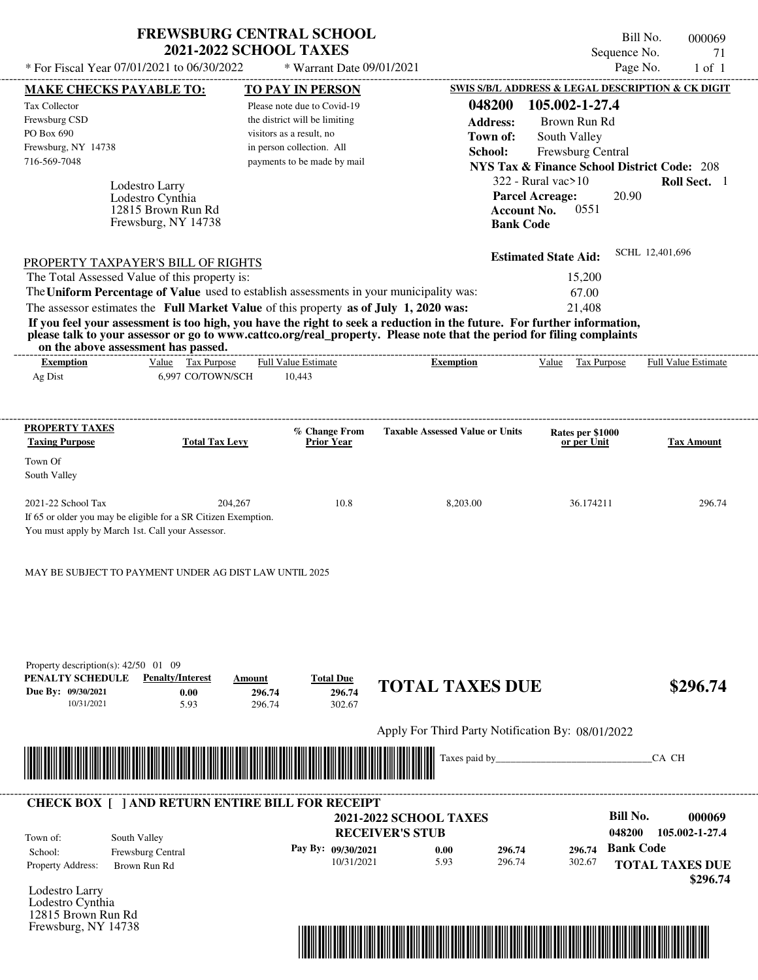| * For Fiscal Year 07/01/2021 to 06/30/2022                                                                                                               | <b>FREWSBURG CENTRAL SCHOOL</b><br><b>2021-2022 SCHOOL TAXES</b>      | * Warrant Date 09/01/2021                                    |                                                                                                                                                                                                                                                  |                                                                                 | Bill No.<br>Sequence No.<br>Page No. | 000069<br>71<br>$1$ of $1$ |
|----------------------------------------------------------------------------------------------------------------------------------------------------------|-----------------------------------------------------------------------|--------------------------------------------------------------|--------------------------------------------------------------------------------------------------------------------------------------------------------------------------------------------------------------------------------------------------|---------------------------------------------------------------------------------|--------------------------------------|----------------------------|
|                                                                                                                                                          |                                                                       |                                                              |                                                                                                                                                                                                                                                  | SWIS S/B/L ADDRESS & LEGAL DESCRIPTION & CK DIGIT                               |                                      |                            |
| <b>MAKE CHECKS PAYABLE TO:</b>                                                                                                                           |                                                                       | <b>TO PAY IN PERSON</b>                                      | 048200                                                                                                                                                                                                                                           | 105.002-1-27.4                                                                  |                                      |                            |
| Tax Collector<br>Frewsburg CSD                                                                                                                           |                                                                       | Please note due to Covid-19<br>the district will be limiting |                                                                                                                                                                                                                                                  |                                                                                 |                                      |                            |
| PO Box 690                                                                                                                                               |                                                                       | visitors as a result, no                                     | <b>Address:</b>                                                                                                                                                                                                                                  | Brown Run Rd                                                                    |                                      |                            |
| Frewsburg, NY 14738                                                                                                                                      |                                                                       | in person collection. All                                    | Town of:                                                                                                                                                                                                                                         | South Valley                                                                    |                                      |                            |
| 716-569-7048                                                                                                                                             |                                                                       | payments to be made by mail                                  | School:                                                                                                                                                                                                                                          | Frewsburg Central                                                               |                                      |                            |
|                                                                                                                                                          |                                                                       |                                                              |                                                                                                                                                                                                                                                  | <b>NYS Tax &amp; Finance School District Code: 208</b>                          |                                      |                            |
| Lodestro Larry<br>Lodestro Cynthia                                                                                                                       | 12815 Brown Run Rd                                                    |                                                              |                                                                                                                                                                                                                                                  | $322$ - Rural vac $>10$<br><b>Parcel Acreage:</b><br>0551<br><b>Account No.</b> | 20.90                                | Roll Sect. 1               |
|                                                                                                                                                          | Frewsburg, NY 14738                                                   |                                                              |                                                                                                                                                                                                                                                  | <b>Bank Code</b>                                                                |                                      |                            |
| PROPERTY TAXPAYER'S BILL OF RIGHTS                                                                                                                       |                                                                       |                                                              |                                                                                                                                                                                                                                                  | <b>Estimated State Aid:</b>                                                     | SCHL 12,401,696                      |                            |
| The Total Assessed Value of this property is:                                                                                                            |                                                                       |                                                              |                                                                                                                                                                                                                                                  | 15,200                                                                          |                                      |                            |
| The Uniform Percentage of Value used to establish assessments in your municipality was:                                                                  |                                                                       |                                                              |                                                                                                                                                                                                                                                  | 67.00                                                                           |                                      |                            |
| The assessor estimates the Full Market Value of this property as of July 1, 2020 was:                                                                    |                                                                       |                                                              |                                                                                                                                                                                                                                                  | 21,408                                                                          |                                      |                            |
|                                                                                                                                                          |                                                                       |                                                              | If you feel your assessment is too high, you have the right to seek a reduction in the future. For further information,<br>please talk to your assessor or go to www.cattco.org/real_property. Please note that the period for filing complaints |                                                                                 |                                      |                            |
| on the above assessment has passed.<br><b>Exemption</b>                                                                                                  | Value Tax Purpose                                                     | <b>Full Value Estimate</b>                                   | <b>Exemption</b>                                                                                                                                                                                                                                 | Value Tax Purpose                                                               |                                      | Full Value Estimate        |
| Ag Dist                                                                                                                                                  | 6,997 CO/TOWN/SCH                                                     | 10,443                                                       |                                                                                                                                                                                                                                                  |                                                                                 |                                      |                            |
|                                                                                                                                                          |                                                                       |                                                              |                                                                                                                                                                                                                                                  |                                                                                 |                                      |                            |
| <b>PROPERTY TAXES</b>                                                                                                                                    |                                                                       | % Change From                                                | <b>Taxable Assessed Value or Units</b>                                                                                                                                                                                                           | Rates per \$1000                                                                |                                      |                            |
| <b>Taxing Purpose</b>                                                                                                                                    | <b>Total Tax Levy</b>                                                 | <b>Prior Year</b>                                            |                                                                                                                                                                                                                                                  | or per Unit                                                                     |                                      | <b>Tax Amount</b>          |
| Town Of<br>South Valley                                                                                                                                  |                                                                       |                                                              |                                                                                                                                                                                                                                                  |                                                                                 |                                      |                            |
| 2021-22 School Tax<br>If 65 or older you may be eligible for a SR Citizen Exemption.<br>You must apply by March 1st. Call your Assessor.                 | 204,267                                                               | 10.8                                                         | 8,203.00                                                                                                                                                                                                                                         | 36.174211                                                                       |                                      | 296.74                     |
| MAY BE SUBJECT TO PAYMENT UNDER AG DIST LAW UNTIL 2025<br>Property description(s): $42/50$ 01 09<br>PENALTY SCHEDULE<br>Due By: 09/30/2021<br>10/31/2021 | <b>Penalty/Interest</b><br>Amount<br>0.00<br>296.74<br>5.93<br>296.74 | <b>Total Due</b><br>296.74<br>302.67                         | <b>TOTAL TAXES DUE</b>                                                                                                                                                                                                                           |                                                                                 |                                      | \$296.74                   |
|                                                                                                                                                          |                                                                       |                                                              | Apply For Third Party Notification By: 08/01/2022                                                                                                                                                                                                |                                                                                 |                                      |                            |
|                                                                                                                                                          |                                                                       |                                                              | Taxes paid by                                                                                                                                                                                                                                    |                                                                                 |                                      | CA CH                      |
|                                                                                                                                                          |                                                                       |                                                              |                                                                                                                                                                                                                                                  |                                                                                 |                                      |                            |
| <b>CHECK BOX [ ] AND RETURN ENTIRE BILL FOR RECEIPT</b>                                                                                                  |                                                                       |                                                              |                                                                                                                                                                                                                                                  |                                                                                 |                                      |                            |
|                                                                                                                                                          |                                                                       |                                                              | <b>2021-2022 SCHOOL TAXES</b>                                                                                                                                                                                                                    |                                                                                 | <b>Bill No.</b>                      | 000069                     |
| South Valley<br>Town of:                                                                                                                                 |                                                                       |                                                              | <b>RECEIVER'S STUB</b>                                                                                                                                                                                                                           |                                                                                 | 048200                               | 105.002-1-27.4             |
| Frewsburg Central<br>School:                                                                                                                             |                                                                       | Pay By: 09/30/2021                                           | 0.00                                                                                                                                                                                                                                             | 296.74<br>296.74                                                                | <b>Bank Code</b>                     |                            |
| Property Address:<br>Brown Run Rd                                                                                                                        |                                                                       | 10/31/2021                                                   | 5.93<br>296.74                                                                                                                                                                                                                                   | 302.67                                                                          |                                      | <b>TOTAL TAXES DUE</b>     |
|                                                                                                                                                          |                                                                       |                                                              |                                                                                                                                                                                                                                                  |                                                                                 |                                      | \$296.74                   |
| Lodestro Larry                                                                                                                                           |                                                                       |                                                              |                                                                                                                                                                                                                                                  |                                                                                 |                                      |                            |
| Lodestro Cynthia                                                                                                                                         |                                                                       |                                                              |                                                                                                                                                                                                                                                  |                                                                                 |                                      |                            |



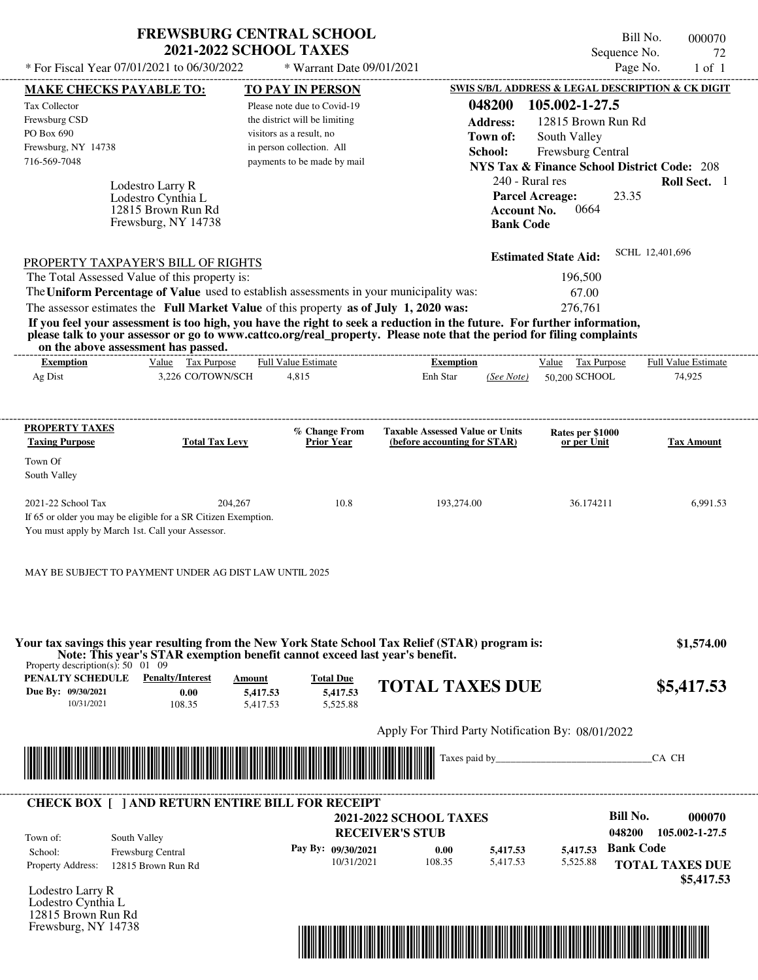| <b>FREWSBURG CENTRAL SCHOOL</b> |
|---------------------------------|
| <b>2021-2022 SCHOOL TAXES</b>   |

Bill No. 000070 Sequence No. 72<br>Page No. 1 of 1  $*$  For Fiscal Year 07/01/2021 to 06/30/2022  $*$  Warrant Date 09/01/2021 Page No. 1 of 1

| <b>MAKE CHECKS PAYABLE TO:</b>                  |                                                                | <b>TO PAY IN PERSON</b>                                                                                                                                                                                                                          |                                                                        |                        |                                 | <b>SWIS S/B/L ADDRESS &amp; LEGAL DESCRIPTION &amp; CK DIGIT</b> |
|-------------------------------------------------|----------------------------------------------------------------|--------------------------------------------------------------------------------------------------------------------------------------------------------------------------------------------------------------------------------------------------|------------------------------------------------------------------------|------------------------|---------------------------------|------------------------------------------------------------------|
| Tax Collector                                   |                                                                | Please note due to Covid-19                                                                                                                                                                                                                      |                                                                        | 048200                 | 105.002-1-27.5                  |                                                                  |
| Frewsburg CSD                                   |                                                                | the district will be limiting                                                                                                                                                                                                                    |                                                                        | <b>Address:</b>        | 12815 Brown Run Rd              |                                                                  |
| PO Box 690                                      |                                                                | visitors as a result, no                                                                                                                                                                                                                         |                                                                        | Town of:               | South Valley                    |                                                                  |
| Frewsburg, NY 14738<br>716-569-7048             |                                                                | in person collection. All<br>payments to be made by mail                                                                                                                                                                                         |                                                                        | School:                | Frewsburg Central               |                                                                  |
|                                                 |                                                                |                                                                                                                                                                                                                                                  |                                                                        |                        |                                 | <b>NYS Tax &amp; Finance School District Code: 208</b>           |
|                                                 | Lodestro Larry R                                               |                                                                                                                                                                                                                                                  |                                                                        | 240 - Rural res        |                                 | Roll Sect. 1                                                     |
|                                                 | Lodestro Cynthia L                                             |                                                                                                                                                                                                                                                  |                                                                        | <b>Parcel Acreage:</b> |                                 | 23.35                                                            |
|                                                 | 12815 Brown Run Rd<br>Frewsburg, NY 14738                      |                                                                                                                                                                                                                                                  |                                                                        | <b>Account No.</b>     | 0664                            |                                                                  |
|                                                 |                                                                |                                                                                                                                                                                                                                                  |                                                                        | <b>Bank Code</b>       |                                 |                                                                  |
|                                                 |                                                                |                                                                                                                                                                                                                                                  |                                                                        |                        | <b>Estimated State Aid:</b>     | SCHL 12,401,696                                                  |
|                                                 | <b>PROPERTY TAXPAYER'S BILL OF RIGHTS</b>                      |                                                                                                                                                                                                                                                  |                                                                        |                        |                                 |                                                                  |
|                                                 | The Total Assessed Value of this property is:                  |                                                                                                                                                                                                                                                  |                                                                        |                        | 196,500                         |                                                                  |
|                                                 |                                                                | The Uniform Percentage of Value used to establish assessments in your municipality was:                                                                                                                                                          |                                                                        |                        | 67.00                           |                                                                  |
|                                                 |                                                                | The assessor estimates the Full Market Value of this property as of July 1, 2020 was:                                                                                                                                                            |                                                                        |                        | 276,761                         |                                                                  |
|                                                 | on the above assessment has passed.                            | If you feel your assessment is too high, you have the right to seek a reduction in the future. For further information,<br>please talk to your assessor or go to www.cattco.org/real_property. Please note that the period for filing complaints |                                                                        |                        |                                 |                                                                  |
| <b>Exemption</b>                                | Value Tax Purpose                                              | <b>Full Value Estimate</b>                                                                                                                                                                                                                       | <b>Exemption</b>                                                       |                        | Value Tax Purpose               | <b>Full Value Estimate</b>                                       |
| Ag Dist                                         | 3,226 CO/TOWN/SCH                                              | 4,815                                                                                                                                                                                                                                            | Enh Star                                                               |                        | (See Note) 50,200 SCHOOL        | 74,925                                                           |
|                                                 |                                                                |                                                                                                                                                                                                                                                  |                                                                        |                        |                                 |                                                                  |
| <b>PROPERTY TAXES</b>                           |                                                                |                                                                                                                                                                                                                                                  |                                                                        |                        |                                 |                                                                  |
| <b>Taxing Purpose</b>                           | <b>Total Tax Levy</b>                                          | % Change From<br><b>Prior Year</b>                                                                                                                                                                                                               | <b>Taxable Assessed Value or Units</b><br>(before accounting for STAR) |                        | Rates per \$1000<br>or per Unit | <b>Tax Amount</b>                                                |
| Town Of                                         |                                                                |                                                                                                                                                                                                                                                  |                                                                        |                        |                                 |                                                                  |
| South Valley                                    |                                                                |                                                                                                                                                                                                                                                  |                                                                        |                        |                                 |                                                                  |
| 2021-22 School Tax                              | 204,267                                                        | 10.8                                                                                                                                                                                                                                             | 193,274.00                                                             |                        | 36.174211                       | 6,991.53                                                         |
|                                                 | If 65 or older you may be eligible for a SR Citizen Exemption. |                                                                                                                                                                                                                                                  |                                                                        |                        |                                 |                                                                  |
|                                                 | You must apply by March 1st. Call your Assessor.               |                                                                                                                                                                                                                                                  |                                                                        |                        |                                 |                                                                  |
|                                                 |                                                                |                                                                                                                                                                                                                                                  |                                                                        |                        |                                 |                                                                  |
|                                                 | MAY BE SUBJECT TO PAYMENT UNDER AG DIST LAW UNTIL 2025         |                                                                                                                                                                                                                                                  |                                                                        |                        |                                 |                                                                  |
|                                                 |                                                                |                                                                                                                                                                                                                                                  |                                                                        |                        |                                 |                                                                  |
|                                                 |                                                                |                                                                                                                                                                                                                                                  |                                                                        |                        |                                 |                                                                  |
|                                                 |                                                                | Your tax savings this year resulting from the New York State School Tax Relief (STAR) program is:                                                                                                                                                |                                                                        |                        |                                 | \$1,574.00                                                       |
| Property description(s): $50 \quad 01 \quad 09$ |                                                                | Note: This year's STAR exemption benefit cannot exceed last year's benefit.                                                                                                                                                                      |                                                                        |                        |                                 |                                                                  |
| PENALTY SCHEDULE                                | <b>Penalty/Interest</b>                                        | <b>Total Due</b><br>Amount                                                                                                                                                                                                                       | <b>TOTAL TAXES DUE</b>                                                 |                        |                                 | \$5,417.53                                                       |
| Due By: 09/30/2021                              | 0.00                                                           | 5,417.53<br>5,417.53                                                                                                                                                                                                                             |                                                                        |                        |                                 |                                                                  |
| 10/31/2021                                      | 108.35                                                         | 5,525.88<br>5,417.53                                                                                                                                                                                                                             |                                                                        |                        |                                 |                                                                  |
|                                                 |                                                                |                                                                                                                                                                                                                                                  | Apply For Third Party Notification By: 08/01/2022                      |                        |                                 |                                                                  |
|                                                 |                                                                |                                                                                                                                                                                                                                                  |                                                                        |                        |                                 | CA CH                                                            |
|                                                 |                                                                | <u> Maria Alemania de Santiago de la contrada de la contrada de la contrada de la contrada de la contrada de la c</u>                                                                                                                            |                                                                        |                        |                                 |                                                                  |
|                                                 |                                                                |                                                                                                                                                                                                                                                  |                                                                        |                        |                                 |                                                                  |
|                                                 |                                                                | <b>CHECK BOX [ ] AND RETURN ENTIRE BILL FOR RECEIPT</b>                                                                                                                                                                                          | <b>2021-2022 SCHOOL TAXES</b>                                          |                        |                                 | <b>Bill No.</b><br>000070                                        |
|                                                 |                                                                |                                                                                                                                                                                                                                                  | <b>RECEIVER'S STUB</b>                                                 |                        |                                 | 048200<br>105.002-1-27.5                                         |
| Town of:<br>School:                             | South Valley                                                   | Pay By: 09/30/2021                                                                                                                                                                                                                               | 0.00                                                                   | 5,417.53               | 5,417.53                        | <b>Bank Code</b>                                                 |
| <b>Property Address:</b>                        | Frewsburg Central<br>12815 Brown Run Rd                        | 10/31/2021                                                                                                                                                                                                                                       | 108.35                                                                 | 5,417.53               | 5,525.88                        | <b>TOTAL TAXES DUE</b>                                           |
|                                                 |                                                                |                                                                                                                                                                                                                                                  |                                                                        |                        |                                 | \$5,417.53                                                       |
| Lodestro Larry R                                |                                                                |                                                                                                                                                                                                                                                  |                                                                        |                        |                                 |                                                                  |
| Lodestro Cynthia L                              |                                                                |                                                                                                                                                                                                                                                  |                                                                        |                        |                                 |                                                                  |
| 12815 Brown Run Rd<br>Frewsburg, NY 14738       |                                                                |                                                                                                                                                                                                                                                  |                                                                        |                        |                                 |                                                                  |
|                                                 |                                                                |                                                                                                                                                                                                                                                  |                                                                        |                        |                                 |                                                                  |
|                                                 |                                                                |                                                                                                                                                                                                                                                  |                                                                        |                        |                                 |                                                                  |
|                                                 |                                                                |                                                                                                                                                                                                                                                  | <u> 1989 - Andrea Stadt British, fransk politik (d. 1989)</u>          |                        |                                 |                                                                  |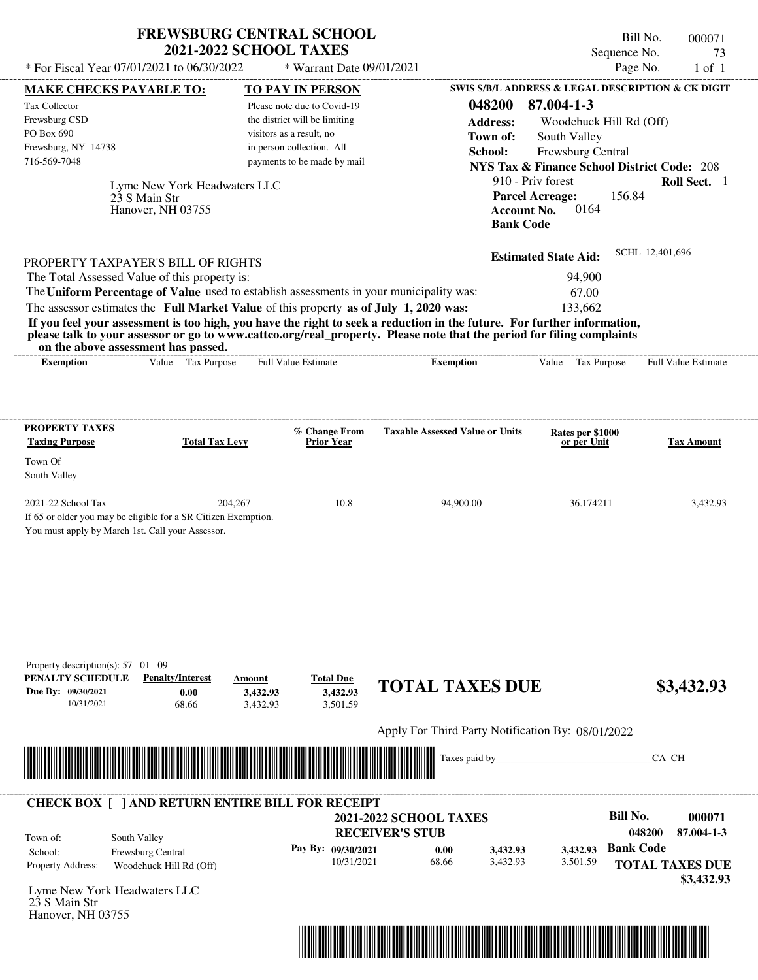| * For Fiscal Year 07/01/2021 to 06/30/2022                         | <b>FREWSBURG CENTRAL SCHOOL</b><br><b>2021-2022 SCHOOL TAXES</b><br>$*$ Warrant Date 09/01/2021 | Bill No.<br>000071<br>Sequence No.<br>73<br>Page No.<br>$1$ of $1$                                                             |
|--------------------------------------------------------------------|-------------------------------------------------------------------------------------------------|--------------------------------------------------------------------------------------------------------------------------------|
| <b>MAKE CHECKS PAYABLE TO:</b>                                     | <b>TO PAY IN PERSON</b>                                                                         | SWIS S/B/L ADDRESS & LEGAL DESCRIPTION & CK DIGIT                                                                              |
| Tax Collector                                                      | Please note due to Covid-19                                                                     | 048200<br>87.004-1-3                                                                                                           |
| Frewsburg CSD                                                      | the district will be limiting                                                                   | <b>Address:</b><br>Woodchuck Hill Rd (Off)                                                                                     |
| PO Box 690                                                         | visitors as a result, no                                                                        | South Valley<br>Town of:                                                                                                       |
| Frewsburg, NY 14738                                                | in person collection. All                                                                       | School:<br><b>Frewsburg Central</b>                                                                                            |
| 716-569-7048                                                       | payments to be made by mail                                                                     | <b>NYS Tax &amp; Finance School District Code: 208</b>                                                                         |
| Lyme New York Headwaters LLC<br>23 S Main Str<br>Hanover, NH 03755 |                                                                                                 | 910 - Priv forest<br><b>Roll Sect.</b> 1<br><b>Parcel Acreage:</b><br>156.84<br>0164<br><b>Account No.</b><br><b>Bank Code</b> |
| PROPERTY TAXPAYER'S BILL OF RIGHTS                                 |                                                                                                 | SCHL 12,401,696<br><b>Estimated State Aid:</b>                                                                                 |

The assessor estimates the **Full Market Value** of this property **as of July 1, 2020 was:** 133,662 The Total Assessed Value of this property is: 94,900 The **Uniform Percentage of Value** used to establish assessments in your municipality was: 67.00 **If you feel your assessment is too high, you have the right to seek a reduction in the future. For further information, please talk to your assessor or go to www.cattco.org/real\_property. Please note that the period for filing complaints** on the above assessment has passed.

| Exemption<br>--- | alue | Tax<br>Purpose | :stımate<br>alu<br>$_{\rm{Hul}}$ | xemption | value | $^{\circ}$<br><b>Purnose</b><br>ι αλ | Full<br>Estimate<br>Value |
|------------------|------|----------------|----------------------------------|----------|-------|--------------------------------------|---------------------------|
|                  |      |                |                                  |          |       |                                      |                           |

| <b>PROPERTY TAXES</b><br><b>Taxing Purpose</b>   | <b>Total Tax Levy</b>                                          | % Change From<br><b>Prior Year</b> | <b>Taxable Assessed Value or Units</b> | Rates per \$1000<br>or per Unit | <b>Tax Amount</b> |
|--------------------------------------------------|----------------------------------------------------------------|------------------------------------|----------------------------------------|---------------------------------|-------------------|
| Town Of                                          |                                                                |                                    |                                        |                                 |                   |
| South Valley                                     |                                                                |                                    |                                        |                                 |                   |
| $2021-22$ School Tax                             | 204.267                                                        | 10.8                               | 94,900.00                              | 36.174211                       | 3,432.93          |
|                                                  | If 65 or older you may be eligible for a SR Citizen Exemption. |                                    |                                        |                                 |                   |
| You must apply by March 1st. Call your Assessor. |                                                                |                                    |                                        |                                 |                   |

| Property description(s): 57            | -09<br>01                                               |                                                     |                              |                                                   |               |          |                        |
|----------------------------------------|---------------------------------------------------------|-----------------------------------------------------|------------------------------|---------------------------------------------------|---------------|----------|------------------------|
| PENALTY SCHEDULE<br>Due By: 09/30/2021 | <b>Penalty/Interest</b><br>0.00                         | Amount<br>3,432.93                                  | <b>Total Due</b><br>3,432.93 | <b>TOTAL TAXES DUE</b>                            |               |          | \$3,432.93             |
| 10/31/2021                             | 68.66                                                   | 3,432.93                                            | 3,501.59                     |                                                   |               |          |                        |
|                                        |                                                         |                                                     |                              | Apply For Third Party Notification By: 08/01/2022 |               |          |                        |
|                                        |                                                         |                                                     |                              |                                                   | Taxes paid by |          | CA CH                  |
|                                        |                                                         | <u> III (III) III (III) III (III) III (III) III</u> |                              |                                                   |               |          |                        |
|                                        |                                                         |                                                     |                              |                                                   |               |          |                        |
|                                        | <b>CHECK BOX</b> [ ] AND RETURN ENTIRE BILL FOR RECEIPT |                                                     |                              | <b>2021-2022 SCHOOL TAXES</b>                     |               |          | Bill No.<br>000071     |
| Town of:                               | South Valley                                            |                                                     |                              | <b>RECEIVER'S STUB</b>                            |               |          | 048200<br>87.004-1-3   |
| School:                                | Frewsburg Central                                       |                                                     | Pay By: 09/30/2021           | 0.00                                              | 3,432.93      | 3,432.93 | <b>Bank Code</b>       |
| Property Address:                      | Woodchuck Hill Rd (Off)                                 |                                                     | 10/31/2021                   | 68.66                                             | 3,432.93      | 3,501.59 | <b>TOTAL TAXES DUE</b> |
|                                        | Lyme New York Headwaters LLC                            |                                                     |                              |                                                   |               |          | \$3,432.93             |
| 23 S Main Str<br>Hanover, NH 03755     |                                                         |                                                     |                              |                                                   |               |          |                        |
|                                        |                                                         |                                                     |                              |                                                   |               |          |                        |
|                                        |                                                         |                                                     |                              |                                                   |               |          |                        |
|                                        |                                                         |                                                     |                              |                                                   |               |          |                        |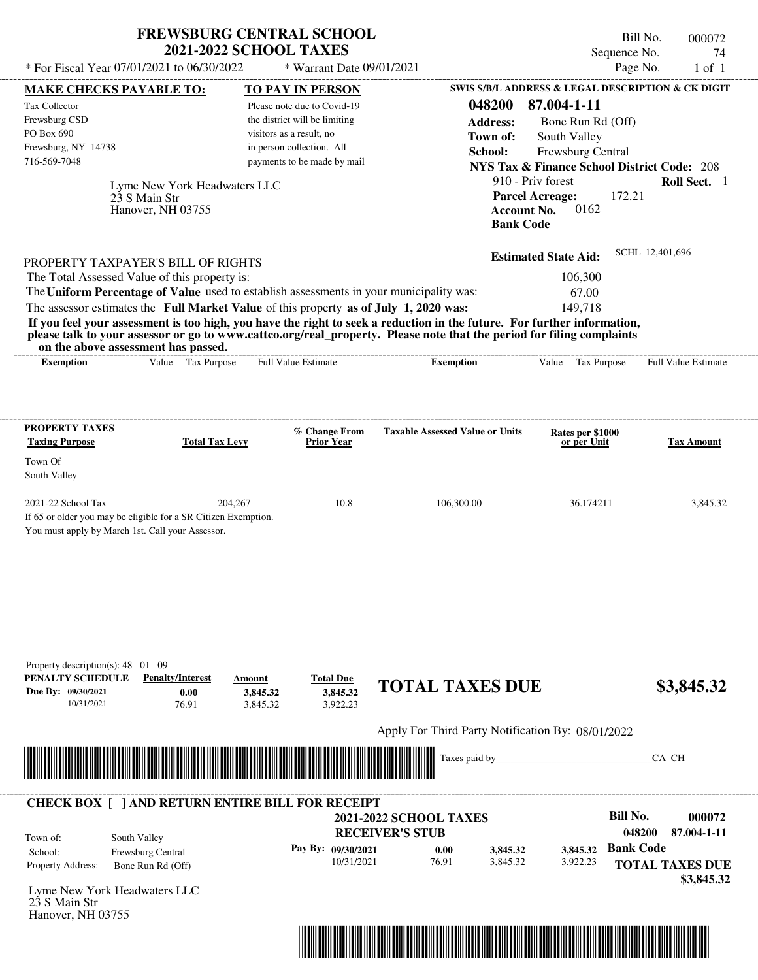| * For Fiscal Year 07/01/2021 to 06/30/2022                                                                                                                                                                                                                                              | <b>FREWSBURG CENTRAL SCHOOL</b><br><b>2021-2022 SCHOOL TAXES</b><br>* Warrant Date 09/01/2021                                                                                   |                                                                      | Sequence No.                                                                                                                                                                                                                                                                               | Bill No.<br>000072<br>74<br>Page No.<br>$1$ of $1$ |
|-----------------------------------------------------------------------------------------------------------------------------------------------------------------------------------------------------------------------------------------------------------------------------------------|---------------------------------------------------------------------------------------------------------------------------------------------------------------------------------|----------------------------------------------------------------------|--------------------------------------------------------------------------------------------------------------------------------------------------------------------------------------------------------------------------------------------------------------------------------------------|----------------------------------------------------|
| <b>MAKE CHECKS PAYABLE TO:</b><br><b>Tax Collector</b><br>Frewsburg CSD<br>PO Box 690<br>Frewsburg, NY 14738<br>716-569-7048<br>Lyme New York Headwaters LLC<br>23 S Main Str<br>Hanover, NH 03755                                                                                      | <b>TO PAY IN PERSON</b><br>Please note due to Covid-19<br>the district will be limiting<br>visitors as a result, no<br>in person collection. All<br>payments to be made by mail | 048200<br><b>Address:</b><br>Town of:<br>School:<br><b>Bank Code</b> | <b>SWIS S/B/L ADDRESS &amp; LEGAL DESCRIPTION &amp; CK DIGIT</b><br>87.004-1-11<br>Bone Run Rd (Off)<br>South Valley<br>Frewsburg Central<br><b>NYS Tax &amp; Finance School District Code: 208</b><br>910 - Priv forest<br><b>Parcel Acreage:</b><br>172.21<br>0162<br><b>Account No.</b> | Roll Sect. 1                                       |
| PROPERTY TAXPAYER'S BILL OF RIGHTS<br>The Total Assessed Value of this property is:<br>The Uniform Percentage of Value used to establish assessments in your municipality was:                                                                                                          | The assessor estimates the Full Market Value of this property as of July 1, 2020 was:                                                                                           |                                                                      | <b>Estimated State Aid:</b><br>106.300<br>67.00<br>149.718                                                                                                                                                                                                                                 | SCHL 12.401.696                                    |
| If you feel your assessment is too high, you have the right to seek a reduction in the future. For further information,<br>please talk to your assessor or go to www.cattco.org/real_property. Please note that the period for filing complaints<br>on the above assessment has passed. |                                                                                                                                                                                 |                                                                      |                                                                                                                                                                                                                                                                                            |                                                    |
| Value Tax Purpose<br>Exemption                                                                                                                                                                                                                                                          | Full Value Estimate                                                                                                                                                             | <b>Exemption</b>                                                     | Value<br><b>Tax Purpose</b>                                                                                                                                                                                                                                                                | <b>Full Value Estimate</b>                         |

| 2021-22 School Tax                                             | 204,267 | 10.8 | 106,300.00 | 36.174211 | 3,845.32 |
|----------------------------------------------------------------|---------|------|------------|-----------|----------|
| If 65 or older you may be eligible for a SR Citizen Exemption. |         |      |            |           |          |
| You must apply by March 1st. Call your Assessor.               |         |      |            |           |          |

| PENALTY SCHEDULE<br>Due By: 09/30/2021<br>10/31/2021 | <b>Penalty/Interest</b><br>0.00<br>76.91                | Amount<br>3,845.32<br>3,845.32                                                                                       | <b>Total Due</b><br>3,845.32<br>3,922.23 | <b>TOTAL TAXES DUE</b>                            |          | \$3,845.32                           |
|------------------------------------------------------|---------------------------------------------------------|----------------------------------------------------------------------------------------------------------------------|------------------------------------------|---------------------------------------------------|----------|--------------------------------------|
|                                                      |                                                         |                                                                                                                      |                                          | Apply For Third Party Notification By: 08/01/2022 |          |                                      |
|                                                      |                                                         |                                                                                                                      |                                          |                                                   |          | CA CH                                |
|                                                      |                                                         |                                                                                                                      |                                          |                                                   |          |                                      |
|                                                      |                                                         | <u> Tanzania di Baratta di Baratta di Baratta di Baratta di Baratta di Baratta di Baratta di Baratta di Baratta </u> |                                          |                                                   |          |                                      |
|                                                      |                                                         |                                                                                                                      |                                          |                                                   |          |                                      |
|                                                      | <b>CHECK BOX [ ] AND RETURN ENTIRE BILL FOR RECEIPT</b> |                                                                                                                      |                                          | <b>2021-2022 SCHOOL TAXES</b>                     |          | Bill No.<br>000072                   |
|                                                      |                                                         |                                                                                                                      |                                          | <b>RECEIVER'S STUB</b>                            |          | 048200<br>87.004-1-11                |
|                                                      | South Valley                                            |                                                                                                                      | Pay By: 09/30/2021                       | 0.00<br>3,845.32                                  | 3,845.32 | <b>Bank Code</b>                     |
| Town of:<br>School:<br>Property Address:             | Frewsburg Central<br>Bone Run Rd (Off)                  |                                                                                                                      | 10/31/2021                               | 3,845.32<br>76.91                                 | 3,922.23 | <b>TOTAL TAXES DUE</b><br>\$3,845.32 |

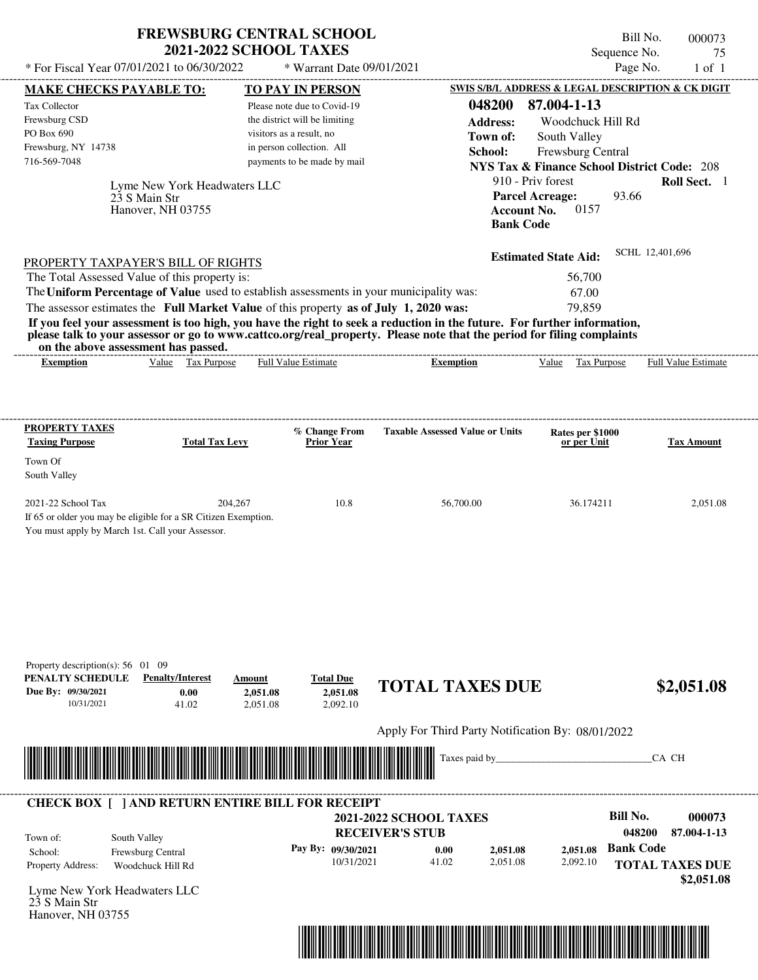| <b>FREWSBURG CENTRAL SCHOOL</b> |
|---------------------------------|
| <b>2021-2022 SCHOOL TAXES</b>   |

Bill No. 000073 Sequence No. 75<br>Page No. 1 of 1  $*$  For Fiscal Year 07/01/2021 to 06/30/2022  $*$  Warrant Date 09/01/2021 Page No. 1 of 1

| <b>MAKE CHECKS PAYABLE TO:</b>                                                                                                                                                                                                                   |                              | <b>TO PAY IN PERSON</b>       |                                    |                                                                                                   |                    |                                                        |                  | <b>SWIS S/B/L ADDRESS &amp; LEGAL DESCRIPTION &amp; CK DIGIT</b> |
|--------------------------------------------------------------------------------------------------------------------------------------------------------------------------------------------------------------------------------------------------|------------------------------|-------------------------------|------------------------------------|---------------------------------------------------------------------------------------------------|--------------------|--------------------------------------------------------|------------------|------------------------------------------------------------------|
| Tax Collector                                                                                                                                                                                                                                    |                              | Please note due to Covid-19   |                                    |                                                                                                   | 048200             | 87.004-1-13                                            |                  |                                                                  |
| Frewsburg CSD                                                                                                                                                                                                                                    |                              | the district will be limiting |                                    |                                                                                                   | <b>Address:</b>    | Woodchuck Hill Rd                                      |                  |                                                                  |
| PO Box 690                                                                                                                                                                                                                                       |                              | visitors as a result, no      |                                    |                                                                                                   | Town of:           | South Valley                                           |                  |                                                                  |
| Frewsburg, NY 14738                                                                                                                                                                                                                              |                              | in person collection. All     |                                    |                                                                                                   | School:            | Frewsburg Central                                      |                  |                                                                  |
| 716-569-7048                                                                                                                                                                                                                                     |                              | payments to be made by mail   |                                    |                                                                                                   |                    | <b>NYS Tax &amp; Finance School District Code: 208</b> |                  |                                                                  |
|                                                                                                                                                                                                                                                  | Lyme New York Headwaters LLC |                               |                                    |                                                                                                   |                    | 910 - Priv forest                                      |                  | Roll Sect. 1                                                     |
|                                                                                                                                                                                                                                                  | 23 S Main Str                |                               |                                    |                                                                                                   |                    | <b>Parcel Acreage:</b>                                 | 93.66            |                                                                  |
|                                                                                                                                                                                                                                                  | Hanover, NH 03755            |                               |                                    |                                                                                                   | <b>Account No.</b> | 0157                                                   |                  |                                                                  |
|                                                                                                                                                                                                                                                  |                              |                               |                                    |                                                                                                   | <b>Bank Code</b>   |                                                        |                  |                                                                  |
|                                                                                                                                                                                                                                                  |                              |                               |                                    |                                                                                                   |                    |                                                        |                  | SCHL 12,401,696                                                  |
| PROPERTY TAXPAYER'S BILL OF RIGHTS                                                                                                                                                                                                               |                              |                               |                                    |                                                                                                   |                    | <b>Estimated State Aid:</b>                            |                  |                                                                  |
| The Total Assessed Value of this property is:                                                                                                                                                                                                    |                              |                               |                                    |                                                                                                   |                    | 56,700                                                 |                  |                                                                  |
| The Uniform Percentage of Value used to establish assessments in your municipality was:                                                                                                                                                          |                              |                               |                                    |                                                                                                   |                    | 67.00                                                  |                  |                                                                  |
| The assessor estimates the Full Market Value of this property as of July 1, 2020 was:                                                                                                                                                            |                              |                               |                                    |                                                                                                   |                    | 79,859                                                 |                  |                                                                  |
| If you feel your assessment is too high, you have the right to seek a reduction in the future. For further information,<br>please talk to your assessor or go to www.cattco.org/real_property. Please note that the period for filing complaints |                              |                               |                                    |                                                                                                   |                    |                                                        |                  |                                                                  |
| on the above assessment has passed.<br><b>Exemption</b>                                                                                                                                                                                          | Value Tax Purpose            | <b>Full Value Estimate</b>    |                                    | <b>Exemption</b>                                                                                  |                    | Value Tax Purpose                                      |                  | <b>Full Value Estimate</b>                                       |
|                                                                                                                                                                                                                                                  |                              |                               |                                    |                                                                                                   |                    |                                                        |                  |                                                                  |
|                                                                                                                                                                                                                                                  |                              |                               |                                    |                                                                                                   |                    |                                                        |                  |                                                                  |
| <b>PROPERTY TAXES</b>                                                                                                                                                                                                                            |                              |                               |                                    |                                                                                                   |                    |                                                        |                  |                                                                  |
| <b>Taxing Purpose</b>                                                                                                                                                                                                                            | <b>Total Tax Levy</b>        |                               | % Change From<br><b>Prior Year</b> | <b>Taxable Assessed Value or Units</b>                                                            |                    | Rates per \$1000<br>or per Unit                        |                  | <b>Tax Amount</b>                                                |
| Town Of                                                                                                                                                                                                                                          |                              |                               |                                    |                                                                                                   |                    |                                                        |                  |                                                                  |
| South Valley                                                                                                                                                                                                                                     |                              |                               |                                    |                                                                                                   |                    |                                                        |                  |                                                                  |
| 2021-22 School Tax                                                                                                                                                                                                                               | 204,267                      |                               | 10.8                               | 56,700.00                                                                                         |                    | 36.174211                                              |                  | 2,051.08                                                         |
| If 65 or older you may be eligible for a SR Citizen Exemption.                                                                                                                                                                                   |                              |                               |                                    |                                                                                                   |                    |                                                        |                  |                                                                  |
| You must apply by March 1st. Call your Assessor.                                                                                                                                                                                                 |                              |                               |                                    |                                                                                                   |                    |                                                        |                  |                                                                  |
|                                                                                                                                                                                                                                                  |                              |                               |                                    |                                                                                                   |                    |                                                        |                  |                                                                  |
|                                                                                                                                                                                                                                                  |                              |                               |                                    |                                                                                                   |                    |                                                        |                  |                                                                  |
|                                                                                                                                                                                                                                                  |                              |                               |                                    |                                                                                                   |                    |                                                        |                  |                                                                  |
|                                                                                                                                                                                                                                                  |                              |                               |                                    |                                                                                                   |                    |                                                        |                  |                                                                  |
|                                                                                                                                                                                                                                                  |                              |                               |                                    |                                                                                                   |                    |                                                        |                  |                                                                  |
|                                                                                                                                                                                                                                                  |                              |                               |                                    |                                                                                                   |                    |                                                        |                  |                                                                  |
|                                                                                                                                                                                                                                                  |                              |                               |                                    |                                                                                                   |                    |                                                        |                  |                                                                  |
| Property description(s): $56 \quad 01 \quad 09$<br>PENALTY SCHEDULE                                                                                                                                                                              | <b>Penalty/Interest</b>      | Amount                        | <b>Total Due</b>                   |                                                                                                   |                    |                                                        |                  |                                                                  |
| Due By: 09/30/2021                                                                                                                                                                                                                               | 0.00                         | 2,051.08                      | 2,051.08                           | <b>TOTAL TAXES DUE</b>                                                                            |                    |                                                        |                  | \$2,051.08                                                       |
| 10/31/2021                                                                                                                                                                                                                                       | 41.02                        | 2,051.08                      | 2,092.10                           |                                                                                                   |                    |                                                        |                  |                                                                  |
|                                                                                                                                                                                                                                                  |                              |                               |                                    | Apply For Third Party Notification By: 08/01/2022                                                 |                    |                                                        |                  |                                                                  |
|                                                                                                                                                                                                                                                  |                              |                               |                                    |                                                                                                   |                    |                                                        |                  |                                                                  |
| <u> Handel van de Berger van de Berger van de Berger van de Berger van de Berger van de Berger van de Berger van</u>                                                                                                                             |                              |                               |                                    |                                                                                                   | Taxes paid by_     |                                                        |                  | CA CH                                                            |
|                                                                                                                                                                                                                                                  |                              |                               |                                    |                                                                                                   |                    |                                                        |                  |                                                                  |
| <b>CHECK BOX [ ] AND RETURN ENTIRE BILL FOR RECEIPT</b>                                                                                                                                                                                          |                              |                               |                                    |                                                                                                   |                    |                                                        |                  |                                                                  |
|                                                                                                                                                                                                                                                  |                              |                               |                                    | <b>2021-2022 SCHOOL TAXES</b>                                                                     |                    |                                                        | <b>Bill No.</b>  | 000073                                                           |
| Town of:                                                                                                                                                                                                                                         | South Valley                 |                               |                                    | <b>RECEIVER'S STUB</b>                                                                            |                    |                                                        | 048200           | 87.004-1-13                                                      |
| School:                                                                                                                                                                                                                                          | Frewsburg Central            |                               | Pay By: 09/30/2021                 | 0.00                                                                                              | 2,051.08           | 2,051.08                                               | <b>Bank Code</b> |                                                                  |
| Property Address:                                                                                                                                                                                                                                | Woodchuck Hill Rd            |                               | 10/31/2021                         | 41.02                                                                                             | 2,051.08           | 2,092.10                                               |                  | <b>TOTAL TAXES DUE</b>                                           |
|                                                                                                                                                                                                                                                  |                              |                               |                                    |                                                                                                   |                    |                                                        |                  | \$2,051.08                                                       |
| Lyme New York Headwaters LLC<br>23 S Main Str                                                                                                                                                                                                    |                              |                               |                                    |                                                                                                   |                    |                                                        |                  |                                                                  |
| Hanover, NH 03755                                                                                                                                                                                                                                |                              |                               |                                    |                                                                                                   |                    |                                                        |                  |                                                                  |
|                                                                                                                                                                                                                                                  |                              |                               |                                    |                                                                                                   |                    |                                                        |                  |                                                                  |
|                                                                                                                                                                                                                                                  |                              |                               |                                    | <u> 1989 - Andrea Stadt British, Amerikaansk politik foar de Amerikaansk kommunister († 1918)</u> |                    |                                                        |                  |                                                                  |
|                                                                                                                                                                                                                                                  |                              |                               |                                    |                                                                                                   |                    |                                                        |                  |                                                                  |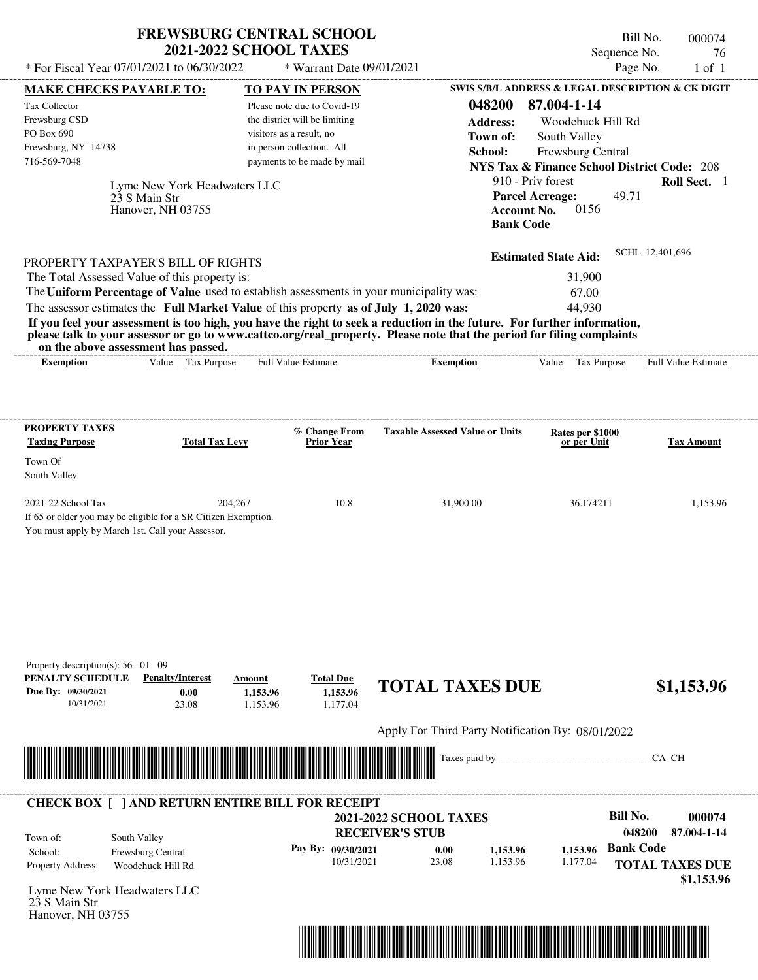| <b>FREWSBURG CENTRAL SCHOOL</b> |
|---------------------------------|
| <b>2021-2022 SCHOOL TAXES</b>   |

Bill No. 000074 Sequence No. 76<br>Page No. 1 of 1

| * For Fiscal Year 07/01/2021 to 06/30/2022                                                                                                                                                                                                       |                              | * Warrant Date 09/01/2021                                 |                                                         |                                                        | Page No.                  | $1$ of $1$            |
|--------------------------------------------------------------------------------------------------------------------------------------------------------------------------------------------------------------------------------------------------|------------------------------|-----------------------------------------------------------|---------------------------------------------------------|--------------------------------------------------------|---------------------------|-----------------------|
| <b>MAKE CHECKS PAYABLE TO:</b>                                                                                                                                                                                                                   |                              | <b>TO PAY IN PERSON</b>                                   |                                                         | SWIS S/B/L ADDRESS & LEGAL DESCRIPTION & CK DIGIT      |                           |                       |
| <b>Tax Collector</b>                                                                                                                                                                                                                             |                              | Please note due to Covid-19                               | 048200                                                  | 87.004-1-14                                            |                           |                       |
| Frewsburg CSD<br>PO Box 690                                                                                                                                                                                                                      |                              | the district will be limiting<br>visitors as a result, no | <b>Address:</b>                                         | Woodchuck Hill Rd                                      |                           |                       |
| Frewsburg, NY 14738                                                                                                                                                                                                                              |                              | in person collection. All                                 | Town of:<br>School:                                     | South Valley<br>Frewsburg Central                      |                           |                       |
| 716-569-7048                                                                                                                                                                                                                                     |                              | payments to be made by mail                               |                                                         | <b>NYS Tax &amp; Finance School District Code: 208</b> |                           |                       |
|                                                                                                                                                                                                                                                  | Lyme New York Headwaters LLC |                                                           |                                                         | 910 - Priv forest                                      |                           | Roll Sect. 1          |
| 23 S Main Str                                                                                                                                                                                                                                    |                              |                                                           |                                                         | <b>Parcel Acreage:</b>                                 | 49.71                     |                       |
| Hanover, NH 03755                                                                                                                                                                                                                                |                              |                                                           |                                                         | 0156<br><b>Account No.</b>                             |                           |                       |
|                                                                                                                                                                                                                                                  |                              |                                                           | <b>Bank Code</b>                                        |                                                        |                           |                       |
| PROPERTY TAXPAYER'S BILL OF RIGHTS                                                                                                                                                                                                               |                              |                                                           |                                                         | <b>Estimated State Aid:</b>                            | SCHL 12,401,696           |                       |
| The Total Assessed Value of this property is:                                                                                                                                                                                                    |                              |                                                           |                                                         | 31,900                                                 |                           |                       |
| The Uniform Percentage of Value used to establish assessments in your municipality was:                                                                                                                                                          |                              |                                                           |                                                         | 67.00                                                  |                           |                       |
| The assessor estimates the Full Market Value of this property as of July 1, 2020 was:                                                                                                                                                            |                              |                                                           |                                                         | 44,930                                                 |                           |                       |
| If you feel your assessment is too high, you have the right to seek a reduction in the future. For further information,<br>please talk to your assessor or go to www.cattco.org/real_property. Please note that the period for filing complaints |                              |                                                           |                                                         |                                                        |                           |                       |
| on the above assessment has passed.<br><b>Exemption</b>                                                                                                                                                                                          | Value Tax Purpose            | <b>Full Value Estimate</b>                                | <b>Exemption</b>                                        | Value Tax Purpose                                      |                           | Full Value Estimate   |
|                                                                                                                                                                                                                                                  |                              |                                                           |                                                         |                                                        |                           |                       |
|                                                                                                                                                                                                                                                  |                              |                                                           |                                                         |                                                        |                           |                       |
| <b>PROPERTY TAXES</b>                                                                                                                                                                                                                            |                              | % Change From                                             | <b>Taxable Assessed Value or Units</b>                  | Rates per \$1000                                       |                           |                       |
| <b>Taxing Purpose</b>                                                                                                                                                                                                                            | <b>Total Tax Levy</b>        | <b>Prior Year</b>                                         |                                                         | or per Unit                                            |                           | <b>Tax Amount</b>     |
| Town Of<br>South Valley                                                                                                                                                                                                                          |                              |                                                           |                                                         |                                                        |                           |                       |
|                                                                                                                                                                                                                                                  |                              |                                                           |                                                         |                                                        |                           |                       |
| 2021-22 School Tax                                                                                                                                                                                                                               | 204,267                      | 10.8                                                      | 31,900.00                                               | 36.174211                                              |                           | 1,153.96              |
| If 65 or older you may be eligible for a SR Citizen Exemption.<br>You must apply by March 1st. Call your Assessor.                                                                                                                               |                              |                                                           |                                                         |                                                        |                           |                       |
|                                                                                                                                                                                                                                                  |                              |                                                           |                                                         |                                                        |                           |                       |
|                                                                                                                                                                                                                                                  |                              |                                                           |                                                         |                                                        |                           |                       |
|                                                                                                                                                                                                                                                  |                              |                                                           |                                                         |                                                        |                           |                       |
|                                                                                                                                                                                                                                                  |                              |                                                           |                                                         |                                                        |                           |                       |
|                                                                                                                                                                                                                                                  |                              |                                                           |                                                         |                                                        |                           |                       |
|                                                                                                                                                                                                                                                  |                              |                                                           |                                                         |                                                        |                           |                       |
| Property description(s): 56 01 09                                                                                                                                                                                                                |                              |                                                           |                                                         |                                                        |                           |                       |
| PENALTY SCHEDULE<br><b>Penalty/Interest</b>                                                                                                                                                                                                      | Amount                       | <b>Total Due</b>                                          | <b>TOTAL TAXES DUE</b>                                  |                                                        |                           | \$1,153.96            |
| Due By: 09/30/2021<br>23.08<br>10/31/2021                                                                                                                                                                                                        | 0.00<br>1,153.96             | 1,153.96<br>1,177.04                                      |                                                         |                                                        |                           |                       |
|                                                                                                                                                                                                                                                  | 1,153.96                     |                                                           |                                                         |                                                        |                           |                       |
|                                                                                                                                                                                                                                                  |                              |                                                           | Apply For Third Party Notification By: 08/01/2022       |                                                        |                           |                       |
| <u> 1989 - Andrea Stadt Maria Maria Maria Maria Maria Maria Maria Maria Maria Maria Maria Maria Maria Maria Ma</u>                                                                                                                               |                              |                                                           | Taxes paid by_                                          |                                                        | CA CH                     |                       |
|                                                                                                                                                                                                                                                  |                              |                                                           |                                                         |                                                        |                           |                       |
| <b>CHECK BOX [ ] AND RETURN ENTIRE BILL FOR RECEIPT</b>                                                                                                                                                                                          |                              |                                                           |                                                         |                                                        |                           |                       |
|                                                                                                                                                                                                                                                  |                              |                                                           | <b>2021-2022 SCHOOL TAXES</b><br><b>RECEIVER'S STUB</b> |                                                        | <b>Bill No.</b><br>048200 | 000074<br>87.004-1-14 |
| South Valley<br>Town of:                                                                                                                                                                                                                         |                              | Pay By: 09/30/2021                                        |                                                         |                                                        | <b>Bank Code</b>          |                       |
| Frewsburg Central<br>School:<br>Property Address:<br>Woodchuck Hill Rd                                                                                                                                                                           |                              | 10/31/2021                                                | 0.00<br>1,153.96<br>23.08<br>1,153.96                   | 1,153.96<br>1,177.04                                   | <b>TOTAL TAXES DUE</b>    |                       |
|                                                                                                                                                                                                                                                  |                              |                                                           |                                                         |                                                        |                           | \$1,153.96            |
| Lyme New York Headwaters LLC                                                                                                                                                                                                                     |                              |                                                           |                                                         |                                                        |                           |                       |
| 23 S Main Str<br>Hanover, NH 03755                                                                                                                                                                                                               |                              |                                                           |                                                         |                                                        |                           |                       |
|                                                                                                                                                                                                                                                  |                              |                                                           |                                                         |                                                        |                           |                       |
|                                                                                                                                                                                                                                                  |                              |                                                           |                                                         |                                                        |                           |                       |
|                                                                                                                                                                                                                                                  |                              |                                                           |                                                         |                                                        |                           |                       |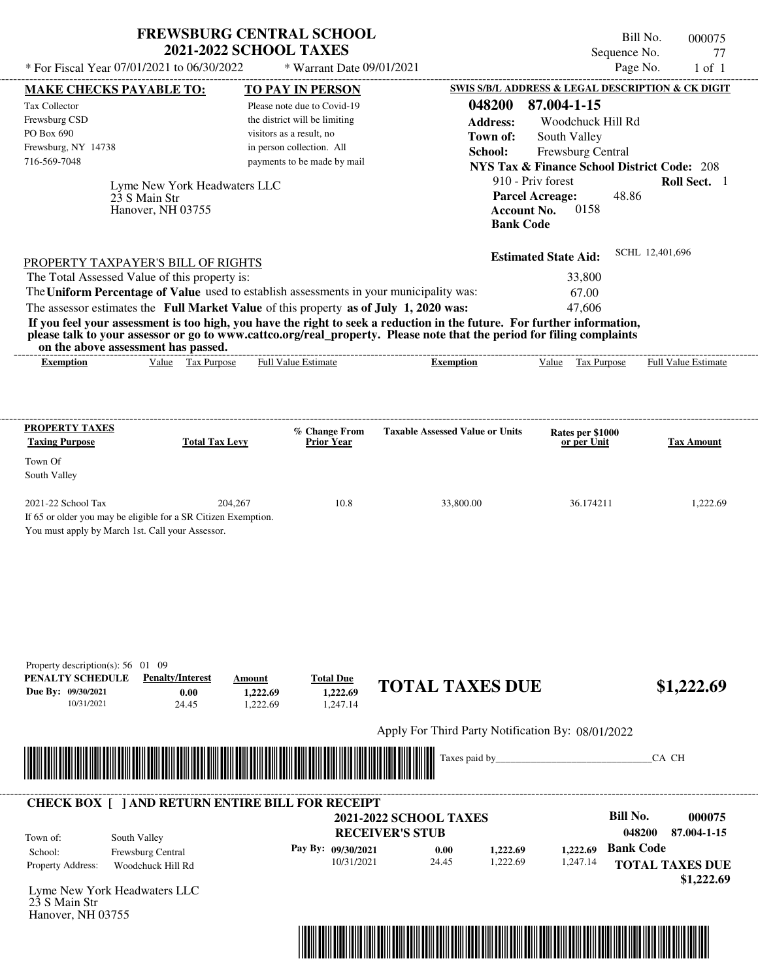| <b>FREWSBURG CENTRAL SCHOOL</b> |  |
|---------------------------------|--|
| <b>2021-2022 SCHOOL TAXES</b>   |  |

Bill No. 000075 Sequence No. 77<br>Page No. 1 of 1  $*$  For Fiscal Year 07/01/2021 to 06/30/2022  $*$  Warrant Date 09/01/2021 Page No. 1 of 1

|                                                                                                                                                                                                                           |                                   |                                                        |                                                                                                                         | <b>SWIS S/B/L ADDRESS &amp; LEGAL DESCRIPTION &amp; CK DIGIT</b> |                                 |
|---------------------------------------------------------------------------------------------------------------------------------------------------------------------------------------------------------------------------|-----------------------------------|--------------------------------------------------------|-------------------------------------------------------------------------------------------------------------------------|------------------------------------------------------------------|---------------------------------|
| <b>MAKE CHECKS PAYABLE TO:</b><br>Tax Collector                                                                                                                                                                           |                                   | <b>TO PAY IN PERSON</b><br>Please note due to Covid-19 | 048200                                                                                                                  | 87.004-1-15                                                      |                                 |
| Frewsburg CSD                                                                                                                                                                                                             |                                   | the district will be limiting                          |                                                                                                                         | Woodchuck Hill Rd                                                |                                 |
| PO Box 690                                                                                                                                                                                                                |                                   | visitors as a result, no                               | <b>Address:</b><br>Town of:                                                                                             | South Valley                                                     |                                 |
| Frewsburg, NY 14738                                                                                                                                                                                                       |                                   | in person collection. All                              | School:                                                                                                                 | Frewsburg Central                                                |                                 |
| 716-569-7048                                                                                                                                                                                                              |                                   | payments to be made by mail                            |                                                                                                                         | <b>NYS Tax &amp; Finance School District Code: 208</b>           |                                 |
|                                                                                                                                                                                                                           |                                   |                                                        |                                                                                                                         | 910 - Priv forest                                                | Roll Sect. 1                    |
| 23 S Main Str                                                                                                                                                                                                             | Lyme New York Headwaters LLC      |                                                        |                                                                                                                         | <b>Parcel Acreage:</b>                                           | 48.86                           |
|                                                                                                                                                                                                                           | Hanover, NH 03755                 |                                                        |                                                                                                                         | 0158<br><b>Account No.</b>                                       |                                 |
|                                                                                                                                                                                                                           |                                   |                                                        |                                                                                                                         | <b>Bank Code</b>                                                 |                                 |
|                                                                                                                                                                                                                           |                                   |                                                        |                                                                                                                         |                                                                  |                                 |
| PROPERTY TAXPAYER'S BILL OF RIGHTS                                                                                                                                                                                        |                                   |                                                        |                                                                                                                         | <b>Estimated State Aid:</b>                                      | SCHL 12,401,696                 |
| The Total Assessed Value of this property is:                                                                                                                                                                             |                                   |                                                        |                                                                                                                         | 33,800                                                           |                                 |
| The Uniform Percentage of Value used to establish assessments in your municipality was:                                                                                                                                   |                                   |                                                        |                                                                                                                         | 67.00                                                            |                                 |
| The assessor estimates the Full Market Value of this property as of July 1, 2020 was:                                                                                                                                     |                                   |                                                        |                                                                                                                         | 47,606                                                           |                                 |
|                                                                                                                                                                                                                           |                                   |                                                        | If you feel your assessment is too high, you have the right to seek a reduction in the future. For further information, |                                                                  |                                 |
| on the above assessment has passed.                                                                                                                                                                                       |                                   |                                                        | please talk to your assessor or go to www.cattco.org/real_property. Please note that the period for filing complaints   |                                                                  |                                 |
| <b>Exemption</b>                                                                                                                                                                                                          | Value Tax Purpose                 | <b>Full Value Estimate</b>                             | <b>Exemption</b>                                                                                                        | Value Tax Purpose                                                | <b>Full Value Estimate</b>      |
|                                                                                                                                                                                                                           |                                   |                                                        |                                                                                                                         |                                                                  |                                 |
|                                                                                                                                                                                                                           |                                   |                                                        |                                                                                                                         |                                                                  |                                 |
|                                                                                                                                                                                                                           |                                   |                                                        |                                                                                                                         |                                                                  |                                 |
| <b>PROPERTY TAXES</b><br><b>Taxing Purpose</b>                                                                                                                                                                            | <b>Total Tax Levy</b>             | % Change From<br><b>Prior Year</b>                     | <b>Taxable Assessed Value or Units</b>                                                                                  | Rates per \$1000<br>or per Unit                                  | <b>Tax Amount</b>               |
|                                                                                                                                                                                                                           |                                   |                                                        |                                                                                                                         |                                                                  |                                 |
| Town Of                                                                                                                                                                                                                   |                                   |                                                        |                                                                                                                         |                                                                  |                                 |
| South Valley                                                                                                                                                                                                              |                                   |                                                        |                                                                                                                         |                                                                  |                                 |
| 2021-22 School Tax                                                                                                                                                                                                        | 204,267                           | 10.8                                                   | 33,800.00                                                                                                               | 36.174211                                                        | 1,222.69                        |
|                                                                                                                                                                                                                           |                                   |                                                        |                                                                                                                         |                                                                  |                                 |
|                                                                                                                                                                                                                           |                                   |                                                        |                                                                                                                         |                                                                  |                                 |
|                                                                                                                                                                                                                           |                                   |                                                        |                                                                                                                         |                                                                  |                                 |
|                                                                                                                                                                                                                           |                                   |                                                        |                                                                                                                         |                                                                  |                                 |
|                                                                                                                                                                                                                           |                                   |                                                        |                                                                                                                         |                                                                  |                                 |
|                                                                                                                                                                                                                           |                                   |                                                        |                                                                                                                         |                                                                  |                                 |
|                                                                                                                                                                                                                           |                                   |                                                        |                                                                                                                         |                                                                  |                                 |
|                                                                                                                                                                                                                           |                                   |                                                        |                                                                                                                         |                                                                  |                                 |
|                                                                                                                                                                                                                           |                                   |                                                        |                                                                                                                         |                                                                  |                                 |
|                                                                                                                                                                                                                           |                                   |                                                        |                                                                                                                         |                                                                  |                                 |
| If 65 or older you may be eligible for a SR Citizen Exemption.<br>You must apply by March 1st. Call your Assessor.<br>Property description(s): $56 \quad 01 \quad 09$                                                     | <b>Penalty/Interest</b><br>Amount |                                                        |                                                                                                                         |                                                                  |                                 |
|                                                                                                                                                                                                                           | 0.00                              | <b>Total Due</b><br>1,222.69<br>1,222.69               | <b>TOTAL TAXES DUE</b>                                                                                                  |                                                                  | \$1,222.69                      |
| 10/31/2021                                                                                                                                                                                                                | 24.45                             | 1,247.14<br>1,222.69                                   |                                                                                                                         |                                                                  |                                 |
|                                                                                                                                                                                                                           |                                   |                                                        |                                                                                                                         |                                                                  |                                 |
|                                                                                                                                                                                                                           |                                   |                                                        | Apply For Third Party Notification By: 08/01/2022                                                                       |                                                                  |                                 |
|                                                                                                                                                                                                                           |                                   |                                                        | Taxes paid by_                                                                                                          |                                                                  | CA CH                           |
|                                                                                                                                                                                                                           |                                   |                                                        |                                                                                                                         |                                                                  |                                 |
|                                                                                                                                                                                                                           |                                   |                                                        |                                                                                                                         |                                                                  |                                 |
|                                                                                                                                                                                                                           |                                   |                                                        | <b>2021-2022 SCHOOL TAXES</b>                                                                                           |                                                                  | <b>Bill No.</b>                 |
| PENALTY SCHEDULE<br>Due By: 09/30/2021<br><u> Handels Handels van de Berger van de Berger van de Berger van de Berger van de Berger van de Berger van de B</u><br><b>CHECK BOX [ ] AND RETURN ENTIRE BILL FOR RECEIPT</b> |                                   |                                                        | <b>RECEIVER'S STUB</b>                                                                                                  |                                                                  | 000075<br>048200                |
| South Valley<br>Town of:                                                                                                                                                                                                  |                                   | Pay By: 09/30/2021                                     | 0.00                                                                                                                    |                                                                  | 87.004-1-15<br><b>Bank Code</b> |
| School:<br>Frewsburg Central<br>Property Address:<br>Woodchuck Hill Rd                                                                                                                                                    |                                   | 10/31/2021                                             | 1,222.69<br>24.45<br>1,222.69                                                                                           | 1,222.69<br>1,247.14                                             | <b>TOTAL TAXES DUE</b>          |
|                                                                                                                                                                                                                           |                                   |                                                        |                                                                                                                         |                                                                  | \$1,222.69                      |
| Lyme New York Headwaters LLC                                                                                                                                                                                              |                                   |                                                        |                                                                                                                         |                                                                  |                                 |
| 23 S Main Str<br>Hanover, NH 03755                                                                                                                                                                                        |                                   |                                                        |                                                                                                                         |                                                                  |                                 |

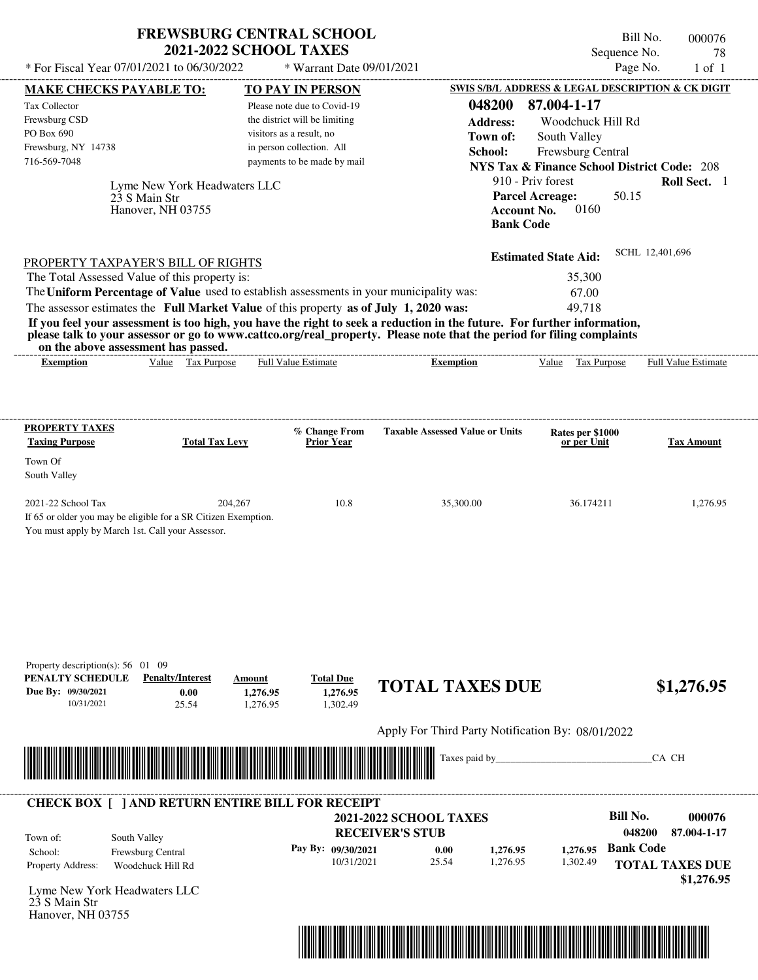| <b>FREWSBURG CENTRAL SCHOOL</b> |
|---------------------------------|
| <b>2021-2022 SCHOOL TAXES</b>   |

Bill No. 000076 Sequence No. 78<br>Page No. 1 of 1

| * For Fiscal Year 07/01/2021 to 06/30/2022                                                                                               |                                                                            | * Warrant Date 09/01/2021                                 |                                                                                                                                                                                                                                                  |                             | Page No.<br>$1$ of $1$                                 |
|------------------------------------------------------------------------------------------------------------------------------------------|----------------------------------------------------------------------------|-----------------------------------------------------------|--------------------------------------------------------------------------------------------------------------------------------------------------------------------------------------------------------------------------------------------------|-----------------------------|--------------------------------------------------------|
| <b>MAKE CHECKS PAYABLE TO:</b>                                                                                                           |                                                                            | <b>TO PAY IN PERSON</b>                                   |                                                                                                                                                                                                                                                  |                             | SWIS S/B/L ADDRESS & LEGAL DESCRIPTION & CK DIGIT      |
| <b>Tax Collector</b>                                                                                                                     |                                                                            | Please note due to Covid-19                               | 048200                                                                                                                                                                                                                                           | 87.004-1-17                 |                                                        |
| Frewsburg CSD<br>PO Box 690                                                                                                              |                                                                            | the district will be limiting<br>visitors as a result, no | <b>Address:</b>                                                                                                                                                                                                                                  | Woodchuck Hill Rd           |                                                        |
| Frewsburg, NY 14738                                                                                                                      |                                                                            | in person collection. All                                 | Town of:                                                                                                                                                                                                                                         | South Valley                |                                                        |
| 716-569-7048                                                                                                                             |                                                                            | payments to be made by mail                               | School:                                                                                                                                                                                                                                          | Frewsburg Central           | <b>NYS Tax &amp; Finance School District Code: 208</b> |
|                                                                                                                                          |                                                                            |                                                           |                                                                                                                                                                                                                                                  | 910 - Priv forest           | Roll Sect. 1                                           |
| 23 S Main Str                                                                                                                            | Lyme New York Headwaters LLC                                               |                                                           |                                                                                                                                                                                                                                                  | <b>Parcel Acreage:</b>      | 50.15                                                  |
|                                                                                                                                          | Hanover, NH 03755                                                          |                                                           |                                                                                                                                                                                                                                                  | 0160<br><b>Account No.</b>  |                                                        |
|                                                                                                                                          |                                                                            |                                                           | <b>Bank Code</b>                                                                                                                                                                                                                                 |                             |                                                        |
| PROPERTY TAXPAYER'S BILL OF RIGHTS                                                                                                       |                                                                            |                                                           |                                                                                                                                                                                                                                                  | <b>Estimated State Aid:</b> | SCHL 12,401,696                                        |
| The Total Assessed Value of this property is:                                                                                            |                                                                            |                                                           |                                                                                                                                                                                                                                                  | 35,300                      |                                                        |
| The Uniform Percentage of Value used to establish assessments in your municipality was:                                                  |                                                                            |                                                           |                                                                                                                                                                                                                                                  | 67.00                       |                                                        |
| The assessor estimates the Full Market Value of this property as of July 1, 2020 was:                                                    |                                                                            |                                                           |                                                                                                                                                                                                                                                  | 49,718                      |                                                        |
| on the above assessment has passed.                                                                                                      |                                                                            |                                                           | If you feel your assessment is too high, you have the right to seek a reduction in the future. For further information,<br>please talk to your assessor or go to www.cattco.org/real_property. Please note that the period for filing complaints |                             |                                                        |
| <b>Exemption</b>                                                                                                                         | Value Tax Purpose                                                          | <b>Full Value Estimate</b>                                | <b>Exemption</b>                                                                                                                                                                                                                                 | Value Tax Purpose           | Full Value Estimate                                    |
|                                                                                                                                          |                                                                            |                                                           |                                                                                                                                                                                                                                                  |                             |                                                        |
| <b>PROPERTY TAXES</b>                                                                                                                    |                                                                            | % Change From                                             | <b>Taxable Assessed Value or Units</b>                                                                                                                                                                                                           | Rates per \$1000            |                                                        |
| <b>Taxing Purpose</b>                                                                                                                    | <b>Total Tax Levy</b>                                                      | <b>Prior Year</b>                                         |                                                                                                                                                                                                                                                  | or per Unit                 | <b>Tax Amount</b>                                      |
| Town Of<br>South Valley                                                                                                                  |                                                                            |                                                           |                                                                                                                                                                                                                                                  |                             |                                                        |
| 2021-22 School Tax<br>If 65 or older you may be eligible for a SR Citizen Exemption.<br>You must apply by March 1st. Call your Assessor. | 204,267                                                                    | 10.8                                                      | 35,300.00                                                                                                                                                                                                                                        | 36.174211                   | 1,276.95                                               |
| Property description(s): 56 01 09<br>PENALTY SCHEDULE<br>Due By: 09/30/2021<br>10/31/2021                                                | <b>Penalty/Interest</b><br>Amount<br>0.00<br>1,276.95<br>25.54<br>1,276.95 | <b>Total Due</b><br>1,276.95<br>1,302.49                  | <b>TOTAL TAXES DUE</b>                                                                                                                                                                                                                           |                             | \$1,276.95                                             |
|                                                                                                                                          |                                                                            |                                                           | Apply For Third Party Notification By: 08/01/2022                                                                                                                                                                                                |                             |                                                        |
|                                                                                                                                          |                                                                            |                                                           | Taxes paid by_                                                                                                                                                                                                                                   |                             | CA CH                                                  |
| <u> 1999 - Andrea Stadt Maria Maria Maria Maria Maria Maria Maria Maria Maria Maria Maria Maria Maria Maria Mar</u>                      |                                                                            |                                                           |                                                                                                                                                                                                                                                  |                             |                                                        |
| <b>CHECK BOX [ ] AND RETURN ENTIRE BILL FOR RECEIPT</b>                                                                                  |                                                                            |                                                           |                                                                                                                                                                                                                                                  |                             | <b>Bill No.</b><br>000076                              |
|                                                                                                                                          |                                                                            |                                                           | <b>2021-2022 SCHOOL TAXES</b><br><b>RECEIVER'S STUB</b>                                                                                                                                                                                          |                             | 048200<br>87.004-1-17                                  |
| South Valley<br>Town of:                                                                                                                 |                                                                            | Pay By: 09/30/2021                                        |                                                                                                                                                                                                                                                  | 1,276.95                    | <b>Bank Code</b>                                       |
| Frewsburg Central<br>School:<br>Property Address:<br>Woodchuck Hill Rd                                                                   |                                                                            | 10/31/2021                                                | 0.00<br>1,276.95<br>25.54<br>1,276.95                                                                                                                                                                                                            | 1,302.49                    | <b>TOTAL TAXES DUE</b>                                 |
|                                                                                                                                          |                                                                            |                                                           |                                                                                                                                                                                                                                                  |                             | \$1,276.95                                             |
| Lyme New York Headwaters LLC<br>23 S Main Str<br>Hanover, NH 03755                                                                       |                                                                            |                                                           |                                                                                                                                                                                                                                                  |                             |                                                        |
|                                                                                                                                          |                                                                            |                                                           |                                                                                                                                                                                                                                                  |                             |                                                        |
|                                                                                                                                          |                                                                            |                                                           |                                                                                                                                                                                                                                                  |                             |                                                        |
|                                                                                                                                          |                                                                            |                                                           |                                                                                                                                                                                                                                                  |                             |                                                        |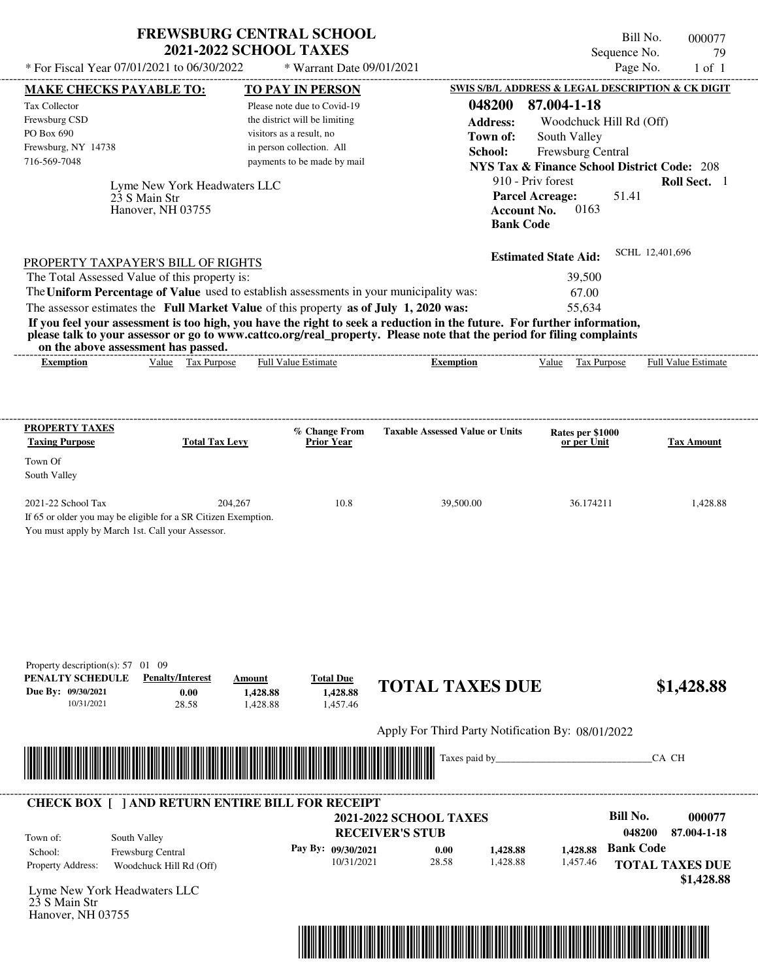|                                            | <b>FREWSBURG CENTRAL SCHOOL</b><br><b>2021-2022 SCHOOL TAXES</b> | Bill No.<br>000077<br>Sequence No.<br>79          |
|--------------------------------------------|------------------------------------------------------------------|---------------------------------------------------|
| * For Fiscal Year 07/01/2021 to 06/30/2022 | $*$ Warrant Date 09/01/2021                                      | Page No.<br>1 of 1                                |
| <b>MAKE CHECKS PAYABLE TO:</b>             | <b>TO PAY IN PERSON</b>                                          | SWIS S/B/L ADDRESS & LEGAL DESCRIPTION & CK DIGIT |
| Tax Collector                              | Please note due to Covid-19                                      | 87.004-1-18<br>048200                             |

| PO Box 690<br>Frewsburg, NY 14738<br>716-569-7048<br>23 S Main Str<br>Hanover, NH 03755 | visitors as a result, no<br>in person collection. All<br>payments to be made by mail<br>Lyme New York Headwaters LLC | <b>Address:</b><br>Town of:<br>School:                                                                                                                                                                                                                               | Woodchuck Hill Rd (Off)<br>South Valley<br>Frewsburg Central<br><b>NYS Tax &amp; Finance School District Code: 208</b><br>910 - Priv forest<br>51.41<br><b>Parcel Acreage:</b><br>0163<br><b>Account No.</b><br><b>Bank Code</b> | Roll Sect. 1               |
|-----------------------------------------------------------------------------------------|----------------------------------------------------------------------------------------------------------------------|----------------------------------------------------------------------------------------------------------------------------------------------------------------------------------------------------------------------------------------------------------------------|----------------------------------------------------------------------------------------------------------------------------------------------------------------------------------------------------------------------------------|----------------------------|
| PROPERTY TAXPAYER'S BILL OF RIGHTS                                                      |                                                                                                                      |                                                                                                                                                                                                                                                                      | <b>Estimated State Aid:</b>                                                                                                                                                                                                      | SCHL 12,401,696            |
| The Total Assessed Value of this property is:                                           |                                                                                                                      |                                                                                                                                                                                                                                                                      | 39,500                                                                                                                                                                                                                           |                            |
|                                                                                         |                                                                                                                      | The Uniform Percentage of Value used to establish assessments in your municipality was:                                                                                                                                                                              | 67.00                                                                                                                                                                                                                            |                            |
|                                                                                         |                                                                                                                      |                                                                                                                                                                                                                                                                      | 55.634                                                                                                                                                                                                                           |                            |
| The assessor estimates the Full Market Value of this property as of July 1, 2020 was:   |                                                                                                                      |                                                                                                                                                                                                                                                                      |                                                                                                                                                                                                                                  |                            |
| on the above assessment has passed.<br><b>Exemption</b>                                 | <b>Full Value Estimate</b><br>Value Tax Purpose                                                                      | If you feel your assessment is too high, you have the right to seek a reduction in the future. For further information,<br>please talk to your assessor or go to www.cattco.org/real_property. Please note that the period for filing complaints<br><b>Exemption</b> | Tax Purpose<br>Value                                                                                                                                                                                                             | <b>Full Value Estimate</b> |
| PROPERTY TAXES                                                                          |                                                                                                                      | <b>Taxable Assessed Value or Units</b><br>% Change From                                                                                                                                                                                                              | Rates per \$1000                                                                                                                                                                                                                 |                            |
| <b>Taxing Purpose</b><br>Town Of<br>South Valley                                        | <b>Total Tax Levy</b>                                                                                                | <b>Prior Year</b>                                                                                                                                                                                                                                                    | or per Unit                                                                                                                                                                                                                      | <b>Tax Amount</b>          |

|                                                         | Apply For Third Party Notification By: 08/01/2022<br>Taxes paid by_ |                                                                                             | CA CH                                              |
|---------------------------------------------------------|---------------------------------------------------------------------|---------------------------------------------------------------------------------------------|----------------------------------------------------|
|                                                         |                                                                     |                                                                                             |                                                    |
|                                                         |                                                                     |                                                                                             |                                                    |
|                                                         |                                                                     |                                                                                             |                                                    |
| <b>CHECK BOX [ ] AND RETURN ENTIRE BILL FOR RECEIPT</b> |                                                                     |                                                                                             |                                                    |
|                                                         |                                                                     |                                                                                             | <b>Bill No.</b><br>000077<br>048200<br>87.004-1-18 |
|                                                         | 0.00                                                                | 1,428.88                                                                                    | <b>Bank Code</b>                                   |
|                                                         | 28.58                                                               | 1,457.46                                                                                    | <b>TOTAL TAXES DUE</b>                             |
|                                                         |                                                                     |                                                                                             | \$1,428.88                                         |
|                                                         |                                                                     |                                                                                             |                                                    |
|                                                         |                                                                     | <b>2021-2022 SCHOOL TAXES</b><br><b>RECEIVER'S STUB</b><br>Pay By: 09/30/2021<br>10/31/2021 | 1,428.88<br>1,428.88                               |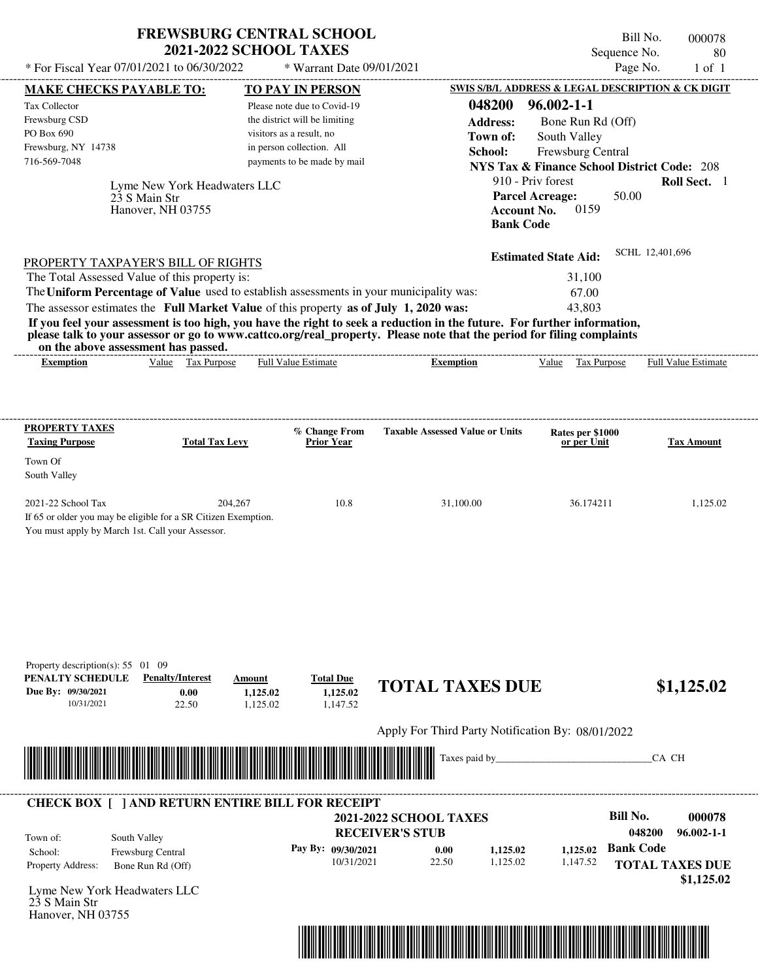| <b>FREWSBURG CENTRAL SCHOOL</b> |
|---------------------------------|
| <b>2021-2022 SCHOOL TAXES</b>   |

Bill No. 000078 Sequence No. 80

| SWIS S/B/L ADDRESS & LEGAL DESCRIPTION & CK DIGIT<br><b>TO PAY IN PERSON</b><br><b>MAKE CHECKS PAYABLE TO:</b><br>048200<br>$96.002 - 1 - 1$<br>Please note due to Covid-19<br>the district will be limiting<br><b>Address:</b><br>Bone Run Rd (Off)<br>visitors as a result, no<br>Town of:<br>South Valley<br>in person collection. All<br>School:<br>Frewsburg Central<br>payments to be made by mail<br><b>NYS Tax &amp; Finance School District Code: 208</b><br>910 - Priv forest<br>Lyme New York Headwaters LLC<br><b>Parcel Acreage:</b><br>50.00<br>23 S Main Str<br><b>Account No.</b><br>0159<br>Hanover, NH 03755<br><b>Bank Code</b><br>SCHL 12,401,696<br><b>Estimated State Aid:</b><br><b>PROPERTY TAXPAYER'S BILL OF RIGHTS</b><br>The Total Assessed Value of this property is:<br>31,100<br>The Uniform Percentage of Value used to establish assessments in your municipality was:<br>67.00<br>The assessor estimates the Full Market Value of this property as of July 1, 2020 was:<br>43,803<br>If you feel your assessment is too high, you have the right to seek a reduction in the future. For further information,<br>please talk to your assessor or go to www.cattco.org/real_property. Please note that the period for filing complaints<br>on the above assessment has passed.<br>Value Tax Purpose<br>Full Value Estimate<br><b>Exemption</b><br><b>Exemption</b><br>Value Tax Purpose<br><b>PROPERTY TAXES</b><br>% Change From<br><b>Taxable Assessed Value or Units</b><br>Rates per \$1000<br><b>Total Tax Levy</b><br><b>Prior Year</b><br>or per Unit<br>204,267<br>10.8<br>31,100.00<br>36.174211<br>If 65 or older you may be eligible for a SR Citizen Exemption.<br>You must apply by March 1st. Call your Assessor.<br>Property description(s): $55 \quad 01 \quad 09$<br><b>Penalty/Interest</b><br><b>Total Due</b><br>Amount<br><b>TOTAL TAXES DUE</b><br>0.00<br>1,125.02<br>1,125.02<br>10/31/2021<br>22.50<br>1,125.02<br>1,147.52<br>Apply For Third Party Notification By: 08/01/2022<br>Taxes paid by_<br>CA CH<br><b>CHECK BOX [ ] AND RETURN ENTIRE BILL FOR RECEIPT</b><br><b>Bill No.</b><br><b>2021-2022 SCHOOL TAXES</b><br><b>RECEIVER'S STUB</b><br>048200<br>South Valley<br><b>Bank Code</b><br>Pay By: 09/30/2021<br>1,125.02<br>0.00<br>1,125.02<br>Frewsburg Central<br>School:<br>10/31/2021<br>22.50<br>1,125.02<br>1,147.52<br><b>TOTAL TAXES DUE</b><br>Bone Run Rd (Off)<br>Lyme New York Headwaters LLC<br>Hanover, NH 03755 | * For Fiscal Year 07/01/2021 to 06/30/2022   | * Warrant Date 09/01/2021 |  | Page No.<br>$1$ of $1$     |
|------------------------------------------------------------------------------------------------------------------------------------------------------------------------------------------------------------------------------------------------------------------------------------------------------------------------------------------------------------------------------------------------------------------------------------------------------------------------------------------------------------------------------------------------------------------------------------------------------------------------------------------------------------------------------------------------------------------------------------------------------------------------------------------------------------------------------------------------------------------------------------------------------------------------------------------------------------------------------------------------------------------------------------------------------------------------------------------------------------------------------------------------------------------------------------------------------------------------------------------------------------------------------------------------------------------------------------------------------------------------------------------------------------------------------------------------------------------------------------------------------------------------------------------------------------------------------------------------------------------------------------------------------------------------------------------------------------------------------------------------------------------------------------------------------------------------------------------------------------------------------------------------------------------------------------------------------------------------------------------------------------------------------------------------------------------------------------------------------------------------------------------------------------------------------------------------------------------------------------------------------------------------------------------------------------------------------------------------------------------------------------------------------------------------------------------------------------------------------------------------------|----------------------------------------------|---------------------------|--|----------------------------|
|                                                                                                                                                                                                                                                                                                                                                                                                                                                                                                                                                                                                                                                                                                                                                                                                                                                                                                                                                                                                                                                                                                                                                                                                                                                                                                                                                                                                                                                                                                                                                                                                                                                                                                                                                                                                                                                                                                                                                                                                                                                                                                                                                                                                                                                                                                                                                                                                                                                                                                      |                                              |                           |  |                            |
|                                                                                                                                                                                                                                                                                                                                                                                                                                                                                                                                                                                                                                                                                                                                                                                                                                                                                                                                                                                                                                                                                                                                                                                                                                                                                                                                                                                                                                                                                                                                                                                                                                                                                                                                                                                                                                                                                                                                                                                                                                                                                                                                                                                                                                                                                                                                                                                                                                                                                                      | Tax Collector<br>Frewsburg CSD<br>PO Box 690 |                           |  |                            |
|                                                                                                                                                                                                                                                                                                                                                                                                                                                                                                                                                                                                                                                                                                                                                                                                                                                                                                                                                                                                                                                                                                                                                                                                                                                                                                                                                                                                                                                                                                                                                                                                                                                                                                                                                                                                                                                                                                                                                                                                                                                                                                                                                                                                                                                                                                                                                                                                                                                                                                      | Frewsburg, NY 14738<br>716-569-7048          |                           |  |                            |
|                                                                                                                                                                                                                                                                                                                                                                                                                                                                                                                                                                                                                                                                                                                                                                                                                                                                                                                                                                                                                                                                                                                                                                                                                                                                                                                                                                                                                                                                                                                                                                                                                                                                                                                                                                                                                                                                                                                                                                                                                                                                                                                                                                                                                                                                                                                                                                                                                                                                                                      |                                              |                           |  | Roll Sect. 1               |
|                                                                                                                                                                                                                                                                                                                                                                                                                                                                                                                                                                                                                                                                                                                                                                                                                                                                                                                                                                                                                                                                                                                                                                                                                                                                                                                                                                                                                                                                                                                                                                                                                                                                                                                                                                                                                                                                                                                                                                                                                                                                                                                                                                                                                                                                                                                                                                                                                                                                                                      |                                              |                           |  |                            |
|                                                                                                                                                                                                                                                                                                                                                                                                                                                                                                                                                                                                                                                                                                                                                                                                                                                                                                                                                                                                                                                                                                                                                                                                                                                                                                                                                                                                                                                                                                                                                                                                                                                                                                                                                                                                                                                                                                                                                                                                                                                                                                                                                                                                                                                                                                                                                                                                                                                                                                      |                                              |                           |  |                            |
|                                                                                                                                                                                                                                                                                                                                                                                                                                                                                                                                                                                                                                                                                                                                                                                                                                                                                                                                                                                                                                                                                                                                                                                                                                                                                                                                                                                                                                                                                                                                                                                                                                                                                                                                                                                                                                                                                                                                                                                                                                                                                                                                                                                                                                                                                                                                                                                                                                                                                                      |                                              |                           |  |                            |
|                                                                                                                                                                                                                                                                                                                                                                                                                                                                                                                                                                                                                                                                                                                                                                                                                                                                                                                                                                                                                                                                                                                                                                                                                                                                                                                                                                                                                                                                                                                                                                                                                                                                                                                                                                                                                                                                                                                                                                                                                                                                                                                                                                                                                                                                                                                                                                                                                                                                                                      |                                              |                           |  | Full Value Estimate        |
|                                                                                                                                                                                                                                                                                                                                                                                                                                                                                                                                                                                                                                                                                                                                                                                                                                                                                                                                                                                                                                                                                                                                                                                                                                                                                                                                                                                                                                                                                                                                                                                                                                                                                                                                                                                                                                                                                                                                                                                                                                                                                                                                                                                                                                                                                                                                                                                                                                                                                                      |                                              |                           |  |                            |
|                                                                                                                                                                                                                                                                                                                                                                                                                                                                                                                                                                                                                                                                                                                                                                                                                                                                                                                                                                                                                                                                                                                                                                                                                                                                                                                                                                                                                                                                                                                                                                                                                                                                                                                                                                                                                                                                                                                                                                                                                                                                                                                                                                                                                                                                                                                                                                                                                                                                                                      | <b>Taxing Purpose</b>                        |                           |  | <b>Tax Amount</b>          |
|                                                                                                                                                                                                                                                                                                                                                                                                                                                                                                                                                                                                                                                                                                                                                                                                                                                                                                                                                                                                                                                                                                                                                                                                                                                                                                                                                                                                                                                                                                                                                                                                                                                                                                                                                                                                                                                                                                                                                                                                                                                                                                                                                                                                                                                                                                                                                                                                                                                                                                      | Town Of<br>South Valley                      |                           |  |                            |
|                                                                                                                                                                                                                                                                                                                                                                                                                                                                                                                                                                                                                                                                                                                                                                                                                                                                                                                                                                                                                                                                                                                                                                                                                                                                                                                                                                                                                                                                                                                                                                                                                                                                                                                                                                                                                                                                                                                                                                                                                                                                                                                                                                                                                                                                                                                                                                                                                                                                                                      | 2021-22 School Tax                           |                           |  | 1,125.02                   |
|                                                                                                                                                                                                                                                                                                                                                                                                                                                                                                                                                                                                                                                                                                                                                                                                                                                                                                                                                                                                                                                                                                                                                                                                                                                                                                                                                                                                                                                                                                                                                                                                                                                                                                                                                                                                                                                                                                                                                                                                                                                                                                                                                                                                                                                                                                                                                                                                                                                                                                      | PENALTY SCHEDULE<br>Due By: 09/30/2021       |                           |  | \$1,125.02                 |
|                                                                                                                                                                                                                                                                                                                                                                                                                                                                                                                                                                                                                                                                                                                                                                                                                                                                                                                                                                                                                                                                                                                                                                                                                                                                                                                                                                                                                                                                                                                                                                                                                                                                                                                                                                                                                                                                                                                                                                                                                                                                                                                                                                                                                                                                                                                                                                                                                                                                                                      |                                              |                           |  |                            |
|                                                                                                                                                                                                                                                                                                                                                                                                                                                                                                                                                                                                                                                                                                                                                                                                                                                                                                                                                                                                                                                                                                                                                                                                                                                                                                                                                                                                                                                                                                                                                                                                                                                                                                                                                                                                                                                                                                                                                                                                                                                                                                                                                                                                                                                                                                                                                                                                                                                                                                      |                                              |                           |  |                            |
|                                                                                                                                                                                                                                                                                                                                                                                                                                                                                                                                                                                                                                                                                                                                                                                                                                                                                                                                                                                                                                                                                                                                                                                                                                                                                                                                                                                                                                                                                                                                                                                                                                                                                                                                                                                                                                                                                                                                                                                                                                                                                                                                                                                                                                                                                                                                                                                                                                                                                                      | Town of:                                     |                           |  | 000078<br>$96.002 - 1 - 1$ |
|                                                                                                                                                                                                                                                                                                                                                                                                                                                                                                                                                                                                                                                                                                                                                                                                                                                                                                                                                                                                                                                                                                                                                                                                                                                                                                                                                                                                                                                                                                                                                                                                                                                                                                                                                                                                                                                                                                                                                                                                                                                                                                                                                                                                                                                                                                                                                                                                                                                                                                      | Property Address:                            |                           |  | \$1,125.02                 |
|                                                                                                                                                                                                                                                                                                                                                                                                                                                                                                                                                                                                                                                                                                                                                                                                                                                                                                                                                                                                                                                                                                                                                                                                                                                                                                                                                                                                                                                                                                                                                                                                                                                                                                                                                                                                                                                                                                                                                                                                                                                                                                                                                                                                                                                                                                                                                                                                                                                                                                      | 23 S Main Str                                |                           |  |                            |
|                                                                                                                                                                                                                                                                                                                                                                                                                                                                                                                                                                                                                                                                                                                                                                                                                                                                                                                                                                                                                                                                                                                                                                                                                                                                                                                                                                                                                                                                                                                                                                                                                                                                                                                                                                                                                                                                                                                                                                                                                                                                                                                                                                                                                                                                                                                                                                                                                                                                                                      |                                              |                           |  |                            |

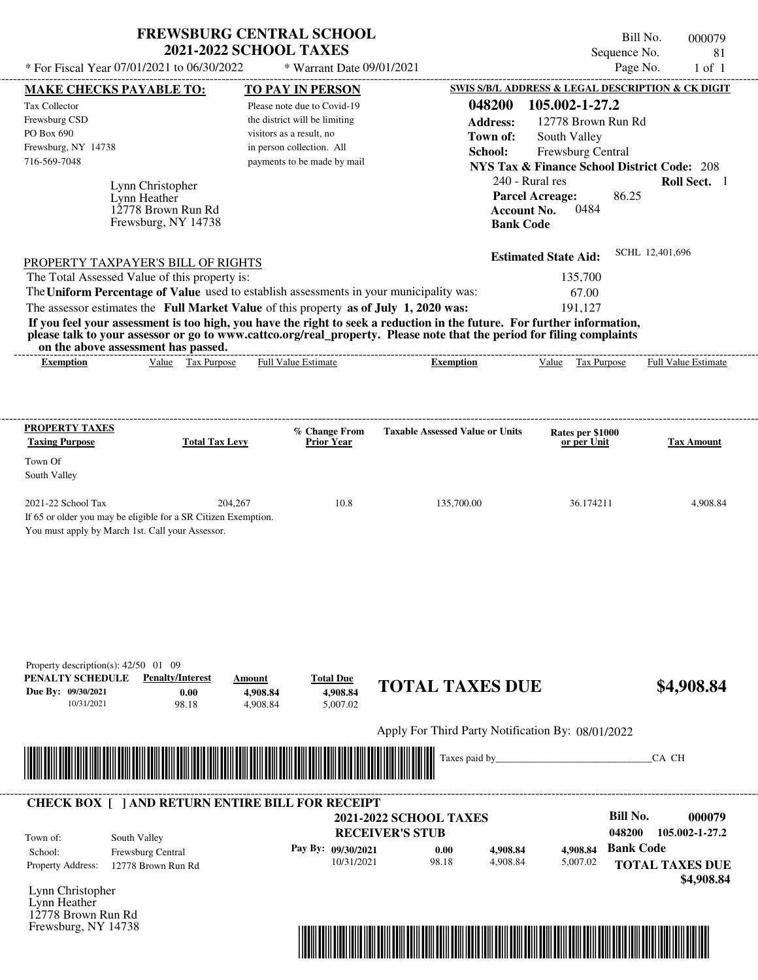| * For Fiscal Year 07/01/2021 to 06/30/2022                                                                                                                                                                       | <b>FREWSBURG CENTRAL SCHOOL</b><br><b>2021-2022 SCHOOL TAXES</b> | * Warrant Date 09/01/2021                |                                                   | Sequence No.<br>Page No.                                                    | Bill No.<br>000079<br>81<br>$1$ of $1$ |
|------------------------------------------------------------------------------------------------------------------------------------------------------------------------------------------------------------------|------------------------------------------------------------------|------------------------------------------|---------------------------------------------------|-----------------------------------------------------------------------------|----------------------------------------|
| MAKE CHECKS PAYABLE TO:                                                                                                                                                                                          |                                                                  | <b>TO PAY IN PERSON</b>                  |                                                   | SWIS S/B/L ADDRESS & LEGAL DESCRIPTION & CK DIGIT                           |                                        |
| Tax Collector                                                                                                                                                                                                    |                                                                  | Please note due to Covid-19              | 048200                                            | 105.002-1-27.2                                                              |                                        |
| Frewsburg CSD                                                                                                                                                                                                    |                                                                  | the district will be limiting            | <b>Address:</b>                                   | 12778 Brown Run Rd                                                          |                                        |
| PO Box 690                                                                                                                                                                                                       |                                                                  | visitors as a result, no                 | Town of:                                          | South Valley                                                                |                                        |
| Frewsburg, NY 14738                                                                                                                                                                                              |                                                                  | in person collection. All                | School:                                           |                                                                             |                                        |
| 716-569-7048                                                                                                                                                                                                     |                                                                  | payments to be made by mail              |                                                   | Frewsburg Central<br><b>NYS Tax &amp; Finance School District Code: 208</b> |                                        |
|                                                                                                                                                                                                                  |                                                                  |                                          |                                                   |                                                                             |                                        |
| Lynn Christopher                                                                                                                                                                                                 |                                                                  |                                          |                                                   | 240 - Rural res                                                             | Roll Sect. 1                           |
| Lynn Heather                                                                                                                                                                                                     |                                                                  |                                          |                                                   | 86.25<br><b>Parcel Acreage:</b>                                             |                                        |
| 12778 Brown Run Rd<br>Frewsburg, NY 14738                                                                                                                                                                        |                                                                  |                                          | <b>Account No.</b><br><b>Bank Code</b>            | 0484                                                                        |                                        |
|                                                                                                                                                                                                                  |                                                                  |                                          |                                                   |                                                                             | SCHL 12,401,696                        |
| PROPERTY TAXPAYER'S BILL OF RIGHTS                                                                                                                                                                               |                                                                  |                                          |                                                   | <b>Estimated State Aid:</b>                                                 |                                        |
| The Total Assessed Value of this property is:                                                                                                                                                                    |                                                                  |                                          |                                                   | 135,700                                                                     |                                        |
| The Uniform Percentage of Value used to establish assessments in your municipality was:                                                                                                                          |                                                                  |                                          |                                                   | 67.00                                                                       |                                        |
| The assessor estimates the Full Market Value of this property as of July 1, 2020 was:<br>If you feel your assessment is too high, you have the right to seek a reduction in the future. For further information, |                                                                  |                                          |                                                   | 191,127                                                                     |                                        |
| please talk to your assessor or go to www.cattco.org/real_property. Please note that the period for filing complaints                                                                                            |                                                                  |                                          |                                                   |                                                                             |                                        |
| on the above assessment has passed.                                                                                                                                                                              |                                                                  |                                          |                                                   |                                                                             |                                        |
| Value Tax Purpose<br><b>Exemption</b>                                                                                                                                                                            |                                                                  | Full Value Estimate                      | <b>Exemption</b>                                  | Value Tax Purpose                                                           | Full Value Estimate                    |
| <b>PROPERTY TAXES</b><br><b>Taxing Purpose</b><br>Town Of                                                                                                                                                        | <b>Total Tax Levy</b>                                            | % Change From<br><b>Prior Year</b>       | <b>Taxable Assessed Value or Units</b>            | Rates per \$1000<br>or per Unit                                             | <b>Tax Amount</b>                      |
| South Valley                                                                                                                                                                                                     |                                                                  |                                          |                                                   |                                                                             |                                        |
| 2021-22 School Tax<br>If 65 or older you may be eligible for a SR Citizen Exemption.<br>You must apply by March 1st. Call your Assessor.                                                                         | 204,267                                                          | 10.8                                     | 135,700.00                                        | 36.174211                                                                   | 4,908.84                               |
| Property description(s): $42/50$ 01 09<br><b>Penalty/Interest</b><br>PENALTY SCHEDULE<br>Due By: 09/30/2021<br>0.00<br>10/31/2021<br>98.18                                                                       | Amount<br>4,908.84<br>4,908.84                                   | <b>Total Due</b><br>4,908.84<br>5,007.02 | <b>TOTAL TAXES DUE</b>                            |                                                                             | \$4,908.84                             |
|                                                                                                                                                                                                                  |                                                                  |                                          | Apply For Third Party Notification By: 08/01/2022 |                                                                             |                                        |
|                                                                                                                                                                                                                  |                                                                  |                                          |                                                   |                                                                             |                                        |
|                                                                                                                                                                                                                  |                                                                  |                                          | Taxes paid by_                                    |                                                                             | CA CH                                  |
|                                                                                                                                                                                                                  |                                                                  |                                          |                                                   |                                                                             |                                        |
| <b>CHECK BOX [ ] AND RETURN ENTIRE BILL FOR RECEIPT</b>                                                                                                                                                          |                                                                  |                                          | <b>2021-2022 SCHOOL TAXES</b>                     | <b>Bill No.</b>                                                             | 000079                                 |
|                                                                                                                                                                                                                  |                                                                  |                                          | <b>RECEIVER'S STUB</b>                            | 048200                                                                      | 105.002-1-27.2                         |
| South Valley<br>Town of:                                                                                                                                                                                         |                                                                  |                                          |                                                   | <b>Bank Code</b>                                                            |                                        |
| School:<br>Frewsburg Central                                                                                                                                                                                     |                                                                  | Pay By: 09/30/2021<br>10/31/2021         | 4,908.84<br>0.00<br>98.18<br>4,908.84             | 4,908.84<br>5,007.02                                                        |                                        |
| Property Address:<br>12778 Brown Run Rd                                                                                                                                                                          |                                                                  |                                          |                                                   |                                                                             | <b>TOTAL TAXES DUE</b>                 |
| Lynn Christopher                                                                                                                                                                                                 |                                                                  |                                          |                                                   |                                                                             | \$4,908.84                             |
|                                                                                                                                                                                                                  |                                                                  |                                          |                                                   |                                                                             |                                        |

Lynn Heather 12778 Brown Run Rd Frewsburg, NY 14738

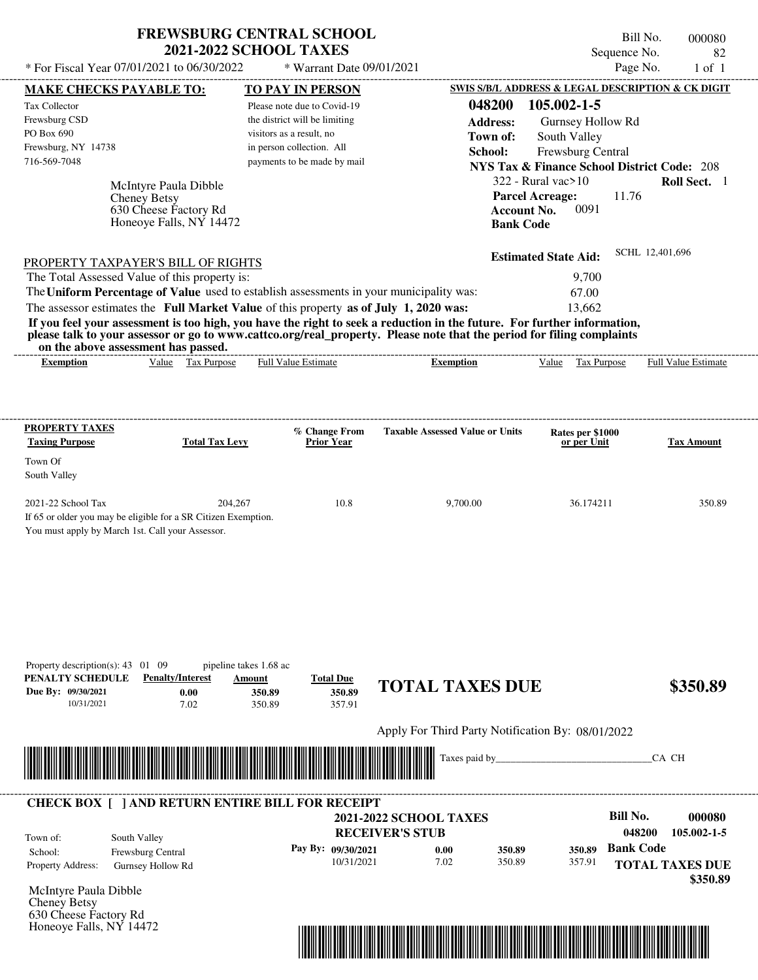| <b>FREWSBURG CENTRAL SCHOOL</b> |
|---------------------------------|
| <b>2021-2022 SCHOOL TAXES</b>   |

Bill No. 000080 Sequence No. 82

| * For Fiscal Year 07/01/2021 to 06/30/2022                                              |                                                             | * Warrant Date 09/01/2021                             |                                                                                                                         |                                                                                   | Page No.<br>$1$ of $1$     |
|-----------------------------------------------------------------------------------------|-------------------------------------------------------------|-------------------------------------------------------|-------------------------------------------------------------------------------------------------------------------------|-----------------------------------------------------------------------------------|----------------------------|
| <b>MAKE CHECKS PAYABLE TO:</b>                                                          |                                                             | <b>TO PAY IN PERSON</b>                               |                                                                                                                         | SWIS S/B/L ADDRESS & LEGAL DESCRIPTION & CK DIGIT                                 |                            |
| <b>Tax Collector</b>                                                                    |                                                             | Please note due to Covid-19                           | 048200                                                                                                                  | 105.002-1-5                                                                       |                            |
| Frewsburg CSD<br>PO Box 690                                                             |                                                             | the district will be limiting                         | <b>Address:</b>                                                                                                         | Gurnsey Hollow Rd                                                                 |                            |
| Frewsburg, NY 14738                                                                     |                                                             | visitors as a result, no<br>in person collection. All | Town of:                                                                                                                | South Valley                                                                      |                            |
| 716-569-7048                                                                            |                                                             | payments to be made by mail                           | School:                                                                                                                 | Frewsburg Central                                                                 |                            |
|                                                                                         |                                                             |                                                       |                                                                                                                         | <b>NYS Tax &amp; Finance School District Code: 208</b><br>$322$ - Rural vac $>10$ | Roll Sect. 1               |
| McIntyre Paula Dibble<br><b>Cheney Betsy</b>                                            |                                                             |                                                       |                                                                                                                         | <b>Parcel Acreage:</b>                                                            | 11.76                      |
| 630 Cheese Factory Rd                                                                   |                                                             |                                                       |                                                                                                                         | 0091<br><b>Account No.</b>                                                        |                            |
|                                                                                         | Honeoye Falls, NY 14472                                     |                                                       |                                                                                                                         | <b>Bank Code</b>                                                                  |                            |
|                                                                                         |                                                             |                                                       |                                                                                                                         |                                                                                   | SCHL 12,401,696            |
| PROPERTY TAXPAYER'S BILL OF RIGHTS                                                      |                                                             |                                                       |                                                                                                                         | <b>Estimated State Aid:</b>                                                       |                            |
| The Total Assessed Value of this property is:                                           |                                                             |                                                       |                                                                                                                         | 9,700                                                                             |                            |
| The Uniform Percentage of Value used to establish assessments in your municipality was: |                                                             |                                                       |                                                                                                                         | 67.00                                                                             |                            |
| The assessor estimates the Full Market Value of this property as of July 1, 2020 was:   |                                                             |                                                       | If you feel your assessment is too high, you have the right to seek a reduction in the future. For further information, | 13,662                                                                            |                            |
|                                                                                         |                                                             |                                                       | please talk to your assessor or go to www.cattco.org/real_property. Please note that the period for filing complaints   |                                                                                   |                            |
| on the above assessment has passed.                                                     |                                                             |                                                       |                                                                                                                         |                                                                                   |                            |
| <b>Exemption</b>                                                                        | Value Tax Purpose                                           | Full Value Estimate                                   | <b>Exemption</b>                                                                                                        | Value Tax Purpose                                                                 | <b>Full Value Estimate</b> |
|                                                                                         |                                                             |                                                       |                                                                                                                         |                                                                                   |                            |
|                                                                                         |                                                             |                                                       |                                                                                                                         |                                                                                   |                            |
| <b>PROPERTY TAXES</b>                                                                   |                                                             | % Change From                                         | <b>Taxable Assessed Value or Units</b>                                                                                  | Rates per \$1000                                                                  |                            |
| <b>Taxing Purpose</b>                                                                   | <b>Total Tax Levy</b>                                       | <b>Prior Year</b>                                     |                                                                                                                         | or per Unit                                                                       | <b>Tax Amount</b>          |
| Town Of                                                                                 |                                                             |                                                       |                                                                                                                         |                                                                                   |                            |
| South Valley                                                                            |                                                             |                                                       |                                                                                                                         |                                                                                   |                            |
| 2021-22 School Tax                                                                      | 204,267                                                     | 10.8                                                  | 9,700.00                                                                                                                | 36.174211                                                                         | 350.89                     |
| If 65 or older you may be eligible for a SR Citizen Exemption.                          |                                                             |                                                       |                                                                                                                         |                                                                                   |                            |
| You must apply by March 1st. Call your Assessor.                                        |                                                             |                                                       |                                                                                                                         |                                                                                   |                            |
|                                                                                         |                                                             |                                                       |                                                                                                                         |                                                                                   |                            |
|                                                                                         |                                                             |                                                       |                                                                                                                         |                                                                                   |                            |
|                                                                                         |                                                             |                                                       |                                                                                                                         |                                                                                   |                            |
|                                                                                         |                                                             |                                                       |                                                                                                                         |                                                                                   |                            |
|                                                                                         |                                                             |                                                       |                                                                                                                         |                                                                                   |                            |
|                                                                                         |                                                             |                                                       |                                                                                                                         |                                                                                   |                            |
|                                                                                         |                                                             |                                                       |                                                                                                                         |                                                                                   |                            |
| Property description(s): $43 \quad 01 \quad 09$<br>PENALTY SCHEDULE                     | pipeline takes 1.68 ac<br><b>Penalty/Interest</b><br>Amount | <b>Total Due</b>                                      |                                                                                                                         |                                                                                   |                            |
| Due By: 09/30/2021                                                                      | 0.00<br>350.89                                              | 350.89                                                | <b>TOTAL TAXES DUE</b>                                                                                                  |                                                                                   | \$350.89                   |
| 10/31/2021                                                                              | 7.02<br>350.89                                              | 357.91                                                |                                                                                                                         |                                                                                   |                            |
|                                                                                         |                                                             |                                                       | Apply For Third Party Notification By: 08/01/2022                                                                       |                                                                                   |                            |
|                                                                                         |                                                             |                                                       |                                                                                                                         |                                                                                   |                            |
|                                                                                         |                                                             |                                                       | Taxes paid by_                                                                                                          |                                                                                   | CA CH                      |
|                                                                                         |                                                             |                                                       |                                                                                                                         |                                                                                   |                            |
| <b>CHECK BOX [ ] AND RETURN ENTIRE BILL FOR RECEIPT</b>                                 |                                                             |                                                       |                                                                                                                         |                                                                                   |                            |
|                                                                                         |                                                             |                                                       | <b>2021-2022 SCHOOL TAXES</b>                                                                                           |                                                                                   | <b>Bill No.</b><br>000080  |
| South Valley<br>Town of:                                                                |                                                             |                                                       | <b>RECEIVER'S STUB</b>                                                                                                  |                                                                                   | 048200<br>105.002-1-5      |
| Frewsburg Central<br>School:                                                            |                                                             | Pay By: 09/30/2021                                    | 0.00<br>350.89                                                                                                          | 350.89                                                                            | <b>Bank Code</b>           |
| Property Address:<br>Gurnsey Hollow Rd                                                  |                                                             | 10/31/2021                                            | 7.02<br>350.89                                                                                                          | 357.91                                                                            | <b>TOTAL TAXES DUE</b>     |
|                                                                                         |                                                             |                                                       |                                                                                                                         |                                                                                   | \$350.89                   |
| McIntyre Paula Dibble<br>Cheney Betsy                                                   |                                                             |                                                       |                                                                                                                         |                                                                                   |                            |
| 630 Cheese Factory Rd                                                                   |                                                             |                                                       |                                                                                                                         |                                                                                   |                            |
| Honeoye Falls, NY 14472                                                                 |                                                             |                                                       |                                                                                                                         |                                                                                   |                            |

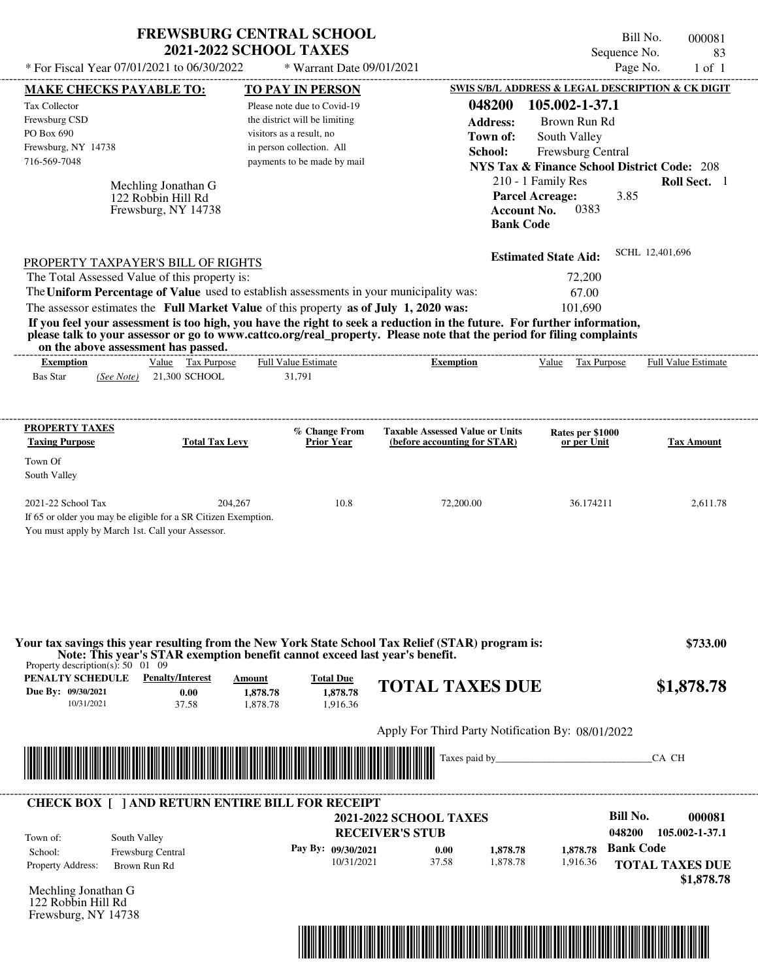|                                                                                                                                | <b>FREWSBURG CENTRAL SCHOOL</b><br><b>2021-2022 SCHOOL TAXES</b>           |                                          |                                                                                                                         | Bill No.<br>Sequence No.                               | 000081<br>83               |
|--------------------------------------------------------------------------------------------------------------------------------|----------------------------------------------------------------------------|------------------------------------------|-------------------------------------------------------------------------------------------------------------------------|--------------------------------------------------------|----------------------------|
| * For Fiscal Year 07/01/2021 to 06/30/2022                                                                                     |                                                                            | * Warrant Date 09/01/2021                |                                                                                                                         | Page No.                                               | $1$ of $1$                 |
| <b>MAKE CHECKS PAYABLE TO:</b>                                                                                                 |                                                                            | <b>TO PAY IN PERSON</b>                  |                                                                                                                         | SWIS S/B/L ADDRESS & LEGAL DESCRIPTION & CK DIGIT      |                            |
| Tax Collector                                                                                                                  |                                                                            | Please note due to Covid-19              | 048200                                                                                                                  | 105.002-1-37.1                                         |                            |
| Frewsburg CSD                                                                                                                  |                                                                            | the district will be limiting            | <b>Address:</b>                                                                                                         | Brown Run Rd                                           |                            |
| PO Box 690                                                                                                                     |                                                                            | visitors as a result, no                 | Town of:                                                                                                                | South Valley                                           |                            |
| Frewsburg, NY 14738                                                                                                            |                                                                            | in person collection. All                | School:                                                                                                                 | Frewsburg Central                                      |                            |
| 716-569-7048                                                                                                                   |                                                                            | payments to be made by mail              |                                                                                                                         | <b>NYS Tax &amp; Finance School District Code: 208</b> |                            |
|                                                                                                                                |                                                                            |                                          |                                                                                                                         | 210 - 1 Family Res                                     | Roll Sect. 1               |
| Mechling Jonathan G<br>122 Robbin Hill Rd                                                                                      |                                                                            |                                          | <b>Parcel Acreage:</b>                                                                                                  | 3.85                                                   |                            |
| Frewsburg, NY 14738                                                                                                            |                                                                            |                                          | <b>Account No.</b>                                                                                                      | 0383                                                   |                            |
|                                                                                                                                |                                                                            |                                          | <b>Bank Code</b>                                                                                                        |                                                        |                            |
|                                                                                                                                |                                                                            |                                          |                                                                                                                         |                                                        | SCHL 12,401,696            |
| PROPERTY TAXPAYER'S BILL OF RIGHTS                                                                                             |                                                                            |                                          |                                                                                                                         | <b>Estimated State Aid:</b>                            |                            |
| The Total Assessed Value of this property is:                                                                                  |                                                                            |                                          |                                                                                                                         | 72,200                                                 |                            |
| The Uniform Percentage of Value used to establish assessments in your municipality was:                                        |                                                                            |                                          |                                                                                                                         | 67.00                                                  |                            |
| The assessor estimates the Full Market Value of this property as of July 1, 2020 was:                                          |                                                                            |                                          |                                                                                                                         | 101,690                                                |                            |
|                                                                                                                                |                                                                            |                                          | If you feel your assessment is too high, you have the right to seek a reduction in the future. For further information, |                                                        |                            |
| on the above assessment has passed.                                                                                            |                                                                            |                                          | please talk to your assessor or go to www.cattco.org/real_property. Please note that the period for filing complaints   |                                                        |                            |
| <b>Exemption</b>                                                                                                               | Value Tax Purpose                                                          | <b>Full Value Estimate</b>               | <b>Exemption</b>                                                                                                        | Value<br>Tax Purpose                                   | <b>Full Value Estimate</b> |
| <b>Bas Star</b><br>(See Note)                                                                                                  | 21,300 SCHOOL                                                              | 31,791                                   |                                                                                                                         |                                                        |                            |
|                                                                                                                                |                                                                            |                                          |                                                                                                                         |                                                        |                            |
|                                                                                                                                |                                                                            |                                          |                                                                                                                         |                                                        |                            |
| <b>PROPERTY TAXES</b>                                                                                                          |                                                                            | % Change From<br>Prior Year              | <b>Taxable Assessed Value or Units</b>                                                                                  | Rates per \$1000                                       |                            |
| <b>Taxing Purpose</b>                                                                                                          | <b>Total Tax Levy</b>                                                      |                                          | (before accounting for STAR)                                                                                            | or per Unit                                            | <b>Tax Amount</b>          |
| Town Of                                                                                                                        |                                                                            |                                          |                                                                                                                         |                                                        |                            |
| South Valley                                                                                                                   |                                                                            |                                          |                                                                                                                         |                                                        |                            |
| 2021-22 School Tax                                                                                                             | 204,267                                                                    | 10.8                                     | 72,200.00                                                                                                               | 36.174211                                              | 2.611.78                   |
| If 65 or older you may be eligible for a SR Citizen Exemption.                                                                 |                                                                            |                                          |                                                                                                                         |                                                        |                            |
| You must apply by March 1st. Call your Assessor.                                                                               |                                                                            |                                          |                                                                                                                         |                                                        |                            |
|                                                                                                                                |                                                                            |                                          |                                                                                                                         |                                                        |                            |
| Note: This year's STAR exemption benefit cannot exceed last year's benefit.<br>Property description(s): $50 \quad 01 \quad 09$ |                                                                            |                                          | Your tax savings this year resulting from the New York State School Tax Relief (STAR) program is:                       |                                                        | \$733.00                   |
| PENALTY SCHEDULE<br>Due By: 09/30/2021<br>10/31/2021                                                                           | <b>Penalty/Interest</b><br>Amount<br>0.00<br>1,878.78<br>37.58<br>1.878.78 | <b>Total Due</b><br>1,878.78<br>1,916.36 | <b>TOTAL TAXES DUE</b>                                                                                                  |                                                        | \$1,878.78                 |
|                                                                                                                                |                                                                            |                                          |                                                                                                                         |                                                        |                            |
|                                                                                                                                |                                                                            |                                          | Apply For Third Party Notification By: 08/01/2022                                                                       |                                                        |                            |
|                                                                                                                                |                                                                            |                                          |                                                                                                                         |                                                        |                            |
|                                                                                                                                |                                                                            |                                          | Taxes paid by_                                                                                                          |                                                        | CA CH                      |
| <b>CHECK BOX [ ] AND RETURN ENTIRE BILL FOR RECEIPT</b>                                                                        |                                                                            |                                          |                                                                                                                         |                                                        |                            |
|                                                                                                                                |                                                                            |                                          | <b>2021-2022 SCHOOL TAXES</b>                                                                                           | <b>Bill No.</b>                                        |                            |
|                                                                                                                                |                                                                            |                                          | <b>RECEIVER'S STUB</b>                                                                                                  | 048200                                                 |                            |
| South Valley<br>Town of:<br>Frewsburg Central<br>School:                                                                       |                                                                            | Pay By: 09/30/2021                       | 0.00<br>1,878.78                                                                                                        | <b>Bank Code</b><br>1,878.78                           | 000081<br>105.002-1-37.1   |
| Property Address:<br>Brown Run Rd                                                                                              |                                                                            | 10/31/2021                               | 37.58<br>1,878.78                                                                                                       | 1,916.36                                               | <b>TOTAL TAXES DUE</b>     |

Mechling Jonathan G 122 Robbin Hill Rd Frewsburg, NY 14738

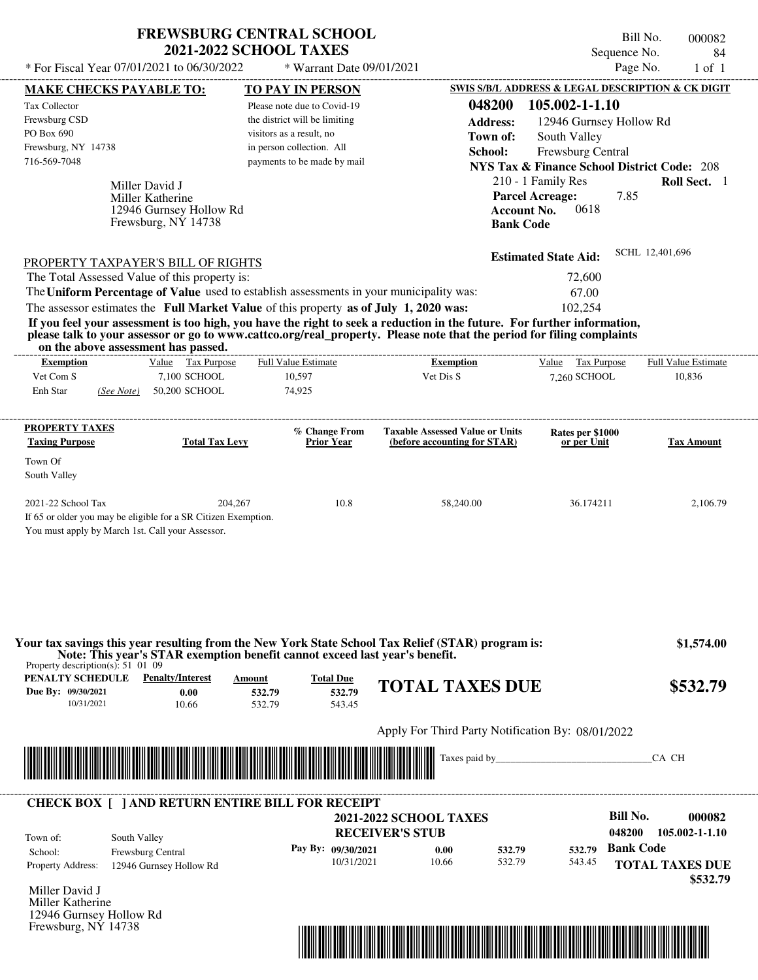## **FREWSBURG CENTRAL SCHOOL 2021-2022 SCHOOL TAXES**

 $*$  For Fiscal Year 07/01/2021 to 06/30/2022

\* Warrant Date 09/01/2021

Bill No. 000082 Sequence No. 84<br>Page No. 1 of 1

|                                                                           | <b>MAKE CHECKS PAYABLE TO:</b>                                                                                                                                                                                                                                                          | <b>TO PAY IN PERSON</b>       |                                    |                                                                        |                    | SWIS S/B/L ADDRESS & LEGAL DESCRIPTION & CK DIGIT      |                  |                                    |
|---------------------------------------------------------------------------|-----------------------------------------------------------------------------------------------------------------------------------------------------------------------------------------------------------------------------------------------------------------------------------------|-------------------------------|------------------------------------|------------------------------------------------------------------------|--------------------|--------------------------------------------------------|------------------|------------------------------------|
| <b>Tax Collector</b>                                                      |                                                                                                                                                                                                                                                                                         | Please note due to Covid-19   |                                    |                                                                        | 048200             | 105.002-1-1.10                                         |                  |                                    |
| Frewsburg CSD                                                             |                                                                                                                                                                                                                                                                                         | the district will be limiting |                                    |                                                                        | <b>Address:</b>    | 12946 Gurnsey Hollow Rd                                |                  |                                    |
| PO Box 690                                                                |                                                                                                                                                                                                                                                                                         | visitors as a result, no      |                                    |                                                                        | Town of:           | South Valley                                           |                  |                                    |
| Frewsburg, NY 14738                                                       |                                                                                                                                                                                                                                                                                         | in person collection. All     |                                    |                                                                        | School:            | Frewsburg Central                                      |                  |                                    |
| 716-569-7048                                                              |                                                                                                                                                                                                                                                                                         | payments to be made by mail   |                                    |                                                                        |                    | <b>NYS Tax &amp; Finance School District Code: 208</b> |                  |                                    |
|                                                                           |                                                                                                                                                                                                                                                                                         |                               |                                    |                                                                        |                    |                                                        |                  |                                    |
|                                                                           | Miller David J                                                                                                                                                                                                                                                                          |                               |                                    |                                                                        |                    | 210 - 1 Family Res                                     |                  | Roll Sect. 1                       |
|                                                                           | Miller Katherine                                                                                                                                                                                                                                                                        |                               |                                    |                                                                        |                    | <b>Parcel Acreage:</b>                                 | 7.85             |                                    |
|                                                                           | 12946 Gurnsey Hollow Rd                                                                                                                                                                                                                                                                 |                               |                                    |                                                                        | <b>Account No.</b> | 0618                                                   |                  |                                    |
|                                                                           | Frewsburg, NY 14738                                                                                                                                                                                                                                                                     |                               |                                    |                                                                        | <b>Bank Code</b>   |                                                        |                  |                                    |
|                                                                           | PROPERTY TAXPAYER'S BILL OF RIGHTS                                                                                                                                                                                                                                                      |                               |                                    |                                                                        |                    | <b>Estimated State Aid:</b>                            |                  | SCHL 12,401,696                    |
|                                                                           | The Total Assessed Value of this property is:                                                                                                                                                                                                                                           |                               |                                    |                                                                        |                    | 72,600                                                 |                  |                                    |
|                                                                           | The Uniform Percentage of Value used to establish assessments in your municipality was:                                                                                                                                                                                                 |                               |                                    |                                                                        |                    |                                                        |                  |                                    |
|                                                                           |                                                                                                                                                                                                                                                                                         |                               |                                    |                                                                        |                    | 67.00                                                  |                  |                                    |
|                                                                           | The assessor estimates the Full Market Value of this property as of July 1, 2020 was:                                                                                                                                                                                                   |                               |                                    |                                                                        |                    | 102,254                                                |                  |                                    |
|                                                                           | If you feel your assessment is too high, you have the right to seek a reduction in the future. For further information,<br>please talk to your assessor or go to www.cattco.org/real_property. Please note that the period for filing complaints<br>on the above assessment has passed. |                               |                                    |                                                                        |                    |                                                        |                  |                                    |
| <b>Exemption</b>                                                          | Value Tax Purpose                                                                                                                                                                                                                                                                       | <b>Full Value Estimate</b>    | -------------------------------    | <b>Exemption</b>                                                       |                    | Value Tax Purpose                                      |                  | <b>Full Value Estimate</b>         |
| Vet Com S                                                                 | 7,100 SCHOOL                                                                                                                                                                                                                                                                            | 10,597                        |                                    | Vet Dis S                                                              |                    | 7.260 SCHOOL                                           |                  | 10,836                             |
| Enh Star                                                                  | (See Note) 50,200 SCHOOL                                                                                                                                                                                                                                                                | 74,925                        |                                    |                                                                        |                    |                                                        |                  |                                    |
| <b>PROPERTY TAXES</b>                                                     |                                                                                                                                                                                                                                                                                         |                               |                                    |                                                                        |                    |                                                        |                  |                                    |
| <b>Taxing Purpose</b>                                                     | <b>Total Tax Levy</b>                                                                                                                                                                                                                                                                   |                               | % Change From<br><b>Prior Year</b> | <b>Taxable Assessed Value or Units</b><br>(before accounting for STAR) |                    | Rates per \$1000<br>or per Unit                        |                  | <b>Tax Amount</b>                  |
| Town Of                                                                   |                                                                                                                                                                                                                                                                                         |                               |                                    |                                                                        |                    |                                                        |                  |                                    |
| South Valley                                                              |                                                                                                                                                                                                                                                                                         |                               |                                    |                                                                        |                    |                                                        |                  |                                    |
|                                                                           |                                                                                                                                                                                                                                                                                         |                               |                                    |                                                                        |                    |                                                        |                  |                                    |
| 2021-22 School Tax                                                        |                                                                                                                                                                                                                                                                                         | 204,267                       | 10.8                               | 58,240.00                                                              |                    | 36.174211                                              |                  | 2,106.79                           |
|                                                                           | If 65 or older you may be eligible for a SR Citizen Exemption.                                                                                                                                                                                                                          |                               |                                    |                                                                        |                    |                                                        |                  |                                    |
|                                                                           | You must apply by March 1st. Call your Assessor.                                                                                                                                                                                                                                        |                               |                                    |                                                                        |                    |                                                        |                  |                                    |
| Property description(s): $51\,01\,09$                                     | Your tax savings this year resulting from the New York State School Tax Relief (STAR) program is:<br>Note: This year's STAR exemption benefit cannot exceed last year's benefit.                                                                                                        |                               |                                    |                                                                        |                    |                                                        |                  | \$1,574.00                         |
| Due By: 09/30/2021                                                        | <b>PENALTY SCHEDULE</b> Penalty/Interest<br>0.00                                                                                                                                                                                                                                        | Amount<br>532.79              | <b>Total Due</b><br>532.79         | <b>TOTAL TAXES DUE</b>                                                 |                    |                                                        |                  | \$532.79                           |
| 10/31/2021                                                                | 10.66                                                                                                                                                                                                                                                                                   | 532.79                        | 543.45                             |                                                                        |                    |                                                        |                  |                                    |
|                                                                           |                                                                                                                                                                                                                                                                                         |                               |                                    | Apply For Third Party Notification By: 08/01/2022                      |                    |                                                        |                  |                                    |
|                                                                           |                                                                                                                                                                                                                                                                                         |                               |                                    |                                                                        |                    |                                                        |                  |                                    |
|                                                                           | <u> Indian American State of Barbara and Indian American State of Barbara and Indian American State of Barbara and Indian American State of Barbara and Indian American State of Barbara and Indian American State of Barbara an</u>                                                    |                               |                                    |                                                                        |                    |                                                        |                  | CA CH                              |
|                                                                           | <b>CHECK BOX [ ] AND RETURN ENTIRE BILL FOR RECEIPT</b>                                                                                                                                                                                                                                 |                               |                                    |                                                                        |                    |                                                        |                  |                                    |
|                                                                           |                                                                                                                                                                                                                                                                                         |                               |                                    | <b>2021-2022 SCHOOL TAXES</b>                                          |                    |                                                        | <b>Bill No.</b>  | 000082                             |
|                                                                           |                                                                                                                                                                                                                                                                                         |                               |                                    | <b>RECEIVER'S STUB</b>                                                 |                    |                                                        | 048200           | 105.002-1-1.10                     |
|                                                                           |                                                                                                                                                                                                                                                                                         |                               |                                    |                                                                        |                    |                                                        |                  |                                    |
| Town of:                                                                  | South Valley                                                                                                                                                                                                                                                                            |                               |                                    |                                                                        |                    |                                                        |                  |                                    |
|                                                                           | Frewsburg Central                                                                                                                                                                                                                                                                       |                               | Pay By: 09/30/2021                 | 0.00                                                                   | 532.79             | 532.79                                                 | <b>Bank Code</b> |                                    |
|                                                                           | 12946 Gurnsey Hollow Rd                                                                                                                                                                                                                                                                 |                               | 10/31/2021                         | 10.66                                                                  | 532.79             | 543.45                                                 |                  |                                    |
|                                                                           |                                                                                                                                                                                                                                                                                         |                               |                                    |                                                                        |                    |                                                        |                  | <b>TOTAL TAXES DUE</b><br>\$532.79 |
|                                                                           |                                                                                                                                                                                                                                                                                         |                               |                                    |                                                                        |                    |                                                        |                  |                                    |
| School:<br><b>Property Address:</b><br>Miller David J<br>Miller Katherine |                                                                                                                                                                                                                                                                                         |                               |                                    |                                                                        |                    |                                                        |                  |                                    |
| 12946 Gurnsey Hollow Rd<br>Frewsburg, NY 14738                            |                                                                                                                                                                                                                                                                                         |                               |                                    |                                                                        |                    |                                                        |                  |                                    |

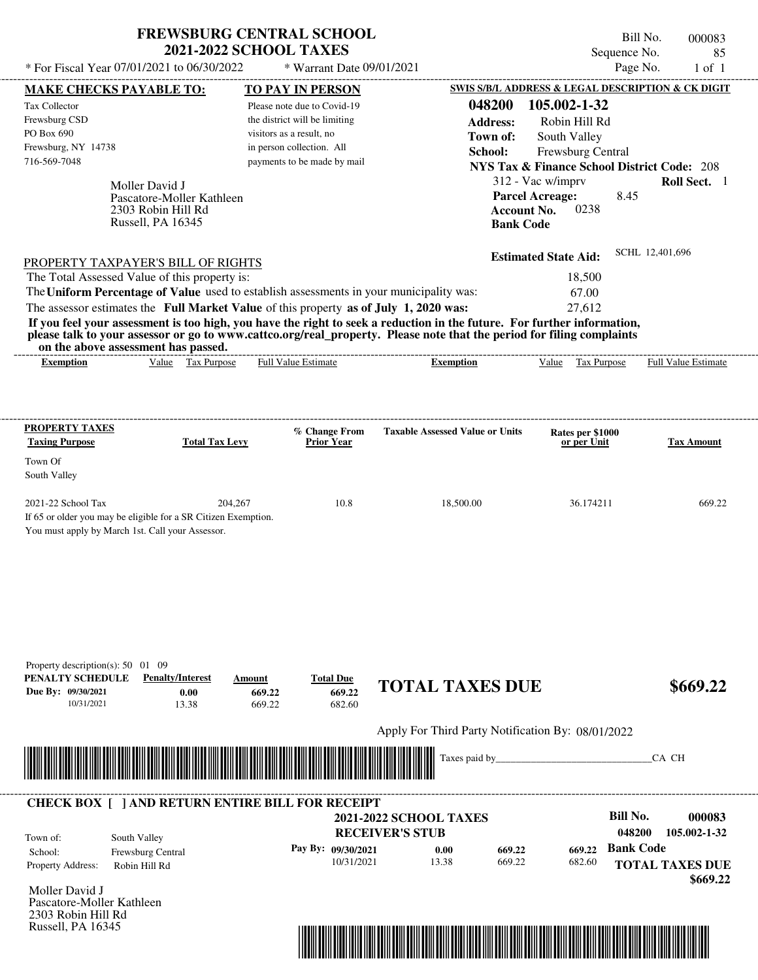| <b>FREWSBURG CENTRAL SCHOOL</b> |
|---------------------------------|
| <b>2021-2022 SCHOOL TAXES</b>   |

\* Warrant Date 09/01/2021

Bill No. 000083 Sequence No. 85<br>Page No. 1 of 1

| <b>MAKE CHECKS PAYABLE TO:</b>                                                                                                                                                                                                       | <b>TO PAY IN PERSON</b>            |                                                           | <b>SWIS S/B/L ADDRESS &amp; LEGAL DESCRIPTION &amp; CK DIGIT</b> |                        |
|--------------------------------------------------------------------------------------------------------------------------------------------------------------------------------------------------------------------------------------|------------------------------------|-----------------------------------------------------------|------------------------------------------------------------------|------------------------|
| Tax Collector                                                                                                                                                                                                                        | Please note due to Covid-19        | 048200                                                    | 105.002-1-32                                                     |                        |
| Frewsburg CSD                                                                                                                                                                                                                        | the district will be limiting      | <b>Address:</b>                                           | Robin Hill Rd                                                    |                        |
| PO Box 690                                                                                                                                                                                                                           | visitors as a result, no           | Town of:                                                  | South Valley                                                     |                        |
| Frewsburg, NY 14738                                                                                                                                                                                                                  | in person collection. All          | School:                                                   | Frewsburg Central                                                |                        |
| 716-569-7048                                                                                                                                                                                                                         | payments to be made by mail        |                                                           | <b>NYS Tax &amp; Finance School District Code: 208</b>           |                        |
| Moller David J                                                                                                                                                                                                                       |                                    |                                                           | 312 - Vac w/imprv                                                | Roll Sect. 1           |
| Pascatore-Moller Kathleen                                                                                                                                                                                                            |                                    |                                                           | <b>Parcel Acreage:</b><br>8.45                                   |                        |
| 2303 Robin Hill Rd                                                                                                                                                                                                                   |                                    | <b>Account No.</b>                                        | 0238                                                             |                        |
| Russell, PA 16345                                                                                                                                                                                                                    |                                    | <b>Bank Code</b>                                          |                                                                  |                        |
|                                                                                                                                                                                                                                      |                                    |                                                           | <b>Estimated State Aid:</b>                                      | SCHL 12,401,696        |
| <b>PROPERTY TAXPAYER'S BILL OF RIGHTS</b>                                                                                                                                                                                            |                                    |                                                           |                                                                  |                        |
| The Total Assessed Value of this property is:                                                                                                                                                                                        |                                    |                                                           | 18,500                                                           |                        |
| The Uniform Percentage of Value used to establish assessments in your municipality was:                                                                                                                                              |                                    |                                                           | 67.00<br>27,612                                                  |                        |
| The assessor estimates the Full Market Value of this property as of July 1, 2020 was:<br>If you feel your assessment is too high, you have the right to seek a reduction in the future. For further information,                     |                                    |                                                           |                                                                  |                        |
| please talk to your assessor or go to www.cattco.org/real_property. Please note that the period for filing complaints                                                                                                                |                                    |                                                           |                                                                  |                        |
| on the above assessment has passed.<br>Value Tax Purpose<br><b>Exemption</b>                                                                                                                                                         | <b>Full Value Estimate</b>         | <b>Exemption</b>                                          | Value Tax Purpose Full Value Estimate                            |                        |
|                                                                                                                                                                                                                                      |                                    |                                                           |                                                                  |                        |
|                                                                                                                                                                                                                                      |                                    |                                                           |                                                                  |                        |
|                                                                                                                                                                                                                                      |                                    |                                                           |                                                                  |                        |
| <b>PROPERTY TAXES</b><br><b>Taxing Purpose</b><br><b>Total Tax Levy</b>                                                                                                                                                              | % Change From<br><b>Prior Year</b> | <b>Taxable Assessed Value or Units</b>                    | Rates per \$1000<br>or per Unit                                  | <b>Tax Amount</b>      |
| Town Of                                                                                                                                                                                                                              |                                    |                                                           |                                                                  |                        |
| South Valley                                                                                                                                                                                                                         |                                    |                                                           |                                                                  |                        |
| 2021-22 School Tax<br>204,267                                                                                                                                                                                                        | 10.8                               | 18,500.00                                                 | 36.174211                                                        | 669.22                 |
| If 65 or older you may be eligible for a SR Citizen Exemption.                                                                                                                                                                       |                                    |                                                           |                                                                  |                        |
| You must apply by March 1st. Call your Assessor.                                                                                                                                                                                     |                                    |                                                           |                                                                  |                        |
|                                                                                                                                                                                                                                      |                                    |                                                           |                                                                  |                        |
|                                                                                                                                                                                                                                      |                                    |                                                           |                                                                  |                        |
|                                                                                                                                                                                                                                      |                                    |                                                           |                                                                  |                        |
|                                                                                                                                                                                                                                      |                                    |                                                           |                                                                  |                        |
|                                                                                                                                                                                                                                      |                                    |                                                           |                                                                  |                        |
|                                                                                                                                                                                                                                      |                                    |                                                           |                                                                  |                        |
| Property description(s): $50 \quad 01 \quad 09$                                                                                                                                                                                      |                                    |                                                           |                                                                  |                        |
| PENALTY SCHEDULE<br><b>Penalty/Interest</b>                                                                                                                                                                                          | <b>Total Due</b><br>Amount         | <b>TOTAL TAXES DUE</b>                                    |                                                                  | \$669.22               |
| Due By: 09/30/2021<br>0.00                                                                                                                                                                                                           | 669.22<br>669.22                   |                                                           |                                                                  |                        |
| 10/31/2021<br>13.38                                                                                                                                                                                                                  | 682.60<br>669.22                   |                                                           |                                                                  |                        |
|                                                                                                                                                                                                                                      |                                    | Apply For Third Party Notification By: 08/01/2022         |                                                                  |                        |
| <u> Indian American State of Barbara and The Barbara and The Barbara and The Barbara and The Barbara and The Barbara and The Barbara and The Barbara and The Barbara and The Barbara and The Barbara and The Barbara and The Bar</u> |                                    | Taxes paid by_                                            |                                                                  | CA CH                  |
|                                                                                                                                                                                                                                      |                                    |                                                           |                                                                  |                        |
| <b>CHECK BOX [ ] AND RETURN ENTIRE BILL FOR RECEIPT</b>                                                                                                                                                                              |                                    |                                                           |                                                                  |                        |
|                                                                                                                                                                                                                                      |                                    | 2021-2022 SCHOOL TAXES                                    | <b>Bill No.</b>                                                  | 000083                 |
| South Valley<br>Town of:                                                                                                                                                                                                             |                                    | <b>RECEIVER'S STUB</b>                                    | 048200                                                           | 105.002-1-32           |
| School:<br>Frewsburg Central                                                                                                                                                                                                         | Pay By: 09/30/2021                 | 669.22<br>0.00                                            | <b>Bank Code</b><br>669.22                                       |                        |
| Property Address:<br>Robin Hill Rd                                                                                                                                                                                                   | 10/31/2021                         | 13.38<br>669.22                                           | 682.60                                                           | <b>TOTAL TAXES DUE</b> |
|                                                                                                                                                                                                                                      |                                    |                                                           |                                                                  | \$669.22               |
| Moller David J<br>Pascatore-Moller Kathleen                                                                                                                                                                                          |                                    |                                                           |                                                                  |                        |
| 2303 Robin Hill Rd                                                                                                                                                                                                                   |                                    |                                                           |                                                                  |                        |
| Russell, PA 16345                                                                                                                                                                                                                    |                                    |                                                           |                                                                  |                        |
|                                                                                                                                                                                                                                      |                                    | <u> 1989 - Andrea Brasilia Andrea Brasilia (h. 1989).</u> |                                                                  |                        |
|                                                                                                                                                                                                                                      |                                    |                                                           |                                                                  |                        |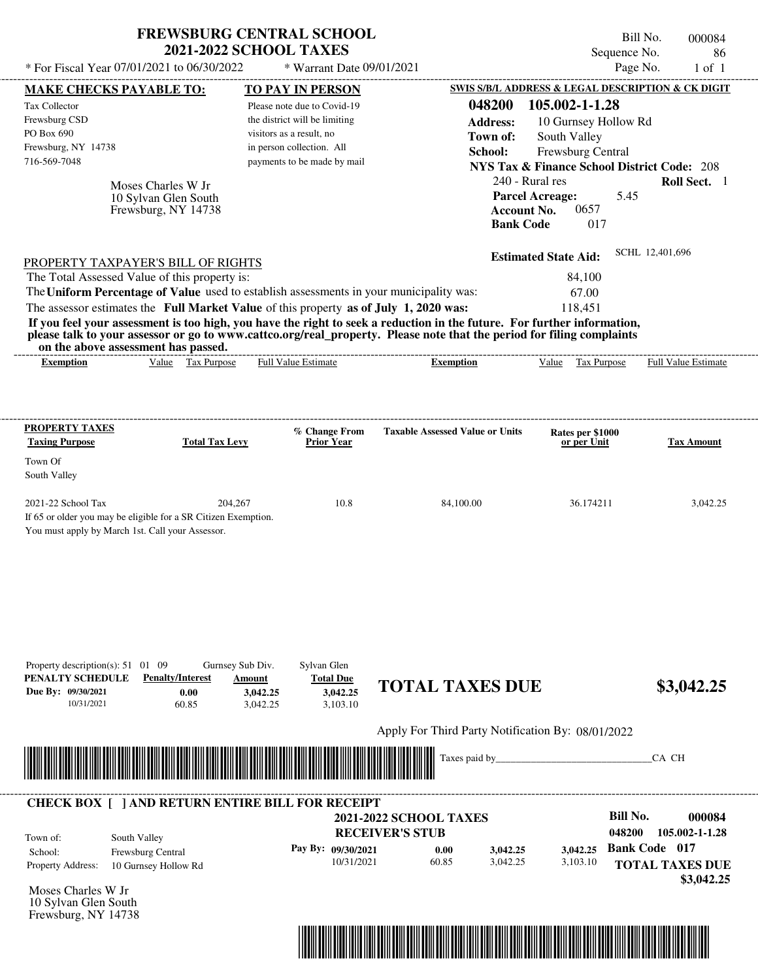| * For Fiscal Year 07/01/2021 to 06/30/2022                                                                                                                                                                                                                                                                                                                                                                                                                                                                                                                         | <b>2021-2022 SCHOOL TAXES</b>                      | <b>FREWSBURG CENTRAL SCHOOL</b><br>* Warrant Date 09/01/2021                                                                                                                    |                               |                                                   |                                                                                                                       | Bill No.<br>Sequence No.<br>Page No.                             | 000084<br>86<br>$1$ of $1$                                             |
|--------------------------------------------------------------------------------------------------------------------------------------------------------------------------------------------------------------------------------------------------------------------------------------------------------------------------------------------------------------------------------------------------------------------------------------------------------------------------------------------------------------------------------------------------------------------|----------------------------------------------------|---------------------------------------------------------------------------------------------------------------------------------------------------------------------------------|-------------------------------|---------------------------------------------------|-----------------------------------------------------------------------------------------------------------------------|------------------------------------------------------------------|------------------------------------------------------------------------|
|                                                                                                                                                                                                                                                                                                                                                                                                                                                                                                                                                                    |                                                    |                                                                                                                                                                                 |                               |                                                   |                                                                                                                       |                                                                  | SWIS S/B/L ADDRESS & LEGAL DESCRIPTION & CK DIGIT                      |
| <b>MAKE CHECKS PAYABLE TO:</b><br><b>Tax Collector</b><br>Frewsburg CSD<br>PO Box 690<br>Frewsburg, NY 14738<br>716-569-7048<br>Moses Charles W Jr<br>10 Sylvan Glen South<br>Frewsburg, NY 14738                                                                                                                                                                                                                                                                                                                                                                  |                                                    | <b>TO PAY IN PERSON</b><br>Please note due to Covid-19<br>the district will be limiting<br>visitors as a result, no<br>in person collection. All<br>payments to be made by mail |                               | 048200<br><b>Address:</b><br>Town of:<br>School:  | 105.002-1-1.28<br>South Valley<br>240 - Rural res<br><b>Parcel Acreage:</b><br><b>Account No.</b><br><b>Bank Code</b> | 10 Gurnsey Hollow Rd<br>Frewsburg Central<br>5.45<br>0657<br>017 | <b>NYS Tax &amp; Finance School District Code: 208</b><br>Roll Sect. 1 |
| PROPERTY TAXPAYER'S BILL OF RIGHTS<br>The Total Assessed Value of this property is:<br>The Uniform Percentage of Value used to establish assessments in your municipality was:<br>The assessor estimates the Full Market Value of this property as of July 1, 2020 was:<br>If you feel your assessment is too high, you have the right to seek a reduction in the future. For further information,<br>please talk to your assessor or go to www.cattco.org/real_property. Please note that the period for filing complaints<br>on the above assessment has passed. |                                                    |                                                                                                                                                                                 |                               |                                                   | <b>Estimated State Aid:</b>                                                                                           | 84,100<br>67.00<br>118,451                                       | SCHL 12,401,696                                                        |
| Value Tax Purpose<br><b>Exemption</b>                                                                                                                                                                                                                                                                                                                                                                                                                                                                                                                              |                                                    | <b>Full Value Estimate</b>                                                                                                                                                      |                               | <b>Exemption</b>                                  | Value                                                                                                                 | Tax Purpose                                                      | <b>Full Value Estimate</b>                                             |
| <b>PROPERTY TAXES</b><br><b>Taxing Purpose</b>                                                                                                                                                                                                                                                                                                                                                                                                                                                                                                                     | <b>Total Tax Levy</b>                              | % Change From<br>Prior Year                                                                                                                                                     |                               | <b>Taxable Assessed Value or Units</b>            |                                                                                                                       | Rates per \$1000<br>or per Unit                                  | <b>Tax Amount</b>                                                      |
| Town Of<br>South Valley                                                                                                                                                                                                                                                                                                                                                                                                                                                                                                                                            |                                                    |                                                                                                                                                                                 |                               |                                                   |                                                                                                                       |                                                                  |                                                                        |
| 2021-22 School Tax<br>If 65 or older you may be eligible for a SR Citizen Exemption.<br>You must apply by March 1st. Call your Assessor.                                                                                                                                                                                                                                                                                                                                                                                                                           | 204,267                                            | 10.8                                                                                                                                                                            |                               | 84,100.00                                         |                                                                                                                       | 36.174211                                                        | 3,042.25                                                               |
| Property description(s): $51 \quad 01 \quad 09$<br>PENALTY SCHEDULE<br><b>Penalty/Interest</b><br>Due By: 09/30/2021<br>0.00<br>10/31/2021<br>60.85                                                                                                                                                                                                                                                                                                                                                                                                                | Gurnsey Sub Div.<br>Amount<br>3,042.25<br>3,042.25 | Sylvan Glen<br><b>Total Due</b><br>3,042.25<br>3,103.10                                                                                                                         |                               | <b>TOTAL TAXES DUE</b>                            |                                                                                                                       |                                                                  | \$3,042.25                                                             |
|                                                                                                                                                                                                                                                                                                                                                                                                                                                                                                                                                                    |                                                    |                                                                                                                                                                                 |                               | Apply For Third Party Notification By: 08/01/2022 |                                                                                                                       |                                                                  |                                                                        |
|                                                                                                                                                                                                                                                                                                                                                                                                                                                                                                                                                                    |                                                    |                                                                                                                                                                                 |                               | Taxes paid by_                                    |                                                                                                                       |                                                                  | CA CH                                                                  |
| <b>CHECK BOX [ ] AND RETURN ENTIRE BILL FOR RECEIPT</b>                                                                                                                                                                                                                                                                                                                                                                                                                                                                                                            |                                                    |                                                                                                                                                                                 | <b>2021-2022 SCHOOL TAXES</b> |                                                   |                                                                                                                       | <b>Bill No.</b>                                                  | 000084                                                                 |
| South Valley<br>Town of:<br>Frewsburg Central<br>School:                                                                                                                                                                                                                                                                                                                                                                                                                                                                                                           |                                                    | Pay By: 09/30/2021                                                                                                                                                              | <b>RECEIVER'S STUB</b>        | 0.00<br>3,042.25                                  | 3,042.25                                                                                                              | 048200                                                           | 105.002-1-1.28<br><b>Bank Code 017</b>                                 |
| Property Address:<br>10 Gurnsey Hollow Rd                                                                                                                                                                                                                                                                                                                                                                                                                                                                                                                          |                                                    | 10/31/2021                                                                                                                                                                      | 60.85                         | 3,042.25                                          | 3,103.10                                                                                                              |                                                                  | <b>TOTAL TAXES DUE</b>                                                 |

Moses Charles W Jr 10 Sylvan Glen South Frewsburg, NY 14738



 **\$3,042.25**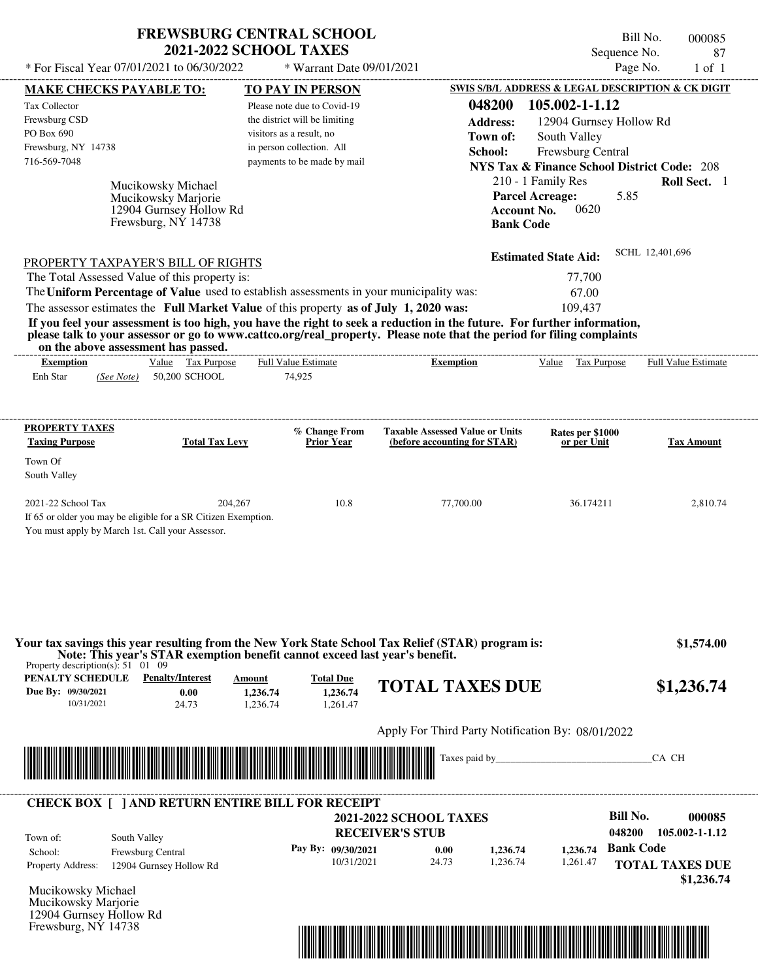| <b>FREWSBURG CENTRAL SCHOOL</b> |
|---------------------------------|
| <b>2021-2022 SCHOOL TAXES</b>   |

Bill No. 000085 Sequence No. 87<br>Page No. 1 of 1

| * For Fiscal Year 07/01/2021 to 06/30/2022                                                                                                                                                                                                                                                                                       |                                                                            | * Warrant Date 09/01/2021                                     |                                                                                  | Page No.<br>$1$ of $1$     |
|----------------------------------------------------------------------------------------------------------------------------------------------------------------------------------------------------------------------------------------------------------------------------------------------------------------------------------|----------------------------------------------------------------------------|---------------------------------------------------------------|----------------------------------------------------------------------------------|----------------------------|
| <b>MAKE CHECKS PAYABLE TO:</b>                                                                                                                                                                                                                                                                                                   | <b>TO PAY IN PERSON</b>                                                    |                                                               | <b>SWIS S/B/L ADDRESS &amp; LEGAL DESCRIPTION &amp; CK DIGIT</b>                 |                            |
| Tax Collector                                                                                                                                                                                                                                                                                                                    | Please note due to Covid-19                                                | 048200                                                        | 105.002-1-1.12                                                                   |                            |
| Frewsburg CSD<br>PO Box 690                                                                                                                                                                                                                                                                                                      | the district will be limiting<br>visitors as a result, no                  | <b>Address:</b>                                               | 12904 Gurnsey Hollow Rd                                                          |                            |
| Frewsburg, NY 14738                                                                                                                                                                                                                                                                                                              | in person collection. All                                                  | Town of:<br>School:                                           | South Valley<br>Frewsburg Central                                                |                            |
| 716-569-7048                                                                                                                                                                                                                                                                                                                     | payments to be made by mail                                                |                                                               | <b>NYS Tax &amp; Finance School District Code: 208</b>                           |                            |
|                                                                                                                                                                                                                                                                                                                                  |                                                                            |                                                               | 210 - 1 Family Res                                                               | Roll Sect. 1               |
| Mucikowsky Michael<br>Mucikowsky Marjorie<br>12904 Gurnsey Hollow Rd<br>Frewsburg, NY 14738                                                                                                                                                                                                                                      |                                                                            |                                                               | 5.85<br><b>Parcel Acreage:</b><br>0620<br><b>Account No.</b><br><b>Bank Code</b> |                            |
| <b>PROPERTY TAXPAYER'S BILL OF RIGHTS</b>                                                                                                                                                                                                                                                                                        |                                                                            |                                                               | <b>Estimated State Aid:</b>                                                      | SCHL 12,401,696            |
| The Total Assessed Value of this property is:                                                                                                                                                                                                                                                                                    |                                                                            |                                                               | 77,700                                                                           |                            |
| The Uniform Percentage of Value used to establish assessments in your municipality was:<br>The assessor estimates the Full Market Value of this property as of July 1, 2020 was:                                                                                                                                                 |                                                                            |                                                               | 67.00<br>109.437                                                                 |                            |
| If you feel your assessment is too high, you have the right to seek a reduction in the future. For further information,<br>please talk to your assessor or go to www.cattco.org/real_property. Please note that the period for filing complaints<br>on the above assessment has passed.<br>Value Tax Purpose<br><b>Exemption</b> | Full Value Estimate                                                        | Exemption                                                     | Value Tax Purpose                                                                | <b>Full Value Estimate</b> |
| <b>PROPERTY TAXES</b>                                                                                                                                                                                                                                                                                                            | % Change From                                                              | <b>Taxable Assessed Value or Units</b>                        | Rates per \$1000                                                                 |                            |
| <b>Taxing Purpose</b>                                                                                                                                                                                                                                                                                                            | <b>Total Tax Levy</b><br><b>Prior Year</b>                                 | (before accounting for STAR)                                  | or per Unit                                                                      | <b>Tax Amount</b>          |
| Town Of<br>South Valley                                                                                                                                                                                                                                                                                                          |                                                                            |                                                               |                                                                                  |                            |
| 2021-22 School Tax<br>If 65 or older you may be eligible for a SR Citizen Exemption.<br>You must apply by March 1st. Call your Assessor.                                                                                                                                                                                         | 204,267<br>10.8                                                            | 77,700.00                                                     | 36.174211                                                                        | 2,810.74                   |
| Your tax savings this year resulting from the New York State School Tax Relief (STAR) program is:<br>Note: This year's STAR exemption benefit cannot exceed last year's benefit.<br>Property description(s): $51 \quad 01 \quad 09$                                                                                              |                                                                            |                                                               |                                                                                  | \$1,574.00                 |
| PENALTY SCHEDULE<br><b>Penalty/Interest</b><br>Due By: 09/30/2021<br>0.00<br>10/31/2021<br>24.73                                                                                                                                                                                                                                 | <b>Total Due</b><br>Amount<br>1.236.74<br>1,236.74<br>1,261.47<br>1,236.74 | <b>TOTAL TAXES DUE</b>                                        |                                                                                  | \$1,236.74                 |
|                                                                                                                                                                                                                                                                                                                                  |                                                                            | Apply For Third Party Notification By: 08/01/2022             |                                                                                  |                            |
|                                                                                                                                                                                                                                                                                                                                  |                                                                            |                                                               |                                                                                  | CA CH                      |
| <b>CHECK BOX [ ] AND RETURN ENTIRE BILL FOR RECEIPT</b>                                                                                                                                                                                                                                                                          |                                                                            |                                                               |                                                                                  |                            |
|                                                                                                                                                                                                                                                                                                                                  |                                                                            | <b>2021-2022 SCHOOL TAXES</b>                                 | <b>Bill No.</b>                                                                  | 000085                     |
| South Valley<br>Town of:                                                                                                                                                                                                                                                                                                         |                                                                            | <b>RECEIVER'S STUB</b>                                        | 048200                                                                           | 105.002-1-1.12             |
| Frewsburg Central<br>School:                                                                                                                                                                                                                                                                                                     | Pay By: 09/30/2021                                                         | 1,236.74<br>0.00<br>10/31/2021<br>24.73<br>1,236.74           | 1,236.74<br>1,261.47                                                             | <b>Bank Code</b>           |
| <b>Property Address:</b><br>12904 Gurnsey Hollow Rd                                                                                                                                                                                                                                                                              |                                                                            |                                                               |                                                                                  | <b>TOTAL TAXES DUE</b>     |
| Mucikowsky Michael<br>Mucikowsky Marjorie<br>12904 Gurnsey Hollow Rd<br>Frewsburg, NY 14738                                                                                                                                                                                                                                      |                                                                            |                                                               |                                                                                  | \$1,236.74                 |
|                                                                                                                                                                                                                                                                                                                                  |                                                                            | <u> 1989 - Andrea Stadt British, fransk politik (d. 1989)</u> |                                                                                  |                            |
|                                                                                                                                                                                                                                                                                                                                  |                                                                            |                                                               |                                                                                  |                            |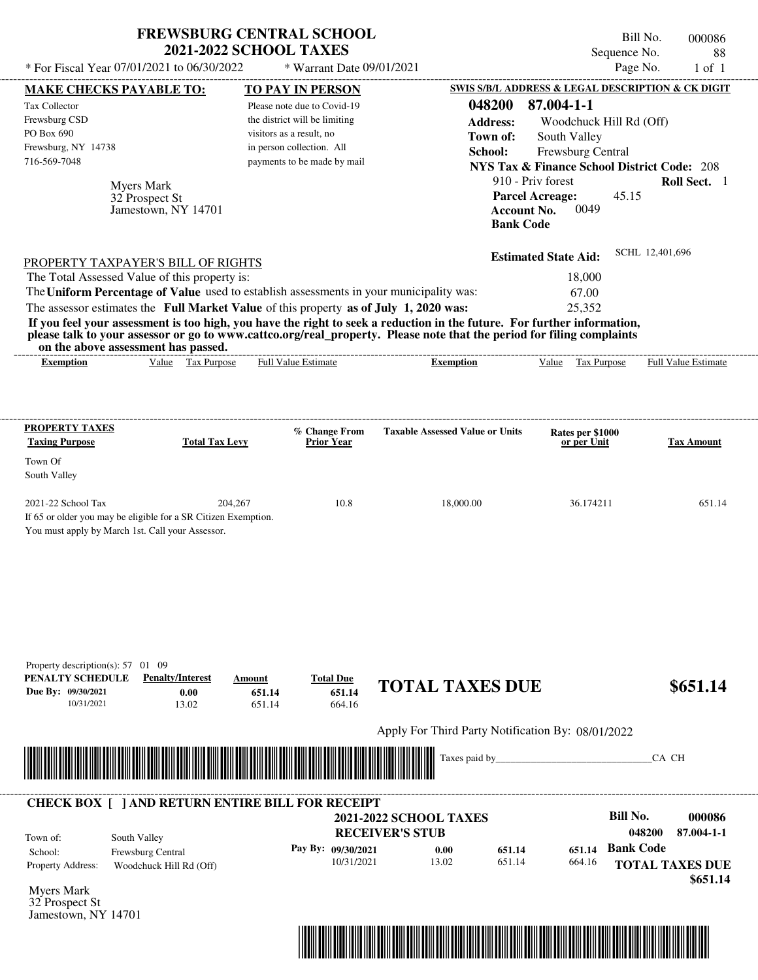| * For Fiscal Year 07/01/2021 to 06/30/2022                                                              |                                                                           | <b>FREWSBURG CENTRAL SCHOOL</b><br><b>2021-2022 SCHOOL TAXES</b><br>* Warrant Date 09/01/2021 |                                                                                                                                                                                                                                                                      |                                                        | Bill No.<br>000086<br>Sequence No.<br>88<br>Page No.<br>$1$ of $1$ |
|---------------------------------------------------------------------------------------------------------|---------------------------------------------------------------------------|-----------------------------------------------------------------------------------------------|----------------------------------------------------------------------------------------------------------------------------------------------------------------------------------------------------------------------------------------------------------------------|--------------------------------------------------------|--------------------------------------------------------------------|
| <b>MAKE CHECKS PAYABLE TO:</b>                                                                          |                                                                           | <b>TO PAY IN PERSON</b>                                                                       |                                                                                                                                                                                                                                                                      | SWIS S/B/L ADDRESS & LEGAL DESCRIPTION & CK DIGIT      |                                                                    |
| Tax Collector                                                                                           |                                                                           | Please note due to Covid-19                                                                   | 048200                                                                                                                                                                                                                                                               | 87.004-1-1                                             |                                                                    |
| Frewsburg CSD                                                                                           |                                                                           | the district will be limiting                                                                 | <b>Address:</b>                                                                                                                                                                                                                                                      | Woodchuck Hill Rd (Off)                                |                                                                    |
| PO Box 690                                                                                              |                                                                           | visitors as a result, no                                                                      | Town of:                                                                                                                                                                                                                                                             | South Valley                                           |                                                                    |
| Frewsburg, NY 14738                                                                                     |                                                                           | in person collection. All                                                                     | School:                                                                                                                                                                                                                                                              | Frewsburg Central                                      |                                                                    |
| 716-569-7048                                                                                            |                                                                           | payments to be made by mail                                                                   |                                                                                                                                                                                                                                                                      | <b>NYS Tax &amp; Finance School District Code: 208</b> |                                                                    |
|                                                                                                         |                                                                           |                                                                                               |                                                                                                                                                                                                                                                                      | 910 - Priv forest                                      | Roll Sect. 1                                                       |
|                                                                                                         | <b>Myers Mark</b><br>32 Prospect St<br>Jamestown, NY 14701                |                                                                                               | <b>Bank Code</b>                                                                                                                                                                                                                                                     | <b>Parcel Acreage:</b><br>0049<br><b>Account No.</b>   | 45.15                                                              |
| PROPERTY TAXPAYER'S BILL OF RIGHTS                                                                      |                                                                           |                                                                                               |                                                                                                                                                                                                                                                                      | <b>Estimated State Aid:</b>                            | SCHL 12,401,696                                                    |
| The Total Assessed Value of this property is:                                                           |                                                                           |                                                                                               |                                                                                                                                                                                                                                                                      | 18,000                                                 |                                                                    |
| The Uniform Percentage of Value used to establish assessments in your municipality was:                 |                                                                           |                                                                                               |                                                                                                                                                                                                                                                                      | 67.00                                                  |                                                                    |
| The assessor estimates the Full Market Value of this property as of July 1, 2020 was:                   |                                                                           |                                                                                               |                                                                                                                                                                                                                                                                      | 25,352                                                 |                                                                    |
| on the above assessment has passed.<br><b>Exemption</b>                                                 | Value Tax Purpose                                                         | <b>Full Value Estimate</b>                                                                    | If you feel your assessment is too high, you have the right to seek a reduction in the future. For further information,<br>please talk to your assessor or go to www.cattco.org/real_property. Please note that the period for filing complaints<br><b>Exemption</b> | Value Tax Purpose                                      | <b>Full Value Estimate</b>                                         |
| PROPERTY TAXES                                                                                          |                                                                           | % Change From                                                                                 | <b>Taxable Assessed Value or Units</b>                                                                                                                                                                                                                               | Rates per \$1000                                       |                                                                    |
| <b>Taxing Purpose</b>                                                                                   | <b>Total Tax Levy</b>                                                     | <b>Prior Year</b>                                                                             |                                                                                                                                                                                                                                                                      | or per Unit                                            | <b>Tax Amount</b>                                                  |
| Town Of                                                                                                 |                                                                           |                                                                                               |                                                                                                                                                                                                                                                                      |                                                        |                                                                    |
| South Valley                                                                                            |                                                                           |                                                                                               |                                                                                                                                                                                                                                                                      |                                                        |                                                                    |
|                                                                                                         |                                                                           |                                                                                               |                                                                                                                                                                                                                                                                      |                                                        |                                                                    |
| 2021-22 School Tax<br>You must apply by March 1st. Call your Assessor.                                  | 204,267<br>If 65 or older you may be eligible for a SR Citizen Exemption. | 10.8                                                                                          | 18,000.00                                                                                                                                                                                                                                                            | 36.174211                                              | 651.14                                                             |
| Property description(s): $57 \quad 01 \quad 09$<br>PENALTY SCHEDULE<br>Due By: 09/30/2021<br>10/31/2021 | <b>Penalty/Interest</b><br>Amount<br>0.00<br>13.02                        | <b>Total Due</b><br>651.14<br>651.14<br>651.14<br>664.16                                      | <b>TOTAL TAXES DUE</b>                                                                                                                                                                                                                                               |                                                        | \$651.14                                                           |
|                                                                                                         |                                                                           |                                                                                               | Apply For Third Party Notification By: 08/01/2022                                                                                                                                                                                                                    |                                                        |                                                                    |
|                                                                                                         |                                                                           |                                                                                               | Taxes paid by_                                                                                                                                                                                                                                                       |                                                        | CA CH                                                              |
|                                                                                                         |                                                                           |                                                                                               |                                                                                                                                                                                                                                                                      |                                                        |                                                                    |
| <b>CHECK BOX [ ] AND RETURN ENTIRE BILL FOR RECEIPT</b>                                                 |                                                                           |                                                                                               |                                                                                                                                                                                                                                                                      |                                                        |                                                                    |
|                                                                                                         |                                                                           |                                                                                               | <b>2021-2022 SCHOOL TAXES</b>                                                                                                                                                                                                                                        |                                                        | <b>Bill No.</b><br>000086                                          |
| South Valley<br>Town of:                                                                                |                                                                           |                                                                                               | <b>RECEIVER'S STUB</b>                                                                                                                                                                                                                                               |                                                        | 048200<br>87.004-1-1                                               |
| School:                                                                                                 | Frewsburg Central                                                         | Pay By: 09/30/2021                                                                            | 0.00<br>651.14                                                                                                                                                                                                                                                       | 651.14                                                 | <b>Bank Code</b>                                                   |
| Property Address:                                                                                       | Woodchuck Hill Rd (Off)                                                   | 10/31/2021                                                                                    | 13.02<br>651.14                                                                                                                                                                                                                                                      | 664.16                                                 | <b>TOTAL TAXES DUE</b>                                             |
|                                                                                                         |                                                                           |                                                                                               |                                                                                                                                                                                                                                                                      |                                                        | \$651.14                                                           |

32 Prospect St

Jamestown, NY 14701

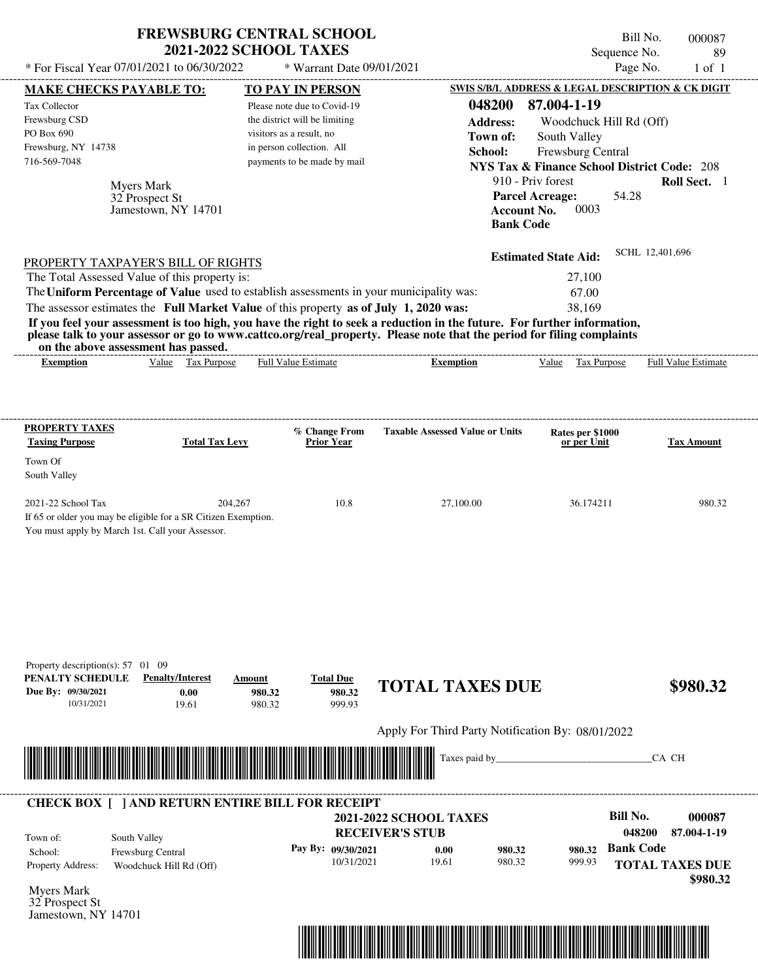| * For Fiscal Year 07/01/2021 to 06/30/2022<br>* Warrant Date 09/01/2021<br>SWIS S/B/L ADDRESS & LEGAL DESCRIPTION & CK DIGIT<br><b>MAKE CHECKS PAYABLE TO:</b><br>TO PAY IN PERSON<br>048200<br>Tax Collector<br>Please note due to Covid-19<br>Frewsburg CSD<br>the district will be limiting<br><b>Address:</b><br>PO Box 690<br>visitors as a result, no<br>Town of:<br>Frewsburg, NY 14738<br>in person collection. All<br>School:<br>716-569-7048<br>payments to be made by mail<br><b>NYS Tax &amp; Finance School District Code: 208</b><br>910 - Priv forest<br><b>Myers Mark</b><br><b>Parcel Acreage:</b><br>32 Prospect St<br><b>Account No.</b><br>Jamestown, NY 14701<br><b>Bank Code</b><br><b>Estimated State Aid:</b><br>PROPERTY TAXPAYER'S BILL OF RIGHTS<br>The Total Assessed Value of this property is:<br>The Uniform Percentage of Value used to establish assessments in your municipality was:<br>The assessor estimates the Full Market Value of this property as of July 1, 2020 was:<br>If you feel your assessment is too high, you have the right to seek a reduction in the future. For further information,<br>please talk to your assessor or go to www.cattco.org/real_property. Please note that the period for filing complaints<br>on the above assessment has passed.<br>Value Tax Purpose<br><b>Full Value Estimate</b><br>Value<br><b>Exemption</b><br><b>Exemption</b><br><b>PROPERTY TAXES</b><br><b>Taxable Assessed Value or Units</b><br>% Change From<br><b>Taxing Purpose</b><br>Prior Year<br><b>Total Tax Levy</b><br>Town Of<br>South Valley<br>10.8<br>2021-22 School Tax<br>204,267<br>27,100.00<br>If 65 or older you may be eligible for a SR Citizen Exemption.<br>You must apply by March 1st. Call your Assessor. | 87.004-1-19<br>Woodchuck Hill Rd (Off)<br>South Valley<br>Frewsburg Central<br>0003<br>27,100<br>67.00<br>38,169<br>Tax Purpose<br>Rates per \$1000<br>or per Unit<br>36.174211 | Sequence No.<br>Page No.<br>54.28<br>SCHL 12,401,696 | 89<br>$1$ of $1$<br>Roll Sect. 1<br>Full Value Estimate<br><b>Tax Amount</b> |
|----------------------------------------------------------------------------------------------------------------------------------------------------------------------------------------------------------------------------------------------------------------------------------------------------------------------------------------------------------------------------------------------------------------------------------------------------------------------------------------------------------------------------------------------------------------------------------------------------------------------------------------------------------------------------------------------------------------------------------------------------------------------------------------------------------------------------------------------------------------------------------------------------------------------------------------------------------------------------------------------------------------------------------------------------------------------------------------------------------------------------------------------------------------------------------------------------------------------------------------------------------------------------------------------------------------------------------------------------------------------------------------------------------------------------------------------------------------------------------------------------------------------------------------------------------------------------------------------------------------------------------------------------------------------------------------------------------------------------------------------------------------------------|---------------------------------------------------------------------------------------------------------------------------------------------------------------------------------|------------------------------------------------------|------------------------------------------------------------------------------|
|                                                                                                                                                                                                                                                                                                                                                                                                                                                                                                                                                                                                                                                                                                                                                                                                                                                                                                                                                                                                                                                                                                                                                                                                                                                                                                                                                                                                                                                                                                                                                                                                                                                                                                                                                                            |                                                                                                                                                                                 |                                                      |                                                                              |
|                                                                                                                                                                                                                                                                                                                                                                                                                                                                                                                                                                                                                                                                                                                                                                                                                                                                                                                                                                                                                                                                                                                                                                                                                                                                                                                                                                                                                                                                                                                                                                                                                                                                                                                                                                            |                                                                                                                                                                                 |                                                      |                                                                              |
|                                                                                                                                                                                                                                                                                                                                                                                                                                                                                                                                                                                                                                                                                                                                                                                                                                                                                                                                                                                                                                                                                                                                                                                                                                                                                                                                                                                                                                                                                                                                                                                                                                                                                                                                                                            |                                                                                                                                                                                 |                                                      |                                                                              |
|                                                                                                                                                                                                                                                                                                                                                                                                                                                                                                                                                                                                                                                                                                                                                                                                                                                                                                                                                                                                                                                                                                                                                                                                                                                                                                                                                                                                                                                                                                                                                                                                                                                                                                                                                                            |                                                                                                                                                                                 |                                                      |                                                                              |
|                                                                                                                                                                                                                                                                                                                                                                                                                                                                                                                                                                                                                                                                                                                                                                                                                                                                                                                                                                                                                                                                                                                                                                                                                                                                                                                                                                                                                                                                                                                                                                                                                                                                                                                                                                            |                                                                                                                                                                                 |                                                      |                                                                              |
|                                                                                                                                                                                                                                                                                                                                                                                                                                                                                                                                                                                                                                                                                                                                                                                                                                                                                                                                                                                                                                                                                                                                                                                                                                                                                                                                                                                                                                                                                                                                                                                                                                                                                                                                                                            |                                                                                                                                                                                 |                                                      |                                                                              |
|                                                                                                                                                                                                                                                                                                                                                                                                                                                                                                                                                                                                                                                                                                                                                                                                                                                                                                                                                                                                                                                                                                                                                                                                                                                                                                                                                                                                                                                                                                                                                                                                                                                                                                                                                                            |                                                                                                                                                                                 |                                                      |                                                                              |
|                                                                                                                                                                                                                                                                                                                                                                                                                                                                                                                                                                                                                                                                                                                                                                                                                                                                                                                                                                                                                                                                                                                                                                                                                                                                                                                                                                                                                                                                                                                                                                                                                                                                                                                                                                            |                                                                                                                                                                                 |                                                      |                                                                              |
|                                                                                                                                                                                                                                                                                                                                                                                                                                                                                                                                                                                                                                                                                                                                                                                                                                                                                                                                                                                                                                                                                                                                                                                                                                                                                                                                                                                                                                                                                                                                                                                                                                                                                                                                                                            |                                                                                                                                                                                 |                                                      |                                                                              |
|                                                                                                                                                                                                                                                                                                                                                                                                                                                                                                                                                                                                                                                                                                                                                                                                                                                                                                                                                                                                                                                                                                                                                                                                                                                                                                                                                                                                                                                                                                                                                                                                                                                                                                                                                                            |                                                                                                                                                                                 |                                                      |                                                                              |
|                                                                                                                                                                                                                                                                                                                                                                                                                                                                                                                                                                                                                                                                                                                                                                                                                                                                                                                                                                                                                                                                                                                                                                                                                                                                                                                                                                                                                                                                                                                                                                                                                                                                                                                                                                            |                                                                                                                                                                                 |                                                      |                                                                              |
|                                                                                                                                                                                                                                                                                                                                                                                                                                                                                                                                                                                                                                                                                                                                                                                                                                                                                                                                                                                                                                                                                                                                                                                                                                                                                                                                                                                                                                                                                                                                                                                                                                                                                                                                                                            |                                                                                                                                                                                 |                                                      |                                                                              |
|                                                                                                                                                                                                                                                                                                                                                                                                                                                                                                                                                                                                                                                                                                                                                                                                                                                                                                                                                                                                                                                                                                                                                                                                                                                                                                                                                                                                                                                                                                                                                                                                                                                                                                                                                                            |                                                                                                                                                                                 |                                                      |                                                                              |
|                                                                                                                                                                                                                                                                                                                                                                                                                                                                                                                                                                                                                                                                                                                                                                                                                                                                                                                                                                                                                                                                                                                                                                                                                                                                                                                                                                                                                                                                                                                                                                                                                                                                                                                                                                            |                                                                                                                                                                                 |                                                      |                                                                              |
|                                                                                                                                                                                                                                                                                                                                                                                                                                                                                                                                                                                                                                                                                                                                                                                                                                                                                                                                                                                                                                                                                                                                                                                                                                                                                                                                                                                                                                                                                                                                                                                                                                                                                                                                                                            |                                                                                                                                                                                 |                                                      |                                                                              |
|                                                                                                                                                                                                                                                                                                                                                                                                                                                                                                                                                                                                                                                                                                                                                                                                                                                                                                                                                                                                                                                                                                                                                                                                                                                                                                                                                                                                                                                                                                                                                                                                                                                                                                                                                                            |                                                                                                                                                                                 |                                                      |                                                                              |
|                                                                                                                                                                                                                                                                                                                                                                                                                                                                                                                                                                                                                                                                                                                                                                                                                                                                                                                                                                                                                                                                                                                                                                                                                                                                                                                                                                                                                                                                                                                                                                                                                                                                                                                                                                            |                                                                                                                                                                                 |                                                      |                                                                              |
|                                                                                                                                                                                                                                                                                                                                                                                                                                                                                                                                                                                                                                                                                                                                                                                                                                                                                                                                                                                                                                                                                                                                                                                                                                                                                                                                                                                                                                                                                                                                                                                                                                                                                                                                                                            |                                                                                                                                                                                 |                                                      |                                                                              |
|                                                                                                                                                                                                                                                                                                                                                                                                                                                                                                                                                                                                                                                                                                                                                                                                                                                                                                                                                                                                                                                                                                                                                                                                                                                                                                                                                                                                                                                                                                                                                                                                                                                                                                                                                                            |                                                                                                                                                                                 |                                                      | 980.32                                                                       |
|                                                                                                                                                                                                                                                                                                                                                                                                                                                                                                                                                                                                                                                                                                                                                                                                                                                                                                                                                                                                                                                                                                                                                                                                                                                                                                                                                                                                                                                                                                                                                                                                                                                                                                                                                                            |                                                                                                                                                                                 |                                                      |                                                                              |
| Property description(s): 57 01 09<br>PENALTY SCHEDULE<br><b>Penalty/Interest</b><br><b>Total Due</b><br>Amount<br><b>TOTAL TAXES DUE</b><br>980.32<br>Due By: 09/30/2021<br>0.00<br>980.32<br>10/31/2021<br>999.93<br>19.61<br>980.32                                                                                                                                                                                                                                                                                                                                                                                                                                                                                                                                                                                                                                                                                                                                                                                                                                                                                                                                                                                                                                                                                                                                                                                                                                                                                                                                                                                                                                                                                                                                      |                                                                                                                                                                                 |                                                      | \$980.32                                                                     |
| Apply For Third Party Notification By: 08/01/2022                                                                                                                                                                                                                                                                                                                                                                                                                                                                                                                                                                                                                                                                                                                                                                                                                                                                                                                                                                                                                                                                                                                                                                                                                                                                                                                                                                                                                                                                                                                                                                                                                                                                                                                          |                                                                                                                                                                                 |                                                      |                                                                              |
| Taxes paid by_                                                                                                                                                                                                                                                                                                                                                                                                                                                                                                                                                                                                                                                                                                                                                                                                                                                                                                                                                                                                                                                                                                                                                                                                                                                                                                                                                                                                                                                                                                                                                                                                                                                                                                                                                             |                                                                                                                                                                                 |                                                      | CA CH                                                                        |
| <b>CHECK BOX [ ] AND RETURN ENTIRE BILL FOR RECEIPT</b>                                                                                                                                                                                                                                                                                                                                                                                                                                                                                                                                                                                                                                                                                                                                                                                                                                                                                                                                                                                                                                                                                                                                                                                                                                                                                                                                                                                                                                                                                                                                                                                                                                                                                                                    |                                                                                                                                                                                 |                                                      |                                                                              |
| <b>2021-2022 SCHOOL TAXES</b>                                                                                                                                                                                                                                                                                                                                                                                                                                                                                                                                                                                                                                                                                                                                                                                                                                                                                                                                                                                                                                                                                                                                                                                                                                                                                                                                                                                                                                                                                                                                                                                                                                                                                                                                              |                                                                                                                                                                                 | <b>Bill No.</b>                                      | 000087                                                                       |
|                                                                                                                                                                                                                                                                                                                                                                                                                                                                                                                                                                                                                                                                                                                                                                                                                                                                                                                                                                                                                                                                                                                                                                                                                                                                                                                                                                                                                                                                                                                                                                                                                                                                                                                                                                            |                                                                                                                                                                                 |                                                      | 87.004-1-19                                                                  |
| <b>RECEIVER'S STUB</b><br>South Valley                                                                                                                                                                                                                                                                                                                                                                                                                                                                                                                                                                                                                                                                                                                                                                                                                                                                                                                                                                                                                                                                                                                                                                                                                                                                                                                                                                                                                                                                                                                                                                                                                                                                                                                                     |                                                                                                                                                                                 | 048200                                               |                                                                              |
| Town of:<br>Pay By: 09/30/2021<br>0.00<br>980.32<br>Frewsburg Central<br>School:                                                                                                                                                                                                                                                                                                                                                                                                                                                                                                                                                                                                                                                                                                                                                                                                                                                                                                                                                                                                                                                                                                                                                                                                                                                                                                                                                                                                                                                                                                                                                                                                                                                                                           | 980.32                                                                                                                                                                          | <b>Bank Code</b>                                     |                                                                              |
| 10/31/2021<br>19.61<br>980.32<br>Woodchuck Hill Rd (Off)<br>Property Address:                                                                                                                                                                                                                                                                                                                                                                                                                                                                                                                                                                                                                                                                                                                                                                                                                                                                                                                                                                                                                                                                                                                                                                                                                                                                                                                                                                                                                                                                                                                                                                                                                                                                                              | 999.93                                                                                                                                                                          |                                                      | <b>TOTAL TAXES DUE</b><br>\$980.32                                           |

32 Prospect St Jamestown, NY 14701

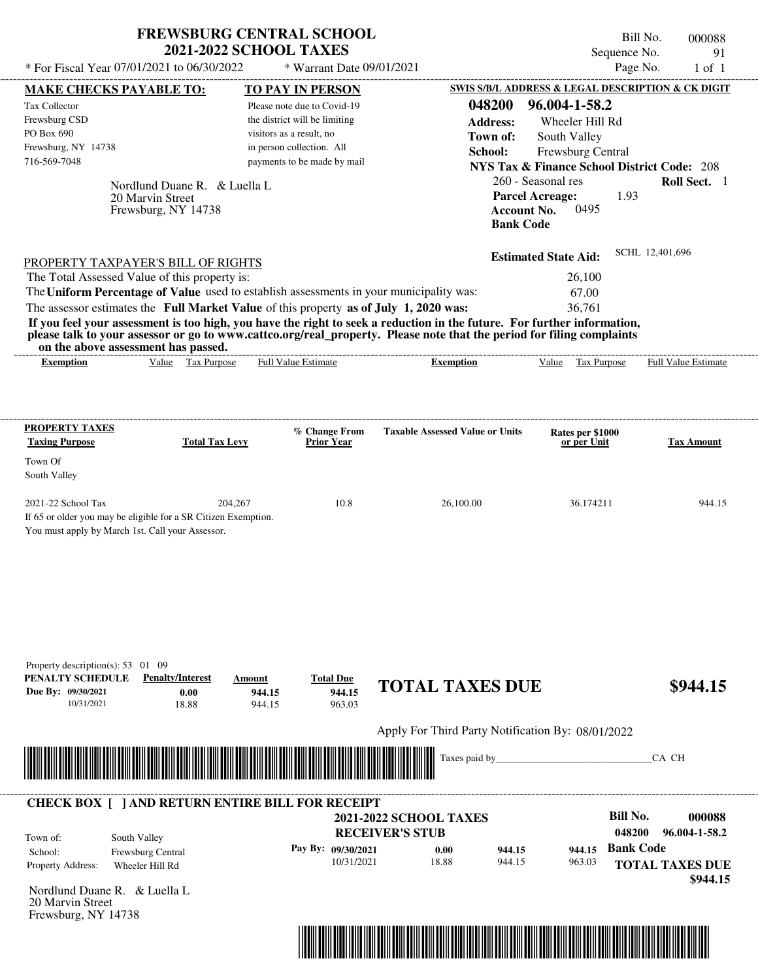| <b>FREWSBURG CENTRAL SCHOOL</b> |
|---------------------------------|
| <b>2021-2022 SCHOOL TAXES</b>   |

Bill No. 000088 Sequence No. 91<br>Page No. 1 of 1

| * For Fiscal Year 07/01/2021 to 06/30/2022                                                                                                                                                                                                       |                          | * Warrant Date 09/01/2021          |                                                   |                                                                             | Page No.               | $1$ of $1$          |
|--------------------------------------------------------------------------------------------------------------------------------------------------------------------------------------------------------------------------------------------------|--------------------------|------------------------------------|---------------------------------------------------|-----------------------------------------------------------------------------|------------------------|---------------------|
| <b>MAKE CHECKS PAYABLE TO:</b>                                                                                                                                                                                                                   |                          | <b>TO PAY IN PERSON</b>            |                                                   | SWIS S/B/L ADDRESS & LEGAL DESCRIPTION & CK DIGIT                           |                        |                     |
| Tax Collector                                                                                                                                                                                                                                    |                          | Please note due to Covid-19        | 048200                                            | 96.004-1-58.2                                                               |                        |                     |
| Frewsburg CSD<br>PO Box 690                                                                                                                                                                                                                      | visitors as a result, no | the district will be limiting      | <b>Address:</b>                                   | Wheeler Hill Rd                                                             |                        |                     |
| Frewsburg, NY 14738                                                                                                                                                                                                                              |                          | in person collection. All          | Town of:                                          | South Valley                                                                |                        |                     |
| 716-569-7048                                                                                                                                                                                                                                     |                          | payments to be made by mail        | School:                                           | Frewsburg Central<br><b>NYS Tax &amp; Finance School District Code: 208</b> |                        |                     |
|                                                                                                                                                                                                                                                  |                          |                                    |                                                   | 260 - Seasonal res                                                          |                        | Roll Sect. 1        |
| Nordlund Duane R. & Luella L.<br>20 Marvin Street                                                                                                                                                                                                |                          |                                    |                                                   | <b>Parcel Acreage:</b>                                                      | 1.93                   |                     |
| Frewsburg, NY 14738                                                                                                                                                                                                                              |                          |                                    |                                                   | 0495<br><b>Account No.</b>                                                  |                        |                     |
|                                                                                                                                                                                                                                                  |                          |                                    |                                                   | <b>Bank Code</b>                                                            |                        |                     |
| PROPERTY TAXPAYER'S BILL OF RIGHTS                                                                                                                                                                                                               |                          |                                    |                                                   | <b>Estimated State Aid:</b>                                                 | SCHL 12,401,696        |                     |
| The Total Assessed Value of this property is:                                                                                                                                                                                                    |                          |                                    |                                                   | 26,100                                                                      |                        |                     |
| The Uniform Percentage of Value used to establish assessments in your municipality was:                                                                                                                                                          |                          |                                    |                                                   | 67.00                                                                       |                        |                     |
| The assessor estimates the Full Market Value of this property as of July 1, 2020 was:                                                                                                                                                            |                          |                                    |                                                   | 36,761                                                                      |                        |                     |
| If you feel your assessment is too high, you have the right to seek a reduction in the future. For further information,<br>please talk to your assessor or go to www.cattco.org/real_property. Please note that the period for filing complaints |                          |                                    |                                                   |                                                                             |                        |                     |
| on the above assessment has passed.<br>Value Tax Purpose<br><b>Exemption</b>                                                                                                                                                                     |                          | Full Value Estimate                | <b>Exemption</b>                                  | Value Tax Purpose                                                           |                        | Full Value Estimate |
|                                                                                                                                                                                                                                                  |                          |                                    |                                                   |                                                                             |                        |                     |
| <b>PROPERTY TAXES</b>                                                                                                                                                                                                                            |                          |                                    |                                                   |                                                                             |                        |                     |
| <b>Taxing Purpose</b><br><b>Total Tax Levy</b>                                                                                                                                                                                                   |                          | % Change From<br><b>Prior Year</b> | <b>Taxable Assessed Value or Units</b>            | Rates per \$1000<br>or per Unit                                             |                        | <b>Tax Amount</b>   |
| Town Of                                                                                                                                                                                                                                          |                          |                                    |                                                   |                                                                             |                        |                     |
| South Valley                                                                                                                                                                                                                                     |                          |                                    |                                                   |                                                                             |                        |                     |
| 2021-22 School Tax                                                                                                                                                                                                                               | 204,267                  | 10.8                               | 26,100.00                                         | 36.174211                                                                   |                        | 944.15              |
| If 65 or older you may be eligible for a SR Citizen Exemption.                                                                                                                                                                                   |                          |                                    |                                                   |                                                                             |                        |                     |
| You must apply by March 1st. Call your Assessor.                                                                                                                                                                                                 |                          |                                    |                                                   |                                                                             |                        |                     |
|                                                                                                                                                                                                                                                  |                          |                                    |                                                   |                                                                             |                        |                     |
|                                                                                                                                                                                                                                                  |                          |                                    |                                                   |                                                                             |                        |                     |
|                                                                                                                                                                                                                                                  |                          |                                    |                                                   |                                                                             |                        |                     |
|                                                                                                                                                                                                                                                  |                          |                                    |                                                   |                                                                             |                        |                     |
|                                                                                                                                                                                                                                                  |                          |                                    |                                                   |                                                                             |                        |                     |
|                                                                                                                                                                                                                                                  |                          |                                    |                                                   |                                                                             |                        |                     |
| Property description(s): 53 01 09<br>PENALTY SCHEDULE<br><b>Penalty/Interest</b>                                                                                                                                                                 | Amount                   | <b>Total Due</b>                   |                                                   |                                                                             |                        |                     |
| Due By: 09/30/2021<br>0.00                                                                                                                                                                                                                       | 944.15                   | 944.15                             | <b>TOTAL TAXES DUE</b>                            |                                                                             |                        | \$944.15            |
| 18.88<br>10/31/2021                                                                                                                                                                                                                              | 944.15                   | 963.03                             |                                                   |                                                                             |                        |                     |
|                                                                                                                                                                                                                                                  |                          |                                    | Apply For Third Party Notification By: 08/01/2022 |                                                                             |                        |                     |
| <u> 1999 - Andrew Maria Maria Maria Maria Maria Maria Maria Maria Maria Maria Maria Maria Maria Maria Maria Mari</u>                                                                                                                             |                          |                                    | Taxes paid by____                                 |                                                                             | CA CH                  |                     |
|                                                                                                                                                                                                                                                  |                          |                                    |                                                   |                                                                             |                        |                     |
| <b>CHECK BOX [ ] AND RETURN ENTIRE BILL FOR RECEIPT</b>                                                                                                                                                                                          |                          |                                    |                                                   |                                                                             |                        |                     |
|                                                                                                                                                                                                                                                  |                          |                                    | <b>2021-2022 SCHOOL TAXES</b>                     |                                                                             | <b>Bill No.</b>        | 000088              |
| South Valley<br>Town of:                                                                                                                                                                                                                         |                          |                                    | <b>RECEIVER'S STUB</b>                            |                                                                             | 048200                 | 96.004-1-58.2       |
| Frewsburg Central<br>School:                                                                                                                                                                                                                     |                          | Pay By: 09/30/2021<br>10/31/2021   | 944.15<br>0.00<br>18.88<br>944.15                 | 963.03                                                                      | 944.15 Bank Code       |                     |
| Property Address:<br>Wheeler Hill Rd                                                                                                                                                                                                             |                          |                                    |                                                   |                                                                             | <b>TOTAL TAXES DUE</b> | \$944.15            |
| Nordlund Duane R. & Luella L                                                                                                                                                                                                                     |                          |                                    |                                                   |                                                                             |                        |                     |
| 20 Marvin Street                                                                                                                                                                                                                                 |                          |                                    |                                                   |                                                                             |                        |                     |
| Frewsburg, NY 14738                                                                                                                                                                                                                              |                          |                                    |                                                   |                                                                             |                        |                     |
|                                                                                                                                                                                                                                                  |                          |                                    |                                                   |                                                                             |                        |                     |
|                                                                                                                                                                                                                                                  |                          |                                    |                                                   |                                                                             |                        |                     |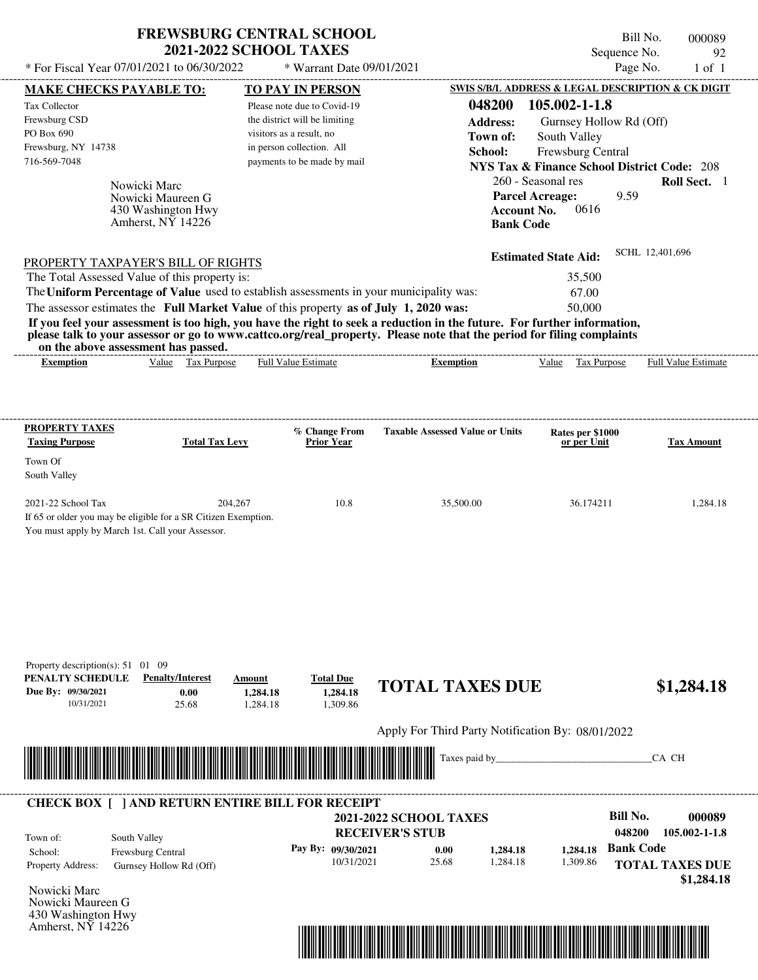| * For Fiscal Year 07/01/2021 to 06/30/2022                                                                                                                                                                                                                                                                     | <b>FREWSBURG CENTRAL SCHOOL</b><br><b>2021-2022 SCHOOL TAXES</b>             |                                                                                        | * Warrant Date 09/01/2021                                                             |                                        |                                                                      | Bill No.<br>Sequence No.<br>Page No.                                                                                                                                                                                                                                                                         | 000089<br>92<br>1 of 1     |
|----------------------------------------------------------------------------------------------------------------------------------------------------------------------------------------------------------------------------------------------------------------------------------------------------------------|------------------------------------------------------------------------------|----------------------------------------------------------------------------------------|---------------------------------------------------------------------------------------|----------------------------------------|----------------------------------------------------------------------|--------------------------------------------------------------------------------------------------------------------------------------------------------------------------------------------------------------------------------------------------------------------------------------------------------------|----------------------------|
| <b>MAKE CHECKS PAYABLE TO:</b><br>Tax Collector<br>Frewsburg CSD<br>PO Box 690<br>Frewsburg, NY 14738<br>716-569-7048                                                                                                                                                                                          | Nowicki Marc<br>Nowicki Maureen G<br>430 Washington Hwy<br>Amherst, NY 14226 | the district will be limiting<br>visitors as a result, no<br>in person collection. All | <b>TO PAY IN PERSON</b><br>Please note due to Covid-19<br>payments to be made by mail |                                        | 048200<br><b>Address:</b><br>Town of:<br>School:<br><b>Bank Code</b> | SWIS S/B/L ADDRESS & LEGAL DESCRIPTION & CK DIGIT<br>105.002-1-1.8<br>Gurnsey Hollow Rd (Off)<br>South Valley<br>Frewsburg Central<br><b>NYS Tax &amp; Finance School District Code: 208</b><br>260 - Seasonal res<br>9.59<br><b>Parcel Acreage:</b><br>0616<br><b>Account No.</b>                           | Roll Sect. 1               |
| PROPERTY TAXPAYER'S BILL OF RIGHTS<br>The Total Assessed Value of this property is:<br>The Uniform Percentage of Value used to establish assessments in your municipality was:<br>The assessor estimates the Full Market Value of this property as of July 1, 2020 was:<br>on the above assessment has passed. |                                                                              |                                                                                        |                                                                                       | -----------------------                |                                                                      | <b>Estimated State Aid:</b><br>35,500<br>67.00<br>50,000<br>If you feel your assessment is too high, you have the right to seek a reduction in the future. For further information,<br>please talk to your assessor or go to www.cattco.org/real_property. Please note that the period for filing complaints | SCHL 12,401,696            |
| <b>Exemption</b><br>PROPERTY TAXES                                                                                                                                                                                                                                                                             | Value Tax Purpose                                                            | <b>Full Value Estimate</b>                                                             | % Change From                                                                         | <b>Taxable Assessed Value or Units</b> | <b>Exemption</b>                                                     | Value Tax Purpose<br>Rates per \$1000                                                                                                                                                                                                                                                                        | <b>Full Value Estimate</b> |
| <b>Taxing Purpose</b><br>Town Of<br>South Valley<br>2021-22 School Tax<br>If 65 or older you may be eligible for a SR Citizen Exemption.<br>You must apply by March 1st. Call your Assessor.                                                                                                                   | <b>Total Tax Levy</b><br>204,267                                             |                                                                                        | <b>Prior Year</b><br>10.8                                                             |                                        | 35,500.00                                                            | or per Unit<br>36.174211                                                                                                                                                                                                                                                                                     | Tax Amount<br>1,284.18     |
| Property description(s): $51 \quad 01 \quad 09$<br>PENALTY SCHEDULE<br>Due By: 09/30/2021                                                                                                                                                                                                                      | <b>Penalty/Interest</b><br>0.00                                              | Amount<br>1,284.18                                                                     | <b>Total Due</b><br>1,284.18                                                          | <b>TOTAL TAXES DUE</b>                 |                                                                      |                                                                                                                                                                                                                                                                                                              | \$1,284.18                 |
| 10/31/2021                                                                                                                                                                                                                                                                                                     | 25.68                                                                        | 1,284.18                                                                               | 1,309.86                                                                              |                                        |                                                                      |                                                                                                                                                                                                                                                                                                              |                            |

Taxes paid by\_\_\_\_\_\_\_\_\_\_\_\_\_\_\_\_\_\_\_\_\_\_\_\_\_\_\_\_\_\_\_CA CH \*04820000008900000000128418\*



Nowicki Maureen G 430 Washington Hwy Amherst, NY 14226

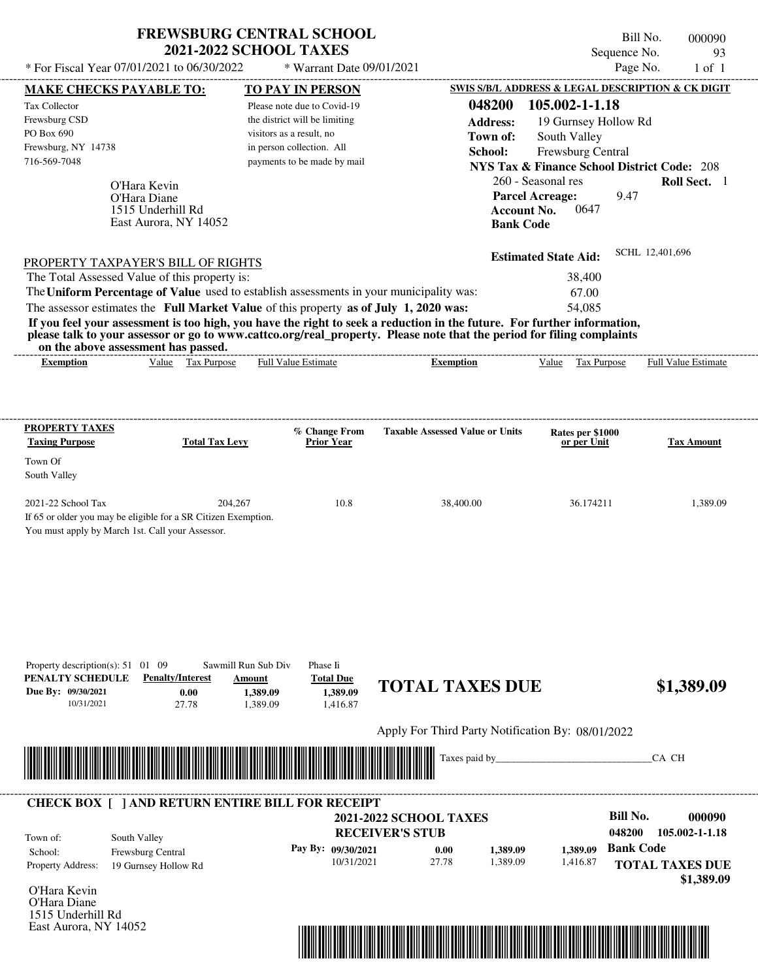| * For Fiscal Year 07/01/2021 to 06/30/2022                                                                                                                                                                                                                                                                                                                   | <b>FREWSBURG CENTRAL SCHOOL</b><br><b>2021-2022 SCHOOL TAXES</b> | * Warrant Date 09/01/2021                                                                                                |                                                                  | Sequence No.<br>Page No.                                                                                                              | Bill No.<br>000090<br>93<br>$1$ of $1$ |
|--------------------------------------------------------------------------------------------------------------------------------------------------------------------------------------------------------------------------------------------------------------------------------------------------------------------------------------------------------------|------------------------------------------------------------------|--------------------------------------------------------------------------------------------------------------------------|------------------------------------------------------------------|---------------------------------------------------------------------------------------------------------------------------------------|----------------------------------------|
| <b>MAKE CHECKS PAYABLE TO:</b>                                                                                                                                                                                                                                                                                                                               |                                                                  | <b>TO PAY IN PERSON</b>                                                                                                  |                                                                  | SWIS S/B/L ADDRESS & LEGAL DESCRIPTION & CK DIGIT                                                                                     |                                        |
| Tax Collector<br>Frewsburg CSD<br>PO Box 690<br>Frewsburg, NY 14738<br>716-569-7048                                                                                                                                                                                                                                                                          | visitors as a result, no                                         | Please note due to Covid-19<br>the district will be limiting<br>in person collection. All<br>payments to be made by mail | 048200<br><b>Address:</b><br>Town of:<br>School:                 | 105.002-1-1.18<br>19 Gurnsey Hollow Rd<br>South Valley<br>Frewsburg Central<br><b>NYS Tax &amp; Finance School District Code: 208</b> |                                        |
| O'Hara Kevin<br>O'Hara Diane<br>1515 Underhill Rd<br>East Aurora, NY 14052                                                                                                                                                                                                                                                                                   |                                                                  |                                                                                                                          | <b>Parcel Acreage:</b><br><b>Account No.</b><br><b>Bank Code</b> | 260 - Seasonal res<br>9.47<br>0647                                                                                                    | Roll Sect. 1                           |
| PROPERTY TAXPAYER'S BILL OF RIGHTS                                                                                                                                                                                                                                                                                                                           |                                                                  |                                                                                                                          |                                                                  | <b>Estimated State Aid:</b>                                                                                                           | SCHL 12,401,696                        |
| The Total Assessed Value of this property is:<br>The Uniform Percentage of Value used to establish assessments in your municipality was:<br>The assessor estimates the Full Market Value of this property as of July 1, 2020 was:<br>If you feel your assessment is too high, you have the right to seek a reduction in the future. For further information, |                                                                  |                                                                                                                          |                                                                  | 38,400<br>67.00<br>54,085                                                                                                             |                                        |
| please talk to your assessor or go to www.cattco.org/real_property. Please note that the period for filing complaints<br>on the above assessment has passed.                                                                                                                                                                                                 |                                                                  |                                                                                                                          |                                                                  |                                                                                                                                       |                                        |
| Value Tax Purpose<br><b>Exemption</b>                                                                                                                                                                                                                                                                                                                        |                                                                  | <b>Full Value Estimate</b>                                                                                               | -----------------------<br><b>Exemption</b>                      | Value Tax Purpose                                                                                                                     | <b>Full Value Estimate</b>             |
| PROPERTY TAXES<br><b>Taxing Purpose</b><br>Town Of<br>South Valley                                                                                                                                                                                                                                                                                           | <b>Total Tax Levy</b>                                            | % Change From<br><b>Prior Year</b>                                                                                       | <b>Taxable Assessed Value or Units</b>                           | Rates per \$1000<br>or per Unit                                                                                                       | Tax Amount                             |
| 2021-22 School Tax<br>If 65 or older you may be eligible for a SR Citizen Exemption.<br>You must apply by March 1st. Call your Assessor.                                                                                                                                                                                                                     | 204,267                                                          | 10.8                                                                                                                     | 38,400.00                                                        | 36.174211                                                                                                                             | 1,389.09                               |
| Property description(s): $51 \quad 01 \quad 09$<br>PENALTY SCHEDULE<br><b>Penalty/Interest</b><br>Due By: 09/30/2021<br>0.00<br>10/31/2021<br>27.78                                                                                                                                                                                                          | Sawmill Run Sub Div<br>Amount<br>1,389.09<br>1,389.09            | Phase Ii<br><b>Total Due</b><br>1,389.09<br>1,416.87                                                                     | <b>TOTAL TAXES DUE</b>                                           |                                                                                                                                       | \$1,389.09                             |
|                                                                                                                                                                                                                                                                                                                                                              |                                                                  |                                                                                                                          | Apply For Third Party Notification By: 08/01/2022                |                                                                                                                                       |                                        |
|                                                                                                                                                                                                                                                                                                                                                              |                                                                  |                                                                                                                          | Taxes paid by_                                                   |                                                                                                                                       | CA CH                                  |
| <b>CHECK BOX [ ] AND RETURN ENTIRE BILL FOR RECEIPT</b>                                                                                                                                                                                                                                                                                                      |                                                                  |                                                                                                                          | <b>2021-2022 SCHOOL TAXES</b>                                    | <b>Bill No.</b>                                                                                                                       | 000090                                 |
| South Valley<br>Town of:                                                                                                                                                                                                                                                                                                                                     |                                                                  |                                                                                                                          | <b>RECEIVER'S STUB</b>                                           | 048200                                                                                                                                | 105.002-1-1.18                         |

**Pay By: 09/30/2021**

10/31/2021 27.78

**0.00**

O'Hara Kevin Property Address: 19 Gurnsey Hollow Rd

School: Frewsburg Central

O'Hara Diane 1515 Underhill Rd East Aurora, NY 14052



1,389.09 **1,389.09** **Bank Code 1,389.09**

1,416.87

**TOTAL TAXES DUE**

 **\$1,389.09**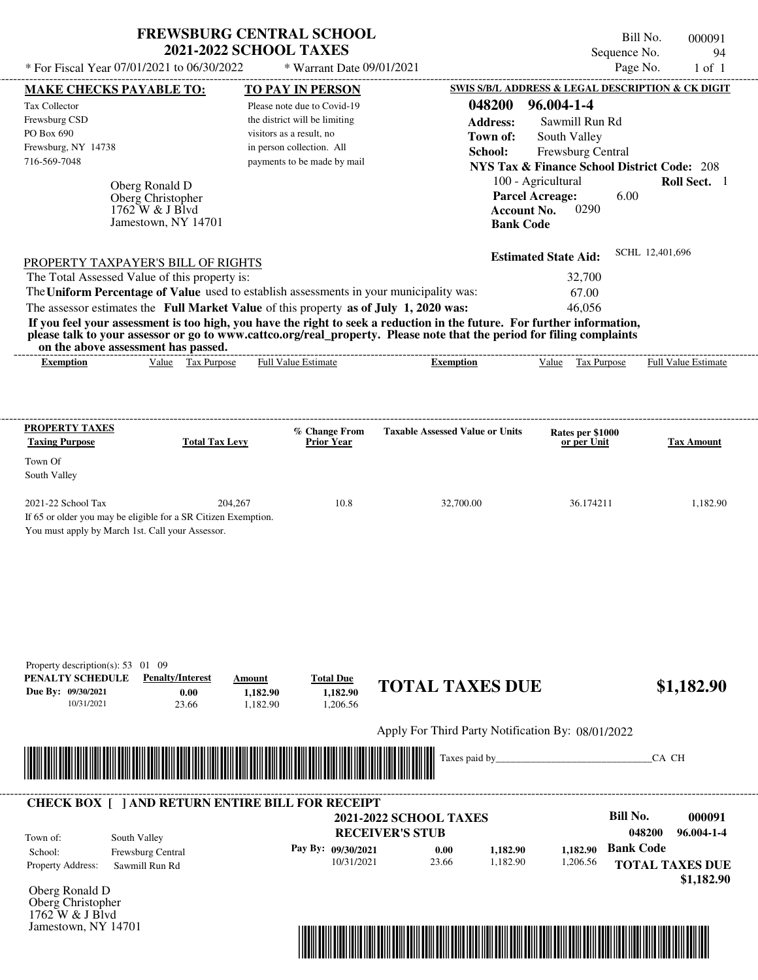| * For Fiscal Year 07/01/2021 to 06/30/2022                                                                                                                                                                                                                                              | <b>2021-2022 SCHOOL TAXES</b>         | <b>FREWSBURG CENTRAL SCHOOL</b><br>* Warrant Date 09/01/2021 |                                                   | Sequence No.<br>Page No.                               | Bill No.<br>000091<br>94<br>$1$ of $1$ |
|-----------------------------------------------------------------------------------------------------------------------------------------------------------------------------------------------------------------------------------------------------------------------------------------|---------------------------------------|--------------------------------------------------------------|---------------------------------------------------|--------------------------------------------------------|----------------------------------------|
| <b>MAKE CHECKS PAYABLE TO:</b>                                                                                                                                                                                                                                                          |                                       | TO PAY IN PERSON                                             |                                                   | SWIS S/B/L ADDRESS & LEGAL DESCRIPTION & CK DIGIT      |                                        |
| Tax Collector                                                                                                                                                                                                                                                                           |                                       | Please note due to Covid-19                                  | 048200                                            | 96.004-1-4                                             |                                        |
| Frewsburg CSD                                                                                                                                                                                                                                                                           |                                       | the district will be limiting                                | <b>Address:</b>                                   | Sawmill Run Rd                                         |                                        |
| PO Box 690                                                                                                                                                                                                                                                                              |                                       | visitors as a result, no                                     | Town of:                                          | South Valley                                           |                                        |
| Frewsburg, NY 14738                                                                                                                                                                                                                                                                     |                                       | in person collection. All                                    | School:                                           | Frewsburg Central                                      |                                        |
| 716-569-7048                                                                                                                                                                                                                                                                            |                                       | payments to be made by mail                                  |                                                   | <b>NYS Tax &amp; Finance School District Code: 208</b> |                                        |
|                                                                                                                                                                                                                                                                                         |                                       |                                                              |                                                   | 100 - Agricultural                                     | Roll Sect. 1                           |
| Oberg Ronald D<br>Oberg Christopher                                                                                                                                                                                                                                                     |                                       |                                                              |                                                   | <b>Parcel Acreage:</b><br>6.00                         |                                        |
| 1762 W & J Blvd                                                                                                                                                                                                                                                                         |                                       |                                                              | <b>Account No.</b>                                | 0290                                                   |                                        |
| Jamestown, NY 14701                                                                                                                                                                                                                                                                     |                                       |                                                              | <b>Bank Code</b>                                  |                                                        |                                        |
|                                                                                                                                                                                                                                                                                         |                                       |                                                              |                                                   | <b>Estimated State Aid:</b>                            | SCHL 12,401,696                        |
| PROPERTY TAXPAYER'S BILL OF RIGHTS                                                                                                                                                                                                                                                      |                                       |                                                              |                                                   |                                                        |                                        |
| The Total Assessed Value of this property is:                                                                                                                                                                                                                                           |                                       |                                                              |                                                   | 32,700                                                 |                                        |
| The Uniform Percentage of Value used to establish assessments in your municipality was:                                                                                                                                                                                                 |                                       |                                                              |                                                   | 67.00                                                  |                                        |
| The assessor estimates the Full Market Value of this property as of July 1, 2020 was:                                                                                                                                                                                                   |                                       |                                                              |                                                   | 46,056                                                 |                                        |
| If you feel your assessment is too high, you have the right to seek a reduction in the future. For further information,<br>please talk to your assessor or go to www.cattco.org/real_property. Please note that the period for filing complaints<br>on the above assessment has passed. |                                       |                                                              |                                                   |                                                        |                                        |
| <b>Exemption</b>                                                                                                                                                                                                                                                                        | Value Tax Purpose                     | <b>Full Value Estimate</b>                                   | <b>Exemption</b>                                  | Value Tax Purpose                                      | Full Value Estimate                    |
| <b>PROPERTY TAXES</b><br><b>Taxing Purpose</b><br>Town Of                                                                                                                                                                                                                               | <b>Total Tax Levy</b>                 | % Change From<br><b>Prior Year</b>                           | <b>Taxable Assessed Value or Units</b>            | Rates per \$1000<br>or per Unit                        | <b>Tax Amount</b>                      |
|                                                                                                                                                                                                                                                                                         |                                       |                                                              |                                                   |                                                        |                                        |
| South Valley                                                                                                                                                                                                                                                                            |                                       |                                                              |                                                   |                                                        |                                        |
| 2021-22 School Tax<br>If 65 or older you may be eligible for a SR Citizen Exemption.<br>You must apply by March 1st. Call your Assessor.                                                                                                                                                | 204,267                               | 10.8                                                         | 32,700.00                                         | 36.174211                                              |                                        |
| Property description(s): 53 01 09<br>PENALTY SCHEDULE<br><b>Penalty/Interest</b>                                                                                                                                                                                                        | Amount                                | <b>Total Due</b>                                             | <b>TOTAL TAXES DUE</b>                            |                                                        |                                        |
| Due By: 09/30/2021<br>10/31/2021                                                                                                                                                                                                                                                        | 0.00<br>1,182.90<br>23.66<br>1,182.90 | 1,182.90<br>1,206.56                                         |                                                   |                                                        | 1,182.90<br>\$1,182.90                 |
|                                                                                                                                                                                                                                                                                         |                                       |                                                              | Apply For Third Party Notification By: 08/01/2022 |                                                        |                                        |
|                                                                                                                                                                                                                                                                                         |                                       |                                                              | Taxes paid by_                                    |                                                        | CA CH                                  |
| <b>CHECK BOX [ ] AND RETURN ENTIRE BILL FOR RECEIPT</b>                                                                                                                                                                                                                                 |                                       |                                                              |                                                   | <b>Bill No.</b>                                        |                                        |
|                                                                                                                                                                                                                                                                                         |                                       |                                                              | <b>2021-2022 SCHOOL TAXES</b>                     |                                                        | 048200                                 |
| South Valley<br>Town of:                                                                                                                                                                                                                                                                |                                       |                                                              | <b>RECEIVER'S STUB</b>                            |                                                        | 000091<br>96.004-1-4                   |
| Frewsburg Central<br>School:<br><b>Property Address:</b><br>Sawmill Run Rd                                                                                                                                                                                                              |                                       | Pay By: 09/30/2021<br>10/31/2021                             | 1,182.90<br>0.00<br>23.66<br>1,182.90             | <b>Bank Code</b><br>1,182.90<br>1,206.56               | <b>TOTAL TAXES DUE</b>                 |

Oberg Ronald D Oberg Christopher 1762 W & J Blvd Jamestown, NY 14701

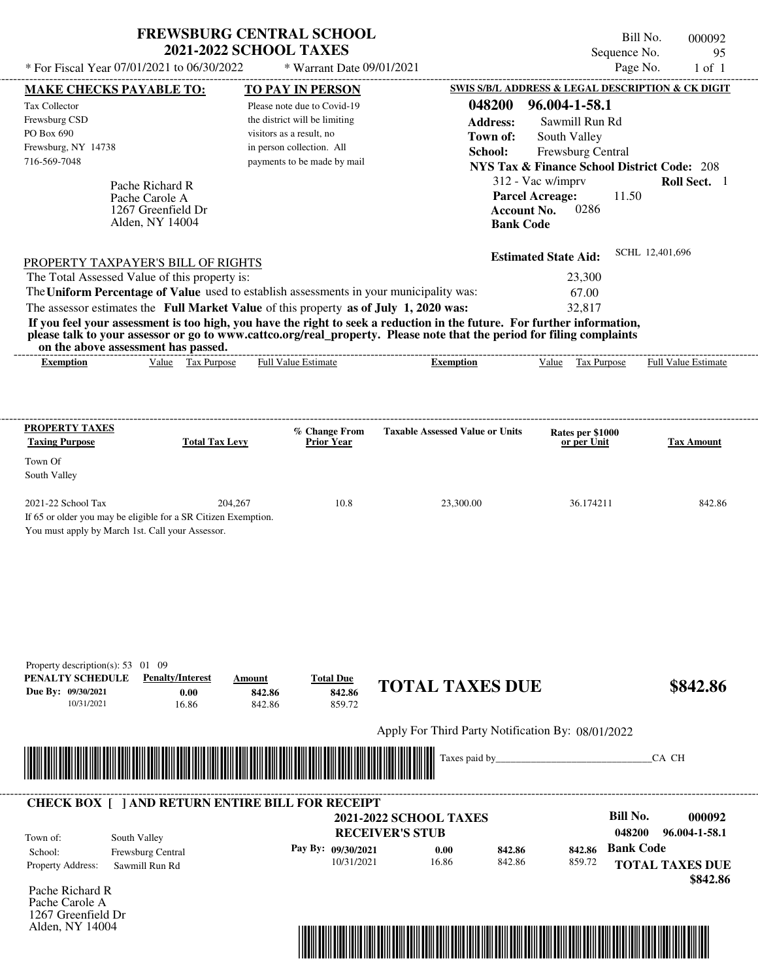| <b>FREWSBURG CENTRAL SCHOOL</b><br><b>2021-2022 SCHOOL TAXES</b> |                           | Bill No.<br>Sequence No. | 000092<br>95 |
|------------------------------------------------------------------|---------------------------|--------------------------|--------------|
| * For Fiscal Year 07/01/2021 to 06/30/2022                       | * Warrant Date 09/01/2021 | Page No.                 | 1 of 1       |
|                                                                  |                           |                          |              |

| <b>MAKE CHECKS PAYABLE TO:</b>                                                                                     |                                          |                            | <b>TO PAY IN PERSON</b>              |                                                                                                                                                                                                                                                  | SWIS S/B/L ADDRESS & LEGAL DESCRIPTION & CK DIGIT      |                            |
|--------------------------------------------------------------------------------------------------------------------|------------------------------------------|----------------------------|--------------------------------------|--------------------------------------------------------------------------------------------------------------------------------------------------------------------------------------------------------------------------------------------------|--------------------------------------------------------|----------------------------|
| Tax Collector                                                                                                      |                                          |                            | Please note due to Covid-19          | 048200                                                                                                                                                                                                                                           | 96.004-1-58.1                                          |                            |
| Frewsburg CSD                                                                                                      |                                          |                            | the district will be limiting        | <b>Address:</b>                                                                                                                                                                                                                                  | Sawmill Run Rd                                         |                            |
| PO Box 690                                                                                                         |                                          | visitors as a result, no   |                                      | Town of:                                                                                                                                                                                                                                         | South Valley                                           |                            |
| Frewsburg, NY 14738                                                                                                |                                          |                            | in person collection. All            | School:                                                                                                                                                                                                                                          | Frewsburg Central                                      |                            |
| 716-569-7048                                                                                                       |                                          |                            | payments to be made by mail          |                                                                                                                                                                                                                                                  | <b>NYS Tax &amp; Finance School District Code: 208</b> |                            |
|                                                                                                                    |                                          |                            |                                      |                                                                                                                                                                                                                                                  | 312 - Vac w/imprv                                      | Roll Sect. 1               |
|                                                                                                                    | Pache Richard R                          |                            |                                      |                                                                                                                                                                                                                                                  | <b>Parcel Acreage:</b><br>11.50                        |                            |
|                                                                                                                    | Pache Carole A<br>1267 Greenfield Dr     |                            |                                      |                                                                                                                                                                                                                                                  | 0286<br><b>Account No.</b>                             |                            |
|                                                                                                                    | Alden, NY 14004                          |                            |                                      | <b>Bank Code</b>                                                                                                                                                                                                                                 |                                                        |                            |
|                                                                                                                    |                                          |                            |                                      |                                                                                                                                                                                                                                                  |                                                        |                            |
|                                                                                                                    |                                          |                            |                                      |                                                                                                                                                                                                                                                  | <b>Estimated State Aid:</b>                            | SCHL 12,401,696            |
| PROPERTY TAXPAYER'S BILL OF RIGHTS                                                                                 |                                          |                            |                                      |                                                                                                                                                                                                                                                  |                                                        |                            |
| The Total Assessed Value of this property is:                                                                      |                                          |                            |                                      |                                                                                                                                                                                                                                                  | 23,300                                                 |                            |
| The Uniform Percentage of Value used to establish assessments in your municipality was:                            |                                          |                            |                                      |                                                                                                                                                                                                                                                  | 67.00                                                  |                            |
| The assessor estimates the Full Market Value of this property as of July 1, 2020 was:                              |                                          |                            |                                      |                                                                                                                                                                                                                                                  | 32,817                                                 |                            |
|                                                                                                                    | on the above assessment has passed.      |                            |                                      | If you feel your assessment is too high, you have the right to seek a reduction in the future. For further information,<br>please talk to your assessor or go to www.cattco.org/real_property. Please note that the period for filing complaints |                                                        |                            |
| <b>Exemption</b>                                                                                                   | Value Tax Purpose                        |                            | <b>Full Value Estimate</b>           | <b>Exemption</b>                                                                                                                                                                                                                                 | Value<br>Tax Purpose                                   | <b>Full Value Estimate</b> |
|                                                                                                                    |                                          |                            |                                      |                                                                                                                                                                                                                                                  |                                                        |                            |
|                                                                                                                    |                                          |                            |                                      |                                                                                                                                                                                                                                                  |                                                        |                            |
| <b>PROPERTY TAXES</b>                                                                                              |                                          |                            | % Change From                        | <b>Taxable Assessed Value or Units</b>                                                                                                                                                                                                           | Rates per \$1000                                       |                            |
| <b>Taxing Purpose</b>                                                                                              | <b>Total Tax Levy</b>                    |                            | <b>Prior Year</b>                    |                                                                                                                                                                                                                                                  | or per Unit                                            | <b>Tax Amount</b>          |
| Town Of                                                                                                            |                                          |                            |                                      |                                                                                                                                                                                                                                                  |                                                        |                            |
| South Valley                                                                                                       |                                          |                            |                                      |                                                                                                                                                                                                                                                  |                                                        |                            |
|                                                                                                                    |                                          |                            |                                      |                                                                                                                                                                                                                                                  |                                                        |                            |
| 2021-22 School Tax                                                                                                 |                                          | 204,267                    | 10.8                                 | 23,300.00                                                                                                                                                                                                                                        | 36.174211                                              | 842.86                     |
| If 65 or older you may be eligible for a SR Citizen Exemption.<br>You must apply by March 1st. Call your Assessor. |                                          |                            |                                      |                                                                                                                                                                                                                                                  |                                                        |                            |
| Property description(s): $53 \quad 01 \quad 09$<br>PENALTY SCHEDULE<br>Due By: 09/30/2021<br>10/31/2021            | <b>Penalty/Interest</b><br>0.00<br>16.86 | Amount<br>842.86<br>842.86 | <b>Total Due</b><br>842.86<br>859.72 | <b>TOTAL TAXES DUE</b>                                                                                                                                                                                                                           |                                                        | \$842.86                   |
|                                                                                                                    |                                          |                            |                                      | Apply For Third Party Notification By: 08/01/2022                                                                                                                                                                                                |                                                        |                            |
|                                                                                                                    |                                          |                            |                                      |                                                                                                                                                                                                                                                  |                                                        |                            |
|                                                                                                                    |                                          |                            |                                      | Taxes paid by                                                                                                                                                                                                                                    |                                                        | CA CH                      |
| <b>CHECK BOX [ ] AND RETURN ENTIRE BILL FOR RECEIPT</b>                                                            |                                          |                            |                                      |                                                                                                                                                                                                                                                  |                                                        |                            |
|                                                                                                                    |                                          |                            |                                      | <b>2021-2022 SCHOOL TAXES</b>                                                                                                                                                                                                                    | <b>Bill No.</b>                                        | 000092                     |
|                                                                                                                    |                                          |                            |                                      | <b>RECEIVER'S STUB</b>                                                                                                                                                                                                                           |                                                        | 048200<br>96.004-1-58.1    |
| Town of:                                                                                                           | South Valley                             |                            |                                      |                                                                                                                                                                                                                                                  |                                                        |                            |
| School:                                                                                                            | Frewsburg Central                        |                            | Pay By: 09/30/2021                   | 842.86<br>0.00                                                                                                                                                                                                                                   | 842.86                                                 | <b>Bank Code</b>           |
| Property Address:                                                                                                  | Sawmill Run Rd                           |                            | 10/31/2021                           | 16.86<br>842.86                                                                                                                                                                                                                                  | 859.72                                                 | <b>TOTAL TAXES DUE</b>     |
|                                                                                                                    |                                          |                            |                                      |                                                                                                                                                                                                                                                  |                                                        | \$842.86                   |
| Pache Richard R<br>Pache Carole A                                                                                  |                                          |                            |                                      |                                                                                                                                                                                                                                                  |                                                        |                            |
| 1267 Greenfield Dr                                                                                                 |                                          |                            |                                      |                                                                                                                                                                                                                                                  |                                                        |                            |
| Alden, NY 14004                                                                                                    |                                          |                            |                                      |                                                                                                                                                                                                                                                  |                                                        |                            |
|                                                                                                                    |                                          |                            |                                      |                                                                                                                                                                                                                                                  |                                                        |                            |

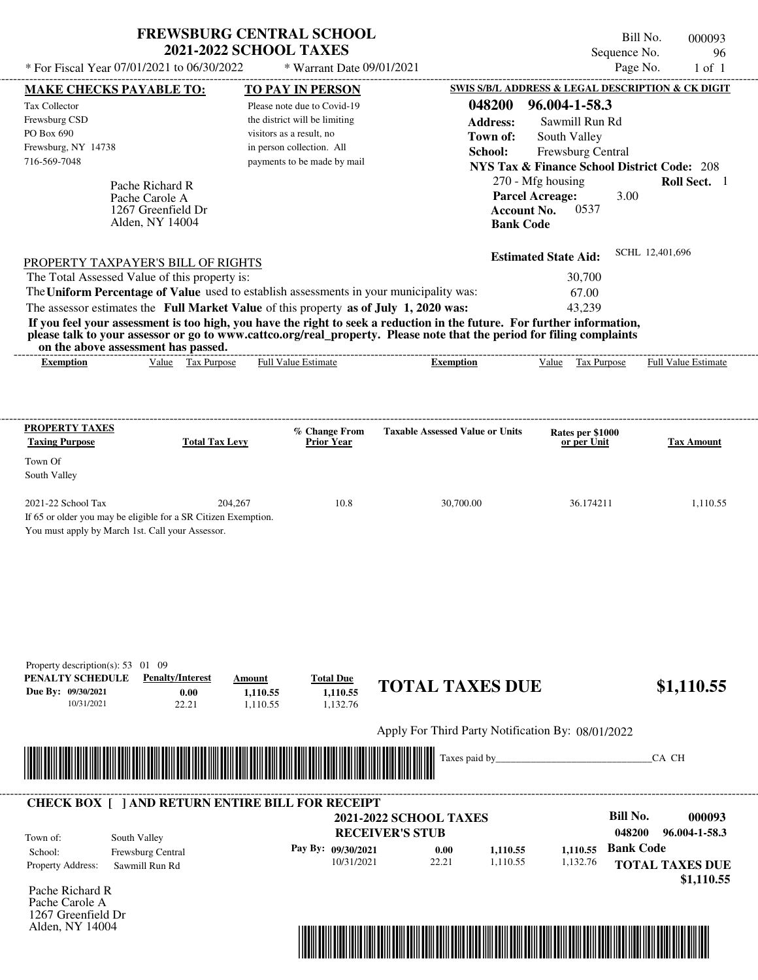| <b>FREWSBURG CENTRAL SCHOOL</b> |  |
|---------------------------------|--|
| <b>2021-2022 SCHOOL TAXES</b>   |  |

Bill No. 000093 Sequence No. 96

| * For Fiscal Year 07/01/2021 to 06/30/2022                                                                                                                                                                                                       | * Warrant Date 09/01/2021                                 |                                                   |                                                                             | Page No.<br>$1$ of $1$                            |
|--------------------------------------------------------------------------------------------------------------------------------------------------------------------------------------------------------------------------------------------------|-----------------------------------------------------------|---------------------------------------------------|-----------------------------------------------------------------------------|---------------------------------------------------|
| <b>MAKE CHECKS PAYABLE TO:</b>                                                                                                                                                                                                                   | <b>TO PAY IN PERSON</b>                                   |                                                   |                                                                             | SWIS S/B/L ADDRESS & LEGAL DESCRIPTION & CK DIGIT |
| Tax Collector                                                                                                                                                                                                                                    | Please note due to Covid-19                               | 048200                                            | 96.004-1-58.3                                                               |                                                   |
| Frewsburg CSD<br>PO Box 690                                                                                                                                                                                                                      | the district will be limiting<br>visitors as a result, no | <b>Address:</b>                                   | Sawmill Run Rd                                                              |                                                   |
| Frewsburg, NY 14738                                                                                                                                                                                                                              | in person collection. All                                 | Town of:                                          | South Valley                                                                |                                                   |
| 716-569-7048                                                                                                                                                                                                                                     | payments to be made by mail                               | School:                                           | Frewsburg Central<br><b>NYS Tax &amp; Finance School District Code: 208</b> |                                                   |
|                                                                                                                                                                                                                                                  |                                                           |                                                   | 270 - Mfg housing                                                           | Roll Sect. 1                                      |
| Pache Richard R<br>Pache Carole A                                                                                                                                                                                                                |                                                           |                                                   | <b>Parcel Acreage:</b>                                                      | 3.00                                              |
| 1267 Greenfield Dr                                                                                                                                                                                                                               |                                                           |                                                   | 0537<br><b>Account No.</b>                                                  |                                                   |
| Alden, NY 14004                                                                                                                                                                                                                                  |                                                           | <b>Bank Code</b>                                  |                                                                             |                                                   |
|                                                                                                                                                                                                                                                  |                                                           |                                                   | <b>Estimated State Aid:</b>                                                 | SCHL 12,401,696                                   |
| <b>PROPERTY TAXPAYER'S BILL OF RIGHTS</b><br>The Total Assessed Value of this property is:                                                                                                                                                       |                                                           |                                                   | 30,700                                                                      |                                                   |
| The Uniform Percentage of Value used to establish assessments in your municipality was:                                                                                                                                                          |                                                           |                                                   | 67.00                                                                       |                                                   |
| The assessor estimates the Full Market Value of this property as of July 1, 2020 was:                                                                                                                                                            |                                                           |                                                   | 43.239                                                                      |                                                   |
| If you feel your assessment is too high, you have the right to seek a reduction in the future. For further information,<br>please talk to your assessor or go to www.cattco.org/real_property. Please note that the period for filing complaints |                                                           |                                                   |                                                                             |                                                   |
| on the above assessment has passed.<br>Value Tax Purpose<br><b>Exemption</b>                                                                                                                                                                     | <b>Full Value Estimate</b>                                | <b>Exemption</b>                                  | Tax Purpose<br>Value                                                        | Full Value Estimate                               |
|                                                                                                                                                                                                                                                  |                                                           |                                                   |                                                                             |                                                   |
|                                                                                                                                                                                                                                                  |                                                           |                                                   |                                                                             |                                                   |
| <b>PROPERTY TAXES</b>                                                                                                                                                                                                                            | % Change From                                             | <b>Taxable Assessed Value or Units</b>            | Rates per \$1000                                                            |                                                   |
| <b>Taxing Purpose</b><br><b>Total Tax Levy</b>                                                                                                                                                                                                   | <b>Prior Year</b>                                         |                                                   | or per Unit                                                                 | <b>Tax Amount</b>                                 |
| Town Of<br>South Valley                                                                                                                                                                                                                          |                                                           |                                                   |                                                                             |                                                   |
| 2021-22 School Tax                                                                                                                                                                                                                               | 204.267<br>10.8                                           | 30,700.00                                         | 36.174211                                                                   | 1,110.55                                          |
| If 65 or older you may be eligible for a SR Citizen Exemption.                                                                                                                                                                                   |                                                           |                                                   |                                                                             |                                                   |
| You must apply by March 1st. Call your Assessor.                                                                                                                                                                                                 |                                                           |                                                   |                                                                             |                                                   |
|                                                                                                                                                                                                                                                  |                                                           |                                                   |                                                                             |                                                   |
|                                                                                                                                                                                                                                                  |                                                           |                                                   |                                                                             |                                                   |
|                                                                                                                                                                                                                                                  |                                                           |                                                   |                                                                             |                                                   |
|                                                                                                                                                                                                                                                  |                                                           |                                                   |                                                                             |                                                   |
|                                                                                                                                                                                                                                                  |                                                           |                                                   |                                                                             |                                                   |
| Property description(s): 53 01 09<br>PENALTY SCHEDULE<br><b>Penalty/Interest</b>                                                                                                                                                                 | <b>Total Due</b><br>Amount                                |                                                   |                                                                             |                                                   |
| Due By: 09/30/2021<br>0.00                                                                                                                                                                                                                       | 1,110.55<br>1,110.55                                      | <b>TOTAL TAXES DUE</b>                            |                                                                             | \$1,110.55                                        |
| 10/31/2021<br>22.21                                                                                                                                                                                                                              | 1,132.76<br>1,110.55                                      |                                                   |                                                                             |                                                   |
|                                                                                                                                                                                                                                                  |                                                           | Apply For Third Party Notification By: 08/01/2022 |                                                                             |                                                   |
|                                                                                                                                                                                                                                                  |                                                           | Taxes paid by_                                    |                                                                             | CA CH                                             |
|                                                                                                                                                                                                                                                  |                                                           |                                                   |                                                                             |                                                   |
| <b>CHECK BOX [ ] AND RETURN ENTIRE BILL FOR RECEIPT</b>                                                                                                                                                                                          |                                                           |                                                   |                                                                             |                                                   |
|                                                                                                                                                                                                                                                  |                                                           | <b>2021-2022 SCHOOL TAXES</b>                     |                                                                             | <b>Bill No.</b><br>000093                         |
| South Valley<br>Town of:                                                                                                                                                                                                                         |                                                           | <b>RECEIVER'S STUB</b>                            |                                                                             | 048200<br>96.004-1-58.3                           |
| School:<br>Frewsburg Central                                                                                                                                                                                                                     | Pay By: 09/30/2021<br>10/31/2021                          | 0.00<br>1,110.55<br>22.21<br>1,110.55             | 1,110.55<br>1,132.76                                                        | <b>Bank Code</b>                                  |
| Property Address:<br>Sawmill Run Rd                                                                                                                                                                                                              |                                                           |                                                   |                                                                             | <b>TOTAL TAXES DUE</b><br>\$1,110.55              |
| Pache Richard R                                                                                                                                                                                                                                  |                                                           |                                                   |                                                                             |                                                   |
| Pache Carole A                                                                                                                                                                                                                                   |                                                           |                                                   |                                                                             |                                                   |
| 1267 Greenfield Dr<br>Alden, NY 14004                                                                                                                                                                                                            |                                                           |                                                   |                                                                             |                                                   |
|                                                                                                                                                                                                                                                  |                                                           |                                                   |                                                                             |                                                   |
|                                                                                                                                                                                                                                                  |                                                           |                                                   |                                                                             |                                                   |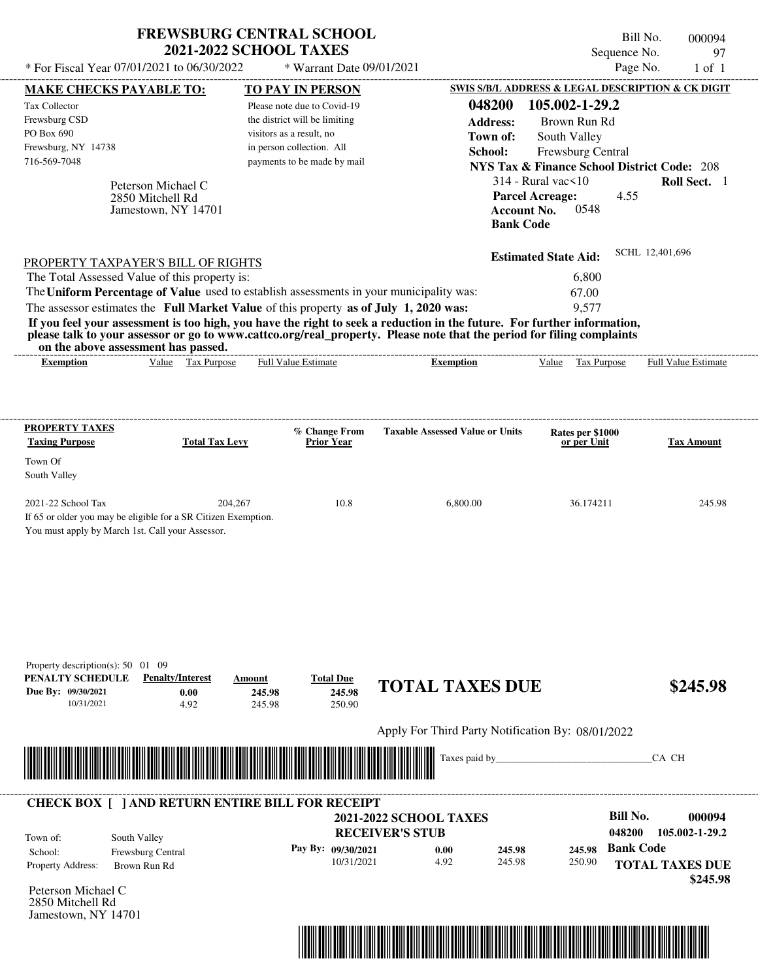|                                                                                                                                                                                                                                                                                         | <b>2021-2022 SCHOOL TAXES</b>              | <b>FREWSBURG CENTRAL SCHOOL</b>                       |                                                   | Sequence No.                                                  | Bill No.<br>000094<br>97                   |
|-----------------------------------------------------------------------------------------------------------------------------------------------------------------------------------------------------------------------------------------------------------------------------------------|--------------------------------------------|-------------------------------------------------------|---------------------------------------------------|---------------------------------------------------------------|--------------------------------------------|
| * For Fiscal Year 07/01/2021 to 06/30/2022                                                                                                                                                                                                                                              |                                            | * Warrant Date 09/01/2021                             |                                                   |                                                               | Page No.<br>$1$ of $1$                     |
| <b>MAKE CHECKS PAYABLE TO:</b>                                                                                                                                                                                                                                                          |                                            | <b>TO PAY IN PERSON</b>                               |                                                   | SWIS S/B/L ADDRESS & LEGAL DESCRIPTION & CK DIGIT             |                                            |
| Tax Collector                                                                                                                                                                                                                                                                           |                                            | Please note due to Covid-19                           | 048200                                            | 105.002-1-29.2                                                |                                            |
| Frewsburg CSD<br>PO Box 690                                                                                                                                                                                                                                                             |                                            | the district will be limiting                         | <b>Address:</b>                                   | Brown Run Rd                                                  |                                            |
| Frewsburg, NY 14738                                                                                                                                                                                                                                                                     |                                            | visitors as a result, no<br>in person collection. All | Town of:                                          | South Valley                                                  |                                            |
| 716-569-7048                                                                                                                                                                                                                                                                            |                                            | payments to be made by mail                           | School:                                           | Frewsburg Central                                             |                                            |
|                                                                                                                                                                                                                                                                                         |                                            |                                                       |                                                   | <b>NYS Tax &amp; Finance School District Code: 208</b>        |                                            |
| Peterson Michael C<br>2850 Mitchell Rd                                                                                                                                                                                                                                                  |                                            |                                                       |                                                   | $314$ - Rural vac $\leq 10$<br>4.55<br><b>Parcel Acreage:</b> | Roll Sect. 1                               |
| Jamestown, NY 14701                                                                                                                                                                                                                                                                     |                                            |                                                       |                                                   | 0548<br><b>Account No.</b><br><b>Bank Code</b>                |                                            |
| PROPERTY TAXPAYER'S BILL OF RIGHTS                                                                                                                                                                                                                                                      |                                            |                                                       |                                                   | <b>Estimated State Aid:</b>                                   | SCHL 12,401,696                            |
| The Total Assessed Value of this property is:                                                                                                                                                                                                                                           |                                            |                                                       |                                                   | 6,800                                                         |                                            |
| The Uniform Percentage of Value used to establish assessments in your municipality was:<br>The assessor estimates the Full Market Value of this property as of July 1, 2020 was:                                                                                                        |                                            |                                                       |                                                   | 67.00<br>9,577                                                |                                            |
| If you feel your assessment is too high, you have the right to seek a reduction in the future. For further information,<br>please talk to your assessor or go to www.cattco.org/real_property. Please note that the period for filing complaints<br>on the above assessment has passed. | Value Tax Purpose                          | <b>Full Value Estimate</b>                            |                                                   |                                                               |                                            |
| <b>Exemption</b>                                                                                                                                                                                                                                                                        |                                            |                                                       | <b>Exemption</b>                                  | Value Tax Purpose                                             | Full Value Estimate                        |
| <b>PROPERTY TAXES</b>                                                                                                                                                                                                                                                                   |                                            |                                                       |                                                   |                                                               |                                            |
| <b>Taxing Purpose</b>                                                                                                                                                                                                                                                                   | <b>Total Tax Levy</b>                      | % Change From<br><b>Prior Year</b>                    | <b>Taxable Assessed Value or Units</b>            | Rates per \$1000<br>or per Unit                               | <b>Tax Amount</b>                          |
| Town Of                                                                                                                                                                                                                                                                                 |                                            |                                                       |                                                   |                                                               |                                            |
| South Valley                                                                                                                                                                                                                                                                            |                                            |                                                       |                                                   |                                                               |                                            |
| 2021-22 School Tax                                                                                                                                                                                                                                                                      | 204,267                                    | 10.8                                                  | 6,800.00                                          | 36.174211                                                     | 245.98                                     |
| If 65 or older you may be eligible for a SR Citizen Exemption.<br>You must apply by March 1st. Call your Assessor.                                                                                                                                                                      |                                            |                                                       |                                                   |                                                               |                                            |
| Property description(s): $50 \quad 01 \quad 09$<br>PENALTY SCHEDULE<br><b>Penalty/Interest</b><br>Due By: 09/30/2021<br>10/31/2021                                                                                                                                                      | Amount<br>0.00<br>245.98<br>4.92<br>245.98 | <b>Total Due</b><br>245.98<br>250.90                  | <b>TOTAL TAXES DUE</b>                            |                                                               | \$245.98                                   |
|                                                                                                                                                                                                                                                                                         |                                            |                                                       | Apply For Third Party Notification By: 08/01/2022 |                                                               |                                            |
|                                                                                                                                                                                                                                                                                         |                                            |                                                       | Taxes paid by                                     |                                                               | CA CH                                      |
| <b>CHECK BOX [ ] AND RETURN ENTIRE BILL FOR RECEIPT</b>                                                                                                                                                                                                                                 |                                            |                                                       | <b>2021-2022 SCHOOL TAXES</b>                     | <b>Bill No.</b>                                               | 000094                                     |
| South Valley<br>Town of:                                                                                                                                                                                                                                                                |                                            |                                                       | <b>RECEIVER'S STUB</b>                            | 048200                                                        | 105.002-1-29.2                             |
| School:<br>Frewsburg Central<br>Property Address:<br>Brown Run Rd                                                                                                                                                                                                                       |                                            | Pay By: 09/30/2021<br>10/31/2021                      | 0.00<br>245.98<br>4.92<br>245.98                  | 245.98<br>250.90                                              | <b>Bank Code</b><br><b>TOTAL TAXES DUE</b> |
| Deterson Michael $\Gamma$                                                                                                                                                                                                                                                               |                                            |                                                       |                                                   |                                                               | \$245.98                                   |

Peterson Michael C 2850 Mitchell Rd Jamestown, NY 14701

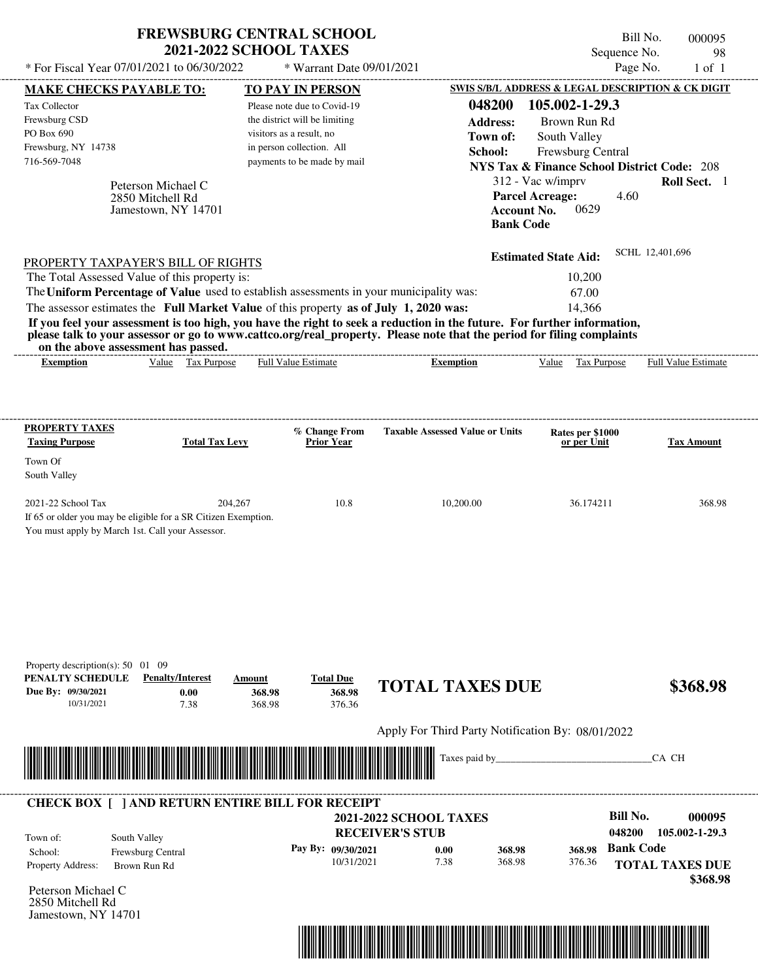| * For Fiscal Year 07/01/2021 to 06/30/2022                                                                                                                                                                                                                                                                                                                                                                                                                                                                                  | <b>FREWSBURG CENTRAL SCHOOL</b><br><b>2021-2022 SCHOOL TAXES</b> |                                                                                                                                                  | * Warrant Date 09/01/2021            |                                                         |                                                   |                                                                                                                                                                                                            | Bill No.<br>Sequence No.<br>Page No.          | 000095<br>98<br>$1$ of $1$                                     |
|-----------------------------------------------------------------------------------------------------------------------------------------------------------------------------------------------------------------------------------------------------------------------------------------------------------------------------------------------------------------------------------------------------------------------------------------------------------------------------------------------------------------------------|------------------------------------------------------------------|--------------------------------------------------------------------------------------------------------------------------------------------------|--------------------------------------|---------------------------------------------------------|---------------------------------------------------|------------------------------------------------------------------------------------------------------------------------------------------------------------------------------------------------------------|-----------------------------------------------|----------------------------------------------------------------|
| MAKE CHECKS PAYABLE TO:                                                                                                                                                                                                                                                                                                                                                                                                                                                                                                     |                                                                  |                                                                                                                                                  |                                      |                                                         |                                                   |                                                                                                                                                                                                            |                                               | SWIS S/B/L ADDRESS & LEGAL DESCRIPTION & CK DIGIT              |
| Tax Collector<br>Frewsburg CSD<br>PO Box 690<br>Frewsburg, NY 14738<br>716-569-7048                                                                                                                                                                                                                                                                                                                                                                                                                                         | Peterson Michael C<br>2850 Mitchell Rd<br>Jamestown, NY 14701    | <b>TO PAY IN PERSON</b><br>Please note due to Covid-19<br>the district will be limiting<br>visitors as a result, no<br>in person collection. All | payments to be made by mail          |                                                         | 048200<br><b>Address:</b><br>Town of:<br>School:  | 105.002-1-29.3<br>Brown Run Rd<br>South Valley<br>Frewsburg Central<br><b>NYS Tax &amp; Finance School District Code: 208</b><br>312 - Vac w/imprv<br><b>Parcel Acreage:</b><br>0629<br><b>Account No.</b> | 4.60                                          | Roll Sect. 1                                                   |
|                                                                                                                                                                                                                                                                                                                                                                                                                                                                                                                             |                                                                  |                                                                                                                                                  |                                      |                                                         | <b>Bank Code</b>                                  |                                                                                                                                                                                                            |                                               |                                                                |
| PROPERTY TAXPAYER'S BILL OF RIGHTS<br>The Total Assessed Value of this property is:<br>The Uniform Percentage of Value used to establish assessments in your municipality was:<br>The assessor estimates the Full Market Value of this property as of July 1, 2020 was:<br>If you feel your assessment is too high, you have the right to seek a reduction in the future. For further information,<br>please talk to your assessor or go to www.cattco.org/real_property. Please note that the period for filing complaints | on the above assessment has passed.                              |                                                                                                                                                  |                                      |                                                         |                                                   | <b>Estimated State Aid:</b><br>10,200<br>67.00<br>14,366                                                                                                                                                   |                                               | SCHL 12,401,696                                                |
| <b>Exemption</b>                                                                                                                                                                                                                                                                                                                                                                                                                                                                                                            | Value Tax Purpose                                                | Full Value Estimate                                                                                                                              |                                      |                                                         | <b>Exemption</b>                                  | Tax Purpose<br>Value                                                                                                                                                                                       |                                               | Full Value Estimate                                            |
| South Valley<br>2021-22 School Tax<br>If 65 or older you may be eligible for a SR Citizen Exemption.<br>You must apply by March 1st. Call your Assessor.                                                                                                                                                                                                                                                                                                                                                                    | 204,267                                                          |                                                                                                                                                  | 10.8                                 |                                                         | 10,200.00                                         | 36.174211                                                                                                                                                                                                  |                                               | 368.98                                                         |
| Property description(s): $50 \quad 01 \quad 09$<br>PENALTY SCHEDULE<br>Due By: 09/30/2021<br>10/31/2021                                                                                                                                                                                                                                                                                                                                                                                                                     | <b>Penalty/Interest</b><br>0.00<br>7.38                          | Amount<br>368.98<br>368.98                                                                                                                       | <b>Total Due</b><br>368.98<br>376.36 |                                                         | <b>TOTAL TAXES DUE</b>                            |                                                                                                                                                                                                            |                                               | \$368.98                                                       |
|                                                                                                                                                                                                                                                                                                                                                                                                                                                                                                                             |                                                                  |                                                                                                                                                  |                                      |                                                         | Apply For Third Party Notification By: 08/01/2022 |                                                                                                                                                                                                            |                                               |                                                                |
|                                                                                                                                                                                                                                                                                                                                                                                                                                                                                                                             |                                                                  |                                                                                                                                                  |                                      |                                                         | Taxes paid by                                     |                                                                                                                                                                                                            |                                               | CA CH                                                          |
| <b>CHECK BOX [ ] AND RETURN ENTIRE BILL FOR RECEIPT</b><br>Town of:<br>School:<br>Property Address:<br>Peterson Michael C<br>2850 Mitchell Rd<br>Jamestown, NY 14701                                                                                                                                                                                                                                                                                                                                                        | South Valley<br>Frewsburg Central<br>Brown Run Rd                |                                                                                                                                                  | Pay By: 09/30/2021<br>10/31/2021     | <b>2021-2022 SCHOOL TAXES</b><br><b>RECEIVER'S STUB</b> | 0.00<br>368.98<br>7.38<br>368.98                  | 368.98<br>376.36                                                                                                                                                                                           | <b>Bill No.</b><br>048200<br><b>Bank Code</b> | 000095<br>105.002-1-29.3<br><b>TOTAL TAXES DUE</b><br>\$368.98 |

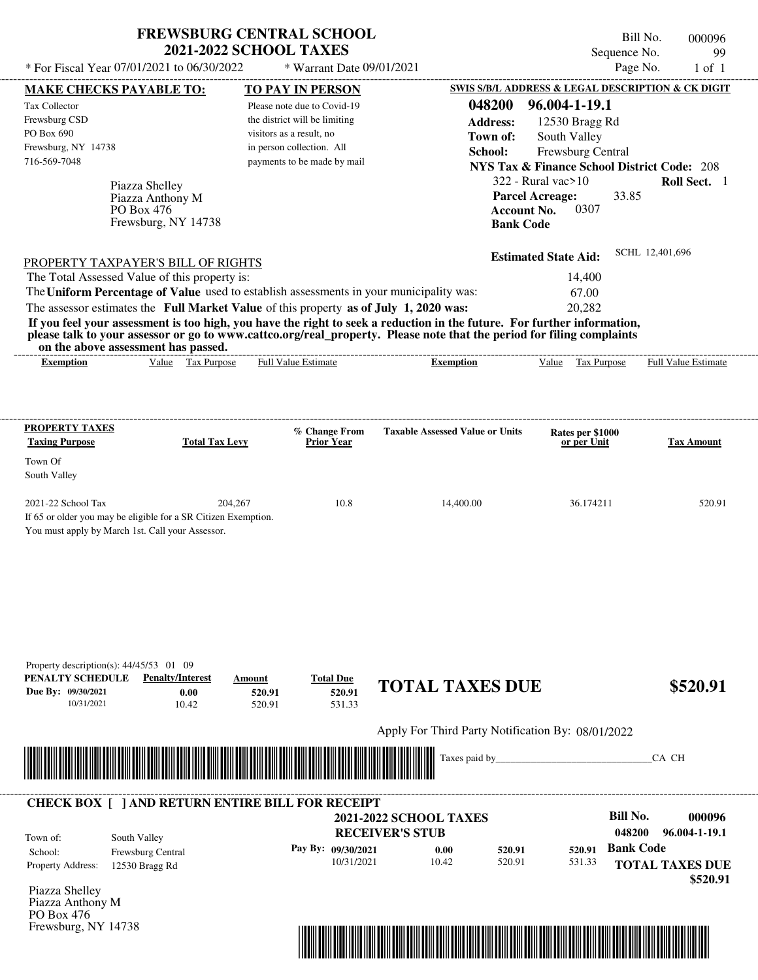| <b>FREWSBURG CENTRAL SCHOOL</b> |  |
|---------------------------------|--|
| <b>2021-2022 SCHOOL TAXES</b>   |  |

\* Warrant Date 09/01/2021

Bill No. 000096 Sequence No. 99<br>Page No. 1 of 1

|                                                               | <b>MAKE CHECKS PAYABLE TO:</b>                                                                                                                                                                                                       | <b>TO PAY IN PERSON</b>                                                                 |                                                                                                                                                                                                                                                  | SWIS S/B/L ADDRESS & LEGAL DESCRIPTION & CK DIGIT      |                        |
|---------------------------------------------------------------|--------------------------------------------------------------------------------------------------------------------------------------------------------------------------------------------------------------------------------------|-----------------------------------------------------------------------------------------|--------------------------------------------------------------------------------------------------------------------------------------------------------------------------------------------------------------------------------------------------|--------------------------------------------------------|------------------------|
| Tax Collector                                                 |                                                                                                                                                                                                                                      | Please note due to Covid-19                                                             | 048200                                                                                                                                                                                                                                           | 96.004-1-19.1                                          |                        |
| Frewsburg CSD                                                 |                                                                                                                                                                                                                                      | the district will be limiting                                                           | <b>Address:</b>                                                                                                                                                                                                                                  | 12530 Bragg Rd                                         |                        |
| PO Box 690                                                    |                                                                                                                                                                                                                                      | visitors as a result, no                                                                | Town of:                                                                                                                                                                                                                                         | South Valley                                           |                        |
| Frewsburg, NY 14738                                           |                                                                                                                                                                                                                                      | in person collection. All                                                               | School:                                                                                                                                                                                                                                          | Frewsburg Central                                      |                        |
| 716-569-7048                                                  |                                                                                                                                                                                                                                      | payments to be made by mail                                                             |                                                                                                                                                                                                                                                  | <b>NYS Tax &amp; Finance School District Code: 208</b> |                        |
|                                                               | Piazza Shelley                                                                                                                                                                                                                       |                                                                                         |                                                                                                                                                                                                                                                  | $322$ - Rural vac $>10$                                | Roll Sect. 1           |
|                                                               | Piazza Anthony M                                                                                                                                                                                                                     |                                                                                         |                                                                                                                                                                                                                                                  | <b>Parcel Acreage:</b><br>33.85                        |                        |
|                                                               | PO Box 476                                                                                                                                                                                                                           |                                                                                         | <b>Account No.</b>                                                                                                                                                                                                                               | 0307                                                   |                        |
|                                                               | Frewsburg, NY 14738                                                                                                                                                                                                                  |                                                                                         | <b>Bank Code</b>                                                                                                                                                                                                                                 |                                                        |                        |
|                                                               |                                                                                                                                                                                                                                      |                                                                                         |                                                                                                                                                                                                                                                  |                                                        | SCHL 12,401,696        |
|                                                               | <b>PROPERTY TAXPAYER'S BILL OF RIGHTS</b>                                                                                                                                                                                            |                                                                                         |                                                                                                                                                                                                                                                  | <b>Estimated State Aid:</b>                            |                        |
|                                                               | The Total Assessed Value of this property is:                                                                                                                                                                                        |                                                                                         |                                                                                                                                                                                                                                                  | 14,400                                                 |                        |
|                                                               |                                                                                                                                                                                                                                      | The Uniform Percentage of Value used to establish assessments in your municipality was: |                                                                                                                                                                                                                                                  | 67.00                                                  |                        |
|                                                               |                                                                                                                                                                                                                                      | The assessor estimates the Full Market Value of this property as of July 1, 2020 was:   |                                                                                                                                                                                                                                                  | 20,282                                                 |                        |
|                                                               | on the above assessment has passed.                                                                                                                                                                                                  |                                                                                         | If you feel your assessment is too high, you have the right to seek a reduction in the future. For further information,<br>please talk to your assessor or go to www.cattco.org/real_property. Please note that the period for filing complaints |                                                        |                        |
| <b>Exemption</b>                                              | Value Tax Purpose                                                                                                                                                                                                                    | <b>Full Value Estimate</b>                                                              | <b>Exemption</b>                                                                                                                                                                                                                                 | Value Tax Purpose Full Value Estimate                  |                        |
|                                                               |                                                                                                                                                                                                                                      |                                                                                         |                                                                                                                                                                                                                                                  |                                                        |                        |
|                                                               |                                                                                                                                                                                                                                      |                                                                                         |                                                                                                                                                                                                                                                  |                                                        |                        |
| <b>PROPERTY TAXES</b>                                         |                                                                                                                                                                                                                                      |                                                                                         |                                                                                                                                                                                                                                                  |                                                        |                        |
| <b>Taxing Purpose</b>                                         | <b>Total Tax Levy</b>                                                                                                                                                                                                                | % Change From<br><b>Prior Year</b>                                                      | <b>Taxable Assessed Value or Units</b>                                                                                                                                                                                                           | Rates per \$1000<br>or per Unit                        | <b>Tax Amount</b>      |
| Town Of                                                       |                                                                                                                                                                                                                                      |                                                                                         |                                                                                                                                                                                                                                                  |                                                        |                        |
| South Valley                                                  |                                                                                                                                                                                                                                      |                                                                                         |                                                                                                                                                                                                                                                  |                                                        |                        |
| 2021-22 School Tax                                            |                                                                                                                                                                                                                                      | 204,267<br>10.8                                                                         | 14,400.00                                                                                                                                                                                                                                        | 36.174211                                              | 520.91                 |
|                                                               | If 65 or older you may be eligible for a SR Citizen Exemption.                                                                                                                                                                       |                                                                                         |                                                                                                                                                                                                                                                  |                                                        |                        |
|                                                               | You must apply by March 1st. Call your Assessor.                                                                                                                                                                                     |                                                                                         |                                                                                                                                                                                                                                                  |                                                        |                        |
|                                                               |                                                                                                                                                                                                                                      |                                                                                         |                                                                                                                                                                                                                                                  |                                                        |                        |
|                                                               |                                                                                                                                                                                                                                      |                                                                                         |                                                                                                                                                                                                                                                  |                                                        |                        |
|                                                               |                                                                                                                                                                                                                                      |                                                                                         |                                                                                                                                                                                                                                                  |                                                        |                        |
|                                                               |                                                                                                                                                                                                                                      |                                                                                         |                                                                                                                                                                                                                                                  |                                                        |                        |
|                                                               |                                                                                                                                                                                                                                      |                                                                                         |                                                                                                                                                                                                                                                  |                                                        |                        |
|                                                               |                                                                                                                                                                                                                                      |                                                                                         |                                                                                                                                                                                                                                                  |                                                        |                        |
|                                                               |                                                                                                                                                                                                                                      |                                                                                         |                                                                                                                                                                                                                                                  |                                                        |                        |
| Property description(s): $44/45/53$ 01 09<br>PENALTY SCHEDULE | <b>Penalty/Interest</b>                                                                                                                                                                                                              | <b>Total Due</b><br>Amount                                                              |                                                                                                                                                                                                                                                  |                                                        |                        |
| Due By: 09/30/2021                                            | 0.00                                                                                                                                                                                                                                 | 520.91<br>520.91                                                                        | <b>TOTAL TAXES DUE</b>                                                                                                                                                                                                                           |                                                        | \$520.91               |
| 10/31/2021                                                    | 10.42                                                                                                                                                                                                                                | 520.91<br>531.33                                                                        |                                                                                                                                                                                                                                                  |                                                        |                        |
|                                                               |                                                                                                                                                                                                                                      |                                                                                         | Apply For Third Party Notification By: 08/01/2022                                                                                                                                                                                                |                                                        |                        |
|                                                               |                                                                                                                                                                                                                                      |                                                                                         |                                                                                                                                                                                                                                                  |                                                        |                        |
|                                                               | <u> Indian American State of Barbara and The Barbara and The Barbara and The Barbara and The Barbara and The Barbara and The Barbara and The Barbara and The Barbara and The Barbara and The Barbara and The Barbara and The Bar</u> |                                                                                         | Taxes paid by_                                                                                                                                                                                                                                   |                                                        | CA CH                  |
|                                                               |                                                                                                                                                                                                                                      |                                                                                         |                                                                                                                                                                                                                                                  |                                                        |                        |
|                                                               |                                                                                                                                                                                                                                      | <b>CHECK BOX [ ] AND RETURN ENTIRE BILL FOR RECEIPT</b>                                 |                                                                                                                                                                                                                                                  |                                                        |                        |
|                                                               |                                                                                                                                                                                                                                      |                                                                                         | <b>2021-2022 SCHOOL TAXES</b>                                                                                                                                                                                                                    | <b>Bill No.</b>                                        | 000096                 |
| Town of:                                                      | South Valley                                                                                                                                                                                                                         |                                                                                         | <b>RECEIVER'S STUB</b>                                                                                                                                                                                                                           | 048200                                                 | 96.004-1-19.1          |
| School:                                                       | Frewsburg Central                                                                                                                                                                                                                    | Pay By: 09/30/2021                                                                      | 0.00<br>520.91                                                                                                                                                                                                                                   | <b>Bank Code</b><br>520.91                             |                        |
| Property Address:                                             | 12530 Bragg Rd                                                                                                                                                                                                                       | 10/31/2021                                                                              | 10.42<br>520.91                                                                                                                                                                                                                                  | 531.33                                                 | <b>TOTAL TAXES DUE</b> |
|                                                               |                                                                                                                                                                                                                                      |                                                                                         |                                                                                                                                                                                                                                                  |                                                        | \$520.91               |
| Piazza Shelley<br>Piazza Anthony M                            |                                                                                                                                                                                                                                      |                                                                                         |                                                                                                                                                                                                                                                  |                                                        |                        |
| PO Box 476                                                    |                                                                                                                                                                                                                                      |                                                                                         |                                                                                                                                                                                                                                                  |                                                        |                        |
| Frewsburg, NY 14738                                           |                                                                                                                                                                                                                                      |                                                                                         |                                                                                                                                                                                                                                                  |                                                        |                        |
|                                                               |                                                                                                                                                                                                                                      |                                                                                         | <u> 1989 - Johann Stoff, Amerikaansk politiker (d. 1989)</u>                                                                                                                                                                                     |                                                        |                        |
|                                                               |                                                                                                                                                                                                                                      |                                                                                         |                                                                                                                                                                                                                                                  |                                                        |                        |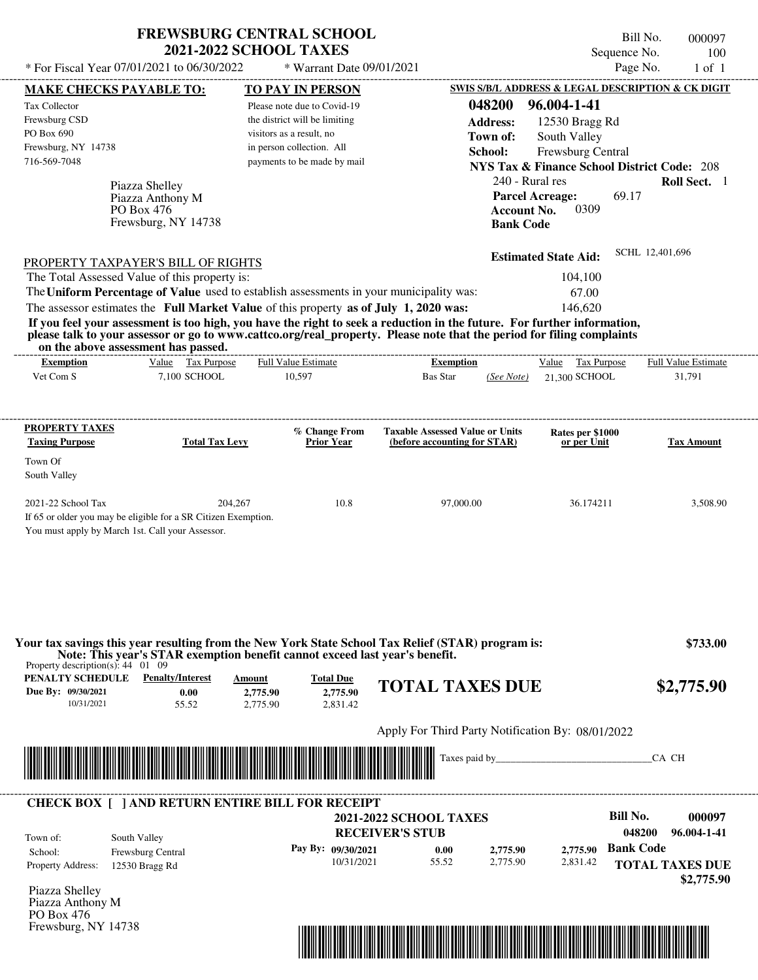| <b>FREWSBURG CENTRAL SCHOOL</b> |
|---------------------------------|
| <b>2021-2022 SCHOOL TAXES</b>   |

\* Warrant Date 09/01/2021

|                                                                                           | <b>MAKE CHECKS PAYABLE TO:</b>                                                                                        | <b>TO PAY IN PERSON</b>                                                                                   |                                                                                                                             |                             | <b>SWIS S/B/L ADDRESS &amp; LEGAL DESCRIPTION &amp; CK DIGIT</b> |
|-------------------------------------------------------------------------------------------|-----------------------------------------------------------------------------------------------------------------------|-----------------------------------------------------------------------------------------------------------|-----------------------------------------------------------------------------------------------------------------------------|-----------------------------|------------------------------------------------------------------|
| Tax Collector                                                                             |                                                                                                                       | Please note due to Covid-19                                                                               | 048200                                                                                                                      | 96.004-1-41                 |                                                                  |
| Frewsburg CSD                                                                             |                                                                                                                       | the district will be limiting                                                                             | <b>Address:</b>                                                                                                             | 12530 Bragg Rd              |                                                                  |
| PO Box 690                                                                                |                                                                                                                       | visitors as a result, no                                                                                  | Town of:                                                                                                                    | South Valley                |                                                                  |
| Frewsburg, NY 14738                                                                       |                                                                                                                       | in person collection. All                                                                                 | School:                                                                                                                     | Frewsburg Central           |                                                                  |
| 716-569-7048                                                                              |                                                                                                                       | payments to be made by mail                                                                               |                                                                                                                             |                             | <b>NYS Tax &amp; Finance School District Code: 208</b>           |
|                                                                                           | Piazza Shelley                                                                                                        |                                                                                                           |                                                                                                                             | 240 - Rural res             | Roll Sect. 1                                                     |
|                                                                                           | Piazza Anthony M                                                                                                      |                                                                                                           |                                                                                                                             | <b>Parcel Acreage:</b>      | 69.17                                                            |
|                                                                                           | PO Box 476                                                                                                            |                                                                                                           |                                                                                                                             | 0309<br><b>Account No.</b>  |                                                                  |
|                                                                                           | Frewsburg, NY 14738                                                                                                   |                                                                                                           |                                                                                                                             | <b>Bank Code</b>            |                                                                  |
|                                                                                           |                                                                                                                       |                                                                                                           |                                                                                                                             |                             |                                                                  |
|                                                                                           | <b>PROPERTY TAXPAYER'S BILL OF RIGHTS</b>                                                                             |                                                                                                           |                                                                                                                             | <b>Estimated State Aid:</b> | SCHL 12,401,696                                                  |
|                                                                                           | The Total Assessed Value of this property is:                                                                         |                                                                                                           |                                                                                                                             | 104,100                     |                                                                  |
|                                                                                           |                                                                                                                       | The Uniform Percentage of Value used to establish assessments in your municipality was:                   |                                                                                                                             | 67.00                       |                                                                  |
|                                                                                           |                                                                                                                       | The assessor estimates the Full Market Value of this property as of July 1, 2020 was:                     |                                                                                                                             | 146,620                     |                                                                  |
|                                                                                           |                                                                                                                       |                                                                                                           | If you feel your assessment is too high, you have the right to seek a reduction in the future. For further information,     |                             |                                                                  |
|                                                                                           | on the above assessment has passed.                                                                                   |                                                                                                           | please talk to your assessor or go to www.cattco.org/real_property. Please note that the period for filing complaints       |                             |                                                                  |
| <b>Exemption</b>                                                                          | Value Tax Purpose                                                                                                     | <b>Full Value Estimate</b>                                                                                | <b>Exemption</b>                                                                                                            | Value Tax Purpose           | <b>Full Value Estimate</b>                                       |
| Vet Com S                                                                                 | 7,100 SCHOOL                                                                                                          | 10,597                                                                                                    | Bas Star                                                                                                                    | 21,300 SCHOOL<br>(See Note) | 31,791                                                           |
| PROPERTY TAXES                                                                            |                                                                                                                       | % Change From                                                                                             | <b>Taxable Assessed Value or Units</b>                                                                                      | Rates per \$1000            |                                                                  |
| <b>Taxing Purpose</b>                                                                     | <b>Total Tax Levy</b>                                                                                                 | <b>Prior Year</b>                                                                                         | (before accounting for STAR)                                                                                                | or per Unit                 | <b>Tax Amount</b>                                                |
| Town Of                                                                                   |                                                                                                                       |                                                                                                           |                                                                                                                             |                             |                                                                  |
| South Valley                                                                              |                                                                                                                       |                                                                                                           |                                                                                                                             |                             |                                                                  |
|                                                                                           |                                                                                                                       | 204,267<br>10.8                                                                                           | 97,000.00                                                                                                                   | 36.174211                   | 3,508.90                                                         |
|                                                                                           | If 65 or older you may be eligible for a SR Citizen Exemption.<br>You must apply by March 1st. Call your Assessor.    |                                                                                                           |                                                                                                                             |                             |                                                                  |
| 2021-22 School Tax<br>Property description(s): $44 \quad 01 \quad 09$<br>PENALTY SCHEDULE | <b>Penalty/Interest</b>                                                                                               | Note: This year's STAR exemption benefit cannot exceed last year's benefit.<br><b>Total Due</b><br>Amount | Your tax savings this year resulting from the New York State School Tax Relief (STAR) program is:<br><b>TOTAL TAXES DUE</b> |                             | \$733.00<br>\$2,775.90                                           |
| Due By: 09/30/2021<br>10/31/2021                                                          | 0.00<br>55.52                                                                                                         | 2,775.90<br>2,775.90<br>2,775.90<br>2.831.42                                                              |                                                                                                                             |                             |                                                                  |
|                                                                                           |                                                                                                                       |                                                                                                           |                                                                                                                             |                             |                                                                  |
|                                                                                           |                                                                                                                       |                                                                                                           | Apply For Third Party Notification By: 08/01/2022                                                                           |                             |                                                                  |
|                                                                                           | <u> Maria Alemania de Santiago de la contrada de la contrada de la contrada de la contrada de la contrada de la c</u> |                                                                                                           |                                                                                                                             |                             | CA CH                                                            |
|                                                                                           |                                                                                                                       | <b>CHECK BOX   ] AND RETURN ENTIRE BILL FOR RECEIPT</b>                                                   |                                                                                                                             |                             |                                                                  |
|                                                                                           |                                                                                                                       |                                                                                                           | 2021-2022 SCHOOL TAXES                                                                                                      |                             | <b>Bill No.</b>                                                  |
| Town of:                                                                                  |                                                                                                                       |                                                                                                           | <b>RECEIVER'S STUB</b>                                                                                                      |                             | 000097<br>048200<br>96.004-1-41                                  |
| School:                                                                                   | South Valley                                                                                                          | Pay By: 09/30/2021                                                                                        | 0.00                                                                                                                        | 2,775.90<br>2,775.90        | <b>Bank Code</b>                                                 |
| <b>Property Address:</b>                                                                  | Frewsburg Central<br>12530 Bragg Rd                                                                                   | 10/31/2021                                                                                                | 55.52                                                                                                                       | 2,775.90<br>2,831.42        | <b>TOTAL TAXES DUE</b>                                           |
|                                                                                           |                                                                                                                       |                                                                                                           |                                                                                                                             |                             | \$2,775.90                                                       |
|                                                                                           |                                                                                                                       |                                                                                                           |                                                                                                                             |                             |                                                                  |
| Piazza Shelley<br>Piazza Anthony M<br>PO Box 476                                          |                                                                                                                       |                                                                                                           |                                                                                                                             |                             |                                                                  |

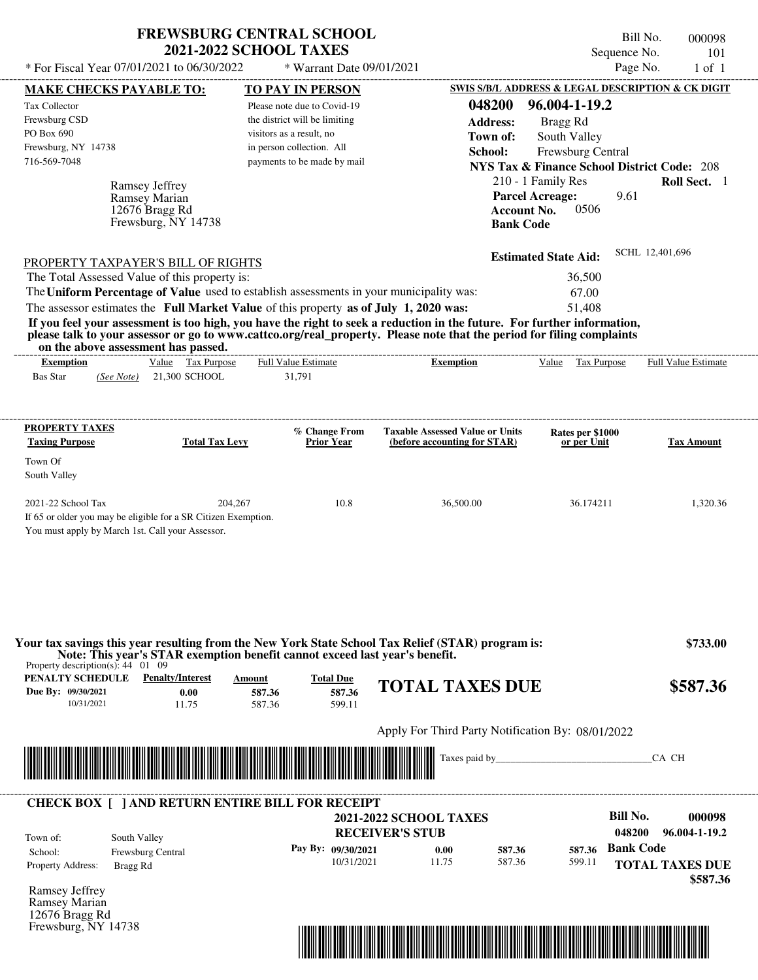| <b>FREWSBURG CENTRAL SCHOOL</b> |
|---------------------------------|
| <b>2021-2022 SCHOOL TAXES</b>   |

\* Warrant Date 09/01/2021

Bill No. 000098 Sequence No. 101<br>Page No. 1 of 1

| <b>MAKE CHECKS PAYABLE TO:</b>                  |                                                                                            | <b>TO PAY IN PERSON</b>                                                                 |                                                                                                                                                                                                                                                  | <b>SWIS S/B/L ADDRESS &amp; LEGAL DESCRIPTION &amp; CK DIGIT</b> |                        |
|-------------------------------------------------|--------------------------------------------------------------------------------------------|-----------------------------------------------------------------------------------------|--------------------------------------------------------------------------------------------------------------------------------------------------------------------------------------------------------------------------------------------------|------------------------------------------------------------------|------------------------|
| Tax Collector<br>Frewsburg CSD                  |                                                                                            | Please note due to Covid-19<br>the district will be limiting                            | 048200<br><b>Address:</b>                                                                                                                                                                                                                        | 96.004-1-19.2<br>Bragg Rd                                        |                        |
| PO Box 690                                      |                                                                                            | visitors as a result, no                                                                | Town of:                                                                                                                                                                                                                                         | South Valley                                                     |                        |
| Frewsburg, NY 14738<br>716-569-7048             |                                                                                            | in person collection. All<br>payments to be made by mail                                | School:                                                                                                                                                                                                                                          | Frewsburg Central                                                |                        |
|                                                 |                                                                                            |                                                                                         |                                                                                                                                                                                                                                                  | <b>NYS Tax &amp; Finance School District Code: 208</b>           |                        |
|                                                 | Ramsey Jeffrey                                                                             |                                                                                         |                                                                                                                                                                                                                                                  | 210 - 1 Family Res                                               | Roll Sect. 1           |
|                                                 | Ramsey Marian<br>12676 Bragg Rd                                                            |                                                                                         | <b>Account No.</b>                                                                                                                                                                                                                               | <b>Parcel Acreage:</b><br>9.61<br>0506                           |                        |
|                                                 | Frewsburg, NY 14738                                                                        |                                                                                         | <b>Bank Code</b>                                                                                                                                                                                                                                 |                                                                  |                        |
|                                                 |                                                                                            |                                                                                         |                                                                                                                                                                                                                                                  |                                                                  |                        |
|                                                 |                                                                                            |                                                                                         |                                                                                                                                                                                                                                                  | <b>Estimated State Aid:</b>                                      | SCHL 12,401,696        |
|                                                 | <b>PROPERTY TAXPAYER'S BILL OF RIGHTS</b><br>The Total Assessed Value of this property is: |                                                                                         |                                                                                                                                                                                                                                                  | 36,500                                                           |                        |
|                                                 |                                                                                            | The Uniform Percentage of Value used to establish assessments in your municipality was: |                                                                                                                                                                                                                                                  | 67.00                                                            |                        |
|                                                 |                                                                                            | The assessor estimates the Full Market Value of this property as of July 1, 2020 was:   |                                                                                                                                                                                                                                                  | 51,408                                                           |                        |
|                                                 | on the above assessment has passed.                                                        |                                                                                         | If you feel your assessment is too high, you have the right to seek a reduction in the future. For further information,<br>please talk to your assessor or go to www.cattco.org/real_property. Please note that the period for filing complaints |                                                                  |                        |
| <b>Exemption</b>                                | Value Tax Purpose                                                                          | <b>Full Value Estimate</b>                                                              | <b>Exemption</b>                                                                                                                                                                                                                                 | Value Tax Purpose Full Value Estimate                            |                        |
| <b>Bas Star</b>                                 | (See Note) 21,300 SCHOOL                                                                   | 31,791                                                                                  |                                                                                                                                                                                                                                                  |                                                                  |                        |
|                                                 |                                                                                            |                                                                                         |                                                                                                                                                                                                                                                  |                                                                  |                        |
| <b>PROPERTY TAXES</b>                           |                                                                                            | % Change From                                                                           | <b>Taxable Assessed Value or Units</b>                                                                                                                                                                                                           | Rates per \$1000                                                 |                        |
| <b>Taxing Purpose</b>                           | <b>Total Tax Levy</b>                                                                      | <b>Prior Year</b>                                                                       | (before accounting for STAR)                                                                                                                                                                                                                     | or per Unit                                                      | <b>Tax Amount</b>      |
| Town Of                                         |                                                                                            |                                                                                         |                                                                                                                                                                                                                                                  |                                                                  |                        |
| South Valley                                    |                                                                                            |                                                                                         |                                                                                                                                                                                                                                                  |                                                                  |                        |
| 2021-22 School Tax                              | 204,267                                                                                    | 10.8                                                                                    | 36,500.00                                                                                                                                                                                                                                        | 36.174211                                                        | 1,320.36               |
|                                                 | If 65 or older you may be eligible for a SR Citizen Exemption.                             |                                                                                         |                                                                                                                                                                                                                                                  |                                                                  |                        |
|                                                 | You must apply by March 1st. Call your Assessor.                                           |                                                                                         |                                                                                                                                                                                                                                                  |                                                                  |                        |
|                                                 |                                                                                            |                                                                                         |                                                                                                                                                                                                                                                  |                                                                  |                        |
|                                                 |                                                                                            |                                                                                         |                                                                                                                                                                                                                                                  |                                                                  |                        |
|                                                 |                                                                                            |                                                                                         |                                                                                                                                                                                                                                                  |                                                                  |                        |
|                                                 |                                                                                            |                                                                                         |                                                                                                                                                                                                                                                  |                                                                  |                        |
|                                                 |                                                                                            |                                                                                         | Your tax savings this year resulting from the New York State School Tax Relief (STAR) program is:                                                                                                                                                |                                                                  | \$733.00               |
| Property description(s): $44 \quad 01 \quad 09$ |                                                                                            | Note: This year's STAR exemption benefit cannot exceed last year's benefit.             |                                                                                                                                                                                                                                                  |                                                                  |                        |
| PENALTY SCHEDULE                                | <b>Penalty/Interest</b>                                                                    | <b>Total Due</b><br>Amount                                                              |                                                                                                                                                                                                                                                  |                                                                  |                        |
| Due By: 09/30/2021                              | 0.00                                                                                       | 587.36<br>587.36                                                                        | <b>TOTAL TAXES DUE</b>                                                                                                                                                                                                                           |                                                                  | \$587.36               |
| 10/31/2021                                      | 11.75                                                                                      | 587.36<br>599.11                                                                        |                                                                                                                                                                                                                                                  |                                                                  |                        |
|                                                 |                                                                                            |                                                                                         | Apply For Third Party Notification By: 08/01/2022                                                                                                                                                                                                |                                                                  |                        |
|                                                 |                                                                                            |                                                                                         |                                                                                                                                                                                                                                                  |                                                                  | CA CH                  |
|                                                 |                                                                                            | <u> 1989 - Andrea Stadt Britain, fransk politik forsk politik (f. 1989)</u>             |                                                                                                                                                                                                                                                  |                                                                  |                        |
|                                                 |                                                                                            |                                                                                         |                                                                                                                                                                                                                                                  |                                                                  |                        |
|                                                 |                                                                                            | <b>CHECK BOX [ ] AND RETURN ENTIRE BILL FOR RECEIPT</b>                                 |                                                                                                                                                                                                                                                  |                                                                  |                        |
|                                                 |                                                                                            |                                                                                         | <b>2021-2022 SCHOOL TAXES</b>                                                                                                                                                                                                                    | <b>Bill No.</b>                                                  | 000098                 |
| Town of:                                        | South Valley                                                                               |                                                                                         | <b>RECEIVER'S STUB</b>                                                                                                                                                                                                                           | 048200                                                           | 96.004-1-19.2          |
| School:                                         | Frewsburg Central                                                                          | Pay By: 09/30/2021                                                                      | 0.00<br>587.36                                                                                                                                                                                                                                   | <b>Bank Code</b><br>587.36                                       |                        |
| Property Address:                               | Bragg Rd                                                                                   | 10/31/2021                                                                              | 11.75<br>587.36                                                                                                                                                                                                                                  | 599.11                                                           | <b>TOTAL TAXES DUE</b> |
| Ramsey Jeffrey                                  |                                                                                            |                                                                                         |                                                                                                                                                                                                                                                  |                                                                  | \$587.36               |
| Ramsey Marian                                   |                                                                                            |                                                                                         |                                                                                                                                                                                                                                                  |                                                                  |                        |
| 12676 Bragg Rd                                  |                                                                                            |                                                                                         |                                                                                                                                                                                                                                                  |                                                                  |                        |
| Frewsburg, NY 14738                             |                                                                                            |                                                                                         |                                                                                                                                                                                                                                                  |                                                                  |                        |
|                                                 |                                                                                            |                                                                                         | <u> 1989 - Andrea Stadt British, fransk politik (d. 1989)</u>                                                                                                                                                                                    |                                                                  |                        |
|                                                 |                                                                                            |                                                                                         |                                                                                                                                                                                                                                                  |                                                                  |                        |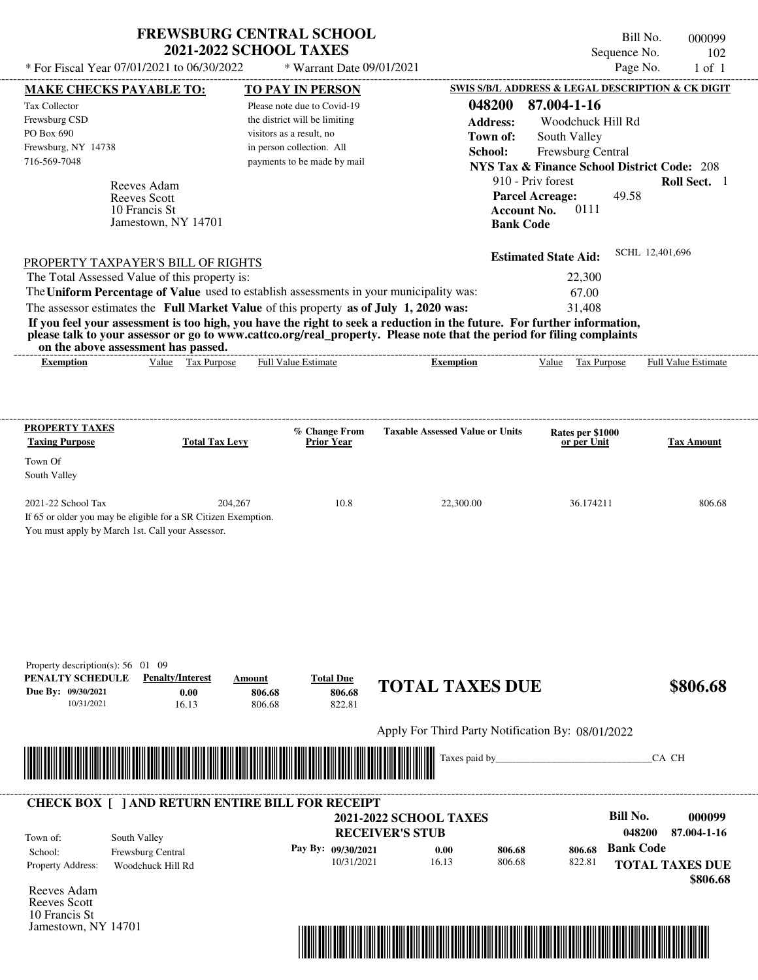| <b>FREWSBURG CENTRAL SCHOOL</b> |  |
|---------------------------------|--|
| <b>2021-2022 SCHOOL TAXES</b>   |  |

Bill No. 000099 Sequence No. 102<br>Page No. 1 of 1  $*$  For Fiscal Year 07/01/2021 to 06/30/2022  $*$  Warrant Date 09/01/2021 Page No. 1 of 1

| <b>MAKE CHECKS PAYABLE TO:</b>                  |                                                                                            | <b>TO PAY IN PERSON</b>                                                                 |                                                                                                                         | <b>SWIS S/B/L ADDRESS &amp; LEGAL DESCRIPTION &amp; CK DIGIT</b> |                                    |
|-------------------------------------------------|--------------------------------------------------------------------------------------------|-----------------------------------------------------------------------------------------|-------------------------------------------------------------------------------------------------------------------------|------------------------------------------------------------------|------------------------------------|
| Tax Collector                                   |                                                                                            | Please note due to Covid-19                                                             | 048200                                                                                                                  | 87.004-1-16                                                      |                                    |
| Frewsburg CSD                                   |                                                                                            | the district will be limiting                                                           | <b>Address:</b>                                                                                                         | Woodchuck Hill Rd                                                |                                    |
| PO Box 690                                      |                                                                                            | visitors as a result, no                                                                | Town of:                                                                                                                | South Valley                                                     |                                    |
| Frewsburg, NY 14738<br>716-569-7048             |                                                                                            | in person collection. All<br>payments to be made by mail                                | School:                                                                                                                 | Frewsburg Central                                                |                                    |
|                                                 |                                                                                            |                                                                                         |                                                                                                                         | <b>NYS Tax &amp; Finance School District Code: 208</b>           |                                    |
|                                                 | Reeves Adam                                                                                |                                                                                         |                                                                                                                         | 910 - Priv forest                                                | Roll Sect. 1                       |
|                                                 | <b>Reeves Scott</b><br>10 Francis St                                                       |                                                                                         | <b>Account No.</b>                                                                                                      | <b>Parcel Acreage:</b><br>49.58<br>0111                          |                                    |
|                                                 | Jamestown, NY 14701                                                                        |                                                                                         | <b>Bank Code</b>                                                                                                        |                                                                  |                                    |
|                                                 |                                                                                            |                                                                                         |                                                                                                                         |                                                                  |                                    |
|                                                 |                                                                                            |                                                                                         |                                                                                                                         | <b>Estimated State Aid:</b>                                      | SCHL 12,401,696                    |
|                                                 | <b>PROPERTY TAXPAYER'S BILL OF RIGHTS</b><br>The Total Assessed Value of this property is: |                                                                                         |                                                                                                                         | 22,300                                                           |                                    |
|                                                 |                                                                                            | The Uniform Percentage of Value used to establish assessments in your municipality was: |                                                                                                                         | 67.00                                                            |                                    |
|                                                 |                                                                                            | The assessor estimates the Full Market Value of this property as of July 1, 2020 was:   |                                                                                                                         | 31,408                                                           |                                    |
|                                                 |                                                                                            |                                                                                         | If you feel your assessment is too high, you have the right to seek a reduction in the future. For further information, |                                                                  |                                    |
|                                                 |                                                                                            |                                                                                         | please talk to your assessor or go to www.cattco.org/real_property. Please note that the period for filing complaints   |                                                                  |                                    |
| <b>Exemption</b>                                | on the above assessment has passed.<br>Value Tax Purpose                                   | <b>Full Value Estimate</b>                                                              | <b>Exemption</b>                                                                                                        | Value Tax Purpose                                                | <b>Full Value Estimate</b>         |
|                                                 |                                                                                            |                                                                                         |                                                                                                                         |                                                                  |                                    |
|                                                 |                                                                                            |                                                                                         |                                                                                                                         |                                                                  |                                    |
|                                                 |                                                                                            |                                                                                         |                                                                                                                         |                                                                  |                                    |
| <b>PROPERTY TAXES</b>                           |                                                                                            | % Change From                                                                           | <b>Taxable Assessed Value or Units</b>                                                                                  | Rates per \$1000                                                 |                                    |
| <b>Taxing Purpose</b>                           | <b>Total Tax Levy</b>                                                                      | <b>Prior Year</b>                                                                       |                                                                                                                         | or per Unit                                                      | <b>Tax Amount</b>                  |
| Town Of                                         |                                                                                            |                                                                                         |                                                                                                                         |                                                                  |                                    |
| South Valley                                    |                                                                                            |                                                                                         |                                                                                                                         |                                                                  |                                    |
| 2021-22 School Tax                              | 204,267                                                                                    | 10.8                                                                                    | 22,300.00                                                                                                               | 36.174211                                                        | 806.68                             |
|                                                 | If 65 or older you may be eligible for a SR Citizen Exemption.                             |                                                                                         |                                                                                                                         |                                                                  |                                    |
|                                                 | You must apply by March 1st. Call your Assessor.                                           |                                                                                         |                                                                                                                         |                                                                  |                                    |
|                                                 |                                                                                            |                                                                                         |                                                                                                                         |                                                                  |                                    |
|                                                 |                                                                                            |                                                                                         |                                                                                                                         |                                                                  |                                    |
|                                                 |                                                                                            |                                                                                         |                                                                                                                         |                                                                  |                                    |
|                                                 |                                                                                            |                                                                                         |                                                                                                                         |                                                                  |                                    |
|                                                 |                                                                                            |                                                                                         |                                                                                                                         |                                                                  |                                    |
|                                                 |                                                                                            |                                                                                         |                                                                                                                         |                                                                  |                                    |
|                                                 |                                                                                            |                                                                                         |                                                                                                                         |                                                                  |                                    |
| Property description(s): $56 \quad 01 \quad 09$ |                                                                                            |                                                                                         |                                                                                                                         |                                                                  |                                    |
| PENALTY SCHEDULE<br>Due By: 09/30/2021          | <b>Penalty/Interest</b>                                                                    | <b>Total Due</b><br>Amount                                                              | <b>TOTAL TAXES DUE</b>                                                                                                  |                                                                  | \$806.68                           |
| 10/31/2021                                      | 0.00<br>16.13                                                                              | 806.68<br>806.68<br>822.81<br>806.68                                                    |                                                                                                                         |                                                                  |                                    |
|                                                 |                                                                                            |                                                                                         |                                                                                                                         |                                                                  |                                    |
|                                                 |                                                                                            |                                                                                         | Apply For Third Party Notification By: 08/01/2022                                                                       |                                                                  |                                    |
|                                                 |                                                                                            |                                                                                         | Taxes paid by                                                                                                           |                                                                  | CA CH                              |
|                                                 |                                                                                            |                                                                                         |                                                                                                                         |                                                                  |                                    |
|                                                 |                                                                                            |                                                                                         |                                                                                                                         |                                                                  |                                    |
|                                                 |                                                                                            | <b>CHECK BOX [ ] AND RETURN ENTIRE BILL FOR RECEIPT</b>                                 |                                                                                                                         | <b>Bill No.</b>                                                  | 000099                             |
|                                                 |                                                                                            |                                                                                         | <b>2021-2022 SCHOOL TAXES</b>                                                                                           | 048200                                                           | 87.004-1-16                        |
| Town of:                                        | South Valley                                                                               |                                                                                         | <b>RECEIVER'S STUB</b>                                                                                                  | <b>Bank Code</b>                                                 |                                    |
| School:                                         | Frewsburg Central                                                                          | Pay By: 09/30/2021<br>10/31/2021                                                        | 0.00<br>806.68<br>16.13<br>806.68                                                                                       | 806.68<br>822.81                                                 |                                    |
| Property Address:                               | Woodchuck Hill Rd                                                                          |                                                                                         |                                                                                                                         |                                                                  | <b>TOTAL TAXES DUE</b><br>\$806.68 |
| Reeves Adam                                     |                                                                                            |                                                                                         |                                                                                                                         |                                                                  |                                    |
| Reeves Scott                                    |                                                                                            |                                                                                         |                                                                                                                         |                                                                  |                                    |
| 10 Francis St                                   |                                                                                            |                                                                                         |                                                                                                                         |                                                                  |                                    |
| Jamestown, NY 14701                             |                                                                                            |                                                                                         |                                                                                                                         |                                                                  |                                    |
|                                                 |                                                                                            |                                                                                         | <u> 1989 - Johann Stoff, Amerikaansk politiker (</u>                                                                    |                                                                  |                                    |
|                                                 |                                                                                            |                                                                                         |                                                                                                                         |                                                                  |                                    |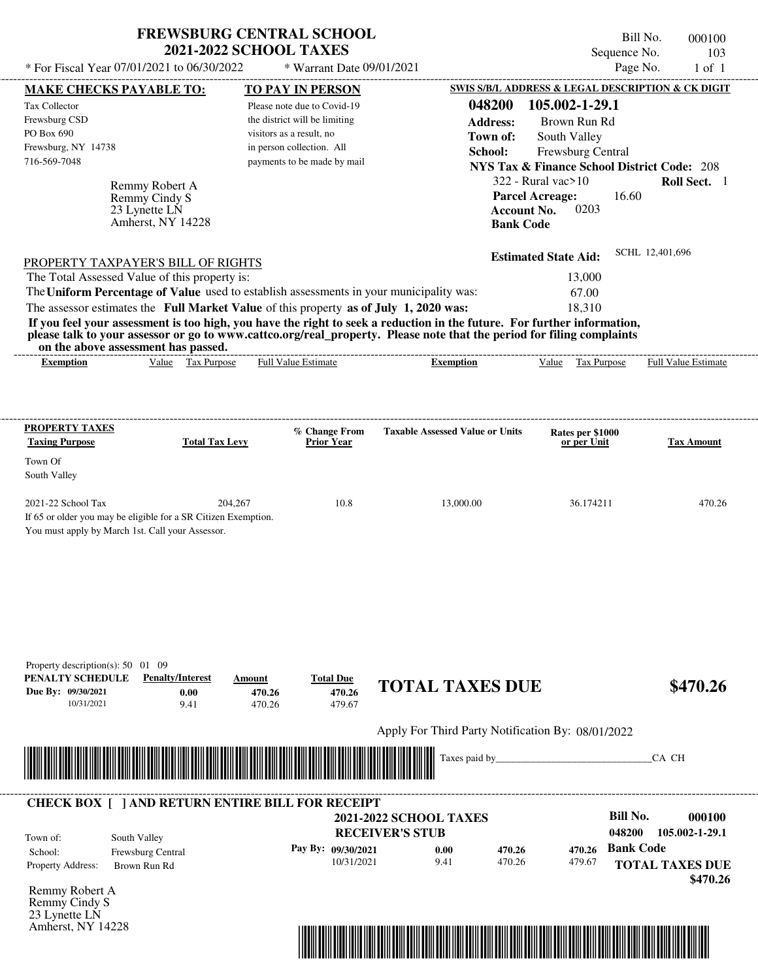|                                                           | <b>FREWSBURG CENTRAL SCHOOL</b><br><b>2021-2022 SCHOOL TAXES</b> | Bill No.<br>Sequence No.                          | 000100<br>103 |
|-----------------------------------------------------------|------------------------------------------------------------------|---------------------------------------------------|---------------|
| * For Fiscal Year 07/01/2021 to 06/30/2022                | $*$ Warrant Date 09/01/2021                                      | Page No.                                          | $1$ of $1$    |
| <b>MAKE CHECKS PAYABLE TO:</b><br><b>TO PAY IN PERSON</b> |                                                                  | SWIS S/B/L ADDRESS & LEGAL DESCRIPTION & CK DIGIT |               |
| Tax Collector                                             | Please note due to Covid-19                                      | 048200<br>105.002-1-29.1                          |               |

| Bill No.      | 000100 |
|---------------|--------|
| Sequence No.  | 103    |
| $P_{30}$ e No | 1 of 1 |

| <b>MAKE CHECKS PAYABLE TO:</b>                                                                                          |                         |                          | <b>TO PAY IN PERSON</b>       |                                                   |                  | SWIS S/B/L ADDRESS & LEGAL DESCRIPTION & CK DIGIT      |                  |                            |
|-------------------------------------------------------------------------------------------------------------------------|-------------------------|--------------------------|-------------------------------|---------------------------------------------------|------------------|--------------------------------------------------------|------------------|----------------------------|
| Tax Collector                                                                                                           |                         |                          | Please note due to Covid-19   |                                                   | 048200           | 105.002-1-29.1                                         |                  |                            |
| Frewsburg CSD                                                                                                           |                         |                          | the district will be limiting |                                                   | <b>Address:</b>  | Brown Run Rd                                           |                  |                            |
| PO Box 690                                                                                                              |                         | visitors as a result, no |                               |                                                   | Town of:         | South Valley                                           |                  |                            |
| Frewsburg, NY 14738                                                                                                     |                         |                          | in person collection. All     |                                                   | School:          | <b>Frewsburg Central</b>                               |                  |                            |
| 716-569-7048                                                                                                            |                         |                          | payments to be made by mail   |                                                   |                  | <b>NYS Tax &amp; Finance School District Code: 208</b> |                  |                            |
|                                                                                                                         |                         |                          |                               |                                                   |                  | $322$ - Rural vac $>10$                                |                  | Roll Sect. 1               |
|                                                                                                                         | Remmy Robert A          |                          |                               |                                                   |                  | <b>Parcel Acreage:</b>                                 | 16.60            |                            |
| 23 Lynette LN                                                                                                           | Remmy Cindy S           |                          |                               |                                                   |                  | 0203<br><b>Account No.</b>                             |                  |                            |
|                                                                                                                         | Amherst, NY 14228       |                          |                               |                                                   | <b>Bank Code</b> |                                                        |                  |                            |
|                                                                                                                         |                         |                          |                               |                                                   |                  |                                                        |                  |                            |
|                                                                                                                         |                         |                          |                               |                                                   |                  | <b>Estimated State Aid:</b>                            |                  | SCHL 12,401,696            |
| PROPERTY TAXPAYER'S BILL OF RIGHTS                                                                                      |                         |                          |                               |                                                   |                  |                                                        |                  |                            |
| The Total Assessed Value of this property is:                                                                           |                         |                          |                               |                                                   |                  | 13,000                                                 |                  |                            |
| The Uniform Percentage of Value used to establish assessments in your municipality was:                                 |                         |                          |                               |                                                   |                  | 67.00                                                  |                  |                            |
| The assessor estimates the Full Market Value of this property as of July 1, 2020 was:                                   |                         |                          |                               |                                                   |                  | 18,310                                                 |                  |                            |
| If you feel your assessment is too high, you have the right to seek a reduction in the future. For further information, |                         |                          |                               |                                                   |                  |                                                        |                  |                            |
| please talk to your assessor or go to www.cattco.org/real_property. Please note that the period for filing complaints   |                         |                          |                               |                                                   |                  |                                                        |                  |                            |
| on the above assessment has passed.                                                                                     |                         |                          |                               |                                                   |                  |                                                        |                  |                            |
| <b>Exemption</b>                                                                                                        | Value Tax Purpose       |                          | <b>Full Value Estimate</b>    | <b>Exemption</b>                                  |                  | Tax Purpose<br>Value                                   |                  | <b>Full Value Estimate</b> |
|                                                                                                                         |                         |                          |                               |                                                   |                  |                                                        |                  |                            |
|                                                                                                                         |                         |                          |                               |                                                   |                  |                                                        |                  |                            |
|                                                                                                                         |                         |                          |                               |                                                   |                  |                                                        |                  |                            |
| <b>PROPERTY TAXES</b>                                                                                                   |                         |                          | % Change From                 | <b>Taxable Assessed Value or Units</b>            |                  | Rates per \$1000                                       |                  |                            |
| <b>Taxing Purpose</b>                                                                                                   | <b>Total Tax Levy</b>   |                          | <b>Prior Year</b>             |                                                   |                  | or per Unit                                            |                  | <b>Tax Amount</b>          |
| Town Of                                                                                                                 |                         |                          |                               |                                                   |                  |                                                        |                  |                            |
| South Valley                                                                                                            |                         |                          |                               |                                                   |                  |                                                        |                  |                            |
|                                                                                                                         |                         |                          |                               |                                                   |                  |                                                        |                  |                            |
| 2021-22 School Tax                                                                                                      |                         | 204,267                  | 10.8                          | 13,000.00                                         |                  | 36.174211                                              |                  | 470.26                     |
| If 65 or older you may be eligible for a SR Citizen Exemption.                                                          |                         |                          |                               |                                                   |                  |                                                        |                  |                            |
| You must apply by March 1st. Call your Assessor.                                                                        |                         |                          |                               |                                                   |                  |                                                        |                  |                            |
|                                                                                                                         |                         |                          |                               |                                                   |                  |                                                        |                  |                            |
|                                                                                                                         |                         |                          |                               |                                                   |                  |                                                        |                  |                            |
|                                                                                                                         |                         |                          |                               |                                                   |                  |                                                        |                  |                            |
|                                                                                                                         |                         |                          |                               |                                                   |                  |                                                        |                  |                            |
|                                                                                                                         |                         |                          |                               |                                                   |                  |                                                        |                  |                            |
|                                                                                                                         |                         |                          |                               |                                                   |                  |                                                        |                  |                            |
|                                                                                                                         |                         |                          |                               |                                                   |                  |                                                        |                  |                            |
|                                                                                                                         |                         |                          |                               |                                                   |                  |                                                        |                  |                            |
| Property description(s): $50 \quad 01 \quad 09$<br>PENALTY SCHEDULE                                                     | <b>Penalty/Interest</b> | Amount                   | <b>Total Due</b>              |                                                   |                  |                                                        |                  |                            |
| Due By: 09/30/2021                                                                                                      | 0.00                    | 470.26                   | 470.26                        | <b>TOTAL TAXES DUE</b>                            |                  |                                                        |                  | \$470.26                   |
| 10/31/2021                                                                                                              | 9.41                    | 470.26                   | 479.67                        |                                                   |                  |                                                        |                  |                            |
|                                                                                                                         |                         |                          |                               |                                                   |                  |                                                        |                  |                            |
|                                                                                                                         |                         |                          |                               | Apply For Third Party Notification By: 08/01/2022 |                  |                                                        |                  |                            |
|                                                                                                                         |                         |                          |                               |                                                   |                  |                                                        |                  |                            |
|                                                                                                                         |                         |                          |                               | Taxes paid by_                                    |                  |                                                        |                  | CA CH                      |
|                                                                                                                         |                         |                          |                               |                                                   |                  |                                                        |                  |                            |
|                                                                                                                         |                         |                          |                               |                                                   |                  |                                                        |                  |                            |
| <b>CHECK BOX [ ] AND RETURN ENTIRE BILL FOR RECEIPT</b>                                                                 |                         |                          |                               |                                                   |                  |                                                        |                  |                            |
|                                                                                                                         |                         |                          |                               | <b>2021-2022 SCHOOL TAXES</b>                     |                  |                                                        | <b>Bill No.</b>  | 000100                     |
|                                                                                                                         |                         |                          |                               | <b>RECEIVER'S STUB</b>                            |                  |                                                        | 048200           | 105.002-1-29.1             |
| South Valley<br>Town of:                                                                                                |                         |                          | Pay By: 09/30/2021            | 0.00                                              | 470.26           | 470.26                                                 | <b>Bank Code</b> |                            |
| School:                                                                                                                 | Frewsburg Central       |                          | 10/31/2021                    | 9.41                                              | 470.26           | 479.67                                                 |                  |                            |
| Property Address:<br>Brown Run Rd                                                                                       |                         |                          |                               |                                                   |                  |                                                        |                  | <b>TOTAL TAXES DUE</b>     |
| Remmy Robert A                                                                                                          |                         |                          |                               |                                                   |                  |                                                        |                  | \$470.26                   |
| Remmy Cindy S                                                                                                           |                         |                          |                               |                                                   |                  |                                                        |                  |                            |
| 23 Lynette LN                                                                                                           |                         |                          |                               |                                                   |                  |                                                        |                  |                            |
| Amherst, NY 14228                                                                                                       |                         |                          |                               |                                                   |                  |                                                        |                  |                            |
|                                                                                                                         |                         |                          |                               |                                                   |                  |                                                        |                  |                            |

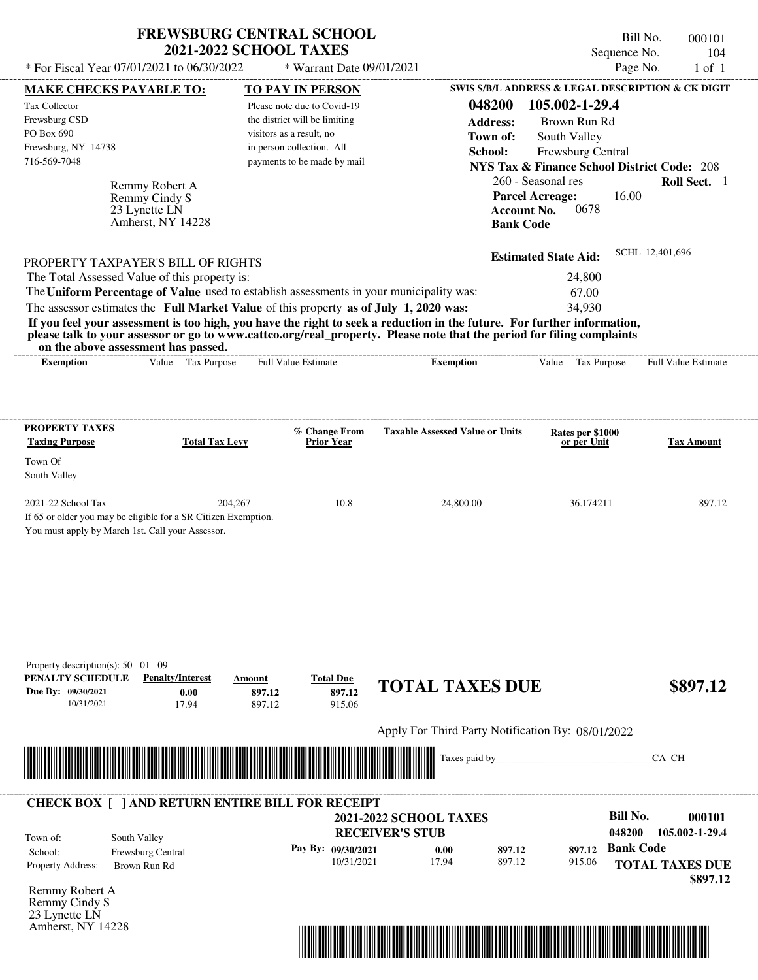| <b>FREWSBURG CENTRAL SCHOOL</b> |  |
|---------------------------------|--|
| <b>2021-2022 SCHOOL TAXES</b>   |  |

Bill No. 000101 Sequence No. 104<br>Page No. 1 of 1

| * For Fiscal Year 07/01/2021 to 06/30/2022                                                |                                          |                                                           | * Warrant Date 09/01/2021            |                                                                                                                                                                                                                                                  |                                                                             | Page No.               | $1$ of $1$          |
|-------------------------------------------------------------------------------------------|------------------------------------------|-----------------------------------------------------------|--------------------------------------|--------------------------------------------------------------------------------------------------------------------------------------------------------------------------------------------------------------------------------------------------|-----------------------------------------------------------------------------|------------------------|---------------------|
| <b>MAKE CHECKS PAYABLE TO:</b>                                                            |                                          | <b>TO PAY IN PERSON</b>                                   |                                      |                                                                                                                                                                                                                                                  | SWIS S/B/L ADDRESS & LEGAL DESCRIPTION & CK DIGIT                           |                        |                     |
| <b>Tax Collector</b>                                                                      |                                          | Please note due to Covid-19                               |                                      | 048200                                                                                                                                                                                                                                           | 105.002-1-29.4                                                              |                        |                     |
| Frewsburg CSD<br>PO Box 690                                                               |                                          | the district will be limiting<br>visitors as a result, no |                                      | <b>Address:</b>                                                                                                                                                                                                                                  | Brown Run Rd                                                                |                        |                     |
| Frewsburg, NY 14738                                                                       |                                          | in person collection. All                                 |                                      | Town of:                                                                                                                                                                                                                                         | South Valley                                                                |                        |                     |
| 716-569-7048                                                                              |                                          |                                                           | payments to be made by mail          | School:                                                                                                                                                                                                                                          | Frewsburg Central<br><b>NYS Tax &amp; Finance School District Code: 208</b> |                        |                     |
|                                                                                           |                                          |                                                           |                                      |                                                                                                                                                                                                                                                  | 260 - Seasonal res                                                          |                        | Roll Sect. 1        |
| Remmy Cindy S                                                                             | Remmy Robert A                           |                                                           |                                      |                                                                                                                                                                                                                                                  | <b>Parcel Acreage:</b>                                                      | 16.00                  |                     |
| 23 Lynette LN                                                                             |                                          |                                                           |                                      |                                                                                                                                                                                                                                                  | <b>Account No.</b><br>0678                                                  |                        |                     |
|                                                                                           | Amherst, NY 14228                        |                                                           |                                      |                                                                                                                                                                                                                                                  | <b>Bank Code</b>                                                            |                        |                     |
| PROPERTY TAXPAYER'S BILL OF RIGHTS                                                        |                                          |                                                           |                                      |                                                                                                                                                                                                                                                  | <b>Estimated State Aid:</b>                                                 | SCHL 12,401,696        |                     |
| The Total Assessed Value of this property is:                                             |                                          |                                                           |                                      |                                                                                                                                                                                                                                                  | 24,800                                                                      |                        |                     |
| The Uniform Percentage of Value used to establish assessments in your municipality was:   |                                          |                                                           |                                      |                                                                                                                                                                                                                                                  | 67.00                                                                       |                        |                     |
| The assessor estimates the Full Market Value of this property as of July 1, 2020 was:     |                                          |                                                           |                                      |                                                                                                                                                                                                                                                  | 34,930                                                                      |                        |                     |
|                                                                                           |                                          |                                                           |                                      | If you feel your assessment is too high, you have the right to seek a reduction in the future. For further information,<br>please talk to your assessor or go to www.cattco.org/real_property. Please note that the period for filing complaints |                                                                             |                        |                     |
| on the above assessment has passed.<br><b>Exemption</b>                                   | Value Tax Purpose                        | <b>Full Value Estimate</b>                                |                                      | <b>Exemption</b>                                                                                                                                                                                                                                 | Value Tax Purpose                                                           |                        | Full Value Estimate |
|                                                                                           |                                          |                                                           |                                      |                                                                                                                                                                                                                                                  |                                                                             |                        |                     |
| <b>PROPERTY TAXES</b><br><b>Taxing Purpose</b>                                            | <b>Total Tax Levy</b>                    |                                                           | % Change From<br><b>Prior Year</b>   | <b>Taxable Assessed Value or Units</b>                                                                                                                                                                                                           | Rates per \$1000<br>or per Unit                                             |                        | <b>Tax Amount</b>   |
| Town Of                                                                                   |                                          |                                                           |                                      |                                                                                                                                                                                                                                                  |                                                                             |                        |                     |
| South Valley                                                                              |                                          |                                                           |                                      |                                                                                                                                                                                                                                                  |                                                                             |                        |                     |
| 2021-22 School Tax                                                                        | 204,267                                  |                                                           | 10.8                                 | 24,800.00                                                                                                                                                                                                                                        | 36.174211                                                                   |                        | 897.12              |
| You must apply by March 1st. Call your Assessor.                                          |                                          |                                                           |                                      |                                                                                                                                                                                                                                                  |                                                                             |                        |                     |
| Property description(s): 50 01 09<br>PENALTY SCHEDULE<br>Due By: 09/30/2021<br>10/31/2021 | <b>Penalty/Interest</b><br>0.00<br>17.94 | Amount<br>897.12<br>897.12                                | <b>Total Due</b><br>897.12<br>915.06 | <b>TOTAL TAXES DUE</b>                                                                                                                                                                                                                           |                                                                             |                        | \$897.12            |
|                                                                                           |                                          |                                                           |                                      | Apply For Third Party Notification By: 08/01/2022                                                                                                                                                                                                |                                                                             |                        |                     |
|                                                                                           |                                          |                                                           |                                      | Taxes paid by_                                                                                                                                                                                                                                   |                                                                             | CA CH                  |                     |
| <b>CHECK BOX [ ] AND RETURN ENTIRE BILL FOR RECEIPT</b>                                   |                                          |                                                           |                                      |                                                                                                                                                                                                                                                  |                                                                             |                        |                     |
|                                                                                           |                                          |                                                           |                                      | <b>2021-2022 SCHOOL TAXES</b>                                                                                                                                                                                                                    |                                                                             | <b>Bill No.</b>        | 000101              |
| South Valley<br>Town of:                                                                  |                                          |                                                           |                                      | <b>RECEIVER'S STUB</b>                                                                                                                                                                                                                           |                                                                             | 048200                 | 105.002-1-29.4      |
| Frewsburg Central<br>School:                                                              |                                          |                                                           | Pay By: 09/30/2021<br>10/31/2021     | 0.00<br>897.12<br>17.94<br>897.12                                                                                                                                                                                                                | 915.06                                                                      | 897.12 Bank Code       |                     |
| Property Address:<br>Brown Run Rd                                                         |                                          |                                                           |                                      |                                                                                                                                                                                                                                                  |                                                                             | <b>TOTAL TAXES DUE</b> | \$897.12            |
| Remmy Robert A                                                                            |                                          |                                                           |                                      |                                                                                                                                                                                                                                                  |                                                                             |                        |                     |
| Remmy Cindy S                                                                             |                                          |                                                           |                                      |                                                                                                                                                                                                                                                  |                                                                             |                        |                     |
| 23 Lynette LN<br>Amherst, NY 14228                                                        |                                          |                                                           |                                      |                                                                                                                                                                                                                                                  |                                                                             |                        |                     |
|                                                                                           |                                          |                                                           |                                      |                                                                                                                                                                                                                                                  |                                                                             |                        |                     |
|                                                                                           |                                          |                                                           |                                      |                                                                                                                                                                                                                                                  |                                                                             |                        |                     |
|                                                                                           |                                          |                                                           |                                      |                                                                                                                                                                                                                                                  |                                                                             |                        |                     |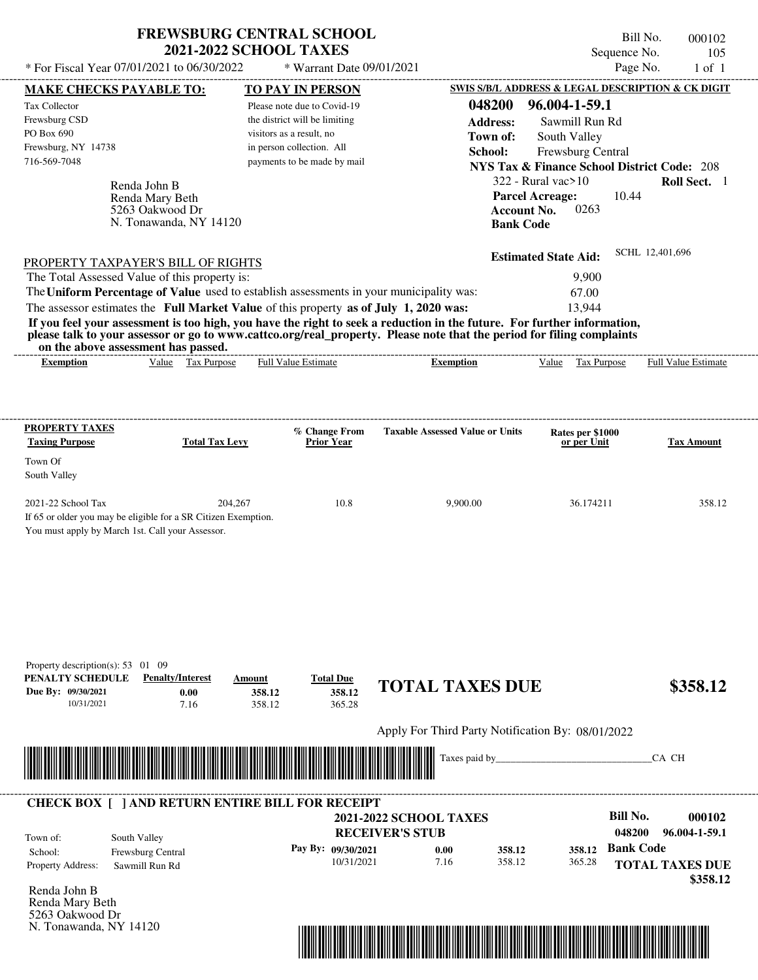| <b>FREWSBURG CENTRAL SCHOOL</b> |
|---------------------------------|
| <b>2021-2022 SCHOOL TAXES</b>   |

\* Warrant Date 09/01/2021

Bill No. 000102 Sequence No. 105<br>Page No. 1 of 1

| <b>MAKE CHECKS PAYABLE TO:</b>                                                                                       |                                    |                          | <b>TO PAY IN PERSON</b>            |                                                                                                                         |                                 | SWIS S/B/L ADDRESS & LEGAL DESCRIPTION & CK DIGIT      |
|----------------------------------------------------------------------------------------------------------------------|------------------------------------|--------------------------|------------------------------------|-------------------------------------------------------------------------------------------------------------------------|---------------------------------|--------------------------------------------------------|
| Tax Collector                                                                                                        |                                    |                          | Please note due to Covid-19        | 048200                                                                                                                  | 96.004-1-59.1                   |                                                        |
| Frewsburg CSD                                                                                                        |                                    |                          | the district will be limiting      | <b>Address:</b>                                                                                                         | Sawmill Run Rd                  |                                                        |
| PO Box 690                                                                                                           |                                    | visitors as a result, no |                                    | Town of:                                                                                                                | South Valley                    |                                                        |
| Frewsburg, NY 14738                                                                                                  |                                    |                          | in person collection. All          | School:                                                                                                                 | Frewsburg Central               |                                                        |
| 716-569-7048                                                                                                         |                                    |                          | payments to be made by mail        |                                                                                                                         |                                 | <b>NYS Tax &amp; Finance School District Code: 208</b> |
|                                                                                                                      |                                    |                          |                                    |                                                                                                                         | $322$ - Rural vac $>10$         | Roll Sect. 1                                           |
| Renda John B                                                                                                         |                                    |                          |                                    |                                                                                                                         | <b>Parcel Acreage:</b>          | 10.44                                                  |
|                                                                                                                      | Renda Mary Beth<br>5263 Oakwood Dr |                          |                                    |                                                                                                                         | 0263<br><b>Account No.</b>      |                                                        |
|                                                                                                                      | N. Tonawanda, NY 14120             |                          |                                    |                                                                                                                         | <b>Bank Code</b>                |                                                        |
|                                                                                                                      |                                    |                          |                                    |                                                                                                                         |                                 |                                                        |
| <b>PROPERTY TAXPAYER'S BILL OF RIGHTS</b>                                                                            |                                    |                          |                                    |                                                                                                                         | <b>Estimated State Aid:</b>     | SCHL 12,401,696                                        |
| The Total Assessed Value of this property is:                                                                        |                                    |                          |                                    |                                                                                                                         | 9,900                           |                                                        |
| The Uniform Percentage of Value used to establish assessments in your municipality was:                              |                                    |                          |                                    |                                                                                                                         | 67.00                           |                                                        |
| The assessor estimates the Full Market Value of this property as of July 1, 2020 was:                                |                                    |                          |                                    |                                                                                                                         | 13,944                          |                                                        |
|                                                                                                                      |                                    |                          |                                    | If you feel your assessment is too high, you have the right to seek a reduction in the future. For further information, |                                 |                                                        |
|                                                                                                                      |                                    |                          |                                    | please talk to your assessor or go to www.cattco.org/real_property. Please note that the period for filing complaints   |                                 |                                                        |
| on the above assessment has passed.                                                                                  | Value Tax Purpose                  |                          | <b>Full Value Estimate</b>         |                                                                                                                         | Value Tax Purpose               |                                                        |
| <b>Exemption</b>                                                                                                     |                                    |                          |                                    | <b>Exemption</b>                                                                                                        |                                 | <b>Full Value Estimate</b>                             |
|                                                                                                                      |                                    |                          |                                    |                                                                                                                         |                                 |                                                        |
|                                                                                                                      |                                    |                          |                                    |                                                                                                                         |                                 |                                                        |
| <b>PROPERTY TAXES</b><br><b>Taxing Purpose</b>                                                                       | <b>Total Tax Levy</b>              |                          | % Change From<br><b>Prior Year</b> | <b>Taxable Assessed Value or Units</b>                                                                                  | Rates per \$1000<br>or per Unit | <b>Tax Amount</b>                                      |
|                                                                                                                      |                                    |                          |                                    |                                                                                                                         |                                 |                                                        |
| Town Of                                                                                                              |                                    |                          |                                    |                                                                                                                         |                                 |                                                        |
| South Valley                                                                                                         |                                    |                          |                                    |                                                                                                                         |                                 |                                                        |
| 2021-22 School Tax                                                                                                   | 204,267                            |                          | 10.8                               | 9,900.00                                                                                                                | 36.174211                       | 358.12                                                 |
| If 65 or older you may be eligible for a SR Citizen Exemption.                                                       |                                    |                          |                                    |                                                                                                                         |                                 |                                                        |
| You must apply by March 1st. Call your Assessor.                                                                     |                                    |                          |                                    |                                                                                                                         |                                 |                                                        |
|                                                                                                                      |                                    |                          |                                    |                                                                                                                         |                                 |                                                        |
|                                                                                                                      |                                    |                          |                                    |                                                                                                                         |                                 |                                                        |
|                                                                                                                      |                                    |                          |                                    |                                                                                                                         |                                 |                                                        |
|                                                                                                                      |                                    |                          |                                    |                                                                                                                         |                                 |                                                        |
|                                                                                                                      |                                    |                          |                                    |                                                                                                                         |                                 |                                                        |
|                                                                                                                      |                                    |                          |                                    |                                                                                                                         |                                 |                                                        |
|                                                                                                                      |                                    |                          |                                    |                                                                                                                         |                                 |                                                        |
| Property description(s): $53 \quad 01 \quad 09$<br>PENALTY SCHEDULE                                                  | <b>Penalty/Interest</b>            | Amount                   | <b>Total Due</b>                   |                                                                                                                         |                                 |                                                        |
| Due By: 09/30/2021                                                                                                   | 0.00                               | 358.12                   | 358.12                             | <b>TOTAL TAXES DUE</b>                                                                                                  |                                 | \$358.12                                               |
| 10/31/2021                                                                                                           | 7.16                               | 358.12                   | 365.28                             |                                                                                                                         |                                 |                                                        |
|                                                                                                                      |                                    |                          |                                    |                                                                                                                         |                                 |                                                        |
|                                                                                                                      |                                    |                          |                                    | Apply For Third Party Notification By: 08/01/2022                                                                       |                                 |                                                        |
| <u> III de la contrada de la contrada de la contrada de la contrada de la contrada de la contrada de la contrada</u> |                                    |                          |                                    | Taxes paid by_                                                                                                          |                                 | CA CH                                                  |
|                                                                                                                      |                                    |                          |                                    |                                                                                                                         |                                 |                                                        |
|                                                                                                                      |                                    |                          |                                    |                                                                                                                         |                                 |                                                        |
| <b>CHECK BOX [ ] AND RETURN ENTIRE BILL FOR RECEIPT</b>                                                              |                                    |                          |                                    |                                                                                                                         |                                 | <b>Bill No.</b>                                        |
|                                                                                                                      |                                    |                          |                                    | <b>2021-2022 SCHOOL TAXES</b>                                                                                           |                                 | 000102                                                 |
| South Valley<br>Town of:                                                                                             |                                    |                          |                                    | <b>RECEIVER'S STUB</b>                                                                                                  |                                 | 048200<br>96.004-1-59.1                                |
| School:                                                                                                              | Frewsburg Central                  |                          | Pay By: 09/30/2021                 | 0.00<br>358.12                                                                                                          | 358.12                          | <b>Bank Code</b>                                       |
| Property Address:<br>Sawmill Run Rd                                                                                  |                                    |                          | 10/31/2021                         | 7.16<br>358.12                                                                                                          | 365.28                          | <b>TOTAL TAXES DUE</b>                                 |
|                                                                                                                      |                                    |                          |                                    |                                                                                                                         |                                 | \$358.12                                               |
| Renda John B                                                                                                         |                                    |                          |                                    |                                                                                                                         |                                 |                                                        |
| Renda Mary Beth<br>5263 Oakwood Dr                                                                                   |                                    |                          |                                    |                                                                                                                         |                                 |                                                        |
| N. Tonawanda, NY 14120                                                                                               |                                    |                          |                                    |                                                                                                                         |                                 |                                                        |
|                                                                                                                      |                                    |                          |                                    |                                                                                                                         |                                 |                                                        |

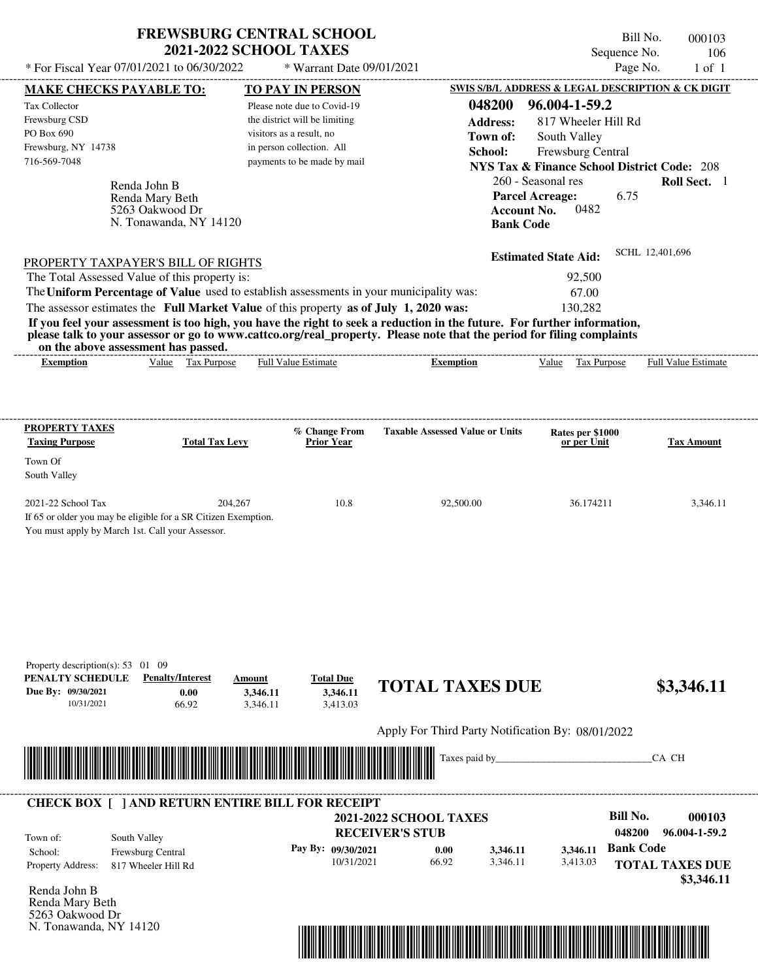| <b>FREWSBURG CENTRAL SCHOOL</b> |
|---------------------------------|
| <b>2021-2022 SCHOOL TAXES</b>   |

\* Warrant Date 09/01/2021

| <b>MAKE CHECKS PAYABLE TO:</b>                                                                                                                                                                                                       |                                          | <b>TO PAY IN PERSON</b>       |                    |                                                                                                                                                                                                                                                  |                        |                             |                  | SWIS S/B/L ADDRESS & LEGAL DESCRIPTION & CK DIGIT      |
|--------------------------------------------------------------------------------------------------------------------------------------------------------------------------------------------------------------------------------------|------------------------------------------|-------------------------------|--------------------|--------------------------------------------------------------------------------------------------------------------------------------------------------------------------------------------------------------------------------------------------|------------------------|-----------------------------|------------------|--------------------------------------------------------|
| Tax Collector                                                                                                                                                                                                                        |                                          | Please note due to Covid-19   |                    |                                                                                                                                                                                                                                                  | 048200                 | 96.004-1-59.2               |                  |                                                        |
| Frewsburg CSD                                                                                                                                                                                                                        |                                          | the district will be limiting |                    |                                                                                                                                                                                                                                                  | <b>Address:</b>        | 817 Wheeler Hill Rd         |                  |                                                        |
| PO Box 690                                                                                                                                                                                                                           |                                          | visitors as a result, no      |                    |                                                                                                                                                                                                                                                  | Town of:               | South Valley                |                  |                                                        |
| Frewsburg, NY 14738                                                                                                                                                                                                                  |                                          | in person collection. All     |                    | School:                                                                                                                                                                                                                                          |                        | Frewsburg Central           |                  |                                                        |
| 716-569-7048                                                                                                                                                                                                                         |                                          | payments to be made by mail   |                    |                                                                                                                                                                                                                                                  |                        |                             |                  | <b>NYS Tax &amp; Finance School District Code: 208</b> |
| Renda John B                                                                                                                                                                                                                         |                                          |                               |                    |                                                                                                                                                                                                                                                  |                        | 260 - Seasonal res          |                  | Roll Sect. 1                                           |
|                                                                                                                                                                                                                                      | Renda Mary Beth                          |                               |                    |                                                                                                                                                                                                                                                  | <b>Parcel Acreage:</b> |                             | 6.75             |                                                        |
|                                                                                                                                                                                                                                      | 5263 Oakwood Dr                          |                               |                    |                                                                                                                                                                                                                                                  | <b>Account No.</b>     | 0482                        |                  |                                                        |
|                                                                                                                                                                                                                                      | N. Tonawanda, NY 14120                   |                               |                    |                                                                                                                                                                                                                                                  | <b>Bank Code</b>       |                             |                  |                                                        |
|                                                                                                                                                                                                                                      |                                          |                               |                    |                                                                                                                                                                                                                                                  |                        |                             |                  |                                                        |
| <b>PROPERTY TAXPAYER'S BILL OF RIGHTS</b>                                                                                                                                                                                            |                                          |                               |                    |                                                                                                                                                                                                                                                  |                        | <b>Estimated State Aid:</b> |                  | SCHL 12,401,696                                        |
| The Total Assessed Value of this property is:                                                                                                                                                                                        |                                          |                               |                    |                                                                                                                                                                                                                                                  |                        | 92,500                      |                  |                                                        |
| The Uniform Percentage of Value used to establish assessments in your municipality was:                                                                                                                                              |                                          |                               |                    |                                                                                                                                                                                                                                                  |                        | 67.00                       |                  |                                                        |
| The assessor estimates the Full Market Value of this property as of July 1, 2020 was:                                                                                                                                                |                                          |                               |                    |                                                                                                                                                                                                                                                  |                        | 130,282                     |                  |                                                        |
|                                                                                                                                                                                                                                      |                                          |                               |                    | If you feel your assessment is too high, you have the right to seek a reduction in the future. For further information,<br>please talk to your assessor or go to www.cattco.org/real_property. Please note that the period for filing complaints |                        |                             |                  |                                                        |
| on the above assessment has passed.                                                                                                                                                                                                  |                                          |                               |                    |                                                                                                                                                                                                                                                  |                        |                             |                  |                                                        |
| <b>Exemption</b>                                                                                                                                                                                                                     | Value Tax Purpose                        | <b>Full Value Estimate</b>    |                    | <b>Exemption</b>                                                                                                                                                                                                                                 |                        |                             |                  | Value Tax Purpose Full Value Estimate                  |
|                                                                                                                                                                                                                                      |                                          |                               |                    |                                                                                                                                                                                                                                                  |                        |                             |                  |                                                        |
|                                                                                                                                                                                                                                      |                                          |                               |                    |                                                                                                                                                                                                                                                  |                        |                             |                  |                                                        |
| <b>PROPERTY TAXES</b>                                                                                                                                                                                                                |                                          |                               | % Change From      | <b>Taxable Assessed Value or Units</b>                                                                                                                                                                                                           |                        | Rates per \$1000            |                  |                                                        |
| <b>Taxing Purpose</b>                                                                                                                                                                                                                | <b>Total Tax Levy</b>                    |                               | <b>Prior Year</b>  |                                                                                                                                                                                                                                                  |                        | or per Unit                 |                  | <b>Tax Amount</b>                                      |
| Town Of                                                                                                                                                                                                                              |                                          |                               |                    |                                                                                                                                                                                                                                                  |                        |                             |                  |                                                        |
| South Valley                                                                                                                                                                                                                         |                                          |                               |                    |                                                                                                                                                                                                                                                  |                        |                             |                  |                                                        |
| 2021-22 School Tax                                                                                                                                                                                                                   |                                          | 204,267                       | 10.8               | 92,500.00                                                                                                                                                                                                                                        |                        | 36.174211                   |                  | 3,346.11                                               |
| If 65 or older you may be eligible for a SR Citizen Exemption.                                                                                                                                                                       |                                          |                               |                    |                                                                                                                                                                                                                                                  |                        |                             |                  |                                                        |
| You must apply by March 1st. Call your Assessor.                                                                                                                                                                                     |                                          |                               |                    |                                                                                                                                                                                                                                                  |                        |                             |                  |                                                        |
|                                                                                                                                                                                                                                      |                                          |                               |                    |                                                                                                                                                                                                                                                  |                        |                             |                  |                                                        |
|                                                                                                                                                                                                                                      |                                          |                               |                    |                                                                                                                                                                                                                                                  |                        |                             |                  |                                                        |
|                                                                                                                                                                                                                                      |                                          |                               |                    |                                                                                                                                                                                                                                                  |                        |                             |                  |                                                        |
|                                                                                                                                                                                                                                      |                                          |                               |                    |                                                                                                                                                                                                                                                  |                        |                             |                  |                                                        |
|                                                                                                                                                                                                                                      |                                          |                               |                    |                                                                                                                                                                                                                                                  |                        |                             |                  |                                                        |
|                                                                                                                                                                                                                                      |                                          |                               |                    |                                                                                                                                                                                                                                                  |                        |                             |                  |                                                        |
| Property description(s): $53 \quad 01 \quad 09$                                                                                                                                                                                      |                                          |                               |                    |                                                                                                                                                                                                                                                  |                        |                             |                  |                                                        |
| PENALTY SCHEDULE                                                                                                                                                                                                                     | <b>Penalty/Interest</b>                  | Amount                        | <b>Total Due</b>   |                                                                                                                                                                                                                                                  |                        |                             |                  |                                                        |
| Due By: 09/30/2021                                                                                                                                                                                                                   | 0.00                                     | 3,346.11                      | 3,346.11           | <b>TOTAL TAXES DUE</b>                                                                                                                                                                                                                           |                        |                             |                  | \$3,346.11                                             |
| 10/31/2021                                                                                                                                                                                                                           | 66.92                                    | 3,346.11                      | 3.413.03           |                                                                                                                                                                                                                                                  |                        |                             |                  |                                                        |
|                                                                                                                                                                                                                                      |                                          |                               |                    | Apply For Third Party Notification By: 08/01/2022                                                                                                                                                                                                |                        |                             |                  |                                                        |
|                                                                                                                                                                                                                                      |                                          |                               |                    |                                                                                                                                                                                                                                                  |                        |                             |                  |                                                        |
| <u> Harry Harry Harry Harry Harry Harry Harry Harry Harry Harry Harry Harry Harry Harry Harry Harry Harry Harry Harry Harry Harry Harry Harry Harry Harry Harry Harry Harry Harry Harry Harry Harry Harry Harry Harry Harry Harr</u> |                                          |                               |                    | Taxes paid by_                                                                                                                                                                                                                                   |                        |                             |                  | CA CH                                                  |
|                                                                                                                                                                                                                                      |                                          |                               |                    |                                                                                                                                                                                                                                                  |                        |                             |                  |                                                        |
| <b>CHECK BOX [ ] AND RETURN ENTIRE BILL FOR RECEIPT</b>                                                                                                                                                                              |                                          |                               |                    |                                                                                                                                                                                                                                                  |                        |                             |                  |                                                        |
|                                                                                                                                                                                                                                      |                                          |                               |                    | <b>2021-2022 SCHOOL TAXES</b>                                                                                                                                                                                                                    |                        |                             | <b>Bill No.</b>  | 000103                                                 |
|                                                                                                                                                                                                                                      |                                          |                               |                    | <b>RECEIVER'S STUB</b>                                                                                                                                                                                                                           |                        |                             | 048200           | 96.004-1-59.2                                          |
| South Valley<br>Town of:<br>School:                                                                                                                                                                                                  |                                          |                               | Pay By: 09/30/2021 | 0.00                                                                                                                                                                                                                                             | 3,346.11               | 3,346.11                    | <b>Bank Code</b> |                                                        |
| <b>Property Address:</b>                                                                                                                                                                                                             | Frewsburg Central<br>817 Wheeler Hill Rd |                               | 10/31/2021         | 66.92                                                                                                                                                                                                                                            | 3,346.11               | 3,413.03                    |                  | <b>TOTAL TAXES DUE</b>                                 |
|                                                                                                                                                                                                                                      |                                          |                               |                    |                                                                                                                                                                                                                                                  |                        |                             |                  | \$3,346.11                                             |
| Renda John B                                                                                                                                                                                                                         |                                          |                               |                    |                                                                                                                                                                                                                                                  |                        |                             |                  |                                                        |
| Renda Mary Beth                                                                                                                                                                                                                      |                                          |                               |                    |                                                                                                                                                                                                                                                  |                        |                             |                  |                                                        |
| 5263 Oakwood Dr                                                                                                                                                                                                                      |                                          |                               |                    |                                                                                                                                                                                                                                                  |                        |                             |                  |                                                        |
| N. Tonawanda, NY 14120                                                                                                                                                                                                               |                                          |                               |                    |                                                                                                                                                                                                                                                  |                        |                             |                  |                                                        |

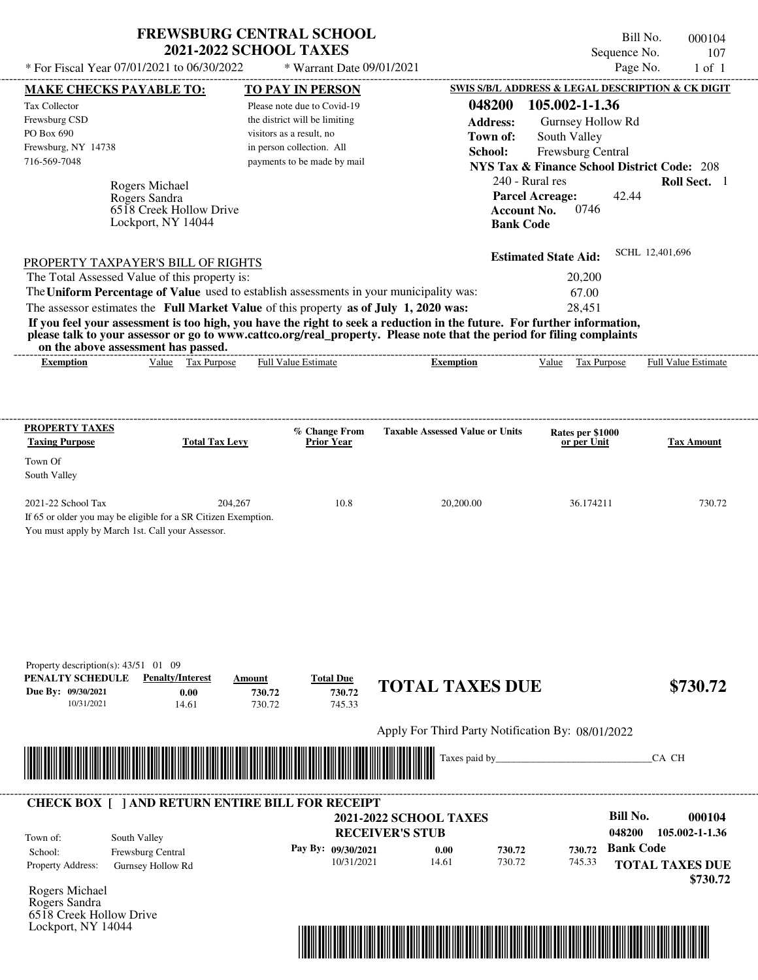| <b>FREWSBURG CENTRAL SCHOOL</b> |
|---------------------------------|
| <b>2021-2022 SCHOOL TAXES</b>   |

\* Warrant Date 09/01/2021

|                                        | <b>MAKE CHECKS PAYABLE TO:</b>                                 | <b>TO PAY IN PERSON</b>                                                                 |                                                                                                                         | <b>SWIS S/B/L ADDRESS &amp; LEGAL DESCRIPTION &amp; CK DIGIT</b> |                          |
|----------------------------------------|----------------------------------------------------------------|-----------------------------------------------------------------------------------------|-------------------------------------------------------------------------------------------------------------------------|------------------------------------------------------------------|--------------------------|
| Tax Collector                          |                                                                | Please note due to Covid-19                                                             | 048200                                                                                                                  | 105.002-1-1.36                                                   |                          |
| Frewsburg CSD                          |                                                                | the district will be limiting                                                           | <b>Address:</b>                                                                                                         | Gurnsey Hollow Rd                                                |                          |
| PO Box 690                             |                                                                | visitors as a result, no                                                                | Town of:                                                                                                                | South Valley                                                     |                          |
| Frewsburg, NY 14738<br>716-569-7048    |                                                                | in person collection. All<br>payments to be made by mail                                | School:                                                                                                                 | Frewsburg Central                                                |                          |
|                                        |                                                                |                                                                                         |                                                                                                                         | <b>NYS Tax &amp; Finance School District Code: 208</b>           |                          |
|                                        | Rogers Michael                                                 |                                                                                         |                                                                                                                         | 240 - Rural res                                                  | Roll Sect. 1             |
|                                        | Rogers Sandra<br>6518 Creek Hollow Drive                       |                                                                                         | <b>Account No.</b>                                                                                                      | <b>Parcel Acreage:</b><br>42.44<br>0746                          |                          |
|                                        | Lockport, NY 14044                                             |                                                                                         | <b>Bank Code</b>                                                                                                        |                                                                  |                          |
|                                        |                                                                |                                                                                         |                                                                                                                         |                                                                  |                          |
|                                        | <b>PROPERTY TAXPAYER'S BILL OF RIGHTS</b>                      |                                                                                         |                                                                                                                         | <b>Estimated State Aid:</b>                                      | SCHL 12,401,696          |
|                                        | The Total Assessed Value of this property is:                  |                                                                                         |                                                                                                                         | 20,200                                                           |                          |
|                                        |                                                                | The Uniform Percentage of Value used to establish assessments in your municipality was: |                                                                                                                         | 67.00                                                            |                          |
|                                        |                                                                | The assessor estimates the Full Market Value of this property as of July 1, 2020 was:   |                                                                                                                         | 28,451                                                           |                          |
|                                        |                                                                |                                                                                         | If you feel your assessment is too high, you have the right to seek a reduction in the future. For further information, |                                                                  |                          |
|                                        | on the above assessment has passed.                            |                                                                                         | please talk to your assessor or go to www.cattco.org/real_property. Please note that the period for filing complaints   |                                                                  |                          |
| <b>Exemption</b>                       | Value Tax Purpose                                              | <b>Full Value Estimate</b>                                                              | <b>Exemption</b>                                                                                                        | Value Tax Purpose Full Value Estimate                            |                          |
|                                        |                                                                |                                                                                         |                                                                                                                         |                                                                  |                          |
|                                        |                                                                |                                                                                         |                                                                                                                         |                                                                  |                          |
|                                        |                                                                |                                                                                         |                                                                                                                         |                                                                  |                          |
| <b>PROPERTY TAXES</b>                  |                                                                | % Change From                                                                           | <b>Taxable Assessed Value or Units</b>                                                                                  | Rates per \$1000                                                 |                          |
| <b>Taxing Purpose</b>                  | <b>Total Tax Levy</b>                                          | <b>Prior Year</b>                                                                       |                                                                                                                         | or per Unit                                                      | <b>Tax Amount</b>        |
| Town Of                                |                                                                |                                                                                         |                                                                                                                         |                                                                  |                          |
| South Valley                           |                                                                |                                                                                         |                                                                                                                         |                                                                  |                          |
| 2021-22 School Tax                     | 204,267                                                        | 10.8                                                                                    | 20,200.00                                                                                                               | 36.174211                                                        | 730.72                   |
|                                        | If 65 or older you may be eligible for a SR Citizen Exemption. |                                                                                         |                                                                                                                         |                                                                  |                          |
|                                        | You must apply by March 1st. Call your Assessor.               |                                                                                         |                                                                                                                         |                                                                  |                          |
|                                        |                                                                |                                                                                         |                                                                                                                         |                                                                  |                          |
|                                        |                                                                |                                                                                         |                                                                                                                         |                                                                  |                          |
|                                        |                                                                |                                                                                         |                                                                                                                         |                                                                  |                          |
|                                        |                                                                |                                                                                         |                                                                                                                         |                                                                  |                          |
|                                        |                                                                |                                                                                         |                                                                                                                         |                                                                  |                          |
|                                        |                                                                |                                                                                         |                                                                                                                         |                                                                  |                          |
|                                        |                                                                |                                                                                         |                                                                                                                         |                                                                  |                          |
| Property description(s): $43/51$ 01 09 | <b>Penalty/Interest</b>                                        |                                                                                         |                                                                                                                         |                                                                  |                          |
| PENALTY SCHEDULE<br>Due By: 09/30/2021 | 0.00                                                           | <b>Total Due</b><br>Amount<br>730.72<br>730.72                                          | <b>TOTAL TAXES DUE</b>                                                                                                  |                                                                  | \$730.72                 |
| 10/31/2021                             | 14.61                                                          | 730.72<br>745.33                                                                        |                                                                                                                         |                                                                  |                          |
|                                        |                                                                |                                                                                         |                                                                                                                         |                                                                  |                          |
|                                        |                                                                |                                                                                         | Apply For Third Party Notification By: 08/01/2022                                                                       |                                                                  |                          |
|                                        | <u> 1989 - Johann Stoff, Amerikaansk politiker (</u>           |                                                                                         | Taxes paid by_                                                                                                          |                                                                  | CA CH                    |
|                                        |                                                                |                                                                                         |                                                                                                                         |                                                                  |                          |
|                                        |                                                                |                                                                                         |                                                                                                                         |                                                                  |                          |
|                                        |                                                                | <b>CHECK BOX [ ] AND RETURN ENTIRE BILL FOR RECEIPT</b>                                 |                                                                                                                         |                                                                  |                          |
|                                        |                                                                |                                                                                         | 2021-2022 SCHOOL TAXES                                                                                                  | <b>Bill No.</b><br>048200                                        | 000104<br>105.002-1-1.36 |
| Town of:                               | South Valley                                                   |                                                                                         | <b>RECEIVER'S STUB</b>                                                                                                  |                                                                  |                          |
| School:                                | Frewsburg Central                                              | Pay By: 09/30/2021<br>10/31/2021                                                        | 0.00<br>730.72<br>14.61<br>730.72                                                                                       | <b>Bank Code</b><br>730.72<br>745.33                             |                          |
| Property Address:                      | Gurnsey Hollow Rd                                              |                                                                                         |                                                                                                                         |                                                                  | <b>TOTAL TAXES DUE</b>   |
| Rogers Michael                         |                                                                |                                                                                         |                                                                                                                         |                                                                  | \$730.72                 |
| Rogers Sandra                          |                                                                |                                                                                         |                                                                                                                         |                                                                  |                          |
| 6518 Creek Hollow Drive                |                                                                |                                                                                         |                                                                                                                         |                                                                  |                          |
| Lockport, NY 14044                     |                                                                |                                                                                         |                                                                                                                         |                                                                  |                          |
|                                        |                                                                |                                                                                         | <u> 1989 - Andrea Stadt British, martin bir shekarar 1989 - Andrea Stadt British, martin bir shekarar 1981 - Andrea</u> |                                                                  |                          |
|                                        |                                                                |                                                                                         |                                                                                                                         |                                                                  |                          |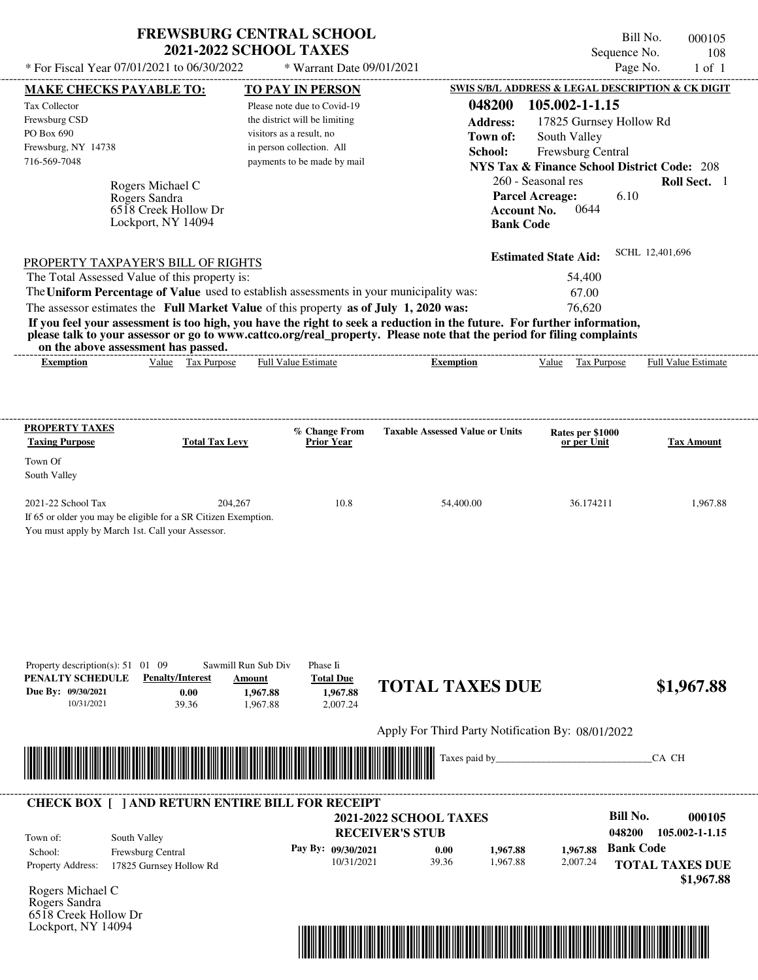| <b>FREWSBURG CENTRAL SCHOOL</b> |
|---------------------------------|
| <b>2021-2022 SCHOOL TAXES</b>   |

Bill No. 000105 Sequence No. 108

| * For Fiscal Year 07/01/2021 to 06/30/2022                                                                                                                                                                                                       |                                                                                                               | * Warrant Date 09/01/2021                               |                                                                          | Page No.<br>$1$ of $1$                                 |
|--------------------------------------------------------------------------------------------------------------------------------------------------------------------------------------------------------------------------------------------------|---------------------------------------------------------------------------------------------------------------|---------------------------------------------------------|--------------------------------------------------------------------------|--------------------------------------------------------|
| <b>MAKE CHECKS PAYABLE TO:</b>                                                                                                                                                                                                                   | <b>TO PAY IN PERSON</b>                                                                                       |                                                         |                                                                          | SWIS S/B/L ADDRESS & LEGAL DESCRIPTION & CK DIGIT      |
| Tax Collector                                                                                                                                                                                                                                    | Please note due to Covid-19                                                                                   | 048200                                                  | 105.002-1-1.15                                                           |                                                        |
| Frewsburg CSD<br>PO Box 690                                                                                                                                                                                                                      | the district will be limiting                                                                                 | <b>Address:</b>                                         |                                                                          | 17825 Gurnsey Hollow Rd                                |
| Frewsburg, NY 14738                                                                                                                                                                                                                              | visitors as a result, no<br>in person collection. All                                                         | Town of:                                                | South Valley                                                             |                                                        |
| 716-569-7048                                                                                                                                                                                                                                     | payments to be made by mail                                                                                   | School:                                                 | Frewsburg Central                                                        | <b>NYS Tax &amp; Finance School District Code: 208</b> |
|                                                                                                                                                                                                                                                  |                                                                                                               |                                                         | 260 - Seasonal res                                                       | Roll Sect. 1                                           |
| Rogers Michael C<br>Rogers Sandra<br>6518 Creek Hollow Dr<br>Lockport, NY 14094                                                                                                                                                                  |                                                                                                               |                                                         | <b>Parcel Acreage:</b><br>0644<br><b>Account No.</b><br><b>Bank Code</b> | 6.10                                                   |
| PROPERTY TAXPAYER'S BILL OF RIGHTS                                                                                                                                                                                                               |                                                                                                               |                                                         | <b>Estimated State Aid:</b>                                              | SCHL 12,401,696                                        |
| The Total Assessed Value of this property is:                                                                                                                                                                                                    |                                                                                                               |                                                         | 54,400                                                                   |                                                        |
| The Uniform Percentage of Value used to establish assessments in your municipality was:                                                                                                                                                          |                                                                                                               |                                                         | 67.00                                                                    |                                                        |
| The assessor estimates the Full Market Value of this property as of July 1, 2020 was:                                                                                                                                                            |                                                                                                               |                                                         | 76,620                                                                   |                                                        |
| If you feel your assessment is too high, you have the right to seek a reduction in the future. For further information,<br>please talk to your assessor or go to www.cattco.org/real_property. Please note that the period for filing complaints |                                                                                                               |                                                         |                                                                          |                                                        |
| on the above assessment has passed.<br>Value Tax Purpose<br><b>Exemption</b>                                                                                                                                                                     | Full Value Estimate                                                                                           | <b>Exemption</b>                                        | Value Tax Purpose                                                        | <b>Full Value Estimate</b>                             |
|                                                                                                                                                                                                                                                  |                                                                                                               |                                                         |                                                                          |                                                        |
|                                                                                                                                                                                                                                                  |                                                                                                               |                                                         |                                                                          |                                                        |
| <b>PROPERTY TAXES</b><br><b>Taxing Purpose</b>                                                                                                                                                                                                   | % Change From<br><b>Total Tax Levy</b><br><b>Prior Year</b>                                                   | <b>Taxable Assessed Value or Units</b>                  | Rates per \$1000<br>or per Unit                                          | <b>Tax Amount</b>                                      |
| Town Of                                                                                                                                                                                                                                          |                                                                                                               |                                                         |                                                                          |                                                        |
| South Valley                                                                                                                                                                                                                                     |                                                                                                               |                                                         |                                                                          |                                                        |
| 2021-22 School Tax<br>If 65 or older you may be eligible for a SR Citizen Exemption.<br>You must apply by March 1st. Call your Assessor.                                                                                                         | 204,267                                                                                                       | 10.8<br>54,400.00                                       | 36.174211                                                                | 1,967.88                                               |
| Property description(s): $51 \quad 01 \quad 09$<br>PENALTY SCHEDULE<br><b>Penalty/Interest</b><br>Due By: 09/30/2021<br>0.00<br>10/31/2021<br>39.36                                                                                              | Sawmill Run Sub Div<br>Phase Ii<br><b>Total Due</b><br>Amount<br>1,967.88<br>1,967.88<br>2,007.24<br>1,967.88 | <b>TOTAL TAXES DUE</b>                                  |                                                                          | \$1,967.88                                             |
|                                                                                                                                                                                                                                                  |                                                                                                               | Apply For Third Party Notification By: 08/01/2022       |                                                                          |                                                        |
|                                                                                                                                                                                                                                                  |                                                                                                               | Taxes paid by_                                          |                                                                          | CA CH                                                  |
| <u> I sama kalendar sama kalendar sama kalendar sama kalendar sama kalendar sama kalendar sama kalendar sama kal</u>                                                                                                                             |                                                                                                               |                                                         |                                                                          |                                                        |
| <b>CHECK BOX [ ] AND RETURN ENTIRE BILL FOR RECEIPT</b>                                                                                                                                                                                          |                                                                                                               |                                                         |                                                                          |                                                        |
|                                                                                                                                                                                                                                                  |                                                                                                               | <b>2021-2022 SCHOOL TAXES</b><br><b>RECEIVER'S STUB</b> |                                                                          | <b>Bill No.</b><br>000105<br>048200<br>105.002-1-1.15  |
| South Valley<br>Town of:                                                                                                                                                                                                                         |                                                                                                               |                                                         |                                                                          | <b>Bank Code</b>                                       |
| Frewsburg Central<br>School:<br><b>Property Address:</b><br>17825 Gurnsey Hollow Rd                                                                                                                                                              | Pay By: 09/30/2021                                                                                            | 0.00<br>10/31/2021<br>39.36                             | 1.967.88<br>1,967.88<br>1,967.88<br>2,007.24                             | <b>TOTAL TAXES DUE</b><br>\$1,967.88                   |
| Rogers Michael C<br>Rogers Sandra<br>6518 Creek Hollow Dr<br>Lockport, NY 14094                                                                                                                                                                  |                                                                                                               |                                                         |                                                                          |                                                        |

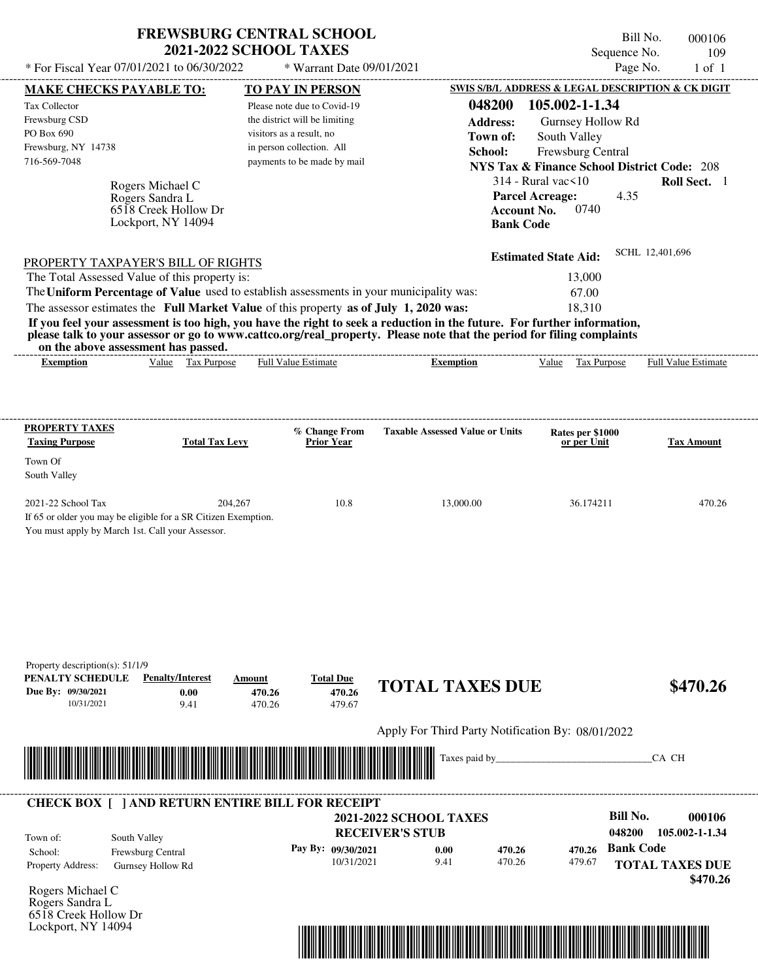| <b>FREWSBURG CENTRAL SCHOOL</b> |
|---------------------------------|
| <b>2021-2022 SCHOOL TAXES</b>   |

Bill No. 000106 Sequence No. 109<br>Page No. 1 of 1  $*$  For Fiscal Year 07/01/2021 to 06/30/2022  $*$  Warrant Date 09/01/2021 Page No. 1 of 1

| <b>MAKE CHECKS PAYABLE TO:</b>                                                             |                                            | <b>TO PAY IN PERSON</b>                                                                                               |                                                                                                                                                                                                                                      | SWIS S/B/L ADDRESS & LEGAL DESCRIPTION & CK DIGIT      |                            |
|--------------------------------------------------------------------------------------------|--------------------------------------------|-----------------------------------------------------------------------------------------------------------------------|--------------------------------------------------------------------------------------------------------------------------------------------------------------------------------------------------------------------------------------|--------------------------------------------------------|----------------------------|
| Tax Collector                                                                              |                                            | Please note due to Covid-19                                                                                           | 048200                                                                                                                                                                                                                               | 105.002-1-1.34                                         |                            |
| Frewsburg CSD                                                                              |                                            | the district will be limiting                                                                                         | <b>Address:</b>                                                                                                                                                                                                                      | Gurnsey Hollow Rd                                      |                            |
| PO Box 690                                                                                 |                                            | visitors as a result, no                                                                                              | Town of:                                                                                                                                                                                                                             | South Valley                                           |                            |
| Frewsburg, NY 14738<br>716-569-7048                                                        |                                            | in person collection. All<br>payments to be made by mail                                                              | School:                                                                                                                                                                                                                              | Frewsburg Central                                      |                            |
|                                                                                            |                                            |                                                                                                                       |                                                                                                                                                                                                                                      | <b>NYS Tax &amp; Finance School District Code: 208</b> |                            |
|                                                                                            | Rogers Michael C                           |                                                                                                                       |                                                                                                                                                                                                                                      | $314$ - Rural vac $\leq 10$                            | Roll Sect. 1               |
|                                                                                            | Rogers Sandra L                            |                                                                                                                       |                                                                                                                                                                                                                                      | <b>Parcel Acreage:</b><br>4.35                         |                            |
|                                                                                            | 6518 Creek Hollow Dr<br>Lockport, NY 14094 |                                                                                                                       | <b>Account No.</b><br><b>Bank Code</b>                                                                                                                                                                                               | 0740                                                   |                            |
|                                                                                            |                                            |                                                                                                                       |                                                                                                                                                                                                                                      |                                                        |                            |
|                                                                                            |                                            |                                                                                                                       |                                                                                                                                                                                                                                      | <b>Estimated State Aid:</b>                            | SCHL 12,401,696            |
| <b>PROPERTY TAXPAYER'S BILL OF RIGHTS</b><br>The Total Assessed Value of this property is: |                                            |                                                                                                                       |                                                                                                                                                                                                                                      | 13,000                                                 |                            |
|                                                                                            |                                            | The Uniform Percentage of Value used to establish assessments in your municipality was:                               |                                                                                                                                                                                                                                      | 67.00                                                  |                            |
|                                                                                            |                                            | The assessor estimates the Full Market Value of this property as of July 1, 2020 was:                                 |                                                                                                                                                                                                                                      | 18,310                                                 |                            |
|                                                                                            |                                            |                                                                                                                       | If you feel your assessment is too high, you have the right to seek a reduction in the future. For further information,                                                                                                              |                                                        |                            |
|                                                                                            |                                            |                                                                                                                       | please talk to your assessor or go to www.cattco.org/real_property. Please note that the period for filing complaints                                                                                                                |                                                        |                            |
| on the above assessment has passed.<br><b>Exemption</b>                                    | Value Tax Purpose                          | <b>Full Value Estimate</b>                                                                                            | <b>Exemption</b>                                                                                                                                                                                                                     | Value Tax Purpose                                      | <b>Full Value Estimate</b> |
|                                                                                            |                                            |                                                                                                                       |                                                                                                                                                                                                                                      |                                                        |                            |
|                                                                                            |                                            |                                                                                                                       |                                                                                                                                                                                                                                      |                                                        |                            |
|                                                                                            |                                            |                                                                                                                       |                                                                                                                                                                                                                                      |                                                        |                            |
| <b>PROPERTY TAXES</b>                                                                      |                                            | % Change From                                                                                                         | <b>Taxable Assessed Value or Units</b>                                                                                                                                                                                               | Rates per \$1000                                       |                            |
| <b>Taxing Purpose</b>                                                                      | <b>Total Tax Levy</b>                      | <b>Prior Year</b>                                                                                                     |                                                                                                                                                                                                                                      | or per Unit                                            | <b>Tax Amount</b>          |
| Town Of                                                                                    |                                            |                                                                                                                       |                                                                                                                                                                                                                                      |                                                        |                            |
| South Valley                                                                               |                                            |                                                                                                                       |                                                                                                                                                                                                                                      |                                                        |                            |
| 2021-22 School Tax                                                                         | 204,267                                    | 10.8                                                                                                                  | 13,000.00                                                                                                                                                                                                                            | 36.174211                                              | 470.26                     |
| If 65 or older you may be eligible for a SR Citizen Exemption.                             |                                            |                                                                                                                       |                                                                                                                                                                                                                                      |                                                        |                            |
| You must apply by March 1st. Call your Assessor.                                           |                                            |                                                                                                                       |                                                                                                                                                                                                                                      |                                                        |                            |
|                                                                                            |                                            |                                                                                                                       |                                                                                                                                                                                                                                      |                                                        |                            |
|                                                                                            |                                            |                                                                                                                       |                                                                                                                                                                                                                                      |                                                        |                            |
|                                                                                            |                                            |                                                                                                                       |                                                                                                                                                                                                                                      |                                                        |                            |
|                                                                                            |                                            |                                                                                                                       |                                                                                                                                                                                                                                      |                                                        |                            |
|                                                                                            |                                            |                                                                                                                       |                                                                                                                                                                                                                                      |                                                        |                            |
|                                                                                            |                                            |                                                                                                                       |                                                                                                                                                                                                                                      |                                                        |                            |
|                                                                                            |                                            |                                                                                                                       |                                                                                                                                                                                                                                      |                                                        |                            |
| Property description(s): $51/1/9$<br>PENALTY SCHEDULE                                      | <b>Penalty/Interest</b>                    | <b>Total Due</b><br>Amount                                                                                            |                                                                                                                                                                                                                                      |                                                        |                            |
| Due By: 09/30/2021                                                                         | 0.00                                       | 470.26<br>470.26                                                                                                      | <b>TOTAL TAXES DUE</b>                                                                                                                                                                                                               |                                                        | \$470.26                   |
| 10/31/2021                                                                                 | 9.41                                       | 470.26<br>479.67                                                                                                      |                                                                                                                                                                                                                                      |                                                        |                            |
|                                                                                            |                                            |                                                                                                                       | Apply For Third Party Notification By: 08/01/2022                                                                                                                                                                                    |                                                        |                            |
|                                                                                            |                                            |                                                                                                                       |                                                                                                                                                                                                                                      |                                                        |                            |
|                                                                                            |                                            | <u> Handels van de Berger van de Berger van de Berger van de Berger van de Berger van de Berger van de Berger van</u> | Taxes paid by_                                                                                                                                                                                                                       |                                                        | CA CH                      |
|                                                                                            |                                            |                                                                                                                       |                                                                                                                                                                                                                                      |                                                        |                            |
|                                                                                            |                                            | <b>CHECK BOX [ ] AND RETURN ENTIRE BILL FOR RECEIPT</b>                                                               |                                                                                                                                                                                                                                      |                                                        |                            |
|                                                                                            |                                            |                                                                                                                       | <b>2021-2022 SCHOOL TAXES</b>                                                                                                                                                                                                        | <b>Bill No.</b>                                        | 000106                     |
| South Valley<br>Town of:                                                                   |                                            |                                                                                                                       | <b>RECEIVER'S STUB</b>                                                                                                                                                                                                               | 048200                                                 | 105.002-1-1.34             |
| School:                                                                                    | Frewsburg Central                          | Pay By: 09/30/2021                                                                                                    | 0.00<br>470.26                                                                                                                                                                                                                       | <b>Bank Code</b><br>470.26                             |                            |
| Property Address:                                                                          | Gurnsey Hollow Rd                          | 10/31/2021                                                                                                            | 9.41<br>470.26                                                                                                                                                                                                                       | 479.67                                                 | <b>TOTAL TAXES DUE</b>     |
|                                                                                            |                                            |                                                                                                                       |                                                                                                                                                                                                                                      |                                                        | \$470.26                   |
| Rogers Michael C<br>Rogers Sandra L                                                        |                                            |                                                                                                                       |                                                                                                                                                                                                                                      |                                                        |                            |
| 6518 Creek Hollow Dr                                                                       |                                            |                                                                                                                       |                                                                                                                                                                                                                                      |                                                        |                            |
| Lockport, NY 14094                                                                         |                                            |                                                                                                                       |                                                                                                                                                                                                                                      |                                                        |                            |
|                                                                                            |                                            |                                                                                                                       | <u> 1989 - Andrea Stadt British, mark ar strí british ar breithinn ar breithinn ar breithinn ar breithinn ar breithinn ar breithinn ar breithinn ar breithinn ar breithinn ar breithinn ar breithinn ar breithinn ar breithinn a</u> |                                                        |                            |
|                                                                                            |                                            |                                                                                                                       |                                                                                                                                                                                                                                      |                                                        |                            |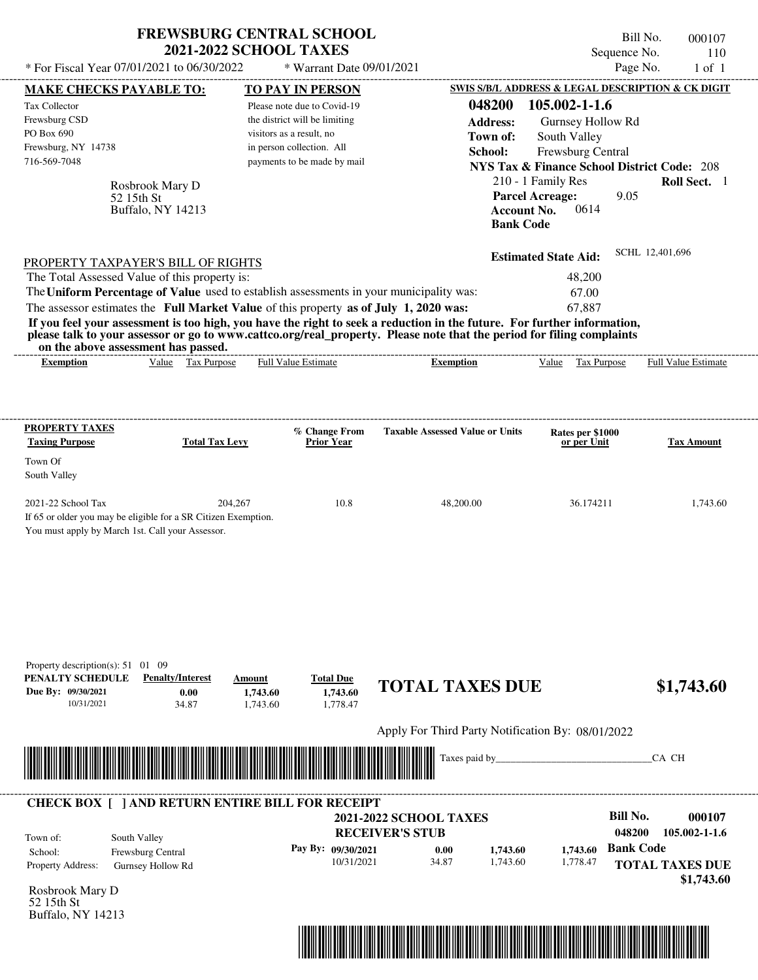| * For Fiscal Year 07/01/2021 to 06/30/2022                                                                         | <b>FREWSBURG CENTRAL SCHOOL</b><br><b>2021-2022 SCHOOL TAXES</b>           | * Warrant Date 09/01/2021                |                                                                                                                                                                                                                                                  | Sequence No.                                                 | Bill No.<br>000107<br>110<br>Page No.<br>$1$ of $1$ |
|--------------------------------------------------------------------------------------------------------------------|----------------------------------------------------------------------------|------------------------------------------|--------------------------------------------------------------------------------------------------------------------------------------------------------------------------------------------------------------------------------------------------|--------------------------------------------------------------|-----------------------------------------------------|
| MAKE CHECKS PAYABLE TO:                                                                                            |                                                                            | <b>TO PAY IN PERSON</b>                  |                                                                                                                                                                                                                                                  | SWIS S/B/L ADDRESS & LEGAL DESCRIPTION & CK DIGIT            |                                                     |
| Tax Collector                                                                                                      |                                                                            | Please note due to Covid-19              | 048200                                                                                                                                                                                                                                           | 105.002-1-1.6                                                |                                                     |
| Frewsburg CSD                                                                                                      |                                                                            | the district will be limiting            | <b>Address:</b>                                                                                                                                                                                                                                  | Gurnsey Hollow Rd                                            |                                                     |
| PO Box 690                                                                                                         |                                                                            | visitors as a result, no                 | Town of:                                                                                                                                                                                                                                         | South Valley                                                 |                                                     |
| Frewsburg, NY 14738                                                                                                |                                                                            | in person collection. All                | School:                                                                                                                                                                                                                                          | Frewsburg Central                                            |                                                     |
| 716-569-7048                                                                                                       |                                                                            | payments to be made by mail              |                                                                                                                                                                                                                                                  | <b>NYS Tax &amp; Finance School District Code: 208</b>       |                                                     |
| Rosbrook Mary D                                                                                                    |                                                                            |                                          |                                                                                                                                                                                                                                                  | 210 - 1 Family Res                                           | Roll Sect. 1                                        |
| 52 15th St<br>Buffalo, NY 14213                                                                                    |                                                                            |                                          | <b>Bank Code</b>                                                                                                                                                                                                                                 | <b>Parcel Acreage:</b><br>9.05<br>0614<br><b>Account No.</b> |                                                     |
| PROPERTY TAXPAYER'S BILL OF RIGHTS                                                                                 |                                                                            |                                          |                                                                                                                                                                                                                                                  | <b>Estimated State Aid:</b>                                  | SCHL 12,401,696                                     |
| The Total Assessed Value of this property is:                                                                      |                                                                            |                                          |                                                                                                                                                                                                                                                  | 48,200                                                       |                                                     |
| The Uniform Percentage of Value used to establish assessments in your municipality was:                            |                                                                            |                                          |                                                                                                                                                                                                                                                  | 67.00                                                        |                                                     |
| The assessor estimates the Full Market Value of this property as of July 1, 2020 was:                              |                                                                            |                                          |                                                                                                                                                                                                                                                  | 67,887                                                       |                                                     |
| on the above assessment has passed.                                                                                |                                                                            |                                          | If you feel your assessment is too high, you have the right to seek a reduction in the future. For further information,<br>please talk to your assessor or go to www.cattco.org/real_property. Please note that the period for filing complaints |                                                              |                                                     |
| <b>Exemption</b>                                                                                                   | Value Tax Purpose                                                          | Full Value Estimate                      | <b>Exemption</b>                                                                                                                                                                                                                                 | Tax Purpose<br>Value                                         | Full Value Estimate                                 |
| <b>PROPERTY TAXES</b>                                                                                              |                                                                            | % Change From                            | <b>Taxable Assessed Value or Units</b>                                                                                                                                                                                                           | Rates per \$1000                                             |                                                     |
| <b>Taxing Purpose</b>                                                                                              | <b>Total Tax Levy</b>                                                      | <b>Prior Year</b>                        |                                                                                                                                                                                                                                                  | or per Unit                                                  | <b>Tax Amount</b>                                   |
| Town Of                                                                                                            |                                                                            |                                          |                                                                                                                                                                                                                                                  |                                                              |                                                     |
| South Valley                                                                                                       |                                                                            |                                          |                                                                                                                                                                                                                                                  |                                                              |                                                     |
| 2021-22 School Tax                                                                                                 | 204,267                                                                    | 10.8                                     | 48,200.00                                                                                                                                                                                                                                        | 36.174211                                                    | 1,743.60                                            |
| If 65 or older you may be eligible for a SR Citizen Exemption.<br>You must apply by March 1st. Call your Assessor. |                                                                            |                                          |                                                                                                                                                                                                                                                  |                                                              |                                                     |
| Property description(s): $51 \quad 01 \quad 09$<br>PENALTY SCHEDULE<br>Due By: 09/30/2021<br>10/31/2021            | <b>Penalty/Interest</b><br>Amount<br>0.00<br>1,743.60<br>34.87<br>1,743.60 | <b>Total Due</b><br>1,743.60<br>1,778.47 | <b>TOTAL TAXES DUE</b>                                                                                                                                                                                                                           |                                                              | \$1,743.60                                          |
|                                                                                                                    |                                                                            |                                          | Apply For Third Party Notification By: 08/01/2022                                                                                                                                                                                                |                                                              |                                                     |
|                                                                                                                    |                                                                            |                                          | Taxes paid by                                                                                                                                                                                                                                    |                                                              | CA CH                                               |
| <b>CHECK BOX [ ] AND RETURN ENTIRE BILL FOR RECEIPT</b>                                                            |                                                                            |                                          | <b>2021-2022 SCHOOL TAXES</b>                                                                                                                                                                                                                    | <b>Bill No.</b>                                              | 000107                                              |
|                                                                                                                    |                                                                            |                                          | <b>RECEIVER'S STUB</b>                                                                                                                                                                                                                           | 048200                                                       | 105.002-1-1.6                                       |
| South Valley<br>Town of:                                                                                           |                                                                            | Pay By: 09/30/2021                       | 0.00<br>1,743.60                                                                                                                                                                                                                                 | <b>Bank Code</b><br>1,743.60                                 |                                                     |
| School:<br>Frewsburg Central<br>Property Address:<br>Gurnsey Hollow Rd                                             |                                                                            | 10/31/2021                               | 34.87<br>1,743.60                                                                                                                                                                                                                                | 1,778.47                                                     | <b>TOTAL TAXES DUE</b>                              |
|                                                                                                                    |                                                                            |                                          |                                                                                                                                                                                                                                                  |                                                              | \$1,743.60                                          |
| Rochrook Mary D                                                                                                    |                                                                            |                                          |                                                                                                                                                                                                                                                  |                                                              |                                                     |

Rosbrook Mary D 52 15th St Buffalo, NY 14213

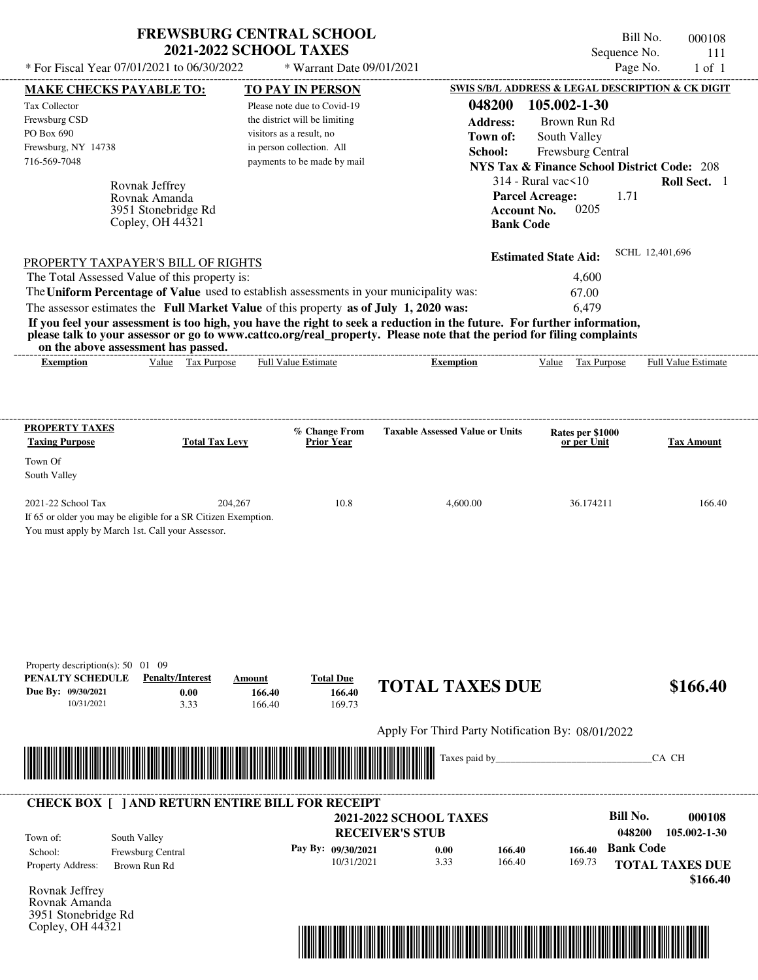|                                                                                                                         | FREWSBURG CENTRAL SCHOOL      | Bill No.<br>000108                                     |
|-------------------------------------------------------------------------------------------------------------------------|-------------------------------|--------------------------------------------------------|
|                                                                                                                         | <b>2021-2022 SCHOOL TAXES</b> | Sequence No.<br>111                                    |
| * For Fiscal Year 07/01/2021 to 06/30/2022                                                                              | $*$ Warrant Date 09/01/2021   | Page No.<br>$1$ of $1$                                 |
| <b>MAKE CHECKS PAYABLE TO:</b>                                                                                          | <b>TO PAY IN PERSON</b>       | SWIS S/B/L ADDRESS & LEGAL DESCRIPTION & CK DIGIT      |
| Tax Collector                                                                                                           | Please note due to Covid-19   | 105.002-1-30<br>048200                                 |
| Frewsburg CSD                                                                                                           | the district will be limiting | <b>Address:</b><br>Brown Run Rd                        |
| PO Box 690                                                                                                              | visitors as a result, no      | South Valley<br>Town of:                               |
| Frewsburg, NY 14738                                                                                                     | in person collection. All     | School:<br><b>Frewsburg Central</b>                    |
| 716-569-7048                                                                                                            | payments to be made by mail   | <b>NYS Tax &amp; Finance School District Code: 208</b> |
| Rovnak Jeffrey                                                                                                          |                               | $314$ - Rural vac $\leq 10$<br><b>Roll Sect.</b> 1     |
| Rovnak Amanda                                                                                                           |                               | <b>Parcel Acreage:</b><br>1.71                         |
| 3951 Stonebridge Rd                                                                                                     |                               | 0205<br><b>Account No.</b>                             |
| Copley, OH 44321                                                                                                        |                               | <b>Bank Code</b>                                       |
|                                                                                                                         |                               | SCHL 12,401,696<br><b>Estimated State Aid:</b>         |
| PROPERTY TAXPAYER'S BILL OF RIGHTS                                                                                      |                               |                                                        |
| The Total Assessed Value of this property is:                                                                           |                               | 4,600                                                  |
| The Uniform Percentage of Value used to establish assessments in your municipality was:                                 |                               | 67.00                                                  |
| The assessor estimates the Full Market Value of this property as of July 1, 2020 was:                                   |                               | 6.479                                                  |
| If you feel your assessment is too high, you have the right to seek a reduction in the future. For further information, |                               |                                                        |

**please talk to your assessor or go to www.cattco.org/real\_property. Please note that the period for filing complaints on the above assessment has passed.**

| on the above assessment nas basseur                                                                                        |                                              |
|----------------------------------------------------------------------------------------------------------------------------|----------------------------------------------|
| - Full <sup>V</sup><br>alue<br>Value<br><b>Estimate</b><br>Purnose<br>tax<br>Ful<br><b>Purpose</b><br>emption<br>Exemption | $\overline{\phantom{a}}$<br>Estimate<br>alu⁄ |

| <b>PROPERTY TAXES</b><br><b>Taxing Purpose</b>   | <b>Total Tax Levy</b>                                          | % Change From<br><b>Prior Year</b> | <b>Taxable Assessed Value or Units</b> | Rates per \$1000<br>or per Unit | <b>Tax Amount</b> |
|--------------------------------------------------|----------------------------------------------------------------|------------------------------------|----------------------------------------|---------------------------------|-------------------|
| Town Of<br>South Valley                          |                                                                |                                    |                                        |                                 |                   |
|                                                  |                                                                |                                    |                                        |                                 |                   |
| $2021-22$ School Tax                             | 204.267                                                        | 10.8                               | 4,600.00                               | 36.174211                       | 166.40            |
|                                                  | If 65 or older you may be eligible for a SR Citizen Exemption. |                                    |                                        |                                 |                   |
| You must apply by March 1st. Call your Assessor. |                                                                |                                    |                                        |                                 |                   |

| Property description(s): $50 \quad 01$                                                  | -09                                                     |                                                                                                                      |                                      |                                                         |        |        |                                                     |
|-----------------------------------------------------------------------------------------|---------------------------------------------------------|----------------------------------------------------------------------------------------------------------------------|--------------------------------------|---------------------------------------------------------|--------|--------|-----------------------------------------------------|
| PENALTY SCHEDULE<br>Due By: 09/30/2021<br>10/31/2021                                    | <b>Penalty/Interest</b><br>0.00<br>3.33                 | Amount<br>166.40<br>166.40                                                                                           | <b>Total Due</b><br>166.40<br>169.73 | <b>TOTAL TAXES DUE</b>                                  |        |        | \$166.40                                            |
|                                                                                         |                                                         |                                                                                                                      |                                      | Apply For Third Party Notification By: 08/01/2022       |        |        |                                                     |
|                                                                                         |                                                         | <u> Harris Harris Harris Harris Harris Harris Harris Harris Harris Harris Harris Harris Harris Harris Harris Har</u> |                                      | <u> Hillingin k</u>                                     |        |        | CA CH                                               |
|                                                                                         |                                                         |                                                                                                                      |                                      |                                                         |        |        |                                                     |
|                                                                                         | <b>CHECK BOX [ ] AND RETURN ENTIRE BILL FOR RECEIPT</b> |                                                                                                                      |                                      |                                                         |        |        |                                                     |
| Town of:                                                                                | South Valley                                            |                                                                                                                      |                                      | <b>2021-2022 SCHOOL TAXES</b><br><b>RECEIVER'S STUB</b> |        |        | <b>Bill No.</b><br>000108<br>048200<br>105.002-1-30 |
| School:                                                                                 | Frewsburg Central                                       |                                                                                                                      | Pay By: 09/30/2021                   | 0.00                                                    | 166.40 | 166.40 | <b>Bank Code</b>                                    |
| Property Address:                                                                       | Brown Run Rd                                            |                                                                                                                      | 10/31/2021                           | 3.33                                                    | 166.40 | 169.73 | <b>TOTAL TAXES DUE</b><br>\$166.40                  |
| Rovnak Jeffrey<br>Rovnak Amanda<br>3951 Stonebridge Rd<br>Copley, OH $44\overline{3}21$ |                                                         |                                                                                                                      |                                      |                                                         |        |        |                                                     |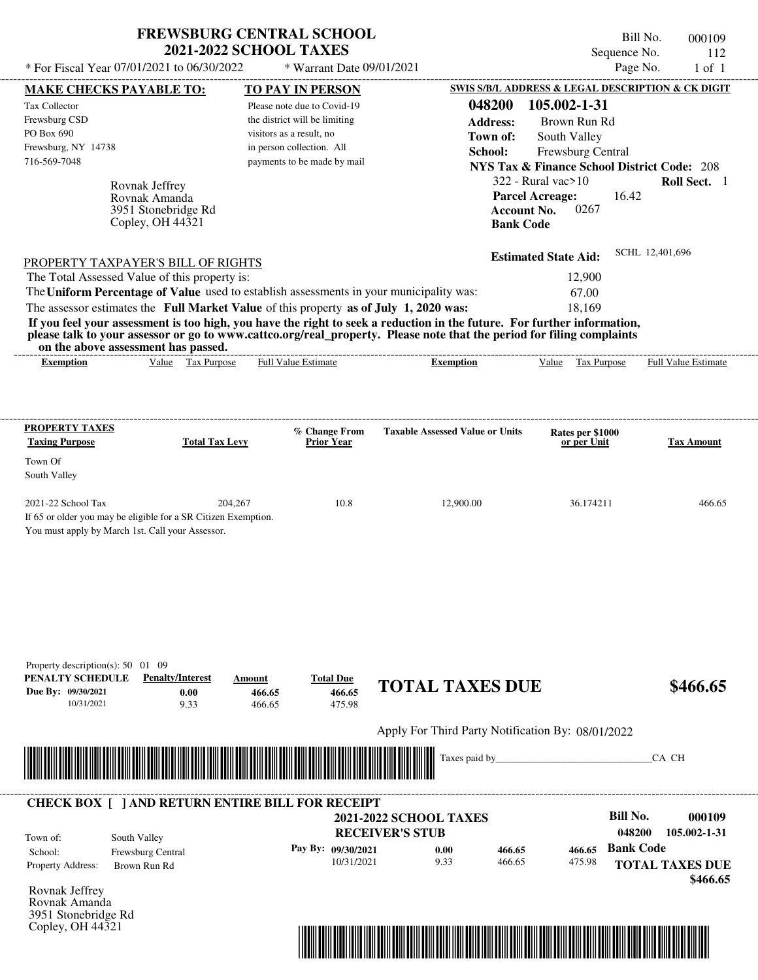|                                                                                                                                                                                                                                                                                                                | <b>FREWSBURG CENTRAL SCHOOL</b><br><b>2021-2022 SCHOOL TAXES</b> |                                                                                                                                                                                 |                                                                                                                                                                                                                                                  | Bill No.<br>Sequence No.                                                                                                                                                                                                                               | 000109<br>112               |
|----------------------------------------------------------------------------------------------------------------------------------------------------------------------------------------------------------------------------------------------------------------------------------------------------------------|------------------------------------------------------------------|---------------------------------------------------------------------------------------------------------------------------------------------------------------------------------|--------------------------------------------------------------------------------------------------------------------------------------------------------------------------------------------------------------------------------------------------|--------------------------------------------------------------------------------------------------------------------------------------------------------------------------------------------------------------------------------------------------------|-----------------------------|
| * For Fiscal Year 07/01/2021 to 06/30/2022                                                                                                                                                                                                                                                                     |                                                                  | * Warrant Date 09/01/2021                                                                                                                                                       |                                                                                                                                                                                                                                                  | Page No.                                                                                                                                                                                                                                               | $1$ of $1$                  |
| <b>MAKE CHECKS PAYABLE TO:</b><br>Tax Collector<br>Frewsburg CSD<br>PO Box 690<br>Frewsburg, NY 14738<br>716-569-7048<br>Rovnak Jeffrey<br>Rovnak Amanda<br>Copley, OH $44\overline{3}21$                                                                                                                      | 3951 Stonebridge Rd                                              | <b>TO PAY IN PERSON</b><br>Please note due to Covid-19<br>the district will be limiting<br>visitors as a result, no<br>in person collection. All<br>payments to be made by mail | 048200<br><b>Address:</b><br>Town of:<br>School:<br><b>Account No.</b><br><b>Bank Code</b>                                                                                                                                                       | SWIS S/B/L ADDRESS & LEGAL DESCRIPTION & CK DIGIT<br>105.002-1-31<br>Brown Run Rd<br>South Valley<br>Frewsburg Central<br><b>NYS Tax &amp; Finance School District Code: 208</b><br>$322$ - Rural vac $>10$<br><b>Parcel Acreage:</b><br>16.42<br>0267 | Roll Sect. 1                |
| PROPERTY TAXPAYER'S BILL OF RIGHTS<br>The Total Assessed Value of this property is:<br>The Uniform Percentage of Value used to establish assessments in your municipality was:<br>The assessor estimates the Full Market Value of this property as of July 1, 2020 was:<br>on the above assessment has passed. |                                                                  |                                                                                                                                                                                 | If you feel your assessment is too high, you have the right to seek a reduction in the future. For further information,<br>please talk to your assessor or go to www.cattco.org/real_property. Please note that the period for filing complaints | <b>Estimated State Aid:</b><br>12,900<br>67.00<br>18,169                                                                                                                                                                                               | SCHL 12,401,696             |
| <b>Exemption</b>                                                                                                                                                                                                                                                                                               | Value Tax Purpose                                                | <b>Full Value Estimate</b>                                                                                                                                                      | <b>Exemption</b>                                                                                                                                                                                                                                 | Value<br>Tax Purpose                                                                                                                                                                                                                                   | <b>Full Value Estimate</b>  |
| <b>PROPERTY TAXES</b><br><b>Taxing Purpose</b><br>Town Of<br>South Valley<br>2021-22 School Tax<br>If 65 or older you may be eligible for a SR Citizen Exemption.<br>You must apply by March 1st. Call your Assessor.                                                                                          | <b>Total Tax Levy</b><br>204,267                                 | % Change From<br>Prior Year<br>10.8                                                                                                                                             | <b>Taxable Assessed Value or Units</b><br>12,900.00                                                                                                                                                                                              | Rates per \$1000<br>or per Unit<br>36.174211                                                                                                                                                                                                           | <b>Tax Amount</b><br>466.65 |
| Property description(s): 50 01 09<br>PENALTY SCHEDULE<br>Due By: 09/30/2021<br>10/31/2021                                                                                                                                                                                                                      | <b>Penalty/Interest</b><br>Amount<br>0.00<br>466.65              | <b>Total Due</b><br>466.65                                                                                                                                                      | <b>TOTAL TAXES DUE</b>                                                                                                                                                                                                                           |                                                                                                                                                                                                                                                        | \$466.65                    |
|                                                                                                                                                                                                                                                                                                                | 9.33<br>466.65                                                   | 475.98                                                                                                                                                                          | Apply For Third Party Notification By: 08/01/2022                                                                                                                                                                                                |                                                                                                                                                                                                                                                        |                             |
|                                                                                                                                                                                                                                                                                                                |                                                                  |                                                                                                                                                                                 |                                                                                                                                                                                                                                                  |                                                                                                                                                                                                                                                        |                             |
|                                                                                                                                                                                                                                                                                                                |                                                                  |                                                                                                                                                                                 | Taxes paid by_                                                                                                                                                                                                                                   |                                                                                                                                                                                                                                                        | CA CH                       |
| <b>CHECK BOX [ ] AND RETURN ENTIRE BILL FOR RECEIPT</b>                                                                                                                                                                                                                                                        |                                                                  |                                                                                                                                                                                 |                                                                                                                                                                                                                                                  |                                                                                                                                                                                                                                                        |                             |
|                                                                                                                                                                                                                                                                                                                |                                                                  |                                                                                                                                                                                 | <b>2021-2022 SCHOOL TAXES</b>                                                                                                                                                                                                                    | <b>Bill No.</b>                                                                                                                                                                                                                                        | 000109                      |
| South Valley<br>Town of:<br>Frewsburg Central<br>School:                                                                                                                                                                                                                                                       |                                                                  | Pay By: 09/30/2021                                                                                                                                                              | <b>RECEIVER'S STUB</b><br>0.00<br>466.65                                                                                                                                                                                                         | 048200<br><b>Bank Code</b><br>466.65                                                                                                                                                                                                                   | 105.002-1-31                |

Rovnak Jeffrey Rovnak Amanda 3951 Stonebridge Rd Copley, OH 44321



 **\$466.65**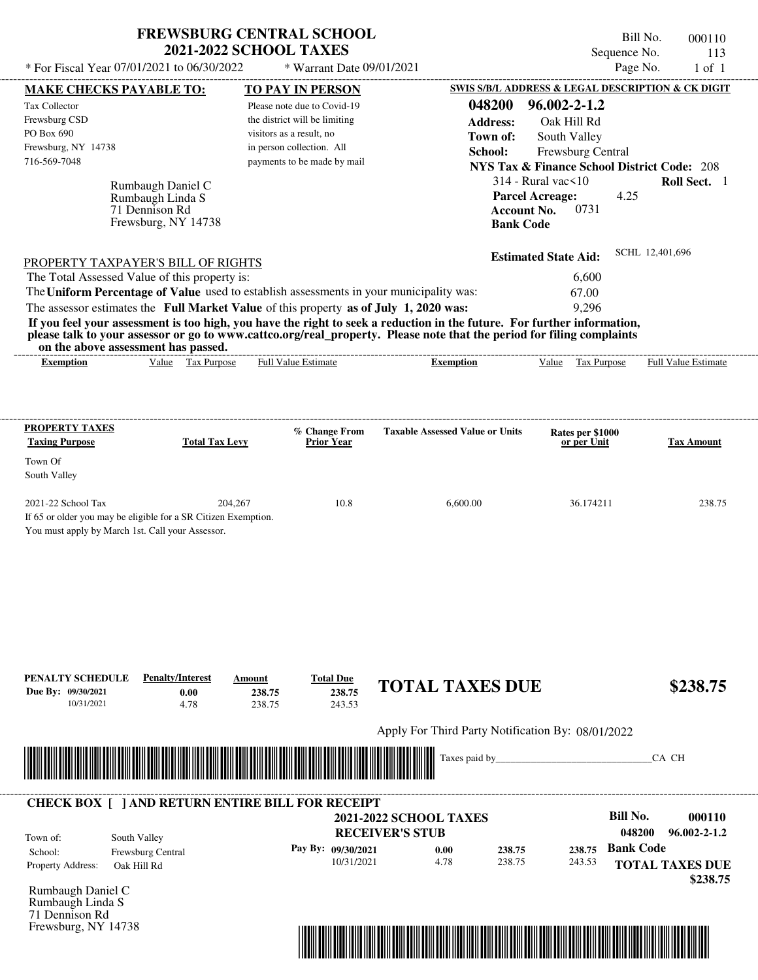| <b>FREWSBURG CENTRAL SCHOOL</b> |  |
|---------------------------------|--|
| <b>2021-2022 SCHOOL TAXES</b>   |  |

Bill No. 000110 Sequence No. 113

| * For Fiscal Year 07/01/2021 to 06/30/2022                                                                              | * Warrant Date 09/01/2021                                |                                                   |                                                        | Page No.<br>$1$ of $1$           |
|-------------------------------------------------------------------------------------------------------------------------|----------------------------------------------------------|---------------------------------------------------|--------------------------------------------------------|----------------------------------|
| <b>MAKE CHECKS PAYABLE TO:</b>                                                                                          | <b>TO PAY IN PERSON</b>                                  |                                                   | SWIS S/B/L ADDRESS & LEGAL DESCRIPTION & CK DIGIT      |                                  |
| Tax Collector                                                                                                           | Please note due to Covid-19                              | 048200                                            | 96.002-2-1.2                                           |                                  |
| Frewsburg CSD                                                                                                           | the district will be limiting                            | <b>Address:</b>                                   | Oak Hill Rd                                            |                                  |
| PO Box 690                                                                                                              | visitors as a result, no                                 | Town of:                                          | South Valley                                           |                                  |
| Frewsburg, NY 14738<br>716-569-7048                                                                                     | in person collection. All<br>payments to be made by mail | School:                                           | Frewsburg Central                                      |                                  |
|                                                                                                                         |                                                          |                                                   | <b>NYS Tax &amp; Finance School District Code: 208</b> |                                  |
| Rumbaugh Daniel C                                                                                                       |                                                          |                                                   | $314$ - Rural vac $\leq 10$                            | Roll Sect. 1                     |
| Rumbaugh Linda S<br>71 Dennison Rd                                                                                      |                                                          | <b>Account No.</b>                                | 4.25<br><b>Parcel Acreage:</b><br>0731                 |                                  |
| Frewsburg, NY 14738                                                                                                     |                                                          | <b>Bank Code</b>                                  |                                                        |                                  |
|                                                                                                                         |                                                          |                                                   |                                                        |                                  |
|                                                                                                                         |                                                          |                                                   | <b>Estimated State Aid:</b>                            | SCHL 12,401,696                  |
| PROPERTY TAXPAYER'S BILL OF RIGHTS<br>The Total Assessed Value of this property is:                                     |                                                          |                                                   | 6,600                                                  |                                  |
| The Uniform Percentage of Value used to establish assessments in your municipality was:                                 |                                                          |                                                   | 67.00                                                  |                                  |
| The assessor estimates the Full Market Value of this property as of July 1, 2020 was:                                   |                                                          |                                                   | 9,296                                                  |                                  |
| If you feel your assessment is too high, you have the right to seek a reduction in the future. For further information, |                                                          |                                                   |                                                        |                                  |
| please talk to your assessor or go to www.cattco.org/real_property. Please note that the period for filing complaints   |                                                          |                                                   |                                                        |                                  |
| on the above assessment has passed.                                                                                     |                                                          |                                                   |                                                        |                                  |
| Value Tax Purpose<br><b>Exemption</b>                                                                                   | <b>Full Value Estimate</b>                               | <b>Exemption</b>                                  | Value Tax Purpose                                      | Full Value Estimate              |
|                                                                                                                         |                                                          |                                                   |                                                        |                                  |
|                                                                                                                         |                                                          |                                                   |                                                        |                                  |
| <b>PROPERTY TAXES</b>                                                                                                   |                                                          |                                                   |                                                        |                                  |
| <b>Taxing Purpose</b><br><b>Total Tax Levy</b>                                                                          | % Change From<br><b>Prior Year</b>                       | <b>Taxable Assessed Value or Units</b>            | Rates per \$1000<br>or per Unit                        | <b>Tax Amount</b>                |
| Town Of                                                                                                                 |                                                          |                                                   |                                                        |                                  |
| South Valley                                                                                                            |                                                          |                                                   |                                                        |                                  |
|                                                                                                                         |                                                          |                                                   |                                                        |                                  |
| 2021-22 School Tax                                                                                                      | 204,267<br>10.8                                          | 6,600.00                                          | 36.174211                                              | 238.75                           |
| If 65 or older you may be eligible for a SR Citizen Exemption.                                                          |                                                          |                                                   |                                                        |                                  |
| You must apply by March 1st. Call your Assessor.                                                                        |                                                          |                                                   |                                                        |                                  |
|                                                                                                                         |                                                          |                                                   |                                                        |                                  |
|                                                                                                                         |                                                          |                                                   |                                                        |                                  |
|                                                                                                                         |                                                          |                                                   |                                                        |                                  |
|                                                                                                                         |                                                          |                                                   |                                                        |                                  |
|                                                                                                                         |                                                          |                                                   |                                                        |                                  |
|                                                                                                                         |                                                          |                                                   |                                                        |                                  |
|                                                                                                                         |                                                          |                                                   |                                                        |                                  |
| <b>Penalty/Interest</b><br>PENALTY SCHEDULE                                                                             | <b>Total Due</b><br>Amount                               | <b>TOTAL TAXES DUE</b>                            |                                                        | \$238.75                         |
| Due By: 09/30/2021<br>0.00                                                                                              | 238.75<br>238.75                                         |                                                   |                                                        |                                  |
| 10/31/2021<br>4.78                                                                                                      | 238.75<br>243.53                                         |                                                   |                                                        |                                  |
|                                                                                                                         |                                                          | Apply For Third Party Notification By: 08/01/2022 |                                                        |                                  |
|                                                                                                                         |                                                          |                                                   |                                                        |                                  |
|                                                                                                                         |                                                          |                                                   |                                                        |                                  |
|                                                                                                                         |                                                          | Taxes paid by_                                    |                                                        | CA CH                            |
|                                                                                                                         |                                                          |                                                   |                                                        |                                  |
|                                                                                                                         |                                                          |                                                   |                                                        |                                  |
|                                                                                                                         |                                                          |                                                   | <b>Bill No.</b>                                        |                                  |
|                                                                                                                         |                                                          | <b>2021-2022 SCHOOL TAXES</b>                     |                                                        | 000110<br>96.002-2-1.2<br>048200 |
| <b>CHECK BOX [ ] AND RETURN ENTIRE BILL FOR RECEIPT</b><br>South Valley<br>Town of:                                     |                                                          | <b>RECEIVER'S STUB</b>                            |                                                        |                                  |
| Frewsburg Central<br>School:                                                                                            | Pay By: 09/30/2021<br>10/31/2021                         | 0.00<br>238.75<br>4.78<br>238.75                  | 238.75<br>243.53                                       | <b>Bank Code</b>                 |
| Oak Hill Rd                                                                                                             |                                                          |                                                   |                                                        | <b>TOTAL TAXES DUE</b>           |
|                                                                                                                         |                                                          |                                                   |                                                        | \$238.75                         |
| Rumbaugh Linda S<br>71 Dennison Rd                                                                                      |                                                          |                                                   |                                                        |                                  |
| Property Address:<br>Rumbaugh Daniel C                                                                                  |                                                          |                                                   |                                                        |                                  |

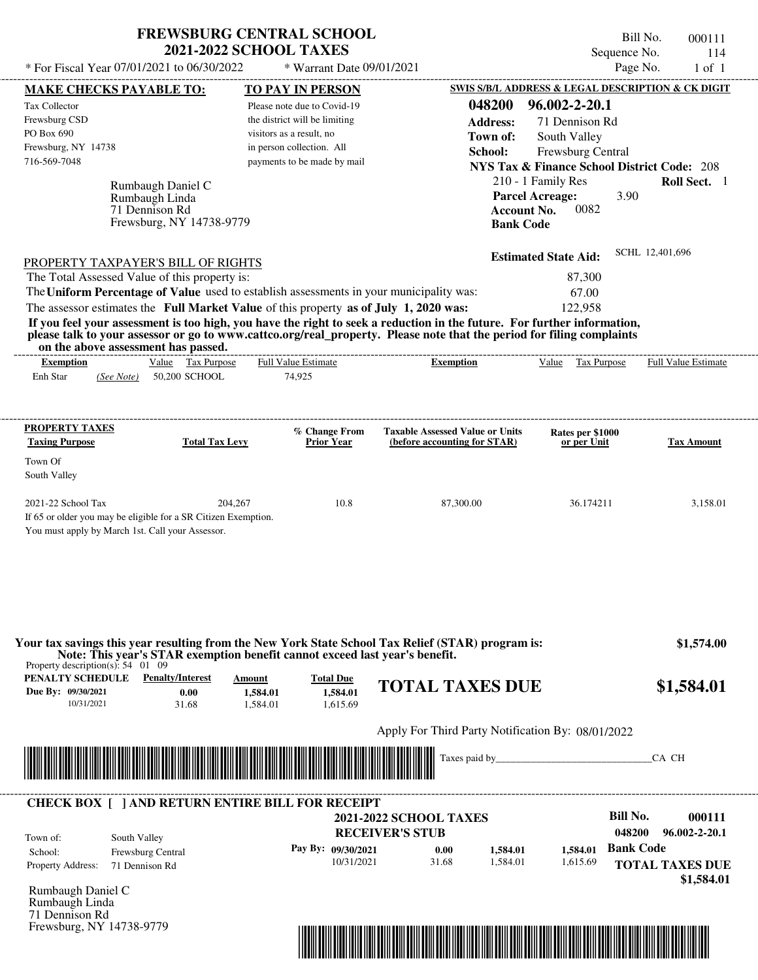| <b>FREWSBURG CENTRAL SCHOOL</b> |
|---------------------------------|
| <b>2021-2022 SCHOOL TAXES</b>   |

Bill No. 000111 Sequence No. 114<br>Page No. 1 of 1

| * For Fiscal Year 07/01/2021 to 06/30/2022                                                                                                                                                                                           |                       | * Warrant Date 09/01/2021                             |                                                      |                                                                              | Page No.               | $1$ of $1$                 |
|--------------------------------------------------------------------------------------------------------------------------------------------------------------------------------------------------------------------------------------|-----------------------|-------------------------------------------------------|------------------------------------------------------|------------------------------------------------------------------------------|------------------------|----------------------------|
| <b>MAKE CHECKS PAYABLE TO:</b>                                                                                                                                                                                                       |                       | <b>TO PAY IN PERSON</b>                               |                                                      | SWIS S/B/L ADDRESS & LEGAL DESCRIPTION & CK DIGIT                            |                        |                            |
| <b>Tax Collector</b>                                                                                                                                                                                                                 |                       | Please note due to Covid-19                           | 048200                                               | 96.002-2-20.1                                                                |                        |                            |
| Frewsburg CSD                                                                                                                                                                                                                        |                       | the district will be limiting                         | <b>Address:</b>                                      | 71 Dennison Rd                                                               |                        |                            |
| PO Box 690<br>Frewsburg, NY 14738                                                                                                                                                                                                    |                       | visitors as a result, no<br>in person collection. All | Town of:                                             | South Valley                                                                 |                        |                            |
| 716-569-7048                                                                                                                                                                                                                         |                       | payments to be made by mail                           | School:                                              | Frewsburg Central                                                            |                        |                            |
|                                                                                                                                                                                                                                      |                       |                                                       |                                                      | <b>NYS Tax &amp; Finance School District Code: 208</b><br>210 - 1 Family Res |                        | Roll Sect. 1               |
| Rumbaugh Daniel C                                                                                                                                                                                                                    |                       |                                                       |                                                      | <b>Parcel Acreage:</b>                                                       | 3.90                   |                            |
| Rumbaugh Linda<br>71 Dennison Rd                                                                                                                                                                                                     |                       |                                                       |                                                      | <b>Account No.</b><br>0082                                                   |                        |                            |
| Frewsburg, NY 14738-9779                                                                                                                                                                                                             |                       |                                                       | <b>Bank Code</b>                                     |                                                                              |                        |                            |
|                                                                                                                                                                                                                                      |                       |                                                       |                                                      |                                                                              | SCHL 12,401,696        |                            |
| PROPERTY TAXPAYER'S BILL OF RIGHTS                                                                                                                                                                                                   |                       |                                                       |                                                      | <b>Estimated State Aid:</b>                                                  |                        |                            |
| The Total Assessed Value of this property is:<br>The Uniform Percentage of Value used to establish assessments in your municipality was:                                                                                             |                       |                                                       |                                                      | 87,300                                                                       |                        |                            |
| The assessor estimates the Full Market Value of this property as of July 1, 2020 was:                                                                                                                                                |                       |                                                       |                                                      | 67.00<br>122,958                                                             |                        |                            |
| If you feel your assessment is too high, you have the right to seek a reduction in the future. For further information,                                                                                                              |                       |                                                       |                                                      |                                                                              |                        |                            |
| please talk to your assessor or go to www.cattco.org/real_property. Please note that the period for filing complaints<br>on the above assessment has passed.                                                                         |                       |                                                       |                                                      |                                                                              |                        |                            |
| <b>Exemption</b>                                                                                                                                                                                                                     | Value Tax Purpose     | Full Value Estimate                                   | --------------------------------<br><b>Exemption</b> | Value Tax Purpose                                                            |                        | <b>Full Value Estimate</b> |
| Enh Star<br>50,200 SCHOOL<br>(See Note)                                                                                                                                                                                              |                       | 74,925                                                |                                                      |                                                                              |                        |                            |
|                                                                                                                                                                                                                                      |                       |                                                       |                                                      |                                                                              |                        |                            |
| <b>PROPERTY TAXES</b>                                                                                                                                                                                                                |                       | % Change From                                         | <b>Taxable Assessed Value or Units</b>               | Rates per \$1000                                                             |                        |                            |
| <b>Taxing Purpose</b>                                                                                                                                                                                                                | <b>Total Tax Levy</b> | <b>Prior Year</b>                                     | (before accounting for STAR)                         | or per Unit                                                                  |                        | <b>Tax Amount</b>          |
| Town Of<br>South Valley                                                                                                                                                                                                              |                       |                                                       |                                                      |                                                                              |                        |                            |
| 2021-22 School Tax                                                                                                                                                                                                                   | 204,267               | 10.8                                                  | 87,300.00                                            | 36.174211                                                                    |                        | 3,158.01                   |
| If 65 or older you may be eligible for a SR Citizen Exemption.                                                                                                                                                                       |                       |                                                       |                                                      |                                                                              |                        |                            |
| You must apply by March 1st. Call your Assessor.                                                                                                                                                                                     |                       |                                                       |                                                      |                                                                              |                        |                            |
|                                                                                                                                                                                                                                      |                       |                                                       |                                                      |                                                                              |                        |                            |
|                                                                                                                                                                                                                                      |                       |                                                       |                                                      |                                                                              |                        |                            |
| Your tax savings this year resulting from the New York State School Tax Relief (STAR) program is:                                                                                                                                    |                       |                                                       |                                                      |                                                                              |                        | \$1,574.00                 |
| Note: This year's STAR exemption benefit cannot exceed last year's benefit.<br>Property description(s): $54 \quad 01 \quad 09$                                                                                                       |                       |                                                       |                                                      |                                                                              |                        |                            |
| <b>PENALTY SCHEDULE</b> Penalty/Interest                                                                                                                                                                                             | Amount                | <b>Total Due</b>                                      | <b>TOTAL TAXES DUE</b>                               |                                                                              |                        |                            |
| Due By: 09/30/2021<br>0.00                                                                                                                                                                                                           | 1,584.01              | 1,584.01                                              |                                                      |                                                                              |                        | \$1,584.01                 |
| 10/31/2021<br>31.68                                                                                                                                                                                                                  | 1,584.01              | 1,615.69                                              |                                                      |                                                                              |                        |                            |
|                                                                                                                                                                                                                                      |                       |                                                       | Apply For Third Party Notification By: 08/01/2022    |                                                                              |                        |                            |
| <u> Indian American State of Barbara and The Barbara and The Barbara and The Barbara and The Barbara and The Barbara and The Barbara and The Barbara and The Barbara and The Barbara and The Barbara and The Barbara and The Bar</u> |                       |                                                       |                                                      |                                                                              | CA CH                  |                            |
|                                                                                                                                                                                                                                      |                       |                                                       |                                                      |                                                                              |                        |                            |
| <b>CHECK BOX [ ] AND RETURN ENTIRE BILL FOR RECEIPT</b>                                                                                                                                                                              |                       |                                                       |                                                      |                                                                              |                        |                            |
|                                                                                                                                                                                                                                      |                       |                                                       | <b>2021-2022 SCHOOL TAXES</b>                        |                                                                              | <b>Bill No.</b>        | 000111                     |
| South Valley<br>Town of:                                                                                                                                                                                                             |                       |                                                       | <b>RECEIVER'S STUB</b>                               |                                                                              | 048200                 | $96.002 - 2 - 20.1$        |
| School:<br>Frewsburg Central                                                                                                                                                                                                         |                       | Pay By: 09/30/2021                                    | 0.00<br>1,584.01                                     | 1,584.01                                                                     | <b>Bank Code</b>       |                            |
| Property Address:<br>71 Dennison Rd                                                                                                                                                                                                  |                       | 10/31/2021                                            | 31.68<br>1,584.01                                    | 1,615.69                                                                     | <b>TOTAL TAXES DUE</b> |                            |
| Rumbaugh Daniel C                                                                                                                                                                                                                    |                       |                                                       |                                                      |                                                                              |                        | \$1,584.01                 |
| Rumbaugh Linda                                                                                                                                                                                                                       |                       |                                                       |                                                      |                                                                              |                        |                            |
| 71 Dennison Rd<br>Frewsburg, NY 14738-9779                                                                                                                                                                                           |                       |                                                       |                                                      |                                                                              |                        |                            |
|                                                                                                                                                                                                                                      |                       |                                                       |                                                      |                                                                              |                        |                            |
|                                                                                                                                                                                                                                      |                       |                                                       |                                                      |                                                                              |                        |                            |
|                                                                                                                                                                                                                                      |                       |                                                       |                                                      |                                                                              |                        |                            |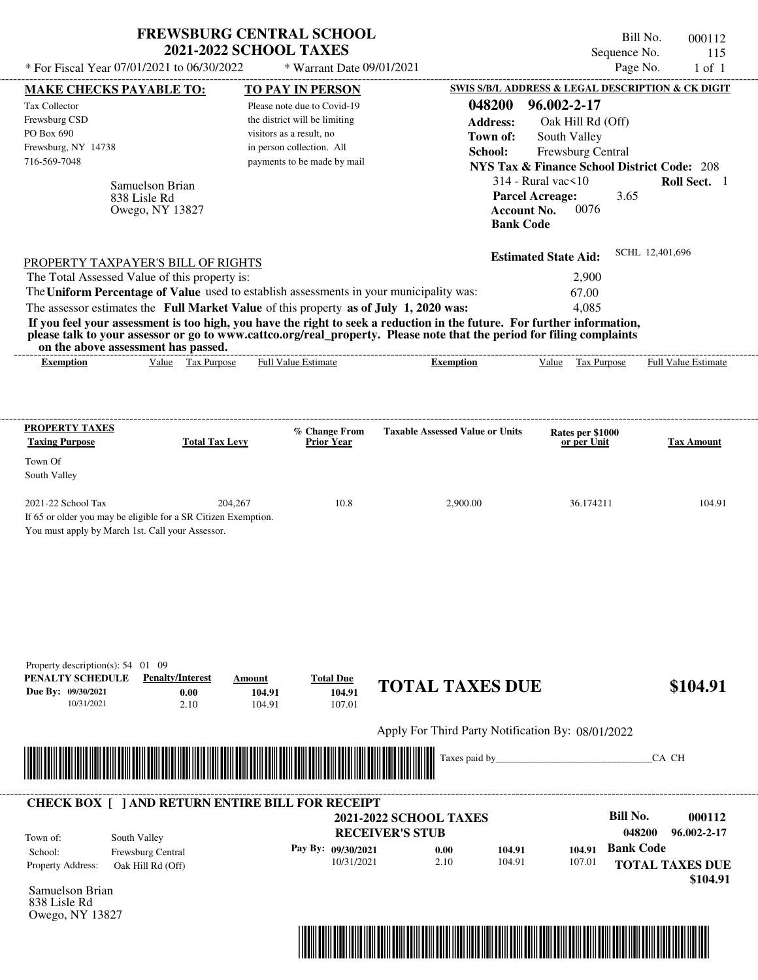| * For Fiscal Year 07/01/2021 to 06/30/2022                                                                                                                                                                                                                              | <b>FREWSBURG CENTRAL SCHOOL</b>                                           | <b>2021-2022 SCHOOL TAXES</b>                                                                                                                                                   | * Warrant Date 09/01/2021                                  |                                                                                                                                                                                                                                                  |                                                                                                                                                                                                                                            | Bill No.<br>000112<br>Sequence No.<br>115<br>Page No.<br>$1$ of $1$                                          |
|-------------------------------------------------------------------------------------------------------------------------------------------------------------------------------------------------------------------------------------------------------------------------|---------------------------------------------------------------------------|---------------------------------------------------------------------------------------------------------------------------------------------------------------------------------|------------------------------------------------------------|--------------------------------------------------------------------------------------------------------------------------------------------------------------------------------------------------------------------------------------------------|--------------------------------------------------------------------------------------------------------------------------------------------------------------------------------------------------------------------------------------------|--------------------------------------------------------------------------------------------------------------|
| MAKE CHECKS PAYABLE TO:                                                                                                                                                                                                                                                 |                                                                           |                                                                                                                                                                                 |                                                            |                                                                                                                                                                                                                                                  |                                                                                                                                                                                                                                            | SWIS S/B/L ADDRESS & LEGAL DESCRIPTION & CK DIGIT                                                            |
| Tax Collector<br>Frewsburg CSD<br>PO Box 690<br>Frewsburg, NY 14738<br>716-569-7048                                                                                                                                                                                     | Samuelson Brian<br>838 Lisle Rd<br>Owego, NY 13827                        | <b>TO PAY IN PERSON</b><br>Please note due to Covid-19<br>the district will be limiting<br>visitors as a result, no<br>in person collection. All<br>payments to be made by mail |                                                            | 048200<br><b>Address:</b><br>Town of:<br>School:                                                                                                                                                                                                 | 96.002-2-17<br>Oak Hill Rd (Off)<br>South Valley<br>Frewsburg Central<br><b>NYS Tax &amp; Finance School District Code: 208</b><br>$314$ - Rural vac $\leq 10$<br><b>Parcel Acreage:</b><br>0076<br><b>Account No.</b><br><b>Bank Code</b> | Roll Sect. 1<br>3.65                                                                                         |
| PROPERTY TAXPAYER'S BILL OF RIGHTS<br>The Total Assessed Value of this property is:<br>The Uniform Percentage of Value used to establish assessments in your municipality was:<br>The assessor estimates the Full Market Value of this property as of July 1, 2020 was: | on the above assessment has passed.                                       |                                                                                                                                                                                 |                                                            | If you feel your assessment is too high, you have the right to seek a reduction in the future. For further information,<br>please talk to your assessor or go to www.cattco.org/real_property. Please note that the period for filing complaints | <b>Estimated State Aid:</b><br>2,900<br>67.00<br>4.085                                                                                                                                                                                     | SCHL 12,401,696                                                                                              |
| <b>Exemption</b>                                                                                                                                                                                                                                                        | Value Tax Purpose                                                         | Full Value Estimate                                                                                                                                                             |                                                            | <b>Exemption</b>                                                                                                                                                                                                                                 | Value Tax Purpose                                                                                                                                                                                                                          | Full Value Estimate                                                                                          |
| Town Of<br>South Valley<br>2021-22 School Tax<br>You must apply by March 1st. Call your Assessor.                                                                                                                                                                       | 204,267<br>If 65 or older you may be eligible for a SR Citizen Exemption. |                                                                                                                                                                                 | 10.8                                                       | 2,900.00                                                                                                                                                                                                                                         | 36.174211                                                                                                                                                                                                                                  | 104.91                                                                                                       |
| Property description(s): $54$ 01 09<br>PENALTY SCHEDULE<br>Due By: 09/30/2021<br>10/31/2021                                                                                                                                                                             | <b>Penalty/Interest</b><br>0.00<br>2.10                                   | Amount<br>104.91<br>104.91                                                                                                                                                      | <b>Total Due</b><br>104.91<br>107.01                       | <b>TOTAL TAXES DUE</b>                                                                                                                                                                                                                           |                                                                                                                                                                                                                                            | \$104.91                                                                                                     |
|                                                                                                                                                                                                                                                                         |                                                                           |                                                                                                                                                                                 |                                                            | Apply For Third Party Notification By: 08/01/2022                                                                                                                                                                                                |                                                                                                                                                                                                                                            |                                                                                                              |
|                                                                                                                                                                                                                                                                         |                                                                           |                                                                                                                                                                                 |                                                            | Taxes paid by                                                                                                                                                                                                                                    |                                                                                                                                                                                                                                            | CA CH                                                                                                        |
| <b>CHECK BOX [ ] AND RETURN ENTIRE BILL FOR RECEIPT</b><br>Town of:<br>School:<br>Property Address:<br>Samuelson Brian<br>838 Lisle Rd<br>Owego, NY 13827                                                                                                               | South Valley<br>Frewsburg Central<br>Oak Hill Rd (Off)                    |                                                                                                                                                                                 | <b>RECEIVER'S STUB</b><br>Pay By: 09/30/2021<br>10/31/2021 | <b>2021-2022 SCHOOL TAXES</b><br>0.00<br>104.91<br>2.10<br>104.91                                                                                                                                                                                | 104.91<br>107.01                                                                                                                                                                                                                           | <b>Bill No.</b><br>000112<br>048200<br>96.002-2-17<br><b>Bank Code</b><br><b>TOTAL TAXES DUE</b><br>\$104.91 |

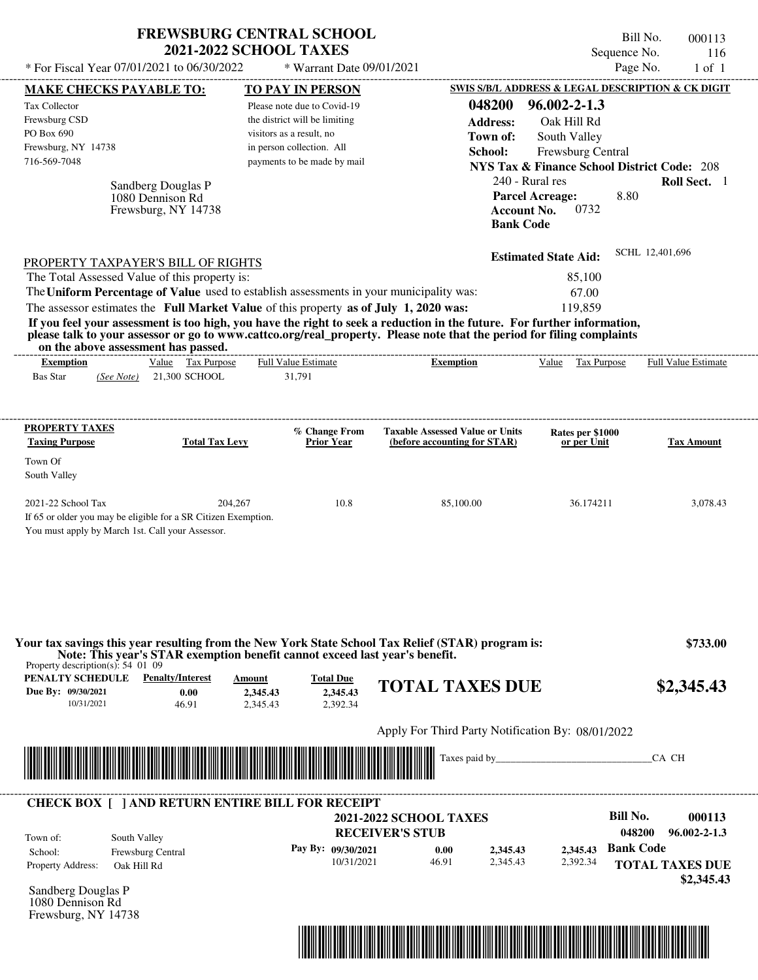|                                                                                                                                                                                                                                                  | <b>FREWSBURG CENTRAL SCHOOL</b><br><b>2021-2022 SCHOOL TAXES</b> |                                                   |                                                        | Bill No.<br>000113           |
|--------------------------------------------------------------------------------------------------------------------------------------------------------------------------------------------------------------------------------------------------|------------------------------------------------------------------|---------------------------------------------------|--------------------------------------------------------|------------------------------|
| * For Fiscal Year 07/01/2021 to 06/30/2022                                                                                                                                                                                                       | * Warrant Date 09/01/2021                                        |                                                   | Sequence No.<br>Page No.                               | 116<br>$1$ of $1$            |
|                                                                                                                                                                                                                                                  |                                                                  |                                                   |                                                        |                              |
| <b>MAKE CHECKS PAYABLE TO:</b>                                                                                                                                                                                                                   | <b>TO PAY IN PERSON</b>                                          |                                                   | SWIS S/B/L ADDRESS & LEGAL DESCRIPTION & CK DIGIT      |                              |
| Tax Collector                                                                                                                                                                                                                                    | Please note due to Covid-19                                      | 048200                                            | $96.002 - 2 - 1.3$                                     |                              |
| Frewsburg CSD<br>PO Box 690                                                                                                                                                                                                                      | the district will be limiting                                    | <b>Address:</b>                                   | Oak Hill Rd                                            |                              |
|                                                                                                                                                                                                                                                  | visitors as a result, no<br>in person collection. All            | Town of:                                          | South Valley                                           |                              |
| Frewsburg, NY 14738<br>716-569-7048                                                                                                                                                                                                              | payments to be made by mail                                      | School:                                           | Frewsburg Central                                      |                              |
|                                                                                                                                                                                                                                                  |                                                                  |                                                   | <b>NYS Tax &amp; Finance School District Code: 208</b> |                              |
| Sandberg Douglas P                                                                                                                                                                                                                               |                                                                  |                                                   | 240 - Rural res                                        | Roll Sect. 1                 |
| 1080 Dennison Rd                                                                                                                                                                                                                                 |                                                                  |                                                   | 8.80<br><b>Parcel Acreage:</b>                         |                              |
| Frewsburg, NY 14738                                                                                                                                                                                                                              |                                                                  | <b>Account No.</b><br><b>Bank Code</b>            | 0732                                                   |                              |
|                                                                                                                                                                                                                                                  |                                                                  |                                                   |                                                        |                              |
| PROPERTY TAXPAYER'S BILL OF RIGHTS                                                                                                                                                                                                               |                                                                  |                                                   | <b>Estimated State Aid:</b>                            | SCHL 12,401,696              |
| The Total Assessed Value of this property is:                                                                                                                                                                                                    |                                                                  |                                                   | 85,100                                                 |                              |
| The Uniform Percentage of Value used to establish assessments in your municipality was:                                                                                                                                                          |                                                                  |                                                   | 67.00                                                  |                              |
| The assessor estimates the Full Market Value of this property as of July 1, 2020 was:                                                                                                                                                            |                                                                  |                                                   | 119,859                                                |                              |
| If you feel your assessment is too high, you have the right to seek a reduction in the future. For further information,<br>please talk to your assessor or go to www.cattco.org/real_property. Please note that the period for filing complaints |                                                                  |                                                   |                                                        |                              |
| on the above assessment has passed.                                                                                                                                                                                                              |                                                                  |                                                   |                                                        |                              |
| Value Tax Purpose<br><b>Exemption</b>                                                                                                                                                                                                            | <b>Full Value Estimate</b>                                       | <b>Exemption</b>                                  | Value Tax Purpose                                      | Full Value Estimate          |
| <b>Bas Star</b><br>21,300 SCHOOL<br>(See Note)                                                                                                                                                                                                   | 31,791                                                           |                                                   |                                                        |                              |
|                                                                                                                                                                                                                                                  |                                                                  |                                                   |                                                        |                              |
| <b>PROPERTY TAXES</b>                                                                                                                                                                                                                            |                                                                  | <b>Taxable Assessed Value or Units</b>            |                                                        |                              |
| <b>Taxing Purpose</b><br><b>Total Tax Levy</b>                                                                                                                                                                                                   | % Change From<br><b>Prior Year</b>                               | (before accounting for STAR)                      | Rates per \$1000<br>or per Unit                        | <b>Tax Amount</b>            |
| Town Of                                                                                                                                                                                                                                          |                                                                  |                                                   |                                                        |                              |
| South Valley                                                                                                                                                                                                                                     |                                                                  |                                                   |                                                        |                              |
|                                                                                                                                                                                                                                                  |                                                                  |                                                   |                                                        |                              |
| 2021-22 School Tax<br>204,267                                                                                                                                                                                                                    | 10.8                                                             | 85,100.00                                         | 36.174211                                              | 3,078.43                     |
| If 65 or older you may be eligible for a SR Citizen Exemption.                                                                                                                                                                                   |                                                                  |                                                   |                                                        |                              |
| You must apply by March 1st. Call your Assessor.                                                                                                                                                                                                 |                                                                  |                                                   |                                                        |                              |
|                                                                                                                                                                                                                                                  |                                                                  |                                                   |                                                        |                              |
|                                                                                                                                                                                                                                                  |                                                                  |                                                   |                                                        |                              |
|                                                                                                                                                                                                                                                  |                                                                  |                                                   |                                                        |                              |
| Your tax savings this year resulting from the New York State School Tax Relief (STAR) program is:                                                                                                                                                |                                                                  |                                                   |                                                        | \$733.00                     |
| Note: This year's STAR exemption benefit cannot exceed last year's benefit.<br>Property description(s): $54\,$ 01 09                                                                                                                             |                                                                  |                                                   |                                                        |                              |
| <b>PENALTY SCHEDULE</b> Penalty/Interest                                                                                                                                                                                                         | <b>Total Due</b><br>Amount                                       |                                                   |                                                        |                              |
| Due By: 09/30/2021<br>0.00                                                                                                                                                                                                                       | 2,345.43<br>2,345.43                                             | <b>TOTAL TAXES DUE</b>                            |                                                        | \$2,345.43                   |
| 10/31/2021<br>46.91                                                                                                                                                                                                                              | 2,392.34<br>2,345.43                                             |                                                   |                                                        |                              |
|                                                                                                                                                                                                                                                  |                                                                  | Apply For Third Party Notification By: 08/01/2022 |                                                        |                              |
|                                                                                                                                                                                                                                                  |                                                                  |                                                   |                                                        |                              |
|                                                                                                                                                                                                                                                  |                                                                  |                                                   | Taxes paid by                                          | CA CH                        |
|                                                                                                                                                                                                                                                  |                                                                  |                                                   |                                                        |                              |
| <b>CHECK BOX [ ] AND RETURN ENTIRE BILL FOR RECEIPT</b>                                                                                                                                                                                          |                                                                  |                                                   |                                                        |                              |
|                                                                                                                                                                                                                                                  |                                                                  | <b>2021-2022 SCHOOL TAXES</b>                     | <b>Bill No.</b>                                        | 000113                       |
| South Valley<br>Town of:                                                                                                                                                                                                                         |                                                                  | <b>RECEIVER'S STUB</b>                            |                                                        | 048200<br>$96.002 - 2 - 1.3$ |
| Frewsburg Central<br>School:                                                                                                                                                                                                                     | Pay By: 09/30/2021                                               | 0.00<br>2,345.43                                  | <b>Bank Code</b><br>2,345.43                           |                              |
| Property Address:<br>Oak Hill Rd                                                                                                                                                                                                                 | 10/31/2021                                                       | 46.91<br>2,345.43                                 | 2,392.34                                               | <b>TOTAL TAXES DUE</b>       |
| Sandberg Douglas P                                                                                                                                                                                                                               |                                                                  |                                                   |                                                        | \$2,345.43                   |
|                                                                                                                                                                                                                                                  |                                                                  |                                                   |                                                        |                              |

Sandberg Douglas P 1080 Dennison Rd Frewsburg, NY 14738

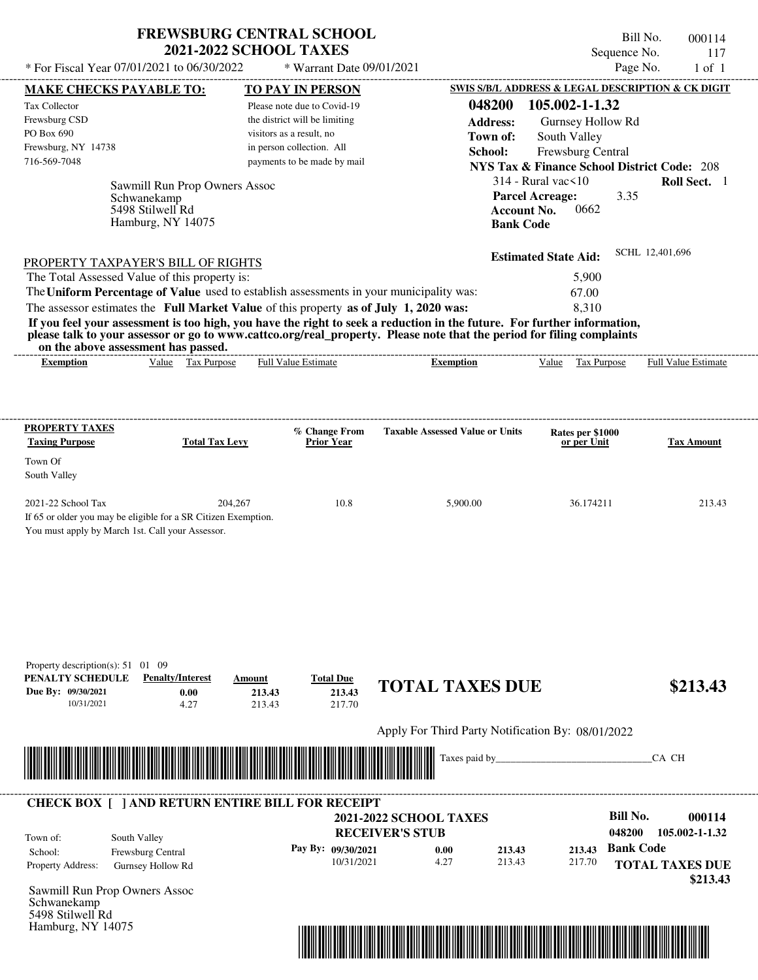## **FREWSBURG CENTRAL SCHOOL 2021-2022 SCHOOL TAXES**

Bill No. 000114 Sequence No. 117<br>Page No. 1 of 1

| * For Fiscal Year 07/01/2021 to 06/30/2022                                                                                               |                                                    | * Warrant Date 09/01/2021                                    |                                                                                                                                                                                                                                                                      |                                                                                             | Page No.<br>$1$ of $1$             |
|------------------------------------------------------------------------------------------------------------------------------------------|----------------------------------------------------|--------------------------------------------------------------|----------------------------------------------------------------------------------------------------------------------------------------------------------------------------------------------------------------------------------------------------------------------|---------------------------------------------------------------------------------------------|------------------------------------|
| <b>MAKE CHECKS PAYABLE TO:</b>                                                                                                           |                                                    | <b>TO PAY IN PERSON</b>                                      |                                                                                                                                                                                                                                                                      | SWIS S/B/L ADDRESS & LEGAL DESCRIPTION & CK DIGIT                                           |                                    |
| Tax Collector<br>Frewsburg CSD                                                                                                           |                                                    | Please note due to Covid-19<br>the district will be limiting | 048200                                                                                                                                                                                                                                                               | 105.002-1-1.32                                                                              |                                    |
| PO Box 690                                                                                                                               |                                                    | visitors as a result, no                                     | <b>Address:</b>                                                                                                                                                                                                                                                      | Gurnsey Hollow Rd                                                                           |                                    |
| Frewsburg, NY 14738                                                                                                                      |                                                    | in person collection. All                                    | Town of:                                                                                                                                                                                                                                                             | South Valley                                                                                |                                    |
| 716-569-7048                                                                                                                             |                                                    | payments to be made by mail                                  | School:                                                                                                                                                                                                                                                              | Frewsburg Central<br><b>NYS Tax &amp; Finance School District Code: 208</b>                 |                                    |
| Schwanekamp<br>5498 Stilwell Rd                                                                                                          | Sawmill Run Prop Owners Assoc<br>Hamburg, NY 14075 |                                                              | <b>Bank Code</b>                                                                                                                                                                                                                                                     | $314$ - Rural vac $\leq 10$<br><b>Parcel Acreage:</b><br>3.35<br><b>Account No.</b><br>0662 | Roll Sect. 1                       |
| PROPERTY TAXPAYER'S BILL OF RIGHTS                                                                                                       |                                                    |                                                              |                                                                                                                                                                                                                                                                      | <b>Estimated State Aid:</b>                                                                 | SCHL 12,401,696                    |
| The Total Assessed Value of this property is:                                                                                            |                                                    |                                                              |                                                                                                                                                                                                                                                                      | 5,900                                                                                       |                                    |
| The Uniform Percentage of Value used to establish assessments in your municipality was:                                                  |                                                    |                                                              |                                                                                                                                                                                                                                                                      | 67.00                                                                                       |                                    |
| on the above assessment has passed.<br><b>Exemption</b>                                                                                  | Value Tax Purpose                                  | <b>Full Value Estimate</b>                                   | If you feel your assessment is too high, you have the right to seek a reduction in the future. For further information,<br>please talk to your assessor or go to www.cattco.org/real_property. Please note that the period for filing complaints<br><b>Exemption</b> | <b>Tax Purpose</b><br>Value                                                                 | Full Value Estimate                |
| <b>PROPERTY TAXES</b><br><b>Taxing Purpose</b>                                                                                           | <b>Total Tax Levy</b>                              | % Change From<br><b>Prior Year</b>                           | <b>Taxable Assessed Value or Units</b>                                                                                                                                                                                                                               | Rates per \$1000<br>or per Unit                                                             | <b>Tax Amount</b>                  |
| Town Of                                                                                                                                  |                                                    |                                                              |                                                                                                                                                                                                                                                                      |                                                                                             |                                    |
| South Valley                                                                                                                             |                                                    |                                                              |                                                                                                                                                                                                                                                                      |                                                                                             |                                    |
| 2021-22 School Tax<br>If 65 or older you may be eligible for a SR Citizen Exemption.<br>You must apply by March 1st. Call your Assessor. | 204.267                                            | 10.8                                                         | 5,900.00                                                                                                                                                                                                                                                             | 36.174211                                                                                   | 213.43                             |
| Property description(s): 51 01 09<br>PENALTY SCHEDULE<br>Due By: 09/30/2021<br>10/31/2021                                                | <b>Penalty/Interest</b><br>Amount<br>0.00<br>4.27  | <b>Total Due</b><br>213.43<br>213.43<br>213.43<br>217.70     | <b>TOTAL TAXES DUE</b>                                                                                                                                                                                                                                               |                                                                                             | \$213.43                           |
|                                                                                                                                          |                                                    |                                                              | Apply For Third Party Notification By: 08/01/2022                                                                                                                                                                                                                    |                                                                                             |                                    |
|                                                                                                                                          |                                                    |                                                              | Taxes paid by_                                                                                                                                                                                                                                                       |                                                                                             | CA CH                              |
| <b>CHECK BOX [ ] AND RETURN ENTIRE BILL FOR RECEIPT</b>                                                                                  |                                                    |                                                              |                                                                                                                                                                                                                                                                      |                                                                                             |                                    |
| South Valley<br>Town of:                                                                                                                 |                                                    |                                                              | <b>2021-2022 SCHOOL TAXES</b><br><b>RECEIVER'S STUB</b>                                                                                                                                                                                                              | <b>Bill No.</b><br>048200                                                                   | 000114<br>105.002-1-1.32           |
| Frewsburg Central<br>School:                                                                                                             |                                                    | Pay By: 09/30/2021                                           | 0.00<br>213.43                                                                                                                                                                                                                                                       | 213.43                                                                                      | <b>Bank Code</b>                   |
| Property Address:<br>Gurnsey Hollow Rd                                                                                                   |                                                    | 10/31/2021                                                   | 4.27<br>213.43                                                                                                                                                                                                                                                       | 217.70                                                                                      | <b>TOTAL TAXES DUE</b><br>\$213.43 |
| Sawmill Run Prop Owners Assoc<br>Schwanekamp<br>5498 Stilwell Rd<br>Hamburg, NY 14075                                                    |                                                    |                                                              |                                                                                                                                                                                                                                                                      |                                                                                             |                                    |

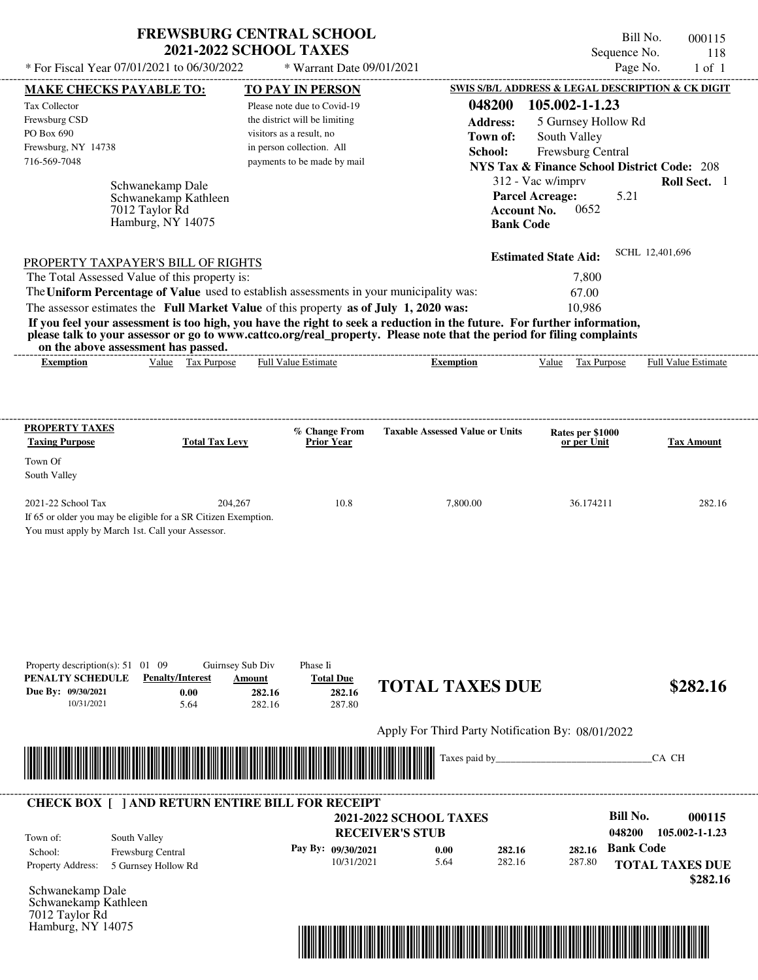| <b>FREWSBURG CENTRAL SCHOOL</b> |
|---------------------------------|
| <b>2021-2022 SCHOOL TAXES</b>   |

Bill No. 000115 Sequence No. 118

| * For Fiscal Year 07/01/2021 to 06/30/2022                                                                                                                                                                                                                                                                                                                                       |                                                | * Warrant Date 09/01/2021                             |                                                         |                                                                           | Page No.<br>$1$ of $1$                                 |
|----------------------------------------------------------------------------------------------------------------------------------------------------------------------------------------------------------------------------------------------------------------------------------------------------------------------------------------------------------------------------------|------------------------------------------------|-------------------------------------------------------|---------------------------------------------------------|---------------------------------------------------------------------------|--------------------------------------------------------|
| <b>MAKE CHECKS PAYABLE TO:</b>                                                                                                                                                                                                                                                                                                                                                   |                                                | <b>TO PAY IN PERSON</b>                               |                                                         |                                                                           | SWIS S/B/L ADDRESS & LEGAL DESCRIPTION & CK DIGIT      |
| Tax Collector                                                                                                                                                                                                                                                                                                                                                                    |                                                | Please note due to Covid-19                           | 048200                                                  | 105.002-1-1.23                                                            |                                                        |
| Frewsburg CSD                                                                                                                                                                                                                                                                                                                                                                    |                                                | the district will be limiting                         | <b>Address:</b>                                         | 5 Gurnsey Hollow Rd                                                       |                                                        |
| PO Box 690<br>Frewsburg, NY 14738                                                                                                                                                                                                                                                                                                                                                |                                                | visitors as a result, no<br>in person collection. All | Town of:                                                | South Valley                                                              |                                                        |
| 716-569-7048                                                                                                                                                                                                                                                                                                                                                                     |                                                | payments to be made by mail                           | School:                                                 | Frewsburg Central                                                         |                                                        |
|                                                                                                                                                                                                                                                                                                                                                                                  |                                                |                                                       |                                                         |                                                                           | <b>NYS Tax &amp; Finance School District Code: 208</b> |
| Schwanekamp Dale<br>Schwanekamp Kathleen<br>7012 Taylor Rd<br>Hamburg, NY 14075                                                                                                                                                                                                                                                                                                  |                                                |                                                       | <b>Bank Code</b>                                        | 312 - Vac w/imprv<br><b>Parcel Acreage:</b><br><b>Account No.</b><br>0652 | Roll Sect. 1<br>5.21                                   |
| PROPERTY TAXPAYER'S BILL OF RIGHTS                                                                                                                                                                                                                                                                                                                                               |                                                |                                                       |                                                         | <b>Estimated State Aid:</b>                                               | SCHL 12,401,696                                        |
| The Total Assessed Value of this property is:                                                                                                                                                                                                                                                                                                                                    |                                                |                                                       |                                                         | 7,800                                                                     |                                                        |
| The Uniform Percentage of Value used to establish assessments in your municipality was:                                                                                                                                                                                                                                                                                          |                                                |                                                       |                                                         | 67.00                                                                     |                                                        |
| The assessor estimates the Full Market Value of this property as of July 1, 2020 was:<br>If you feel your assessment is too high, you have the right to seek a reduction in the future. For further information,<br>please talk to your assessor or go to www.cattco.org/real_property. Please note that the period for filing complaints<br>on the above assessment has passed. |                                                |                                                       |                                                         | 10,986                                                                    |                                                        |
| Value Tax Purpose<br><b>Exemption</b>                                                                                                                                                                                                                                                                                                                                            |                                                | <b>Full Value Estimate</b>                            | <b>Exemption</b>                                        | Value Tax Purpose                                                         | <b>Full Value Estimate</b>                             |
| <b>PROPERTY TAXES</b>                                                                                                                                                                                                                                                                                                                                                            |                                                | % Change From                                         | <b>Taxable Assessed Value or Units</b>                  | Rates per \$1000                                                          |                                                        |
| <b>Taxing Purpose</b>                                                                                                                                                                                                                                                                                                                                                            | <b>Total Tax Levy</b>                          | <b>Prior Year</b>                                     |                                                         | or per Unit                                                               | <b>Tax Amount</b>                                      |
| Town Of                                                                                                                                                                                                                                                                                                                                                                          |                                                |                                                       |                                                         |                                                                           |                                                        |
| South Valley                                                                                                                                                                                                                                                                                                                                                                     |                                                |                                                       |                                                         |                                                                           |                                                        |
| 2021-22 School Tax<br>If 65 or older you may be eligible for a SR Citizen Exemption.<br>You must apply by March 1st. Call your Assessor.                                                                                                                                                                                                                                         | 204,267                                        | 10.8                                                  | 7,800.00                                                | 36.174211                                                                 | 282.16                                                 |
| Property description(s): $51 \quad 01 \quad 09$<br>PENALTY SCHEDULE<br><b>Penalty/Interest</b><br>Due By: 09/30/2021<br>0.00<br>10/31/2021<br>5.64                                                                                                                                                                                                                               | Guirnsey Sub Div<br>Amount<br>282.16<br>282.16 | Phase Ii<br><b>Total Due</b><br>282.16<br>287.80      | <b>TOTAL TAXES DUE</b>                                  |                                                                           | \$282.16                                               |
|                                                                                                                                                                                                                                                                                                                                                                                  |                                                |                                                       | Apply For Third Party Notification By: 08/01/2022       |                                                                           |                                                        |
|                                                                                                                                                                                                                                                                                                                                                                                  |                                                |                                                       | Taxes paid by_                                          |                                                                           | CA CH                                                  |
| <b>CHECK BOX [ ] AND RETURN ENTIRE BILL FOR RECEIPT</b>                                                                                                                                                                                                                                                                                                                          |                                                |                                                       |                                                         |                                                                           |                                                        |
| South Valley<br>Town of:                                                                                                                                                                                                                                                                                                                                                         |                                                |                                                       | <b>2021-2022 SCHOOL TAXES</b><br><b>RECEIVER'S STUB</b> |                                                                           | <b>Bill No.</b><br>000115<br>048200<br>105.002-1-1.23  |
| Frewsburg Central<br>School:<br><b>Property Address:</b><br>5 Gurnsey Hollow Rd                                                                                                                                                                                                                                                                                                  |                                                | Pay By: 09/30/2021<br>10/31/2021                      | 282.16<br>0.00<br>5.64<br>282.16                        | 282.16<br>287.80                                                          | <b>Bank Code</b><br><b>TOTAL TAXES DUE</b><br>\$282.16 |
| Schwanekamp Dale<br>Schwanekamp Kathleen<br>7012 Taylor Rd<br>Hamburg, NY 14075                                                                                                                                                                                                                                                                                                  |                                                |                                                       |                                                         |                                                                           |                                                        |

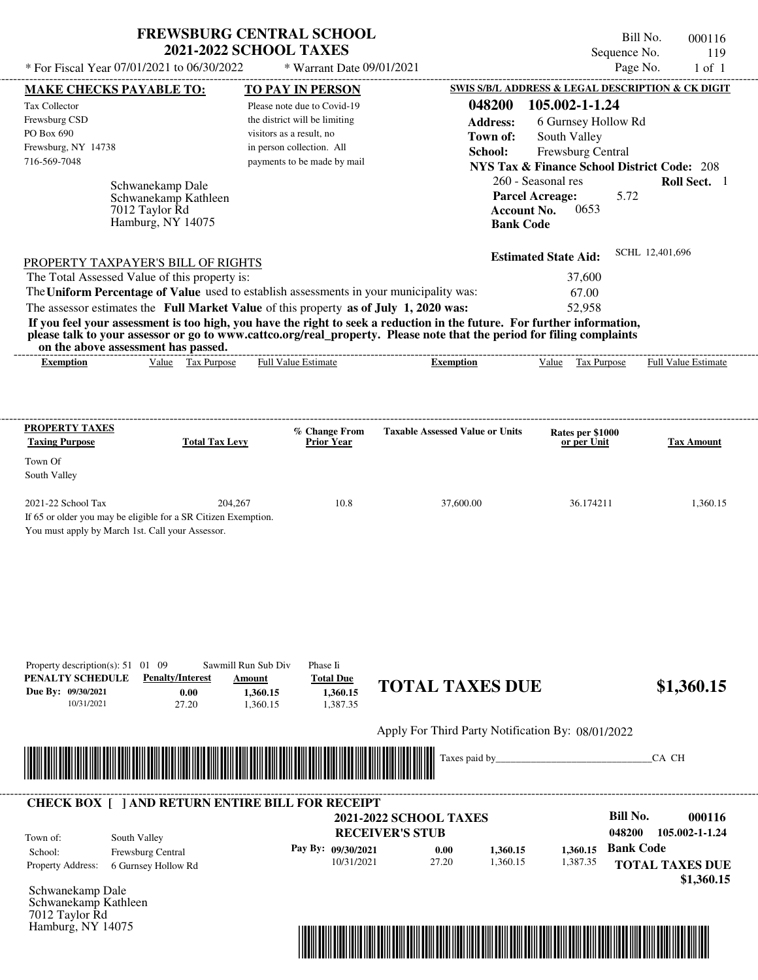| <b>FREWSBURG CENTRAL SCHOOL</b> |
|---------------------------------|
| <b>2021-2022 SCHOOL TAXES</b>   |

Bill No. 000116 Sequence No. 119  $*$  For Fiscal Year 07/01/2021 to 06/30/2022  $*$  Warrant Date 09/01/2021 Page No. 1 of 1

| <b>MAKE CHECKS PAYABLE TO:</b>                                                                                          |                                          |                          | <b>TO PAY IN PERSON</b>       |                                                   |                    |                                                        |                  | <b>SWIS S/B/L ADDRESS &amp; LEGAL DESCRIPTION &amp; CK DIGIT</b> |
|-------------------------------------------------------------------------------------------------------------------------|------------------------------------------|--------------------------|-------------------------------|---------------------------------------------------|--------------------|--------------------------------------------------------|------------------|------------------------------------------------------------------|
| Tax Collector                                                                                                           |                                          |                          | Please note due to Covid-19   |                                                   | 048200             | 105.002-1-1.24                                         |                  |                                                                  |
| Frewsburg CSD                                                                                                           |                                          |                          | the district will be limiting |                                                   | <b>Address:</b>    | 6 Gurnsey Hollow Rd                                    |                  |                                                                  |
| PO Box 690                                                                                                              |                                          | visitors as a result, no |                               |                                                   | Town of:           | South Valley                                           |                  |                                                                  |
| Frewsburg, NY 14738                                                                                                     |                                          |                          | in person collection. All     |                                                   | School:            | Frewsburg Central                                      |                  |                                                                  |
| 716-569-7048                                                                                                            |                                          |                          | payments to be made by mail   |                                                   |                    | <b>NYS Tax &amp; Finance School District Code: 208</b> |                  |                                                                  |
|                                                                                                                         |                                          |                          |                               |                                                   |                    | 260 - Seasonal res                                     |                  | Roll Sect. 1                                                     |
|                                                                                                                         | Schwanekamp Dale<br>Schwanekamp Kathleen |                          |                               |                                                   |                    | <b>Parcel Acreage:</b>                                 | 5.72             |                                                                  |
|                                                                                                                         | 7012 Taylor Rd                           |                          |                               |                                                   | <b>Account No.</b> | 0653                                                   |                  |                                                                  |
|                                                                                                                         | Hamburg, NY 14075                        |                          |                               |                                                   | <b>Bank Code</b>   |                                                        |                  |                                                                  |
|                                                                                                                         |                                          |                          |                               |                                                   |                    |                                                        |                  |                                                                  |
| PROPERTY TAXPAYER'S BILL OF RIGHTS                                                                                      |                                          |                          |                               |                                                   |                    | <b>Estimated State Aid:</b>                            |                  | SCHL 12,401,696                                                  |
| The Total Assessed Value of this property is:                                                                           |                                          |                          |                               |                                                   |                    | 37,600                                                 |                  |                                                                  |
| The Uniform Percentage of Value used to establish assessments in your municipality was:                                 |                                          |                          |                               |                                                   |                    | 67.00                                                  |                  |                                                                  |
| The assessor estimates the Full Market Value of this property as of July 1, 2020 was:                                   |                                          |                          |                               |                                                   |                    | 52,958                                                 |                  |                                                                  |
| If you feel your assessment is too high, you have the right to seek a reduction in the future. For further information, |                                          |                          |                               |                                                   |                    |                                                        |                  |                                                                  |
| please talk to your assessor or go to www.cattco.org/real_property. Please note that the period for filing complaints   |                                          |                          |                               |                                                   |                    |                                                        |                  |                                                                  |
| on the above assessment has passed.                                                                                     | Value Tax Purpose                        |                          |                               |                                                   |                    |                                                        |                  |                                                                  |
| <b>Exemption</b>                                                                                                        |                                          |                          | <b>Full Value Estimate</b>    | <b>Exemption</b>                                  |                    |                                                        |                  | Value Tax Purpose Full Value Estimate                            |
|                                                                                                                         |                                          |                          |                               |                                                   |                    |                                                        |                  |                                                                  |
|                                                                                                                         |                                          |                          |                               |                                                   |                    |                                                        |                  |                                                                  |
| <b>PROPERTY TAXES</b>                                                                                                   |                                          |                          | % Change From                 | <b>Taxable Assessed Value or Units</b>            |                    | Rates per \$1000                                       |                  |                                                                  |
| <b>Taxing Purpose</b>                                                                                                   | <b>Total Tax Levy</b>                    |                          | <b>Prior Year</b>             |                                                   |                    | or per Unit                                            |                  | Tax Amount                                                       |
| Town Of                                                                                                                 |                                          |                          |                               |                                                   |                    |                                                        |                  |                                                                  |
| South Valley                                                                                                            |                                          |                          |                               |                                                   |                    |                                                        |                  |                                                                  |
|                                                                                                                         |                                          |                          |                               |                                                   |                    |                                                        |                  |                                                                  |
| 2021-22 School Tax                                                                                                      |                                          | 204,267                  | 10.8                          | 37,600.00                                         |                    | 36.174211                                              |                  | 1,360.15                                                         |
| If 65 or older you may be eligible for a SR Citizen Exemption.                                                          |                                          |                          |                               |                                                   |                    |                                                        |                  |                                                                  |
| You must apply by March 1st. Call your Assessor.                                                                        |                                          |                          |                               |                                                   |                    |                                                        |                  |                                                                  |
|                                                                                                                         |                                          |                          |                               |                                                   |                    |                                                        |                  |                                                                  |
|                                                                                                                         |                                          |                          |                               |                                                   |                    |                                                        |                  |                                                                  |
|                                                                                                                         |                                          |                          |                               |                                                   |                    |                                                        |                  |                                                                  |
|                                                                                                                         |                                          |                          |                               |                                                   |                    |                                                        |                  |                                                                  |
|                                                                                                                         |                                          |                          |                               |                                                   |                    |                                                        |                  |                                                                  |
|                                                                                                                         |                                          |                          |                               |                                                   |                    |                                                        |                  |                                                                  |
| Property description(s): $51 \quad 01 \quad 09$                                                                         |                                          | Sawmill Run Sub Div      | Phase Ii                      |                                                   |                    |                                                        |                  |                                                                  |
| PENALTY SCHEDULE                                                                                                        | <b>Penalty/Interest</b>                  | Amount                   | <b>Total Due</b>              |                                                   |                    |                                                        |                  |                                                                  |
| Due By: 09/30/2021                                                                                                      | 0.00                                     | 1,360.15                 | 1,360.15                      | <b>TOTAL TAXES DUE</b>                            |                    |                                                        |                  | \$1,360.15                                                       |
| 10/31/2021                                                                                                              | 27.20                                    | 1,360.15                 | 1,387.35                      |                                                   |                    |                                                        |                  |                                                                  |
|                                                                                                                         |                                          |                          |                               | Apply For Third Party Notification By: 08/01/2022 |                    |                                                        |                  |                                                                  |
|                                                                                                                         |                                          |                          |                               |                                                   |                    |                                                        |                  |                                                                  |
|                                                                                                                         |                                          |                          |                               | Taxes paid by                                     |                    |                                                        |                  | CA CH                                                            |
|                                                                                                                         |                                          |                          |                               |                                                   |                    |                                                        |                  |                                                                  |
|                                                                                                                         |                                          |                          |                               |                                                   |                    |                                                        |                  |                                                                  |
| <b>CHECK BOX [ ] AND RETURN ENTIRE BILL FOR RECEIPT</b>                                                                 |                                          |                          |                               | <b>2021-2022 SCHOOL TAXES</b>                     |                    |                                                        | <b>Bill No.</b>  | 000116                                                           |
|                                                                                                                         |                                          |                          |                               | <b>RECEIVER'S STUB</b>                            |                    |                                                        | 048200           | 105.002-1-1.24                                                   |
| Town of:                                                                                                                | South Valley                             |                          |                               |                                                   |                    |                                                        |                  |                                                                  |
| School:                                                                                                                 | Frewsburg Central                        |                          | Pay By: 09/30/2021            | 0.00                                              | 1,360.15           | 1,360.15                                               | <b>Bank Code</b> |                                                                  |
| <b>Property Address:</b>                                                                                                | 6 Gurnsey Hollow Rd                      |                          | 10/31/2021                    | 27.20                                             | 1,360.15           | 1,387.35                                               |                  | <b>TOTAL TAXES DUE</b>                                           |
| Schwanekamp Dale                                                                                                        |                                          |                          |                               |                                                   |                    |                                                        |                  | \$1,360.15                                                       |
| Schwanekamp Kathleen                                                                                                    |                                          |                          |                               |                                                   |                    |                                                        |                  |                                                                  |
| 7012 Taylor Rd                                                                                                          |                                          |                          |                               |                                                   |                    |                                                        |                  |                                                                  |
| Hamburg, NY 14075                                                                                                       |                                          |                          |                               |                                                   |                    |                                                        |                  |                                                                  |

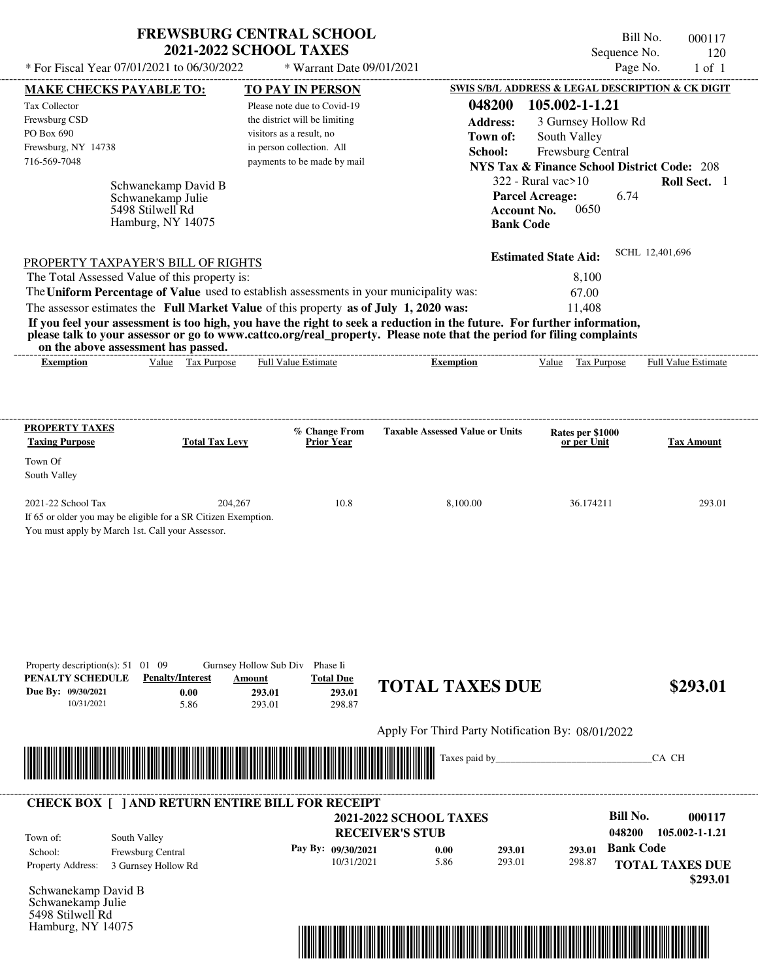| <b>FREWSBURG CENTRAL SCHOOL</b> |
|---------------------------------|
| <b>2021-2022 SCHOOL TAXES</b>   |

Bill No. 000117 Sequence No. 120

| * For Fiscal Year 07/01/2021 to 06/30/2022                                              |                                   | * Warrant Date 09/01/2021                             |                                                                                                                                                                                                                                                  |                                                   | Page No.<br>$1$ of $1$                                 |
|-----------------------------------------------------------------------------------------|-----------------------------------|-------------------------------------------------------|--------------------------------------------------------------------------------------------------------------------------------------------------------------------------------------------------------------------------------------------------|---------------------------------------------------|--------------------------------------------------------|
| <b>MAKE CHECKS PAYABLE TO:</b>                                                          |                                   | <b>TO PAY IN PERSON</b>                               |                                                                                                                                                                                                                                                  |                                                   | SWIS S/B/L ADDRESS & LEGAL DESCRIPTION & CK DIGIT      |
| <b>Tax Collector</b>                                                                    |                                   | Please note due to Covid-19                           | 048200                                                                                                                                                                                                                                           | 105.002-1-1.21                                    |                                                        |
| Frewsburg CSD                                                                           |                                   | the district will be limiting                         | <b>Address:</b>                                                                                                                                                                                                                                  | 3 Gurnsey Hollow Rd                               |                                                        |
| PO Box 690<br>Frewsburg, NY 14738                                                       |                                   | visitors as a result, no<br>in person collection. All | Town of:                                                                                                                                                                                                                                         | South Valley                                      |                                                        |
| 716-569-7048                                                                            |                                   | payments to be made by mail                           | School:                                                                                                                                                                                                                                          | Frewsburg Central                                 |                                                        |
|                                                                                         |                                   |                                                       |                                                                                                                                                                                                                                                  |                                                   | <b>NYS Tax &amp; Finance School District Code: 208</b> |
|                                                                                         | Schwanekamp David B               |                                                       |                                                                                                                                                                                                                                                  | $322$ - Rural vac $>10$<br><b>Parcel Acreage:</b> | Roll Sect. 1<br>6.74                                   |
| 5498 Stilwell Rd                                                                        | Schwanekamp Julie                 |                                                       |                                                                                                                                                                                                                                                  | <b>Account No.</b><br>0650                        |                                                        |
|                                                                                         | Hamburg, NY 14075                 |                                                       | <b>Bank Code</b>                                                                                                                                                                                                                                 |                                                   |                                                        |
|                                                                                         |                                   |                                                       |                                                                                                                                                                                                                                                  |                                                   |                                                        |
| PROPERTY TAXPAYER'S BILL OF RIGHTS                                                      |                                   |                                                       |                                                                                                                                                                                                                                                  | <b>Estimated State Aid:</b>                       | SCHL 12,401,696                                        |
| The Total Assessed Value of this property is:                                           |                                   |                                                       |                                                                                                                                                                                                                                                  | 8,100                                             |                                                        |
| The Uniform Percentage of Value used to establish assessments in your municipality was: |                                   |                                                       |                                                                                                                                                                                                                                                  | 67.00                                             |                                                        |
| The assessor estimates the Full Market Value of this property as of July 1, 2020 was:   |                                   |                                                       |                                                                                                                                                                                                                                                  | 11,408                                            |                                                        |
|                                                                                         |                                   |                                                       | If you feel your assessment is too high, you have the right to seek a reduction in the future. For further information,<br>please talk to your assessor or go to www.cattco.org/real_property. Please note that the period for filing complaints |                                                   |                                                        |
| on the above assessment has passed.<br><b>Exemption</b>                                 | Value Tax Purpose                 | <b>Full Value Estimate</b>                            | <b>Exemption</b>                                                                                                                                                                                                                                 | Value Tax Purpose                                 | Full Value Estimate                                    |
|                                                                                         |                                   |                                                       |                                                                                                                                                                                                                                                  |                                                   |                                                        |
|                                                                                         |                                   |                                                       |                                                                                                                                                                                                                                                  |                                                   |                                                        |
| <b>PROPERTY TAXES</b>                                                                   |                                   | % Change From                                         | <b>Taxable Assessed Value or Units</b>                                                                                                                                                                                                           |                                                   |                                                        |
| <b>Taxing Purpose</b>                                                                   | <b>Total Tax Levy</b>             | <b>Prior Year</b>                                     |                                                                                                                                                                                                                                                  | Rates per \$1000<br>or per Unit                   | <b>Tax Amount</b>                                      |
| Town Of                                                                                 |                                   |                                                       |                                                                                                                                                                                                                                                  |                                                   |                                                        |
| South Valley                                                                            |                                   |                                                       |                                                                                                                                                                                                                                                  |                                                   |                                                        |
| 2021-22 School Tax                                                                      | 204,267                           | 10.8                                                  | 8,100.00                                                                                                                                                                                                                                         | 36.174211                                         | 293.01                                                 |
| If 65 or older you may be eligible for a SR Citizen Exemption.                          |                                   |                                                       |                                                                                                                                                                                                                                                  |                                                   |                                                        |
| You must apply by March 1st. Call your Assessor.                                        |                                   |                                                       |                                                                                                                                                                                                                                                  |                                                   |                                                        |
|                                                                                         |                                   |                                                       |                                                                                                                                                                                                                                                  |                                                   |                                                        |
|                                                                                         |                                   |                                                       |                                                                                                                                                                                                                                                  |                                                   |                                                        |
|                                                                                         |                                   |                                                       |                                                                                                                                                                                                                                                  |                                                   |                                                        |
|                                                                                         |                                   |                                                       |                                                                                                                                                                                                                                                  |                                                   |                                                        |
|                                                                                         |                                   |                                                       |                                                                                                                                                                                                                                                  |                                                   |                                                        |
|                                                                                         |                                   |                                                       |                                                                                                                                                                                                                                                  |                                                   |                                                        |
|                                                                                         |                                   |                                                       |                                                                                                                                                                                                                                                  |                                                   |                                                        |
| Property description(s): $51 \quad 01 \quad 09$<br>PENALTY SCHEDULE                     | <b>Penalty/Interest</b><br>Amount | Gurnsey Hollow Sub Div Phase Ii<br><b>Total Due</b>   |                                                                                                                                                                                                                                                  |                                                   |                                                        |
| Due By: 09/30/2021                                                                      | 0.00                              | 293.01<br>293.01                                      | <b>TOTAL TAXES DUE</b>                                                                                                                                                                                                                           |                                                   | \$293.01                                               |
| 10/31/2021                                                                              | 5.86                              | 293.01<br>298.87                                      |                                                                                                                                                                                                                                                  |                                                   |                                                        |
|                                                                                         |                                   |                                                       | Apply For Third Party Notification By: 08/01/2022                                                                                                                                                                                                |                                                   |                                                        |
|                                                                                         |                                   |                                                       | Taxes paid by_                                                                                                                                                                                                                                   |                                                   | CA CH                                                  |
|                                                                                         |                                   |                                                       |                                                                                                                                                                                                                                                  |                                                   |                                                        |
|                                                                                         |                                   |                                                       |                                                                                                                                                                                                                                                  |                                                   |                                                        |
| <b>CHECK BOX [ ] AND RETURN ENTIRE BILL FOR RECEIPT</b>                                 |                                   |                                                       |                                                                                                                                                                                                                                                  |                                                   | <b>Bill No.</b><br>000117                              |
|                                                                                         |                                   |                                                       | <b>2021-2022 SCHOOL TAXES</b><br><b>RECEIVER'S STUB</b>                                                                                                                                                                                          |                                                   | 048200<br>105.002-1-1.21                               |
| South Valley<br>Town of:                                                                |                                   |                                                       |                                                                                                                                                                                                                                                  |                                                   | <b>Bank Code</b>                                       |
| Frewsburg Central<br>School:<br>Property Address:                                       |                                   | Pay By: 09/30/2021<br>10/31/2021                      | 293.01<br>0.00<br>5.86<br>293.01                                                                                                                                                                                                                 | 293.01<br>298.87                                  | <b>TOTAL TAXES DUE</b>                                 |
| 3 Gurnsey Hollow Rd                                                                     |                                   |                                                       |                                                                                                                                                                                                                                                  |                                                   | \$293.01                                               |
| Schwanekamp David B                                                                     |                                   |                                                       |                                                                                                                                                                                                                                                  |                                                   |                                                        |
| Schwanekamp Julie<br>5498 Stilwell Rd                                                   |                                   |                                                       |                                                                                                                                                                                                                                                  |                                                   |                                                        |
| Hamburg, NY 14075                                                                       |                                   |                                                       |                                                                                                                                                                                                                                                  |                                                   |                                                        |
|                                                                                         |                                   |                                                       |                                                                                                                                                                                                                                                  |                                                   |                                                        |
|                                                                                         |                                   |                                                       |                                                                                                                                                                                                                                                  |                                                   |                                                        |
|                                                                                         |                                   |                                                       |                                                                                                                                                                                                                                                  |                                                   |                                                        |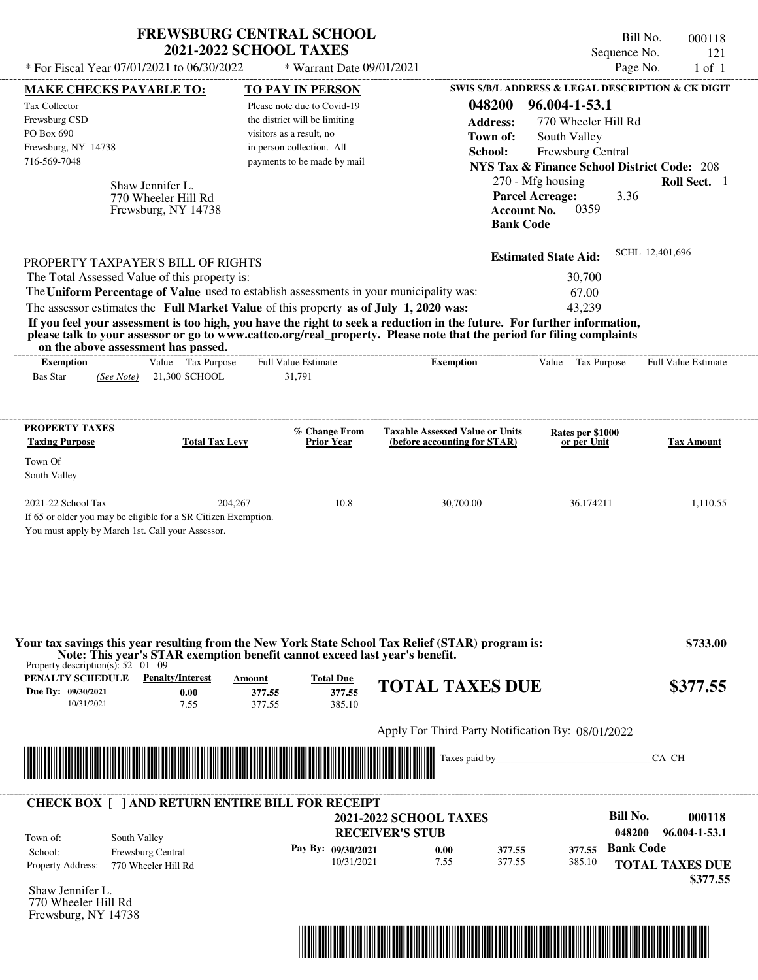| <b>FREWSBURG CENTRAL SCHOOL</b>                                                                                                                                                                                                                                                                                                                                                                                                                                                                                                                                    | <b>2021-2022 SCHOOL TAXES</b>                                                                                                                        |                                      |                                                                                            | Bill No.<br>Sequence No.                                                                                                                                                                           | 000118<br>121                  |
|--------------------------------------------------------------------------------------------------------------------------------------------------------------------------------------------------------------------------------------------------------------------------------------------------------------------------------------------------------------------------------------------------------------------------------------------------------------------------------------------------------------------------------------------------------------------|------------------------------------------------------------------------------------------------------------------------------------------------------|--------------------------------------|--------------------------------------------------------------------------------------------|----------------------------------------------------------------------------------------------------------------------------------------------------------------------------------------------------|--------------------------------|
| * For Fiscal Year 07/01/2021 to 06/30/2022                                                                                                                                                                                                                                                                                                                                                                                                                                                                                                                         |                                                                                                                                                      | * Warrant Date 09/01/2021            |                                                                                            | Page No.                                                                                                                                                                                           | $1$ of $1$                     |
| <b>MAKE CHECKS PAYABLE TO:</b>                                                                                                                                                                                                                                                                                                                                                                                                                                                                                                                                     | TO PAY IN PERSON                                                                                                                                     |                                      |                                                                                            | SWIS S/B/L ADDRESS & LEGAL DESCRIPTION & CK DIGIT                                                                                                                                                  |                                |
| Tax Collector<br>Frewsburg CSD<br>PO Box 690<br>Frewsburg, NY 14738<br>716-569-7048<br>Shaw Jennifer L.<br>770 Wheeler Hill Rd<br>Frewsburg, NY 14738                                                                                                                                                                                                                                                                                                                                                                                                              | Please note due to Covid-19<br>the district will be limiting<br>visitors as a result, no<br>in person collection. All<br>payments to be made by mail |                                      | 048200<br><b>Address:</b><br>Town of:<br>School:<br><b>Account No.</b><br><b>Bank Code</b> | 96.004-1-53.1<br>770 Wheeler Hill Rd<br>South Valley<br>Frewsburg Central<br><b>NYS Tax &amp; Finance School District Code: 208</b><br>270 - Mfg housing<br><b>Parcel Acreage:</b><br>3.36<br>0359 | Roll Sect. 1                   |
| PROPERTY TAXPAYER'S BILL OF RIGHTS<br>The Total Assessed Value of this property is:<br>The Uniform Percentage of Value used to establish assessments in your municipality was:<br>The assessor estimates the Full Market Value of this property as of July 1, 2020 was:<br>If you feel your assessment is too high, you have the right to seek a reduction in the future. For further information,<br>please talk to your assessor or go to www.cattco.org/real_property. Please note that the period for filing complaints<br>on the above assessment has passed. |                                                                                                                                                      |                                      |                                                                                            | <b>Estimated State Aid:</b><br>30,700<br>67.00<br>43,239                                                                                                                                           | SCHL 12,401,696                |
| Value Tax Purpose<br><b>Exemption</b>                                                                                                                                                                                                                                                                                                                                                                                                                                                                                                                              | Full Value Estimate                                                                                                                                  |                                      | <b>Exemption</b>                                                                           | Value Tax Purpose                                                                                                                                                                                  | Full Value Estimate            |
| <b>Bas Star</b><br>21,300 SCHOOL<br>(See Note)<br>PROPERTY TAXES                                                                                                                                                                                                                                                                                                                                                                                                                                                                                                   | 31,791                                                                                                                                               |                                      |                                                                                            |                                                                                                                                                                                                    |                                |
| <b>Taxing Purpose</b><br><b>Total Tax Levy</b><br>Town Of<br>South Valley                                                                                                                                                                                                                                                                                                                                                                                                                                                                                          |                                                                                                                                                      | % Change From<br><b>Prior Year</b>   | <b>Taxable Assessed Value or Units</b><br>(before accounting for STAR)                     | Rates per \$1000<br>or per Unit                                                                                                                                                                    | <b>Tax Amount</b>              |
| 2021-22 School Tax<br>If 65 or older you may be eligible for a SR Citizen Exemption.<br>You must apply by March 1st. Call your Assessor.                                                                                                                                                                                                                                                                                                                                                                                                                           | 204,267                                                                                                                                              | 10.8                                 | 30,700.00                                                                                  | 36.174211                                                                                                                                                                                          | 1,110.55                       |
| Your tax savings this year resulting from the New York State School Tax Relief (STAR) program is:<br>Note: This year's STAR exemption benefit cannot exceed last year's benefit.<br>Property description(s): $52 \quad 01 \quad 09$                                                                                                                                                                                                                                                                                                                                |                                                                                                                                                      |                                      |                                                                                            |                                                                                                                                                                                                    | \$733.00                       |
| <b>PENALTY SCHEDULE</b> Penalty/Interest<br>Due By: 09/30/2021<br>0.00<br>10/31/2021<br>7.55                                                                                                                                                                                                                                                                                                                                                                                                                                                                       | Amount<br>377.55<br>377.55                                                                                                                           | <b>Total Due</b><br>377.55<br>385.10 | <b>TOTAL TAXES DUE</b>                                                                     |                                                                                                                                                                                                    | \$377.55                       |
|                                                                                                                                                                                                                                                                                                                                                                                                                                                                                                                                                                    |                                                                                                                                                      |                                      | Apply For Third Party Notification By: 08/01/2022                                          |                                                                                                                                                                                                    |                                |
|                                                                                                                                                                                                                                                                                                                                                                                                                                                                                                                                                                    |                                                                                                                                                      |                                      |                                                                                            |                                                                                                                                                                                                    | CA CH                          |
| <b>CHECK BOX [ ] AND RETURN ENTIRE BILL FOR RECEIPT</b>                                                                                                                                                                                                                                                                                                                                                                                                                                                                                                            |                                                                                                                                                      |                                      |                                                                                            |                                                                                                                                                                                                    |                                |
|                                                                                                                                                                                                                                                                                                                                                                                                                                                                                                                                                                    |                                                                                                                                                      |                                      | <b>2021-2022 SCHOOL TAXES</b><br><b>RECEIVER'S STUB</b>                                    | <b>Bill No.</b>                                                                                                                                                                                    | 000118<br>048200 96.004-1-53.1 |

**RECEIVER'S STUB Bank Code 377.55** Property Address: 770 Wheeler Hill Rd South Valley School: Frewsburg Central **TOTAL TAXES DUE \$377.55 048200 96.004-1-53.1 Pay By: 09/30/2021** 10/31/2021 7.55 **0.00** 377.55 **377.55** 385.10 Town of:

Shaw Jennifer L. 770 Wheeler Hill Rd Frewsburg, NY 14738

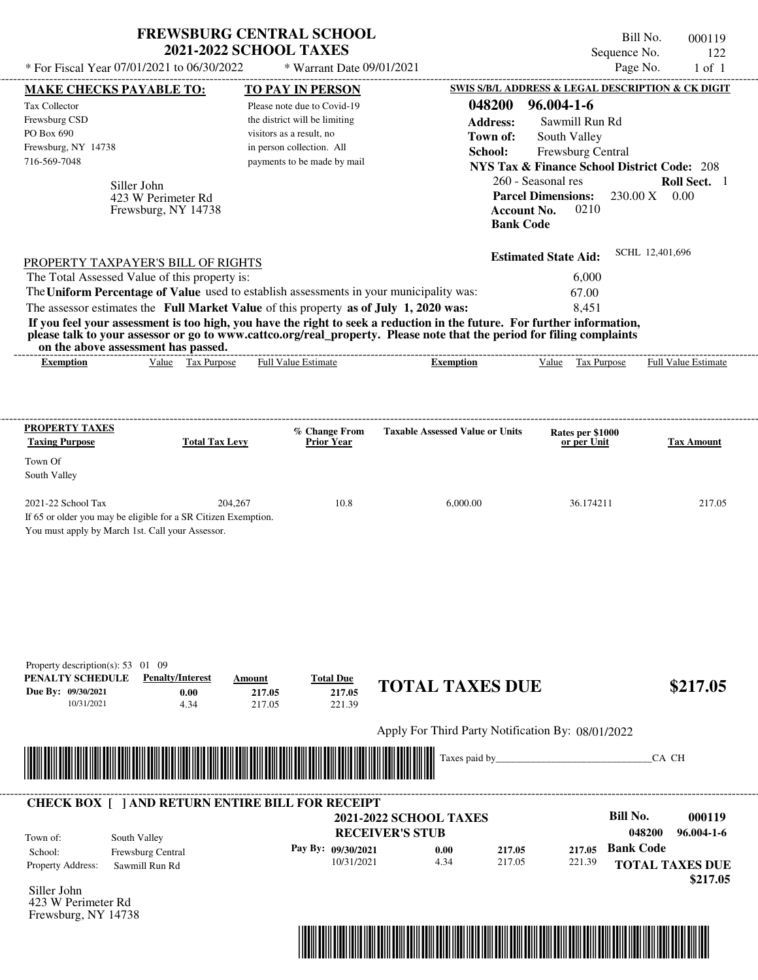| * For Fiscal Year 07/01/2021 to 06/30/2022                                                                                               | <b>FREWSBURG CENTRAL SCHOOL</b><br><b>2021-2022 SCHOOL TAXES</b>      | * Warrant Date 09/01/2021                              |                                                                                                                                                                                                                                                                      | Bill No.<br>Sequence No.<br>Page No.                                         | 000119<br>122<br>$1$ of $1$             |
|------------------------------------------------------------------------------------------------------------------------------------------|-----------------------------------------------------------------------|--------------------------------------------------------|----------------------------------------------------------------------------------------------------------------------------------------------------------------------------------------------------------------------------------------------------------------------|------------------------------------------------------------------------------|-----------------------------------------|
|                                                                                                                                          |                                                                       |                                                        |                                                                                                                                                                                                                                                                      | SWIS S/B/L ADDRESS & LEGAL DESCRIPTION & CK DIGIT                            |                                         |
| <b>MAKE CHECKS PAYABLE TO:</b><br>Tax Collector                                                                                          |                                                                       | <b>TO PAY IN PERSON</b><br>Please note due to Covid-19 | 048200                                                                                                                                                                                                                                                               | $96.004 - 1 - 6$                                                             |                                         |
| Frewsburg CSD                                                                                                                            |                                                                       | the district will be limiting                          |                                                                                                                                                                                                                                                                      |                                                                              |                                         |
| PO Box 690                                                                                                                               |                                                                       | visitors as a result, no                               | <b>Address:</b>                                                                                                                                                                                                                                                      | Sawmill Run Rd                                                               |                                         |
| Frewsburg, NY 14738                                                                                                                      |                                                                       | in person collection. All                              | Town of:                                                                                                                                                                                                                                                             | South Valley                                                                 |                                         |
| 716-569-7048                                                                                                                             |                                                                       | payments to be made by mail                            | School:                                                                                                                                                                                                                                                              | Frewsburg Central                                                            |                                         |
|                                                                                                                                          |                                                                       |                                                        |                                                                                                                                                                                                                                                                      | <b>NYS Tax &amp; Finance School District Code: 208</b><br>260 - Seasonal res |                                         |
| Siller John<br>423 W Perimeter Rd<br>Frewsburg, NY 14738                                                                                 |                                                                       |                                                        | <b>Account No.</b><br><b>Bank Code</b>                                                                                                                                                                                                                               | <b>Parcel Dimensions:</b><br>0210                                            | Roll Sect. 1<br>$230.00 \text{ X}$ 0.00 |
| PROPERTY TAXPAYER'S BILL OF RIGHTS                                                                                                       |                                                                       |                                                        |                                                                                                                                                                                                                                                                      | <b>Estimated State Aid:</b>                                                  | SCHL 12,401,696                         |
| The Total Assessed Value of this property is:                                                                                            |                                                                       |                                                        |                                                                                                                                                                                                                                                                      | 6,000                                                                        |                                         |
| The Uniform Percentage of Value used to establish assessments in your municipality was:                                                  |                                                                       |                                                        |                                                                                                                                                                                                                                                                      | 67.00                                                                        |                                         |
| The assessor estimates the Full Market Value of this property as of July 1, 2020 was:                                                    |                                                                       |                                                        |                                                                                                                                                                                                                                                                      | 8,451                                                                        |                                         |
| on the above assessment has passed.<br><b>Exemption</b>                                                                                  | Value Tax Purpose                                                     | Full Value Estimate                                    | If you feel your assessment is too high, you have the right to seek a reduction in the future. For further information,<br>please talk to your assessor or go to www.cattco.org/real_property. Please note that the period for filing complaints<br><b>Exemption</b> | Value Tax Purpose                                                            | Full Value Estimate                     |
| <b>PROPERTY TAXES</b><br><b>Taxing Purpose</b>                                                                                           | <b>Total Tax Levy</b>                                                 | % Change From<br><b>Prior Year</b>                     | <b>Taxable Assessed Value or Units</b>                                                                                                                                                                                                                               | Rates per \$1000<br>or per Unit                                              | <b>Tax Amount</b>                       |
| Town Of<br>South Valley                                                                                                                  |                                                                       |                                                        |                                                                                                                                                                                                                                                                      |                                                                              |                                         |
| 2021-22 School Tax<br>If 65 or older you may be eligible for a SR Citizen Exemption.<br>You must apply by March 1st. Call your Assessor. | 204,267                                                               | 10.8                                                   | 6,000.00                                                                                                                                                                                                                                                             | 36.174211                                                                    | 217.05                                  |
| Property description(s): $53 \quad 01 \quad 09$<br>PENALTY SCHEDULE<br>Due By: 09/30/2021<br>10/31/2021                                  | <b>Penalty/Interest</b><br>Amount<br>0.00<br>217.05<br>4.34<br>217.05 | <b>Total Due</b><br>217.05<br>221.39                   | <b>TOTAL TAXES DUE</b>                                                                                                                                                                                                                                               |                                                                              | \$217.05                                |
|                                                                                                                                          |                                                                       |                                                        | Apply For Third Party Notification By: 08/01/2022                                                                                                                                                                                                                    |                                                                              |                                         |
|                                                                                                                                          |                                                                       |                                                        | Taxes paid by                                                                                                                                                                                                                                                        |                                                                              | CA CH                                   |
| <b>CHECK BOX [ ] AND RETURN ENTIRE BILL FOR RECEIPT</b>                                                                                  |                                                                       |                                                        |                                                                                                                                                                                                                                                                      |                                                                              |                                         |
|                                                                                                                                          |                                                                       |                                                        | <b>2021-2022 SCHOOL TAXES</b>                                                                                                                                                                                                                                        | <b>Bill No.</b>                                                              | 000119                                  |
| South Valley<br>Town of:                                                                                                                 |                                                                       |                                                        | <b>RECEIVER'S STUB</b>                                                                                                                                                                                                                                               |                                                                              | 048200<br>96.004-1-6                    |
| Frewsburg Central<br>School:                                                                                                             |                                                                       | Pay By: 09/30/2021                                     | 0.00<br>217.05                                                                                                                                                                                                                                                       | <b>Bank Code</b><br>217.05                                                   |                                         |
| Property Address:<br>Sawmill Run Rd                                                                                                      |                                                                       | 10/31/2021                                             | 217.05<br>4.34                                                                                                                                                                                                                                                       | 221.39                                                                       | <b>TOTAL TAXES DUE</b>                  |
|                                                                                                                                          |                                                                       |                                                        |                                                                                                                                                                                                                                                                      |                                                                              | \$217.05                                |
| Siller John<br>$22 \text{ W} \text{ D}$                                                                                                  |                                                                       |                                                        |                                                                                                                                                                                                                                                                      |                                                                              |                                         |
| $\mathbf{D}$                                                                                                                             |                                                                       |                                                        |                                                                                                                                                                                                                                                                      |                                                                              |                                         |



423 W Perimeter Rd Frewsburg, NY 14738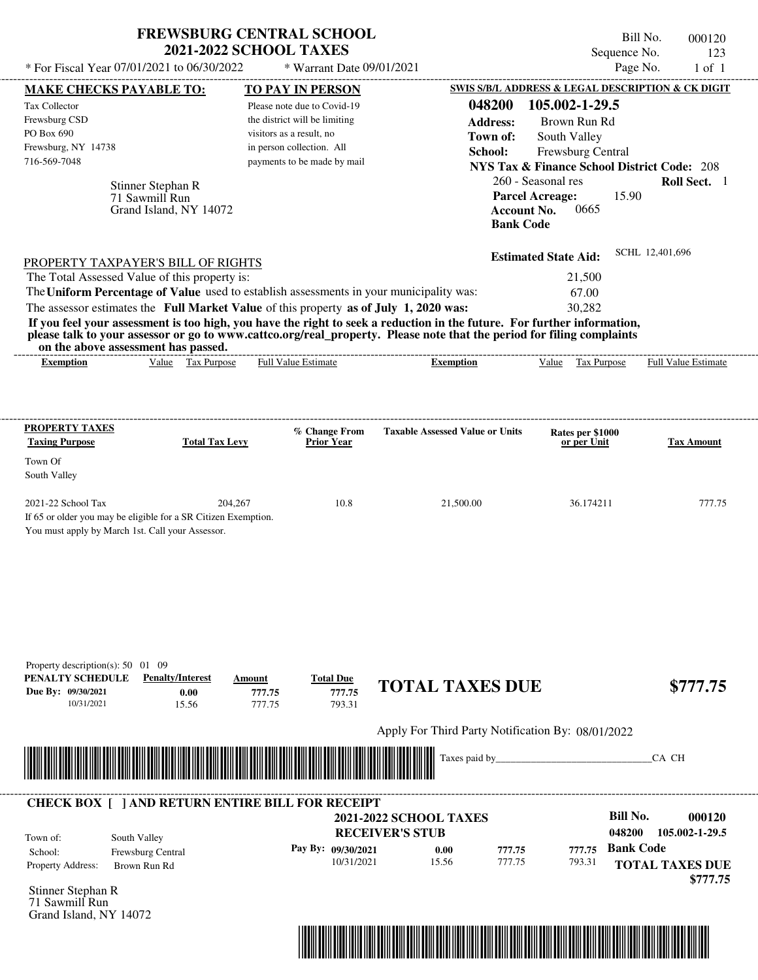| <b>FREWSBURG CENTRAL SCHOOL</b> |  |
|---------------------------------|--|
| <b>2021-2022 SCHOOL TAXES</b>   |  |

Bill No. 000120 Sequence No. 123<br>Page No. 1 of 1  $*$  For Fiscal Year 07/01/2021 to 06/30/2022  $*$  Warrant Date 09/01/2021 Page No. 1 of 1

| <b>MAKE CHECKS PAYABLE TO:</b>                                                                                                                                                                                                       |                         | <b>TO PAY IN PERSON</b>                                                                 |                                                                                                                                                                                                                                                  | <b>SWIS S/B/L ADDRESS &amp; LEGAL DESCRIPTION &amp; CK DIGIT</b> |                                    |
|--------------------------------------------------------------------------------------------------------------------------------------------------------------------------------------------------------------------------------------|-------------------------|-----------------------------------------------------------------------------------------|--------------------------------------------------------------------------------------------------------------------------------------------------------------------------------------------------------------------------------------------------|------------------------------------------------------------------|------------------------------------|
| Tax Collector<br>Frewsburg CSD                                                                                                                                                                                                       |                         | Please note due to Covid-19<br>the district will be limiting                            | 048200<br><b>Address:</b>                                                                                                                                                                                                                        | 105.002-1-29.5<br>Brown Run Rd                                   |                                    |
| PO Box 690                                                                                                                                                                                                                           |                         | visitors as a result, no                                                                | Town of:                                                                                                                                                                                                                                         | South Valley                                                     |                                    |
| Frewsburg, NY 14738                                                                                                                                                                                                                  |                         | in person collection. All                                                               | School:                                                                                                                                                                                                                                          | Frewsburg Central                                                |                                    |
| 716-569-7048                                                                                                                                                                                                                         |                         | payments to be made by mail                                                             |                                                                                                                                                                                                                                                  | <b>NYS Tax &amp; Finance School District Code: 208</b>           |                                    |
|                                                                                                                                                                                                                                      | Stinner Stephan R       |                                                                                         |                                                                                                                                                                                                                                                  | 260 - Seasonal res                                               | Roll Sect. 1                       |
|                                                                                                                                                                                                                                      | 71 Sawmill Run          |                                                                                         |                                                                                                                                                                                                                                                  | <b>Parcel Acreage:</b><br>15.90                                  |                                    |
|                                                                                                                                                                                                                                      | Grand Island, NY 14072  |                                                                                         | <b>Account No.</b>                                                                                                                                                                                                                               | 0665                                                             |                                    |
|                                                                                                                                                                                                                                      |                         |                                                                                         | <b>Bank Code</b>                                                                                                                                                                                                                                 |                                                                  |                                    |
| PROPERTY TAXPAYER'S BILL OF RIGHTS                                                                                                                                                                                                   |                         |                                                                                         |                                                                                                                                                                                                                                                  | <b>Estimated State Aid:</b>                                      | SCHL 12,401,696                    |
| The Total Assessed Value of this property is:                                                                                                                                                                                        |                         |                                                                                         |                                                                                                                                                                                                                                                  | 21,500                                                           |                                    |
|                                                                                                                                                                                                                                      |                         | The Uniform Percentage of Value used to establish assessments in your municipality was: |                                                                                                                                                                                                                                                  | 67.00                                                            |                                    |
|                                                                                                                                                                                                                                      |                         | The assessor estimates the Full Market Value of this property as of July 1, 2020 was:   |                                                                                                                                                                                                                                                  | 30,282                                                           |                                    |
|                                                                                                                                                                                                                                      |                         |                                                                                         | If you feel your assessment is too high, you have the right to seek a reduction in the future. For further information,<br>please talk to your assessor or go to www.cattco.org/real_property. Please note that the period for filing complaints |                                                                  |                                    |
| on the above assessment has passed.<br><b>Exemption</b>                                                                                                                                                                              | Value Tax Purpose       | <b>Full Value Estimate</b>                                                              | <b>Exemption</b>                                                                                                                                                                                                                                 | Value Tax Purpose                                                | <b>Full Value Estimate</b>         |
|                                                                                                                                                                                                                                      |                         |                                                                                         |                                                                                                                                                                                                                                                  |                                                                  |                                    |
|                                                                                                                                                                                                                                      |                         |                                                                                         |                                                                                                                                                                                                                                                  |                                                                  |                                    |
| <b>PROPERTY TAXES</b>                                                                                                                                                                                                                |                         | % Change From                                                                           | <b>Taxable Assessed Value or Units</b>                                                                                                                                                                                                           | Rates per \$1000                                                 |                                    |
| <b>Taxing Purpose</b>                                                                                                                                                                                                                | <b>Total Tax Levy</b>   | <b>Prior Year</b>                                                                       |                                                                                                                                                                                                                                                  | or per Unit                                                      | <b>Tax Amount</b>                  |
| Town Of<br>South Valley                                                                                                                                                                                                              |                         |                                                                                         |                                                                                                                                                                                                                                                  |                                                                  |                                    |
| 2021-22 School Tax                                                                                                                                                                                                                   | 204,267                 | 10.8                                                                                    | 21,500.00                                                                                                                                                                                                                                        | 36.174211                                                        | 777.75                             |
| If 65 or older you may be eligible for a SR Citizen Exemption.                                                                                                                                                                       |                         |                                                                                         |                                                                                                                                                                                                                                                  |                                                                  |                                    |
| You must apply by March 1st. Call your Assessor.                                                                                                                                                                                     |                         |                                                                                         |                                                                                                                                                                                                                                                  |                                                                  |                                    |
|                                                                                                                                                                                                                                      |                         |                                                                                         |                                                                                                                                                                                                                                                  |                                                                  |                                    |
|                                                                                                                                                                                                                                      |                         |                                                                                         |                                                                                                                                                                                                                                                  |                                                                  |                                    |
|                                                                                                                                                                                                                                      |                         |                                                                                         |                                                                                                                                                                                                                                                  |                                                                  |                                    |
|                                                                                                                                                                                                                                      |                         |                                                                                         |                                                                                                                                                                                                                                                  |                                                                  |                                    |
|                                                                                                                                                                                                                                      |                         |                                                                                         |                                                                                                                                                                                                                                                  |                                                                  |                                    |
|                                                                                                                                                                                                                                      |                         |                                                                                         |                                                                                                                                                                                                                                                  |                                                                  |                                    |
| Property description(s): 50 01 09<br>PENALTY SCHEDULE                                                                                                                                                                                | <b>Penalty/Interest</b> | <b>Total Due</b><br>Amount                                                              |                                                                                                                                                                                                                                                  |                                                                  |                                    |
| Due By: 09/30/2021                                                                                                                                                                                                                   | 0.00                    | 777.75<br>777.75                                                                        | <b>TOTAL TAXES DUE</b>                                                                                                                                                                                                                           |                                                                  | \$777.75                           |
| 10/31/2021                                                                                                                                                                                                                           | 15.56                   | 777.75<br>793.31                                                                        |                                                                                                                                                                                                                                                  |                                                                  |                                    |
|                                                                                                                                                                                                                                      |                         |                                                                                         | Apply For Third Party Notification By: 08/01/2022                                                                                                                                                                                                |                                                                  |                                    |
|                                                                                                                                                                                                                                      |                         |                                                                                         | Taxes paid by_                                                                                                                                                                                                                                   |                                                                  | CA CH                              |
| <u> Harry Harry Harry Harry Harry Harry Harry Harry Harry Harry Harry Harry Harry Harry Harry Harry Harry Harry Harry Harry Harry Harry Harry Harry Harry Harry Harry Harry Harry Harry Harry Harry Harry Harry Harry Harry Harr</u> |                         |                                                                                         |                                                                                                                                                                                                                                                  |                                                                  |                                    |
|                                                                                                                                                                                                                                      |                         | <b>CHECK BOX [ ] AND RETURN ENTIRE BILL FOR RECEIPT</b>                                 |                                                                                                                                                                                                                                                  |                                                                  |                                    |
|                                                                                                                                                                                                                                      |                         |                                                                                         | <b>2021-2022 SCHOOL TAXES</b><br><b>RECEIVER'S STUB</b>                                                                                                                                                                                          | <b>Bill No.</b><br>048200                                        | 000120<br>105.002-1-29.5           |
| South Valley<br>Town of:                                                                                                                                                                                                             |                         |                                                                                         |                                                                                                                                                                                                                                                  | <b>Bank Code</b>                                                 |                                    |
| School:                                                                                                                                                                                                                              | Frewsburg Central       | Pay By: 09/30/2021<br>10/31/2021                                                        | 0.00<br>777.75<br>15.56<br>777.75                                                                                                                                                                                                                | 777.75<br>793.31                                                 |                                    |
| Property Address:                                                                                                                                                                                                                    | Brown Run Rd            |                                                                                         |                                                                                                                                                                                                                                                  |                                                                  | <b>TOTAL TAXES DUE</b><br>\$777.75 |
| Stinner Stephan R                                                                                                                                                                                                                    |                         |                                                                                         |                                                                                                                                                                                                                                                  |                                                                  |                                    |
| 71 Sawmill Run                                                                                                                                                                                                                       |                         |                                                                                         |                                                                                                                                                                                                                                                  |                                                                  |                                    |
| Grand Island, NY 14072                                                                                                                                                                                                               |                         |                                                                                         |                                                                                                                                                                                                                                                  |                                                                  |                                    |
|                                                                                                                                                                                                                                      |                         |                                                                                         | <u> 1989 - Johann Barn, mars ar breithinn ar breithinn ar breithinn ar breithinn ar breithinn ar breithinn ar br</u>                                                                                                                             |                                                                  |                                    |
|                                                                                                                                                                                                                                      |                         |                                                                                         |                                                                                                                                                                                                                                                  |                                                                  |                                    |
|                                                                                                                                                                                                                                      |                         |                                                                                         |                                                                                                                                                                                                                                                  |                                                                  |                                    |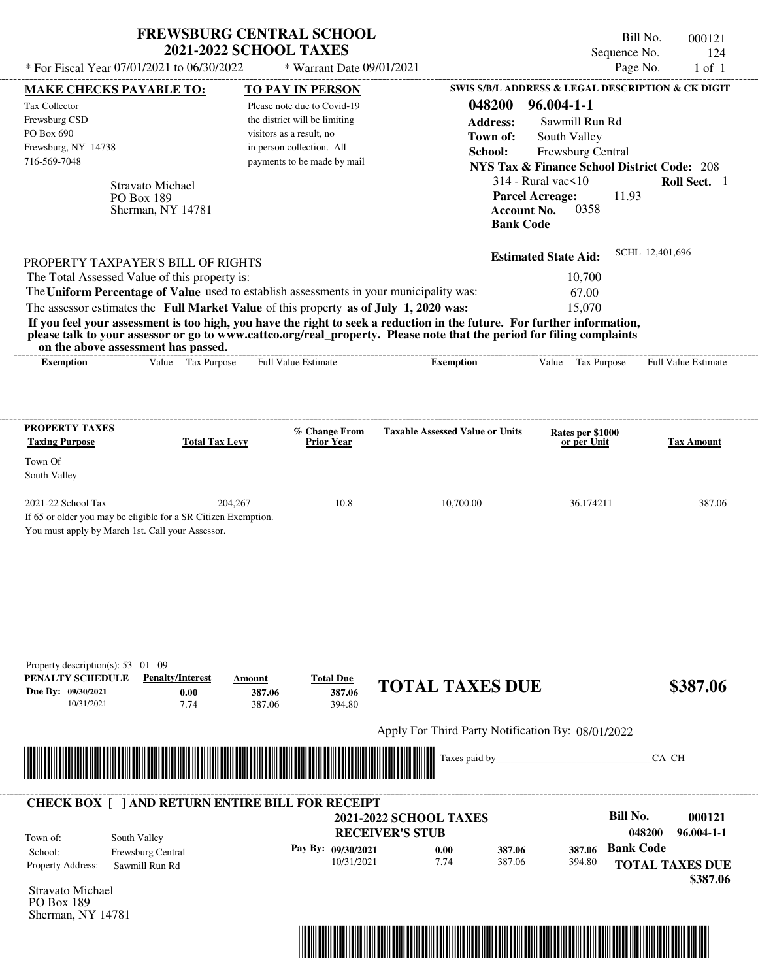| * For Fiscal Year 07/01/2021 to 06/30/2022                                                                                                                                                                                                                                                                                                                                                                                                                                                                                                                         | <b>FREWSBURG CENTRAL SCHOOL</b><br><b>2021-2022 SCHOOL TAXES</b> |                                                                                                                       | * Warrant Date 09/01/2021            |                                                         |                                                   |                                                                                                                                   | Bill No.<br>Sequence No.<br>Page No.   | 000121<br>124<br>$1$ of $1$                                      |
|--------------------------------------------------------------------------------------------------------------------------------------------------------------------------------------------------------------------------------------------------------------------------------------------------------------------------------------------------------------------------------------------------------------------------------------------------------------------------------------------------------------------------------------------------------------------|------------------------------------------------------------------|-----------------------------------------------------------------------------------------------------------------------|--------------------------------------|---------------------------------------------------------|---------------------------------------------------|-----------------------------------------------------------------------------------------------------------------------------------|----------------------------------------|------------------------------------------------------------------|
| MAKE CHECKS PAYABLE TO:                                                                                                                                                                                                                                                                                                                                                                                                                                                                                                                                            |                                                                  | <b>TO PAY IN PERSON</b>                                                                                               |                                      |                                                         |                                                   | SWIS S/B/L ADDRESS & LEGAL DESCRIPTION & CK DIGIT                                                                                 |                                        |                                                                  |
| Tax Collector<br>Frewsburg CSD<br>PO Box 690<br>Frewsburg, NY 14738<br>716-569-7048                                                                                                                                                                                                                                                                                                                                                                                                                                                                                |                                                                  | Please note due to Covid-19<br>the district will be limiting<br>visitors as a result, no<br>in person collection. All | payments to be made by mail          |                                                         | 048200<br><b>Address:</b><br>Town of:<br>School:  | $96.004 - 1 - 1$<br>Sawmill Run Rd<br>South Valley<br>Frewsburg Central<br><b>NYS Tax &amp; Finance School District Code: 208</b> |                                        |                                                                  |
| PO Box 189                                                                                                                                                                                                                                                                                                                                                                                                                                                                                                                                                         | <b>Stravato Michael</b><br>Sherman, NY 14781                     |                                                                                                                       |                                      |                                                         | <b>Bank Code</b>                                  | $314$ - Rural vac $\leq 10$<br><b>Parcel Acreage:</b><br>0358<br><b>Account No.</b>                                               | 11.93                                  | Roll Sect. 1                                                     |
| PROPERTY TAXPAYER'S BILL OF RIGHTS<br>The Total Assessed Value of this property is:<br>The Uniform Percentage of Value used to establish assessments in your municipality was:<br>The assessor estimates the Full Market Value of this property as of July 1, 2020 was:<br>If you feel your assessment is too high, you have the right to seek a reduction in the future. For further information,<br>please talk to your assessor or go to www.cattco.org/real_property. Please note that the period for filing complaints<br>on the above assessment has passed. |                                                                  |                                                                                                                       |                                      |                                                         |                                                   | <b>Estimated State Aid:</b><br>10,700<br>67.00<br>15,070                                                                          | SCHL 12,401,696                        |                                                                  |
| <b>Exemption</b>                                                                                                                                                                                                                                                                                                                                                                                                                                                                                                                                                   | Value Tax Purpose                                                | <b>Full Value Estimate</b>                                                                                            |                                      |                                                         | <b>Exemption</b>                                  | Value Tax Purpose                                                                                                                 |                                        | Full Value Estimate                                              |
| Town Of<br>South Valley<br>2021-22 School Tax<br>If 65 or older you may be eligible for a SR Citizen Exemption.<br>You must apply by March 1st. Call your Assessor.                                                                                                                                                                                                                                                                                                                                                                                                | 204,267                                                          |                                                                                                                       | 10.8                                 |                                                         | 10,700.00                                         | 36.174211                                                                                                                         |                                        | 387.06                                                           |
| Property description(s): $53 \quad 01 \quad 09$<br>PENALTY SCHEDULE<br>Due By: 09/30/2021<br>10/31/2021                                                                                                                                                                                                                                                                                                                                                                                                                                                            | <b>Penalty/Interest</b><br>0.00<br>7.74                          | Amount<br>387.06<br>387.06                                                                                            | <b>Total Due</b><br>387.06<br>394.80 |                                                         | <b>TOTAL TAXES DUE</b>                            |                                                                                                                                   |                                        | \$387.06                                                         |
|                                                                                                                                                                                                                                                                                                                                                                                                                                                                                                                                                                    |                                                                  |                                                                                                                       |                                      |                                                         | Apply For Third Party Notification By: 08/01/2022 |                                                                                                                                   |                                        |                                                                  |
|                                                                                                                                                                                                                                                                                                                                                                                                                                                                                                                                                                    |                                                                  |                                                                                                                       |                                      |                                                         | Taxes paid by                                     |                                                                                                                                   |                                        | CA CH                                                            |
| <b>CHECK BOX [ ] AND RETURN ENTIRE BILL FOR RECEIPT</b>                                                                                                                                                                                                                                                                                                                                                                                                                                                                                                            |                                                                  |                                                                                                                       |                                      |                                                         |                                                   |                                                                                                                                   |                                        |                                                                  |
| South Valley<br>Town of:<br>School:<br>Property Address:<br>Stravato Michael<br>PO Box 189<br>Sherman, NY 14781                                                                                                                                                                                                                                                                                                                                                                                                                                                    | Frewsburg Central<br>Sawmill Run Rd                              |                                                                                                                       | Pay By: 09/30/2021<br>10/31/2021     | <b>2021-2022 SCHOOL TAXES</b><br><b>RECEIVER'S STUB</b> | 0.00<br>387.06<br>7.74<br>387.06                  | 387.06<br>394.80                                                                                                                  | Bill No.<br>048200<br><b>Bank Code</b> | 000121<br>$96.004 - 1 - 1$<br><b>TOTAL TAXES DUE</b><br>\$387.06 |

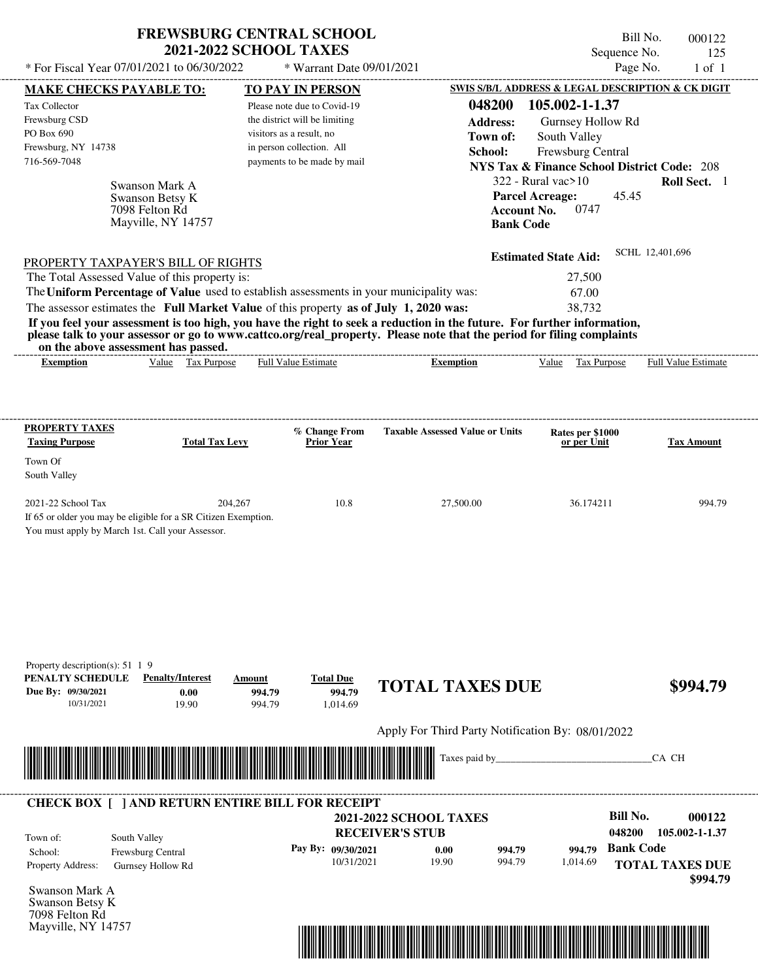|                                                                                         | <b>FREWSBURG CENTRAL SCHOOL</b><br><b>2021-2022 SCHOOL TAXES</b>                                                        | Bill No.<br>000122<br>Sequence No.<br>125                                                                                   |
|-----------------------------------------------------------------------------------------|-------------------------------------------------------------------------------------------------------------------------|-----------------------------------------------------------------------------------------------------------------------------|
| * For Fiscal Year $07/01/2021$ to $06/30/2022$                                          | * Warrant Date 09/01/2021                                                                                               | Page No.<br>$1$ of $1$                                                                                                      |
| <b>MAKE CHECKS PAYABLE TO:</b>                                                          | <b>TO PAY IN PERSON</b>                                                                                                 | SWIS S/B/L ADDRESS & LEGAL DESCRIPTION & CK DIGIT                                                                           |
| <b>Tax Collector</b>                                                                    | Please note due to Covid-19                                                                                             | 048200<br>105.002-1-1.37                                                                                                    |
| Frewsburg CSD                                                                           | the district will be limiting                                                                                           | <b>Address:</b><br>Gurnsey Hollow Rd                                                                                        |
| PO Box 690                                                                              | visitors as a result, no                                                                                                | South Valley<br>Town of:                                                                                                    |
| Frewsburg, NY 14738                                                                     | in person collection. All                                                                                               | School:<br><b>Frewsburg Central</b>                                                                                         |
| 716-569-7048                                                                            | payments to be made by mail                                                                                             | <b>NYS Tax &amp; Finance School District Code: 208</b>                                                                      |
| Swanson Mark A<br>Swanson Betsy K<br>7098 Felton Rd<br>Mayville, NY 14757               |                                                                                                                         | $322$ - Rural vac > 10<br>Roll Sect. 1<br><b>Parcel Acreage:</b><br>45.45<br>0747<br><b>Account No.</b><br><b>Bank Code</b> |
| PROPERTY TAXPAYER'S BILL OF RIGHTS                                                      |                                                                                                                         | SCHL 12,401,696<br><b>Estimated State Aid:</b>                                                                              |
| The Total Assessed Value of this property is:                                           |                                                                                                                         | 27,500                                                                                                                      |
| The Uniform Percentage of Value used to establish assessments in your municipality was: |                                                                                                                         | 67.00                                                                                                                       |
| The assessor estimates the Full Market Value of this property as of July 1, 2020 was:   |                                                                                                                         | 38,732                                                                                                                      |
|                                                                                         | If you feel your assessment is too high, you have the right to seek a reduction in the future. For further information, |                                                                                                                             |

**please talk to your assessor or go to www.cattco.org/real\_property. Please note that the period for filing complaints** on the above assessment has passed.

| on the above assessment has passed. |               |               |
|-------------------------------------|---------------|---------------|
|                                     |               |               |
| 17. 42.                             | $\frac{1}{2}$ | $E_{22}11.37$ |

| xemption | Value | Purpose<br>ľax | Full<br>±stımate<br>/alue | Exemption | alue | Purpose<br>l a | Full<br>: Estimate<br>∨alue |
|----------|-------|----------------|---------------------------|-----------|------|----------------|-----------------------------|
|          |       |                |                           |           |      |                |                             |

| <b>PROPERTY TAXES</b><br><b>Taxing Purpose</b>   | <b>Total Tax Levy</b>                                          | % Change From<br><b>Prior Year</b> | <b>Taxable Assessed Value or Units</b> | Rates per \$1000<br>or per Unit | <b>Tax Amount</b> |
|--------------------------------------------------|----------------------------------------------------------------|------------------------------------|----------------------------------------|---------------------------------|-------------------|
| Town Of                                          |                                                                |                                    |                                        |                                 |                   |
| South Valley                                     |                                                                |                                    |                                        |                                 |                   |
| $2021-22$ School Tax                             | 204.267                                                        | 10.8                               | 27,500.00                              | 36.174211                       | 994.79            |
|                                                  | If 65 or older you may be eligible for a SR Citizen Exemption. |                                    |                                        |                                 |                   |
| You must apply by March 1st. Call your Assessor. |                                                                |                                    |                                        |                                 |                   |

| Property description(s): $51 \t1 \t9$<br>PENALTY SCHEDULE | <b>Penalty/Interest</b>                                 | Amount                                                                                                                  | <b>Total Due</b>   | <b>TOTAL TAXES DUE</b>                            |        |          |                  | \$994.79                           |
|-----------------------------------------------------------|---------------------------------------------------------|-------------------------------------------------------------------------------------------------------------------------|--------------------|---------------------------------------------------|--------|----------|------------------|------------------------------------|
| Due By: 09/30/2021<br>10/31/2021                          | 0.00<br>19.90                                           | 994.79<br>994.79                                                                                                        | 994.79<br>1,014.69 |                                                   |        |          |                  |                                    |
|                                                           |                                                         |                                                                                                                         |                    | Apply For Third Party Notification By: 08/01/2022 |        |          |                  |                                    |
|                                                           |                                                         |                                                                                                                         |                    | Taxes paid by                                     |        |          |                  | CA CH                              |
|                                                           |                                                         | <u> Tanzania di Baratta di Baratta di Baratta di Baratta di Baratta di Baratta di Baratta di Baratta di Baratta di </u> |                    |                                                   |        |          |                  |                                    |
|                                                           |                                                         |                                                                                                                         |                    |                                                   |        |          |                  |                                    |
|                                                           | <b>CHECK BOX [ ] AND RETURN ENTIRE BILL FOR RECEIPT</b> |                                                                                                                         |                    | <b>2021-2022 SCHOOL TAXES</b>                     |        |          | Bill No.         | 000122                             |
| Town of:                                                  | South Valley                                            |                                                                                                                         |                    | <b>RECEIVER'S STUB</b>                            |        |          | 048200           | 105.002-1-1.37                     |
| School:                                                   | Frewsburg Central                                       |                                                                                                                         | Pay By: 09/30/2021 | 0.00                                              | 994.79 | 994.79   | <b>Bank Code</b> |                                    |
| Property Address:                                         | Gurnsey Hollow Rd                                       |                                                                                                                         | 10/31/2021         | 19.90                                             | 994.79 | 1,014.69 |                  | <b>TOTAL TAXES DUE</b><br>\$994.79 |
| Swanson Mark A                                            |                                                         |                                                                                                                         |                    |                                                   |        |          |                  |                                    |
| Swanson Betsy K<br>7098 Felton Rd                         |                                                         |                                                                                                                         |                    |                                                   |        |          |                  |                                    |
| Mayville, NY 14757                                        |                                                         |                                                                                                                         |                    |                                                   |        |          |                  |                                    |

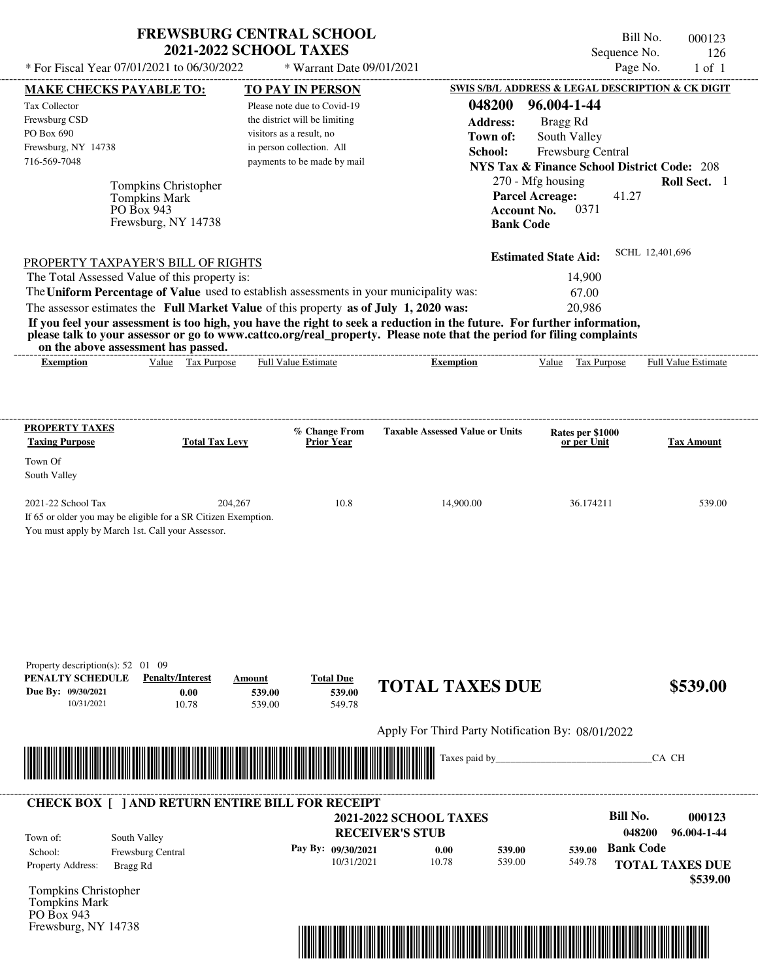| <b>FREWSBURG CENTRAL SCHOOL</b> |  |
|---------------------------------|--|
| <b>2021-2022 SCHOOL TAXES</b>   |  |

Bill No. 000123 Sequence No. 126

| * For Fiscal Year 07/01/2021 to 06/30/2022                                                                                                                                                                                                       |                                                             | * Warrant Date 09/01/2021                         |                                                                             | Page No.<br>$1$ of $1$     |
|--------------------------------------------------------------------------------------------------------------------------------------------------------------------------------------------------------------------------------------------------|-------------------------------------------------------------|---------------------------------------------------|-----------------------------------------------------------------------------|----------------------------|
| <b>MAKE CHECKS PAYABLE TO:</b>                                                                                                                                                                                                                   | <b>TO PAY IN PERSON</b>                                     |                                                   | SWIS S/B/L ADDRESS & LEGAL DESCRIPTION & CK DIGIT                           |                            |
| Tax Collector                                                                                                                                                                                                                                    | Please note due to Covid-19                                 | 048200                                            | 96.004-1-44                                                                 |                            |
| Frewsburg CSD<br>PO Box 690                                                                                                                                                                                                                      | the district will be limiting<br>visitors as a result, no   | <b>Address:</b>                                   | Bragg Rd                                                                    |                            |
| Frewsburg, NY 14738                                                                                                                                                                                                                              | in person collection. All                                   | Town of:                                          | South Valley                                                                |                            |
| 716-569-7048                                                                                                                                                                                                                                     | payments to be made by mail                                 | School:                                           | Frewsburg Central<br><b>NYS Tax &amp; Finance School District Code: 208</b> |                            |
|                                                                                                                                                                                                                                                  |                                                             |                                                   | 270 - Mfg housing                                                           | Roll Sect. 1               |
| Tompkins Christopher<br><b>Tompkins Mark</b>                                                                                                                                                                                                     |                                                             |                                                   | <b>Parcel Acreage:</b>                                                      | 41.27                      |
| PO Box 943                                                                                                                                                                                                                                       |                                                             |                                                   | 0371<br><b>Account No.</b>                                                  |                            |
| Frewsburg, NY 14738                                                                                                                                                                                                                              |                                                             |                                                   | <b>Bank Code</b>                                                            |                            |
|                                                                                                                                                                                                                                                  |                                                             |                                                   | <b>Estimated State Aid:</b>                                                 | SCHL 12,401,696            |
| PROPERTY TAXPAYER'S BILL OF RIGHTS<br>The Total Assessed Value of this property is:                                                                                                                                                              |                                                             |                                                   | 14,900                                                                      |                            |
| The Uniform Percentage of Value used to establish assessments in your municipality was:                                                                                                                                                          |                                                             |                                                   | 67.00                                                                       |                            |
| The assessor estimates the Full Market Value of this property as of July 1, 2020 was:                                                                                                                                                            |                                                             |                                                   | 20,986                                                                      |                            |
| If you feel your assessment is too high, you have the right to seek a reduction in the future. For further information,<br>please talk to your assessor or go to www.cattco.org/real_property. Please note that the period for filing complaints |                                                             |                                                   |                                                                             |                            |
| on the above assessment has passed.<br>Value Tax Purpose<br><b>Exemption</b>                                                                                                                                                                     | Full Value Estimate                                         | <b>Exemption</b>                                  | Value Tax Purpose                                                           | <b>Full Value Estimate</b> |
|                                                                                                                                                                                                                                                  |                                                             |                                                   |                                                                             |                            |
|                                                                                                                                                                                                                                                  |                                                             |                                                   |                                                                             |                            |
| <b>PROPERTY TAXES</b><br><b>Taxing Purpose</b>                                                                                                                                                                                                   | % Change From<br><b>Total Tax Levy</b><br><b>Prior Year</b> | <b>Taxable Assessed Value or Units</b>            | Rates per \$1000<br>or per Unit                                             | <b>Tax Amount</b>          |
| Town Of                                                                                                                                                                                                                                          |                                                             |                                                   |                                                                             |                            |
| South Valley                                                                                                                                                                                                                                     |                                                             |                                                   |                                                                             |                            |
| 2021-22 School Tax                                                                                                                                                                                                                               | 204,267                                                     | 10.8<br>14,900.00                                 | 36.174211                                                                   | 539.00                     |
| If 65 or older you may be eligible for a SR Citizen Exemption.                                                                                                                                                                                   |                                                             |                                                   |                                                                             |                            |
| You must apply by March 1st. Call your Assessor.                                                                                                                                                                                                 |                                                             |                                                   |                                                                             |                            |
|                                                                                                                                                                                                                                                  |                                                             |                                                   |                                                                             |                            |
|                                                                                                                                                                                                                                                  |                                                             |                                                   |                                                                             |                            |
|                                                                                                                                                                                                                                                  |                                                             |                                                   |                                                                             |                            |
|                                                                                                                                                                                                                                                  |                                                             |                                                   |                                                                             |                            |
|                                                                                                                                                                                                                                                  |                                                             |                                                   |                                                                             |                            |
|                                                                                                                                                                                                                                                  |                                                             |                                                   |                                                                             |                            |
| Property description(s): 52 01 09                                                                                                                                                                                                                |                                                             |                                                   |                                                                             |                            |
| PENALTY SCHEDULE<br><b>Penalty/Interest</b>                                                                                                                                                                                                      | <b>Total Due</b><br>Amount                                  | <b>TOTAL TAXES DUE</b>                            |                                                                             | \$539.00                   |
| Due By: 09/30/2021<br>0.00<br>10.78<br>10/31/2021                                                                                                                                                                                                | 539.00<br>539.00                                            | 539.00<br>549.78                                  |                                                                             |                            |
|                                                                                                                                                                                                                                                  |                                                             |                                                   |                                                                             |                            |
|                                                                                                                                                                                                                                                  |                                                             | Apply For Third Party Notification By: 08/01/2022 |                                                                             |                            |
|                                                                                                                                                                                                                                                  |                                                             | Taxes paid by____                                 |                                                                             | CA CH                      |
|                                                                                                                                                                                                                                                  |                                                             |                                                   |                                                                             |                            |
| <b>CHECK BOX [ ] AND RETURN ENTIRE BILL FOR RECEIPT</b>                                                                                                                                                                                          |                                                             | <b>2021-2022 SCHOOL TAXES</b>                     |                                                                             | <b>Bill No.</b><br>000123  |
|                                                                                                                                                                                                                                                  |                                                             | <b>RECEIVER'S STUB</b>                            |                                                                             | 96.004-1-44<br>048200      |
| South Valley<br>Town of:<br>Frewsburg Central<br>School:                                                                                                                                                                                         | Pay By: 09/30/2021                                          | 0.00                                              | 539.00<br>539.00                                                            | <b>Bank Code</b>           |
| Property Address:<br>Bragg Rd                                                                                                                                                                                                                    |                                                             | 10/31/2021<br>10.78                               | 539.00<br>549.78                                                            | <b>TOTAL TAXES DUE</b>     |
|                                                                                                                                                                                                                                                  |                                                             |                                                   |                                                                             | \$539.00                   |
| Tompkins Christopher                                                                                                                                                                                                                             |                                                             |                                                   |                                                                             |                            |
| Tompkins Mark<br>PO Box 943                                                                                                                                                                                                                      |                                                             |                                                   |                                                                             |                            |
| Frewsburg, NY 14738                                                                                                                                                                                                                              |                                                             |                                                   |                                                                             |                            |
|                                                                                                                                                                                                                                                  |                                                             |                                                   |                                                                             |                            |
|                                                                                                                                                                                                                                                  |                                                             |                                                   |                                                                             |                            |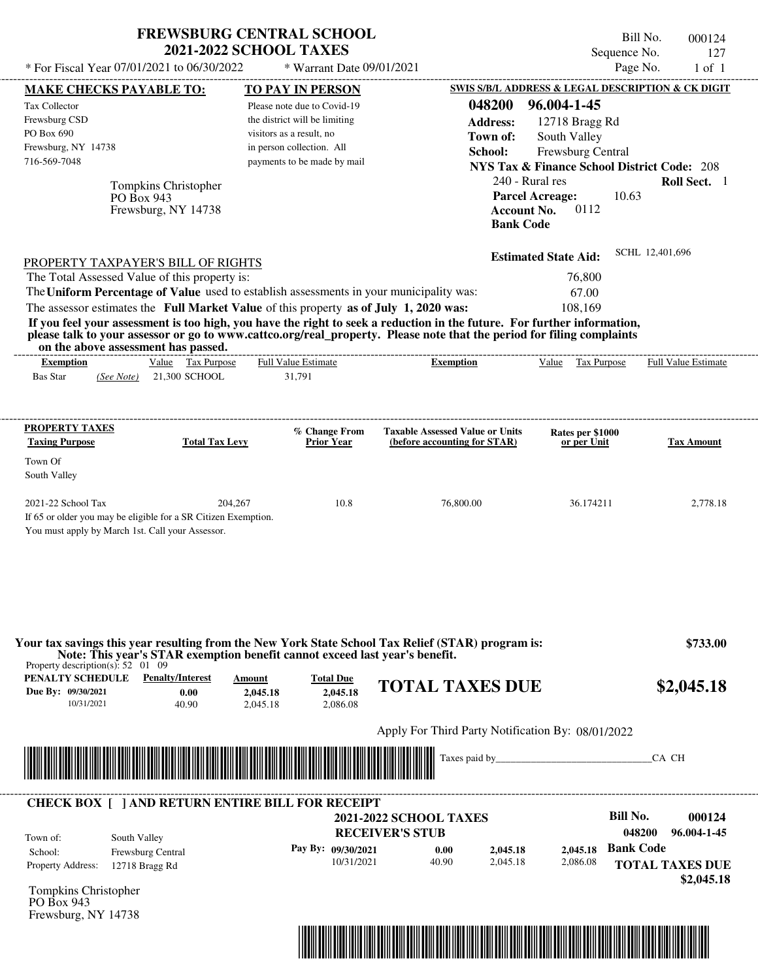|                                                                                         | <b>FREWSBURG CENTRAL SCHOOL</b><br><b>2021-2022 SCHOOL TAXES</b>            |                                  |                                                                                                                         | Bill No.<br>Sequence No.                               | 000124<br>127                        |
|-----------------------------------------------------------------------------------------|-----------------------------------------------------------------------------|----------------------------------|-------------------------------------------------------------------------------------------------------------------------|--------------------------------------------------------|--------------------------------------|
| * For Fiscal Year 07/01/2021 to 06/30/2022                                              |                                                                             | * Warrant Date 09/01/2021        |                                                                                                                         | Page No.                                               | $1$ of $1$                           |
| <b>MAKE CHECKS PAYABLE TO:</b>                                                          |                                                                             | <b>TO PAY IN PERSON</b>          |                                                                                                                         | SWIS S/B/L ADDRESS & LEGAL DESCRIPTION & CK DIGIT      |                                      |
| Tax Collector                                                                           |                                                                             | Please note due to Covid-19      | 048200                                                                                                                  | 96.004-1-45                                            |                                      |
| Frewsburg CSD                                                                           |                                                                             | the district will be limiting    | <b>Address:</b>                                                                                                         | 12718 Bragg Rd                                         |                                      |
| PO Box 690                                                                              |                                                                             | visitors as a result, no         | Town of:                                                                                                                | South Valley                                           |                                      |
| Frewsburg, NY 14738                                                                     |                                                                             | in person collection. All        | School:                                                                                                                 | <b>Frewsburg Central</b>                               |                                      |
| 716-569-7048                                                                            |                                                                             | payments to be made by mail      |                                                                                                                         | <b>NYS Tax &amp; Finance School District Code: 208</b> |                                      |
|                                                                                         |                                                                             |                                  | 240 - Rural res                                                                                                         |                                                        | Roll Sect. 1                         |
| Tompkins Christopher<br>PO Box 943                                                      |                                                                             |                                  | <b>Parcel Acreage:</b>                                                                                                  | 10.63                                                  |                                      |
| Frewsburg, NY 14738                                                                     |                                                                             |                                  | <b>Account No.</b>                                                                                                      | 0112                                                   |                                      |
|                                                                                         |                                                                             |                                  | <b>Bank Code</b>                                                                                                        |                                                        |                                      |
|                                                                                         |                                                                             |                                  |                                                                                                                         |                                                        | SCHL 12,401,696                      |
| PROPERTY TAXPAYER'S BILL OF RIGHTS                                                      |                                                                             |                                  |                                                                                                                         | <b>Estimated State Aid:</b>                            |                                      |
| The Total Assessed Value of this property is:                                           |                                                                             |                                  |                                                                                                                         | 76,800                                                 |                                      |
| The Uniform Percentage of Value used to establish assessments in your municipality was: |                                                                             |                                  |                                                                                                                         | 67.00                                                  |                                      |
| The assessor estimates the Full Market Value of this property as of July 1, 2020 was:   |                                                                             |                                  |                                                                                                                         | 108,169                                                |                                      |
|                                                                                         |                                                                             |                                  | If you feel your assessment is too high, you have the right to seek a reduction in the future. For further information, |                                                        |                                      |
| on the above assessment has passed.                                                     |                                                                             |                                  | please talk to your assessor or go to www.cattco.org/real_property. Please note that the period for filing complaints   |                                                        |                                      |
| <b>Exemption</b>                                                                        | Value Tax Purpose                                                           | <b>Full Value Estimate</b>       | <b>Exemption</b>                                                                                                        | Value<br>Tax Purpose                                   | <b>Full Value Estimate</b>           |
| <b>Bas Star</b><br>(See Note)                                                           | 21,300 SCHOOL                                                               | 31,791                           |                                                                                                                         |                                                        |                                      |
|                                                                                         |                                                                             |                                  |                                                                                                                         |                                                        |                                      |
| <b>PROPERTY TAXES</b>                                                                   |                                                                             | % Change From                    | <b>Taxable Assessed Value or Units</b>                                                                                  | Rates per \$1000                                       |                                      |
| <b>Taxing Purpose</b>                                                                   | <b>Total Tax Levy</b>                                                       | Prior Year                       | (before accounting for STAR)                                                                                            | or per Unit                                            | <b>Tax Amount</b>                    |
| Town Of                                                                                 |                                                                             |                                  |                                                                                                                         |                                                        |                                      |
| South Valley                                                                            |                                                                             |                                  |                                                                                                                         |                                                        |                                      |
|                                                                                         |                                                                             |                                  |                                                                                                                         |                                                        |                                      |
| 2021-22 School Tax                                                                      | 204,267                                                                     | 10.8                             | 76,800.00                                                                                                               | 36.174211                                              | 2,778.18                             |
| If 65 or older you may be eligible for a SR Citizen Exemption.                          |                                                                             |                                  |                                                                                                                         |                                                        |                                      |
| You must apply by March 1st. Call your Assessor.                                        |                                                                             |                                  |                                                                                                                         |                                                        |                                      |
| Property description(s): $52 \quad 01 \quad 09$                                         | Note: This year's STAR exemption benefit cannot exceed last year's benefit. |                                  | Your tax savings this year resulting from the New York State School Tax Relief (STAR) program is:                       |                                                        | \$733.00                             |
| PENALTY SCHEDULE<br>Due By: 09/30/2021                                                  | <b>Penalty/Interest</b><br>Amount<br>0.00<br>2,045.18                       | <b>Total Due</b><br>2,045.18     | <b>TOTAL TAXES DUE</b>                                                                                                  |                                                        | \$2,045.18                           |
| 10/31/2021                                                                              | 40.90<br>2.045.18                                                           | 2.086.08                         |                                                                                                                         |                                                        |                                      |
|                                                                                         |                                                                             |                                  | Apply For Third Party Notification By: 08/01/2022                                                                       |                                                        |                                      |
|                                                                                         |                                                                             |                                  | Taxes paid by_                                                                                                          |                                                        | CA CH                                |
| <b>CHECK BOX [ ] AND RETURN ENTIRE BILL FOR RECEIPT</b>                                 |                                                                             |                                  |                                                                                                                         |                                                        |                                      |
|                                                                                         |                                                                             |                                  | <b>2021-2022 SCHOOL TAXES</b>                                                                                           | <b>Bill No.</b>                                        | 000124                               |
|                                                                                         |                                                                             |                                  | <b>RECEIVER'S STUB</b>                                                                                                  | 048200                                                 | 96.004-1-45                          |
| South Valley<br>Town of:                                                                |                                                                             |                                  |                                                                                                                         | <b>Bank Code</b>                                       |                                      |
| Frewsburg Central<br>School:                                                            |                                                                             | Pay By: 09/30/2021<br>10/31/2021 | 0.00<br>2,045.18<br>2,045.18<br>40.90                                                                                   | 2,045.18<br>2,086.08                                   |                                      |
| Property Address:<br>12718 Bragg Rd                                                     |                                                                             |                                  |                                                                                                                         |                                                        | <b>TOTAL TAXES DUE</b><br>\$2,045.18 |

Tompkins Christopher PO Box 943 Frewsburg, NY 14738

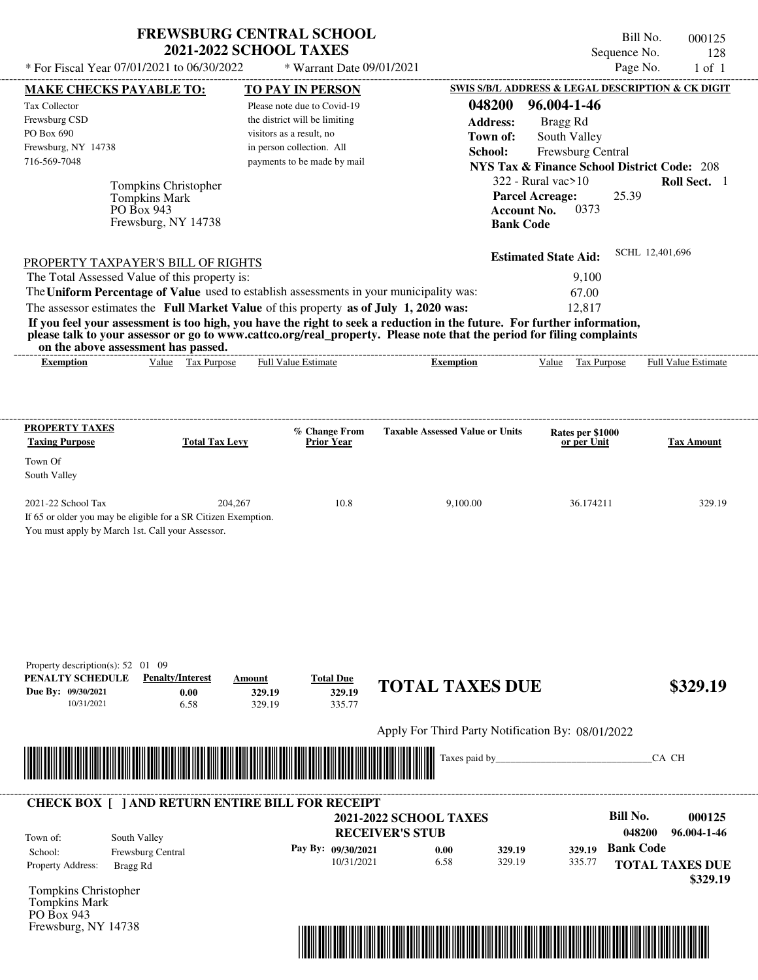| <b>FREWSBURG CENTRAL SCHOOL</b> |
|---------------------------------|
| <b>2021-2022 SCHOOL TAXES</b>   |

Bill No. 000125 Sequence No. 128<br>Page No. 1 of 1  $*$  For Fiscal Year 07/01/2021 to 06/30/2022  $*$  Warrant Date 09/01/2021 Page No. 1 of 1

| <b>MAKE CHECKS PAYABLE TO:</b>                  |                                                                                     | <b>TO PAY IN PERSON</b>                                                                                                                                                                                                              |                                                                                                                         | <b>SWIS S/B/L ADDRESS &amp; LEGAL DESCRIPTION &amp; CK DIGIT</b> |                        |
|-------------------------------------------------|-------------------------------------------------------------------------------------|--------------------------------------------------------------------------------------------------------------------------------------------------------------------------------------------------------------------------------------|-------------------------------------------------------------------------------------------------------------------------|------------------------------------------------------------------|------------------------|
| Tax Collector                                   |                                                                                     | Please note due to Covid-19                                                                                                                                                                                                          | 048200                                                                                                                  | 96.004-1-46                                                      |                        |
| Frewsburg CSD                                   |                                                                                     | the district will be limiting                                                                                                                                                                                                        | <b>Address:</b>                                                                                                         | Bragg Rd                                                         |                        |
| PO Box 690                                      |                                                                                     | visitors as a result, no                                                                                                                                                                                                             | Town of:                                                                                                                | South Valley                                                     |                        |
| Frewsburg, NY 14738<br>716-569-7048             |                                                                                     | in person collection. All<br>payments to be made by mail                                                                                                                                                                             | School:                                                                                                                 | Frewsburg Central                                                |                        |
|                                                 |                                                                                     |                                                                                                                                                                                                                                      |                                                                                                                         | <b>NYS Tax &amp; Finance School District Code: 208</b>           |                        |
|                                                 | Tompkins Christopher                                                                |                                                                                                                                                                                                                                      |                                                                                                                         | $322$ - Rural vac $>10$                                          | Roll Sect. 1           |
|                                                 | <b>Tompkins Mark</b>                                                                |                                                                                                                                                                                                                                      |                                                                                                                         | 25.39<br><b>Parcel Acreage:</b><br>0373                          |                        |
|                                                 | PO Box 943<br>Frewsburg, NY 14738                                                   |                                                                                                                                                                                                                                      | <b>Account No.</b><br><b>Bank Code</b>                                                                                  |                                                                  |                        |
|                                                 |                                                                                     |                                                                                                                                                                                                                                      |                                                                                                                         |                                                                  |                        |
|                                                 |                                                                                     |                                                                                                                                                                                                                                      |                                                                                                                         | <b>Estimated State Aid:</b>                                      | SCHL 12,401,696        |
|                                                 | PROPERTY TAXPAYER'S BILL OF RIGHTS<br>The Total Assessed Value of this property is: |                                                                                                                                                                                                                                      |                                                                                                                         | 9,100                                                            |                        |
|                                                 |                                                                                     | The Uniform Percentage of Value used to establish assessments in your municipality was:                                                                                                                                              |                                                                                                                         | 67.00                                                            |                        |
|                                                 |                                                                                     | The assessor estimates the Full Market Value of this property as of July 1, 2020 was:                                                                                                                                                |                                                                                                                         | 12,817                                                           |                        |
|                                                 |                                                                                     |                                                                                                                                                                                                                                      | If you feel your assessment is too high, you have the right to seek a reduction in the future. For further information, |                                                                  |                        |
|                                                 | on the above assessment has passed.                                                 |                                                                                                                                                                                                                                      | please talk to your assessor or go to www.cattco.org/real_property. Please note that the period for filing complaints   |                                                                  |                        |
| <b>Exemption</b>                                | Value Tax Purpose                                                                   | <b>Full Value Estimate</b>                                                                                                                                                                                                           | <b>Exemption</b>                                                                                                        | Value Tax Purpose Full Value Estimate                            |                        |
|                                                 |                                                                                     |                                                                                                                                                                                                                                      |                                                                                                                         |                                                                  |                        |
|                                                 |                                                                                     |                                                                                                                                                                                                                                      |                                                                                                                         |                                                                  |                        |
|                                                 |                                                                                     |                                                                                                                                                                                                                                      |                                                                                                                         |                                                                  |                        |
| <b>PROPERTY TAXES</b><br><b>Taxing Purpose</b>  | <b>Total Tax Levy</b>                                                               | % Change From<br><b>Prior Year</b>                                                                                                                                                                                                   | <b>Taxable Assessed Value or Units</b>                                                                                  | Rates per \$1000<br>or per Unit                                  | <b>Tax Amount</b>      |
| Town Of                                         |                                                                                     |                                                                                                                                                                                                                                      |                                                                                                                         |                                                                  |                        |
| South Valley                                    |                                                                                     |                                                                                                                                                                                                                                      |                                                                                                                         |                                                                  |                        |
| 2021-22 School Tax                              | 204,267                                                                             | 10.8                                                                                                                                                                                                                                 | 9,100.00                                                                                                                | 36.174211                                                        | 329.19                 |
|                                                 | If 65 or older you may be eligible for a SR Citizen Exemption.                      |                                                                                                                                                                                                                                      |                                                                                                                         |                                                                  |                        |
|                                                 | You must apply by March 1st. Call your Assessor.                                    |                                                                                                                                                                                                                                      |                                                                                                                         |                                                                  |                        |
|                                                 |                                                                                     |                                                                                                                                                                                                                                      |                                                                                                                         |                                                                  |                        |
|                                                 |                                                                                     |                                                                                                                                                                                                                                      |                                                                                                                         |                                                                  |                        |
|                                                 |                                                                                     |                                                                                                                                                                                                                                      |                                                                                                                         |                                                                  |                        |
|                                                 |                                                                                     |                                                                                                                                                                                                                                      |                                                                                                                         |                                                                  |                        |
|                                                 |                                                                                     |                                                                                                                                                                                                                                      |                                                                                                                         |                                                                  |                        |
|                                                 |                                                                                     |                                                                                                                                                                                                                                      |                                                                                                                         |                                                                  |                        |
| Property description(s): $52 \quad 01 \quad 09$ |                                                                                     |                                                                                                                                                                                                                                      |                                                                                                                         |                                                                  |                        |
| PENALTY SCHEDULE                                | <b>Penalty/Interest</b>                                                             | <b>Total Due</b><br>Amount                                                                                                                                                                                                           | <b>TOTAL TAXES DUE</b>                                                                                                  |                                                                  | \$329.19               |
| Due By: 09/30/2021                              | 0.00                                                                                | 329.19<br>329.19                                                                                                                                                                                                                     |                                                                                                                         |                                                                  |                        |
| 10/31/2021                                      | 6.58                                                                                | 335.77<br>329.19                                                                                                                                                                                                                     |                                                                                                                         |                                                                  |                        |
|                                                 |                                                                                     |                                                                                                                                                                                                                                      | Apply For Third Party Notification By: 08/01/2022                                                                       |                                                                  |                        |
|                                                 |                                                                                     |                                                                                                                                                                                                                                      | Taxes paid by                                                                                                           |                                                                  | CA CH                  |
|                                                 |                                                                                     | <u> Indian American State of Barbara and The Barbara and The Barbara and The Barbara and The Barbara and The Barbara and The Barbara and The Barbara and The Barbara and The Barbara and The Barbara and The Barbara and The Bar</u> |                                                                                                                         |                                                                  |                        |
|                                                 |                                                                                     |                                                                                                                                                                                                                                      |                                                                                                                         |                                                                  |                        |
|                                                 |                                                                                     | <b>CHECK BOX [ ] AND RETURN ENTIRE BILL FOR RECEIPT</b>                                                                                                                                                                              | <b>2021-2022 SCHOOL TAXES</b>                                                                                           | <b>Bill No.</b>                                                  | 000125                 |
| Town of:                                        | South Valley                                                                        |                                                                                                                                                                                                                                      | <b>RECEIVER'S STUB</b>                                                                                                  | 048200                                                           | 96.004-1-46            |
| School:                                         | Frewsburg Central                                                                   | Pay By: 09/30/2021                                                                                                                                                                                                                   | 329.19<br>0.00                                                                                                          | <b>Bank Code</b><br>329.19                                       |                        |
| Property Address:                               | Bragg Rd                                                                            | 10/31/2021                                                                                                                                                                                                                           | 6.58<br>329.19                                                                                                          | 335.77                                                           | <b>TOTAL TAXES DUE</b> |
|                                                 |                                                                                     |                                                                                                                                                                                                                                      |                                                                                                                         |                                                                  | \$329.19               |
| Tompkins Christopher                            |                                                                                     |                                                                                                                                                                                                                                      |                                                                                                                         |                                                                  |                        |
| Tompkins Mark<br>PO Box 943                     |                                                                                     |                                                                                                                                                                                                                                      |                                                                                                                         |                                                                  |                        |
|                                                 |                                                                                     |                                                                                                                                                                                                                                      |                                                                                                                         |                                                                  |                        |
|                                                 |                                                                                     |                                                                                                                                                                                                                                      |                                                                                                                         |                                                                  |                        |
| Frewsburg, NY 14738                             |                                                                                     |                                                                                                                                                                                                                                      | <u> 1989 - Johann Barbara, martxa amerikan bashkil bilan bashkil bilan bashkil bilan bashkil bilan bashkil bilan</u>    |                                                                  |                        |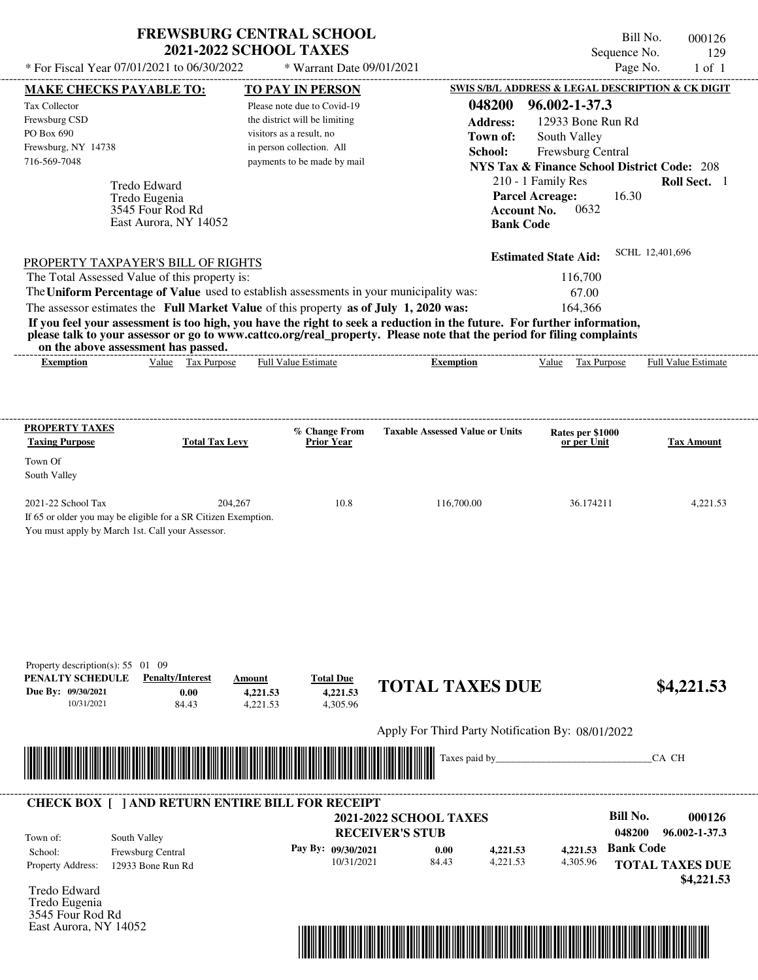| * For Fiscal Year 07/01/2021 to 06/30/2022                                                                      | <b>FREWSBURG CENTRAL SCHOOL</b><br><b>2021-2022 SCHOOL TAXES</b>           | * Warrant Date 09/01/2021                |                                                                                                                         | Bill No.<br>Sequence No.<br>Page No.                   | 000126<br>129<br>$1$ of $1$          |
|-----------------------------------------------------------------------------------------------------------------|----------------------------------------------------------------------------|------------------------------------------|-------------------------------------------------------------------------------------------------------------------------|--------------------------------------------------------|--------------------------------------|
| MAKE CHECKS PAYABLE TO:                                                                                         |                                                                            | <b>TO PAY IN PERSON</b>                  |                                                                                                                         | SWIS S/B/L ADDRESS & LEGAL DESCRIPTION & CK DIGIT      |                                      |
| Tax Collector                                                                                                   |                                                                            | Please note due to Covid-19              | 048200                                                                                                                  | 96.002-1-37.3                                          |                                      |
| Frewsburg CSD                                                                                                   |                                                                            | the district will be limiting            | <b>Address:</b>                                                                                                         | 12933 Bone Run Rd                                      |                                      |
| PO Box 690                                                                                                      |                                                                            | visitors as a result, no                 | Town of:                                                                                                                | South Valley                                           |                                      |
| Frewsburg, NY 14738                                                                                             |                                                                            | in person collection. All                | School:                                                                                                                 | Frewsburg Central                                      |                                      |
| 716-569-7048                                                                                                    |                                                                            | payments to be made by mail              |                                                                                                                         | <b>NYS Tax &amp; Finance School District Code: 208</b> |                                      |
| <b>Tredo Edward</b>                                                                                             |                                                                            |                                          |                                                                                                                         | 210 - 1 Family Res                                     | Roll Sect. 1                         |
| Tredo Eugenia                                                                                                   |                                                                            |                                          |                                                                                                                         | <b>Parcel Acreage:</b><br>16.30                        |                                      |
| 3545 Four Rod Rd                                                                                                | East Aurora, NY 14052                                                      |                                          | <b>Account No.</b>                                                                                                      | 0632                                                   |                                      |
|                                                                                                                 |                                                                            |                                          | <b>Bank Code</b>                                                                                                        |                                                        |                                      |
|                                                                                                                 |                                                                            |                                          |                                                                                                                         | <b>Estimated State Aid:</b>                            | SCHL 12,401,696                      |
| PROPERTY TAXPAYER'S BILL OF RIGHTS                                                                              |                                                                            |                                          |                                                                                                                         |                                                        |                                      |
| The Total Assessed Value of this property is:                                                                   |                                                                            |                                          |                                                                                                                         | 116,700                                                |                                      |
| The Uniform Percentage of Value used to establish assessments in your municipality was:                         |                                                                            |                                          |                                                                                                                         | 67.00                                                  |                                      |
| The assessor estimates the Full Market Value of this property as of July 1, 2020 was:                           |                                                                            |                                          | If you feel your assessment is too high, you have the right to seek a reduction in the future. For further information, | 164,366                                                |                                      |
|                                                                                                                 |                                                                            |                                          | please talk to your assessor or go to www.cattco.org/real_property. Please note that the period for filing complaints   |                                                        |                                      |
| on the above assessment has passed.                                                                             |                                                                            |                                          |                                                                                                                         |                                                        |                                      |
| <b>Exemption</b>                                                                                                | Value Tax Purpose                                                          | Full Value Estimate                      | <b>Exemption</b>                                                                                                        | Value Tax Purpose                                      | Full Value Estimate                  |
| Town Of<br>South Valley<br>2021-22 School Tax<br>If 65 or older you may be eligible for a SR Citizen Exemption. | 204,267                                                                    | 10.8                                     | 116,700.00                                                                                                              | 36.174211                                              | 4,221.53                             |
| You must apply by March 1st. Call your Assessor.<br>Property description(s): $55 \quad 01 \quad 09$             |                                                                            |                                          |                                                                                                                         |                                                        |                                      |
| PENALTY SCHEDULE<br>Due By: 09/30/2021<br>10/31/2021                                                            | <b>Penalty/Interest</b><br>Amount<br>0.00<br>4,221.53<br>84.43<br>4,221.53 | <b>Total Due</b><br>4.221.53<br>4,305.96 | <b>TOTAL TAXES DUE</b>                                                                                                  |                                                        | \$4,221.53                           |
|                                                                                                                 |                                                                            |                                          | Apply For Third Party Notification By: 08/01/2022                                                                       |                                                        |                                      |
|                                                                                                                 |                                                                            |                                          | Taxes paid by                                                                                                           |                                                        | CA CH                                |
|                                                                                                                 |                                                                            |                                          |                                                                                                                         |                                                        |                                      |
| <b>CHECK BOX [ ] AND RETURN ENTIRE BILL FOR RECEIPT</b>                                                         |                                                                            |                                          |                                                                                                                         |                                                        |                                      |
|                                                                                                                 |                                                                            |                                          | <b>2021-2022 SCHOOL TAXES</b>                                                                                           | <b>Bill No.</b>                                        | 000126                               |
| South Valley<br>Town of:                                                                                        |                                                                            |                                          | <b>RECEIVER'S STUB</b>                                                                                                  | 048200                                                 | 96.002-1-37.3                        |
| School:<br>Frewsburg Central                                                                                    |                                                                            | Pay By: 09/30/2021                       | 0.00<br>4,221.53                                                                                                        | <b>Bank Code</b><br>4,221.53                           |                                      |
| 12933 Bone Run Rd<br><b>Property Address:</b>                                                                   |                                                                            | 10/31/2021                               | 84.43<br>4,221.53                                                                                                       | 4,305.96                                               | <b>TOTAL TAXES DUE</b><br>\$4,221.53 |

Tredo Edward Tredo Eugenia 3545 Four Rod Rd East Aurora, NY 14052

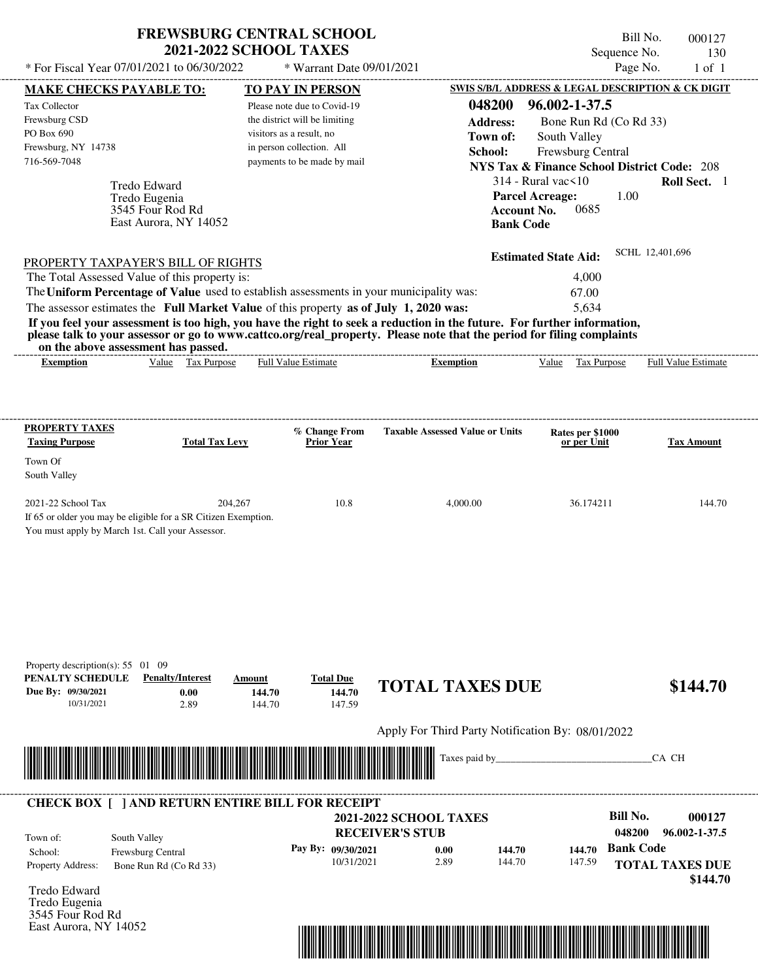| <b>FREWSBURG CENTRAL SCHOOL</b> |  |
|---------------------------------|--|
| <b>2021-2022 SCHOOL TAXES</b>   |  |

Bill No. 000127 Sequence No. 130

| * For Fiscal Year 07/01/2021 to 06/30/2022                                                                                                                                                                                                                                              |                                                     | * Warrant Date 09/01/2021                                 |                                                   |                                                        | Page No.               | $1$ of $1$          |
|-----------------------------------------------------------------------------------------------------------------------------------------------------------------------------------------------------------------------------------------------------------------------------------------|-----------------------------------------------------|-----------------------------------------------------------|---------------------------------------------------|--------------------------------------------------------|------------------------|---------------------|
| <b>MAKE CHECKS PAYABLE TO:</b>                                                                                                                                                                                                                                                          |                                                     | <b>TO PAY IN PERSON</b>                                   |                                                   | SWIS S/B/L ADDRESS & LEGAL DESCRIPTION & CK DIGIT      |                        |                     |
| Tax Collector                                                                                                                                                                                                                                                                           |                                                     | Please note due to Covid-19                               | 048200                                            | 96.002-1-37.5                                          |                        |                     |
| Frewsburg CSD<br>PO Box 690                                                                                                                                                                                                                                                             |                                                     | the district will be limiting<br>visitors as a result, no | <b>Address:</b>                                   | Bone Run Rd (Co Rd 33)                                 |                        |                     |
| Frewsburg, NY 14738                                                                                                                                                                                                                                                                     |                                                     | in person collection. All                                 | Town of:<br>School:                               | South Valley<br>Frewsburg Central                      |                        |                     |
| 716-569-7048                                                                                                                                                                                                                                                                            |                                                     | payments to be made by mail                               |                                                   | <b>NYS Tax &amp; Finance School District Code: 208</b> |                        |                     |
| Tredo Edward                                                                                                                                                                                                                                                                            |                                                     |                                                           |                                                   | $314$ - Rural vac $\leq 10$                            |                        | Roll Sect. 1        |
| Tredo Eugenia                                                                                                                                                                                                                                                                           |                                                     |                                                           |                                                   | <b>Parcel Acreage:</b>                                 | 1.00                   |                     |
| 3545 Four Rod Rd                                                                                                                                                                                                                                                                        |                                                     |                                                           |                                                   | <b>Account No.</b><br>0685                             |                        |                     |
| East Aurora, NY 14052                                                                                                                                                                                                                                                                   |                                                     |                                                           | <b>Bank Code</b>                                  |                                                        |                        |                     |
| PROPERTY TAXPAYER'S BILL OF RIGHTS                                                                                                                                                                                                                                                      |                                                     |                                                           |                                                   | <b>Estimated State Aid:</b>                            | SCHL 12,401,696        |                     |
| The Total Assessed Value of this property is:                                                                                                                                                                                                                                           |                                                     |                                                           |                                                   | 4,000                                                  |                        |                     |
| The Uniform Percentage of Value used to establish assessments in your municipality was:                                                                                                                                                                                                 |                                                     |                                                           |                                                   | 67.00                                                  |                        |                     |
| The assessor estimates the Full Market Value of this property as of July 1, 2020 was:                                                                                                                                                                                                   |                                                     |                                                           |                                                   | 5,634                                                  |                        |                     |
| If you feel your assessment is too high, you have the right to seek a reduction in the future. For further information,<br>please talk to your assessor or go to www.cattco.org/real_property. Please note that the period for filing complaints<br>on the above assessment has passed. |                                                     |                                                           |                                                   |                                                        |                        |                     |
| <b>Exemption</b>                                                                                                                                                                                                                                                                        | Value Tax Purpose                                   | Full Value Estimate                                       | <b>Exemption</b>                                  | Value Tax Purpose                                      |                        | Full Value Estimate |
|                                                                                                                                                                                                                                                                                         |                                                     |                                                           |                                                   |                                                        |                        |                     |
| <b>PROPERTY TAXES</b>                                                                                                                                                                                                                                                                   |                                                     |                                                           |                                                   |                                                        |                        |                     |
| <b>Taxing Purpose</b>                                                                                                                                                                                                                                                                   | <b>Total Tax Levy</b>                               | % Change From<br><b>Prior Year</b>                        | <b>Taxable Assessed Value or Units</b>            | Rates per \$1000<br>or per Unit                        |                        | <b>Tax Amount</b>   |
| Town Of                                                                                                                                                                                                                                                                                 |                                                     |                                                           |                                                   |                                                        |                        |                     |
| South Valley                                                                                                                                                                                                                                                                            |                                                     |                                                           |                                                   |                                                        |                        |                     |
| 2021-22 School Tax                                                                                                                                                                                                                                                                      | 204,267                                             | 10.8                                                      | 4,000.00                                          | 36.174211                                              |                        | 144.70              |
| If 65 or older you may be eligible for a SR Citizen Exemption.                                                                                                                                                                                                                          |                                                     |                                                           |                                                   |                                                        |                        |                     |
| You must apply by March 1st. Call your Assessor.                                                                                                                                                                                                                                        |                                                     |                                                           |                                                   |                                                        |                        |                     |
|                                                                                                                                                                                                                                                                                         |                                                     |                                                           |                                                   |                                                        |                        |                     |
|                                                                                                                                                                                                                                                                                         |                                                     |                                                           |                                                   |                                                        |                        |                     |
|                                                                                                                                                                                                                                                                                         |                                                     |                                                           |                                                   |                                                        |                        |                     |
|                                                                                                                                                                                                                                                                                         |                                                     |                                                           |                                                   |                                                        |                        |                     |
|                                                                                                                                                                                                                                                                                         |                                                     |                                                           |                                                   |                                                        |                        |                     |
|                                                                                                                                                                                                                                                                                         |                                                     |                                                           |                                                   |                                                        |                        |                     |
| Property description(s): 55 01 09                                                                                                                                                                                                                                                       |                                                     |                                                           |                                                   |                                                        |                        |                     |
| PENALTY SCHEDULE<br>Due By: 09/30/2021                                                                                                                                                                                                                                                  | <b>Penalty/Interest</b><br>Amount<br>0.00<br>144.70 | <b>Total Due</b><br>144.70                                | <b>TOTAL TAXES DUE</b>                            |                                                        |                        | \$144.70            |
| 10/31/2021                                                                                                                                                                                                                                                                              | 2.89<br>144.70                                      | 147.59                                                    |                                                   |                                                        |                        |                     |
|                                                                                                                                                                                                                                                                                         |                                                     |                                                           | Apply For Third Party Notification By: 08/01/2022 |                                                        |                        |                     |
|                                                                                                                                                                                                                                                                                         |                                                     |                                                           | Taxes paid by____                                 |                                                        | CA CH                  |                     |
|                                                                                                                                                                                                                                                                                         |                                                     |                                                           |                                                   |                                                        |                        |                     |
|                                                                                                                                                                                                                                                                                         |                                                     |                                                           |                                                   |                                                        |                        |                     |
| <b>CHECK BOX [ ] AND RETURN ENTIRE BILL FOR RECEIPT</b>                                                                                                                                                                                                                                 |                                                     |                                                           | <b>2021-2022 SCHOOL TAXES</b>                     |                                                        | <b>Bill No.</b>        | 000127              |
| South Valley<br>Town of:                                                                                                                                                                                                                                                                |                                                     |                                                           | <b>RECEIVER'S STUB</b>                            |                                                        | 048200                 | 96.002-1-37.5       |
| Frewsburg Central<br>School:                                                                                                                                                                                                                                                            |                                                     | Pay By: 09/30/2021                                        | 0.00<br>144.70                                    | 144.70                                                 | <b>Bank Code</b>       |                     |
| Property Address:<br>Bone Run Rd (Co Rd 33)                                                                                                                                                                                                                                             |                                                     | 10/31/2021                                                | 2.89<br>144.70                                    | 147.59                                                 | <b>TOTAL TAXES DUE</b> |                     |
|                                                                                                                                                                                                                                                                                         |                                                     |                                                           |                                                   |                                                        |                        | \$144.70            |
| Tredo Edward<br>Tredo Eugenia                                                                                                                                                                                                                                                           |                                                     |                                                           |                                                   |                                                        |                        |                     |
| 3545 Four Rod Rd                                                                                                                                                                                                                                                                        |                                                     |                                                           |                                                   |                                                        |                        |                     |
| East Aurora, NY 14052                                                                                                                                                                                                                                                                   |                                                     |                                                           |                                                   |                                                        |                        |                     |
|                                                                                                                                                                                                                                                                                         |                                                     |                                                           |                                                   |                                                        |                        |                     |
|                                                                                                                                                                                                                                                                                         |                                                     |                                                           |                                                   |                                                        |                        |                     |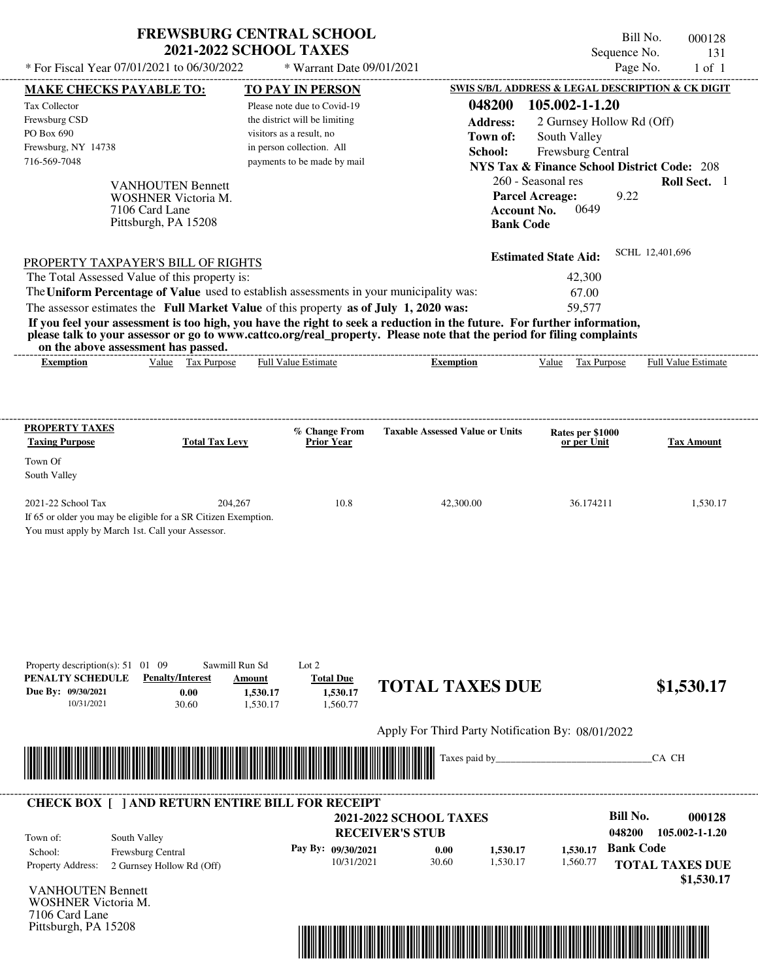| * For Fiscal Year 07/01/2021 to 06/30/2022                                                                                                                                                                       | <b>FREWSBURG CENTRAL SCHOOL</b><br><b>2021-2022 SCHOOL TAXES</b><br>* Warrant Date 09/01/2021 |                                                   |                                                        | Bill No.<br>Sequence No.<br>Page No. | 000128<br>131<br>$1$ of $1$ |
|------------------------------------------------------------------------------------------------------------------------------------------------------------------------------------------------------------------|-----------------------------------------------------------------------------------------------|---------------------------------------------------|--------------------------------------------------------|--------------------------------------|-----------------------------|
|                                                                                                                                                                                                                  |                                                                                               |                                                   | SWIS S/B/L ADDRESS & LEGAL DESCRIPTION & CK DIGIT      |                                      |                             |
| <b>MAKE CHECKS PAYABLE TO:</b>                                                                                                                                                                                   | <b>TO PAY IN PERSON</b>                                                                       |                                                   |                                                        |                                      |                             |
| Tax Collector                                                                                                                                                                                                    | Please note due to Covid-19                                                                   | 048200                                            | 105.002-1-1.20                                         |                                      |                             |
| Frewsburg CSD                                                                                                                                                                                                    | the district will be limiting                                                                 | <b>Address:</b>                                   |                                                        | 2 Gurnsey Hollow Rd (Off)            |                             |
| PO Box 690                                                                                                                                                                                                       | visitors as a result, no                                                                      | Town of:                                          | South Valley                                           |                                      |                             |
| Frewsburg, NY 14738                                                                                                                                                                                              | in person collection. All                                                                     | School:                                           | Frewsburg Central                                      |                                      |                             |
| 716-569-7048                                                                                                                                                                                                     | payments to be made by mail                                                                   |                                                   | <b>NYS Tax &amp; Finance School District Code: 208</b> |                                      |                             |
| <b>VANHOUTEN Bennett</b>                                                                                                                                                                                         |                                                                                               |                                                   | 260 - Seasonal res                                     |                                      | Roll Sect. 1                |
| <b>WOSHNER Victoria M.</b>                                                                                                                                                                                       |                                                                                               |                                                   | <b>Parcel Acreage:</b>                                 | 9.22                                 |                             |
| 7106 Card Lane                                                                                                                                                                                                   |                                                                                               |                                                   | <b>Account No.</b><br>0649                             |                                      |                             |
| Pittsburgh, PA 15208                                                                                                                                                                                             |                                                                                               |                                                   | <b>Bank Code</b>                                       |                                      |                             |
|                                                                                                                                                                                                                  |                                                                                               |                                                   | <b>Estimated State Aid:</b>                            | SCHL 12,401,696                      |                             |
| <b>PROPERTY TAXPAYER'S BILL OF RIGHTS</b><br>The Total Assessed Value of this property is:                                                                                                                       |                                                                                               |                                                   | 42,300                                                 |                                      |                             |
|                                                                                                                                                                                                                  |                                                                                               |                                                   |                                                        |                                      |                             |
| The Uniform Percentage of Value used to establish assessments in your municipality was:                                                                                                                          |                                                                                               |                                                   | 67.00                                                  |                                      |                             |
| The assessor estimates the Full Market Value of this property as of July 1, 2020 was:<br>If you feel your assessment is too high, you have the right to seek a reduction in the future. For further information, |                                                                                               |                                                   | 59.577                                                 |                                      |                             |
| please talk to your assessor or go to www.cattco.org/real_property. Please note that the period for filing complaints<br>on the above assessment has passed.                                                     |                                                                                               |                                                   |                                                        |                                      |                             |
| Value Tax Purpose<br><b>Exemption</b>                                                                                                                                                                            | Full Value Estimate                                                                           | <b>Exemption</b>                                  | Value                                                  | Tax Purpose                          | <b>Full Value Estimate</b>  |
|                                                                                                                                                                                                                  |                                                                                               |                                                   |                                                        |                                      |                             |
|                                                                                                                                                                                                                  |                                                                                               |                                                   |                                                        |                                      |                             |
| <b>PROPERTY TAXES</b>                                                                                                                                                                                            | % Change From                                                                                 | <b>Taxable Assessed Value or Units</b>            | Rates per \$1000                                       |                                      |                             |
| <b>Taxing Purpose</b><br><b>Total Tax Levy</b>                                                                                                                                                                   | <b>Prior Year</b>                                                                             |                                                   | or per Unit                                            |                                      | <b>Tax Amount</b>           |
| Town Of                                                                                                                                                                                                          |                                                                                               |                                                   |                                                        |                                      |                             |
| South Valley                                                                                                                                                                                                     |                                                                                               |                                                   |                                                        |                                      |                             |
| 2021-22 School Tax                                                                                                                                                                                               | 204.267<br>10.8                                                                               | 42,300.00                                         | 36.174211                                              |                                      | 1,530.17                    |
| If 65 or older you may be eligible for a SR Citizen Exemption.                                                                                                                                                   |                                                                                               |                                                   |                                                        |                                      |                             |
| You must apply by March 1st. Call your Assessor.                                                                                                                                                                 |                                                                                               |                                                   |                                                        |                                      |                             |
|                                                                                                                                                                                                                  |                                                                                               |                                                   |                                                        |                                      |                             |
|                                                                                                                                                                                                                  |                                                                                               |                                                   |                                                        |                                      |                             |
| Property description(s): $51 \quad 01 \quad 09$                                                                                                                                                                  | Sawmill Run Sd<br>Lot $2$                                                                     |                                                   |                                                        |                                      |                             |
| PENALTY SCHEDULE<br><b>Penalty/Interest</b>                                                                                                                                                                      | <b>Total Due</b><br>Amount                                                                    |                                                   |                                                        |                                      |                             |
| Due By: 09/30/2021<br>0.00                                                                                                                                                                                       | 1,530.17<br>1,530.17                                                                          | <b>TOTAL TAXES DUE</b>                            |                                                        |                                      | \$1,530.17                  |
| 10/31/2021<br>30.60                                                                                                                                                                                              | 1,530.17<br>1,560.77                                                                          |                                                   |                                                        |                                      |                             |
|                                                                                                                                                                                                                  |                                                                                               | Apply For Third Party Notification By: 08/01/2022 |                                                        |                                      |                             |
|                                                                                                                                                                                                                  |                                                                                               | Taxes paid by_                                    |                                                        | CA CH                                |                             |
|                                                                                                                                                                                                                  |                                                                                               |                                                   |                                                        |                                      |                             |
|                                                                                                                                                                                                                  |                                                                                               |                                                   |                                                        |                                      |                             |
| <b>CHECK BOX [ ] AND RETURN ENTIRE BILL FOR RECEIPT</b>                                                                                                                                                          |                                                                                               | <b>2021-2022 SCHOOL TAXES</b>                     |                                                        | <b>Bill No.</b>                      | 000128                      |
|                                                                                                                                                                                                                  |                                                                                               | <b>RECEIVER'S STUB</b>                            |                                                        | 048200                               | 105.002-1-1.20              |
| South Valley<br>Town of:                                                                                                                                                                                         | Pay By: 09/30/2021                                                                            |                                                   |                                                        | <b>Bank Code</b>                     |                             |
| Frewsburg Central<br>School:                                                                                                                                                                                     |                                                                                               | 0.00<br>30.60<br>10/31/2021                       | 1,530.17<br>1,530.17<br>1,530.17<br>1,560.77           |                                      |                             |
| Property Address:<br>2 Gurnsey Hollow Rd (Off)                                                                                                                                                                   |                                                                                               |                                                   |                                                        | <b>TOTAL TAXES DUE</b>               | \$1,530.17                  |
| <b>VANHOUTEN Bennett</b><br><b>WOSHNER Victoria M.</b><br>7106 Card Lane                                                                                                                                         |                                                                                               |                                                   |                                                        |                                      |                             |

**FREWSBURG CENTRAL SCHOOL**

Pittsburgh, PA 15208

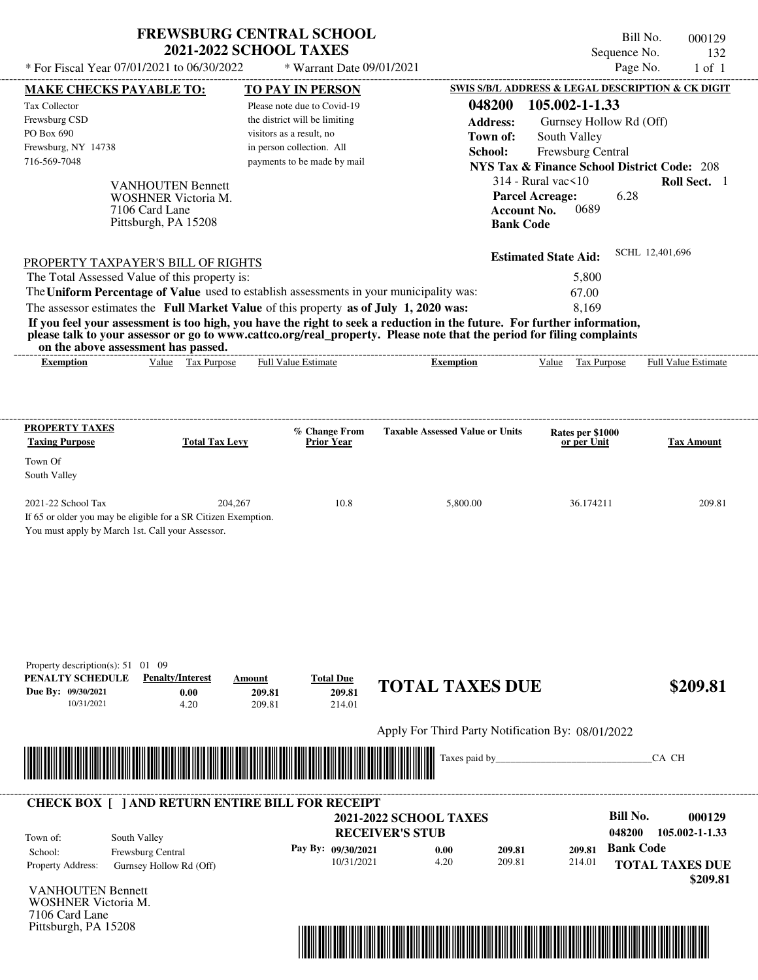| * For Fiscal Year 07/01/2021 to 06/30/2022                                                                                                                        |                                                                                                  |                            | <b>2021-2022 SCHOOL TAXES</b>                                                                                            |                                                                                                                                                                                                                                                                                                                                             |                                                                                                                                                                                           | Sequence No.<br>132                                                            |
|-------------------------------------------------------------------------------------------------------------------------------------------------------------------|--------------------------------------------------------------------------------------------------|----------------------------|--------------------------------------------------------------------------------------------------------------------------|---------------------------------------------------------------------------------------------------------------------------------------------------------------------------------------------------------------------------------------------------------------------------------------------------------------------------------------------|-------------------------------------------------------------------------------------------------------------------------------------------------------------------------------------------|--------------------------------------------------------------------------------|
|                                                                                                                                                                   |                                                                                                  |                            | * Warrant Date 09/01/2021                                                                                                |                                                                                                                                                                                                                                                                                                                                             |                                                                                                                                                                                           | Page No.<br>$1$ of $1$                                                         |
| <b>MAKE CHECKS PAYABLE TO:</b>                                                                                                                                    |                                                                                                  |                            | <b>TO PAY IN PERSON</b>                                                                                                  |                                                                                                                                                                                                                                                                                                                                             |                                                                                                                                                                                           | SWIS S/B/L ADDRESS & LEGAL DESCRIPTION & CK DIGIT                              |
| Tax Collector<br>Frewsburg CSD<br>PO Box 690<br>Frewsburg, NY 14738<br>716-569-7048                                                                               | <b>VANHOUTEN Bennett</b><br><b>WOSHNER Victoria M.</b><br>7106 Card Lane<br>Pittsburgh, PA 15208 | visitors as a result, no   | Please note due to Covid-19<br>the district will be limiting<br>in person collection. All<br>payments to be made by mail | 048200<br><b>Address:</b><br>Town of:<br>School:                                                                                                                                                                                                                                                                                            | 105.002-1-1.33<br>Gurnsey Hollow Rd (Off)<br>South Valley<br>Frewsburg Central<br>$314$ - Rural vac $\leq 10$<br><b>Parcel Acreage:</b><br>0689<br><b>Account No.</b><br><b>Bank Code</b> | <b>NYS Tax &amp; Finance School District Code: 208</b><br>Roll Sect. 1<br>6.28 |
| PROPERTY TAXPAYER'S BILL OF RIGHTS<br>The Total Assessed Value of this property is:                                                                               |                                                                                                  |                            |                                                                                                                          |                                                                                                                                                                                                                                                                                                                                             | <b>Estimated State Aid:</b><br>5,800                                                                                                                                                      | SCHL 12,401,696                                                                |
| The assessor estimates the Full Market Value of this property as of July 1, 2020 was:                                                                             | on the above assessment has passed.                                                              |                            |                                                                                                                          | The Uniform Percentage of Value used to establish assessments in your municipality was:<br>If you feel your assessment is too high, you have the right to seek a reduction in the future. For further information,<br>please talk to your assessor or go to www.cattco.org/real_property. Please note that the period for filing complaints | 67.00<br>8,169                                                                                                                                                                            |                                                                                |
| <b>Exemption</b>                                                                                                                                                  | Value Tax Purpose                                                                                |                            | <b>Full Value Estimate</b>                                                                                               | <b>Exemption</b>                                                                                                                                                                                                                                                                                                                            | Value Tax Purpose                                                                                                                                                                         | <b>Full Value Estimate</b>                                                     |
| <b>PROPERTY TAXES</b><br><b>Taxing Purpose</b><br>Town Of<br>South Valley<br>2021-22 School Tax<br>If 65 or older you may be eligible for a SR Citizen Exemption. | <b>Total Tax Levy</b><br>You must apply by March 1st. Call your Assessor.                        | 204,267                    | % Change From<br><b>Prior Year</b><br>10.8                                                                               | <b>Taxable Assessed Value or Units</b><br>5,800.00                                                                                                                                                                                                                                                                                          | Rates per \$1000<br>or per Unit<br>36.174211                                                                                                                                              | <b>Tax Amount</b><br>209.81                                                    |
|                                                                                                                                                                   |                                                                                                  |                            |                                                                                                                          |                                                                                                                                                                                                                                                                                                                                             |                                                                                                                                                                                           |                                                                                |
| Property description(s): $51 \quad 01 \quad 09$<br>PENALTY SCHEDULE<br>Due By: 09/30/2021<br>10/31/2021                                                           | <b>Penalty/Interest</b><br>0.00<br>4.20                                                          | Amount<br>209.81<br>209.81 | <b>Total Due</b><br>209.81<br>214.01                                                                                     | <b>TOTAL TAXES DUE</b>                                                                                                                                                                                                                                                                                                                      |                                                                                                                                                                                           | \$209.81                                                                       |
|                                                                                                                                                                   |                                                                                                  |                            |                                                                                                                          | Apply For Third Party Notification By: 08/01/2022                                                                                                                                                                                                                                                                                           |                                                                                                                                                                                           |                                                                                |
|                                                                                                                                                                   |                                                                                                  |                            |                                                                                                                          | Taxes paid by                                                                                                                                                                                                                                                                                                                               |                                                                                                                                                                                           | CA CH                                                                          |

**FREWSBURG CENTRAL SCHOOL**

Pittsburgh, PA 15208



Bill No. 000129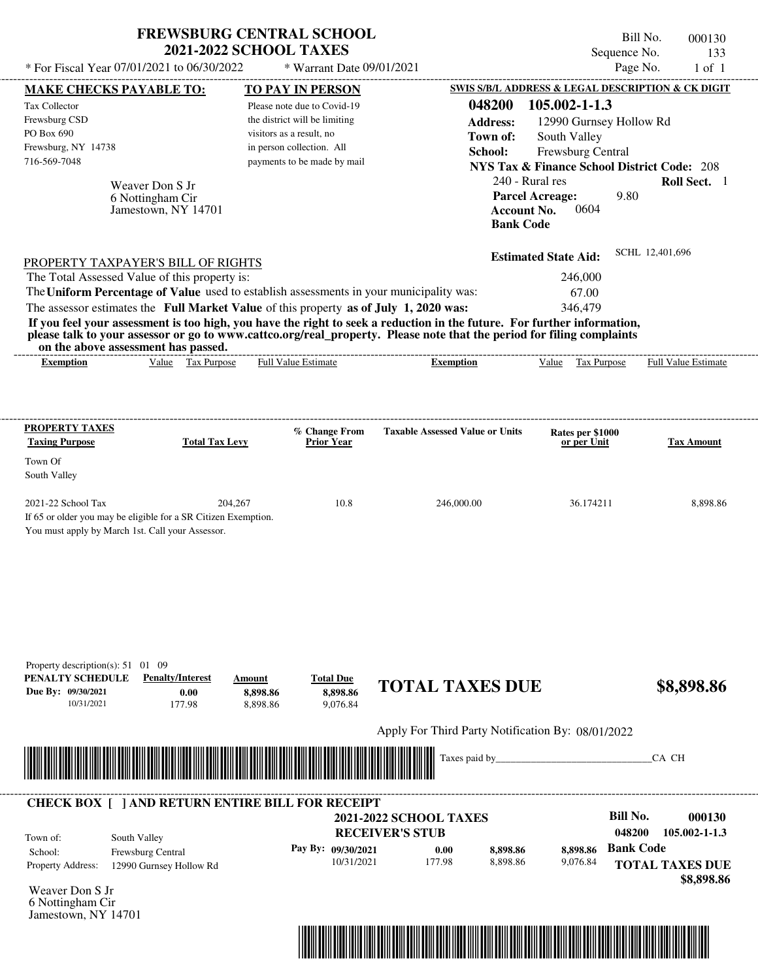| SWIS S/B/L ADDRESS & LEGAL DESCRIPTION & CK DIGIT<br>MAKE CHECKS PAYABLE TO:<br><b>TO PAY IN PERSON</b><br>048200<br>105.002-1-1.3<br>Please note due to Covid-19<br>the district will be limiting<br><b>Address:</b><br>12990 Gurnsey Hollow Rd<br>visitors as a result, no<br>Town of:<br>South Valley<br>in person collection. All<br>Frewsburg Central<br>School:<br>716-569-7048<br>payments to be made by mail<br><b>NYS Tax &amp; Finance School District Code: 208</b><br>240 - Rural res<br>Roll Sect. 1<br>Weaver Don S Jr<br>9.80<br><b>Parcel Acreage:</b><br>6 Nottingham Cir<br>0604<br>Jamestown, NY 14701<br><b>Account No.</b><br><b>Bank Code</b><br>SCHL 12,401,696<br><b>Estimated State Aid:</b><br>PROPERTY TAXPAYER'S BILL OF RIGHTS<br>The Total Assessed Value of this property is:<br>246,000<br>The Uniform Percentage of Value used to establish assessments in your municipality was:<br>67.00<br>The assessor estimates the Full Market Value of this property as of July 1, 2020 was:<br>346,479<br>If you feel your assessment is too high, you have the right to seek a reduction in the future. For further information,<br>please talk to your assessor or go to www.cattco.org/real_property. Please note that the period for filing complaints<br>on the above assessment has passed.<br>Value Tax Purpose<br>Full Value Estimate<br>Full Value Estimate<br>Tax Purpose<br><b>Exemption</b><br><b>Exemption</b><br>Value<br>PROPERTY TAXES<br>% Change From<br><b>Taxable Assessed Value or Units</b><br>Rates per \$1000<br><b>Total Tax Levy</b><br><b>Prior Year</b><br>or per Unit<br>2021-22 School Tax<br>204,267<br>10.8<br>246,000.00<br>36.174211<br>If 65 or older you may be eligible for a SR Citizen Exemption.<br>You must apply by March 1st. Call your Assessor.<br>Property description(s): $51 \quad 01 \quad 09$<br>PENALTY SCHEDULE<br><b>Penalty/Interest</b><br><b>Total Due</b><br>Amount<br><b>TOTAL TAXES DUE</b><br>\$8,898.86<br>8,898.86<br>0.00<br>8,898.86<br>8,898.86<br>9,076.84<br>10/31/2021<br>177.98<br>Apply For Third Party Notification By: 08/01/2022<br>Taxes paid by<br>CA CH<br><b>CHECK BOX [ ] AND RETURN ENTIRE BILL FOR RECEIPT</b><br><b>Bill No.</b><br><b>2021-2022 SCHOOL TAXES</b><br><b>RECEIVER'S STUB</b><br>048200<br>105.002-1-1.3<br>South Valley<br><b>Bank Code</b><br>Pay By: 09/30/2021<br>8,898.86<br>8,898.86<br>0.00<br>School:<br>Frewsburg Central<br>10/31/2021<br>177.98<br>8,898.86<br>9,076.84<br><b>TOTAL TAXES DUE</b><br>Property Address:<br>12990 Gurnsey Hollow Rd<br>Weaver Don S Jr<br>6 Nottingham Cir | * For Fiscal Year 07/01/2021 to 06/30/2022 | <b>FREWSBURG CENTRAL SCHOOL</b> | <b>2021-2022 SCHOOL TAXES</b> | * Warrant Date 09/01/2021 |  |  | Bill No.<br>Sequence No.<br>Page No. | 000130<br>133<br>$1$ of $1$ |
|-----------------------------------------------------------------------------------------------------------------------------------------------------------------------------------------------------------------------------------------------------------------------------------------------------------------------------------------------------------------------------------------------------------------------------------------------------------------------------------------------------------------------------------------------------------------------------------------------------------------------------------------------------------------------------------------------------------------------------------------------------------------------------------------------------------------------------------------------------------------------------------------------------------------------------------------------------------------------------------------------------------------------------------------------------------------------------------------------------------------------------------------------------------------------------------------------------------------------------------------------------------------------------------------------------------------------------------------------------------------------------------------------------------------------------------------------------------------------------------------------------------------------------------------------------------------------------------------------------------------------------------------------------------------------------------------------------------------------------------------------------------------------------------------------------------------------------------------------------------------------------------------------------------------------------------------------------------------------------------------------------------------------------------------------------------------------------------------------------------------------------------------------------------------------------------------------------------------------------------------------------------------------------------------------------------------------------------------------------------------------------------------------------------------------------------------------------------------------------------------------------------------------------------------------------------------------------------------------------------------------------|--------------------------------------------|---------------------------------|-------------------------------|---------------------------|--|--|--------------------------------------|-----------------------------|
|                                                                                                                                                                                                                                                                                                                                                                                                                                                                                                                                                                                                                                                                                                                                                                                                                                                                                                                                                                                                                                                                                                                                                                                                                                                                                                                                                                                                                                                                                                                                                                                                                                                                                                                                                                                                                                                                                                                                                                                                                                                                                                                                                                                                                                                                                                                                                                                                                                                                                                                                                                                                                             |                                            |                                 |                               |                           |  |  |                                      |                             |
|                                                                                                                                                                                                                                                                                                                                                                                                                                                                                                                                                                                                                                                                                                                                                                                                                                                                                                                                                                                                                                                                                                                                                                                                                                                                                                                                                                                                                                                                                                                                                                                                                                                                                                                                                                                                                                                                                                                                                                                                                                                                                                                                                                                                                                                                                                                                                                                                                                                                                                                                                                                                                             | Tax Collector                              |                                 |                               |                           |  |  |                                      |                             |
|                                                                                                                                                                                                                                                                                                                                                                                                                                                                                                                                                                                                                                                                                                                                                                                                                                                                                                                                                                                                                                                                                                                                                                                                                                                                                                                                                                                                                                                                                                                                                                                                                                                                                                                                                                                                                                                                                                                                                                                                                                                                                                                                                                                                                                                                                                                                                                                                                                                                                                                                                                                                                             | Frewsburg CSD                              |                                 |                               |                           |  |  |                                      |                             |
|                                                                                                                                                                                                                                                                                                                                                                                                                                                                                                                                                                                                                                                                                                                                                                                                                                                                                                                                                                                                                                                                                                                                                                                                                                                                                                                                                                                                                                                                                                                                                                                                                                                                                                                                                                                                                                                                                                                                                                                                                                                                                                                                                                                                                                                                                                                                                                                                                                                                                                                                                                                                                             | PO Box 690                                 |                                 |                               |                           |  |  |                                      |                             |
|                                                                                                                                                                                                                                                                                                                                                                                                                                                                                                                                                                                                                                                                                                                                                                                                                                                                                                                                                                                                                                                                                                                                                                                                                                                                                                                                                                                                                                                                                                                                                                                                                                                                                                                                                                                                                                                                                                                                                                                                                                                                                                                                                                                                                                                                                                                                                                                                                                                                                                                                                                                                                             | Frewsburg, NY 14738                        |                                 |                               |                           |  |  |                                      |                             |
|                                                                                                                                                                                                                                                                                                                                                                                                                                                                                                                                                                                                                                                                                                                                                                                                                                                                                                                                                                                                                                                                                                                                                                                                                                                                                                                                                                                                                                                                                                                                                                                                                                                                                                                                                                                                                                                                                                                                                                                                                                                                                                                                                                                                                                                                                                                                                                                                                                                                                                                                                                                                                             |                                            |                                 |                               |                           |  |  |                                      |                             |
|                                                                                                                                                                                                                                                                                                                                                                                                                                                                                                                                                                                                                                                                                                                                                                                                                                                                                                                                                                                                                                                                                                                                                                                                                                                                                                                                                                                                                                                                                                                                                                                                                                                                                                                                                                                                                                                                                                                                                                                                                                                                                                                                                                                                                                                                                                                                                                                                                                                                                                                                                                                                                             |                                            |                                 |                               |                           |  |  |                                      |                             |
|                                                                                                                                                                                                                                                                                                                                                                                                                                                                                                                                                                                                                                                                                                                                                                                                                                                                                                                                                                                                                                                                                                                                                                                                                                                                                                                                                                                                                                                                                                                                                                                                                                                                                                                                                                                                                                                                                                                                                                                                                                                                                                                                                                                                                                                                                                                                                                                                                                                                                                                                                                                                                             |                                            |                                 |                               |                           |  |  |                                      |                             |
|                                                                                                                                                                                                                                                                                                                                                                                                                                                                                                                                                                                                                                                                                                                                                                                                                                                                                                                                                                                                                                                                                                                                                                                                                                                                                                                                                                                                                                                                                                                                                                                                                                                                                                                                                                                                                                                                                                                                                                                                                                                                                                                                                                                                                                                                                                                                                                                                                                                                                                                                                                                                                             |                                            |                                 |                               |                           |  |  |                                      |                             |
|                                                                                                                                                                                                                                                                                                                                                                                                                                                                                                                                                                                                                                                                                                                                                                                                                                                                                                                                                                                                                                                                                                                                                                                                                                                                                                                                                                                                                                                                                                                                                                                                                                                                                                                                                                                                                                                                                                                                                                                                                                                                                                                                                                                                                                                                                                                                                                                                                                                                                                                                                                                                                             |                                            |                                 |                               |                           |  |  |                                      |                             |
|                                                                                                                                                                                                                                                                                                                                                                                                                                                                                                                                                                                                                                                                                                                                                                                                                                                                                                                                                                                                                                                                                                                                                                                                                                                                                                                                                                                                                                                                                                                                                                                                                                                                                                                                                                                                                                                                                                                                                                                                                                                                                                                                                                                                                                                                                                                                                                                                                                                                                                                                                                                                                             |                                            |                                 |                               |                           |  |  |                                      |                             |
|                                                                                                                                                                                                                                                                                                                                                                                                                                                                                                                                                                                                                                                                                                                                                                                                                                                                                                                                                                                                                                                                                                                                                                                                                                                                                                                                                                                                                                                                                                                                                                                                                                                                                                                                                                                                                                                                                                                                                                                                                                                                                                                                                                                                                                                                                                                                                                                                                                                                                                                                                                                                                             |                                            |                                 |                               |                           |  |  |                                      |                             |
|                                                                                                                                                                                                                                                                                                                                                                                                                                                                                                                                                                                                                                                                                                                                                                                                                                                                                                                                                                                                                                                                                                                                                                                                                                                                                                                                                                                                                                                                                                                                                                                                                                                                                                                                                                                                                                                                                                                                                                                                                                                                                                                                                                                                                                                                                                                                                                                                                                                                                                                                                                                                                             |                                            |                                 |                               |                           |  |  |                                      |                             |
|                                                                                                                                                                                                                                                                                                                                                                                                                                                                                                                                                                                                                                                                                                                                                                                                                                                                                                                                                                                                                                                                                                                                                                                                                                                                                                                                                                                                                                                                                                                                                                                                                                                                                                                                                                                                                                                                                                                                                                                                                                                                                                                                                                                                                                                                                                                                                                                                                                                                                                                                                                                                                             |                                            |                                 |                               |                           |  |  |                                      |                             |
|                                                                                                                                                                                                                                                                                                                                                                                                                                                                                                                                                                                                                                                                                                                                                                                                                                                                                                                                                                                                                                                                                                                                                                                                                                                                                                                                                                                                                                                                                                                                                                                                                                                                                                                                                                                                                                                                                                                                                                                                                                                                                                                                                                                                                                                                                                                                                                                                                                                                                                                                                                                                                             | <b>Taxing Purpose</b>                      |                                 |                               |                           |  |  |                                      | <b>Tax Amount</b>           |
|                                                                                                                                                                                                                                                                                                                                                                                                                                                                                                                                                                                                                                                                                                                                                                                                                                                                                                                                                                                                                                                                                                                                                                                                                                                                                                                                                                                                                                                                                                                                                                                                                                                                                                                                                                                                                                                                                                                                                                                                                                                                                                                                                                                                                                                                                                                                                                                                                                                                                                                                                                                                                             | Town Of<br>South Valley                    |                                 |                               |                           |  |  |                                      |                             |
|                                                                                                                                                                                                                                                                                                                                                                                                                                                                                                                                                                                                                                                                                                                                                                                                                                                                                                                                                                                                                                                                                                                                                                                                                                                                                                                                                                                                                                                                                                                                                                                                                                                                                                                                                                                                                                                                                                                                                                                                                                                                                                                                                                                                                                                                                                                                                                                                                                                                                                                                                                                                                             |                                            |                                 |                               |                           |  |  |                                      | 8,898.86                    |
|                                                                                                                                                                                                                                                                                                                                                                                                                                                                                                                                                                                                                                                                                                                                                                                                                                                                                                                                                                                                                                                                                                                                                                                                                                                                                                                                                                                                                                                                                                                                                                                                                                                                                                                                                                                                                                                                                                                                                                                                                                                                                                                                                                                                                                                                                                                                                                                                                                                                                                                                                                                                                             |                                            |                                 |                               |                           |  |  |                                      |                             |
|                                                                                                                                                                                                                                                                                                                                                                                                                                                                                                                                                                                                                                                                                                                                                                                                                                                                                                                                                                                                                                                                                                                                                                                                                                                                                                                                                                                                                                                                                                                                                                                                                                                                                                                                                                                                                                                                                                                                                                                                                                                                                                                                                                                                                                                                                                                                                                                                                                                                                                                                                                                                                             | Due By: 09/30/2021                         |                                 |                               |                           |  |  |                                      |                             |
|                                                                                                                                                                                                                                                                                                                                                                                                                                                                                                                                                                                                                                                                                                                                                                                                                                                                                                                                                                                                                                                                                                                                                                                                                                                                                                                                                                                                                                                                                                                                                                                                                                                                                                                                                                                                                                                                                                                                                                                                                                                                                                                                                                                                                                                                                                                                                                                                                                                                                                                                                                                                                             |                                            |                                 |                               |                           |  |  |                                      |                             |
|                                                                                                                                                                                                                                                                                                                                                                                                                                                                                                                                                                                                                                                                                                                                                                                                                                                                                                                                                                                                                                                                                                                                                                                                                                                                                                                                                                                                                                                                                                                                                                                                                                                                                                                                                                                                                                                                                                                                                                                                                                                                                                                                                                                                                                                                                                                                                                                                                                                                                                                                                                                                                             |                                            |                                 |                               |                           |  |  |                                      |                             |
|                                                                                                                                                                                                                                                                                                                                                                                                                                                                                                                                                                                                                                                                                                                                                                                                                                                                                                                                                                                                                                                                                                                                                                                                                                                                                                                                                                                                                                                                                                                                                                                                                                                                                                                                                                                                                                                                                                                                                                                                                                                                                                                                                                                                                                                                                                                                                                                                                                                                                                                                                                                                                             |                                            |                                 |                               |                           |  |  |                                      |                             |
|                                                                                                                                                                                                                                                                                                                                                                                                                                                                                                                                                                                                                                                                                                                                                                                                                                                                                                                                                                                                                                                                                                                                                                                                                                                                                                                                                                                                                                                                                                                                                                                                                                                                                                                                                                                                                                                                                                                                                                                                                                                                                                                                                                                                                                                                                                                                                                                                                                                                                                                                                                                                                             |                                            |                                 |                               |                           |  |  |                                      | 000130                      |
|                                                                                                                                                                                                                                                                                                                                                                                                                                                                                                                                                                                                                                                                                                                                                                                                                                                                                                                                                                                                                                                                                                                                                                                                                                                                                                                                                                                                                                                                                                                                                                                                                                                                                                                                                                                                                                                                                                                                                                                                                                                                                                                                                                                                                                                                                                                                                                                                                                                                                                                                                                                                                             | Town of:                                   |                                 |                               |                           |  |  |                                      |                             |
|                                                                                                                                                                                                                                                                                                                                                                                                                                                                                                                                                                                                                                                                                                                                                                                                                                                                                                                                                                                                                                                                                                                                                                                                                                                                                                                                                                                                                                                                                                                                                                                                                                                                                                                                                                                                                                                                                                                                                                                                                                                                                                                                                                                                                                                                                                                                                                                                                                                                                                                                                                                                                             |                                            |                                 |                               |                           |  |  |                                      |                             |
|                                                                                                                                                                                                                                                                                                                                                                                                                                                                                                                                                                                                                                                                                                                                                                                                                                                                                                                                                                                                                                                                                                                                                                                                                                                                                                                                                                                                                                                                                                                                                                                                                                                                                                                                                                                                                                                                                                                                                                                                                                                                                                                                                                                                                                                                                                                                                                                                                                                                                                                                                                                                                             |                                            |                                 |                               |                           |  |  |                                      |                             |
|                                                                                                                                                                                                                                                                                                                                                                                                                                                                                                                                                                                                                                                                                                                                                                                                                                                                                                                                                                                                                                                                                                                                                                                                                                                                                                                                                                                                                                                                                                                                                                                                                                                                                                                                                                                                                                                                                                                                                                                                                                                                                                                                                                                                                                                                                                                                                                                                                                                                                                                                                                                                                             |                                            |                                 |                               |                           |  |  |                                      |                             |
|                                                                                                                                                                                                                                                                                                                                                                                                                                                                                                                                                                                                                                                                                                                                                                                                                                                                                                                                                                                                                                                                                                                                                                                                                                                                                                                                                                                                                                                                                                                                                                                                                                                                                                                                                                                                                                                                                                                                                                                                                                                                                                                                                                                                                                                                                                                                                                                                                                                                                                                                                                                                                             |                                            |                                 |                               |                           |  |  |                                      | \$8,898.86                  |

Jamestown, NY 14701

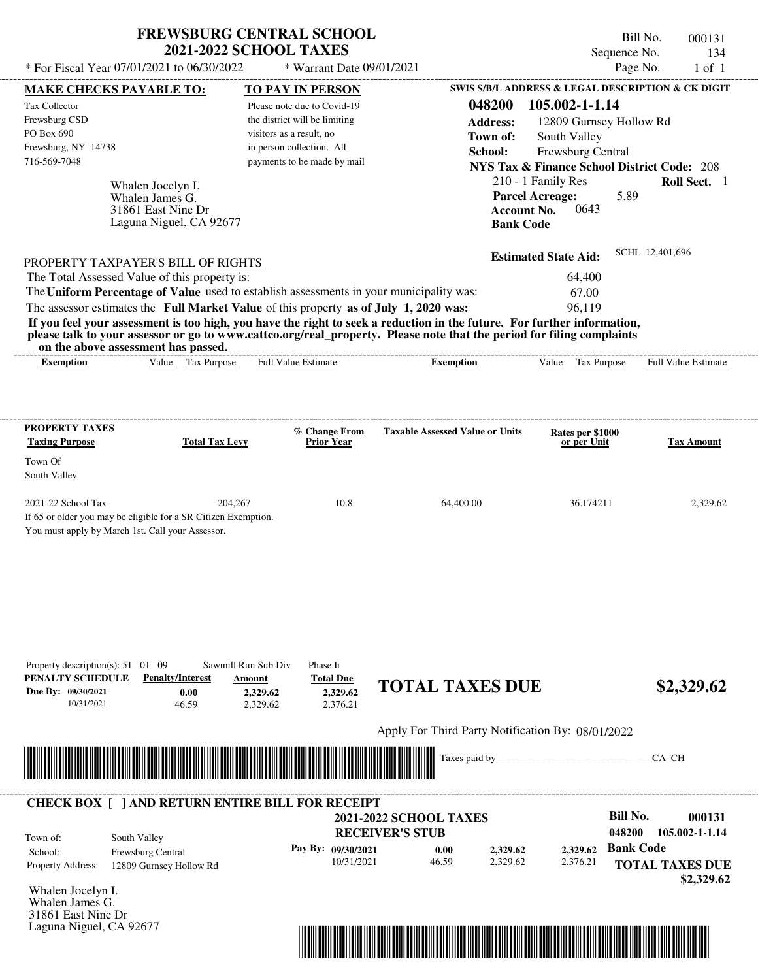| <b>FREWSBURG CENTRAL SCHOOL</b> |
|---------------------------------|
| <b>2021-2022 SCHOOL TAXES</b>   |

 $*$  For Fiscal Year 07/01/2021 to 06/30/2022

\* Warrant Date 09/01/2021

| visitors as a result, no<br>in person collection. All<br>payments to be made by mail<br>Laguna Niguel, CA 92677<br>PROPERTY TAXPAYER'S BILL OF RIGHTS<br>The Total Assessed Value of this property is:<br>The Uniform Percentage of Value used to establish assessments in your municipality was:<br>The assessor estimates the Full Market Value of this property as of July 1, 2020 was:<br>Value Tax Purpose<br><b>Full Value Estimate</b><br>% Change From<br><b>Total Tax Levy</b><br>Prior Year<br>204,267<br>10.8 | Town of:<br>School:<br><b>Account No.</b><br><b>Bank Code</b><br>If you feel your assessment is too high, you have the right to seek a reduction in the future. For further information,<br>please talk to your assessor or go to www.cattco.org/real_property. Please note that the period for filing complaints<br><b>Exemption</b><br><b>Taxable Assessed Value or Units</b> | South Valley<br>Frewsburg Central<br><b>NYS Tax &amp; Finance School District Code: 208</b><br>210 - 1 Family Res<br><b>Parcel Acreage:</b><br>5.89<br>0643<br><b>Estimated State Aid:</b><br>64,400<br>67.00<br>96,119<br>Value Tax Purpose<br>Rates per \$1000<br>or per Unit | Roll Sect. 1<br>SCHL 12,401,696<br><b>Full Value Estimate</b><br><b>Tax Amount</b> |
|--------------------------------------------------------------------------------------------------------------------------------------------------------------------------------------------------------------------------------------------------------------------------------------------------------------------------------------------------------------------------------------------------------------------------------------------------------------------------------------------------------------------------|---------------------------------------------------------------------------------------------------------------------------------------------------------------------------------------------------------------------------------------------------------------------------------------------------------------------------------------------------------------------------------|---------------------------------------------------------------------------------------------------------------------------------------------------------------------------------------------------------------------------------------------------------------------------------|------------------------------------------------------------------------------------|
|                                                                                                                                                                                                                                                                                                                                                                                                                                                                                                                          |                                                                                                                                                                                                                                                                                                                                                                                 |                                                                                                                                                                                                                                                                                 |                                                                                    |
|                                                                                                                                                                                                                                                                                                                                                                                                                                                                                                                          |                                                                                                                                                                                                                                                                                                                                                                                 |                                                                                                                                                                                                                                                                                 |                                                                                    |
|                                                                                                                                                                                                                                                                                                                                                                                                                                                                                                                          |                                                                                                                                                                                                                                                                                                                                                                                 |                                                                                                                                                                                                                                                                                 |                                                                                    |
|                                                                                                                                                                                                                                                                                                                                                                                                                                                                                                                          |                                                                                                                                                                                                                                                                                                                                                                                 |                                                                                                                                                                                                                                                                                 |                                                                                    |
|                                                                                                                                                                                                                                                                                                                                                                                                                                                                                                                          |                                                                                                                                                                                                                                                                                                                                                                                 |                                                                                                                                                                                                                                                                                 |                                                                                    |
|                                                                                                                                                                                                                                                                                                                                                                                                                                                                                                                          |                                                                                                                                                                                                                                                                                                                                                                                 |                                                                                                                                                                                                                                                                                 |                                                                                    |
|                                                                                                                                                                                                                                                                                                                                                                                                                                                                                                                          |                                                                                                                                                                                                                                                                                                                                                                                 |                                                                                                                                                                                                                                                                                 |                                                                                    |
|                                                                                                                                                                                                                                                                                                                                                                                                                                                                                                                          |                                                                                                                                                                                                                                                                                                                                                                                 |                                                                                                                                                                                                                                                                                 |                                                                                    |
|                                                                                                                                                                                                                                                                                                                                                                                                                                                                                                                          |                                                                                                                                                                                                                                                                                                                                                                                 |                                                                                                                                                                                                                                                                                 |                                                                                    |
| If 65 or older you may be eligible for a SR Citizen Exemption.                                                                                                                                                                                                                                                                                                                                                                                                                                                           | 64,400.00                                                                                                                                                                                                                                                                                                                                                                       | 36.174211                                                                                                                                                                                                                                                                       | 2,329.62                                                                           |
| Phase Ii<br><b>Total Due</b><br>2,329.62<br>2,329.62<br>2,329.62<br>2,376.21                                                                                                                                                                                                                                                                                                                                                                                                                                             |                                                                                                                                                                                                                                                                                                                                                                                 |                                                                                                                                                                                                                                                                                 | \$2,329.62                                                                         |
|                                                                                                                                                                                                                                                                                                                                                                                                                                                                                                                          |                                                                                                                                                                                                                                                                                                                                                                                 |                                                                                                                                                                                                                                                                                 |                                                                                    |
|                                                                                                                                                                                                                                                                                                                                                                                                                                                                                                                          | Taxes paid by_                                                                                                                                                                                                                                                                                                                                                                  |                                                                                                                                                                                                                                                                                 | CA CH                                                                              |
|                                                                                                                                                                                                                                                                                                                                                                                                                                                                                                                          |                                                                                                                                                                                                                                                                                                                                                                                 | <b>Bill No.</b>                                                                                                                                                                                                                                                                 | 000131                                                                             |
|                                                                                                                                                                                                                                                                                                                                                                                                                                                                                                                          | 0.00<br>2,329.62<br>46.59<br>2,329.62                                                                                                                                                                                                                                                                                                                                           | 048200<br><b>Bank Code</b><br>2,329.62<br>2,376.21                                                                                                                                                                                                                              | 105.002-1-1.14<br><b>TOTAL TAXES DUE</b>                                           |
|                                                                                                                                                                                                                                                                                                                                                                                                                                                                                                                          |                                                                                                                                                                                                                                                                                                                                                                                 |                                                                                                                                                                                                                                                                                 | \$2,329.62                                                                         |
|                                                                                                                                                                                                                                                                                                                                                                                                                                                                                                                          |                                                                                                                                                                                                                                                                                                                                                                                 |                                                                                                                                                                                                                                                                                 |                                                                                    |
|                                                                                                                                                                                                                                                                                                                                                                                                                                                                                                                          | Sawmill Run Sub Div<br>Amount                                                                                                                                                                                                                                                                                                                                                   | <b>CHECK BOX [ ] AND RETURN ENTIRE BILL FOR RECEIPT</b><br><b>2021-2022 SCHOOL TAXES</b><br><b>RECEIVER'S STUB</b><br>Pay By: 09/30/2021<br>10/31/2021                                                                                                                          | <b>TOTAL TAXES DUE</b><br>Apply For Third Party Notification By: 08/01/2022        |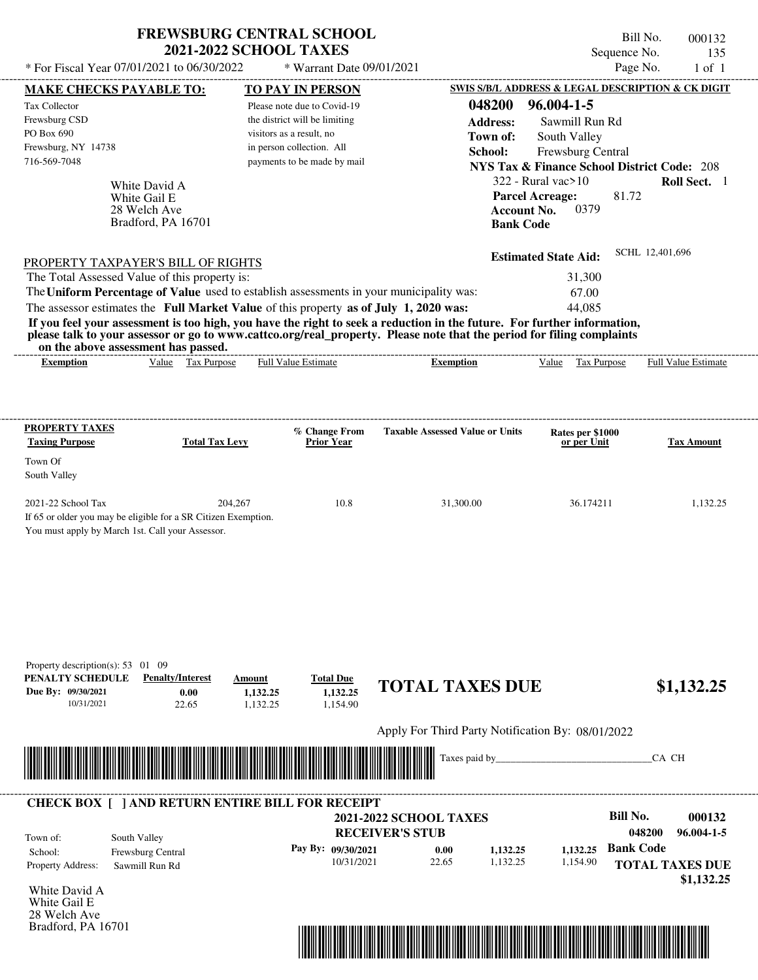| <b>FREWSBURG CENTRAL SCHOOL</b> |
|---------------------------------|
| <b>2021-2022 SCHOOL TAXES</b>   |

 $*$  For Fiscal Year 07/01/2021 to 06/30/2022

\* Warrant Date 09/01/2021

| <b>MAKE CHECKS PAYABLE TO:</b>                                                                                         |                              |                          | <b>TO PAY IN PERSON</b>       |                                                                                                                         |                        | <b>SWIS S/B/L ADDRESS &amp; LEGAL DESCRIPTION &amp; CK DIGIT</b> |                  |                            |
|------------------------------------------------------------------------------------------------------------------------|------------------------------|--------------------------|-------------------------------|-------------------------------------------------------------------------------------------------------------------------|------------------------|------------------------------------------------------------------|------------------|----------------------------|
| Tax Collector                                                                                                          |                              |                          | Please note due to Covid-19   |                                                                                                                         | 048200                 | 96.004-1-5                                                       |                  |                            |
| Frewsburg CSD                                                                                                          |                              |                          | the district will be limiting |                                                                                                                         | <b>Address:</b>        | Sawmill Run Rd                                                   |                  |                            |
| PO Box 690                                                                                                             |                              | visitors as a result, no |                               |                                                                                                                         | Town of:               | South Valley                                                     |                  |                            |
| Frewsburg, NY 14738                                                                                                    |                              |                          | in person collection. All     |                                                                                                                         | School:                | Frewsburg Central                                                |                  |                            |
| 716-569-7048                                                                                                           |                              |                          | payments to be made by mail   |                                                                                                                         |                        | <b>NYS Tax &amp; Finance School District Code: 208</b>           |                  |                            |
|                                                                                                                        |                              |                          |                               |                                                                                                                         |                        | $322$ - Rural vac $>10$                                          |                  | Roll Sect. 1               |
|                                                                                                                        | White David A                |                          |                               |                                                                                                                         | <b>Parcel Acreage:</b> |                                                                  | 81.72            |                            |
|                                                                                                                        | White Gail E<br>28 Welch Ave |                          |                               |                                                                                                                         | <b>Account No.</b>     | 0379                                                             |                  |                            |
|                                                                                                                        | Bradford, PA 16701           |                          |                               |                                                                                                                         | <b>Bank Code</b>       |                                                                  |                  |                            |
|                                                                                                                        |                              |                          |                               |                                                                                                                         |                        |                                                                  |                  |                            |
| PROPERTY TAXPAYER'S BILL OF RIGHTS                                                                                     |                              |                          |                               |                                                                                                                         |                        | <b>Estimated State Aid:</b>                                      | SCHL 12,401,696  |                            |
| The Total Assessed Value of this property is:                                                                          |                              |                          |                               |                                                                                                                         |                        | 31,300                                                           |                  |                            |
|                                                                                                                        |                              |                          |                               | The Uniform Percentage of Value used to establish assessments in your municipality was:                                 |                        | 67.00                                                            |                  |                            |
| The assessor estimates the Full Market Value of this property as of July 1, 2020 was:                                  |                              |                          |                               |                                                                                                                         |                        | 44,085                                                           |                  |                            |
|                                                                                                                        |                              |                          |                               | If you feel your assessment is too high, you have the right to seek a reduction in the future. For further information, |                        |                                                                  |                  |                            |
| on the above assessment has passed.                                                                                    |                              |                          |                               | please talk to your assessor or go to www.cattco.org/real_property. Please note that the period for filing complaints   |                        |                                                                  |                  |                            |
| <b>Exemption</b>                                                                                                       | Value Tax Purpose            |                          | <b>Full Value Estimate</b>    | <b>Exemption</b>                                                                                                        |                        | Value Tax Purpose                                                |                  | <b>Full Value Estimate</b> |
|                                                                                                                        |                              |                          |                               |                                                                                                                         |                        |                                                                  |                  |                            |
|                                                                                                                        |                              |                          |                               |                                                                                                                         |                        |                                                                  |                  |                            |
| <b>PROPERTY TAXES</b>                                                                                                  | <b>Total Tax Levy</b>        |                          | % Change From                 | <b>Taxable Assessed Value or Units</b>                                                                                  |                        | Rates per \$1000                                                 |                  |                            |
| <b>Taxing Purpose</b>                                                                                                  |                              |                          | <b>Prior Year</b>             |                                                                                                                         |                        | or per Unit                                                      |                  | <b>Tax Amount</b>          |
| Town Of                                                                                                                |                              |                          |                               |                                                                                                                         |                        |                                                                  |                  |                            |
| South Valley                                                                                                           |                              |                          |                               |                                                                                                                         |                        |                                                                  |                  |                            |
|                                                                                                                        |                              |                          |                               |                                                                                                                         |                        |                                                                  |                  |                            |
| 2021-22 School Tax<br>If 65 or older you may be eligible for a SR Citizen Exemption.                                   |                              | 204,267                  | 10.8                          | 31,300.00                                                                                                               |                        | 36.174211                                                        |                  | 1,132.25                   |
| You must apply by March 1st. Call your Assessor.                                                                       |                              |                          |                               |                                                                                                                         |                        |                                                                  |                  |                            |
|                                                                                                                        |                              |                          |                               |                                                                                                                         |                        |                                                                  |                  |                            |
|                                                                                                                        |                              |                          |                               |                                                                                                                         |                        |                                                                  |                  |                            |
|                                                                                                                        |                              |                          |                               |                                                                                                                         |                        |                                                                  |                  |                            |
|                                                                                                                        |                              |                          |                               |                                                                                                                         |                        |                                                                  |                  |                            |
|                                                                                                                        |                              |                          |                               |                                                                                                                         |                        |                                                                  |                  |                            |
|                                                                                                                        |                              |                          |                               |                                                                                                                         |                        |                                                                  |                  |                            |
|                                                                                                                        |                              |                          |                               |                                                                                                                         |                        |                                                                  |                  |                            |
| Property description(s): $53 \quad 01 \quad 09$<br>PENALTY SCHEDULE                                                    | <b>Penalty/Interest</b>      | Amount                   | <b>Total Due</b>              |                                                                                                                         |                        |                                                                  |                  |                            |
| Due By: 09/30/2021                                                                                                     | 0.00                         | 1,132.25                 | 1,132.25                      | <b>TOTAL TAXES DUE</b>                                                                                                  |                        |                                                                  |                  | \$1,132.25                 |
| 10/31/2021                                                                                                             | 22.65                        | 1,132.25                 | 1,154.90                      |                                                                                                                         |                        |                                                                  |                  |                            |
|                                                                                                                        |                              |                          |                               |                                                                                                                         |                        |                                                                  |                  |                            |
|                                                                                                                        |                              |                          |                               | Apply For Third Party Notification By: 08/01/2022                                                                       |                        |                                                                  |                  |                            |
| <u> III de la construcción de la construcción de la construcción de la construcción de la construcción de la const</u> |                              |                          |                               | Taxes paid by                                                                                                           |                        |                                                                  |                  | CA CH                      |
|                                                                                                                        |                              |                          |                               |                                                                                                                         |                        |                                                                  |                  |                            |
| <b>CHECK BOX [ ] AND RETURN ENTIRE BILL FOR RECEIPT</b>                                                                |                              |                          |                               |                                                                                                                         |                        |                                                                  |                  |                            |
|                                                                                                                        |                              |                          |                               | <b>2021-2022 SCHOOL TAXES</b>                                                                                           |                        |                                                                  | <b>Bill No.</b>  | 000132                     |
|                                                                                                                        |                              |                          |                               | <b>RECEIVER'S STUB</b>                                                                                                  |                        |                                                                  | 048200           | $96.004 - 1 - 5$           |
| Town of:                                                                                                               | South Valley                 |                          | Pay By: 09/30/2021            | 0.00                                                                                                                    |                        |                                                                  | <b>Bank Code</b> |                            |
| School:                                                                                                                | Frewsburg Central            |                          | 10/31/2021                    | 22.65                                                                                                                   | 1,132.25<br>1,132.25   | 1,132.25<br>1,154.90                                             |                  |                            |
| Property Address:                                                                                                      | Sawmill Run Rd               |                          |                               |                                                                                                                         |                        |                                                                  |                  | <b>TOTAL TAXES DUE</b>     |
| White David A                                                                                                          |                              |                          |                               |                                                                                                                         |                        |                                                                  |                  | \$1,132.25                 |
| White Gail E                                                                                                           |                              |                          |                               |                                                                                                                         |                        |                                                                  |                  |                            |
| 28 Welch Ave                                                                                                           |                              |                          |                               |                                                                                                                         |                        |                                                                  |                  |                            |
| Bradford, PA 16701                                                                                                     |                              |                          |                               |                                                                                                                         |                        |                                                                  |                  |                            |

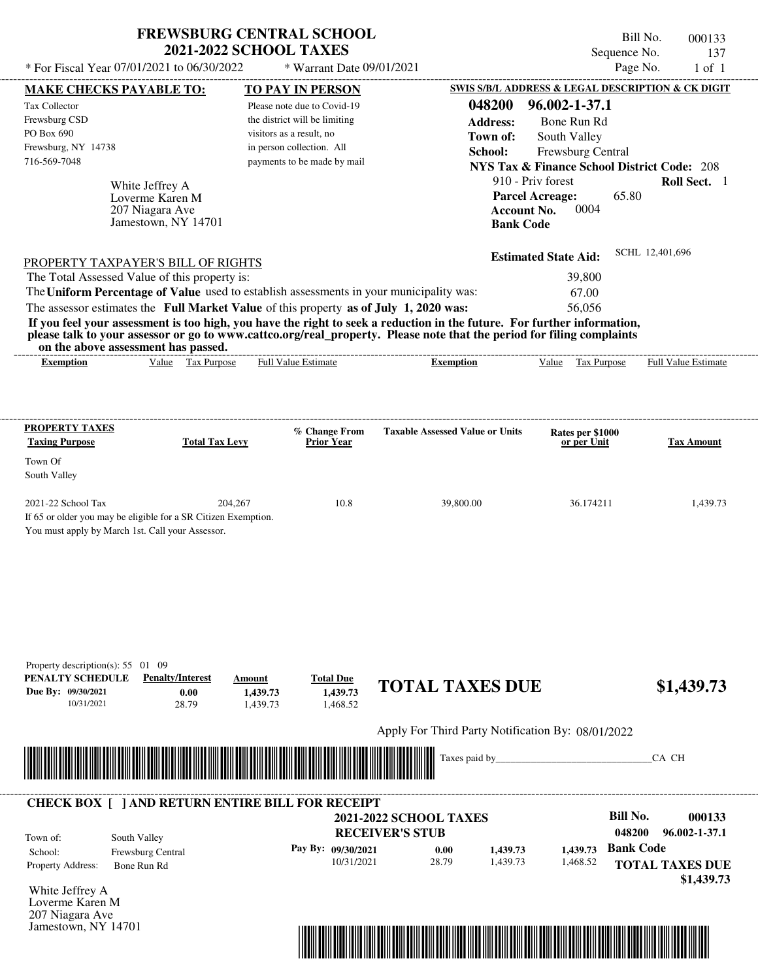| * For Fiscal Year 07/01/2021 to 06/30/2022                                                                                               |                                                                              | <b>FREWSBURG CENTRAL SCHOOL</b><br><b>2021-2022 SCHOOL TAXES</b><br>* Warrant Date 09/01/2021                                                                                    |                                                                                                                                                                                                                                                  | Sequence No.                                                                                                                                                                                                      | Bill No.<br>000133<br>137<br>Page No.<br>$1$ of $1$ |
|------------------------------------------------------------------------------------------------------------------------------------------|------------------------------------------------------------------------------|----------------------------------------------------------------------------------------------------------------------------------------------------------------------------------|--------------------------------------------------------------------------------------------------------------------------------------------------------------------------------------------------------------------------------------------------|-------------------------------------------------------------------------------------------------------------------------------------------------------------------------------------------------------------------|-----------------------------------------------------|
|                                                                                                                                          |                                                                              |                                                                                                                                                                                  |                                                                                                                                                                                                                                                  | SWIS S/B/L ADDRESS & LEGAL DESCRIPTION & CK DIGIT                                                                                                                                                                 |                                                     |
| <b>MAKE CHECKS PAYABLE TO:</b><br>Tax Collector<br>Frewsburg CSD<br>PO Box 690<br>Frewsburg, NY 14738<br>716-569-7048                    | White Jeffrey A<br>Loverme Karen M<br>207 Niagara Ave<br>Jamestown, NY 14701 | <b>TO PAY IN PERSON</b><br>Please note due to Covid-19<br>the district will be limiting<br>visitors as a result, no<br>in person collection. All<br>payments to be made by mail  | 048200<br><b>Address:</b><br>Town of:<br>School:<br><b>Bank Code</b>                                                                                                                                                                             | 96.002-1-37.1<br>Bone Run Rd<br>South Valley<br>Frewsburg Central<br><b>NYS Tax &amp; Finance School District Code: 208</b><br>910 - Priv forest<br><b>Parcel Acreage:</b><br>65.80<br>0004<br><b>Account No.</b> | Roll Sect. 1                                        |
| PROPERTY TAXPAYER'S BILL OF RIGHTS<br>The Total Assessed Value of this property is:<br>on the above assessment has passed.               |                                                                              | The Uniform Percentage of Value used to establish assessments in your municipality was:<br>The assessor estimates the Full Market Value of this property as of July 1, 2020 was: | If you feel your assessment is too high, you have the right to seek a reduction in the future. For further information,<br>please talk to your assessor or go to www.cattco.org/real_property. Please note that the period for filing complaints | <b>Estimated State Aid:</b><br>39,800<br>67.00<br>56,056                                                                                                                                                          | SCHL 12,401,696                                     |
| <b>Exemption</b>                                                                                                                         | Value Tax Purpose                                                            | <b>Full Value Estimate</b>                                                                                                                                                       | <b>Exemption</b>                                                                                                                                                                                                                                 | Value Tax Purpose                                                                                                                                                                                                 | <b>Full Value Estimate</b>                          |
| <b>PROPERTY TAXES</b><br><b>Taxing Purpose</b><br>Town Of<br>South Valley                                                                | <b>Total Tax Levy</b>                                                        | % Change From<br>Prior Year                                                                                                                                                      | <b>Taxable Assessed Value or Units</b>                                                                                                                                                                                                           | Rates per \$1000<br>or per Unit                                                                                                                                                                                   | <b>Tax Amount</b>                                   |
| 2021-22 School Tax<br>If 65 or older you may be eligible for a SR Citizen Exemption.<br>You must apply by March 1st. Call your Assessor. | 204,267                                                                      | 10.8                                                                                                                                                                             | 39,800.00                                                                                                                                                                                                                                        | 36.174211                                                                                                                                                                                                         | 1,439.73                                            |
| Property description(s): $55 \quad 01 \quad 09$<br>PENALTY SCHEDULE<br>Due By: 09/30/2021<br>10/31/2021                                  | <b>Penalty/Interest</b><br>0.00<br>28.79                                     | <b>Total Due</b><br>Amount<br>1,439.73<br>1,439.73<br>1,439.73<br>1,468.52                                                                                                       | <b>TOTAL TAXES DUE</b>                                                                                                                                                                                                                           |                                                                                                                                                                                                                   | \$1,439.73                                          |
|                                                                                                                                          |                                                                              |                                                                                                                                                                                  | Apply For Third Party Notification By: 08/01/2022                                                                                                                                                                                                |                                                                                                                                                                                                                   |                                                     |
|                                                                                                                                          |                                                                              |                                                                                                                                                                                  | Taxes paid by_                                                                                                                                                                                                                                   |                                                                                                                                                                                                                   | CA CH                                               |
|                                                                                                                                          |                                                                              | <b>CHECK BOX [ ] AND RETURN ENTIRE BILL FOR RECEIPT</b>                                                                                                                          | 2021-2022 SCHOOL TAXES                                                                                                                                                                                                                           | <b>Bill No.</b>                                                                                                                                                                                                   | 000133                                              |

**RECEIVER'S STUB**

10/31/2021 28.79

**0.00**

**Pay By: 09/30/2021**

Property Address: Bone Run Rd School: Frewsburg Central Town of:

White Jeffrey A Loverme Karen M 207 Niagara Ave Jamestown, NY 14701

South Valley



1,439.73 **1,439.73** **Bank Code 1,439.73**

1,468.52

**TOTAL TAXES DUE**

**048200 96.002-1-37.1**

 **\$1,439.73**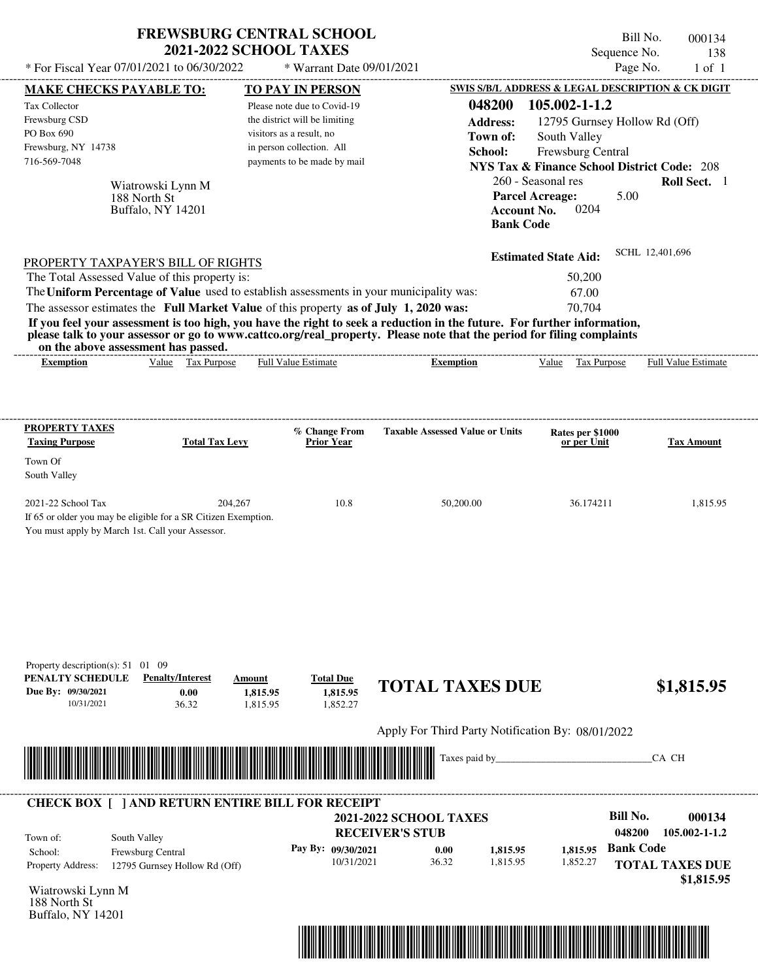|                                                                                                                                                                                                                                                                                         | <b>FREWSBURG CENTRAL SCHOOL</b><br><b>2021-2022 SCHOOL TAXES</b>           |                                                                  | Sequence No.                                           | Bill No.<br>000134<br>138  |
|-----------------------------------------------------------------------------------------------------------------------------------------------------------------------------------------------------------------------------------------------------------------------------------------|----------------------------------------------------------------------------|------------------------------------------------------------------|--------------------------------------------------------|----------------------------|
| * For Fiscal Year 07/01/2021 to 06/30/2022                                                                                                                                                                                                                                              | * Warrant Date 09/01/2021                                                  |                                                                  |                                                        | Page No.<br>$1$ of $1$     |
| <b>MAKE CHECKS PAYABLE TO:</b>                                                                                                                                                                                                                                                          | <b>TO PAY IN PERSON</b>                                                    |                                                                  | SWIS S/B/L ADDRESS & LEGAL DESCRIPTION & CK DIGIT      |                            |
| Tax Collector                                                                                                                                                                                                                                                                           | Please note due to Covid-19                                                | 048200                                                           | 105.002-1-1.2                                          |                            |
| Frewsburg CSD                                                                                                                                                                                                                                                                           | the district will be limiting                                              | <b>Address:</b>                                                  | 12795 Gurnsey Hollow Rd (Off)                          |                            |
| PO Box 690                                                                                                                                                                                                                                                                              | visitors as a result, no                                                   | Town of:                                                         | South Valley                                           |                            |
| Frewsburg, NY 14738                                                                                                                                                                                                                                                                     | in person collection. All                                                  | School:                                                          | Frewsburg Central                                      |                            |
| 716-569-7048                                                                                                                                                                                                                                                                            | payments to be made by mail                                                |                                                                  | <b>NYS Tax &amp; Finance School District Code: 208</b> |                            |
| Wiatrowski Lynn M                                                                                                                                                                                                                                                                       |                                                                            |                                                                  | 260 - Seasonal res                                     | Roll Sect. 1               |
| 188 North St<br>Buffalo, NY 14201                                                                                                                                                                                                                                                       |                                                                            | <b>Parcel Acreage:</b><br><b>Account No.</b><br><b>Bank Code</b> | 5.00<br>0204                                           |                            |
| PROPERTY TAXPAYER'S BILL OF RIGHTS                                                                                                                                                                                                                                                      |                                                                            |                                                                  | <b>Estimated State Aid:</b>                            | SCHL 12,401,696            |
| The Total Assessed Value of this property is:                                                                                                                                                                                                                                           |                                                                            |                                                                  | 50,200                                                 |                            |
| The Uniform Percentage of Value used to establish assessments in your municipality was:                                                                                                                                                                                                 |                                                                            |                                                                  | 67.00                                                  |                            |
| The assessor estimates the Full Market Value of this property as of July 1, 2020 was:                                                                                                                                                                                                   |                                                                            |                                                                  | 70,704                                                 |                            |
| If you feel your assessment is too high, you have the right to seek a reduction in the future. For further information,<br>please talk to your assessor or go to www.cattco.org/real_property. Please note that the period for filing complaints<br>on the above assessment has passed. |                                                                            |                                                                  |                                                        |                            |
| Value Tax Purpose<br><b>Exemption</b>                                                                                                                                                                                                                                                   | <b>Full Value Estimate</b>                                                 | ________________________<br><b>Exemption</b>                     | Value Tax Purpose                                      | <b>Full Value Estimate</b> |
| <b>Taxing Purpose</b><br><b>Total Tax Levy</b><br>Town Of<br>South Valley                                                                                                                                                                                                               | <b>Prior Year</b>                                                          |                                                                  | Rates per \$1000<br>or per Unit                        | Tax Amount                 |
| 2021-22 School Tax<br>204,267                                                                                                                                                                                                                                                           | 10.8                                                                       | 50,200.00                                                        | 36.174211                                              | 1,815.95                   |
| If 65 or older you may be eligible for a SR Citizen Exemption.<br>You must apply by March 1st. Call your Assessor.                                                                                                                                                                      |                                                                            |                                                                  |                                                        |                            |
| Property description(s): 51 01 09<br>PENALTY SCHEDULE<br><b>Penalty/Interest</b><br>Due By: 09/30/2021<br>0.00<br>10/31/2021<br>36.32                                                                                                                                                   | <b>Total Due</b><br>Amount<br>1.815.95<br>1,815.95<br>1,815.95<br>1,852.27 | <b>TOTAL TAXES DUE</b>                                           |                                                        | \$1,815.95                 |
|                                                                                                                                                                                                                                                                                         |                                                                            | Apply For Third Party Notification By: 08/01/2022                |                                                        |                            |
|                                                                                                                                                                                                                                                                                         |                                                                            | Taxes paid by_                                                   |                                                        | CA CH                      |
|                                                                                                                                                                                                                                                                                         |                                                                            |                                                                  |                                                        |                            |
|                                                                                                                                                                                                                                                                                         |                                                                            | <b>2021-2022 SCHOOL TAXES</b>                                    | <b>Bill No.</b>                                        | 000134                     |
| <b>CHECK BOX [ ] AND RETURN ENTIRE BILL FOR RECEIPT</b><br>South Valley<br>Town of:                                                                                                                                                                                                     |                                                                            | <b>RECEIVER'S STUB</b>                                           | 048200                                                 | 105.002-1-1.2              |

10/31/2021 36.32

Wiatrowski Lynn M Property Address: 12795 Gurnsey Hollow Rd (Off)

School: Frewsburg Central

188 North St Buffalo, NY 14201



1,815.95 **1,815.95** 1,852.27 **1,815.95**

**TOTAL TAXES DUE**

 **\$1,815.95**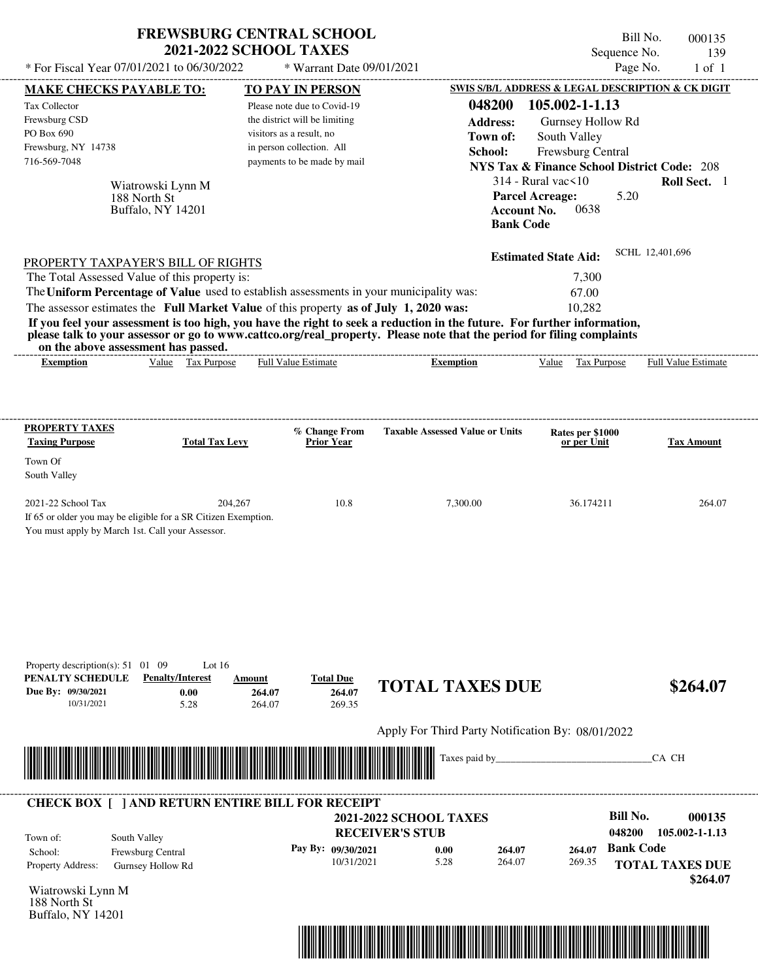| * For Fiscal Year 07/01/2021 to 06/30/2022                                                                                                                                                                                                                                                                     | <b>FREWSBURG CENTRAL SCHOOL</b><br><b>2021-2022 SCHOOL TAXES</b>                  | * Warrant Date 09/01/2021                                                                                                                                                |                                                                                                                                                                                                                                                  | Bill No.<br>Sequence No.<br>Page No.                                                                                                                                                                                              | 000135<br>139<br>$1$ of $1$ |
|----------------------------------------------------------------------------------------------------------------------------------------------------------------------------------------------------------------------------------------------------------------------------------------------------------------|-----------------------------------------------------------------------------------|--------------------------------------------------------------------------------------------------------------------------------------------------------------------------|--------------------------------------------------------------------------------------------------------------------------------------------------------------------------------------------------------------------------------------------------|-----------------------------------------------------------------------------------------------------------------------------------------------------------------------------------------------------------------------------------|-----------------------------|
|                                                                                                                                                                                                                                                                                                                |                                                                                   |                                                                                                                                                                          |                                                                                                                                                                                                                                                  | SWIS S/B/L ADDRESS & LEGAL DESCRIPTION & CK DIGIT                                                                                                                                                                                 |                             |
| <b>MAKE CHECKS PAYABLE TO:</b><br>Tax Collector<br>Frewsburg CSD<br>PO Box 690<br>Frewsburg, NY 14738<br>716-569-7048<br>Wiatrowski Lynn M<br>188 North St<br>Buffalo, NY 14201                                                                                                                                |                                                                                   | TO PAY IN PERSON<br>Please note due to Covid-19<br>the district will be limiting<br>visitors as a result, no<br>in person collection. All<br>payments to be made by mail | 048200<br><b>Address:</b><br>Town of:<br>School:<br><b>Bank Code</b>                                                                                                                                                                             | 105.002-1-1.13<br>Gurnsey Hollow Rd<br>South Valley<br>Frewsburg Central<br><b>NYS Tax &amp; Finance School District Code: 208</b><br>$314$ - Rural vac $\leq 10$<br><b>Parcel Acreage:</b><br>5.20<br><b>Account No.</b><br>0638 | Roll Sect. 1                |
| PROPERTY TAXPAYER'S BILL OF RIGHTS<br>The Total Assessed Value of this property is:<br>The Uniform Percentage of Value used to establish assessments in your municipality was:<br>The assessor estimates the Full Market Value of this property as of July 1, 2020 was:<br>on the above assessment has passed. |                                                                                   |                                                                                                                                                                          | If you feel your assessment is too high, you have the right to seek a reduction in the future. For further information,<br>please talk to your assessor or go to www.cattco.org/real_property. Please note that the period for filing complaints | <b>Estimated State Aid:</b><br>7,300<br>67.00<br>10,282                                                                                                                                                                           | SCHL 12,401,696             |
| <b>Exemption</b>                                                                                                                                                                                                                                                                                               | Value Tax Purpose                                                                 | <b>Full Value Estimate</b>                                                                                                                                               | <b>Exemption</b>                                                                                                                                                                                                                                 | Value<br>Tax Purpose                                                                                                                                                                                                              | <b>Full Value Estimate</b>  |
| <b>PROPERTY TAXES</b><br><b>Taxing Purpose</b><br>Town Of<br>South Valley                                                                                                                                                                                                                                      | <b>Total Tax Levy</b>                                                             | % Change From<br>Prior Year                                                                                                                                              | <b>Taxable Assessed Value or Units</b>                                                                                                                                                                                                           | Rates per \$1000<br>or per Unit                                                                                                                                                                                                   | <b>Tax Amount</b>           |
| 2021-22 School Tax<br>If 65 or older you may be eligible for a SR Citizen Exemption.<br>You must apply by March 1st. Call your Assessor.                                                                                                                                                                       | 204,267                                                                           | 10.8                                                                                                                                                                     | 7,300.00                                                                                                                                                                                                                                         | 36.174211                                                                                                                                                                                                                         | 264.07                      |
| Property description(s): $51 \quad 01 \quad 09$<br>PENALTY SCHEDULE<br>Due By: 09/30/2021<br>10/31/2021                                                                                                                                                                                                        | Lot $16$<br><b>Penalty/Interest</b><br>Amount<br>0.00<br>264.07<br>5.28<br>264.07 | <b>Total Due</b><br>264.07<br>269.35                                                                                                                                     | <b>TOTAL TAXES DUE</b>                                                                                                                                                                                                                           |                                                                                                                                                                                                                                   | \$264.07                    |
|                                                                                                                                                                                                                                                                                                                |                                                                                   |                                                                                                                                                                          | Apply For Third Party Notification By: 08/01/2022                                                                                                                                                                                                |                                                                                                                                                                                                                                   |                             |
|                                                                                                                                                                                                                                                                                                                |                                                                                   |                                                                                                                                                                          | Taxes paid by_                                                                                                                                                                                                                                   |                                                                                                                                                                                                                                   | CA CH                       |
| <b>CHECK BOX [ ] AND RETURN ENTIRE BILL FOR RECEIPT</b>                                                                                                                                                                                                                                                        |                                                                                   |                                                                                                                                                                          |                                                                                                                                                                                                                                                  |                                                                                                                                                                                                                                   |                             |
| South Valley<br>Town of:<br>Frewsburg Central<br>School:                                                                                                                                                                                                                                                       |                                                                                   | Pay By: 09/30/2021                                                                                                                                                       | <b>2021-2022 SCHOOL TAXES</b><br><b>RECEIVER'S STUB</b><br>0.00<br>264.07                                                                                                                                                                        | <b>Bill No.</b><br>048200<br><b>Bank Code</b><br>264.07                                                                                                                                                                           | 000135<br>105.002-1-1.13    |
| Property Address:<br>Gurnsey Hollow Rd                                                                                                                                                                                                                                                                         |                                                                                   | 10/31/2021                                                                                                                                                               | 5.28<br>264.07                                                                                                                                                                                                                                   | 269.35                                                                                                                                                                                                                            | <b>TOTAL TAXES DUE</b>      |

Wiatrowski Lynn M 188 North St Buffalo, NY 14201



 **\$264.07**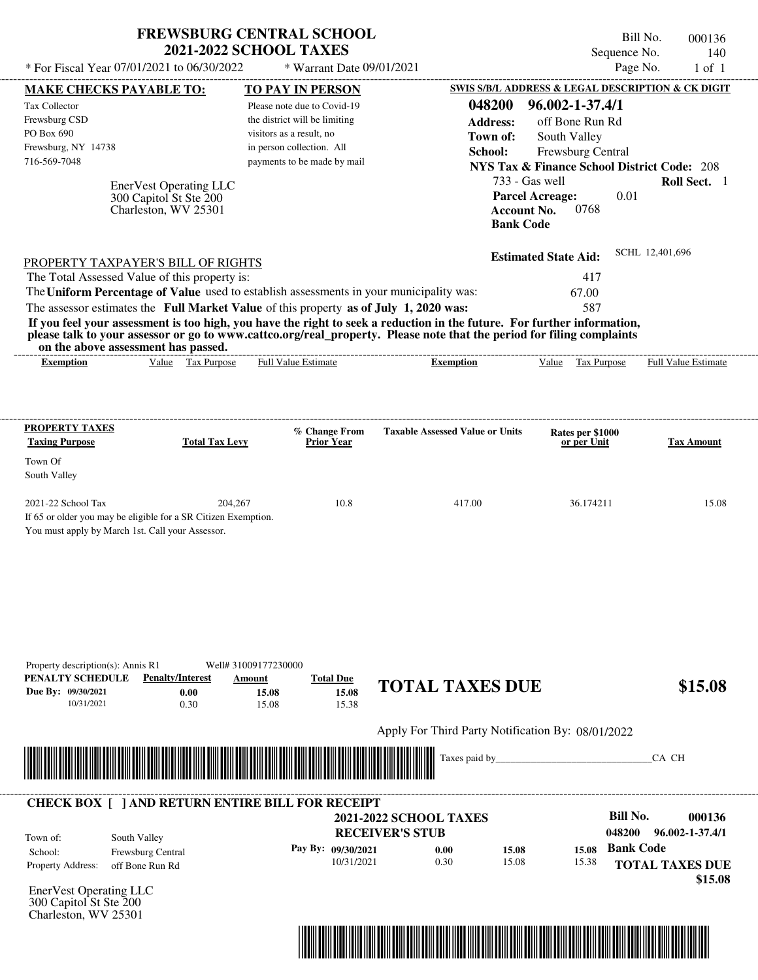|                                                                                                                                                              | <b>FREWSBURG CENTRAL SCHOOL</b><br><b>2021-2022 SCHOOL TAXES</b> |                                                         | Sequence No.                                           | Bill No.<br>000136<br>140  |
|--------------------------------------------------------------------------------------------------------------------------------------------------------------|------------------------------------------------------------------|---------------------------------------------------------|--------------------------------------------------------|----------------------------|
| * For Fiscal Year 07/01/2021 to 06/30/2022                                                                                                                   | * Warrant Date 09/01/2021                                        |                                                         |                                                        | Page No.<br>$1$ of $1$     |
| <b>MAKE CHECKS PAYABLE TO:</b>                                                                                                                               | <b>TO PAY IN PERSON</b>                                          |                                                         | SWIS S/B/L ADDRESS & LEGAL DESCRIPTION & CK DIGIT      |                            |
| Tax Collector                                                                                                                                                | Please note due to Covid-19                                      | 048200                                                  | 96.002-1-37.4/1                                        |                            |
| Frewsburg CSD                                                                                                                                                | the district will be limiting                                    | <b>Address:</b>                                         | off Bone Run Rd                                        |                            |
| PO Box 690                                                                                                                                                   | visitors as a result, no                                         | Town of:                                                | South Valley                                           |                            |
| Frewsburg, NY 14738                                                                                                                                          | in person collection. All                                        | School:                                                 | Frewsburg Central                                      |                            |
| 716-569-7048                                                                                                                                                 | payments to be made by mail                                      |                                                         | <b>NYS Tax &amp; Finance School District Code: 208</b> |                            |
|                                                                                                                                                              |                                                                  | 733 - Gas well                                          |                                                        | Roll Sect. 1               |
| EnerVest Operating LLC<br>300 Capitol St Ste 200<br>Charleston, WV 25301                                                                                     |                                                                  | <b>Account No.</b>                                      | 0.01<br><b>Parcel Acreage:</b><br>0768                 |                            |
|                                                                                                                                                              |                                                                  | <b>Bank Code</b>                                        |                                                        |                            |
| PROPERTY TAXPAYER'S BILL OF RIGHTS                                                                                                                           |                                                                  |                                                         | <b>Estimated State Aid:</b>                            | SCHL 12,401,696            |
| The Total Assessed Value of this property is:                                                                                                                |                                                                  |                                                         | 417                                                    |                            |
| The Uniform Percentage of Value used to establish assessments in your municipality was:                                                                      |                                                                  |                                                         | 67.00                                                  |                            |
| The assessor estimates the Full Market Value of this property as of July 1, 2020 was:                                                                        |                                                                  |                                                         | 587                                                    |                            |
| If you feel your assessment is too high, you have the right to seek a reduction in the future. For further information,                                      |                                                                  |                                                         |                                                        |                            |
| please talk to your assessor or go to www.cattco.org/real_property. Please note that the period for filing complaints<br>on the above assessment has passed. |                                                                  | -----------------------                                 |                                                        |                            |
| Value Tax Purpose<br><b>Exemption</b>                                                                                                                        | <b>Full Value Estimate</b>                                       | <b>Exemption</b>                                        | Value Tax Purpose                                      | <b>Full Value Estimate</b> |
| PROPERTY TAXES                                                                                                                                               | % Change From                                                    | <b>Taxable Assessed Value or Units</b>                  | Rates per \$1000                                       |                            |
| <b>Taxing Purpose</b><br><b>Total Tax Levy</b>                                                                                                               | <b>Prior Year</b>                                                |                                                         | or per Unit                                            | Tax Amount                 |
| Town Of                                                                                                                                                      |                                                                  |                                                         |                                                        |                            |
| South Valley                                                                                                                                                 |                                                                  |                                                         |                                                        |                            |
| 2021-22 School Tax                                                                                                                                           | 204,267<br>10.8                                                  | 417.00                                                  | 36.174211                                              | 15.08                      |
| If 65 or older you may be eligible for a SR Citizen Exemption.                                                                                               |                                                                  |                                                         |                                                        |                            |
| You must apply by March 1st. Call your Assessor.                                                                                                             |                                                                  |                                                         |                                                        |                            |
|                                                                                                                                                              |                                                                  |                                                         |                                                        |                            |
|                                                                                                                                                              |                                                                  |                                                         |                                                        |                            |
|                                                                                                                                                              |                                                                  |                                                         |                                                        |                            |
|                                                                                                                                                              |                                                                  |                                                         |                                                        |                            |
|                                                                                                                                                              |                                                                  |                                                         |                                                        |                            |
|                                                                                                                                                              |                                                                  |                                                         |                                                        |                            |
|                                                                                                                                                              |                                                                  |                                                         |                                                        |                            |
|                                                                                                                                                              |                                                                  |                                                         |                                                        |                            |
| Property description(s): Annis R1<br>PENALTY SCHEDULE<br><b>Penalty/Interest</b>                                                                             | Well# 31009177230000<br><b>Total Due</b><br>Amount               |                                                         |                                                        |                            |
| Due By: 09/30/2021<br>0.00                                                                                                                                   | 15.08<br>15.08                                                   | <b>TOTAL TAXES DUE</b>                                  |                                                        | \$15.08                    |
| 10/31/2021<br>0.30                                                                                                                                           | 15.08<br>15.38                                                   |                                                         |                                                        |                            |
|                                                                                                                                                              |                                                                  |                                                         |                                                        |                            |
|                                                                                                                                                              |                                                                  | Apply For Third Party Notification By: 08/01/2022       |                                                        |                            |
|                                                                                                                                                              |                                                                  |                                                         |                                                        |                            |
|                                                                                                                                                              |                                                                  | Taxes paid by_                                          |                                                        | CA CH                      |
|                                                                                                                                                              |                                                                  |                                                         |                                                        |                            |
|                                                                                                                                                              |                                                                  |                                                         |                                                        |                            |
| <b>CHECK BOX [ ] AND RETURN ENTIRE BILL FOR RECEIPT</b>                                                                                                      |                                                                  |                                                         | <b>Bill No.</b>                                        | 000136                     |
|                                                                                                                                                              |                                                                  | <b>2021-2022 SCHOOL TAXES</b><br><b>RECEIVER'S STUB</b> | 048200                                                 | 96.002-1-37.4/1            |
| South Valley<br>Town of:                                                                                                                                     |                                                                  |                                                         | <b>Bank Code</b>                                       |                            |
| Frewsburg Central<br>School:                                                                                                                                 | Pay By: 09/30/2021                                               | 0.00<br>15.08                                           | 15.08                                                  |                            |

 $\frac{0.00}{10/31/2021}$  0.00<br>10/31/2021 0.30

EnerVest Operating LLC 300 Capitol St Ste 200

Charleston, WV 25301

Property Address: off Bone Run Rd

School: Frewsburg Central



15.08

15.38

**TOTAL TAXES DUE**

 **\$15.08**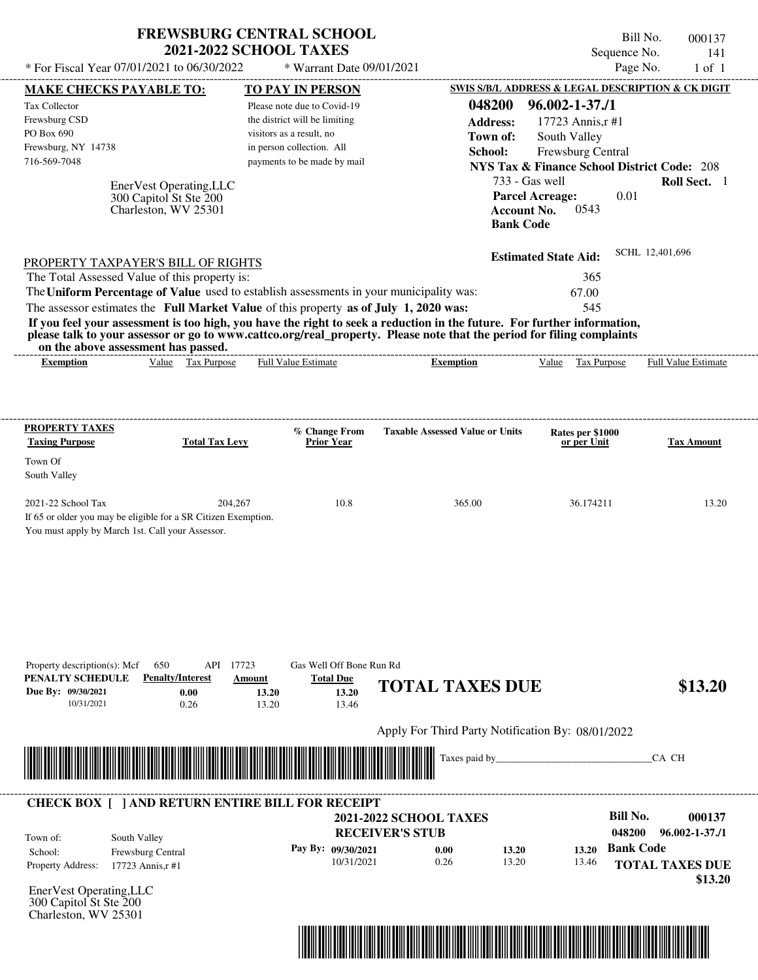| * For Fiscal Year 07/01/2021 to 06/30/2022                                                                                                                                                                                                       | <b>FREWSBURG CENTRAL SCHOOL</b><br><b>2021-2022 SCHOOL TAXES</b>       | * Warrant Date 09/01/2021                             |                                                   | Sequence No.                                           | Bill No.<br>000137<br>141<br>Page No.<br>$1$ of $1$ |
|--------------------------------------------------------------------------------------------------------------------------------------------------------------------------------------------------------------------------------------------------|------------------------------------------------------------------------|-------------------------------------------------------|---------------------------------------------------|--------------------------------------------------------|-----------------------------------------------------|
| <b>MAKE CHECKS PAYABLE TO:</b>                                                                                                                                                                                                                   |                                                                        | TO PAY IN PERSON                                      |                                                   | SWIS S/B/L ADDRESS & LEGAL DESCRIPTION & CK DIGIT      |                                                     |
| <b>Tax Collector</b>                                                                                                                                                                                                                             |                                                                        | Please note due to Covid-19                           | 048200                                            | $96.002 - 1 - 37.11$                                   |                                                     |
| Frewsburg CSD                                                                                                                                                                                                                                    |                                                                        | the district will be limiting                         | <b>Address:</b>                                   | 17723 Annis, r#1                                       |                                                     |
| PO Box 690                                                                                                                                                                                                                                       |                                                                        | visitors as a result, no                              | Town of:                                          | South Valley                                           |                                                     |
| Frewsburg, NY 14738                                                                                                                                                                                                                              |                                                                        | in person collection. All                             | School:                                           | <b>Frewsburg Central</b>                               |                                                     |
| 716-569-7048                                                                                                                                                                                                                                     |                                                                        | payments to be made by mail                           |                                                   | <b>NYS Tax &amp; Finance School District Code: 208</b> |                                                     |
|                                                                                                                                                                                                                                                  |                                                                        |                                                       |                                                   | 733 - Gas well                                         | Roll Sect. 1                                        |
| EnerVest Operating, LLC<br>300 Capitol St Ste 200<br>Charleston, WV 25301                                                                                                                                                                        |                                                                        |                                                       | <b>Account No.</b><br><b>Bank Code</b>            | 0.01<br><b>Parcel Acreage:</b><br>0543                 |                                                     |
| PROPERTY TAXPAYER'S BILL OF RIGHTS                                                                                                                                                                                                               |                                                                        |                                                       |                                                   | <b>Estimated State Aid:</b>                            | SCHL 12,401,696                                     |
| The Total Assessed Value of this property is:                                                                                                                                                                                                    |                                                                        |                                                       |                                                   | 365                                                    |                                                     |
| The Uniform Percentage of Value used to establish assessments in your municipality was:                                                                                                                                                          |                                                                        |                                                       |                                                   | 67.00                                                  |                                                     |
| The assessor estimates the Full Market Value of this property as of July 1, 2020 was:                                                                                                                                                            |                                                                        |                                                       |                                                   | 545                                                    |                                                     |
| If you feel your assessment is too high, you have the right to seek a reduction in the future. For further information,<br>please talk to your assessor or go to www.cattco.org/real_property. Please note that the period for filing complaints |                                                                        |                                                       |                                                   |                                                        |                                                     |
| on the above assessment has passed.<br><b>Exemption</b>                                                                                                                                                                                          | Value Tax Purpose                                                      | <b>Full Value Estimate</b>                            | <b>Exemption</b>                                  | Value Tax Purpose                                      | Full Value Estimate                                 |
|                                                                                                                                                                                                                                                  |                                                                        |                                                       |                                                   |                                                        |                                                     |
| PROPERTY TAXES<br><b>Taxing Purpose</b><br>Town Of<br>South Valley<br>2021-22 School Tax                                                                                                                                                         | <b>Total Tax Levy</b><br>204,267                                       | % Change From<br><b>Prior Year</b><br>10.8            | <b>Taxable Assessed Value or Units</b><br>365.00  | Rates per \$1000<br>or per Unit<br>36.174211           | <b>Tax Amount</b><br>13.20                          |
| You must apply by March 1st. Call your Assessor.<br>Property description(s): Mcf<br>650<br>PENALTY SCHEDULE<br>Due Bv: 09/30/2021                                                                                                                | API 17723<br><b>Penalty/Interest</b><br><b>Amount</b><br>0.00<br>13.20 | Gas Well Off Bone Run Rd<br><b>Total Due</b><br>13.20 | <b>TOTAL TAXES DUE</b>                            |                                                        | \$13.20                                             |
| 10/31/2021                                                                                                                                                                                                                                       | 0.26<br>13.20                                                          | 13.46                                                 |                                                   |                                                        |                                                     |
|                                                                                                                                                                                                                                                  |                                                                        |                                                       | Apply For Third Party Notification By: 08/01/2022 |                                                        |                                                     |
|                                                                                                                                                                                                                                                  |                                                                        |                                                       | Taxes paid by_                                    |                                                        | CA CH                                               |
| <b>CHECK BOX [ ] AND RETURN ENTIRE BILL FOR RECEIPT</b>                                                                                                                                                                                          |                                                                        |                                                       |                                                   |                                                        |                                                     |
|                                                                                                                                                                                                                                                  |                                                                        |                                                       | <b>2021-2022 SCHOOL TAXES</b>                     | <b>Bill No.</b>                                        | 000137                                              |
| South Valley<br>Town of:                                                                                                                                                                                                                         |                                                                        |                                                       | <b>RECEIVER'S STUB</b>                            | 048200                                                 | $96.002 - 1 - 37.11$                                |
| School:<br>Frewsburg Central                                                                                                                                                                                                                     |                                                                        | Pay By: 09/30/2021                                    | 0.00<br>13.20                                     | 13.20                                                  | <b>Bank Code</b>                                    |
| Property Address:<br>17723 Annis, r#1                                                                                                                                                                                                            |                                                                        | 10/31/2021                                            | 0.26<br>13.20                                     | 13.46                                                  | <b>TOTAL TAXES DUE</b>                              |
|                                                                                                                                                                                                                                                  |                                                                        |                                                       |                                                   |                                                        | \$13.20                                             |
| EnerVest Operating, LLC<br>300 Capitol St Ste 200<br>Charleston, WV 25301                                                                                                                                                                        |                                                                        |                                                       |                                                   |                                                        |                                                     |

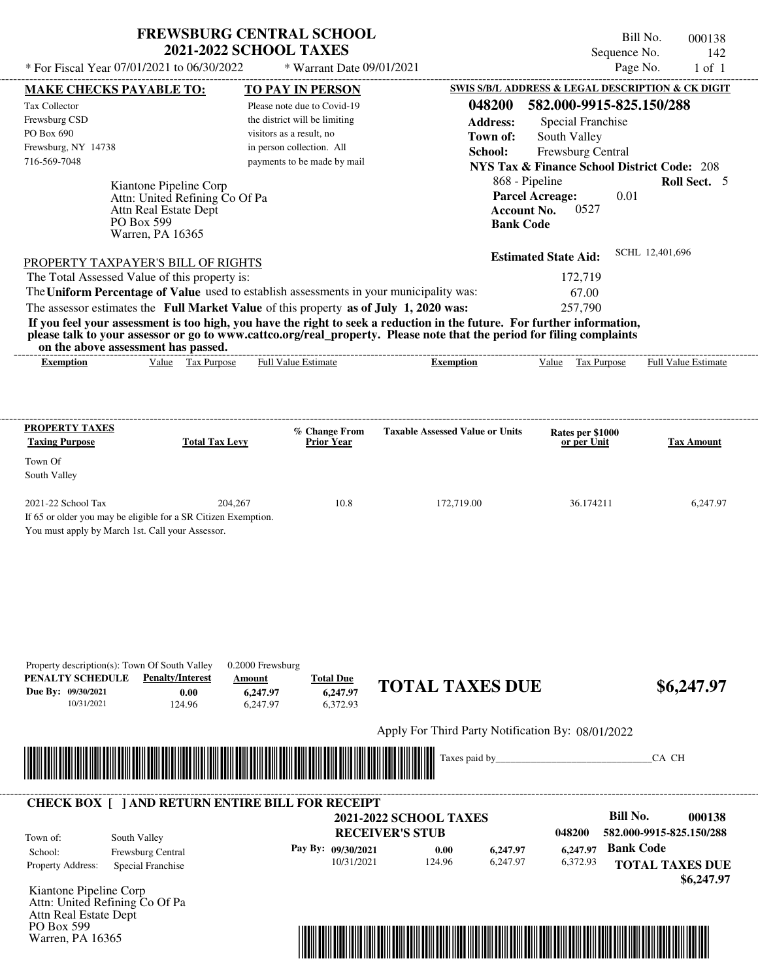## **FREWSBURG CENTRAL SCHOOL 2021-2022 SCHOOL TAXES**

 $*$  For Fiscal Year  $07/01/2021$  to  $06/30/2022$ 

PO Box 599 Warren, PA 16365  $*$  Warrant Date 09/01/2021

Bill No. 000138 Sequence No. 142<br>Page No. 1 of 1

| <b>MAKE CHECKS PAYABLE TO:</b>                                 |                                | $\mathcal{L}$ wallam Date $0\frac{3}{12}$<br><b>TO PAY IN PERSON</b>                    |                                                                                                                         |                                 | $1 \cup 1$<br>SWIS S/B/L ADDRESS & LEGAL DESCRIPTION & CK DIGIT |
|----------------------------------------------------------------|--------------------------------|-----------------------------------------------------------------------------------------|-------------------------------------------------------------------------------------------------------------------------|---------------------------------|-----------------------------------------------------------------|
| Tax Collector                                                  |                                | Please note due to Covid-19                                                             | 048200                                                                                                                  | 582.000-9915-825.150/288        |                                                                 |
| Frewsburg CSD                                                  |                                | the district will be limiting                                                           | <b>Address:</b>                                                                                                         | Special Franchise               |                                                                 |
| PO Box 690                                                     |                                | visitors as a result, no                                                                |                                                                                                                         |                                 |                                                                 |
| Frewsburg, NY 14738                                            |                                | in person collection. All                                                               | Town of:                                                                                                                | South Valley                    |                                                                 |
| 716-569-7048                                                   |                                | payments to be made by mail                                                             | School:                                                                                                                 | Frewsburg Central               |                                                                 |
|                                                                |                                |                                                                                         |                                                                                                                         |                                 | <b>NYS Tax &amp; Finance School District Code: 208</b>          |
|                                                                | Kiantone Pipeline Corp         |                                                                                         |                                                                                                                         | 868 - Pipeline                  | Roll Sect. 5                                                    |
|                                                                | Attn: United Refining Co Of Pa |                                                                                         |                                                                                                                         | <b>Parcel Acreage:</b>          | 0.01                                                            |
|                                                                | Attn Real Estate Dept          |                                                                                         |                                                                                                                         | 0527<br><b>Account No.</b>      |                                                                 |
|                                                                | PO Box 599<br>Warren, PA 16365 |                                                                                         | <b>Bank Code</b>                                                                                                        |                                 |                                                                 |
|                                                                |                                |                                                                                         |                                                                                                                         |                                 |                                                                 |
| PROPERTY TAXPAYER'S BILL OF RIGHTS                             |                                |                                                                                         |                                                                                                                         | <b>Estimated State Aid:</b>     | SCHL 12,401,696                                                 |
| The Total Assessed Value of this property is:                  |                                |                                                                                         |                                                                                                                         | 172,719                         |                                                                 |
|                                                                |                                | The Uniform Percentage of Value used to establish assessments in your municipality was: |                                                                                                                         | 67.00                           |                                                                 |
|                                                                |                                | The assessor estimates the Full Market Value of this property as of July 1, 2020 was:   |                                                                                                                         | 257,790                         |                                                                 |
|                                                                |                                |                                                                                         | If you feel your assessment is too high, you have the right to seek a reduction in the future. For further information, |                                 |                                                                 |
|                                                                |                                |                                                                                         | please talk to your assessor or go to www.cattco.org/real property. Please note that the period for filing complaints   |                                 |                                                                 |
| on the above assessment has passed.                            |                                |                                                                                         |                                                                                                                         |                                 |                                                                 |
| <b>Exemption</b>                                               | Value Tax Purpose              | <b>Full Value Estimate</b>                                                              | <b>Exemption</b>                                                                                                        | Value Tax Purpose               | <b>Full Value Estimate</b>                                      |
|                                                                |                                |                                                                                         |                                                                                                                         |                                 |                                                                 |
|                                                                |                                |                                                                                         |                                                                                                                         |                                 |                                                                 |
| <b>PROPERTY TAXES</b>                                          |                                |                                                                                         |                                                                                                                         |                                 |                                                                 |
| <b>Taxing Purpose</b>                                          | <b>Total Tax Levy</b>          | % Change From<br><b>Prior Year</b>                                                      | <b>Taxable Assessed Value or Units</b>                                                                                  | Rates per \$1000<br>or per Unit | <b>Tax Amount</b>                                               |
| Town Of                                                        |                                |                                                                                         |                                                                                                                         |                                 |                                                                 |
|                                                                |                                |                                                                                         |                                                                                                                         |                                 |                                                                 |
| South Valley                                                   |                                |                                                                                         |                                                                                                                         |                                 |                                                                 |
| 2021-22 School Tax                                             | 204,267                        | 10.8                                                                                    | 172,719.00                                                                                                              | 36.174211                       | 6,247.97                                                        |
| If 65 or older you may be eligible for a SR Citizen Exemption. |                                |                                                                                         |                                                                                                                         |                                 |                                                                 |
| You must apply by March 1st. Call your Assessor.               |                                |                                                                                         |                                                                                                                         |                                 |                                                                 |
|                                                                |                                |                                                                                         |                                                                                                                         |                                 |                                                                 |
|                                                                |                                |                                                                                         |                                                                                                                         |                                 |                                                                 |
|                                                                |                                |                                                                                         |                                                                                                                         |                                 |                                                                 |
|                                                                |                                |                                                                                         |                                                                                                                         |                                 |                                                                 |
|                                                                |                                |                                                                                         |                                                                                                                         |                                 |                                                                 |
|                                                                |                                |                                                                                         |                                                                                                                         |                                 |                                                                 |
|                                                                |                                |                                                                                         |                                                                                                                         |                                 |                                                                 |
|                                                                |                                |                                                                                         |                                                                                                                         |                                 |                                                                 |
| Property description(s): Town Of South Valley                  |                                | 0.2000 Frewsburg                                                                        |                                                                                                                         |                                 |                                                                 |
| PENALTY SCHEDULE                                               | <b>Penalty/Interest</b>        | <b>Total Due</b><br>Amount                                                              | <b>TOTAL TAXES DUE</b>                                                                                                  |                                 | \$6,247.97                                                      |
| Due By: 09/30/2021                                             | 0.00                           | 6,247.97<br>6,247.97                                                                    |                                                                                                                         |                                 |                                                                 |
| 10/31/2021                                                     | 124.96                         | 6,247.97<br>6,372.93                                                                    |                                                                                                                         |                                 |                                                                 |
|                                                                |                                |                                                                                         | Apply For Third Party Notification By: 08/01/2022                                                                       |                                 |                                                                 |
|                                                                |                                |                                                                                         |                                                                                                                         |                                 |                                                                 |
|                                                                |                                |                                                                                         | Taxes paid by                                                                                                           |                                 | CA CH                                                           |
|                                                                |                                |                                                                                         |                                                                                                                         |                                 |                                                                 |
|                                                                |                                |                                                                                         |                                                                                                                         |                                 |                                                                 |
|                                                                |                                | <b>CHECK BOX [ ] AND RETURN ENTIRE BILL FOR RECEIPT</b>                                 |                                                                                                                         |                                 |                                                                 |
|                                                                |                                |                                                                                         | <b>2021-2022 SCHOOL TAXES</b>                                                                                           |                                 | <b>Bill No.</b><br>000138                                       |
| South Valley<br>Town of:                                       |                                |                                                                                         | <b>RECEIVER'S STUB</b>                                                                                                  | 048200                          | 582.000-9915-825.150/288                                        |
| School:                                                        | Frewsburg Central              | Pay By: 09/30/2021                                                                      | 6,247.97<br>0.00                                                                                                        | 6,247.97                        | <b>Bank Code</b>                                                |
| Property Address:                                              | Special Franchise              | 10/31/2021                                                                              | 124.96<br>6,247.97                                                                                                      | 6,372.93                        | <b>TOTAL TAXES DUE</b>                                          |
|                                                                |                                |                                                                                         |                                                                                                                         |                                 | \$6,247.97                                                      |
| Kiantone Pipeline Corp                                         |                                |                                                                                         |                                                                                                                         |                                 |                                                                 |
| Attn: United Refining Co Of Pa                                 |                                |                                                                                         |                                                                                                                         |                                 |                                                                 |
|                                                                |                                |                                                                                         |                                                                                                                         |                                 |                                                                 |

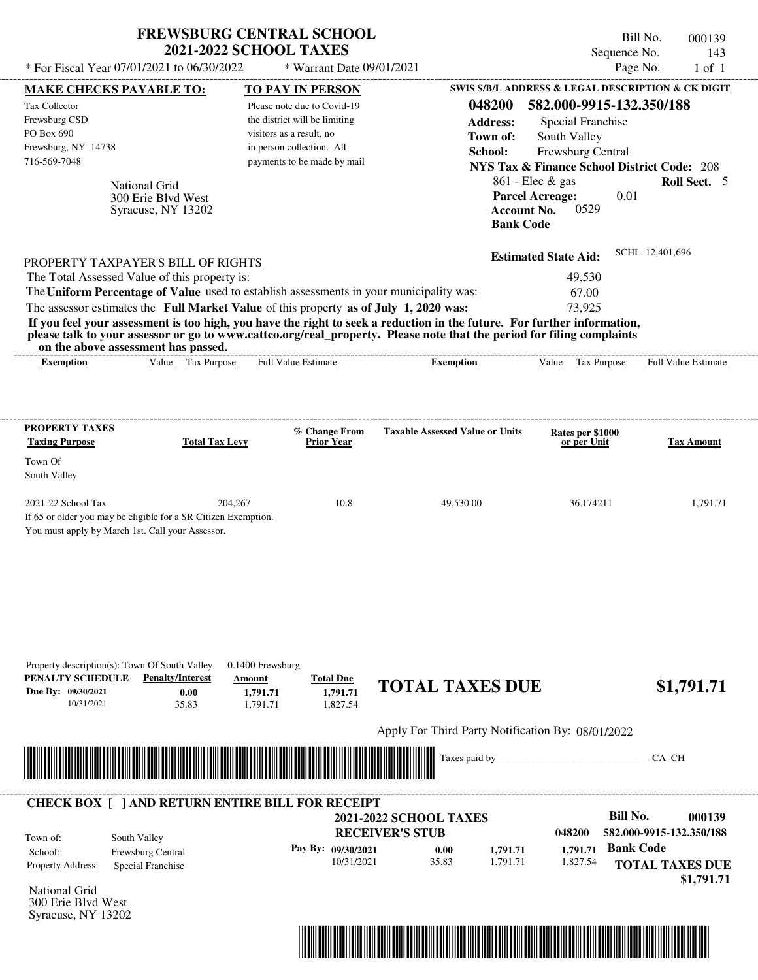|                                                                                                                                                                                                                                                                                         | <b>2021-2022 SCHOOL TAXES</b> | <b>FREWSBURG CENTRAL SCHOOL</b>    |                                                   |                                                        | Bill No.<br>Sequence No. | 000139<br>143       |
|-----------------------------------------------------------------------------------------------------------------------------------------------------------------------------------------------------------------------------------------------------------------------------------------|-------------------------------|------------------------------------|---------------------------------------------------|--------------------------------------------------------|--------------------------|---------------------|
| * For Fiscal Year 07/01/2021 to 06/30/2022                                                                                                                                                                                                                                              |                               | * Warrant Date 09/01/2021          |                                                   |                                                        | Page No.                 | $1$ of $1$          |
| <b>MAKE CHECKS PAYABLE TO:</b>                                                                                                                                                                                                                                                          |                               | TO PAY IN PERSON                   |                                                   | SWIS S/B/L ADDRESS & LEGAL DESCRIPTION & CK DIGIT      |                          |                     |
| <b>Tax Collector</b>                                                                                                                                                                                                                                                                    |                               | Please note due to Covid-19        | 048200                                            | 582.000-9915-132.350/188                               |                          |                     |
| Frewsburg CSD                                                                                                                                                                                                                                                                           |                               | the district will be limiting      | <b>Address:</b>                                   | Special Franchise                                      |                          |                     |
| PO Box 690                                                                                                                                                                                                                                                                              |                               | visitors as a result, no           | Town of:                                          | South Valley                                           |                          |                     |
| Frewsburg, NY 14738                                                                                                                                                                                                                                                                     |                               | in person collection. All          | School:                                           | <b>Frewsburg Central</b>                               |                          |                     |
| 716-569-7048                                                                                                                                                                                                                                                                            |                               | payments to be made by mail        |                                                   | <b>NYS Tax &amp; Finance School District Code: 208</b> |                          |                     |
|                                                                                                                                                                                                                                                                                         |                               |                                    |                                                   | $861$ - Elec & gas                                     |                          | Roll Sect. 5        |
| <b>National Grid</b><br>300 Erie Blyd West                                                                                                                                                                                                                                              |                               |                                    |                                                   | <b>Parcel Acreage:</b>                                 | 0.01                     |                     |
| Syracuse, NY 13202                                                                                                                                                                                                                                                                      |                               |                                    |                                                   | 0529<br><b>Account No.</b>                             |                          |                     |
|                                                                                                                                                                                                                                                                                         |                               |                                    |                                                   | <b>Bank Code</b>                                       |                          |                     |
|                                                                                                                                                                                                                                                                                         |                               |                                    |                                                   |                                                        |                          |                     |
|                                                                                                                                                                                                                                                                                         |                               |                                    |                                                   | <b>Estimated State Aid:</b>                            | SCHL 12,401,696          |                     |
| PROPERTY TAXPAYER'S BILL OF RIGHTS                                                                                                                                                                                                                                                      |                               |                                    |                                                   |                                                        |                          |                     |
| The Total Assessed Value of this property is:                                                                                                                                                                                                                                           |                               |                                    |                                                   | 49,530                                                 |                          |                     |
| The Uniform Percentage of Value used to establish assessments in your municipality was:                                                                                                                                                                                                 |                               |                                    |                                                   | 67.00                                                  |                          |                     |
| The assessor estimates the Full Market Value of this property as of July 1, 2020 was:                                                                                                                                                                                                   |                               |                                    |                                                   | 73,925                                                 |                          |                     |
| If you feel your assessment is too high, you have the right to seek a reduction in the future. For further information,<br>please talk to your assessor or go to www.cattco.org/real_property. Please note that the period for filing complaints<br>on the above assessment has passed. |                               |                                    |                                                   |                                                        |                          |                     |
| <b>Exemption</b>                                                                                                                                                                                                                                                                        | Value Tax Purpose             | <b>Full Value Estimate</b>         | <b>Exemption</b>                                  | Value Tax Purpose                                      |                          | Full Value Estimate |
|                                                                                                                                                                                                                                                                                         |                               |                                    |                                                   |                                                        |                          |                     |
| PROPERTY TAXES                                                                                                                                                                                                                                                                          |                               |                                    |                                                   |                                                        |                          |                     |
| <b>Taxing Purpose</b>                                                                                                                                                                                                                                                                   | <b>Total Tax Levy</b>         | % Change From<br><b>Prior Year</b> | <b>Taxable Assessed Value or Units</b>            | Rates per \$1000<br>or per Unit                        |                          | <b>Tax Amount</b>   |
| Town Of                                                                                                                                                                                                                                                                                 |                               |                                    |                                                   |                                                        |                          |                     |
| South Valley                                                                                                                                                                                                                                                                            |                               |                                    |                                                   |                                                        |                          |                     |
|                                                                                                                                                                                                                                                                                         |                               |                                    |                                                   |                                                        |                          |                     |
| 2021-22 School Tax                                                                                                                                                                                                                                                                      | 204,267                       | 10.8                               | 49,530.00                                         | 36.174211                                              |                          | 1,791.71            |
| If 65 or older you may be eligible for a SR Citizen Exemption.                                                                                                                                                                                                                          |                               |                                    |                                                   |                                                        |                          |                     |
| You must apply by March 1st. Call your Assessor.                                                                                                                                                                                                                                        |                               |                                    |                                                   |                                                        |                          |                     |
|                                                                                                                                                                                                                                                                                         |                               |                                    |                                                   |                                                        |                          |                     |
|                                                                                                                                                                                                                                                                                         |                               |                                    |                                                   |                                                        |                          |                     |
|                                                                                                                                                                                                                                                                                         |                               |                                    |                                                   |                                                        |                          |                     |
|                                                                                                                                                                                                                                                                                         |                               |                                    |                                                   |                                                        |                          |                     |
|                                                                                                                                                                                                                                                                                         |                               |                                    |                                                   |                                                        |                          |                     |
|                                                                                                                                                                                                                                                                                         |                               |                                    |                                                   |                                                        |                          |                     |
|                                                                                                                                                                                                                                                                                         |                               |                                    |                                                   |                                                        |                          |                     |
| Property description(s): Town Of South Valley                                                                                                                                                                                                                                           | $0.1400$ Frewsburg            |                                    |                                                   |                                                        |                          |                     |
| PENALTY SCHEDULE<br><b>Penalty/Interest</b>                                                                                                                                                                                                                                             | Amount                        | <b>Total Due</b>                   | <b>TOTAL TAXES DUE</b>                            |                                                        |                          |                     |
| Due By: 09/30/2021<br>0.00                                                                                                                                                                                                                                                              | 1,791.71                      | 1,791.71                           |                                                   |                                                        |                          | \$1,791.71          |
| 10/31/2021<br>35.83                                                                                                                                                                                                                                                                     | 1,791.71                      | 1,827.54                           |                                                   |                                                        |                          |                     |
|                                                                                                                                                                                                                                                                                         |                               |                                    | Apply For Third Party Notification By: 08/01/2022 |                                                        |                          |                     |
|                                                                                                                                                                                                                                                                                         |                               |                                    |                                                   |                                                        |                          |                     |
|                                                                                                                                                                                                                                                                                         |                               |                                    | Taxes paid by                                     |                                                        | CA CH                    |                     |
| <b>CHECK BOX [ ] AND RETURN ENTIRE BILL FOR RECEIPT</b>                                                                                                                                                                                                                                 |                               |                                    |                                                   |                                                        |                          |                     |
|                                                                                                                                                                                                                                                                                         |                               |                                    | <b>2021-2022 SCHOOL TAXES</b>                     |                                                        | <b>Bill No.</b>          | 000139              |
|                                                                                                                                                                                                                                                                                         |                               |                                    | <b>RECEIVER'S STUB</b>                            | 048200                                                 | 582.000-9915-132.350/188 |                     |
| South Valley<br>Town of:                                                                                                                                                                                                                                                                |                               | Pay By: 09/30/2021                 |                                                   | 1,791.71<br>1,791.71                                   | <b>Bank Code</b>         |                     |
| Frewsburg Central<br>School:                                                                                                                                                                                                                                                            |                               | 10/31/2021                         | 0.00<br>35.83                                     | 1,791.71<br>1,827.54                                   |                          |                     |
| Property Address:<br>Special Franchise                                                                                                                                                                                                                                                  |                               |                                    |                                                   |                                                        | <b>TOTAL TAXES DUE</b>   |                     |

National Grid 300 Erie Blvd West Syracuse, NY 13202



 **\$1,791.71**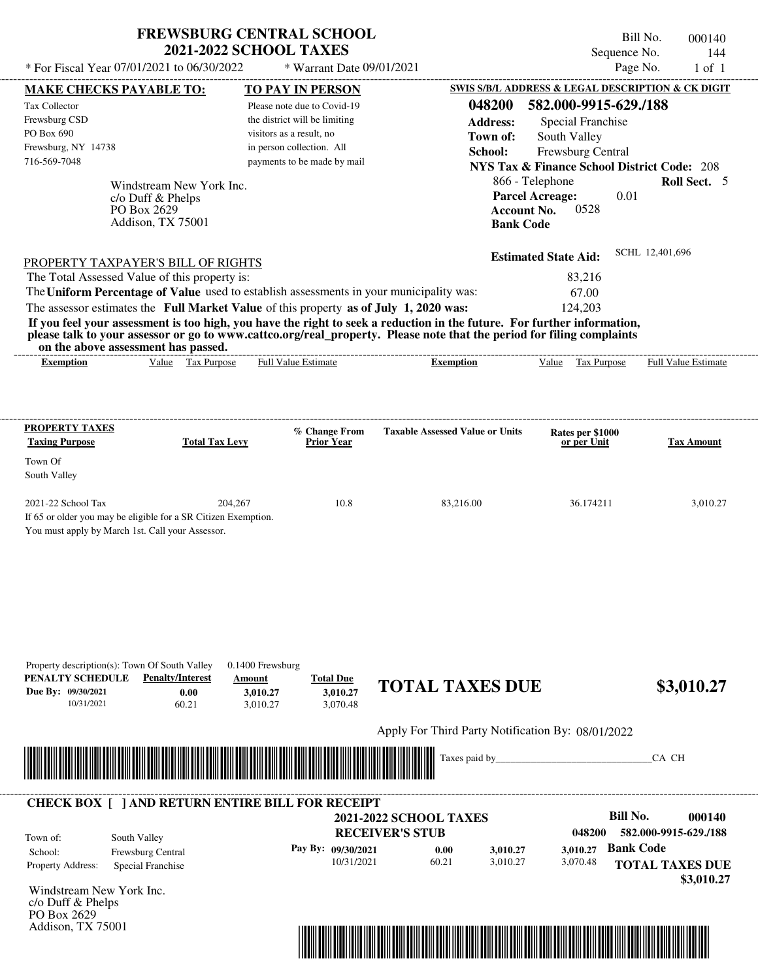| <b>FREWSBURG CENTRAL SCHOOL</b> |
|---------------------------------|
| <b>2021-2022 SCHOOL TAXES</b>   |

\* Warrant Date 09/01/2021

 $*$  For Fiscal Year 07/01/2021 to 06/30/2022

Bill No. 000140 Sequence No. 144<br>Page No. 1 of 1

| <b>MAKE CHECKS PAYABLE TO:</b>                                                                                                                                                                                                       | <b>TO PAY IN PERSON</b>                      |                                                               | <b>SWIS S/B/L ADDRESS &amp; LEGAL DESCRIPTION &amp; CK DIGIT</b> |                        |
|--------------------------------------------------------------------------------------------------------------------------------------------------------------------------------------------------------------------------------------|----------------------------------------------|---------------------------------------------------------------|------------------------------------------------------------------|------------------------|
| Tax Collector                                                                                                                                                                                                                        | Please note due to Covid-19                  | 048200                                                        | 582.000-9915-629./188                                            |                        |
| Frewsburg CSD                                                                                                                                                                                                                        | the district will be limiting                | <b>Address:</b>                                               | <b>Special Franchise</b>                                         |                        |
| PO Box 690                                                                                                                                                                                                                           | visitors as a result, no                     | Town of:                                                      | South Valley                                                     |                        |
| Frewsburg, NY 14738                                                                                                                                                                                                                  | in person collection. All                    | School:                                                       | Frewsburg Central                                                |                        |
| 716-569-7048                                                                                                                                                                                                                         | payments to be made by mail                  |                                                               | <b>NYS Tax &amp; Finance School District Code: 208</b>           |                        |
| Windstream New York Inc.                                                                                                                                                                                                             |                                              |                                                               | 866 - Telephone                                                  | Roll Sect. 5           |
| c/o Duff & Phelps                                                                                                                                                                                                                    |                                              |                                                               | <b>Parcel Acreage:</b><br>0.01                                   |                        |
| PO Box 2629                                                                                                                                                                                                                          |                                              | <b>Account No.</b>                                            | 0528                                                             |                        |
| Addison, TX 75001                                                                                                                                                                                                                    |                                              | <b>Bank Code</b>                                              |                                                                  |                        |
|                                                                                                                                                                                                                                      |                                              |                                                               | <b>Estimated State Aid:</b>                                      | SCHL 12,401,696        |
| PROPERTY TAXPAYER'S BILL OF RIGHTS                                                                                                                                                                                                   |                                              |                                                               |                                                                  |                        |
| The Total Assessed Value of this property is:                                                                                                                                                                                        |                                              |                                                               | 83,216                                                           |                        |
| The Uniform Percentage of Value used to establish assessments in your municipality was:                                                                                                                                              |                                              |                                                               | 67.00                                                            |                        |
| The assessor estimates the Full Market Value of this property as of July 1, 2020 was:<br>If you feel your assessment is too high, you have the right to seek a reduction in the future. For further information,                     |                                              |                                                               | 124,203                                                          |                        |
| please talk to your assessor or go to www.cattco.org/real_property. Please note that the period for filing complaints                                                                                                                |                                              |                                                               |                                                                  |                        |
| on the above assessment has passed.<br>Value Tax Purpose<br><b>Exemption</b>                                                                                                                                                         | <b>Full Value Estimate</b>                   | <b>Exemption</b>                                              | Value Tax Purpose Full Value Estimate                            |                        |
|                                                                                                                                                                                                                                      |                                              |                                                               |                                                                  |                        |
|                                                                                                                                                                                                                                      |                                              |                                                               |                                                                  |                        |
| <b>PROPERTY TAXES</b>                                                                                                                                                                                                                | % Change From                                | <b>Taxable Assessed Value or Units</b>                        | Rates per \$1000                                                 |                        |
| <b>Total Tax Levy</b><br><b>Taxing Purpose</b>                                                                                                                                                                                       | <b>Prior Year</b>                            |                                                               | or per Unit                                                      | <b>Tax Amount</b>      |
| Town Of                                                                                                                                                                                                                              |                                              |                                                               |                                                                  |                        |
| South Valley                                                                                                                                                                                                                         |                                              |                                                               |                                                                  |                        |
| 2021-22 School Tax<br>204,267                                                                                                                                                                                                        | 10.8                                         | 83,216.00                                                     | 36.174211                                                        | 3,010.27               |
| If 65 or older you may be eligible for a SR Citizen Exemption.                                                                                                                                                                       |                                              |                                                               |                                                                  |                        |
| You must apply by March 1st. Call your Assessor.                                                                                                                                                                                     |                                              |                                                               |                                                                  |                        |
|                                                                                                                                                                                                                                      |                                              |                                                               |                                                                  |                        |
|                                                                                                                                                                                                                                      |                                              |                                                               |                                                                  |                        |
|                                                                                                                                                                                                                                      |                                              |                                                               |                                                                  |                        |
|                                                                                                                                                                                                                                      |                                              |                                                               |                                                                  |                        |
|                                                                                                                                                                                                                                      |                                              |                                                               |                                                                  |                        |
|                                                                                                                                                                                                                                      |                                              |                                                               |                                                                  |                        |
|                                                                                                                                                                                                                                      |                                              |                                                               |                                                                  |                        |
| Property description(s): Town Of South Valley                                                                                                                                                                                        | 0.1400 Frewsburg                             |                                                               |                                                                  |                        |
| PENALTY SCHEDULE<br><b>Penalty/Interest</b>                                                                                                                                                                                          | <b>Total Due</b><br>Amount                   | <b>TOTAL TAXES DUE</b>                                        |                                                                  | \$3,010.27             |
| Due By: 09/30/2021<br>0.00<br>10/31/2021<br>60.21                                                                                                                                                                                    | 3,010.27<br>3,010.27<br>3,070.48<br>3,010.27 |                                                               |                                                                  |                        |
|                                                                                                                                                                                                                                      |                                              |                                                               |                                                                  |                        |
|                                                                                                                                                                                                                                      |                                              | Apply For Third Party Notification By: 08/01/2022             |                                                                  |                        |
| <u> Indian American State of Barbara and The Barbara and The Barbara and The Barbara and The Barbara and The Barbara and The Barbara and The Barbara and The Barbara and The Barbara and The Barbara and The Barbara and The Bar</u> |                                              | Taxes paid by_                                                |                                                                  | CA CH                  |
|                                                                                                                                                                                                                                      |                                              |                                                               |                                                                  |                        |
| <b>CHECK BOX [ ] AND RETURN ENTIRE BILL FOR RECEIPT</b>                                                                                                                                                                              |                                              |                                                               |                                                                  |                        |
|                                                                                                                                                                                                                                      |                                              | <b>2021-2022 SCHOOL TAXES</b>                                 | <b>Bill No.</b>                                                  | 000140                 |
| South Valley<br>Town of:                                                                                                                                                                                                             |                                              | <b>RECEIVER'S STUB</b>                                        | 048200                                                           | 582.000-9915-629./188  |
| School:<br>Frewsburg Central                                                                                                                                                                                                         | Pay By: 09/30/2021                           | 0.00<br>3,010.27                                              | <b>Bank Code</b><br>3,010.27                                     |                        |
| Property Address:<br>Special Franchise                                                                                                                                                                                               | 10/31/2021                                   | 60.21<br>3,010.27                                             | 3,070.48                                                         | <b>TOTAL TAXES DUE</b> |
|                                                                                                                                                                                                                                      |                                              |                                                               |                                                                  | \$3,010.27             |
| Windstream New York Inc.<br>c/o Duff & Phelps                                                                                                                                                                                        |                                              |                                                               |                                                                  |                        |
| PO Box 2629                                                                                                                                                                                                                          |                                              |                                                               |                                                                  |                        |
| Addison, TX 75001                                                                                                                                                                                                                    |                                              |                                                               |                                                                  |                        |
|                                                                                                                                                                                                                                      |                                              | <u> 1989 - Andrea Stadt British, fransk politik (d. 1989)</u> |                                                                  |                        |
|                                                                                                                                                                                                                                      |                                              |                                                               |                                                                  |                        |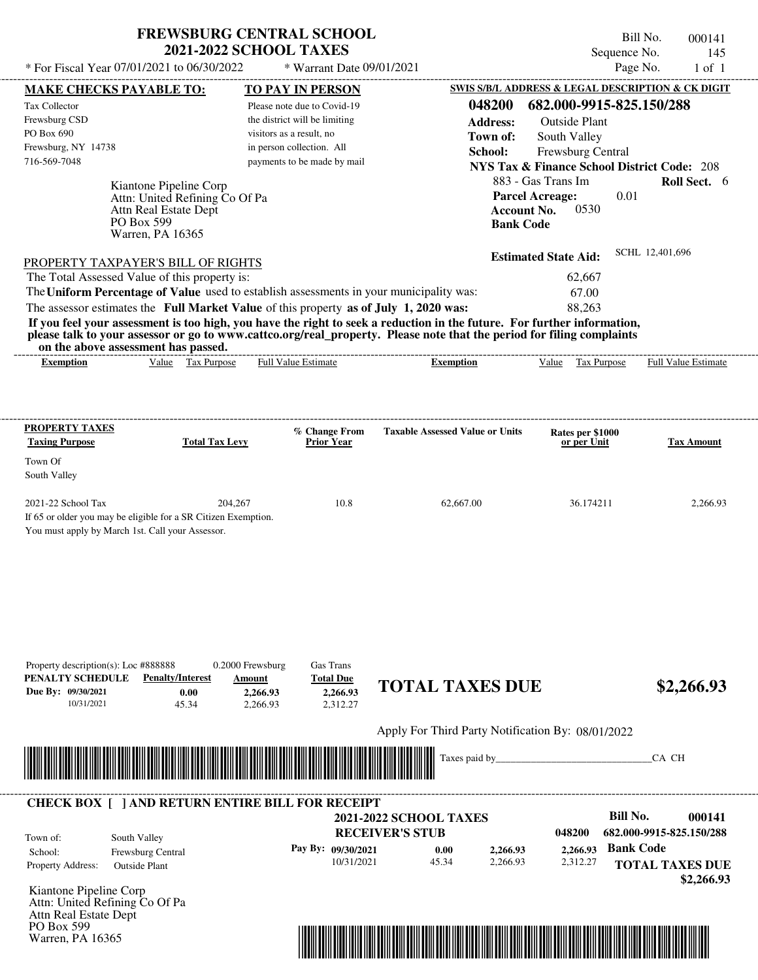## **FREWSBURG CENTRAL SCHOOL 2021-2022 SCHOOL TAXES**

Warren, PA 16365

Bill No. 000141 Sequence No. 145

| * For Fiscal Year 07/01/2021 to 06/30/2022                                                                                               |                                                                                                                     | * Warrant Date 09/01/2021                                                                                    |                                                                                                                                                                                                                                                                      |                                                                                                | Page No.<br>$1$ of $1$                                |
|------------------------------------------------------------------------------------------------------------------------------------------|---------------------------------------------------------------------------------------------------------------------|--------------------------------------------------------------------------------------------------------------|----------------------------------------------------------------------------------------------------------------------------------------------------------------------------------------------------------------------------------------------------------------------|------------------------------------------------------------------------------------------------|-------------------------------------------------------|
| <b>MAKE CHECKS PAYABLE TO:</b>                                                                                                           |                                                                                                                     | <b>TO PAY IN PERSON</b>                                                                                      |                                                                                                                                                                                                                                                                      | SWIS S/B/L ADDRESS & LEGAL DESCRIPTION & CK DIGIT                                              |                                                       |
| Tax Collector                                                                                                                            |                                                                                                                     | Please note due to Covid-19                                                                                  | 048200                                                                                                                                                                                                                                                               | 682.000-9915-825.150/288                                                                       |                                                       |
| Frewsburg CSD                                                                                                                            |                                                                                                                     | the district will be limiting                                                                                | <b>Address:</b>                                                                                                                                                                                                                                                      | <b>Outside Plant</b>                                                                           |                                                       |
| PO Box 690                                                                                                                               |                                                                                                                     | visitors as a result, no                                                                                     | Town of:                                                                                                                                                                                                                                                             | South Valley                                                                                   |                                                       |
| Frewsburg, NY 14738<br>716-569-7048                                                                                                      |                                                                                                                     | in person collection. All<br>payments to be made by mail                                                     | School:                                                                                                                                                                                                                                                              | Frewsburg Central                                                                              |                                                       |
|                                                                                                                                          |                                                                                                                     |                                                                                                              |                                                                                                                                                                                                                                                                      | <b>NYS Tax &amp; Finance School District Code: 208</b>                                         |                                                       |
|                                                                                                                                          | Kiantone Pipeline Corp<br>Attn: United Refining Co Of Pa<br>Attn Real Estate Dept<br>PO Box 599<br>Warren, PA 16365 |                                                                                                              |                                                                                                                                                                                                                                                                      | 883 - Gas Trans Im<br><b>Parcel Acreage:</b><br>0530<br><b>Account No.</b><br><b>Bank Code</b> | Roll Sect. 6<br>0.01                                  |
| PROPERTY TAXPAYER'S BILL OF RIGHTS                                                                                                       |                                                                                                                     |                                                                                                              |                                                                                                                                                                                                                                                                      | <b>Estimated State Aid:</b>                                                                    | SCHL 12,401,696                                       |
| The Total Assessed Value of this property is:                                                                                            |                                                                                                                     |                                                                                                              |                                                                                                                                                                                                                                                                      | 62,667                                                                                         |                                                       |
|                                                                                                                                          |                                                                                                                     | The Uniform Percentage of Value used to establish assessments in your municipality was:                      |                                                                                                                                                                                                                                                                      | 67.00                                                                                          |                                                       |
| on the above assessment has passed.<br><b>Exemption</b>                                                                                  | Value Tax Purpose                                                                                                   | The assessor estimates the Full Market Value of this property as of July 1, 2020 was:<br>Full Value Estimate | If you feel your assessment is too high, you have the right to seek a reduction in the future. For further information,<br>please talk to your assessor or go to www.cattco.org/real_property. Please note that the period for filing complaints<br><b>Exemption</b> | 88,263<br>Value Tax Purpose                                                                    | Full Value Estimate                                   |
|                                                                                                                                          |                                                                                                                     |                                                                                                              |                                                                                                                                                                                                                                                                      |                                                                                                |                                                       |
| <b>PROPERTY TAXES</b>                                                                                                                    |                                                                                                                     | % Change From                                                                                                | <b>Taxable Assessed Value or Units</b>                                                                                                                                                                                                                               | Rates per \$1000                                                                               |                                                       |
| <b>Taxing Purpose</b>                                                                                                                    | <b>Total Tax Levy</b>                                                                                               | <b>Prior Year</b>                                                                                            |                                                                                                                                                                                                                                                                      | or per Unit                                                                                    | <b>Tax Amount</b>                                     |
| Town Of                                                                                                                                  |                                                                                                                     |                                                                                                              |                                                                                                                                                                                                                                                                      |                                                                                                |                                                       |
| South Valley                                                                                                                             |                                                                                                                     |                                                                                                              |                                                                                                                                                                                                                                                                      |                                                                                                |                                                       |
| 2021-22 School Tax<br>If 65 or older you may be eligible for a SR Citizen Exemption.<br>You must apply by March 1st. Call your Assessor. | 204,267                                                                                                             | 10.8                                                                                                         | 62,667.00                                                                                                                                                                                                                                                            | 36.174211                                                                                      | 2,266.93                                              |
| Property description(s): Loc #888888<br>PENALTY SCHEDULE<br>Due By: 09/30/2021<br>10/31/2021                                             | <b>Penalty/Interest</b><br>0.00<br>45.34                                                                            | Gas Trans<br>0.2000 Frewsburg<br><b>Total Due</b><br>Amount<br>2,266.93<br>2,266.93<br>2,266.93<br>2,312.27  | <b>TOTAL TAXES DUE</b>                                                                                                                                                                                                                                               |                                                                                                | \$2,266.93                                            |
|                                                                                                                                          |                                                                                                                     |                                                                                                              | Apply For Third Party Notification By: 08/01/2022                                                                                                                                                                                                                    |                                                                                                |                                                       |
|                                                                                                                                          |                                                                                                                     |                                                                                                              | Taxes paid by_                                                                                                                                                                                                                                                       |                                                                                                | CA CH                                                 |
|                                                                                                                                          |                                                                                                                     | <b>CHECK BOX [ ] AND RETURN ENTIRE BILL FOR RECEIPT</b>                                                      |                                                                                                                                                                                                                                                                      |                                                                                                |                                                       |
|                                                                                                                                          |                                                                                                                     |                                                                                                              | <b>2021-2022 SCHOOL TAXES</b><br><b>RECEIVER'S STUB</b>                                                                                                                                                                                                              | 048200                                                                                         | <b>Bill No.</b><br>000141<br>682.000-9915-825.150/288 |
| Town of:<br>School:<br>Property Address:                                                                                                 | South Valley<br>Frewsburg Central<br><b>Outside Plant</b>                                                           | Pay By: 09/30/2021<br>10/31/2021                                                                             | 0.00<br>2,266.93<br>45.34<br>2,266.93                                                                                                                                                                                                                                | 2,266.93<br>2,312.27                                                                           | <b>Bank Code</b><br><b>TOTAL TAXES DUE</b>            |
| Kiantone Pipeline Corp<br>Attn: United Refining Co Of Pa<br>Attn Real Estate Dept<br>PO Box 599                                          |                                                                                                                     |                                                                                                              |                                                                                                                                                                                                                                                                      |                                                                                                | \$2,266.93                                            |

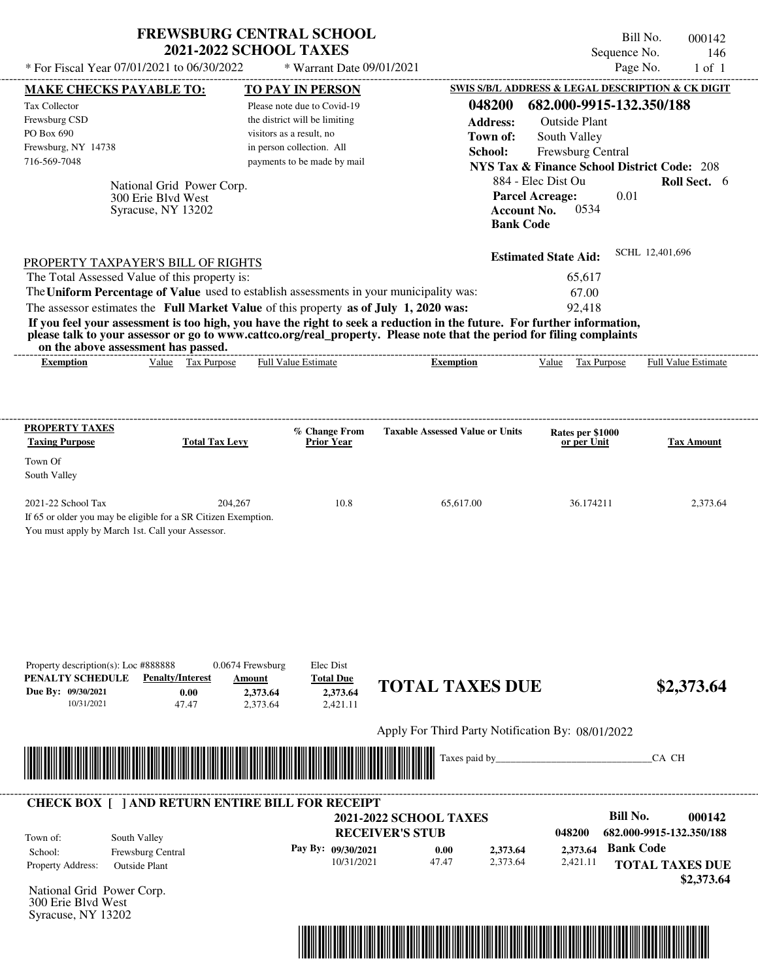| <b>FREWSBURG CENTRAL SCHOOL</b> |
|---------------------------------|
| <b>2021-2022 SCHOOL TAXES</b>   |

Bill No. 000142 Sequence No. 146  $*$  For Fiscal Year 07/01/2021 to 06/30/2022  $*$  Warrant Date 09/01/2021 Page No. 1 of 1

| <b>MAKE CHECKS PAYABLE TO:</b>                                                                                                                                                                                                       | <b>TO PAY IN PERSON</b>                            |                                                      | <b>SWIS S/B/L ADDRESS &amp; LEGAL DESCRIPTION &amp; CK DIGIT</b> |                          |
|--------------------------------------------------------------------------------------------------------------------------------------------------------------------------------------------------------------------------------------|----------------------------------------------------|------------------------------------------------------|------------------------------------------------------------------|--------------------------|
| Tax Collector                                                                                                                                                                                                                        | Please note due to Covid-19                        | 048200                                               | 682.000-9915-132.350/188                                         |                          |
| Frewsburg CSD                                                                                                                                                                                                                        | the district will be limiting                      | <b>Address:</b>                                      | <b>Outside Plant</b>                                             |                          |
| PO Box 690                                                                                                                                                                                                                           | visitors as a result, no                           | Town of:                                             | South Valley                                                     |                          |
| Frewsburg, NY 14738                                                                                                                                                                                                                  | in person collection. All                          | School:                                              | Frewsburg Central                                                |                          |
| 716-569-7048                                                                                                                                                                                                                         | payments to be made by mail                        |                                                      | <b>NYS Tax &amp; Finance School District Code: 208</b>           |                          |
| National Grid Power Corp.                                                                                                                                                                                                            |                                                    |                                                      | 884 - Elec Dist Ou                                               | Roll Sect. 6             |
| 300 Erie Blvd West                                                                                                                                                                                                                   |                                                    |                                                      | 0.01<br><b>Parcel Acreage:</b>                                   |                          |
| Syracuse, NY 13202                                                                                                                                                                                                                   |                                                    | <b>Account No.</b>                                   | 0534                                                             |                          |
|                                                                                                                                                                                                                                      |                                                    | <b>Bank Code</b>                                     |                                                                  |                          |
|                                                                                                                                                                                                                                      |                                                    |                                                      | <b>Estimated State Aid:</b>                                      | SCHL 12,401,696          |
| PROPERTY TAXPAYER'S BILL OF RIGHTS<br>The Total Assessed Value of this property is:                                                                                                                                                  |                                                    |                                                      | 65,617                                                           |                          |
| The Uniform Percentage of Value used to establish assessments in your municipality was:                                                                                                                                              |                                                    |                                                      | 67.00                                                            |                          |
| The assessor estimates the Full Market Value of this property as of July 1, 2020 was:                                                                                                                                                |                                                    |                                                      | 92,418                                                           |                          |
| If you feel your assessment is too high, you have the right to seek a reduction in the future. For further information,                                                                                                              |                                                    |                                                      |                                                                  |                          |
| please talk to your assessor or go to www.cattco.org/real_property. Please note that the period for filing complaints<br>on the above assessment has passed.                                                                         |                                                    |                                                      |                                                                  |                          |
| Value Tax Purpose<br><b>Exemption</b>                                                                                                                                                                                                | <b>Full Value Estimate</b>                         | <b>Exemption</b>                                     | Value Tax Purpose Full Value Estimate                            |                          |
|                                                                                                                                                                                                                                      |                                                    |                                                      |                                                                  |                          |
|                                                                                                                                                                                                                                      |                                                    |                                                      |                                                                  |                          |
|                                                                                                                                                                                                                                      |                                                    |                                                      |                                                                  |                          |
| <b>PROPERTY TAXES</b><br><b>Total Tax Levy</b>                                                                                                                                                                                       | % Change From                                      | <b>Taxable Assessed Value or Units</b>               | Rates per \$1000                                                 |                          |
| <b>Taxing Purpose</b>                                                                                                                                                                                                                | <b>Prior Year</b>                                  |                                                      | or per Unit                                                      | <b>Tax Amount</b>        |
| Town Of<br>South Valley                                                                                                                                                                                                              |                                                    |                                                      |                                                                  |                          |
| 2021-22 School Tax<br>204,267                                                                                                                                                                                                        | 10.8                                               | 65,617.00                                            | 36.174211                                                        | 2,373.64                 |
| If 65 or older you may be eligible for a SR Citizen Exemption.                                                                                                                                                                       |                                                    |                                                      |                                                                  |                          |
| You must apply by March 1st. Call your Assessor.                                                                                                                                                                                     |                                                    |                                                      |                                                                  |                          |
|                                                                                                                                                                                                                                      |                                                    |                                                      |                                                                  |                          |
|                                                                                                                                                                                                                                      |                                                    |                                                      |                                                                  |                          |
|                                                                                                                                                                                                                                      |                                                    |                                                      |                                                                  |                          |
|                                                                                                                                                                                                                                      |                                                    |                                                      |                                                                  |                          |
|                                                                                                                                                                                                                                      |                                                    |                                                      |                                                                  |                          |
|                                                                                                                                                                                                                                      |                                                    |                                                      |                                                                  |                          |
| Property description(s): Loc #888888                                                                                                                                                                                                 | Elec Dist<br>0.0674 Frewsburg                      |                                                      |                                                                  |                          |
| PENALTY SCHEDULE<br><b>Penalty/Interest</b><br>Due By: 09/30/2021<br>0.00                                                                                                                                                            | <b>Total Due</b><br>Amount<br>2,373.64<br>2,373.64 | <b>TOTAL TAXES DUE</b>                               |                                                                  | \$2,373.64               |
| 10/31/2021<br>47.47                                                                                                                                                                                                                  | 2,373.64<br>2.421.11                               |                                                      |                                                                  |                          |
|                                                                                                                                                                                                                                      |                                                    |                                                      |                                                                  |                          |
|                                                                                                                                                                                                                                      |                                                    | Apply For Third Party Notification By: 08/01/2022    |                                                                  |                          |
| <u> Harry Harry Harry Harry Harry Harry Harry Harry Harry Harry Harry Harry Harry Harry Harry Harry Harry Harry Harry Harry Harry Harry Harry Harry Harry Harry Harry Harry Harry Harry Harry Harry Harry Harry Harry Harry Harr</u> |                                                    | Taxes paid by_                                       |                                                                  | CA CH                    |
|                                                                                                                                                                                                                                      |                                                    |                                                      |                                                                  |                          |
| <b>CHECK BOX [ ] AND RETURN ENTIRE BILL FOR RECEIPT</b>                                                                                                                                                                              |                                                    |                                                      |                                                                  |                          |
|                                                                                                                                                                                                                                      |                                                    | <b>2021-2022 SCHOOL TAXES</b>                        | <b>Bill No.</b>                                                  | 000142                   |
| South Valley<br>Town of:                                                                                                                                                                                                             |                                                    | <b>RECEIVER'S STUB</b>                               | 048200                                                           | 682.000-9915-132.350/188 |
| School:<br>Frewsburg Central                                                                                                                                                                                                         | Pay By: 09/30/2021                                 | 0.00<br>2,373.64                                     | <b>Bank Code</b><br>2,373.64                                     |                          |
| Property Address:<br><b>Outside Plant</b>                                                                                                                                                                                            | 10/31/2021                                         | 47.47<br>2,373.64                                    | 2,421.11                                                         | <b>TOTAL TAXES DUE</b>   |
|                                                                                                                                                                                                                                      |                                                    |                                                      |                                                                  | \$2,373.64               |
| National Grid Power Corp.<br>300 Erie Blvd West                                                                                                                                                                                      |                                                    |                                                      |                                                                  |                          |
| Syracuse, NY 13202                                                                                                                                                                                                                   |                                                    |                                                      |                                                                  |                          |
|                                                                                                                                                                                                                                      |                                                    |                                                      |                                                                  |                          |
|                                                                                                                                                                                                                                      |                                                    | <u> 1989 - Johann Stoff, Amerikaansk politiker (</u> |                                                                  |                          |
|                                                                                                                                                                                                                                      |                                                    |                                                      |                                                                  |                          |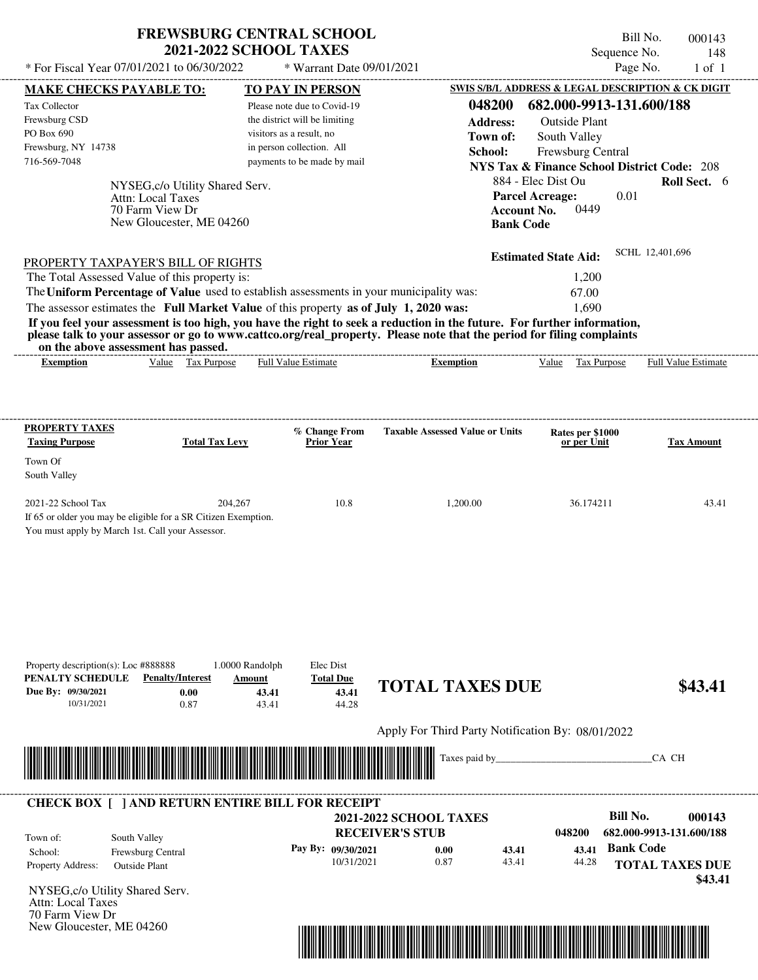## **FREWSBURG CENTRAL SCHOOL 2021-2022 SCHOOL TAXES**

Bill No. 000143 Sequence No. 148<br>Page No. 1 of 1

| * For Fiscal Year 07/01/2021 to 06/30/2022                                                                         |                                                                                                            | * Warrant Date 09/01/2021                                 |                                                                                                                                                                                                                                                                      | Page No.                                                                    | $1$ of $1$               |
|--------------------------------------------------------------------------------------------------------------------|------------------------------------------------------------------------------------------------------------|-----------------------------------------------------------|----------------------------------------------------------------------------------------------------------------------------------------------------------------------------------------------------------------------------------------------------------------------|-----------------------------------------------------------------------------|--------------------------|
| <b>MAKE CHECKS PAYABLE TO:</b>                                                                                     |                                                                                                            | <b>TO PAY IN PERSON</b>                                   |                                                                                                                                                                                                                                                                      | SWIS S/B/L ADDRESS & LEGAL DESCRIPTION & CK DIGIT                           |                          |
| Tax Collector                                                                                                      |                                                                                                            | Please note due to Covid-19                               | 048200                                                                                                                                                                                                                                                               | 682.000-9913-131.600/188                                                    |                          |
| Frewsburg CSD<br>PO Box 690                                                                                        |                                                                                                            | the district will be limiting<br>visitors as a result, no | <b>Address:</b>                                                                                                                                                                                                                                                      | <b>Outside Plant</b>                                                        |                          |
| Frewsburg, NY 14738                                                                                                |                                                                                                            | in person collection. All                                 | Town of:                                                                                                                                                                                                                                                             | South Valley                                                                |                          |
| 716-569-7048                                                                                                       |                                                                                                            | payments to be made by mail                               | School:                                                                                                                                                                                                                                                              | Frewsburg Central<br><b>NYS Tax &amp; Finance School District Code: 208</b> |                          |
|                                                                                                                    |                                                                                                            |                                                           |                                                                                                                                                                                                                                                                      | 884 - Elec Dist Ou                                                          | <b>Roll Sect.</b> 6      |
|                                                                                                                    | NYSEG, c/o Utility Shared Serv.<br><b>Attn: Local Taxes</b><br>70 Farm View Dr<br>New Gloucester, ME 04260 |                                                           | <b>Account No.</b><br><b>Bank Code</b>                                                                                                                                                                                                                               | <b>Parcel Acreage:</b><br>0.01<br>0449                                      |                          |
| PROPERTY TAXPAYER'S BILL OF RIGHTS                                                                                 |                                                                                                            |                                                           |                                                                                                                                                                                                                                                                      | <b>Estimated State Aid:</b>                                                 | SCHL 12,401,696          |
| The Total Assessed Value of this property is:                                                                      |                                                                                                            |                                                           |                                                                                                                                                                                                                                                                      | 1,200                                                                       |                          |
| The Uniform Percentage of Value used to establish assessments in your municipality was:                            |                                                                                                            |                                                           |                                                                                                                                                                                                                                                                      | 67.00                                                                       |                          |
| The assessor estimates the Full Market Value of this property as of July 1, 2020 was:                              |                                                                                                            |                                                           |                                                                                                                                                                                                                                                                      | 1.690                                                                       |                          |
| on the above assessment has passed.<br><b>Exemption</b>                                                            | Value Tax Purpose                                                                                          | Full Value Estimate                                       | If you feel your assessment is too high, you have the right to seek a reduction in the future. For further information,<br>please talk to your assessor or go to www.cattco.org/real_property. Please note that the period for filing complaints<br><b>Exemption</b> | Tax Purpose<br>Value                                                        | Full Value Estimate      |
| <b>PROPERTY TAXES</b><br><b>Taxing Purpose</b>                                                                     | <b>Total Tax Levy</b>                                                                                      | % Change From<br><b>Prior Year</b>                        | <b>Taxable Assessed Value or Units</b>                                                                                                                                                                                                                               | Rates per \$1000<br>or per Unit                                             | <b>Tax Amount</b>        |
| Town Of                                                                                                            |                                                                                                            |                                                           |                                                                                                                                                                                                                                                                      |                                                                             |                          |
| South Valley                                                                                                       |                                                                                                            |                                                           |                                                                                                                                                                                                                                                                      |                                                                             |                          |
| 2021-22 School Tax                                                                                                 | 204.267                                                                                                    | 10.8                                                      | 1,200.00                                                                                                                                                                                                                                                             | 36.174211                                                                   | 43.41                    |
| If 65 or older you may be eligible for a SR Citizen Exemption.<br>You must apply by March 1st. Call your Assessor. |                                                                                                            |                                                           |                                                                                                                                                                                                                                                                      |                                                                             |                          |
| Property description(s): Loc #888888<br>PENALTY SCHEDULE<br>Due By: 09/30/2021<br>10/31/2021                       | $1.0000$ Randolph<br><b>Penalty/Interest</b><br>Amount<br>0.00<br>43.41<br>0.87<br>43.41                   | Elec Dist<br><b>Total Due</b><br>43.41<br>44.28           | <b>TOTAL TAXES DUE</b>                                                                                                                                                                                                                                               |                                                                             | \$43.41                  |
|                                                                                                                    |                                                                                                            |                                                           | Apply For Third Party Notification By: 08/01/2022                                                                                                                                                                                                                    |                                                                             |                          |
|                                                                                                                    |                                                                                                            |                                                           | Taxes paid by_                                                                                                                                                                                                                                                       |                                                                             | CA CH                    |
| <b>CHECK BOX [ ] AND RETURN ENTIRE BILL FOR RECEIPT</b>                                                            |                                                                                                            |                                                           |                                                                                                                                                                                                                                                                      |                                                                             |                          |
|                                                                                                                    |                                                                                                            |                                                           | <b>2021-2022 SCHOOL TAXES</b>                                                                                                                                                                                                                                        | <b>Bill No.</b>                                                             | 000143                   |
| South Valley<br>Town of:                                                                                           |                                                                                                            |                                                           | <b>RECEIVER'S STUB</b>                                                                                                                                                                                                                                               | 048200                                                                      | 682.000-9913-131.600/188 |
| School:<br>Frewsburg Central                                                                                       |                                                                                                            | Pay By: 09/30/2021                                        | 0.00<br>43.41                                                                                                                                                                                                                                                        | <b>Bank Code</b><br>43.41                                                   |                          |
| Property Address:<br><b>Outside Plant</b>                                                                          |                                                                                                            | 10/31/2021                                                | 0.87<br>43.41                                                                                                                                                                                                                                                        | 44.28                                                                       | <b>TOTAL TAXES DUE</b>   |
| NYSEG, c/o Utility Shared Serv.                                                                                    |                                                                                                            |                                                           |                                                                                                                                                                                                                                                                      |                                                                             | \$43.41                  |
| Attn: Local Taxes                                                                                                  |                                                                                                            |                                                           |                                                                                                                                                                                                                                                                      |                                                                             |                          |
| 70 Farm View Dr                                                                                                    |                                                                                                            |                                                           |                                                                                                                                                                                                                                                                      |                                                                             |                          |
| New Gloucester, ME 04260                                                                                           |                                                                                                            |                                                           |                                                                                                                                                                                                                                                                      |                                                                             |                          |